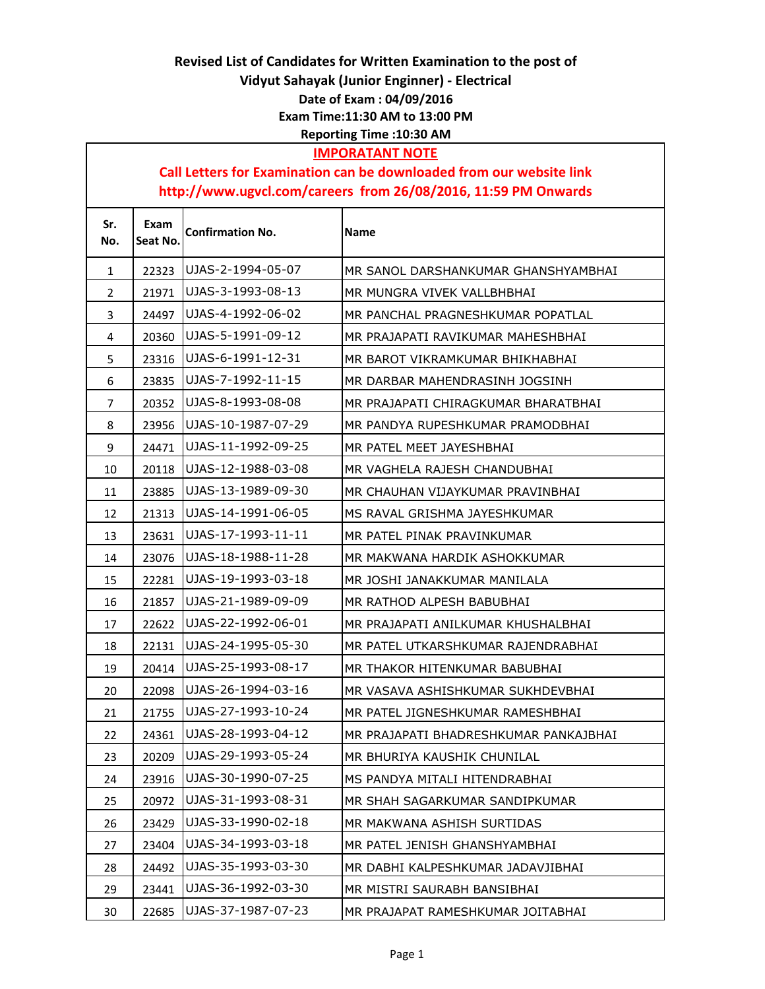## Revised List of Candidates for Written Examination to the post of Vidyut Sahayak (Junior Enginner) - Electrical Date of Exam : 04/09/2016 Exam Time:11:30 AM to 13:00 PM Reporting Time :10:30 AM

## IMPORATANT NOTE

## Call Letters for Examination can be downloaded from our website link http://www.ugvcl.com/careers from 26/08/2016, 11:59 PM Onwards

| Sr.<br>No. | Exam<br>Seat No. | <b>Confirmation No.</b> | <b>Name</b>                           |
|------------|------------------|-------------------------|---------------------------------------|
| 1          | 22323            | UJAS-2-1994-05-07       | MR SANOL DARSHANKUMAR GHANSHYAMBHAI   |
| 2          | 21971            | UJAS-3-1993-08-13       | MR MUNGRA VIVEK VALLBHBHAI            |
| 3          | 24497            | UJAS-4-1992-06-02       | MR PANCHAL PRAGNESHKUMAR POPATLAL     |
| 4          | 20360            | UJAS-5-1991-09-12       | MR PRAJAPATI RAVIKUMAR MAHESHBHAI     |
| 5          | 23316            | UJAS-6-1991-12-31       | MR BAROT VIKRAMKUMAR BHIKHABHAI       |
| 6          | 23835            | UJAS-7-1992-11-15       | MR DARBAR MAHENDRASINH JOGSINH        |
| 7          | 20352            | UJAS-8-1993-08-08       | MR PRAJAPATI CHIRAGKUMAR BHARATBHAI   |
| 8          | 23956            | UJAS-10-1987-07-29      | MR PANDYA RUPESHKUMAR PRAMODBHAI      |
| 9          | 24471            | UJAS-11-1992-09-25      | MR PATEL MEET JAYESHBHAI              |
| 10         | 20118            | UJAS-12-1988-03-08      | MR VAGHELA RAJESH CHANDUBHAI          |
| 11         | 23885            | UJAS-13-1989-09-30      | MR CHAUHAN VIJAYKUMAR PRAVINBHAI      |
| 12         | 21313            | UJAS-14-1991-06-05      | MS RAVAL GRISHMA JAYESHKUMAR          |
| 13         | 23631            | UJAS-17-1993-11-11      | MR PATEL PINAK PRAVINKUMAR            |
| 14         | 23076            | UJAS-18-1988-11-28      | MR MAKWANA HARDIK ASHOKKUMAR          |
| 15         | 22281            | UJAS-19-1993-03-18      | MR JOSHI JANAKKUMAR MANILALA          |
| 16         | 21857            | UJAS-21-1989-09-09      | MR RATHOD ALPESH BABUBHAI             |
| 17         | 22622            | UJAS-22-1992-06-01      | MR PRAJAPATI ANILKUMAR KHUSHALBHAI    |
| 18         | 22131            | UJAS-24-1995-05-30      | MR PATEL UTKARSHKUMAR RAJENDRABHAI    |
| 19         | 20414            | UJAS-25-1993-08-17      | MR THAKOR HITENKUMAR BABUBHAI         |
| 20         | 22098            | UJAS-26-1994-03-16      | MR VASAVA ASHISHKUMAR SUKHDEVBHAI     |
| 21         | 21755            | UJAS-27-1993-10-24      | MR PATEL JIGNESHKUMAR RAMESHBHAI      |
| 22         | 24361            | UJAS-28-1993-04-12      | MR PRAJAPATI BHADRESHKUMAR PANKAJBHAI |
| 23         | 20209            | UJAS-29-1993-05-24      | MR BHURIYA KAUSHIK CHUNILAL           |
| 24         | 23916            | UJAS-30-1990-07-25      | MS PANDYA MITALI HITENDRABHAI         |
| 25         | 20972            | UJAS-31-1993-08-31      | MR SHAH SAGARKUMAR SANDIPKUMAR        |
| 26         | 23429            | UJAS-33-1990-02-18      | MR MAKWANA ASHISH SURTIDAS            |
| 27         | 23404            | UJAS-34-1993-03-18      | MR PATEL JENISH GHANSHYAMBHAI         |
| 28         | 24492            | UJAS-35-1993-03-30      | MR DABHI KALPESHKUMAR JADAVJIBHAI     |
| 29         | 23441            | UJAS-36-1992-03-30      | MR MISTRI SAURABH BANSIBHAI           |
| 30         | 22685            | UJAS-37-1987-07-23      | MR PRAJAPAT RAMESHKUMAR JOITABHAI     |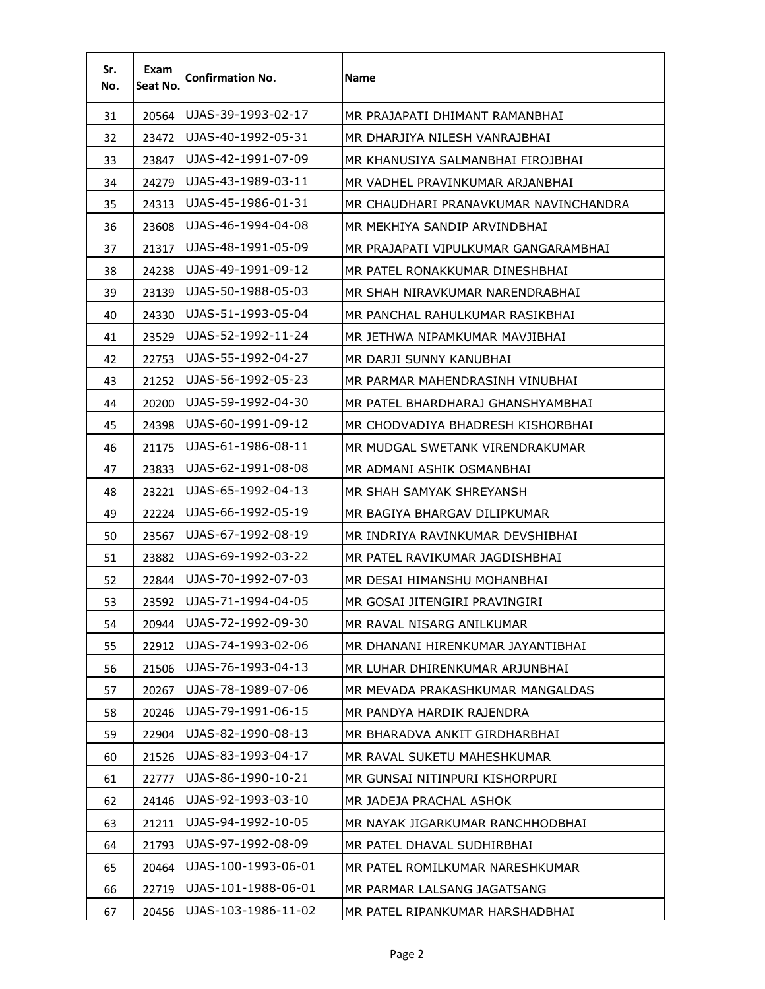| Sr.<br>No. | Exam<br>Seat No. | <b>Confirmation No.</b> | Name                                  |
|------------|------------------|-------------------------|---------------------------------------|
| 31         | 20564            | UJAS-39-1993-02-17      | MR PRAJAPATI DHIMANT RAMANBHAI        |
| 32         | 23472            | UJAS-40-1992-05-31      | MR DHARJIYA NILESH VANRAJBHAI         |
| 33         | 23847            | UJAS-42-1991-07-09      | MR KHANUSIYA SALMANBHAI FIROJBHAI     |
| 34         | 24279            | UJAS-43-1989-03-11      | MR VADHEL PRAVINKUMAR ARJANBHAI       |
| 35         | 24313            | UJAS-45-1986-01-31      | MR CHAUDHARI PRANAVKUMAR NAVINCHANDRA |
| 36         | 23608            | UJAS-46-1994-04-08      | MR MEKHIYA SANDIP ARVINDBHAI          |
| 37         | 21317            | UJAS-48-1991-05-09      | MR PRAJAPATI VIPULKUMAR GANGARAMBHAI  |
| 38         | 24238            | UJAS-49-1991-09-12      | MR PATEL RONAKKUMAR DINESHBHAI        |
| 39         | 23139            | UJAS-50-1988-05-03      | MR SHAH NIRAVKUMAR NARENDRABHAI       |
| 40         | 24330            | UJAS-51-1993-05-04      | MR PANCHAL RAHULKUMAR RASIKBHAI       |
| 41         | 23529            | UJAS-52-1992-11-24      | MR JETHWA NIPAMKUMAR MAVJIBHAI        |
| 42         | 22753            | UJAS-55-1992-04-27      | MR DARJI SUNNY KANUBHAI               |
| 43         | 21252            | UJAS-56-1992-05-23      | MR PARMAR MAHENDRASINH VINUBHAI       |
| 44         | 20200            | UJAS-59-1992-04-30      | MR PATEL BHARDHARAJ GHANSHYAMBHAI     |
| 45         | 24398            | UJAS-60-1991-09-12      | MR CHODVADIYA BHADRESH KISHORBHAI     |
| 46         | 21175            | UJAS-61-1986-08-11      | MR MUDGAL SWETANK VIRENDRAKUMAR       |
| 47         | 23833            | UJAS-62-1991-08-08      | MR ADMANI ASHIK OSMANBHAI             |
| 48         | 23221            | UJAS-65-1992-04-13      | MR SHAH SAMYAK SHREYANSH              |
| 49         | 22224            | UJAS-66-1992-05-19      | MR BAGIYA BHARGAV DILIPKUMAR          |
| 50         | 23567            | UJAS-67-1992-08-19      | MR INDRIYA RAVINKUMAR DEVSHIBHAI      |
| 51         | 23882            | UJAS-69-1992-03-22      | MR PATEL RAVIKUMAR JAGDISHBHAI        |
| 52         | 22844            | UJAS-70-1992-07-03      | MR DESAI HIMANSHU MOHANBHAI           |
| 53         | 23592            | UJAS-71-1994-04-05      | MR GOSAI JITENGIRI PRAVINGIRI         |
| 54         | 20944            | UJAS-72-1992-09-30      | MR RAVAL NISARG ANILKUMAR             |
| 55         | 22912            | UJAS-74-1993-02-06      | MR DHANANI HIRENKUMAR JAYANTIBHAI     |
| 56         | 21506            | UJAS-76-1993-04-13      | MR LUHAR DHIRENKUMAR ARJUNBHAI        |
| 57         | 20267            | UJAS-78-1989-07-06      | MR MEVADA PRAKASHKUMAR MANGALDAS      |
| 58         | 20246            | UJAS-79-1991-06-15      | MR PANDYA HARDIK RAJENDRA             |
| 59         | 22904            | UJAS-82-1990-08-13      | MR BHARADVA ANKIT GIRDHARBHAI         |
| 60         | 21526            | UJAS-83-1993-04-17      | MR RAVAL SUKETU MAHESHKUMAR           |
| 61         | 22777            | UJAS-86-1990-10-21      | MR GUNSAI NITINPURI KISHORPURI        |
| 62         | 24146            | UJAS-92-1993-03-10      | MR JADEJA PRACHAL ASHOK               |
| 63         | 21211            | UJAS-94-1992-10-05      | MR NAYAK JIGARKUMAR RANCHHODBHAI      |
| 64         | 21793            | UJAS-97-1992-08-09      | MR PATEL DHAVAL SUDHIRBHAI            |
| 65         | 20464            | UJAS-100-1993-06-01     | MR PATEL ROMILKUMAR NARESHKUMAR       |
| 66         | 22719            | UJAS-101-1988-06-01     | MR PARMAR LALSANG JAGATSANG           |
| 67         | 20456            | UJAS-103-1986-11-02     | MR PATEL RIPANKUMAR HARSHADBHAI       |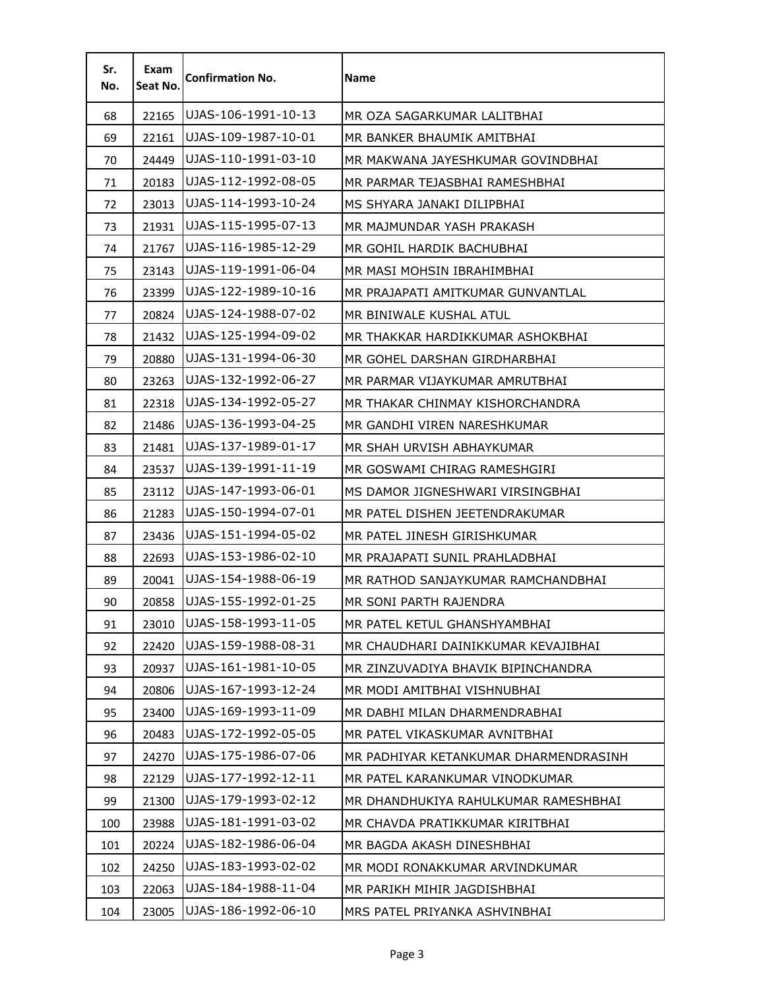| Sr.<br>No. | Exam<br>Seat No. | <b>Confirmation No.</b> | Name                                  |
|------------|------------------|-------------------------|---------------------------------------|
| 68         | 22165            | UJAS-106-1991-10-13     | MR OZA SAGARKUMAR LALITBHAI           |
| 69         | 22161            | UJAS-109-1987-10-01     | MR BANKER BHAUMIK AMITBHAI            |
| 70         | 24449            | UJAS-110-1991-03-10     | MR MAKWANA JAYESHKUMAR GOVINDBHAI     |
| 71         | 20183            | UJAS-112-1992-08-05     | MR PARMAR TEJASBHAI RAMESHBHAI        |
| 72         | 23013            | UJAS-114-1993-10-24     | MS SHYARA JANAKI DILIPBHAI            |
| 73         | 21931            | UJAS-115-1995-07-13     | MR MAJMUNDAR YASH PRAKASH             |
| 74         | 21767            | UJAS-116-1985-12-29     | MR GOHIL HARDIK BACHUBHAI             |
| 75         | 23143            | UJAS-119-1991-06-04     | MR MASI MOHSIN IBRAHIMBHAI            |
| 76         | 23399            | UJAS-122-1989-10-16     | MR PRAJAPATI AMITKUMAR GUNVANTLAL     |
| 77         | 20824            | UJAS-124-1988-07-02     | MR BINIWALE KUSHAL ATUL               |
| 78         | 21432            | UJAS-125-1994-09-02     | MR THAKKAR HARDIKKUMAR ASHOKBHAI      |
| 79         | 20880            | UJAS-131-1994-06-30     | MR GOHEL DARSHAN GIRDHARBHAI          |
| 80         | 23263            | UJAS-132-1992-06-27     | MR PARMAR VIJAYKUMAR AMRUTBHAI        |
| 81         | 22318            | UJAS-134-1992-05-27     | MR THAKAR CHINMAY KISHORCHANDRA       |
| 82         | 21486            | UJAS-136-1993-04-25     | MR GANDHI VIREN NARESHKUMAR           |
| 83         | 21481            | UJAS-137-1989-01-17     | MR SHAH URVISH ABHAYKUMAR             |
| 84         | 23537            | UJAS-139-1991-11-19     | MR GOSWAMI CHIRAG RAMESHGIRI          |
| 85         | 23112            | UJAS-147-1993-06-01     | MS DAMOR JIGNESHWARI VIRSINGBHAI      |
| 86         | 21283            | UJAS-150-1994-07-01     | MR PATEL DISHEN JEETENDRAKUMAR        |
| 87         | 23436            | UJAS-151-1994-05-02     | MR PATEL JINESH GIRISHKUMAR           |
| 88         | 22693            | UJAS-153-1986-02-10     | MR PRAJAPATI SUNIL PRAHLADBHAI        |
| 89         | 20041            | UJAS-154-1988-06-19     | MR RATHOD SANJAYKUMAR RAMCHANDBHAI    |
| 90         | 20858            | UJAS-155-1992-01-25     | MR SONI PARTH RAJENDRA                |
| 91         | 23010            | UJAS-158-1993-11-05     | MR PATEL KETUL GHANSHYAMBHAI          |
| 92         | 22420            | UJAS-159-1988-08-31     | MR CHAUDHARI DAINIKKUMAR KEVAJIBHAI   |
| 93         | 20937            | UJAS-161-1981-10-05     | MR ZINZUVADIYA BHAVIK BIPINCHANDRA    |
| 94         | 20806            | UJAS-167-1993-12-24     | MR MODI AMITBHAI VISHNUBHAI           |
| 95         | 23400            | UJAS-169-1993-11-09     | MR DABHI MILAN DHARMENDRABHAI         |
| 96         | 20483            | UJAS-172-1992-05-05     | MR PATEL VIKASKUMAR AVNITBHAI         |
| 97         | 24270            | UJAS-175-1986-07-06     | MR PADHIYAR KETANKUMAR DHARMENDRASINH |
| 98         | 22129            | UJAS-177-1992-12-11     | MR PATEL KARANKUMAR VINODKUMAR        |
| 99         | 21300            | UJAS-179-1993-02-12     | MR DHANDHUKIYA RAHULKUMAR RAMESHBHAI  |
| 100        | 23988            | UJAS-181-1991-03-02     | MR CHAVDA PRATIKKUMAR KIRITBHAI       |
| 101        | 20224            | UJAS-182-1986-06-04     | MR BAGDA AKASH DINESHBHAI             |
| 102        | 24250            | UJAS-183-1993-02-02     | MR MODI RONAKKUMAR ARVINDKUMAR        |
| 103        | 22063            | UJAS-184-1988-11-04     | MR PARIKH MIHIR JAGDISHBHAI           |
| 104        | 23005            | UJAS-186-1992-06-10     | MRS PATEL PRIYANKA ASHVINBHAI         |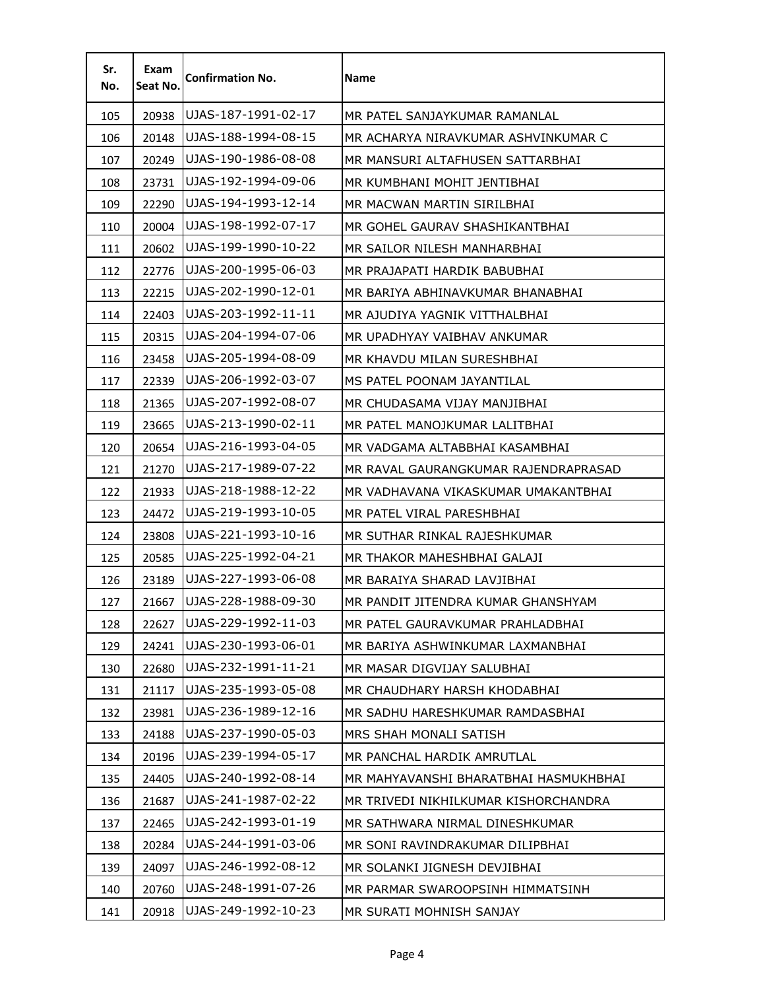| Sr.<br>No. | Exam<br>Seat No. | <b>Confirmation No.</b> | Name                                  |
|------------|------------------|-------------------------|---------------------------------------|
| 105        | 20938            | UJAS-187-1991-02-17     | MR PATEL SANJAYKUMAR RAMANLAL         |
| 106        | 20148            | UJAS-188-1994-08-15     | MR ACHARYA NIRAVKUMAR ASHVINKUMAR C   |
| 107        | 20249            | UJAS-190-1986-08-08     | MR MANSURI ALTAFHUSEN SATTARBHAI      |
| 108        | 23731            | UJAS-192-1994-09-06     | MR KUMBHANI MOHIT JENTIBHAI           |
| 109        | 22290            | UJAS-194-1993-12-14     | MR MACWAN MARTIN SIRILBHAI            |
| 110        | 20004            | UJAS-198-1992-07-17     | MR GOHEL GAURAV SHASHIKANTBHAI        |
| 111        | 20602            | UJAS-199-1990-10-22     | MR SAILOR NILESH MANHARBHAI           |
| 112        | 22776            | UJAS-200-1995-06-03     | MR PRAJAPATI HARDIK BABUBHAI          |
| 113        | 22215            | UJAS-202-1990-12-01     | MR BARIYA ABHINAVKUMAR BHANABHAI      |
| 114        | 22403            | UJAS-203-1992-11-11     | MR AJUDIYA YAGNIK VITTHALBHAI         |
| 115        | 20315            | UJAS-204-1994-07-06     | MR UPADHYAY VAIBHAV ANKUMAR           |
| 116        | 23458            | UJAS-205-1994-08-09     | MR KHAVDU MILAN SURESHBHAI            |
| 117        | 22339            | UJAS-206-1992-03-07     | MS PATEL POONAM JAYANTILAL            |
| 118        | 21365            | UJAS-207-1992-08-07     | MR CHUDASAMA VIJAY MANJIBHAI          |
| 119        | 23665            | UJAS-213-1990-02-11     | MR PATEL MANOJKUMAR LALITBHAI         |
| 120        | 20654            | UJAS-216-1993-04-05     | MR VADGAMA ALTABBHAI KASAMBHAI        |
| 121        | 21270            | UJAS-217-1989-07-22     | MR RAVAL GAURANGKUMAR RAJENDRAPRASAD  |
| 122        | 21933            | UJAS-218-1988-12-22     | MR VADHAVANA VIKASKUMAR UMAKANTBHAI   |
| 123        | 24472            | UJAS-219-1993-10-05     | MR PATEL VIRAL PARESHBHAI             |
| 124        | 23808            | UJAS-221-1993-10-16     | MR SUTHAR RINKAL RAJESHKUMAR          |
| 125        | 20585            | UJAS-225-1992-04-21     | MR THAKOR MAHESHBHAI GALAJI           |
| 126        | 23189            | UJAS-227-1993-06-08     | MR BARAIYA SHARAD LAVJIBHAI           |
| 127        | 21667            | UJAS-228-1988-09-30     | MR PANDIT JITENDRA KUMAR GHANSHYAM    |
| 128        | 22627            | UJAS-229-1992-11-03     | MR PATEL GAURAVKUMAR PRAHLADBHAI      |
| 129        | 24241            | UJAS-230-1993-06-01     | MR BARIYA ASHWINKUMAR LAXMANBHAI      |
| 130        | 22680            | UJAS-232-1991-11-21     | MR MASAR DIGVIJAY SALUBHAI            |
| 131        | 21117            | UJAS-235-1993-05-08     | MR CHAUDHARY HARSH KHODABHAI          |
| 132        | 23981            | UJAS-236-1989-12-16     | MR SADHU HARESHKUMAR RAMDASBHAI       |
| 133        | 24188            | UJAS-237-1990-05-03     | MRS SHAH MONALI SATISH                |
| 134        | 20196            | UJAS-239-1994-05-17     | MR PANCHAL HARDIK AMRUTLAL            |
| 135        | 24405            | UJAS-240-1992-08-14     | MR MAHYAVANSHI BHARATBHAI HASMUKHBHAI |
| 136        | 21687            | UJAS-241-1987-02-22     | MR TRIVEDI NIKHILKUMAR KISHORCHANDRA  |
| 137        | 22465            | UJAS-242-1993-01-19     | MR SATHWARA NIRMAL DINESHKUMAR        |
| 138        | 20284            | UJAS-244-1991-03-06     | MR SONI RAVINDRAKUMAR DILIPBHAI       |
| 139        | 24097            | UJAS-246-1992-08-12     | MR SOLANKI JIGNESH DEVJIBHAI          |
| 140        | 20760            | UJAS-248-1991-07-26     | MR PARMAR SWAROOPSINH HIMMATSINH      |
| 141        | 20918            | UJAS-249-1992-10-23     | MR SURATI MOHNISH SANJAY              |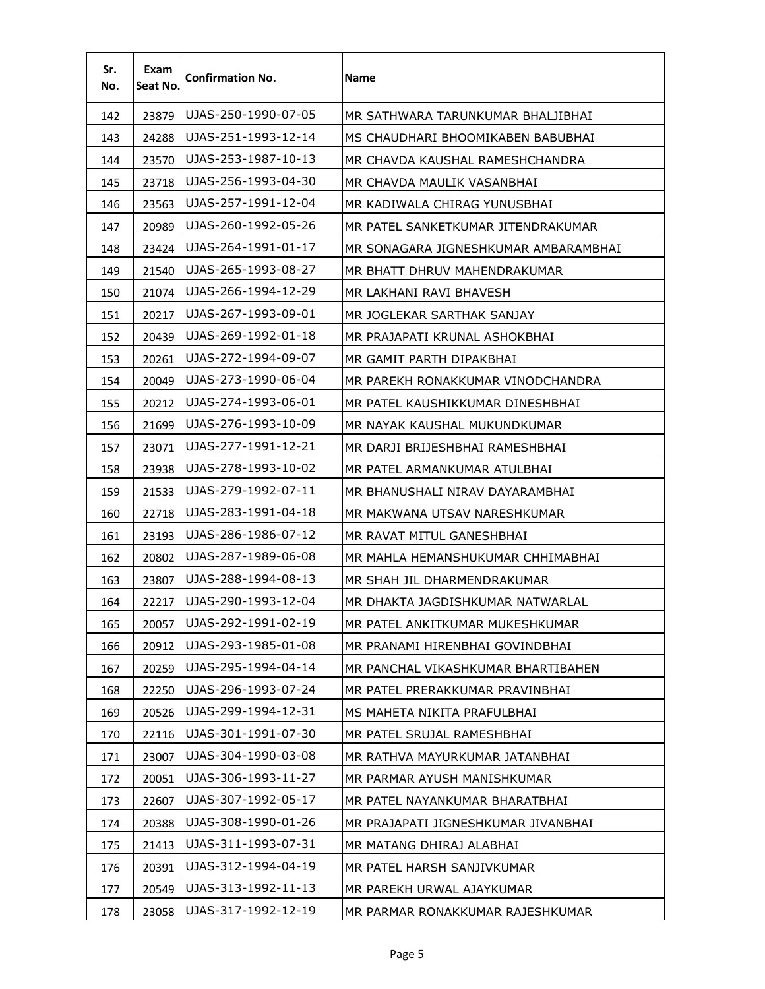| Sr.<br>No. | Exam<br>Seat No. | <b>Confirmation No.</b> | <b>Name</b>                          |
|------------|------------------|-------------------------|--------------------------------------|
| 142        | 23879            | UJAS-250-1990-07-05     | MR SATHWARA TARUNKUMAR BHALJIBHAI    |
| 143        | 24288            | UJAS-251-1993-12-14     | MS CHAUDHARI BHOOMIKABEN BABUBHAI    |
| 144        | 23570            | UJAS-253-1987-10-13     | MR CHAVDA KAUSHAL RAMESHCHANDRA      |
| 145        | 23718            | UJAS-256-1993-04-30     | MR CHAVDA MAULIK VASANBHAI           |
| 146        | 23563            | UJAS-257-1991-12-04     | MR KADIWALA CHIRAG YUNUSBHAI         |
| 147        | 20989            | UJAS-260-1992-05-26     | MR PATEL SANKETKUMAR JITENDRAKUMAR   |
| 148        | 23424            | UJAS-264-1991-01-17     | MR SONAGARA JIGNESHKUMAR AMBARAMBHAI |
| 149        | 21540            | UJAS-265-1993-08-27     | MR BHATT DHRUV MAHENDRAKUMAR         |
| 150        | 21074            | UJAS-266-1994-12-29     | MR LAKHANI RAVI BHAVESH              |
| 151        | 20217            | UJAS-267-1993-09-01     | MR JOGLEKAR SARTHAK SANJAY           |
| 152        | 20439            | UJAS-269-1992-01-18     | MR PRAJAPATI KRUNAL ASHOKBHAI        |
| 153        | 20261            | UJAS-272-1994-09-07     | MR GAMIT PARTH DIPAKBHAI             |
| 154        | 20049            | UJAS-273-1990-06-04     | MR PAREKH RONAKKUMAR VINODCHANDRA    |
| 155        | 20212            | UJAS-274-1993-06-01     | MR PATEL KAUSHIKKUMAR DINESHBHAI     |
| 156        | 21699            | UJAS-276-1993-10-09     | MR NAYAK KAUSHAL MUKUNDKUMAR         |
| 157        | 23071            | UJAS-277-1991-12-21     | MR DARJI BRIJESHBHAI RAMESHBHAI      |
| 158        | 23938            | UJAS-278-1993-10-02     | MR PATEL ARMANKUMAR ATULBHAI         |
| 159        | 21533            | UJAS-279-1992-07-11     | MR BHANUSHALI NIRAV DAYARAMBHAI      |
| 160        | 22718            | UJAS-283-1991-04-18     | MR MAKWANA UTSAV NARESHKUMAR         |
| 161        | 23193            | UJAS-286-1986-07-12     | MR RAVAT MITUL GANESHBHAI            |
| 162        | 20802            | UJAS-287-1989-06-08     | MR MAHLA HEMANSHUKUMAR CHHIMABHAI    |
| 163        | 23807            | UJAS-288-1994-08-13     | MR SHAH JIL DHARMENDRAKUMAR          |
| 164        | 22217            | UJAS-290-1993-12-04     | MR DHAKTA JAGDISHKUMAR NATWARLAL     |
| 165        | 20057            | UJAS-292-1991-02-19     | MR PATEL ANKITKUMAR MUKESHKUMAR      |
| 166        | 20912            | UJAS-293-1985-01-08     | MR PRANAMI HIRENBHAI GOVINDBHAI      |
| 167        | 20259            | UJAS-295-1994-04-14     | MR PANCHAL VIKASHKUMAR BHARTIBAHEN   |
| 168        | 22250            | UJAS-296-1993-07-24     | MR PATEL PRERAKKUMAR PRAVINBHAI      |
| 169        | 20526            | UJAS-299-1994-12-31     | MS MAHETA NIKITA PRAFULBHAI          |
| 170        | 22116            | UJAS-301-1991-07-30     | MR PATEL SRUJAL RAMESHBHAI           |
| 171        | 23007            | UJAS-304-1990-03-08     | MR RATHVA MAYURKUMAR JATANBHAI       |
| 172        | 20051            | UJAS-306-1993-11-27     | MR PARMAR AYUSH MANISHKUMAR          |
| 173        | 22607            | UJAS-307-1992-05-17     | MR PATEL NAYANKUMAR BHARATBHAI       |
| 174        | 20388            | UJAS-308-1990-01-26     | MR PRAJAPATI JIGNESHKUMAR JIVANBHAI  |
| 175        | 21413            | UJAS-311-1993-07-31     | MR MATANG DHIRAJ ALABHAI             |
| 176        | 20391            | UJAS-312-1994-04-19     | MR PATEL HARSH SANJIVKUMAR           |
| 177        | 20549            | UJAS-313-1992-11-13     | MR PAREKH URWAL AJAYKUMAR            |
| 178        | 23058            | UJAS-317-1992-12-19     | MR PARMAR RONAKKUMAR RAJESHKUMAR     |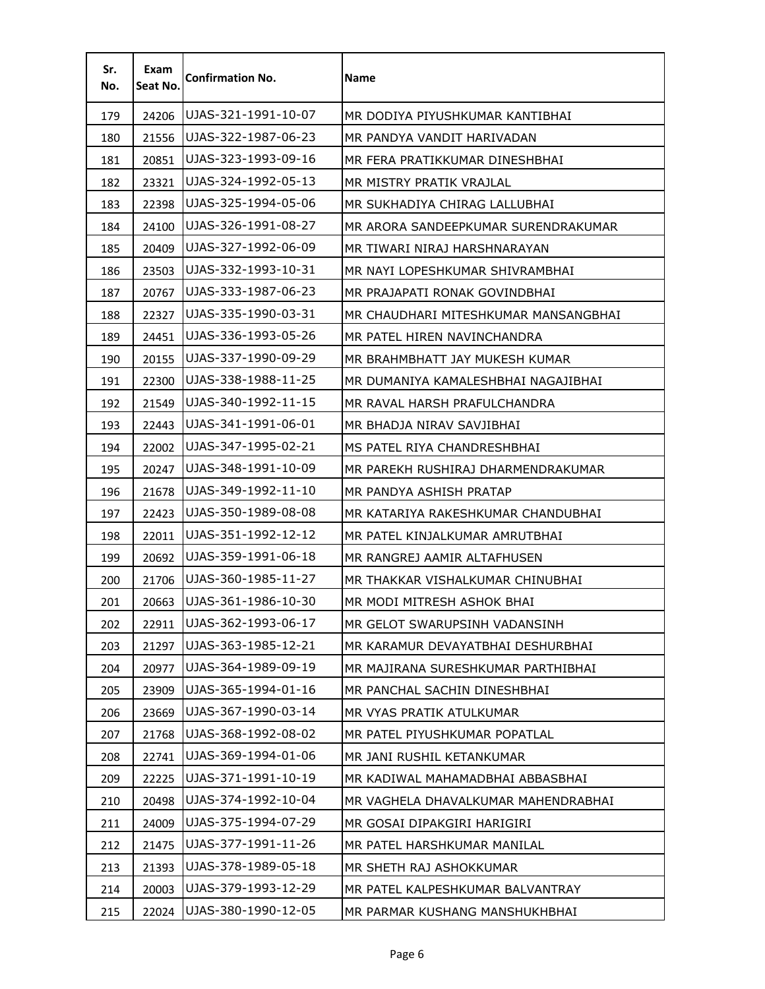| Sr.<br>No. | Exam<br>Seat No. | <b>Confirmation No.</b> | Name                                 |
|------------|------------------|-------------------------|--------------------------------------|
| 179        | 24206            | UJAS-321-1991-10-07     | MR DODIYA PIYUSHKUMAR KANTIBHAI      |
| 180        | 21556            | UJAS-322-1987-06-23     | MR PANDYA VANDIT HARIVADAN           |
| 181        | 20851            | UJAS-323-1993-09-16     | MR FERA PRATIKKUMAR DINESHBHAI       |
| 182        | 23321            | UJAS-324-1992-05-13     | MR MISTRY PRATIK VRAJLAL             |
| 183        | 22398            | UJAS-325-1994-05-06     | MR SUKHADIYA CHIRAG LALLUBHAI        |
| 184        | 24100            | UJAS-326-1991-08-27     | MR ARORA SANDEEPKUMAR SURENDRAKUMAR  |
| 185        | 20409            | UJAS-327-1992-06-09     | MR TIWARI NIRAJ HARSHNARAYAN         |
| 186        | 23503            | UJAS-332-1993-10-31     | MR NAYI LOPESHKUMAR SHIVRAMBHAI      |
| 187        | 20767            | UJAS-333-1987-06-23     | MR PRAJAPATI RONAK GOVINDBHAI        |
| 188        | 22327            | UJAS-335-1990-03-31     | MR CHAUDHARI MITESHKUMAR MANSANGBHAI |
| 189        | 24451            | UJAS-336-1993-05-26     | MR PATEL HIREN NAVINCHANDRA          |
| 190        | 20155            | UJAS-337-1990-09-29     | MR BRAHMBHATT JAY MUKESH KUMAR       |
| 191        | 22300            | UJAS-338-1988-11-25     | MR DUMANIYA KAMALESHBHAI NAGAJIBHAI  |
| 192        | 21549            | UJAS-340-1992-11-15     | MR RAVAL HARSH PRAFULCHANDRA         |
| 193        | 22443            | UJAS-341-1991-06-01     | MR BHADJA NIRAV SAVJIBHAI            |
| 194        | 22002            | UJAS-347-1995-02-21     | MS PATEL RIYA CHANDRESHBHAI          |
| 195        | 20247            | UJAS-348-1991-10-09     | MR PAREKH RUSHIRAJ DHARMENDRAKUMAR   |
| 196        | 21678            | UJAS-349-1992-11-10     | MR PANDYA ASHISH PRATAP              |
| 197        | 22423            | UJAS-350-1989-08-08     | MR KATARIYA RAKESHKUMAR CHANDUBHAI   |
| 198        | 22011            | UJAS-351-1992-12-12     | MR PATEL KINJALKUMAR AMRUTBHAI       |
| 199        | 20692            | UJAS-359-1991-06-18     | MR RANGREJ AAMIR ALTAFHUSEN          |
| 200        | 21706            | UJAS-360-1985-11-27     | MR THAKKAR VISHALKUMAR CHINUBHAI     |
| 201        | 20663            | UJAS-361-1986-10-30     | MR MODI MITRESH ASHOK BHAI           |
| 202        | 22911            | UJAS-362-1993-06-17     | MR GELOT SWARUPSINH VADANSINH        |
| 203        | 21297            | UJAS-363-1985-12-21     | MR KARAMUR DEVAYATBHAI DESHURBHAI    |
| 204        | 20977            | UJAS-364-1989-09-19     | MR MAJIRANA SURESHKUMAR PARTHIBHAI   |
| 205        | 23909            | UJAS-365-1994-01-16     | MR PANCHAL SACHIN DINESHBHAI         |
| 206        | 23669            | UJAS-367-1990-03-14     | MR VYAS PRATIK ATULKUMAR             |
| 207        | 21768            | UJAS-368-1992-08-02     | MR PATEL PIYUSHKUMAR POPATLAL        |
| 208        | 22741            | UJAS-369-1994-01-06     | MR JANI RUSHIL KETANKUMAR            |
| 209        | 22225            | UJAS-371-1991-10-19     | MR KADIWAL MAHAMADBHAI ABBASBHAI     |
| 210        | 20498            | UJAS-374-1992-10-04     | MR VAGHELA DHAVALKUMAR MAHENDRABHAI  |
| 211        | 24009            | UJAS-375-1994-07-29     | MR GOSAI DIPAKGIRI HARIGIRI          |
| 212        | 21475            | UJAS-377-1991-11-26     | MR PATEL HARSHKUMAR MANILAL          |
| 213        | 21393            | UJAS-378-1989-05-18     | MR SHETH RAJ ASHOKKUMAR              |
| 214        | 20003            | UJAS-379-1993-12-29     | MR PATEL KALPESHKUMAR BALVANTRAY     |
| 215        | 22024            | UJAS-380-1990-12-05     | MR PARMAR KUSHANG MANSHUKHBHAI       |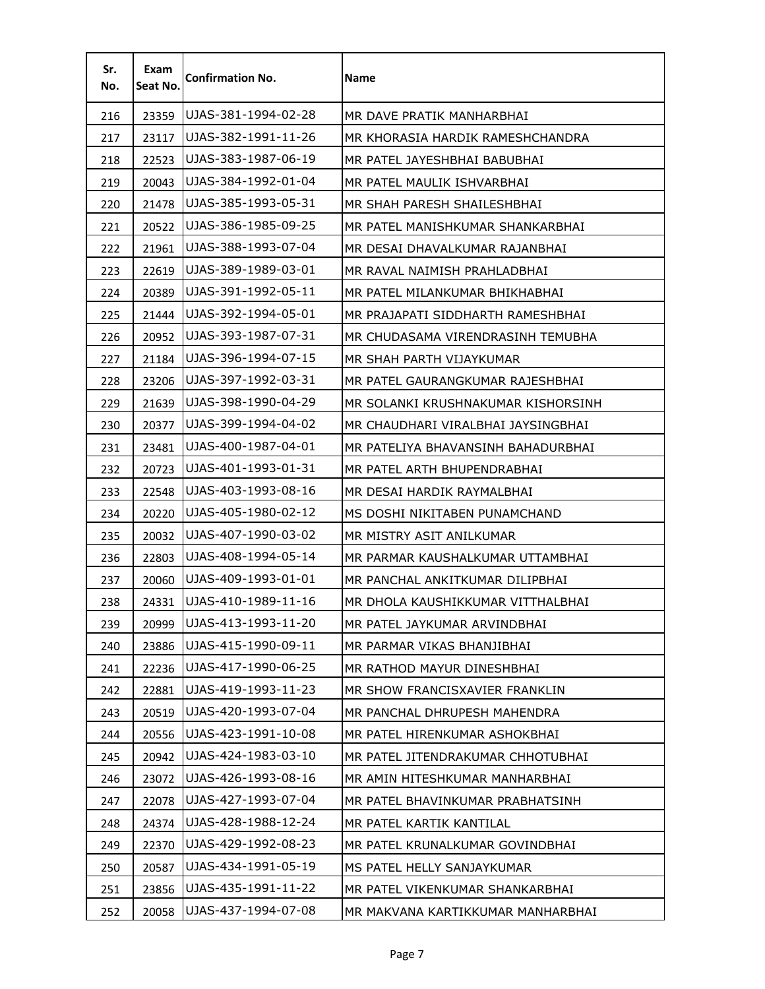| Sr.<br>No. | Exam<br>Seat No. | <b>Confirmation No.</b> | <b>Name</b>                        |
|------------|------------------|-------------------------|------------------------------------|
| 216        | 23359            | UJAS-381-1994-02-28     | MR DAVE PRATIK MANHARBHAI          |
| 217        | 23117            | UJAS-382-1991-11-26     | MR KHORASIA HARDIK RAMESHCHANDRA   |
| 218        | 22523            | UJAS-383-1987-06-19     | MR PATEL JAYESHBHAI BABUBHAI       |
| 219        | 20043            | UJAS-384-1992-01-04     | MR PATEL MAULIK ISHVARBHAI         |
| 220        | 21478            | UJAS-385-1993-05-31     | MR SHAH PARESH SHAILESHBHAI        |
| 221        | 20522            | UJAS-386-1985-09-25     | MR PATEL MANISHKUMAR SHANKARBHAI   |
| 222        | 21961            | UJAS-388-1993-07-04     | MR DESAI DHAVALKUMAR RAJANBHAI     |
| 223        | 22619            | UJAS-389-1989-03-01     | MR RAVAL NAIMISH PRAHLADBHAI       |
| 224        | 20389            | UJAS-391-1992-05-11     | MR PATEL MILANKUMAR BHIKHABHAI     |
| 225        | 21444            | UJAS-392-1994-05-01     | MR PRAJAPATI SIDDHARTH RAMESHBHAI  |
| 226        | 20952            | UJAS-393-1987-07-31     | MR CHUDASAMA VIRENDRASINH TEMUBHA  |
| 227        | 21184            | UJAS-396-1994-07-15     | MR SHAH PARTH VIJAYKUMAR           |
| 228        | 23206            | UJAS-397-1992-03-31     | MR PATEL GAURANGKUMAR RAJESHBHAI   |
| 229        | 21639            | UJAS-398-1990-04-29     | MR SOLANKI KRUSHNAKUMAR KISHORSINH |
| 230        | 20377            | UJAS-399-1994-04-02     | MR CHAUDHARI VIRALBHAI JAYSINGBHAI |
| 231        | 23481            | UJAS-400-1987-04-01     | MR PATELIYA BHAVANSINH BAHADURBHAI |
| 232        | 20723            | UJAS-401-1993-01-31     | MR PATEL ARTH BHUPENDRABHAI        |
| 233        | 22548            | UJAS-403-1993-08-16     | MR DESAI HARDIK RAYMALBHAI         |
| 234        | 20220            | UJAS-405-1980-02-12     | MS DOSHI NIKITABEN PUNAMCHAND      |
| 235        | 20032            | UJAS-407-1990-03-02     | MR MISTRY ASIT ANILKUMAR           |
| 236        | 22803            | UJAS-408-1994-05-14     | MR PARMAR KAUSHALKUMAR UTTAMBHAI   |
| 237        | 20060            | UJAS-409-1993-01-01     | MR PANCHAL ANKITKUMAR DILIPBHAI    |
| 238        | 24331            | UJAS-410-1989-11-16     | MR DHOLA KAUSHIKKUMAR VITTHALBHAI  |
| 239        | 20999            | UJAS-413-1993-11-20     | MR PATEL JAYKUMAR ARVINDBHAI       |
| 240        | 23886            | UJAS-415-1990-09-11     | MR PARMAR VIKAS BHANJIBHAI         |
| 241        | 22236            | UJAS-417-1990-06-25     | MR RATHOD MAYUR DINESHBHAI         |
| 242        | 22881            | UJAS-419-1993-11-23     | MR SHOW FRANCISXAVIER FRANKLIN     |
| 243        | 20519            | UJAS-420-1993-07-04     | MR PANCHAL DHRUPESH MAHENDRA       |
| 244        | 20556            | UJAS-423-1991-10-08     | MR PATEL HIRENKUMAR ASHOKBHAI      |
| 245        | 20942            | UJAS-424-1983-03-10     | MR PATEL JITENDRAKUMAR CHHOTUBHAI  |
| 246        | 23072            | UJAS-426-1993-08-16     | MR AMIN HITESHKUMAR MANHARBHAI     |
| 247        | 22078            | UJAS-427-1993-07-04     | MR PATEL BHAVINKUMAR PRABHATSINH   |
| 248        | 24374            | UJAS-428-1988-12-24     | MR PATEL KARTIK KANTILAL           |
| 249        | 22370            | UJAS-429-1992-08-23     | MR PATEL KRUNALKUMAR GOVINDBHAI    |
| 250        | 20587            | UJAS-434-1991-05-19     | MS PATEL HELLY SANJAYKUMAR         |
| 251        | 23856            | UJAS-435-1991-11-22     | MR PATEL VIKENKUMAR SHANKARBHAI    |
| 252        | 20058            | UJAS-437-1994-07-08     | MR MAKVANA KARTIKKUMAR MANHARBHAI  |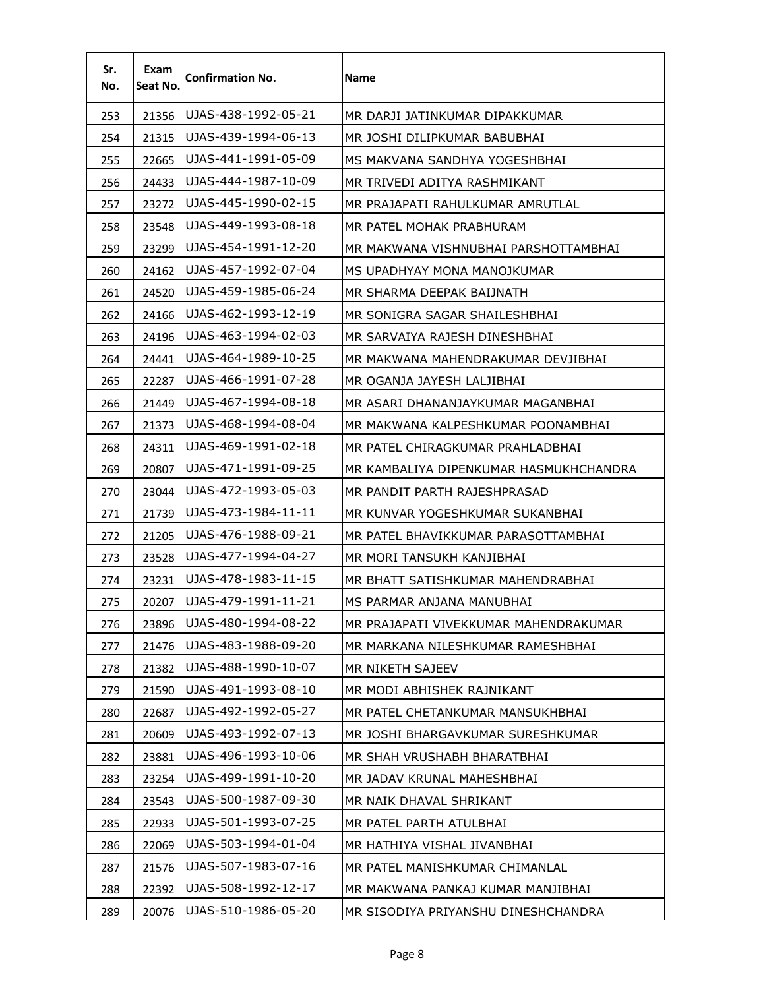| Sr.<br>No. | Exam<br>Seat No. | <b>Confirmation No.</b> | Name                                   |
|------------|------------------|-------------------------|----------------------------------------|
| 253        | 21356            | UJAS-438-1992-05-21     | MR DARJI JATINKUMAR DIPAKKUMAR         |
| 254        | 21315            | UJAS-439-1994-06-13     | MR JOSHI DILIPKUMAR BABUBHAI           |
| 255        | 22665            | UJAS-441-1991-05-09     | MS MAKVANA SANDHYA YOGESHBHAI          |
| 256        | 24433            | UJAS-444-1987-10-09     | MR TRIVEDI ADITYA RASHMIKANT           |
| 257        | 23272            | UJAS-445-1990-02-15     | MR PRAJAPATI RAHULKUMAR AMRUTLAL       |
| 258        | 23548            | UJAS-449-1993-08-18     | MR PATEL MOHAK PRABHURAM               |
| 259        | 23299            | UJAS-454-1991-12-20     | MR MAKWANA VISHNUBHAI PARSHOTTAMBHAI   |
| 260        | 24162            | UJAS-457-1992-07-04     | MS UPADHYAY MONA MANOJKUMAR            |
| 261        | 24520            | UJAS-459-1985-06-24     | MR SHARMA DEEPAK BAIJNATH              |
| 262        | 24166            | UJAS-462-1993-12-19     | MR SONIGRA SAGAR SHAILESHBHAI          |
| 263        | 24196            | UJAS-463-1994-02-03     | MR SARVAIYA RAJESH DINESHBHAI          |
| 264        | 24441            | UJAS-464-1989-10-25     | MR MAKWANA MAHENDRAKUMAR DEVJIBHAI     |
| 265        | 22287            | UJAS-466-1991-07-28     | MR OGANJA JAYESH LALJIBHAI             |
| 266        | 21449            | UJAS-467-1994-08-18     | MR ASARI DHANANJAYKUMAR MAGANBHAI      |
| 267        | 21373            | UJAS-468-1994-08-04     | MR MAKWANA KALPESHKUMAR POONAMBHAI     |
| 268        | 24311            | UJAS-469-1991-02-18     | MR PATEL CHIRAGKUMAR PRAHLADBHAI       |
| 269        | 20807            | UJAS-471-1991-09-25     | MR KAMBALIYA DIPENKUMAR HASMUKHCHANDRA |
| 270        | 23044            | UJAS-472-1993-05-03     | MR PANDIT PARTH RAJESHPRASAD           |
| 271        | 21739            | UJAS-473-1984-11-11     | MR KUNVAR YOGESHKUMAR SUKANBHAI        |
| 272        | 21205            | UJAS-476-1988-09-21     | MR PATEL BHAVIKKUMAR PARASOTTAMBHAI    |
| 273        | 23528            | UJAS-477-1994-04-27     | MR MORI TANSUKH KANJIBHAI              |
| 274        | 23231            | UJAS-478-1983-11-15     | MR BHATT SATISHKUMAR MAHENDRABHAI      |
| 275        | 20207            | UJAS-479-1991-11-21     | MS PARMAR ANJANA MANUBHAI              |
| 276        | 23896            | UJAS-480-1994-08-22     | MR PRAJAPATI VIVEKKUMAR MAHENDRAKUMAR  |
| 277        | 21476            | UJAS-483-1988-09-20     | MR MARKANA NILESHKUMAR RAMESHBHAI      |
| 278        | 21382            | UJAS-488-1990-10-07     | MR NIKETH SAJEEV                       |
| 279        | 21590            | UJAS-491-1993-08-10     | MR MODI ABHISHEK RAJNIKANT             |
| 280        | 22687            | UJAS-492-1992-05-27     | MR PATEL CHETANKUMAR MANSUKHBHAI       |
| 281        | 20609            | UJAS-493-1992-07-13     | MR JOSHI BHARGAVKUMAR SURESHKUMAR      |
| 282        | 23881            | UJAS-496-1993-10-06     | MR SHAH VRUSHABH BHARATBHAI            |
| 283        | 23254            | UJAS-499-1991-10-20     | MR JADAV KRUNAL MAHESHBHAI             |
| 284        | 23543            | UJAS-500-1987-09-30     | MR NAIK DHAVAL SHRIKANT                |
| 285        | 22933            | UJAS-501-1993-07-25     | MR PATEL PARTH ATULBHAI                |
| 286        | 22069            | UJAS-503-1994-01-04     | MR HATHIYA VISHAL JIVANBHAI            |
| 287        | 21576            | UJAS-507-1983-07-16     | MR PATEL MANISHKUMAR CHIMANLAL         |
| 288        | 22392            | UJAS-508-1992-12-17     | MR MAKWANA PANKAJ KUMAR MANJIBHAI      |
| 289        | 20076            | UJAS-510-1986-05-20     | MR SISODIYA PRIYANSHU DINESHCHANDRA    |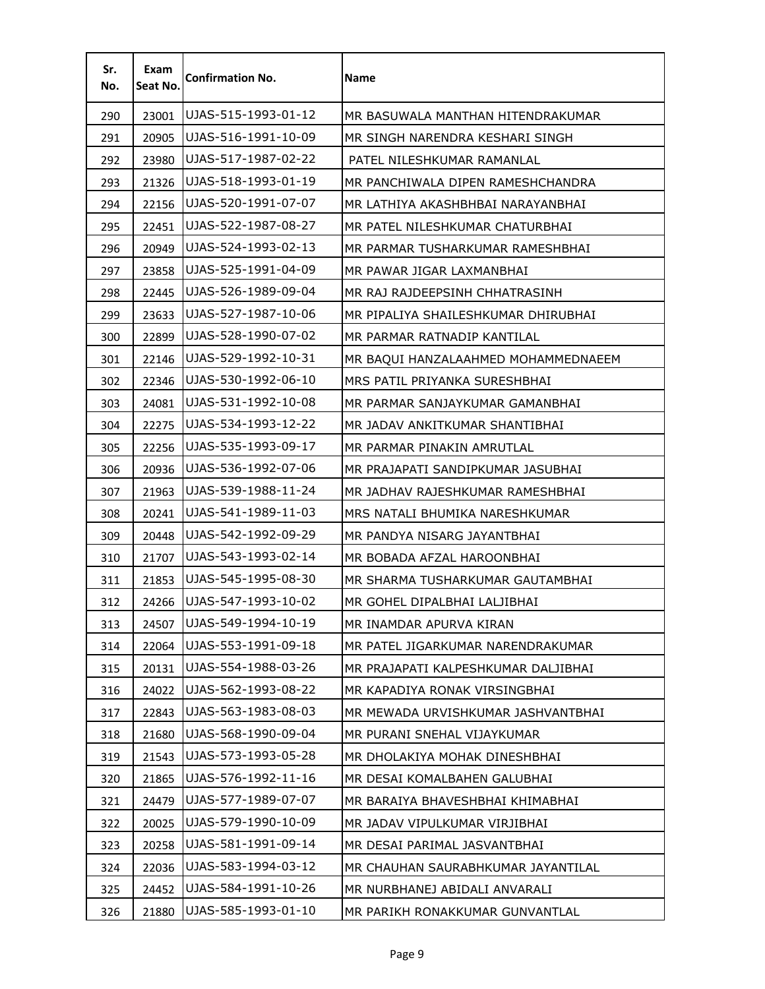| Sr.<br>No. | Exam<br>Seat No. | <b>Confirmation No.</b> | <b>Name</b>                         |
|------------|------------------|-------------------------|-------------------------------------|
| 290        | 23001            | UJAS-515-1993-01-12     | MR BASUWALA MANTHAN HITENDRAKUMAR   |
| 291        | 20905            | UJAS-516-1991-10-09     | MR SINGH NARENDRA KESHARI SINGH     |
| 292        | 23980            | UJAS-517-1987-02-22     | PATEL NILESHKUMAR RAMANLAL          |
| 293        | 21326            | UJAS-518-1993-01-19     | MR PANCHIWALA DIPEN RAMESHCHANDRA   |
| 294        | 22156            | UJAS-520-1991-07-07     | MR LATHIYA AKASHBHBAI NARAYANBHAI   |
| 295        | 22451            | UJAS-522-1987-08-27     | MR PATEL NILESHKUMAR CHATURBHAI     |
| 296        | 20949            | UJAS-524-1993-02-13     | MR PARMAR TUSHARKUMAR RAMESHBHAI    |
| 297        | 23858            | UJAS-525-1991-04-09     | MR PAWAR JIGAR LAXMANBHAI           |
| 298        | 22445            | UJAS-526-1989-09-04     | MR RAJ RAJDEEPSINH CHHATRASINH      |
| 299        | 23633            | UJAS-527-1987-10-06     | MR PIPALIYA SHAILESHKUMAR DHIRUBHAI |
| 300        | 22899            | UJAS-528-1990-07-02     | MR PARMAR RATNADIP KANTILAL         |
| 301        | 22146            | UJAS-529-1992-10-31     | MR BAQUI HANZALAAHMED MOHAMMEDNAEEM |
| 302        | 22346            | UJAS-530-1992-06-10     | MRS PATIL PRIYANKA SURESHBHAI       |
| 303        | 24081            | UJAS-531-1992-10-08     | MR PARMAR SANJAYKUMAR GAMANBHAI     |
| 304        | 22275            | UJAS-534-1993-12-22     | MR JADAV ANKITKUMAR SHANTIBHAI      |
| 305        | 22256            | UJAS-535-1993-09-17     | MR PARMAR PINAKIN AMRUTLAL          |
| 306        | 20936            | UJAS-536-1992-07-06     | MR PRAJAPATI SANDIPKUMAR JASUBHAI   |
| 307        | 21963            | UJAS-539-1988-11-24     | MR JADHAV RAJESHKUMAR RAMESHBHAI    |
| 308        | 20241            | UJAS-541-1989-11-03     | MRS NATALI BHUMIKA NARESHKUMAR      |
| 309        | 20448            | UJAS-542-1992-09-29     | MR PANDYA NISARG JAYANTBHAI         |
| 310        | 21707            | UJAS-543-1993-02-14     | MR BOBADA AFZAL HAROONBHAI          |
| 311        | 21853            | UJAS-545-1995-08-30     | MR SHARMA TUSHARKUMAR GAUTAMBHAI    |
| 312        | 24266            | UJAS-547-1993-10-02     | MR GOHEL DIPALBHAI LALJIBHAI        |
| 313        | 24507            | UJAS-549-1994-10-19     | MR INAMDAR APURVA KIRAN             |
| 314        | 22064            | UJAS-553-1991-09-18     | MR PATEL JIGARKUMAR NARENDRAKUMAR   |
| 315        | 20131            | UJAS-554-1988-03-26     | MR PRAJAPATI KALPESHKUMAR DALJIBHAI |
| 316        | 24022            | UJAS-562-1993-08-22     | MR KAPADIYA RONAK VIRSINGBHAI       |
| 317        | 22843            | UJAS-563-1983-08-03     | MR MEWADA URVISHKUMAR JASHVANTBHAI  |
| 318        | 21680            | UJAS-568-1990-09-04     | MR PURANI SNEHAL VIJAYKUMAR         |
| 319        | 21543            | UJAS-573-1993-05-28     | MR DHOLAKIYA MOHAK DINESHBHAI       |
| 320        | 21865            | UJAS-576-1992-11-16     | MR DESAI KOMALBAHEN GALUBHAI        |
| 321        | 24479            | UJAS-577-1989-07-07     | MR BARAIYA BHAVESHBHAI KHIMABHAI    |
| 322        | 20025            | UJAS-579-1990-10-09     | MR JADAV VIPULKUMAR VIRJIBHAI       |
| 323        | 20258            | UJAS-581-1991-09-14     | MR DESAI PARIMAL JASVANTBHAI        |
| 324        | 22036            | UJAS-583-1994-03-12     | MR CHAUHAN SAURABHKUMAR JAYANTILAL  |
| 325        | 24452            | UJAS-584-1991-10-26     | MR NURBHANEJ ABIDALI ANVARALI       |
| 326        | 21880            | UJAS-585-1993-01-10     | MR PARIKH RONAKKUMAR GUNVANTLAL     |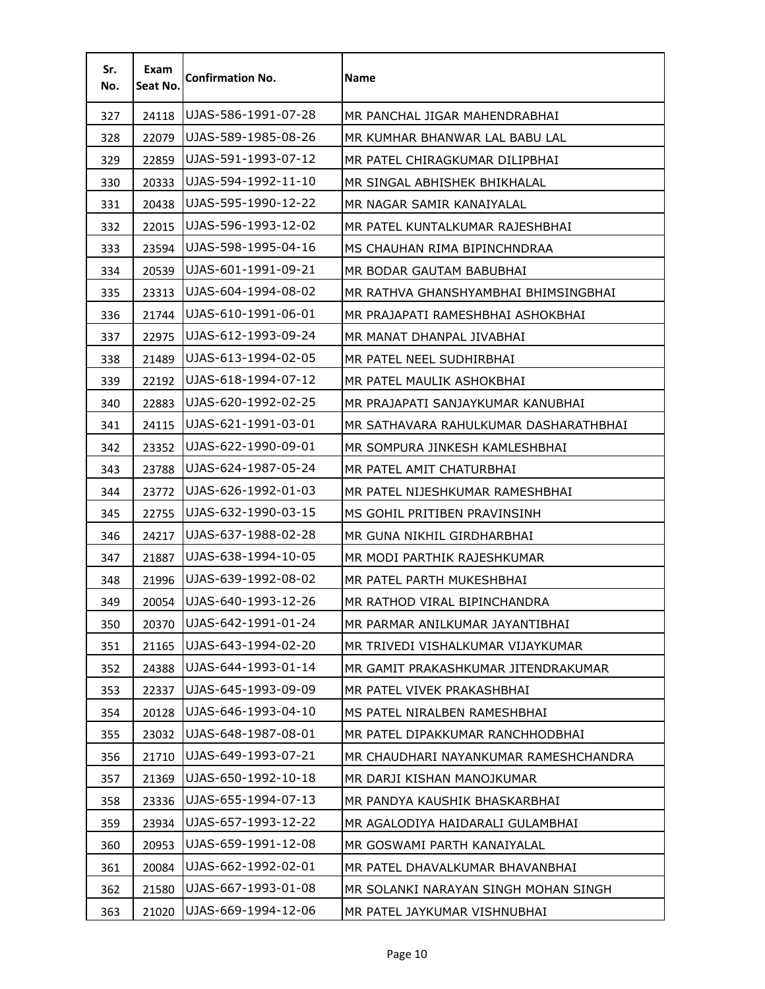| Sr.<br>No. | Exam<br>Seat No. | <b>Confirmation No.</b> | Name                                  |
|------------|------------------|-------------------------|---------------------------------------|
| 327        | 24118            | UJAS-586-1991-07-28     | MR PANCHAL JIGAR MAHENDRABHAI         |
| 328        | 22079            | UJAS-589-1985-08-26     | MR KUMHAR BHANWAR LAL BABU LAL        |
| 329        | 22859            | UJAS-591-1993-07-12     | MR PATEL CHIRAGKUMAR DILIPBHAI        |
| 330        | 20333            | UJAS-594-1992-11-10     | MR SINGAL ABHISHEK BHIKHALAL          |
| 331        | 20438            | UJAS-595-1990-12-22     | MR NAGAR SAMIR KANAIYALAL             |
| 332        | 22015            | UJAS-596-1993-12-02     | MR PATEL KUNTALKUMAR RAJESHBHAI       |
| 333        | 23594            | UJAS-598-1995-04-16     | MS CHAUHAN RIMA BIPINCHNDRAA          |
| 334        | 20539            | UJAS-601-1991-09-21     | MR BODAR GAUTAM BABUBHAI              |
| 335        | 23313            | UJAS-604-1994-08-02     | MR RATHVA GHANSHYAMBHAI BHIMSINGBHAI  |
| 336        | 21744            | UJAS-610-1991-06-01     | MR PRAJAPATI RAMESHBHAI ASHOKBHAI     |
| 337        | 22975            | UJAS-612-1993-09-24     | MR MANAT DHANPAL JIVABHAI             |
| 338        | 21489            | UJAS-613-1994-02-05     | MR PATEL NEEL SUDHIRBHAI              |
| 339        | 22192            | UJAS-618-1994-07-12     | MR PATEL MAULIK ASHOKBHAI             |
| 340        | 22883            | UJAS-620-1992-02-25     | MR PRAJAPATI SANJAYKUMAR KANUBHAI     |
| 341        | 24115            | UJAS-621-1991-03-01     | MR SATHAVARA RAHULKUMAR DASHARATHBHAI |
| 342        | 23352            | UJAS-622-1990-09-01     | MR SOMPURA JINKESH KAMLESHBHAI        |
| 343        | 23788            | UJAS-624-1987-05-24     | MR PATEL AMIT CHATURBHAI              |
| 344        | 23772            | UJAS-626-1992-01-03     | MR PATEL NIJESHKUMAR RAMESHBHAI       |
| 345        | 22755            | UJAS-632-1990-03-15     | MS GOHIL PRITIBEN PRAVINSINH          |
| 346        | 24217            | UJAS-637-1988-02-28     | MR GUNA NIKHIL GIRDHARBHAI            |
| 347        | 21887            | UJAS-638-1994-10-05     | MR MODI PARTHIK RAJESHKUMAR           |
| 348        | 21996            | UJAS-639-1992-08-02     | MR PATEL PARTH MUKESHBHAI             |
| 349        | 20054            | UJAS-640-1993-12-26     | MR RATHOD VIRAL BIPINCHANDRA          |
| 350        | 20370            | UJAS-642-1991-01-24     | MR PARMAR ANILKUMAR JAYANTIBHAI       |
| 351        | 21165            | UJAS-643-1994-02-20     | MR TRIVEDI VISHALKUMAR VIJAYKUMAR     |
| 352        | 24388            | UJAS-644-1993-01-14     | MR GAMIT PRAKASHKUMAR JITENDRAKUMAR   |
| 353        | 22337            | UJAS-645-1993-09-09     | MR PATEL VIVEK PRAKASHBHAI            |
| 354        | 20128            | UJAS-646-1993-04-10     | MS PATEL NIRALBEN RAMESHBHAI          |
| 355        | 23032            | UJAS-648-1987-08-01     | MR PATEL DIPAKKUMAR RANCHHODBHAI      |
| 356        | 21710            | UJAS-649-1993-07-21     | MR CHAUDHARI NAYANKUMAR RAMESHCHANDRA |
| 357        | 21369            | UJAS-650-1992-10-18     | MR DARJI KISHAN MANOJKUMAR            |
| 358        | 23336            | UJAS-655-1994-07-13     | MR PANDYA KAUSHIK BHASKARBHAI         |
| 359        | 23934            | UJAS-657-1993-12-22     | MR AGALODIYA HAIDARALI GULAMBHAI      |
| 360        | 20953            | UJAS-659-1991-12-08     | MR GOSWAMI PARTH KANAIYALAL           |
| 361        | 20084            | UJAS-662-1992-02-01     | MR PATEL DHAVALKUMAR BHAVANBHAI       |
| 362        | 21580            | UJAS-667-1993-01-08     | MR SOLANKI NARAYAN SINGH MOHAN SINGH  |
| 363        | 21020            | UJAS-669-1994-12-06     | MR PATEL JAYKUMAR VISHNUBHAI          |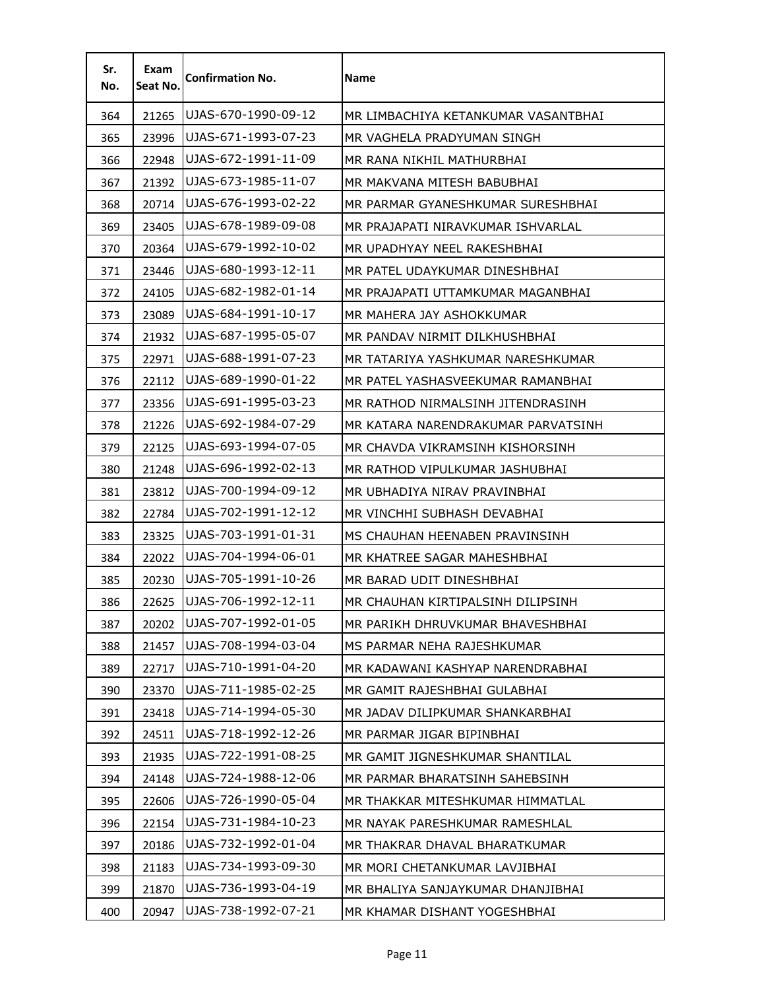| Sr.<br>No. | Exam<br>Seat No. | <b>Confirmation No.</b> | <b>Name</b>                         |
|------------|------------------|-------------------------|-------------------------------------|
| 364        | 21265            | UJAS-670-1990-09-12     | MR LIMBACHIYA KETANKUMAR VASANTBHAI |
| 365        | 23996            | UJAS-671-1993-07-23     | MR VAGHELA PRADYUMAN SINGH          |
| 366        | 22948            | UJAS-672-1991-11-09     | MR RANA NIKHIL MATHURBHAI           |
| 367        | 21392            | UJAS-673-1985-11-07     | MR MAKVANA MITESH BABUBHAI          |
| 368        | 20714            | UJAS-676-1993-02-22     | MR PARMAR GYANESHKUMAR SURESHBHAI   |
| 369        | 23405            | UJAS-678-1989-09-08     | MR PRAJAPATI NIRAVKUMAR ISHVARLAL   |
| 370        | 20364            | UJAS-679-1992-10-02     | MR UPADHYAY NEEL RAKESHBHAI         |
| 371        | 23446            | UJAS-680-1993-12-11     | MR PATEL UDAYKUMAR DINESHBHAI       |
| 372        | 24105            | UJAS-682-1982-01-14     | MR PRAJAPATI UTTAMKUMAR MAGANBHAI   |
| 373        | 23089            | UJAS-684-1991-10-17     | MR MAHERA JAY ASHOKKUMAR            |
| 374        | 21932            | UJAS-687-1995-05-07     | MR PANDAV NIRMIT DILKHUSHBHAI       |
| 375        | 22971            | UJAS-688-1991-07-23     | MR TATARIYA YASHKUMAR NARESHKUMAR   |
| 376        | 22112            | UJAS-689-1990-01-22     | MR PATEL YASHASVEEKUMAR RAMANBHAI   |
| 377        | 23356            | UJAS-691-1995-03-23     | MR RATHOD NIRMALSINH JITENDRASINH.  |
| 378        | 21226            | UJAS-692-1984-07-29     | MR KATARA NARENDRAKUMAR PARVATSINH  |
| 379        | 22125            | UJAS-693-1994-07-05     | MR CHAVDA VIKRAMSINH KISHORSINH     |
| 380        | 21248            | UJAS-696-1992-02-13     | MR RATHOD VIPULKUMAR JASHUBHAI      |
| 381        | 23812            | UJAS-700-1994-09-12     | MR UBHADIYA NIRAV PRAVINBHAI        |
| 382        | 22784            | UJAS-702-1991-12-12     | MR VINCHHI SUBHASH DEVABHAI         |
| 383        | 23325            | UJAS-703-1991-01-31     | MS CHAUHAN HEENABEN PRAVINSINH      |
| 384        | 22022            | UJAS-704-1994-06-01     | MR KHATREE SAGAR MAHESHBHAI         |
| 385        | 20230            | UJAS-705-1991-10-26     | MR BARAD UDIT DINESHBHAI            |
| 386        | 22625            | UJAS-706-1992-12-11     | MR CHAUHAN KIRTIPALSINH DILIPSINH   |
| 387        | 20202            | UJAS-707-1992-01-05     | MR PARIKH DHRUVKUMAR BHAVESHBHAI    |
| 388        | 21457            | UJAS-708-1994-03-04     | MS PARMAR NEHA RAJESHKUMAR          |
| 389        | 22717            | UJAS-710-1991-04-20     | MR KADAWANI KASHYAP NARENDRABHAI    |
| 390        | 23370            | UJAS-711-1985-02-25     | MR GAMIT RAJESHBHAI GULABHAI        |
| 391        | 23418            | UJAS-714-1994-05-30     | MR JADAV DILIPKUMAR SHANKARBHAI     |
| 392        | 24511            | UJAS-718-1992-12-26     | MR PARMAR JIGAR BIPINBHAI           |
| 393        | 21935            | UJAS-722-1991-08-25     | MR GAMIT JIGNESHKUMAR SHANTILAL     |
| 394        | 24148            | UJAS-724-1988-12-06     | MR PARMAR BHARATSINH SAHEBSINH      |
| 395        | 22606            | UJAS-726-1990-05-04     | MR THAKKAR MITESHKUMAR HIMMATLAL    |
| 396        | 22154            | UJAS-731-1984-10-23     | MR NAYAK PARESHKUMAR RAMESHLAL      |
| 397        | 20186            | UJAS-732-1992-01-04     | MR THAKRAR DHAVAL BHARATKUMAR       |
| 398        | 21183            | UJAS-734-1993-09-30     | MR MORI CHETANKUMAR LAVJIBHAI       |
| 399        | 21870            | UJAS-736-1993-04-19     | MR BHALIYA SANJAYKUMAR DHANJIBHAI   |
| 400        | 20947            | UJAS-738-1992-07-21     | MR KHAMAR DISHANT YOGESHBHAI        |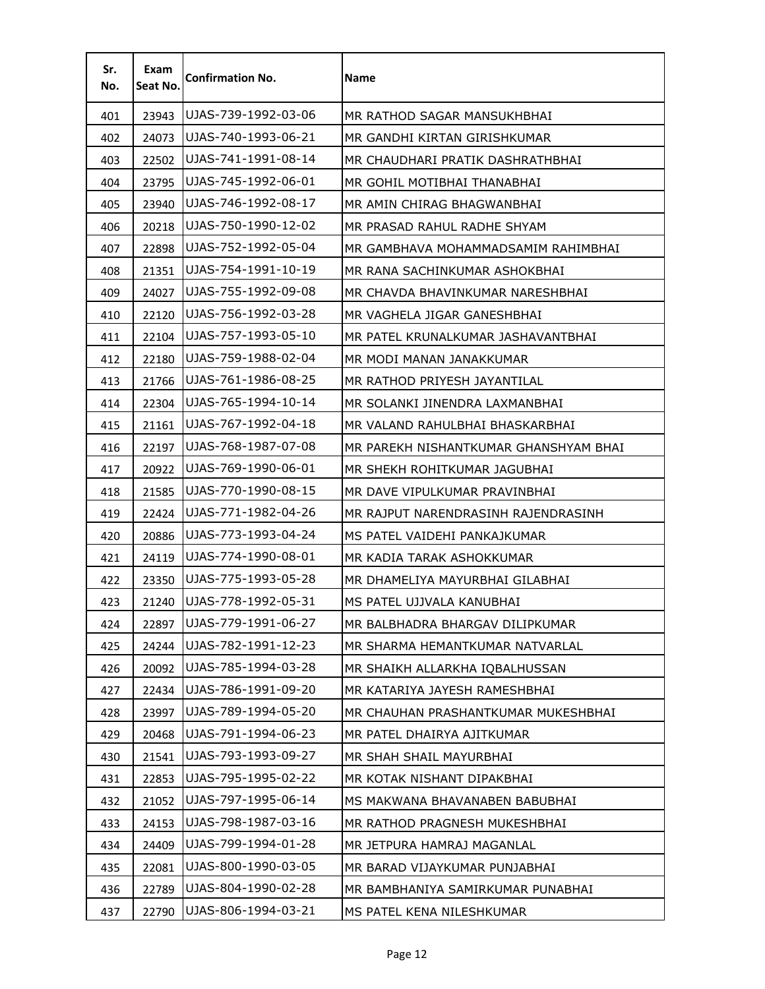| Sr.<br>No. | Exam<br>Seat No. | <b>Confirmation No.</b> | Name                                  |
|------------|------------------|-------------------------|---------------------------------------|
| 401        | 23943            | UJAS-739-1992-03-06     | MR RATHOD SAGAR MANSUKHBHAI           |
| 402        | 24073            | UJAS-740-1993-06-21     | MR GANDHI KIRTAN GIRISHKUMAR          |
| 403        | 22502            | UJAS-741-1991-08-14     | MR CHAUDHARI PRATIK DASHRATHBHAI      |
| 404        | 23795            | UJAS-745-1992-06-01     | MR GOHIL MOTIBHAI THANABHAI           |
| 405        | 23940            | UJAS-746-1992-08-17     | MR AMIN CHIRAG BHAGWANBHAI            |
| 406        | 20218            | UJAS-750-1990-12-02     | MR PRASAD RAHUL RADHE SHYAM           |
| 407        | 22898            | UJAS-752-1992-05-04     | MR GAMBHAVA MOHAMMADSAMIM RAHIMBHAI   |
| 408        | 21351            | UJAS-754-1991-10-19     | MR RANA SACHINKUMAR ASHOKBHAI         |
| 409        | 24027            | UJAS-755-1992-09-08     | MR CHAVDA BHAVINKUMAR NARESHBHAI      |
| 410        | 22120            | UJAS-756-1992-03-28     | MR VAGHELA JIGAR GANESHBHAI           |
| 411        | 22104            | UJAS-757-1993-05-10     | MR PATEL KRUNALKUMAR JASHAVANTBHAI    |
| 412        | 22180            | UJAS-759-1988-02-04     | MR MODI MANAN JANAKKUMAR              |
| 413        | 21766            | UJAS-761-1986-08-25     | MR RATHOD PRIYESH JAYANTILAL          |
| 414        | 22304            | UJAS-765-1994-10-14     | MR SOLANKI JINENDRA LAXMANBHAI        |
| 415        | 21161            | UJAS-767-1992-04-18     | MR VALAND RAHULBHAI BHASKARBHAI       |
| 416        | 22197            | UJAS-768-1987-07-08     | MR PAREKH NISHANTKUMAR GHANSHYAM BHAI |
| 417        | 20922            | UJAS-769-1990-06-01     | MR SHEKH ROHITKUMAR JAGUBHAI          |
| 418        | 21585            | UJAS-770-1990-08-15     | MR DAVE VIPULKUMAR PRAVINBHAI         |
| 419        | 22424            | UJAS-771-1982-04-26     | MR RAJPUT NARENDRASINH RAJENDRASINH   |
| 420        | 20886            | UJAS-773-1993-04-24     | MS PATEL VAIDEHI PANKAJKUMAR          |
| 421        | 24119            | UJAS-774-1990-08-01     | MR KADIA TARAK ASHOKKUMAR             |
| 422        | 23350            | UJAS-775-1993-05-28     | MR DHAMELIYA MAYURBHAI GILABHAI       |
| 423        | 21240            | UJAS-778-1992-05-31     | MS PATEL UJJVALA KANUBHAI             |
| 424        | 22897            | UJAS-779-1991-06-27     | MR BALBHADRA BHARGAV DILIPKUMAR       |
| 425        | 24244            | UJAS-782-1991-12-23     | MR SHARMA HEMANTKUMAR NATVARLAL       |
| 426        | 20092            | UJAS-785-1994-03-28     | MR SHAIKH ALLARKHA IQBALHUSSAN        |
| 427        | 22434            | UJAS-786-1991-09-20     | MR KATARIYA JAYESH RAMESHBHAI         |
| 428        | 23997            | UJAS-789-1994-05-20     | MR CHAUHAN PRASHANTKUMAR MUKESHBHAI   |
| 429        | 20468            | UJAS-791-1994-06-23     | MR PATEL DHAIRYA AJITKUMAR            |
| 430        | 21541            | UJAS-793-1993-09-27     | MR SHAH SHAIL MAYURBHAI               |
| 431        | 22853            | UJAS-795-1995-02-22     | MR KOTAK NISHANT DIPAKBHAI            |
| 432        | 21052            | UJAS-797-1995-06-14     | MS MAKWANA BHAVANABEN BABUBHAI        |
| 433        | 24153            | UJAS-798-1987-03-16     | MR RATHOD PRAGNESH MUKESHBHAI         |
| 434        | 24409            | UJAS-799-1994-01-28     | MR JETPURA HAMRAJ MAGANLAL            |
| 435        | 22081            | UJAS-800-1990-03-05     | MR BARAD VIJAYKUMAR PUNJABHAI         |
| 436        | 22789            | UJAS-804-1990-02-28     | MR BAMBHANIYA SAMIRKUMAR PUNABHAI     |
| 437        | 22790            | UJAS-806-1994-03-21     | MS PATEL KENA NILESHKUMAR             |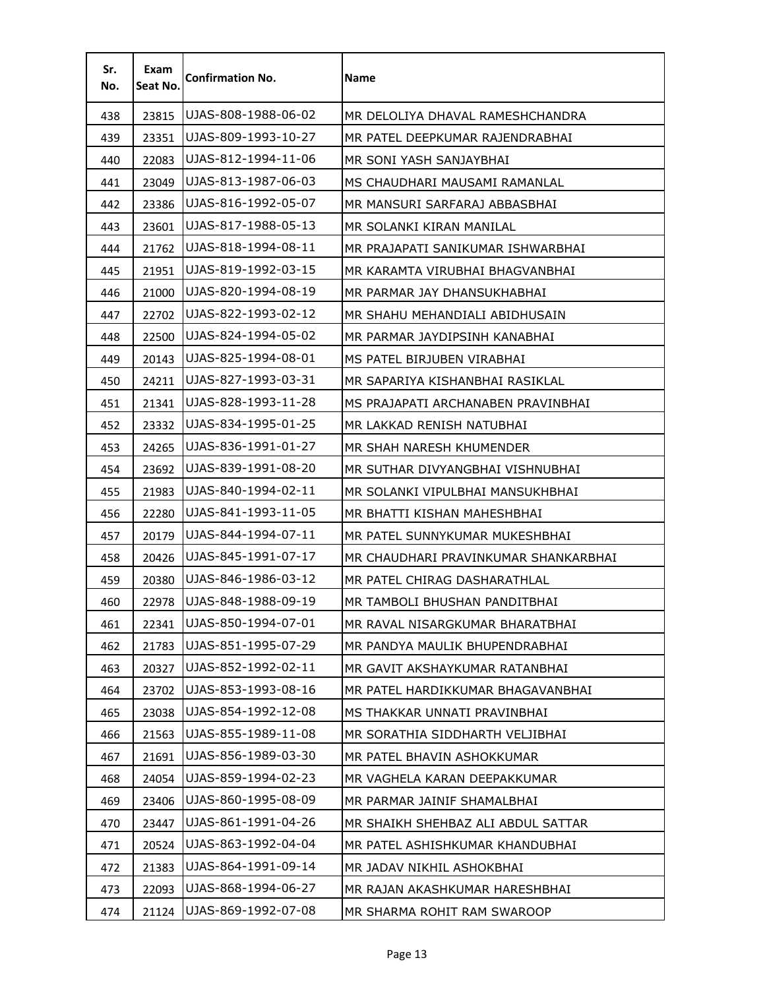| Sr.<br>No. | Exam<br>Seat No. | <b>Confirmation No.</b> | <b>Name</b>                          |
|------------|------------------|-------------------------|--------------------------------------|
| 438        | 23815            | UJAS-808-1988-06-02     | MR DELOLIYA DHAVAL RAMESHCHANDRA     |
| 439        | 23351            | UJAS-809-1993-10-27     | MR PATEL DEEPKUMAR RAJENDRABHAI      |
| 440        | 22083            | UJAS-812-1994-11-06     | MR SONI YASH SANJAYBHAI              |
| 441        | 23049            | UJAS-813-1987-06-03     | MS CHAUDHARI MAUSAMI RAMANLAL        |
| 442        | 23386            | UJAS-816-1992-05-07     | MR MANSURI SARFARAJ ABBASBHAI        |
| 443        | 23601            | UJAS-817-1988-05-13     | MR SOLANKI KIRAN MANILAL             |
| 444        | 21762            | UJAS-818-1994-08-11     | MR PRAJAPATI SANIKUMAR ISHWARBHAI    |
| 445        | 21951            | UJAS-819-1992-03-15     | MR KARAMTA VIRUBHAI BHAGVANBHAI      |
| 446        | 21000            | UJAS-820-1994-08-19     | MR PARMAR JAY DHANSUKHABHAI          |
| 447        | 22702            | UJAS-822-1993-02-12     | MR SHAHU MEHANDIALI ABIDHUSAIN       |
| 448        | 22500            | UJAS-824-1994-05-02     | MR PARMAR JAYDIPSINH KANABHAI        |
| 449        | 20143            | UJAS-825-1994-08-01     | MS PATEL BIRJUBEN VIRABHAI           |
| 450        | 24211            | UJAS-827-1993-03-31     | MR SAPARIYA KISHANBHAI RASIKLAL      |
| 451        | 21341            | UJAS-828-1993-11-28     | MS PRAJAPATI ARCHANABEN PRAVINBHAI   |
| 452        | 23332            | UJAS-834-1995-01-25     | MR LAKKAD RENISH NATUBHAI            |
| 453        | 24265            | UJAS-836-1991-01-27     | MR SHAH NARESH KHUMENDER             |
| 454        | 23692            | UJAS-839-1991-08-20     | MR SUTHAR DIVYANGBHAI VISHNUBHAI     |
| 455        | 21983            | UJAS-840-1994-02-11     | MR SOLANKI VIPULBHAI MANSUKHBHAI     |
| 456        | 22280            | UJAS-841-1993-11-05     | MR BHATTI KISHAN MAHESHBHAI          |
| 457        | 20179            | UJAS-844-1994-07-11     | MR PATEL SUNNYKUMAR MUKESHBHAI       |
| 458        | 20426            | UJAS-845-1991-07-17     | MR CHAUDHARI PRAVINKUMAR SHANKARBHAI |
| 459        | 20380            | UJAS-846-1986-03-12     | MR PATEL CHIRAG DASHARATHLAL         |
| 460        | 22978            | UJAS-848-1988-09-19     | MR TAMBOLI BHUSHAN PANDITBHAI        |
| 461        | 22341            | UJAS-850-1994-07-01     | MR RAVAL NISARGKUMAR BHARATBHAI      |
| 462        | 21783            | UJAS-851-1995-07-29     | MR PANDYA MAULIK BHUPENDRABHAI       |
| 463        | 20327            | UJAS-852-1992-02-11     | MR GAVIT AKSHAYKUMAR RATANBHAI       |
| 464        | 23702            | UJAS-853-1993-08-16     | MR PATEL HARDIKKUMAR BHAGAVANBHAI    |
| 465        | 23038            | UJAS-854-1992-12-08     | MS THAKKAR UNNATI PRAVINBHAI         |
| 466        | 21563            | UJAS-855-1989-11-08     | MR SORATHIA SIDDHARTH VELJIBHAI      |
| 467        | 21691            | UJAS-856-1989-03-30     | MR PATEL BHAVIN ASHOKKUMAR           |
| 468        | 24054            | UJAS-859-1994-02-23     | MR VAGHELA KARAN DEEPAKKUMAR         |
| 469        | 23406            | UJAS-860-1995-08-09     | MR PARMAR JAINIF SHAMALBHAI          |
| 470        | 23447            | UJAS-861-1991-04-26     | MR SHAIKH SHEHBAZ ALI ABDUL SATTAR   |
| 471        | 20524            | UJAS-863-1992-04-04     | MR PATEL ASHISHKUMAR KHANDUBHAI      |
| 472        | 21383            | UJAS-864-1991-09-14     | MR JADAV NIKHIL ASHOKBHAI            |
| 473        | 22093            | UJAS-868-1994-06-27     | MR RAJAN AKASHKUMAR HARESHBHAI       |
| 474        | 21124            | UJAS-869-1992-07-08     | MR SHARMA ROHIT RAM SWAROOP          |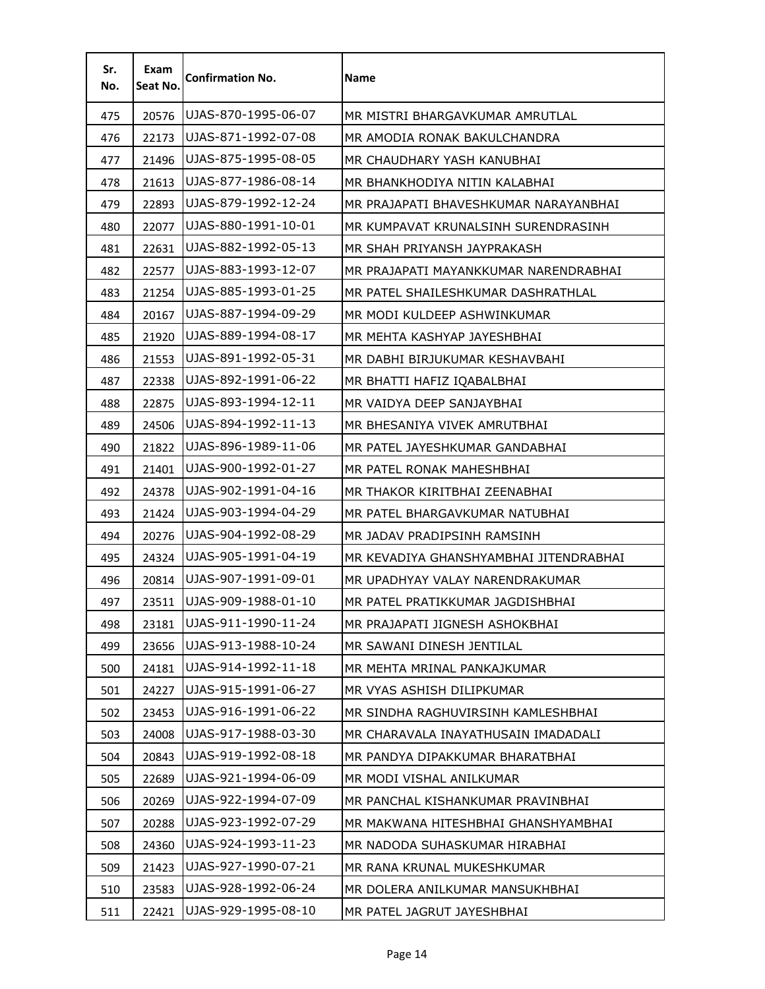| Sr.<br>No. | Exam<br>Seat No. | <b>Confirmation No.</b> | <b>Name</b>                            |
|------------|------------------|-------------------------|----------------------------------------|
| 475        | 20576            | UJAS-870-1995-06-07     | MR MISTRI BHARGAVKUMAR AMRUTLAL        |
| 476        | 22173            | UJAS-871-1992-07-08     | MR AMODIA RONAK BAKULCHANDRA           |
| 477        | 21496            | UJAS-875-1995-08-05     | MR CHAUDHARY YASH KANUBHAI             |
| 478        | 21613            | UJAS-877-1986-08-14     | MR BHANKHODIYA NITIN KALABHAI          |
| 479        | 22893            | UJAS-879-1992-12-24     | MR PRAJAPATI BHAVESHKUMAR NARAYANBHAI  |
| 480        | 22077            | UJAS-880-1991-10-01     | MR KUMPAVAT KRUNALSINH SURENDRASINH    |
| 481        | 22631            | UJAS-882-1992-05-13     | MR SHAH PRIYANSH JAYPRAKASH            |
| 482        | 22577            | UJAS-883-1993-12-07     | MR PRAJAPATI MAYANKKUMAR NARENDRABHAI  |
| 483        | 21254            | UJAS-885-1993-01-25     | MR PATEL SHAILESHKUMAR DASHRATHLAL     |
| 484        | 20167            | UJAS-887-1994-09-29     | MR MODI KULDEEP ASHWINKUMAR            |
| 485        | 21920            | UJAS-889-1994-08-17     | MR MEHTA KASHYAP JAYESHBHAI            |
| 486        | 21553            | UJAS-891-1992-05-31     | MR DABHI BIRJUKUMAR KESHAVBAHI         |
| 487        | 22338            | UJAS-892-1991-06-22     | MR BHATTI HAFIZ IQABALBHAI             |
| 488        | 22875            | UJAS-893-1994-12-11     | MR VAIDYA DEEP SANJAYBHAI              |
| 489        | 24506            | UJAS-894-1992-11-13     | MR BHESANIYA VIVEK AMRUTBHAI           |
| 490        | 21822            | UJAS-896-1989-11-06     | MR PATEL JAYESHKUMAR GANDABHAI         |
| 491        | 21401            | UJAS-900-1992-01-27     | MR PATEL RONAK MAHESHBHAI              |
| 492        | 24378            | UJAS-902-1991-04-16     | MR THAKOR KIRITBHAI ZEENABHAI          |
| 493        | 21424            | UJAS-903-1994-04-29     | MR PATEL BHARGAVKUMAR NATUBHAI         |
| 494        | 20276            | UJAS-904-1992-08-29     | MR JADAV PRADIPSINH RAMSINH            |
| 495        | 24324            | UJAS-905-1991-04-19     | MR KEVADIYA GHANSHYAMBHAI JITENDRABHAI |
| 496        | 20814            | UJAS-907-1991-09-01     | MR UPADHYAY VALAY NARENDRAKUMAR        |
| 497        | 23511            | UJAS-909-1988-01-10     | MR PATEL PRATIKKUMAR JAGDISHBHAI       |
| 498        | 23181            | UJAS-911-1990-11-24     | MR PRAJAPATI JIGNESH ASHOKBHAI         |
| 499        | 23656            | UJAS-913-1988-10-24     | MR SAWANI DINESH JENTILAL              |
| 500        | 24181            | UJAS-914-1992-11-18     | MR MEHTA MRINAL PANKAJKUMAR            |
| 501        | 24227            | UJAS-915-1991-06-27     | MR VYAS ASHISH DILIPKUMAR              |
| 502        | 23453            | UJAS-916-1991-06-22     | MR SINDHA RAGHUVIRSINH KAMLESHBHAI     |
| 503        | 24008            | UJAS-917-1988-03-30     | MR CHARAVALA INAYATHUSAIN IMADADALI    |
| 504        | 20843            | UJAS-919-1992-08-18     | MR PANDYA DIPAKKUMAR BHARATBHAI        |
| 505        | 22689            | UJAS-921-1994-06-09     | MR MODI VISHAL ANILKUMAR               |
| 506        | 20269            | UJAS-922-1994-07-09     | MR PANCHAL KISHANKUMAR PRAVINBHAI      |
| 507        | 20288            | UJAS-923-1992-07-29     | MR MAKWANA HITESHBHAI GHANSHYAMBHAI    |
| 508        | 24360            | UJAS-924-1993-11-23     | MR NADODA SUHASKUMAR HIRABHAI          |
| 509        | 21423            | UJAS-927-1990-07-21     | MR RANA KRUNAL MUKESHKUMAR             |
| 510        | 23583            | UJAS-928-1992-06-24     | MR DOLERA ANILKUMAR MANSUKHBHAI        |
| 511        | 22421            | UJAS-929-1995-08-10     | MR PATEL JAGRUT JAYESHBHAI             |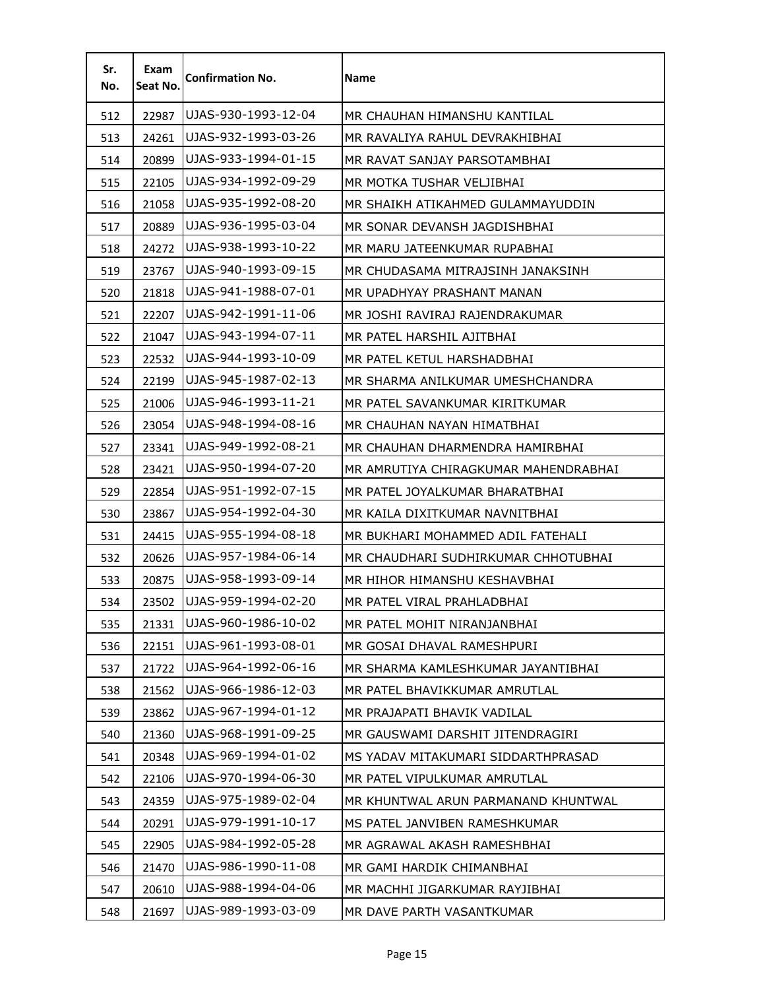| Sr.<br>No. | Exam<br>Seat No. | <b>Confirmation No.</b> | <b>Name</b>                          |
|------------|------------------|-------------------------|--------------------------------------|
| 512        | 22987            | UJAS-930-1993-12-04     | MR CHAUHAN HIMANSHU KANTILAL         |
| 513        | 24261            | UJAS-932-1993-03-26     | MR RAVALIYA RAHUL DEVRAKHIBHAI       |
| 514        | 20899            | UJAS-933-1994-01-15     | MR RAVAT SANJAY PARSOTAMBHAI         |
| 515        | 22105            | UJAS-934-1992-09-29     | MR MOTKA TUSHAR VELJIBHAI            |
| 516        | 21058            | UJAS-935-1992-08-20     | MR SHAIKH ATIKAHMED GULAMMAYUDDIN    |
| 517        | 20889            | UJAS-936-1995-03-04     | MR SONAR DEVANSH JAGDISHBHAI         |
| 518        | 24272            | UJAS-938-1993-10-22     | MR MARU JATEENKUMAR RUPABHAI         |
| 519        | 23767            | UJAS-940-1993-09-15     | MR CHUDASAMA MITRAJSINH JANAKSINH    |
| 520        | 21818            | UJAS-941-1988-07-01     | MR UPADHYAY PRASHANT MANAN           |
| 521        | 22207            | UJAS-942-1991-11-06     | MR JOSHI RAVIRAJ RAJENDRAKUMAR       |
| 522        | 21047            | UJAS-943-1994-07-11     | MR PATEL HARSHIL AJITBHAI            |
| 523        | 22532            | UJAS-944-1993-10-09     | MR PATEL KETUL HARSHADBHAI           |
| 524        | 22199            | UJAS-945-1987-02-13     | MR SHARMA ANILKUMAR UMESHCHANDRA     |
| 525        | 21006            | UJAS-946-1993-11-21     | MR PATEL SAVANKUMAR KIRITKUMAR       |
| 526        | 23054            | UJAS-948-1994-08-16     | MR CHAUHAN NAYAN HIMATBHAI           |
| 527        | 23341            | UJAS-949-1992-08-21     | MR CHAUHAN DHARMENDRA HAMIRBHAI      |
| 528        | 23421            | UJAS-950-1994-07-20     | MR AMRUTIYA CHIRAGKUMAR MAHENDRABHAI |
| 529        | 22854            | UJAS-951-1992-07-15     | MR PATEL JOYALKUMAR BHARATBHAI       |
| 530        | 23867            | UJAS-954-1992-04-30     | MR KAILA DIXITKUMAR NAVNITBHAI       |
| 531        | 24415            | UJAS-955-1994-08-18     | MR BUKHARI MOHAMMED ADIL FATEHALI    |
| 532        | 20626            | UJAS-957-1984-06-14     | MR CHAUDHARI SUDHIRKUMAR CHHOTUBHAI  |
| 533        | 20875            | UJAS-958-1993-09-14     | MR HIHOR HIMANSHU KESHAVBHAI         |
| 534        | 23502            | UJAS-959-1994-02-20     | MR PATEL VIRAL PRAHLADBHAI           |
| 535        | 21331            | UJAS-960-1986-10-02     | MR PATEL MOHIT NIRANJANBHAI          |
| 536        | 22151            | UJAS-961-1993-08-01     | MR GOSAI DHAVAL RAMESHPURI           |
| 537        | 21722            | UJAS-964-1992-06-16     | MR SHARMA KAMLESHKUMAR JAYANTIBHAI   |
| 538        | 21562            | UJAS-966-1986-12-03     | MR PATEL BHAVIKKUMAR AMRUTLAL        |
| 539        | 23862            | UJAS-967-1994-01-12     | MR PRAJAPATI BHAVIK VADILAL          |
| 540        | 21360            | UJAS-968-1991-09-25     | MR GAUSWAMI DARSHIT JITENDRAGIRI     |
| 541        | 20348            | UJAS-969-1994-01-02     | MS YADAV MITAKUMARI SIDDARTHPRASAD   |
| 542        | 22106            | UJAS-970-1994-06-30     | MR PATEL VIPULKUMAR AMRUTLAL         |
| 543        | 24359            | UJAS-975-1989-02-04     | MR KHUNTWAL ARUN PARMANAND KHUNTWAL  |
| 544        | 20291            | UJAS-979-1991-10-17     | MS PATEL JANVIBEN RAMESHKUMAR        |
| 545        | 22905            | UJAS-984-1992-05-28     | MR AGRAWAL AKASH RAMESHBHAI          |
| 546        | 21470            | UJAS-986-1990-11-08     | MR GAMI HARDIK CHIMANBHAI            |
| 547        | 20610            | UJAS-988-1994-04-06     | MR MACHHI JIGARKUMAR RAYJIBHAI       |
| 548        | 21697            | UJAS-989-1993-03-09     | MR DAVE PARTH VASANTKUMAR            |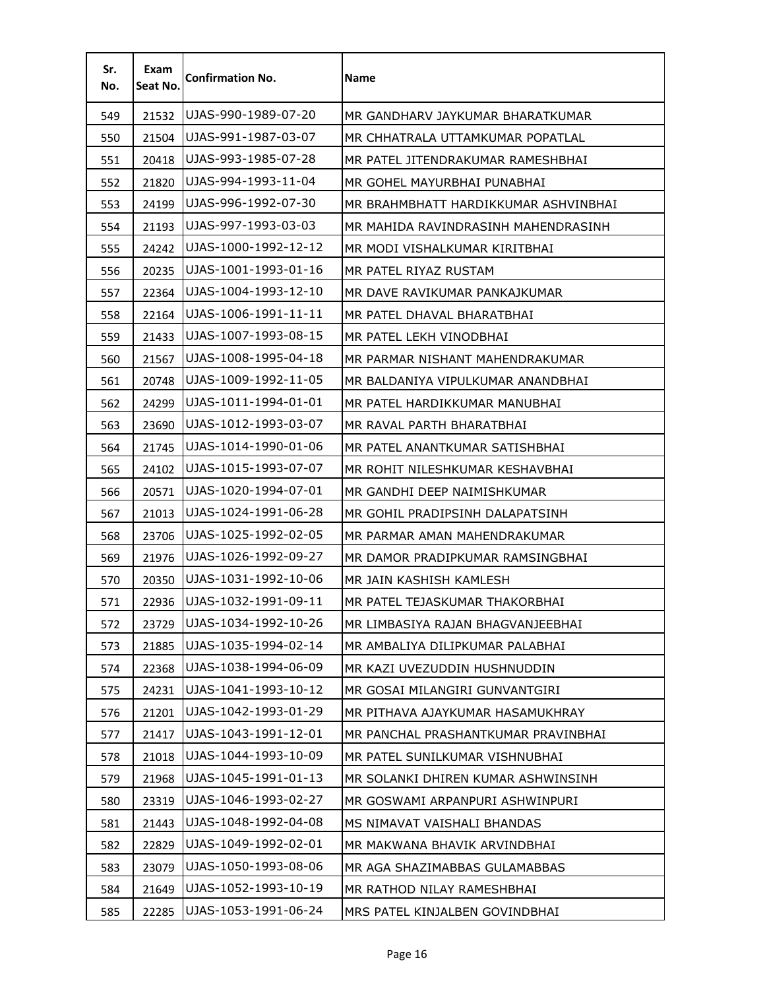| Sr.<br>No. | Exam<br>Seat No. | <b>Confirmation No.</b> | <b>Name</b>                          |
|------------|------------------|-------------------------|--------------------------------------|
| 549        | 21532            | UJAS-990-1989-07-20     | MR GANDHARV JAYKUMAR BHARATKUMAR     |
| 550        | 21504            | UJAS-991-1987-03-07     | MR CHHATRALA UTTAMKUMAR POPATLAL     |
| 551        | 20418            | UJAS-993-1985-07-28     | MR PATEL JITENDRAKUMAR RAMESHBHAI    |
| 552        | 21820            | UJAS-994-1993-11-04     | MR GOHEL MAYURBHAI PUNABHAI          |
| 553        | 24199            | UJAS-996-1992-07-30     | MR BRAHMBHATT HARDIKKUMAR ASHVINBHAI |
| 554        | 21193            | UJAS-997-1993-03-03     | MR MAHIDA RAVINDRASINH MAHENDRASINH  |
| 555        | 24242            | UJAS-1000-1992-12-12    | MR MODI VISHALKUMAR KIRITBHAI        |
| 556        | 20235            | UJAS-1001-1993-01-16    | MR PATEL RIYAZ RUSTAM                |
| 557        | 22364            | UJAS-1004-1993-12-10    | MR DAVE RAVIKUMAR PANKAJKUMAR        |
| 558        | 22164            | UJAS-1006-1991-11-11    | MR PATEL DHAVAL BHARATBHAI           |
| 559        | 21433            | UJAS-1007-1993-08-15    | MR PATEL LEKH VINODBHAI              |
| 560        | 21567            | UJAS-1008-1995-04-18    | MR PARMAR NISHANT MAHENDRAKUMAR      |
| 561        | 20748            | UJAS-1009-1992-11-05    | MR BALDANIYA VIPULKUMAR ANANDBHAI    |
| 562        | 24299            | UJAS-1011-1994-01-01    | MR PATEL HARDIKKUMAR MANUBHAI        |
| 563        | 23690            | UJAS-1012-1993-03-07    | MR RAVAL PARTH BHARATBHAI            |
| 564        | 21745            | UJAS-1014-1990-01-06    | MR PATEL ANANTKUMAR SATISHBHAI       |
| 565        | 24102            | UJAS-1015-1993-07-07    | MR ROHIT NILESHKUMAR KESHAVBHAI      |
| 566        | 20571            | UJAS-1020-1994-07-01    | MR GANDHI DEEP NAIMISHKUMAR          |
| 567        | 21013            | UJAS-1024-1991-06-28    | MR GOHIL PRADIPSINH DALAPATSINH      |
| 568        | 23706            | UJAS-1025-1992-02-05    | MR PARMAR AMAN MAHENDRAKUMAR         |
| 569        | 21976            | UJAS-1026-1992-09-27    | MR DAMOR PRADIPKUMAR RAMSINGBHAI     |
| 570        | 20350            | UJAS-1031-1992-10-06    | MR JAIN KASHISH KAMLESH              |
| 571        | 22936            | UJAS-1032-1991-09-11    | MR PATEL TEJASKUMAR THAKORBHAI       |
| 572        | 23729            | UJAS-1034-1992-10-26    | MR LIMBASIYA RAJAN BHAGVANJEEBHAI    |
| 573        | 21885            | UJAS-1035-1994-02-14    | MR AMBALIYA DILIPKUMAR PALABHAI      |
| 574        | 22368            | UJAS-1038-1994-06-09    | MR KAZI UVEZUDDIN HUSHNUDDIN         |
| 575        | 24231            | UJAS-1041-1993-10-12    | MR GOSAI MILANGIRI GUNVANTGIRI       |
| 576        | 21201            | UJAS-1042-1993-01-29    | MR PITHAVA AJAYKUMAR HASAMUKHRAY     |
| 577        | 21417            | UJAS-1043-1991-12-01    | MR PANCHAL PRASHANTKUMAR PRAVINBHAI  |
| 578        | 21018            | UJAS-1044-1993-10-09    | MR PATEL SUNILKUMAR VISHNUBHAI       |
| 579        | 21968            | UJAS-1045-1991-01-13    | MR SOLANKI DHIREN KUMAR ASHWINSINH   |
| 580        | 23319            | UJAS-1046-1993-02-27    | MR GOSWAMI ARPANPURI ASHWINPURI      |
| 581        | 21443            | UJAS-1048-1992-04-08    | MS NIMAVAT VAISHALI BHANDAS          |
| 582        | 22829            | UJAS-1049-1992-02-01    | MR MAKWANA BHAVIK ARVINDBHAI         |
| 583        | 23079            | UJAS-1050-1993-08-06    | MR AGA SHAZIMABBAS GULAMABBAS        |
| 584        | 21649            | UJAS-1052-1993-10-19    | MR RATHOD NILAY RAMESHBHAI           |
| 585        | 22285            | UJAS-1053-1991-06-24    | MRS PATEL KINJALBEN GOVINDBHAI       |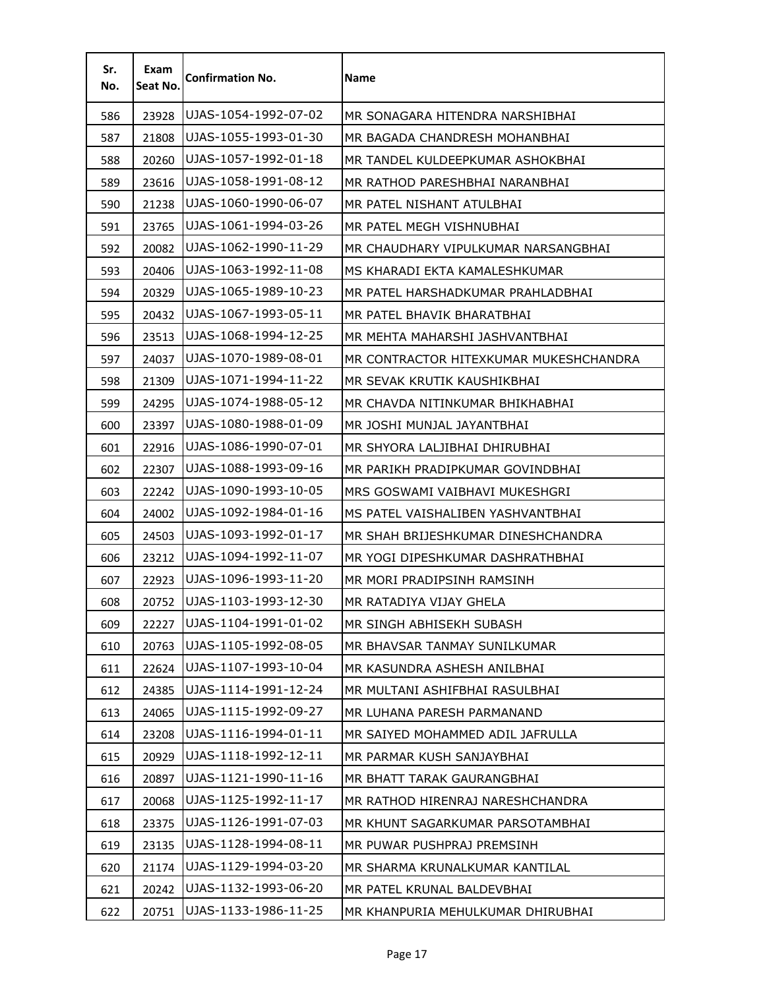| Sr.<br>No. | Exam<br>Seat No. | <b>Confirmation No.</b> | <b>Name</b>                            |
|------------|------------------|-------------------------|----------------------------------------|
| 586        | 23928            | UJAS-1054-1992-07-02    | MR SONAGARA HITENDRA NARSHIBHAI        |
| 587        | 21808            | UJAS-1055-1993-01-30    | MR BAGADA CHANDRESH MOHANBHAI          |
| 588        | 20260            | UJAS-1057-1992-01-18    | MR TANDEL KULDEEPKUMAR ASHOKBHAI       |
| 589        | 23616            | UJAS-1058-1991-08-12    | MR RATHOD PARESHBHAI NARANBHAI         |
| 590        | 21238            | UJAS-1060-1990-06-07    | MR PATEL NISHANT ATULBHAI              |
| 591        | 23765            | UJAS-1061-1994-03-26    | MR PATEL MEGH VISHNUBHAI               |
| 592        | 20082            | UJAS-1062-1990-11-29    | MR CHAUDHARY VIPULKUMAR NARSANGBHAI    |
| 593        | 20406            | UJAS-1063-1992-11-08    | MS KHARADI EKTA KAMALESHKUMAR          |
| 594        | 20329            | UJAS-1065-1989-10-23    | MR PATEL HARSHADKUMAR PRAHLADBHAI      |
| 595        | 20432            | UJAS-1067-1993-05-11    | MR PATEL BHAVIK BHARATBHAI             |
| 596        | 23513            | UJAS-1068-1994-12-25    | MR MEHTA MAHARSHI JASHVANTBHAI         |
| 597        | 24037            | UJAS-1070-1989-08-01    | MR CONTRACTOR HITEXKUMAR MUKESHCHANDRA |
| 598        | 21309            | UJAS-1071-1994-11-22    | MR SEVAK KRUTIK KAUSHIKBHAI            |
| 599        | 24295            | UJAS-1074-1988-05-12    | MR CHAVDA NITINKUMAR BHIKHABHAI        |
| 600        | 23397            | UJAS-1080-1988-01-09    | MR JOSHI MUNJAL JAYANTBHAI             |
| 601        | 22916            | UJAS-1086-1990-07-01    | MR SHYORA LALJIBHAI DHIRUBHAI          |
| 602        | 22307            | UJAS-1088-1993-09-16    | MR PARIKH PRADIPKUMAR GOVINDBHAI       |
| 603        | 22242            | UJAS-1090-1993-10-05    | MRS GOSWAMI VAIBHAVI MUKESHGRI         |
| 604        | 24002            | UJAS-1092-1984-01-16    | MS PATEL VAISHALIBEN YASHVANTBHAI      |
| 605        | 24503            | UJAS-1093-1992-01-17    | MR SHAH BRIJESHKUMAR DINESHCHANDRA     |
| 606        | 23212            | UJAS-1094-1992-11-07    | MR YOGI DIPESHKUMAR DASHRATHBHAI       |
| 607        | 22923            | UJAS-1096-1993-11-20    | MR MORI PRADIPSINH RAMSINH             |
| 608        | 20752            | UJAS-1103-1993-12-30    | MR RATADIYA VIJAY GHELA                |
| 609        | 22227            | UJAS-1104-1991-01-02    | MR SINGH ABHISEKH SUBASH               |
| 610        | 20763            | UJAS-1105-1992-08-05    | MR BHAVSAR TANMAY SUNILKUMAR           |
| 611        | 22624            | UJAS-1107-1993-10-04    | MR KASUNDRA ASHESH ANILBHAI            |
| 612        | 24385            | UJAS-1114-1991-12-24    | MR MULTANI ASHIFBHAI RASULBHAI         |
| 613        | 24065            | UJAS-1115-1992-09-27    | MR LUHANA PARESH PARMANAND             |
| 614        | 23208            | UJAS-1116-1994-01-11    | MR SAIYED MOHAMMED ADIL JAFRULLA       |
| 615        | 20929            | UJAS-1118-1992-12-11    | MR PARMAR KUSH SANJAYBHAI              |
| 616        | 20897            | UJAS-1121-1990-11-16    | MR BHATT TARAK GAURANGBHAI             |
| 617        | 20068            | UJAS-1125-1992-11-17    | MR RATHOD HIRENRAJ NARESHCHANDRA       |
| 618        | 23375            | UJAS-1126-1991-07-03    | MR KHUNT SAGARKUMAR PARSOTAMBHAI       |
| 619        | 23135            | UJAS-1128-1994-08-11    | MR PUWAR PUSHPRAJ PREMSINH             |
| 620        | 21174            | UJAS-1129-1994-03-20    | MR SHARMA KRUNALKUMAR KANTILAL         |
| 621        | 20242            | UJAS-1132-1993-06-20    | MR PATEL KRUNAL BALDEVBHAI             |
| 622        | 20751            | UJAS-1133-1986-11-25    | MR KHANPURIA MEHULKUMAR DHIRUBHAI      |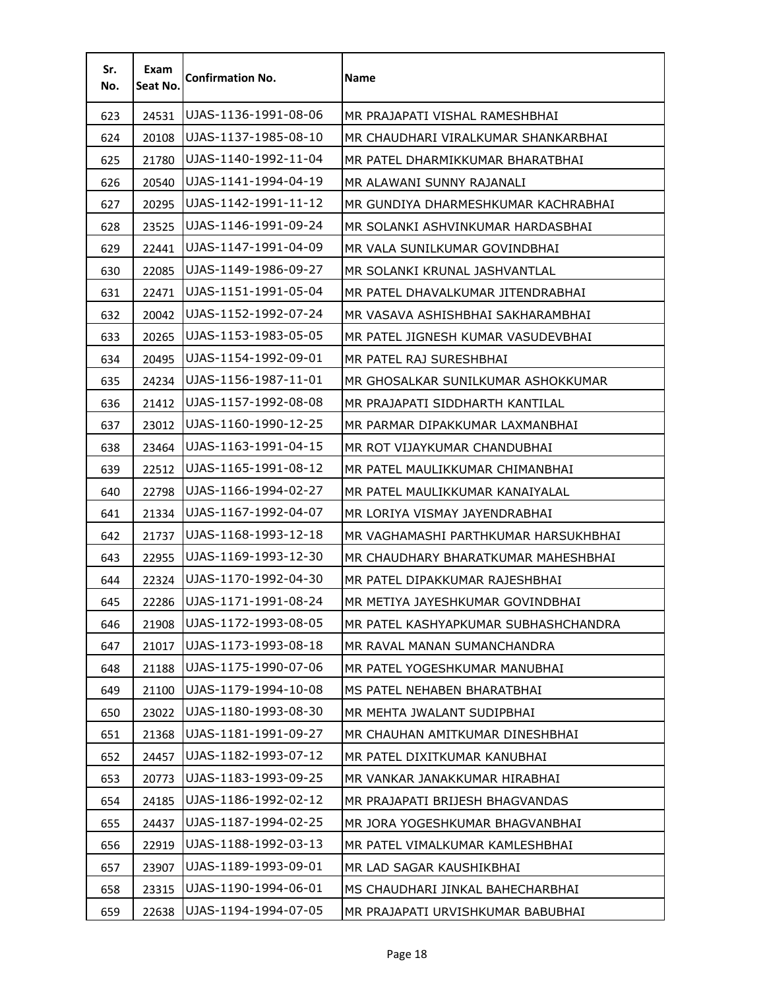| Sr.<br>No. | Exam<br>Seat No. | <b>Confirmation No.</b> | Name                                 |
|------------|------------------|-------------------------|--------------------------------------|
| 623        | 24531            | UJAS-1136-1991-08-06    | MR PRAJAPATI VISHAL RAMESHBHAI       |
| 624        | 20108            | UJAS-1137-1985-08-10    | MR CHAUDHARI VIRALKUMAR SHANKARBHAI  |
| 625        | 21780            | UJAS-1140-1992-11-04    | MR PATEL DHARMIKKUMAR BHARATBHAI     |
| 626        | 20540            | UJAS-1141-1994-04-19    | MR ALAWANI SUNNY RAJANALI            |
| 627        | 20295            | UJAS-1142-1991-11-12    | MR GUNDIYA DHARMESHKUMAR KACHRABHAI  |
| 628        | 23525            | UJAS-1146-1991-09-24    | MR SOLANKI ASHVINKUMAR HARDASBHAI    |
| 629        | 22441            | UJAS-1147-1991-04-09    | MR VALA SUNILKUMAR GOVINDBHAI        |
| 630        | 22085            | UJAS-1149-1986-09-27    | MR SOLANKI KRUNAL JASHVANTLAL        |
| 631        | 22471            | UJAS-1151-1991-05-04    | MR PATEL DHAVALKUMAR JITENDRABHAI    |
| 632        | 20042            | UJAS-1152-1992-07-24    | MR VASAVA ASHISHBHAI SAKHARAMBHAI    |
| 633        | 20265            | UJAS-1153-1983-05-05    | MR PATEL JIGNESH KUMAR VASUDEVBHAI   |
| 634        | 20495            | UJAS-1154-1992-09-01    | MR PATEL RAJ SURESHBHAI              |
| 635        | 24234            | UJAS-1156-1987-11-01    | MR GHOSALKAR SUNILKUMAR ASHOKKUMAR   |
| 636        | 21412            | UJAS-1157-1992-08-08    | MR PRAJAPATI SIDDHARTH KANTILAL      |
| 637        | 23012            | UJAS-1160-1990-12-25    | MR PARMAR DIPAKKUMAR LAXMANBHAI      |
| 638        | 23464            | UJAS-1163-1991-04-15    | MR ROT VIJAYKUMAR CHANDUBHAI         |
| 639        | 22512            | UJAS-1165-1991-08-12    | MR PATEL MAULIKKUMAR CHIMANBHAI      |
| 640        | 22798            | UJAS-1166-1994-02-27    | MR PATEL MAULIKKUMAR KANAIYALAL      |
| 641        | 21334            | UJAS-1167-1992-04-07    | MR LORIYA VISMAY JAYENDRABHAI        |
| 642        | 21737            | UJAS-1168-1993-12-18    | MR VAGHAMASHI PARTHKUMAR HARSUKHBHAI |
| 643        | 22955            | UJAS-1169-1993-12-30    | MR CHAUDHARY BHARATKUMAR MAHESHBHAI  |
| 644        | 22324            | UJAS-1170-1992-04-30    | MR PATEL DIPAKKUMAR RAJESHBHAI       |
| 645        | 22286            | UJAS-1171-1991-08-24    | MR METIYA JAYESHKUMAR GOVINDBHAI     |
| 646        | 21908            | UJAS-1172-1993-08-05    | MR PATEL KASHYAPKUMAR SUBHASHCHANDRA |
| 647        | 21017            | UJAS-1173-1993-08-18    | MR RAVAL MANAN SUMANCHANDRA          |
| 648        | 21188            | UJAS-1175-1990-07-06    | MR PATEL YOGESHKUMAR MANUBHAI        |
| 649        | 21100            | UJAS-1179-1994-10-08    | MS PATEL NEHABEN BHARATBHAI          |
| 650        | 23022            | UJAS-1180-1993-08-30    | MR MEHTA JWALANT SUDIPBHAI           |
| 651        | 21368            | UJAS-1181-1991-09-27    | MR CHAUHAN AMITKUMAR DINESHBHAI      |
| 652        | 24457            | UJAS-1182-1993-07-12    | MR PATEL DIXITKUMAR KANUBHAI         |
| 653        | 20773            | UJAS-1183-1993-09-25    | MR VANKAR JANAKKUMAR HIRABHAI        |
| 654        | 24185            | UJAS-1186-1992-02-12    | MR PRAJAPATI BRIJESH BHAGVANDAS      |
| 655        | 24437            | UJAS-1187-1994-02-25    | MR JORA YOGESHKUMAR BHAGVANBHAI      |
| 656        | 22919            | UJAS-1188-1992-03-13    | MR PATEL VIMALKUMAR KAMLESHBHAI      |
| 657        | 23907            | UJAS-1189-1993-09-01    | MR LAD SAGAR KAUSHIKBHAI             |
| 658        | 23315            | UJAS-1190-1994-06-01    | MS CHAUDHARI JINKAL BAHECHARBHAI     |
| 659        | 22638            | UJAS-1194-1994-07-05    | MR PRAJAPATI URVISHKUMAR BABUBHAI    |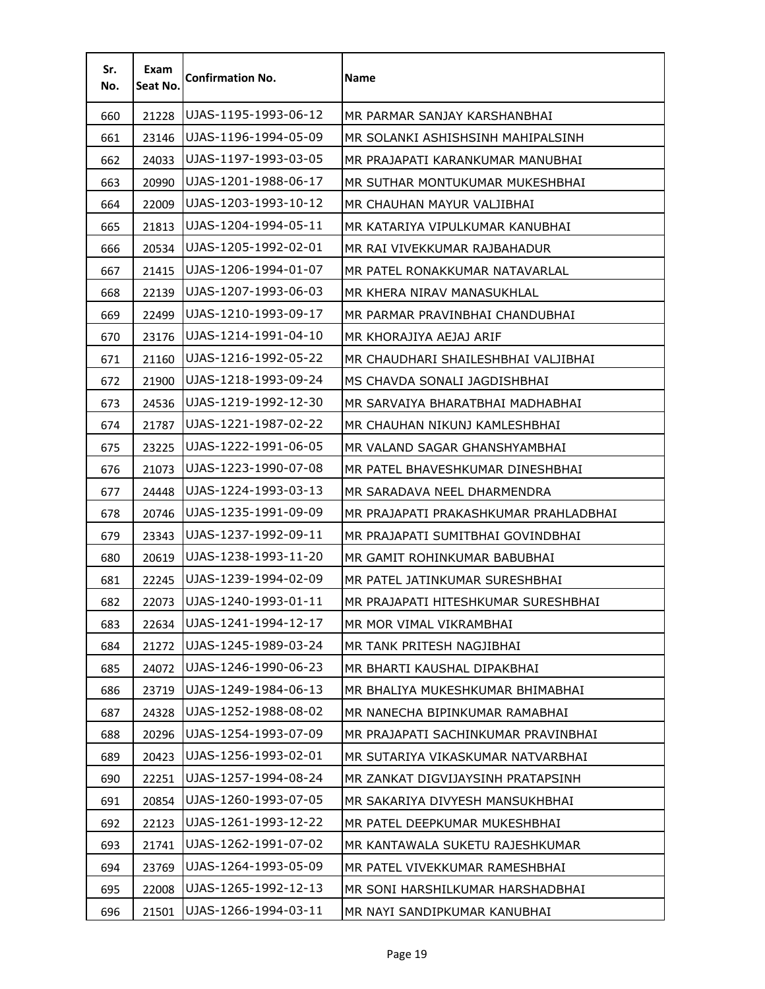| Sr.<br>No. | Exam<br>Seat No. | <b>Confirmation No.</b> | <b>Name</b>                           |
|------------|------------------|-------------------------|---------------------------------------|
| 660        | 21228            | UJAS-1195-1993-06-12    | MR PARMAR SANJAY KARSHANBHAI          |
| 661        | 23146            | UJAS-1196-1994-05-09    | MR SOLANKI ASHISHSINH MAHIPALSINH     |
| 662        | 24033            | UJAS-1197-1993-03-05    | MR PRAJAPATI KARANKUMAR MANUBHAI      |
| 663        | 20990            | UJAS-1201-1988-06-17    | MR SUTHAR MONTUKUMAR MUKESHBHAI       |
| 664        | 22009            | UJAS-1203-1993-10-12    | MR CHAUHAN MAYUR VALJIBHAI            |
| 665        | 21813            | UJAS-1204-1994-05-11    | MR KATARIYA VIPULKUMAR KANUBHAI       |
| 666        | 20534            | UJAS-1205-1992-02-01    | MR RAI VIVEKKUMAR RAJBAHADUR          |
| 667        | 21415            | UJAS-1206-1994-01-07    | MR PATEL RONAKKUMAR NATAVARLAL        |
| 668        | 22139            | UJAS-1207-1993-06-03    | MR KHERA NIRAV MANASUKHLAL            |
| 669        | 22499            | UJAS-1210-1993-09-17    | MR PARMAR PRAVINBHAI CHANDUBHAI       |
| 670        | 23176            | UJAS-1214-1991-04-10    | MR KHORAJIYA AEJAJ ARIF               |
| 671        | 21160            | UJAS-1216-1992-05-22    | MR CHAUDHARI SHAILESHBHAI VALJIBHAI   |
| 672        | 21900            | UJAS-1218-1993-09-24    | MS CHAVDA SONALI JAGDISHBHAI          |
| 673        | 24536            | UJAS-1219-1992-12-30    | MR SARVAIYA BHARATBHAI MADHABHAI      |
| 674        | 21787            | UJAS-1221-1987-02-22    | MR CHAUHAN NIKUNJ KAMLESHBHAI         |
| 675        | 23225            | UJAS-1222-1991-06-05    | MR VALAND SAGAR GHANSHYAMBHAI         |
| 676        | 21073            | UJAS-1223-1990-07-08    | MR PATEL BHAVESHKUMAR DINESHBHAI      |
| 677        | 24448            | UJAS-1224-1993-03-13    | MR SARADAVA NEEL DHARMENDRA           |
| 678        | 20746            | UJAS-1235-1991-09-09    | MR PRAJAPATI PRAKASHKUMAR PRAHLADBHAI |
| 679        | 23343            | UJAS-1237-1992-09-11    | MR PRAJAPATI SUMITBHAI GOVINDBHAI     |
| 680        | 20619            | UJAS-1238-1993-11-20    | MR GAMIT ROHINKUMAR BABUBHAI          |
| 681        | 22245            | UJAS-1239-1994-02-09    | MR PATEL JATINKUMAR SURESHBHAI        |
| 682        | 22073            | UJAS-1240-1993-01-11    | MR PRAJAPATI HITESHKUMAR SURESHBHAI   |
| 683        | 22634            | UJAS-1241-1994-12-17    | MR MOR VIMAL VIKRAMBHAI               |
| 684        | 21272            | UJAS-1245-1989-03-24    | MR TANK PRITESH NAGJIBHAI             |
| 685        | 24072            | UJAS-1246-1990-06-23    | MR BHARTI KAUSHAL DIPAKBHAI           |
| 686        | 23719            | UJAS-1249-1984-06-13    | MR BHALIYA MUKESHKUMAR BHIMABHAI      |
| 687        | 24328            | UJAS-1252-1988-08-02    | MR NANECHA BIPINKUMAR RAMABHAI        |
| 688        | 20296            | UJAS-1254-1993-07-09    | MR PRAJAPATI SACHINKUMAR PRAVINBHAI   |
| 689        | 20423            | UJAS-1256-1993-02-01    | MR SUTARIYA VIKASKUMAR NATVARBHAI     |
| 690        | 22251            | UJAS-1257-1994-08-24    | MR ZANKAT DIGVIJAYSINH PRATAPSINH     |
| 691        | 20854            | UJAS-1260-1993-07-05    | MR SAKARIYA DIVYESH MANSUKHBHAI       |
| 692        | 22123            | UJAS-1261-1993-12-22    | MR PATEL DEEPKUMAR MUKESHBHAI         |
| 693        | 21741            | UJAS-1262-1991-07-02    | MR KANTAWALA SUKETU RAJESHKUMAR       |
| 694        | 23769            | UJAS-1264-1993-05-09    | MR PATEL VIVEKKUMAR RAMESHBHAI        |
| 695        | 22008            | UJAS-1265-1992-12-13    | MR SONI HARSHILKUMAR HARSHADBHAI      |
| 696        | 21501            | UJAS-1266-1994-03-11    | MR NAYI SANDIPKUMAR KANUBHAI          |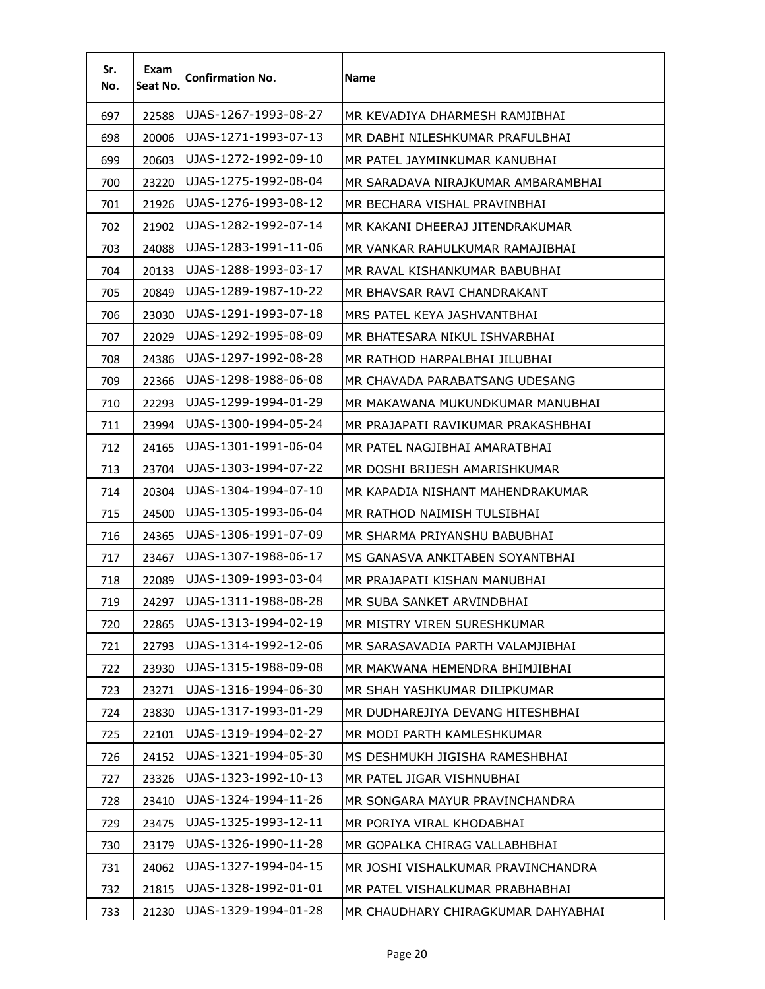| Sr.<br>No. | Exam<br>Seat No. | <b>Confirmation No.</b> | Name                               |
|------------|------------------|-------------------------|------------------------------------|
| 697        | 22588            | UJAS-1267-1993-08-27    | MR KEVADIYA DHARMESH RAMJIBHAI     |
| 698        | 20006            | UJAS-1271-1993-07-13    | MR DABHI NILESHKUMAR PRAFULBHAI    |
| 699        | 20603            | UJAS-1272-1992-09-10    | MR PATEL JAYMINKUMAR KANUBHAI      |
| 700        | 23220            | UJAS-1275-1992-08-04    | MR SARADAVA NIRAJKUMAR AMBARAMBHAI |
| 701        | 21926            | UJAS-1276-1993-08-12    | MR BECHARA VISHAL PRAVINBHAI       |
| 702        | 21902            | UJAS-1282-1992-07-14    | MR KAKANI DHEERAJ JITENDRAKUMAR    |
| 703        | 24088            | UJAS-1283-1991-11-06    | MR VANKAR RAHULKUMAR RAMAJIBHAI    |
| 704        | 20133            | UJAS-1288-1993-03-17    | MR RAVAL KISHANKUMAR BABUBHAI      |
| 705        | 20849            | UJAS-1289-1987-10-22    | MR BHAVSAR RAVI CHANDRAKANT        |
| 706        | 23030            | UJAS-1291-1993-07-18    | MRS PATEL KEYA JASHVANTBHAI        |
| 707        | 22029            | UJAS-1292-1995-08-09    | MR BHATESARA NIKUL ISHVARBHAI      |
| 708        | 24386            | UJAS-1297-1992-08-28    | MR RATHOD HARPALBHAI JILUBHAI      |
| 709        | 22366            | UJAS-1298-1988-06-08    | MR CHAVADA PARABATSANG UDESANG     |
| 710        | 22293            | UJAS-1299-1994-01-29    | MR MAKAWANA MUKUNDKUMAR MANUBHAI   |
| 711        | 23994            | UJAS-1300-1994-05-24    | MR PRAJAPATI RAVIKUMAR PRAKASHBHAI |
| 712        | 24165            | UJAS-1301-1991-06-04    | MR PATEL NAGJIBHAI AMARATBHAI      |
| 713        | 23704            | UJAS-1303-1994-07-22    | MR DOSHI BRIJESH AMARISHKUMAR      |
| 714        | 20304            | UJAS-1304-1994-07-10    | MR KAPADIA NISHANT MAHENDRAKUMAR   |
| 715        | 24500            | UJAS-1305-1993-06-04    | MR RATHOD NAIMISH TULSIBHAI        |
| 716        | 24365            | UJAS-1306-1991-07-09    | MR SHARMA PRIYANSHU BABUBHAI       |
| 717        | 23467            | UJAS-1307-1988-06-17    | MS GANASVA ANKITABEN SOYANTBHAI    |
| 718        | 22089            | UJAS-1309-1993-03-04    | MR PRAJAPATI KISHAN MANUBHAI       |
| 719        | 24297            | UJAS-1311-1988-08-28    | MR SUBA SANKET ARVINDBHAI          |
| 720        | 22865            | UJAS-1313-1994-02-19    | MR MISTRY VIREN SURESHKUMAR        |
| 721        | 22793            | UJAS-1314-1992-12-06    | MR SARASAVADIA PARTH VALAMJIBHAI   |
| 722        | 23930            | UJAS-1315-1988-09-08    | MR MAKWANA HEMENDRA BHIMJIBHAI     |
| 723        | 23271            | UJAS-1316-1994-06-30    | MR SHAH YASHKUMAR DILIPKUMAR       |
| 724        | 23830            | UJAS-1317-1993-01-29    | MR DUDHAREJIYA DEVANG HITESHBHAI   |
| 725        | 22101            | UJAS-1319-1994-02-27    | MR MODI PARTH KAMLESHKUMAR         |
| 726        | 24152            | UJAS-1321-1994-05-30    | MS DESHMUKH JIGISHA RAMESHBHAI     |
| 727        | 23326            | UJAS-1323-1992-10-13    | MR PATEL JIGAR VISHNUBHAI          |
| 728        | 23410            | UJAS-1324-1994-11-26    | MR SONGARA MAYUR PRAVINCHANDRA     |
| 729        | 23475            | UJAS-1325-1993-12-11    | MR PORIYA VIRAL KHODABHAI          |
| 730        | 23179            | UJAS-1326-1990-11-28    | MR GOPALKA CHIRAG VALLABHBHAI      |
| 731        | 24062            | UJAS-1327-1994-04-15    | MR JOSHI VISHALKUMAR PRAVINCHANDRA |
| 732        | 21815            | UJAS-1328-1992-01-01    | MR PATEL VISHALKUMAR PRABHABHAI    |
| 733        | 21230            | UJAS-1329-1994-01-28    | MR CHAUDHARY CHIRAGKUMAR DAHYABHAI |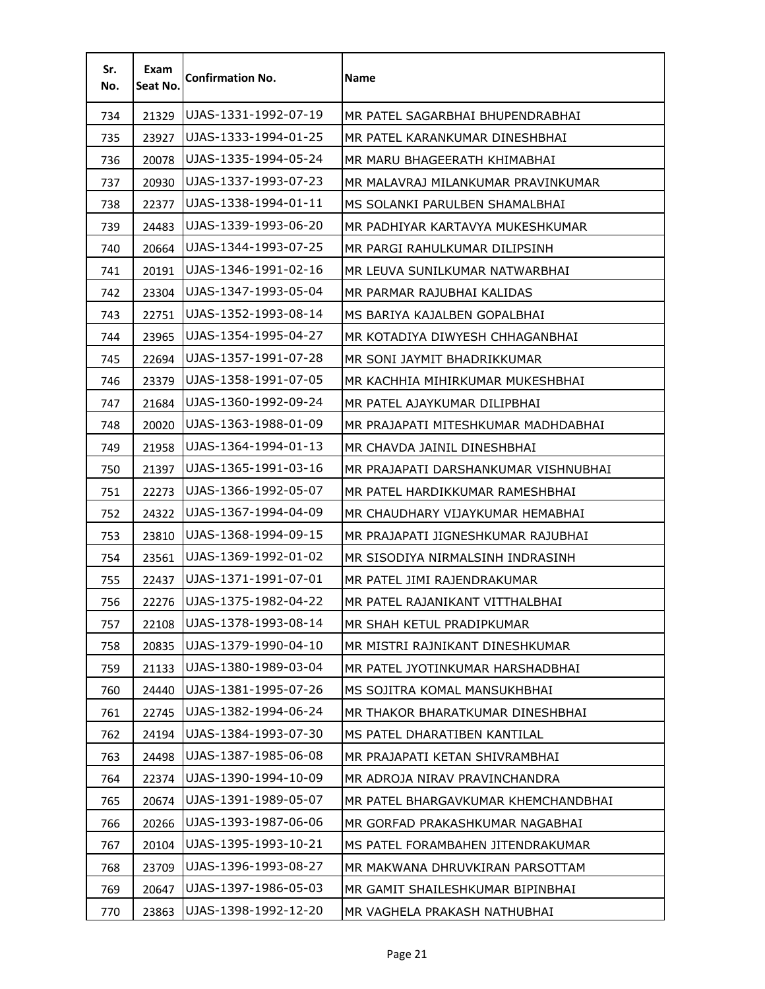| Sr.<br>No. | Exam<br>Seat No. | <b>Confirmation No.</b> | <b>Name</b>                          |
|------------|------------------|-------------------------|--------------------------------------|
| 734        | 21329            | UJAS-1331-1992-07-19    | MR PATEL SAGARBHAI BHUPENDRABHAI     |
| 735        | 23927            | UJAS-1333-1994-01-25    | MR PATEL KARANKUMAR DINESHBHAI       |
| 736        | 20078            | UJAS-1335-1994-05-24    | MR MARU BHAGEERATH KHIMABHAI         |
| 737        | 20930            | UJAS-1337-1993-07-23    | MR MALAVRAJ MILANKUMAR PRAVINKUMAR   |
| 738        | 22377            | UJAS-1338-1994-01-11    | MS SOLANKI PARULBEN SHAMALBHAI       |
| 739        | 24483            | UJAS-1339-1993-06-20    | MR PADHIYAR KARTAVYA MUKESHKUMAR     |
| 740        | 20664            | UJAS-1344-1993-07-25    | MR PARGI RAHULKUMAR DILIPSINH        |
| 741        | 20191            | UJAS-1346-1991-02-16    | MR LEUVA SUNILKUMAR NATWARBHAI       |
| 742        | 23304            | UJAS-1347-1993-05-04    | MR PARMAR RAJUBHAI KALIDAS           |
| 743        | 22751            | UJAS-1352-1993-08-14    | MS BARIYA KAJALBEN GOPALBHAI         |
| 744        | 23965            | UJAS-1354-1995-04-27    | MR KOTADIYA DIWYESH CHHAGANBHAI      |
| 745        | 22694            | UJAS-1357-1991-07-28    | MR SONI JAYMIT BHADRIKKUMAR          |
| 746        | 23379            | UJAS-1358-1991-07-05    | MR KACHHIA MIHIRKUMAR MUKESHBHAI     |
| 747        | 21684            | UJAS-1360-1992-09-24    | MR PATEL AJAYKUMAR DILIPBHAI         |
| 748        | 20020            | UJAS-1363-1988-01-09    | MR PRAJAPATI MITESHKUMAR MADHDABHAI  |
| 749        | 21958            | UJAS-1364-1994-01-13    | MR CHAVDA JAINIL DINESHBHAI          |
| 750        | 21397            | UJAS-1365-1991-03-16    | MR PRAJAPATI DARSHANKUMAR VISHNUBHAI |
| 751        | 22273            | UJAS-1366-1992-05-07    | MR PATEL HARDIKKUMAR RAMESHBHAI      |
| 752        | 24322            | UJAS-1367-1994-04-09    | MR CHAUDHARY VIJAYKUMAR HEMABHAI     |
| 753        | 23810            | UJAS-1368-1994-09-15    | MR PRAJAPATI JIGNESHKUMAR RAJUBHAI   |
| 754        | 23561            | UJAS-1369-1992-01-02    | MR SISODIYA NIRMALSINH INDRASINH     |
| 755        | 22437            | UJAS-1371-1991-07-01    | MR PATEL JIMI RAJENDRAKUMAR          |
| 756        | 22276            | UJAS-1375-1982-04-22    | MR PATEL RAJANIKANT VITTHALBHAI      |
| 757        | 22108            | UJAS-1378-1993-08-14    | MR SHAH KETUL PRADIPKUMAR            |
| 758        | 20835            | UJAS-1379-1990-04-10    | MR MISTRI RAJNIKANT DINESHKUMAR      |
| 759        | 21133            | UJAS-1380-1989-03-04    | MR PATEL JYOTINKUMAR HARSHADBHAI     |
| 760        | 24440            | UJAS-1381-1995-07-26    | MS SOJITRA KOMAL MANSUKHBHAI         |
| 761        | 22745            | UJAS-1382-1994-06-24    | MR THAKOR BHARATKUMAR DINESHBHAI     |
| 762        | 24194            | UJAS-1384-1993-07-30    | MS PATEL DHARATIBEN KANTILAL         |
| 763        | 24498            | UJAS-1387-1985-06-08    | MR PRAJAPATI KETAN SHIVRAMBHAI       |
| 764        | 22374            | UJAS-1390-1994-10-09    | MR ADROJA NIRAV PRAVINCHANDRA        |
| 765        | 20674            | UJAS-1391-1989-05-07    | MR PATEL BHARGAVKUMAR KHEMCHANDBHAI  |
| 766        | 20266            | UJAS-1393-1987-06-06    | MR GORFAD PRAKASHKUMAR NAGABHAI      |
| 767        | 20104            | UJAS-1395-1993-10-21    | MS PATEL FORAMBAHEN JITENDRAKUMAR    |
| 768        | 23709            | UJAS-1396-1993-08-27    | MR MAKWANA DHRUVKIRAN PARSOTTAM      |
| 769        | 20647            | UJAS-1397-1986-05-03    | MR GAMIT SHAILESHKUMAR BIPINBHAI     |
| 770        | 23863            | UJAS-1398-1992-12-20    | MR VAGHELA PRAKASH NATHUBHAI         |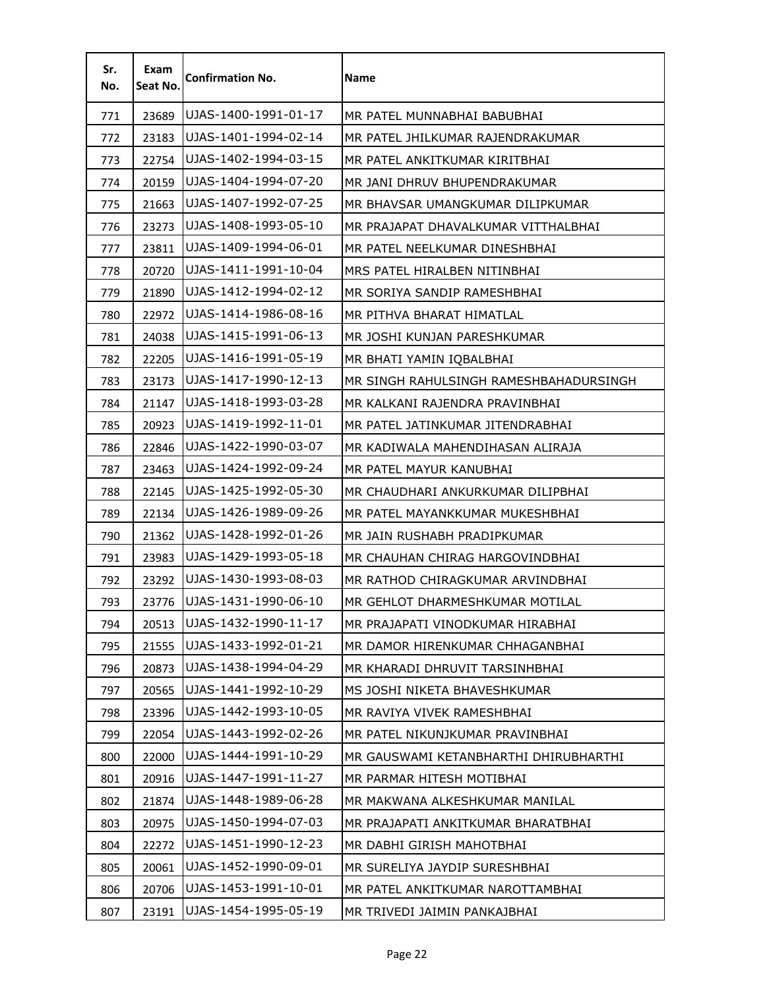| Sr.<br>No. | Exam<br>Seat No. | <b>Confirmation No.</b> | <b>Name</b>                            |
|------------|------------------|-------------------------|----------------------------------------|
| 771        | 23689            | UJAS-1400-1991-01-17    | MR PATEL MUNNABHAI BABUBHAI            |
| 772        | 23183            | UJAS-1401-1994-02-14    | MR PATEL JHILKUMAR RAJENDRAKUMAR       |
| 773        | 22754            | UJAS-1402-1994-03-15    | MR PATEL ANKITKUMAR KIRITBHAI          |
| 774        | 20159            | UJAS-1404-1994-07-20    | MR JANI DHRUV BHUPENDRAKUMAR           |
| 775        | 21663            | UJAS-1407-1992-07-25    | MR BHAVSAR UMANGKUMAR DILIPKUMAR       |
| 776        | 23273            | UJAS-1408-1993-05-10    | MR PRAJAPAT DHAVALKUMAR VITTHALBHAI    |
| 777        | 23811            | UJAS-1409-1994-06-01    | MR PATEL NEELKUMAR DINESHBHAI          |
| 778        | 20720            | UJAS-1411-1991-10-04    | MRS PATEL HIRALBEN NITINBHAI           |
| 779        | 21890            | UJAS-1412-1994-02-12    | MR SORIYA SANDIP RAMESHBHAI            |
| 780        | 22972            | UJAS-1414-1986-08-16    | MR PITHVA BHARAT HIMATLAL              |
| 781        | 24038            | UJAS-1415-1991-06-13    | MR JOSHI KUNJAN PARESHKUMAR            |
| 782        | 22205            | UJAS-1416-1991-05-19    | MR BHATI YAMIN IQBALBHAI               |
| 783        | 23173            | UJAS-1417-1990-12-13    | MR SINGH RAHULSINGH RAMESHBAHADURSINGH |
| 784        | 21147            | UJAS-1418-1993-03-28    | MR KALKANI RAJENDRA PRAVINBHAI         |
| 785        | 20923            | UJAS-1419-1992-11-01    | MR PATEL JATINKUMAR JITENDRABHAI       |
| 786        | 22846            | UJAS-1422-1990-03-07    | MR KADIWALA MAHENDIHASAN ALIRAJA       |
| 787        | 23463            | UJAS-1424-1992-09-24    | MR PATEL MAYUR KANUBHAI                |
| 788        | 22145            | UJAS-1425-1992-05-30    | MR CHAUDHARI ANKURKUMAR DILIPBHAI      |
| 789        | 22134            | UJAS-1426-1989-09-26    | MR PATEL MAYANKKUMAR MUKESHBHAI        |
| 790        | 21362            | UJAS-1428-1992-01-26    | MR JAIN RUSHABH PRADIPKUMAR            |
| 791        | 23983            | UJAS-1429-1993-05-18    | MR CHAUHAN CHIRAG HARGOVINDBHAI        |
| 792        | 23292            | UJAS-1430-1993-08-03    | MR RATHOD CHIRAGKUMAR ARVINDBHAI       |
| 793        | 23776            | UJAS-1431-1990-06-10    | MR GEHLOT DHARMESHKUMAR MOTILAL        |
| 794        | 20513            | UJAS-1432-1990-11-17    | MR PRAJAPATI VINODKUMAR HIRABHAI       |
| 795        | 21555            | UJAS-1433-1992-01-21    | MR DAMOR HIRENKUMAR CHHAGANBHAI        |
| 796        | 20873            | UJAS-1438-1994-04-29    | MR KHARADI DHRUVIT TARSINHBHAI         |
| 797        | 20565            | UJAS-1441-1992-10-29    | MS JOSHI NIKETA BHAVESHKUMAR           |
| 798        | 23396            | UJAS-1442-1993-10-05    | MR RAVIYA VIVEK RAMESHBHAI             |
| 799        | 22054            | UJAS-1443-1992-02-26    | MR PATEL NIKUNJKUMAR PRAVINBHAI        |
| 800        | 22000            | UJAS-1444-1991-10-29    | MR GAUSWAMI KETANBHARTHI DHIRUBHARTHI  |
| 801        | 20916            | UJAS-1447-1991-11-27    | MR PARMAR HITESH MOTIBHAI              |
| 802        | 21874            | UJAS-1448-1989-06-28    | MR MAKWANA ALKESHKUMAR MANILAL         |
| 803        | 20975            | UJAS-1450-1994-07-03    | MR PRAJAPATI ANKITKUMAR BHARATBHAI     |
| 804        | 22272            | UJAS-1451-1990-12-23    | MR DABHI GIRISH MAHOTBHAI              |
| 805        | 20061            | UJAS-1452-1990-09-01    | MR SURELIYA JAYDIP SURESHBHAI          |
| 806        | 20706            | UJAS-1453-1991-10-01    | MR PATEL ANKITKUMAR NAROTTAMBHAI       |
| 807        | 23191            | UJAS-1454-1995-05-19    | MR TRIVEDI JAIMIN PANKAJBHAI           |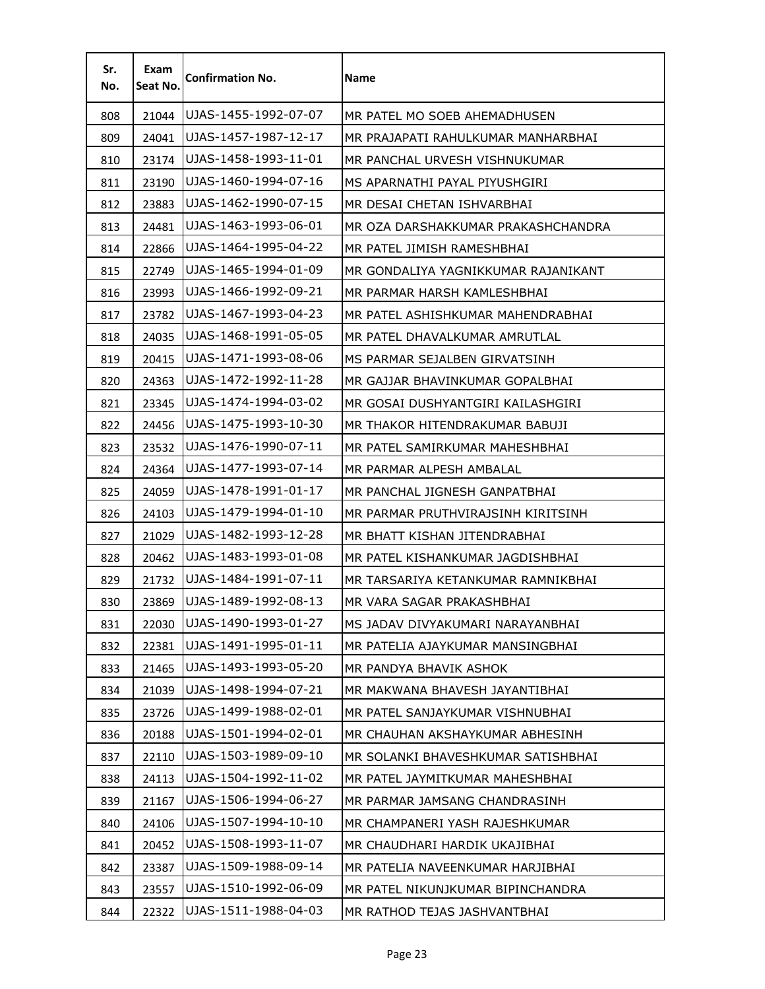| Sr.<br>No. | Exam<br>Seat No. | <b>Confirmation No.</b> | Name                                |
|------------|------------------|-------------------------|-------------------------------------|
| 808        | 21044            | UJAS-1455-1992-07-07    | MR PATEL MO SOEB AHEMADHUSEN        |
| 809        | 24041            | UJAS-1457-1987-12-17    | MR PRAJAPATI RAHULKUMAR MANHARBHAI  |
| 810        | 23174            | UJAS-1458-1993-11-01    | MR PANCHAL URVESH VISHNUKUMAR       |
| 811        | 23190            | UJAS-1460-1994-07-16    | MS APARNATHI PAYAL PIYUSHGIRI       |
| 812        | 23883            | UJAS-1462-1990-07-15    | MR DESAI CHETAN ISHVARBHAI          |
| 813        | 24481            | UJAS-1463-1993-06-01    | MR OZA DARSHAKKUMAR PRAKASHCHANDRA  |
| 814        | 22866            | UJAS-1464-1995-04-22    | MR PATEL JIMISH RAMESHBHAI          |
| 815        | 22749            | UJAS-1465-1994-01-09    | MR GONDALIYA YAGNIKKUMAR RAJANIKANT |
| 816        | 23993            | UJAS-1466-1992-09-21    | MR PARMAR HARSH KAMLESHBHAI         |
| 817        | 23782            | UJAS-1467-1993-04-23    | MR PATEL ASHISHKUMAR MAHENDRABHAI   |
| 818        | 24035            | UJAS-1468-1991-05-05    | MR PATEL DHAVALKUMAR AMRUTLAL       |
| 819        | 20415            | UJAS-1471-1993-08-06    | MS PARMAR SEJALBEN GIRVATSINH       |
| 820        | 24363            | UJAS-1472-1992-11-28    | MR GAJJAR BHAVINKUMAR GOPALBHAI     |
| 821        | 23345            | UJAS-1474-1994-03-02    | MR GOSAI DUSHYANTGIRI KAILASHGIRI   |
| 822        | 24456            | UJAS-1475-1993-10-30    | MR THAKOR HITENDRAKUMAR BABUJI      |
| 823        | 23532            | UJAS-1476-1990-07-11    | MR PATEL SAMIRKUMAR MAHESHBHAI      |
| 824        | 24364            | UJAS-1477-1993-07-14    | MR PARMAR ALPESH AMBALAL            |
| 825        | 24059            | UJAS-1478-1991-01-17    | MR PANCHAL JIGNESH GANPATBHAI       |
| 826        | 24103            | UJAS-1479-1994-01-10    | MR PARMAR PRUTHVIRAJSINH KIRITSINH  |
| 827        | 21029            | UJAS-1482-1993-12-28    | MR BHATT KISHAN JITENDRABHAI        |
| 828        | 20462            | UJAS-1483-1993-01-08    | MR PATEL KISHANKUMAR JAGDISHBHAI    |
| 829        | 21732            | UJAS-1484-1991-07-11    | MR TARSARIYA KETANKUMAR RAMNIKBHAI  |
| 830        | 23869            | UJAS-1489-1992-08-13    | MR VARA SAGAR PRAKASHBHAI           |
| 831        | 22030            | UJAS-1490-1993-01-27    | MS JADAV DIVYAKUMARI NARAYANBHAI    |
| 832        | 22381            | UJAS-1491-1995-01-11    | MR PATELIA AJAYKUMAR MANSINGBHAI    |
| 833        | 21465            | UJAS-1493-1993-05-20    | MR PANDYA BHAVIK ASHOK              |
| 834        | 21039            | UJAS-1498-1994-07-21    | MR MAKWANA BHAVESH JAYANTIBHAI      |
| 835        | 23726            | UJAS-1499-1988-02-01    | MR PATEL SANJAYKUMAR VISHNUBHAI     |
| 836        | 20188            | UJAS-1501-1994-02-01    | MR CHAUHAN AKSHAYKUMAR ABHESINH     |
| 837        | 22110            | UJAS-1503-1989-09-10    | MR SOLANKI BHAVESHKUMAR SATISHBHAI  |
| 838        | 24113            | UJAS-1504-1992-11-02    | MR PATEL JAYMITKUMAR MAHESHBHAI     |
| 839        | 21167            | UJAS-1506-1994-06-27    | MR PARMAR JAMSANG CHANDRASINH       |
| 840        | 24106            | UJAS-1507-1994-10-10    | MR CHAMPANERI YASH RAJESHKUMAR      |
| 841        | 20452            | UJAS-1508-1993-11-07    | MR CHAUDHARI HARDIK UKAJIBHAI       |
| 842        | 23387            | UJAS-1509-1988-09-14    | MR PATELIA NAVEENKUMAR HARJIBHAI    |
| 843        | 23557            | UJAS-1510-1992-06-09    | MR PATEL NIKUNJKUMAR BIPINCHANDRA   |
| 844        | 22322            | UJAS-1511-1988-04-03    | MR RATHOD TEJAS JASHVANTBHAI        |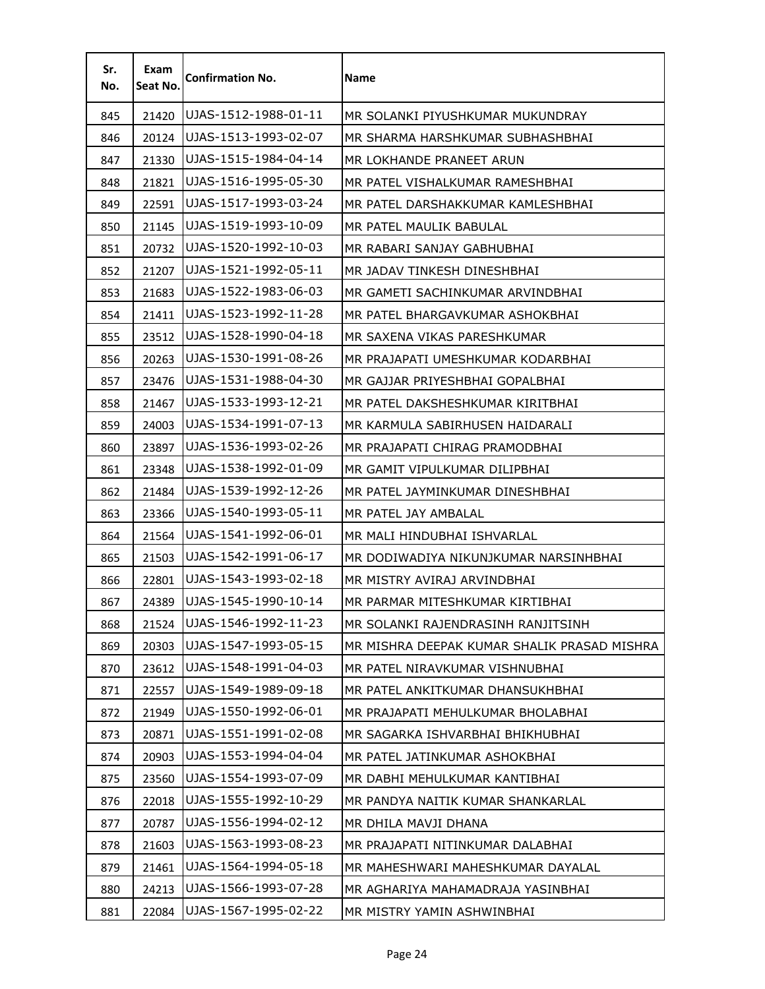| Sr.<br>No. | Exam<br>Seat No. | <b>Confirmation No.</b> | Name                                        |
|------------|------------------|-------------------------|---------------------------------------------|
| 845        | 21420            | UJAS-1512-1988-01-11    | MR SOLANKI PIYUSHKUMAR MUKUNDRAY            |
| 846        | 20124            | UJAS-1513-1993-02-07    | MR SHARMA HARSHKUMAR SUBHASHBHAI            |
| 847        | 21330            | UJAS-1515-1984-04-14    | MR LOKHANDE PRANEET ARUN                    |
| 848        | 21821            | UJAS-1516-1995-05-30    | MR PATEL VISHALKUMAR RAMESHBHAI             |
| 849        | 22591            | UJAS-1517-1993-03-24    | MR PATEL DARSHAKKUMAR KAMLESHBHAI           |
| 850        | 21145            | UJAS-1519-1993-10-09    | MR PATEL MAULIK BABULAL                     |
| 851        | 20732            | UJAS-1520-1992-10-03    | MR RABARI SANJAY GABHUBHAI                  |
| 852        | 21207            | UJAS-1521-1992-05-11    | MR JADAV TINKESH DINESHBHAI                 |
| 853        | 21683            | UJAS-1522-1983-06-03    | MR GAMETI SACHINKUMAR ARVINDBHAI            |
| 854        | 21411            | UJAS-1523-1992-11-28    | MR PATEL BHARGAVKUMAR ASHOKBHAI             |
| 855        | 23512            | UJAS-1528-1990-04-18    | MR SAXENA VIKAS PARESHKUMAR                 |
| 856        | 20263            | UJAS-1530-1991-08-26    | MR PRAJAPATI UMESHKUMAR KODARBHAI           |
| 857        | 23476            | UJAS-1531-1988-04-30    | MR GAJJAR PRIYESHBHAI GOPALBHAI             |
| 858        | 21467            | UJAS-1533-1993-12-21    | MR PATEL DAKSHESHKUMAR KIRITBHAI            |
| 859        | 24003            | UJAS-1534-1991-07-13    | MR KARMULA SABIRHUSEN HAIDARALI             |
| 860        | 23897            | UJAS-1536-1993-02-26    | MR PRAJAPATI CHIRAG PRAMODBHAI              |
| 861        | 23348            | UJAS-1538-1992-01-09    | MR GAMIT VIPULKUMAR DILIPBHAI               |
| 862        | 21484            | UJAS-1539-1992-12-26    | MR PATEL JAYMINKUMAR DINESHBHAI             |
| 863        | 23366            | UJAS-1540-1993-05-11    | MR PATEL JAY AMBALAL                        |
| 864        | 21564            | UJAS-1541-1992-06-01    | MR MALI HINDUBHAI ISHVARLAL                 |
| 865        | 21503            | UJAS-1542-1991-06-17    | MR DODIWADIYA NIKUNJKUMAR NARSINHBHAI       |
| 866        | 22801            | UJAS-1543-1993-02-18    | MR MISTRY AVIRAJ ARVINDBHAI                 |
| 867        | 24389            | UJAS-1545-1990-10-14    | MR PARMAR MITESHKUMAR KIRTIBHAI             |
| 868        | 21524            | UJAS-1546-1992-11-23    | MR SOLANKI RAJENDRASINH RANJITSINH          |
| 869        | 20303            | UJAS-1547-1993-05-15    | MR MISHRA DEEPAK KUMAR SHALIK PRASAD MISHRA |
| 870        | 23612            | UJAS-1548-1991-04-03    | MR PATEL NIRAVKUMAR VISHNUBHAI              |
| 871        | 22557            | UJAS-1549-1989-09-18    | MR PATEL ANKITKUMAR DHANSUKHBHAI            |
| 872        | 21949            | UJAS-1550-1992-06-01    | MR PRAJAPATI MEHULKUMAR BHOLABHAI           |
| 873        | 20871            | UJAS-1551-1991-02-08    | MR SAGARKA ISHVARBHAI BHIKHUBHAI            |
| 874        | 20903            | UJAS-1553-1994-04-04    | MR PATEL JATINKUMAR ASHOKBHAI               |
| 875        | 23560            | UJAS-1554-1993-07-09    | MR DABHI MEHULKUMAR KANTIBHAI               |
| 876        | 22018            | UJAS-1555-1992-10-29    | MR PANDYA NAITIK KUMAR SHANKARLAL           |
| 877        | 20787            | UJAS-1556-1994-02-12    | MR DHILA MAVJI DHANA                        |
| 878        | 21603            | UJAS-1563-1993-08-23    | MR PRAJAPATI NITINKUMAR DALABHAI            |
| 879        | 21461            | UJAS-1564-1994-05-18    | MR MAHESHWARI MAHESHKUMAR DAYALAL           |
| 880        | 24213            | UJAS-1566-1993-07-28    | MR AGHARIYA MAHAMADRAJA YASINBHAI           |
| 881        | 22084            | UJAS-1567-1995-02-22    | MR MISTRY YAMIN ASHWINBHAI                  |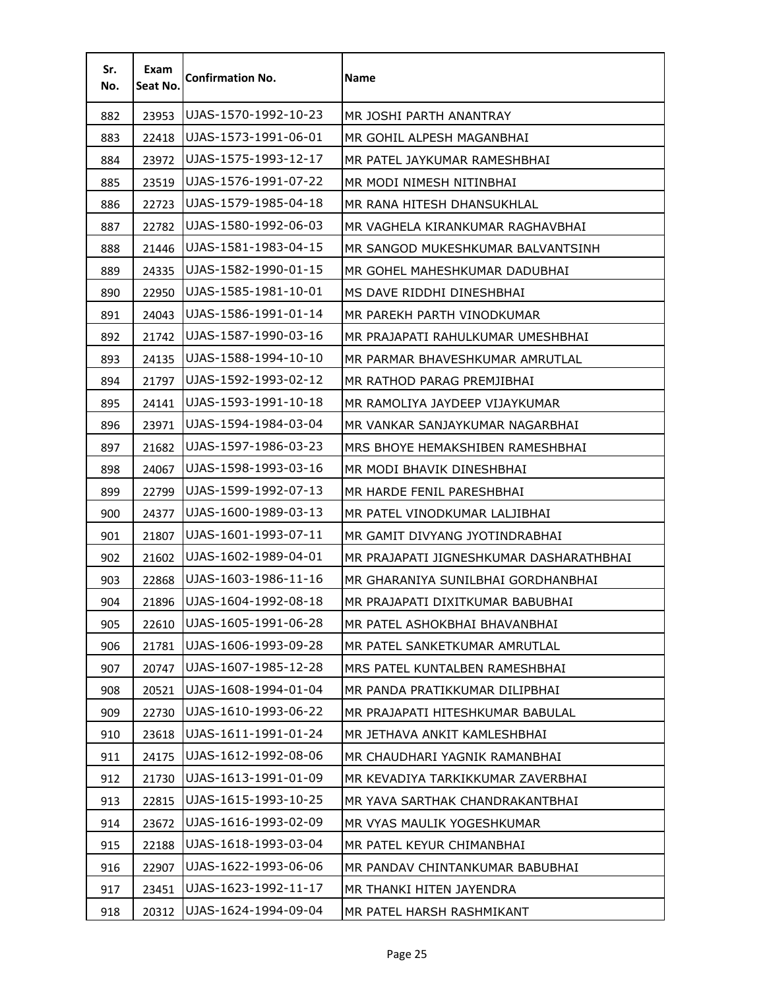| Sr.<br>No. | Exam<br>Seat No. | <b>Confirmation No.</b> | Name                                    |
|------------|------------------|-------------------------|-----------------------------------------|
| 882        | 23953            | UJAS-1570-1992-10-23    | MR JOSHI PARTH ANANTRAY                 |
| 883        | 22418            | UJAS-1573-1991-06-01    | MR GOHIL ALPESH MAGANBHAI               |
| 884        | 23972            | UJAS-1575-1993-12-17    | MR PATEL JAYKUMAR RAMESHBHAI            |
| 885        | 23519            | UJAS-1576-1991-07-22    | MR MODI NIMESH NITINBHAI                |
| 886        | 22723            | UJAS-1579-1985-04-18    | MR RANA HITESH DHANSUKHLAL              |
| 887        | 22782            | UJAS-1580-1992-06-03    | MR VAGHELA KIRANKUMAR RAGHAVBHAI        |
| 888        | 21446            | UJAS-1581-1983-04-15    | MR SANGOD MUKESHKUMAR BALVANTSINH       |
| 889        | 24335            | UJAS-1582-1990-01-15    | MR GOHEL MAHESHKUMAR DADUBHAI           |
| 890        | 22950            | UJAS-1585-1981-10-01    | MS DAVE RIDDHI DINESHBHAI               |
| 891        | 24043            | UJAS-1586-1991-01-14    | MR PAREKH PARTH VINODKUMAR              |
| 892        | 21742            | UJAS-1587-1990-03-16    | MR PRAJAPATI RAHULKUMAR UMESHBHAI       |
| 893        | 24135            | UJAS-1588-1994-10-10    | MR PARMAR BHAVESHKUMAR AMRUTLAL         |
| 894        | 21797            | UJAS-1592-1993-02-12    | MR RATHOD PARAG PREMJIBHAI              |
| 895        | 24141            | UJAS-1593-1991-10-18    | MR RAMOLIYA JAYDEEP VIJAYKUMAR          |
| 896        | 23971            | UJAS-1594-1984-03-04    | MR VANKAR SANJAYKUMAR NAGARBHAI         |
| 897        | 21682            | UJAS-1597-1986-03-23    | MRS BHOYE HEMAKSHIBEN RAMESHBHAI        |
| 898        | 24067            | UJAS-1598-1993-03-16    | MR MODI BHAVIK DINESHBHAI               |
| 899        | 22799            | UJAS-1599-1992-07-13    | MR HARDE FENIL PARESHBHAI               |
| 900        | 24377            | UJAS-1600-1989-03-13    | MR PATEL VINODKUMAR LALJIBHAI           |
| 901        | 21807            | UJAS-1601-1993-07-11    | MR GAMIT DIVYANG JYOTINDRABHAI          |
| 902        | 21602            | UJAS-1602-1989-04-01    | MR PRAJAPATI JIGNESHKUMAR DASHARATHBHAI |
| 903        | 22868            | UJAS-1603-1986-11-16    | MR GHARANIYA SUNILBHAI GORDHANBHAI      |
| 904        | 21896            | UJAS-1604-1992-08-18    | MR PRAJAPATI DIXITKUMAR BABUBHAI        |
| 905        | 22610            | UJAS-1605-1991-06-28    | MR PATEL ASHOKBHAI BHAVANBHAI           |
| 906        | 21781            | UJAS-1606-1993-09-28    | MR PATEL SANKETKUMAR AMRUTLAL           |
| 907        | 20747            | UJAS-1607-1985-12-28    | MRS PATEL KUNTALBEN RAMESHBHAI          |
| 908        | 20521            | UJAS-1608-1994-01-04    | MR PANDA PRATIKKUMAR DILIPBHAI          |
| 909        | 22730            | UJAS-1610-1993-06-22    | MR PRAJAPATI HITESHKUMAR BABULAL        |
| 910        | 23618            | UJAS-1611-1991-01-24    | MR JETHAVA ANKIT KAMLESHBHAI            |
| 911        | 24175            | UJAS-1612-1992-08-06    | MR CHAUDHARI YAGNIK RAMANBHAI           |
| 912        | 21730            | UJAS-1613-1991-01-09    | MR KEVADIYA TARKIKKUMAR ZAVERBHAI       |
| 913        | 22815            | UJAS-1615-1993-10-25    | MR YAVA SARTHAK CHANDRAKANTBHAI         |
| 914        | 23672            | UJAS-1616-1993-02-09    | MR VYAS MAULIK YOGESHKUMAR              |
| 915        | 22188            | UJAS-1618-1993-03-04    | MR PATEL KEYUR CHIMANBHAI               |
| 916        | 22907            | UJAS-1622-1993-06-06    | MR PANDAV CHINTANKUMAR BABUBHAI         |
| 917        | 23451            | UJAS-1623-1992-11-17    | MR THANKI HITEN JAYENDRA                |
| 918        | 20312            | UJAS-1624-1994-09-04    | MR PATEL HARSH RASHMIKANT               |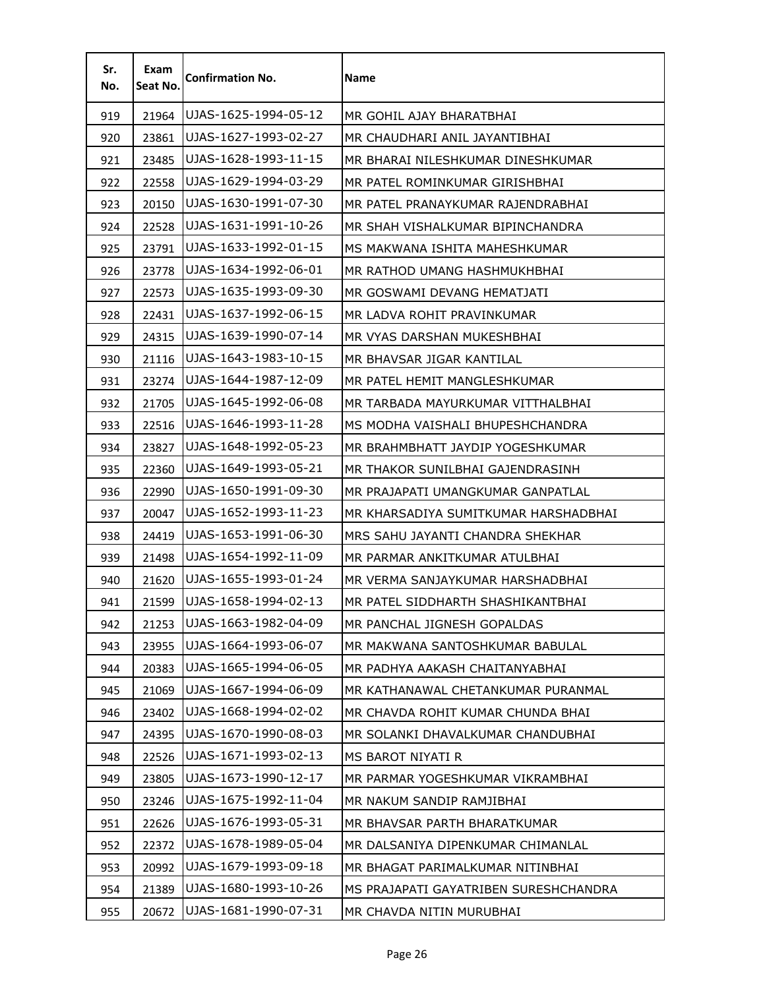| Sr.<br>No. | Exam<br>Seat No. | <b>Confirmation No.</b> | Name                                  |
|------------|------------------|-------------------------|---------------------------------------|
| 919        | 21964            | UJAS-1625-1994-05-12    | MR GOHIL AJAY BHARATBHAI              |
| 920        | 23861            | UJAS-1627-1993-02-27    | MR CHAUDHARI ANIL JAYANTIBHAI         |
| 921        | 23485            | UJAS-1628-1993-11-15    | MR BHARAI NILESHKUMAR DINESHKUMAR     |
| 922        | 22558            | UJAS-1629-1994-03-29    | MR PATEL ROMINKUMAR GIRISHBHAI        |
| 923        | 20150            | UJAS-1630-1991-07-30    | MR PATEL PRANAYKUMAR RAJENDRABHAI     |
| 924        | 22528            | UJAS-1631-1991-10-26    | MR SHAH VISHALKUMAR BIPINCHANDRA      |
| 925        | 23791            | UJAS-1633-1992-01-15    | MS MAKWANA ISHITA MAHESHKUMAR         |
| 926        | 23778            | UJAS-1634-1992-06-01    | MR RATHOD UMANG HASHMUKHBHAI          |
| 927        | 22573            | UJAS-1635-1993-09-30    | MR GOSWAMI DEVANG HEMATJATI           |
| 928        | 22431            | UJAS-1637-1992-06-15    | MR LADVA ROHIT PRAVINKUMAR            |
| 929        | 24315            | UJAS-1639-1990-07-14    | MR VYAS DARSHAN MUKESHBHAI            |
| 930        | 21116            | UJAS-1643-1983-10-15    | MR BHAVSAR JIGAR KANTILAL             |
| 931        | 23274            | UJAS-1644-1987-12-09    | MR PATEL HEMIT MANGLESHKUMAR          |
| 932        | 21705            | UJAS-1645-1992-06-08    | MR TARBADA MAYURKUMAR VITTHALBHAI     |
| 933        | 22516            | UJAS-1646-1993-11-28    | MS MODHA VAISHALI BHUPESHCHANDRA      |
| 934        | 23827            | UJAS-1648-1992-05-23    | MR BRAHMBHATT JAYDIP YOGESHKUMAR      |
| 935        | 22360            | UJAS-1649-1993-05-21    | MR THAKOR SUNILBHAI GAJENDRASINH      |
| 936        | 22990            | UJAS-1650-1991-09-30    | MR PRAJAPATI UMANGKUMAR GANPATLAL     |
| 937        | 20047            | UJAS-1652-1993-11-23    | MR KHARSADIYA SUMITKUMAR HARSHADBHAI  |
| 938        | 24419            | UJAS-1653-1991-06-30    | MRS SAHU JAYANTI CHANDRA SHEKHAR      |
| 939        | 21498            | UJAS-1654-1992-11-09    | MR PARMAR ANKITKUMAR ATULBHAI         |
| 940        | 21620            | UJAS-1655-1993-01-24    | MR VERMA SANJAYKUMAR HARSHADBHAI      |
| 941        | 21599            | UJAS-1658-1994-02-13    | MR PATEL SIDDHARTH SHASHIKANTBHAI     |
| 942        | 21253            | UJAS-1663-1982-04-09    | MR PANCHAL JIGNESH GOPALDAS           |
| 943        | 23955            | UJAS-1664-1993-06-07    | MR MAKWANA SANTOSHKUMAR BABULAL       |
| 944        | 20383            | UJAS-1665-1994-06-05    | MR PADHYA AAKASH CHAITANYABHAI        |
| 945        | 21069            | UJAS-1667-1994-06-09    | MR KATHANAWAL CHETANKUMAR PURANMAL    |
| 946        | 23402            | UJAS-1668-1994-02-02    | MR CHAVDA ROHIT KUMAR CHUNDA BHAI     |
| 947        | 24395            | UJAS-1670-1990-08-03    | MR SOLANKI DHAVALKUMAR CHANDUBHAI     |
| 948        | 22526            | UJAS-1671-1993-02-13    | MS BAROT NIYATI R                     |
| 949        | 23805            | UJAS-1673-1990-12-17    | MR PARMAR YOGESHKUMAR VIKRAMBHAI      |
| 950        | 23246            | UJAS-1675-1992-11-04    | MR NAKUM SANDIP RAMJIBHAI             |
| 951        | 22626            | UJAS-1676-1993-05-31    | MR BHAVSAR PARTH BHARATKUMAR          |
| 952        | 22372            | UJAS-1678-1989-05-04    | MR DALSANIYA DIPENKUMAR CHIMANLAL     |
| 953        | 20992            | UJAS-1679-1993-09-18    | MR BHAGAT PARIMALKUMAR NITINBHAI      |
| 954        | 21389            | UJAS-1680-1993-10-26    | MS PRAJAPATI GAYATRIBEN SURESHCHANDRA |
| 955        | 20672            | UJAS-1681-1990-07-31    | MR CHAVDA NITIN MURUBHAI              |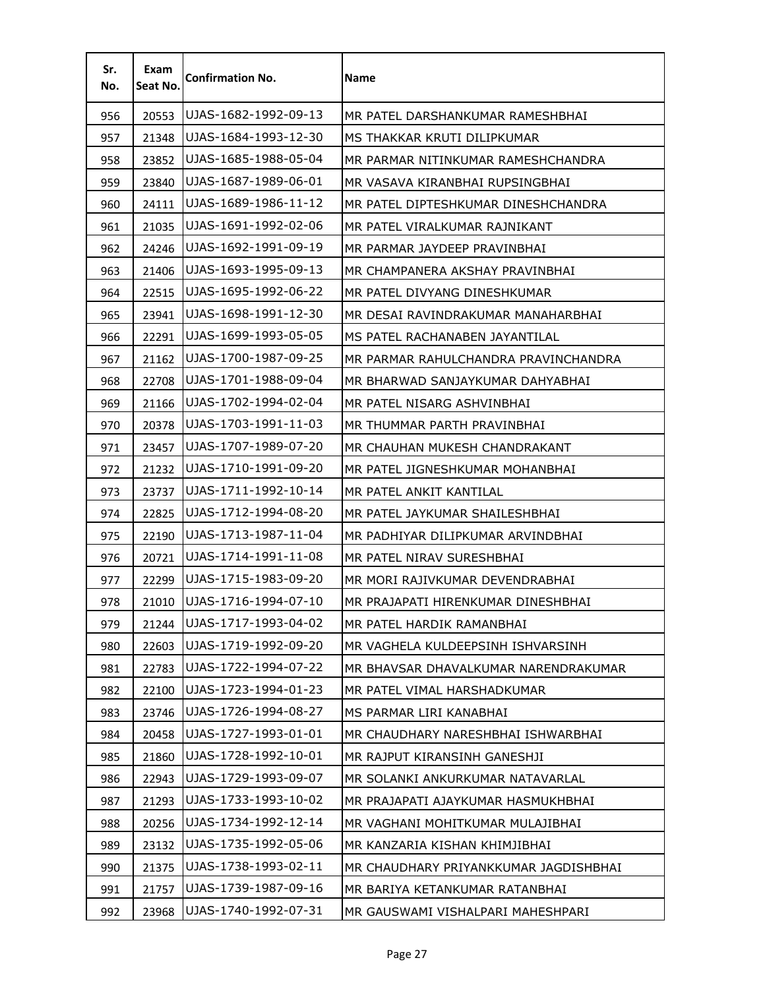| Sr.<br>No. | Exam<br>Seat No. | <b>Confirmation No.</b> | Name                                  |
|------------|------------------|-------------------------|---------------------------------------|
| 956        | 20553            | UJAS-1682-1992-09-13    | MR PATEL DARSHANKUMAR RAMESHBHAI      |
| 957        | 21348            | UJAS-1684-1993-12-30    | MS THAKKAR KRUTI DILIPKUMAR           |
| 958        | 23852            | UJAS-1685-1988-05-04    | MR PARMAR NITINKUMAR RAMESHCHANDRA    |
| 959        | 23840            | UJAS-1687-1989-06-01    | MR VASAVA KIRANBHAI RUPSINGBHAI       |
| 960        | 24111            | UJAS-1689-1986-11-12    | MR PATEL DIPTESHKUMAR DINESHCHANDRA   |
| 961        | 21035            | UJAS-1691-1992-02-06    | MR PATEL VIRALKUMAR RAJNIKANT         |
| 962        | 24246            | UJAS-1692-1991-09-19    | MR PARMAR JAYDEEP PRAVINBHAI          |
| 963        | 21406            | UJAS-1693-1995-09-13    | MR CHAMPANERA AKSHAY PRAVINBHAI       |
| 964        | 22515            | UJAS-1695-1992-06-22    | MR PATEL DIVYANG DINESHKUMAR          |
| 965        | 23941            | UJAS-1698-1991-12-30    | MR DESAI RAVINDRAKUMAR MANAHARBHAI    |
| 966        | 22291            | UJAS-1699-1993-05-05    | MS PATEL RACHANABEN JAYANTILAL        |
| 967        | 21162            | UJAS-1700-1987-09-25    | MR PARMAR RAHULCHANDRA PRAVINCHANDRA  |
| 968        | 22708            | UJAS-1701-1988-09-04    | MR BHARWAD SANJAYKUMAR DAHYABHAI      |
| 969        | 21166            | UJAS-1702-1994-02-04    | MR PATEL NISARG ASHVINBHAI            |
| 970        | 20378            | UJAS-1703-1991-11-03    | MR THUMMAR PARTH PRAVINBHAI           |
| 971        | 23457            | UJAS-1707-1989-07-20    | MR CHAUHAN MUKESH CHANDRAKANT         |
| 972        | 21232            | UJAS-1710-1991-09-20    | MR PATEL JIGNESHKUMAR MOHANBHAI       |
| 973        | 23737            | UJAS-1711-1992-10-14    | MR PATEL ANKIT KANTILAL               |
| 974        | 22825            | UJAS-1712-1994-08-20    | MR PATEL JAYKUMAR SHAILESHBHAI        |
| 975        | 22190            | UJAS-1713-1987-11-04    | MR PADHIYAR DILIPKUMAR ARVINDBHAI     |
| 976        | 20721            | UJAS-1714-1991-11-08    | MR PATEL NIRAV SURESHBHAI             |
| 977        | 22299            | UJAS-1715-1983-09-20    | MR MORI RAJIVKUMAR DEVENDRABHAI       |
| 978        | 21010            | UJAS-1716-1994-07-10    | MR PRAJAPATI HIRENKUMAR DINESHBHAI    |
| 979        | 21244            | UJAS-1717-1993-04-02    | MR PATEL HARDIK RAMANBHAI             |
| 980        | 22603            | UJAS-1719-1992-09-20    | MR VAGHELA KULDEEPSINH ISHVARSINH     |
| 981        | 22783            | UJAS-1722-1994-07-22    | MR BHAVSAR DHAVALKUMAR NARENDRAKUMAR  |
| 982        | 22100            | UJAS-1723-1994-01-23    | MR PATEL VIMAL HARSHADKUMAR           |
| 983        | 23746            | UJAS-1726-1994-08-27    | MS PARMAR LIRI KANABHAI               |
| 984        | 20458            | UJAS-1727-1993-01-01    | MR CHAUDHARY NARESHBHAI ISHWARBHAI    |
| 985        | 21860            | UJAS-1728-1992-10-01    | MR RAJPUT KIRANSINH GANESHJI          |
| 986        | 22943            | UJAS-1729-1993-09-07    | MR SOLANKI ANKURKUMAR NATAVARLAL      |
| 987        | 21293            | UJAS-1733-1993-10-02    | MR PRAJAPATI AJAYKUMAR HASMUKHBHAI    |
| 988        | 20256            | UJAS-1734-1992-12-14    | MR VAGHANI MOHITKUMAR MULAJIBHAI      |
| 989        | 23132            | UJAS-1735-1992-05-06    | MR KANZARIA KISHAN KHIMJIBHAI         |
| 990        | 21375            | UJAS-1738-1993-02-11    | MR CHAUDHARY PRIYANKKUMAR JAGDISHBHAI |
| 991        | 21757            | UJAS-1739-1987-09-16    | MR BARIYA KETANKUMAR RATANBHAI        |
| 992        | 23968            | UJAS-1740-1992-07-31    | MR GAUSWAMI VISHALPARI MAHESHPARI     |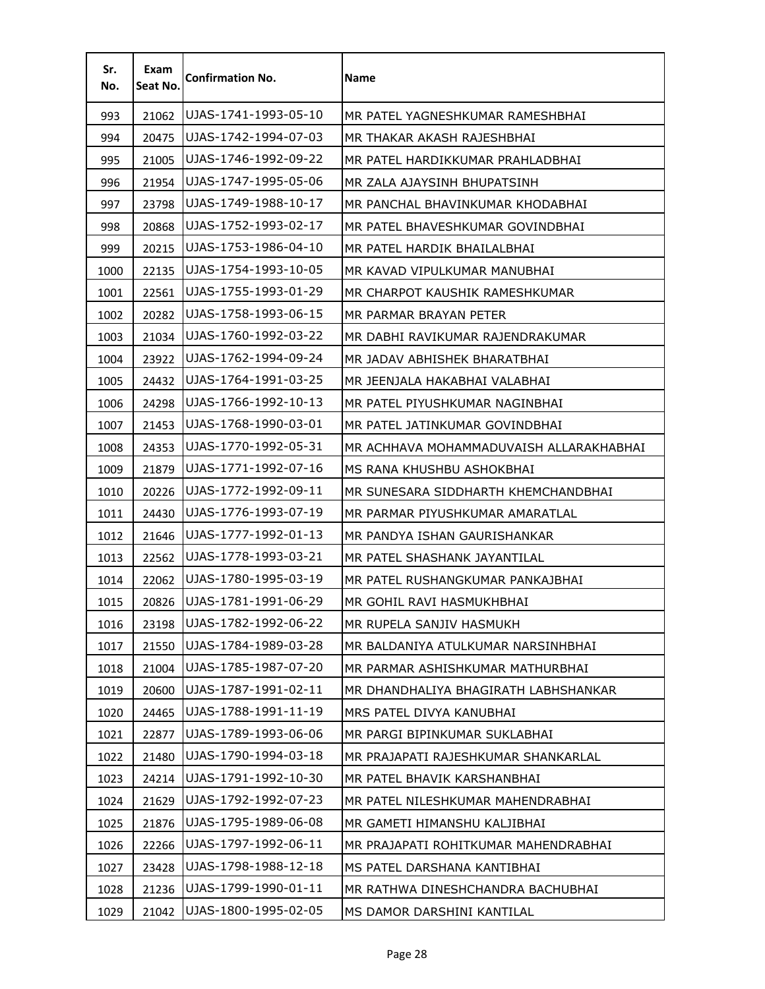| Sr.<br>No. | Exam<br>Seat No. | <b>Confirmation No.</b> | Name                                    |
|------------|------------------|-------------------------|-----------------------------------------|
| 993        | 21062            | UJAS-1741-1993-05-10    | MR PATEL YAGNESHKUMAR RAMESHBHAI        |
| 994        | 20475            | UJAS-1742-1994-07-03    | MR THAKAR AKASH RAJESHBHAI              |
| 995        | 21005            | UJAS-1746-1992-09-22    | MR PATEL HARDIKKUMAR PRAHLADBHAI        |
| 996        | 21954            | UJAS-1747-1995-05-06    | MR ZALA AJAYSINH BHUPATSINH             |
| 997        | 23798            | UJAS-1749-1988-10-17    | MR PANCHAL BHAVINKUMAR KHODABHAI        |
| 998        | 20868            | UJAS-1752-1993-02-17    | MR PATEL BHAVESHKUMAR GOVINDBHAI        |
| 999        | 20215            | UJAS-1753-1986-04-10    | MR PATEL HARDIK BHAILALBHAI             |
| 1000       | 22135            | UJAS-1754-1993-10-05    | MR KAVAD VIPULKUMAR MANUBHAI            |
| 1001       | 22561            | UJAS-1755-1993-01-29    | MR CHARPOT KAUSHIK RAMESHKUMAR          |
| 1002       | 20282            | UJAS-1758-1993-06-15    | MR PARMAR BRAYAN PETER                  |
| 1003       | 21034            | UJAS-1760-1992-03-22    | MR DABHI RAVIKUMAR RAJENDRAKUMAR        |
| 1004       | 23922            | UJAS-1762-1994-09-24    | MR JADAV ABHISHEK BHARATBHAI            |
| 1005       | 24432            | UJAS-1764-1991-03-25    | MR JEENJALA HAKABHAI VALABHAI           |
| 1006       | 24298            | UJAS-1766-1992-10-13    | MR PATEL PIYUSHKUMAR NAGINBHAI          |
| 1007       | 21453            | UJAS-1768-1990-03-01    | MR PATEL JATINKUMAR GOVINDBHAI          |
| 1008       | 24353            | UJAS-1770-1992-05-31    | MR ACHHAVA MOHAMMADUVAISH ALLARAKHABHAI |
| 1009       | 21879            | UJAS-1771-1992-07-16    | MS RANA KHUSHBU ASHOKBHAI               |
| 1010       | 20226            | UJAS-1772-1992-09-11    | MR SUNESARA SIDDHARTH KHEMCHANDBHAI     |
| 1011       | 24430            | UJAS-1776-1993-07-19    | MR PARMAR PIYUSHKUMAR AMARATLAL         |
| 1012       | 21646            | UJAS-1777-1992-01-13    | MR PANDYA ISHAN GAURISHANKAR            |
| 1013       | 22562            | UJAS-1778-1993-03-21    | MR PATEL SHASHANK JAYANTILAL            |
| 1014       | 22062            | UJAS-1780-1995-03-19    | MR PATEL RUSHANGKUMAR PANKAJBHAI        |
| 1015       | 20826            | UJAS-1781-1991-06-29    | MR GOHIL RAVI HASMUKHBHAI               |
| 1016       | 23198            | UJAS-1782-1992-06-22    | MR RUPELA SANJIV HASMUKH                |
| 1017       | 21550            | UJAS-1784-1989-03-28    | MR BALDANIYA ATULKUMAR NARSINHBHAI      |
| 1018       | 21004            | UJAS-1785-1987-07-20    | MR PARMAR ASHISHKUMAR MATHURBHAI        |
| 1019       | 20600            | UJAS-1787-1991-02-11    | MR DHANDHALIYA BHAGIRATH LABHSHANKAR    |
| 1020       | 24465            | UJAS-1788-1991-11-19    | MRS PATEL DIVYA KANUBHAI                |
| 1021       | 22877            | UJAS-1789-1993-06-06    | MR PARGI BIPINKUMAR SUKLABHAI           |
| 1022       | 21480            | UJAS-1790-1994-03-18    | MR PRAJAPATI RAJESHKUMAR SHANKARLAL     |
| 1023       | 24214            | UJAS-1791-1992-10-30    | MR PATEL BHAVIK KARSHANBHAI             |
| 1024       | 21629            | UJAS-1792-1992-07-23    | MR PATEL NILESHKUMAR MAHENDRABHAI       |
| 1025       | 21876            | UJAS-1795-1989-06-08    | MR GAMETI HIMANSHU KALJIBHAI            |
| 1026       | 22266            | UJAS-1797-1992-06-11    | MR PRAJAPATI ROHITKUMAR MAHENDRABHAI    |
| 1027       | 23428            | UJAS-1798-1988-12-18    | MS PATEL DARSHANA KANTIBHAI             |
| 1028       | 21236            | UJAS-1799-1990-01-11    | MR RATHWA DINESHCHANDRA BACHUBHAI       |
| 1029       | 21042            | UJAS-1800-1995-02-05    | MS DAMOR DARSHINI KANTILAL              |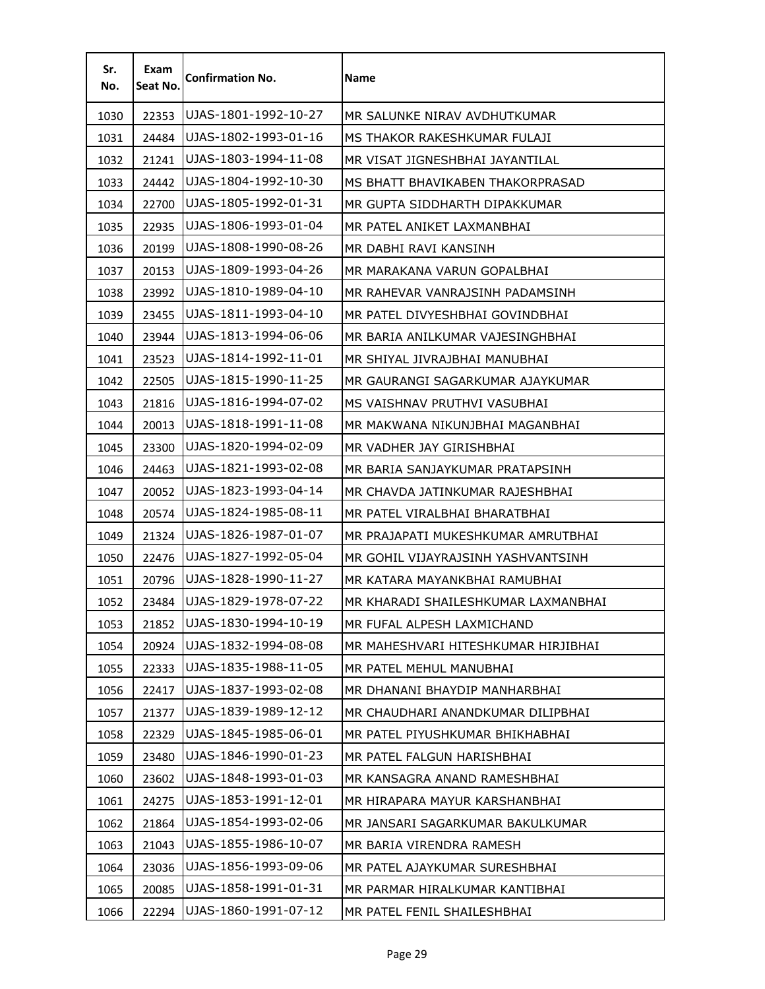| Sr.<br>No. | Exam<br>Seat No. | <b>Confirmation No.</b> | Name                                |
|------------|------------------|-------------------------|-------------------------------------|
| 1030       | 22353            | UJAS-1801-1992-10-27    | MR SALUNKE NIRAV AVDHUTKUMAR        |
| 1031       | 24484            | UJAS-1802-1993-01-16    | MS THAKOR RAKESHKUMAR FULAJI        |
| 1032       | 21241            | UJAS-1803-1994-11-08    | MR VISAT JIGNESHBHAI JAYANTILAL     |
| 1033       | 24442            | UJAS-1804-1992-10-30    | MS BHATT BHAVIKABEN THAKORPRASAD    |
| 1034       | 22700            | UJAS-1805-1992-01-31    | MR GUPTA SIDDHARTH DIPAKKUMAR       |
| 1035       | 22935            | UJAS-1806-1993-01-04    | MR PATEL ANIKET LAXMANBHAI          |
| 1036       | 20199            | UJAS-1808-1990-08-26    | MR DABHI RAVI KANSINH               |
| 1037       | 20153            | UJAS-1809-1993-04-26    | MR MARAKANA VARUN GOPALBHAI         |
| 1038       | 23992            | UJAS-1810-1989-04-10    | MR RAHEVAR VANRAJSINH PADAMSINH     |
| 1039       | 23455            | UJAS-1811-1993-04-10    | MR PATEL DIVYESHBHAI GOVINDBHAI     |
| 1040       | 23944            | UJAS-1813-1994-06-06    | MR BARIA ANILKUMAR VAJESINGHBHAI    |
| 1041       | 23523            | UJAS-1814-1992-11-01    | MR SHIYAL JIVRAJBHAI MANUBHAI       |
| 1042       | 22505            | UJAS-1815-1990-11-25    | MR GAURANGI SAGARKUMAR AJAYKUMAR    |
| 1043       | 21816            | UJAS-1816-1994-07-02    | MS VAISHNAV PRUTHVI VASUBHAI        |
| 1044       | 20013            | UJAS-1818-1991-11-08    | MR MAKWANA NIKUNJBHAI MAGANBHAI     |
| 1045       | 23300            | UJAS-1820-1994-02-09    | MR VADHER JAY GIRISHBHAI            |
| 1046       | 24463            | UJAS-1821-1993-02-08    | MR BARIA SANJAYKUMAR PRATAPSINH     |
| 1047       | 20052            | UJAS-1823-1993-04-14    | MR CHAVDA JATINKUMAR RAJESHBHAI     |
| 1048       | 20574            | UJAS-1824-1985-08-11    | MR PATEL VIRALBHAI BHARATBHAI       |
| 1049       | 21324            | UJAS-1826-1987-01-07    | MR PRAJAPATI MUKESHKUMAR AMRUTBHAI  |
| 1050       | 22476            | UJAS-1827-1992-05-04    | MR GOHIL VIJAYRAJSINH YASHVANTSINH  |
| 1051       | 20796            | UJAS-1828-1990-11-27    | MR KATARA MAYANKBHAI RAMUBHAI       |
| 1052       | 23484            | UJAS-1829-1978-07-22    | MR KHARADI SHAILESHKUMAR LAXMANBHAI |
| 1053       | 21852            | UJAS-1830-1994-10-19    | MR FUFAL ALPESH LAXMICHAND          |
| 1054       | 20924            | UJAS-1832-1994-08-08    | MR MAHESHVARI HITESHKUMAR HIRJIBHAI |
| 1055       | 22333            | UJAS-1835-1988-11-05    | MR PATEL MEHUL MANUBHAI             |
| 1056       | 22417            | UJAS-1837-1993-02-08    | MR DHANANI BHAYDIP MANHARBHAI       |
| 1057       | 21377            | UJAS-1839-1989-12-12    | MR CHAUDHARI ANANDKUMAR DILIPBHAI   |
| 1058       | 22329            | UJAS-1845-1985-06-01    | MR PATEL PIYUSHKUMAR BHIKHABHAI     |
| 1059       | 23480            | UJAS-1846-1990-01-23    | MR PATEL FALGUN HARISHBHAI          |
| 1060       | 23602            | UJAS-1848-1993-01-03    | MR KANSAGRA ANAND RAMESHBHAI        |
| 1061       | 24275            | UJAS-1853-1991-12-01    | MR HIRAPARA MAYUR KARSHANBHAI       |
| 1062       | 21864            | UJAS-1854-1993-02-06    | MR JANSARI SAGARKUMAR BAKULKUMAR    |
| 1063       | 21043            | UJAS-1855-1986-10-07    | MR BARIA VIRENDRA RAMESH            |
| 1064       | 23036            | UJAS-1856-1993-09-06    | MR PATEL AJAYKUMAR SURESHBHAI       |
| 1065       | 20085            | UJAS-1858-1991-01-31    | MR PARMAR HIRALKUMAR KANTIBHAI      |
| 1066       | 22294            | UJAS-1860-1991-07-12    | MR PATEL FENIL SHAILESHBHAI         |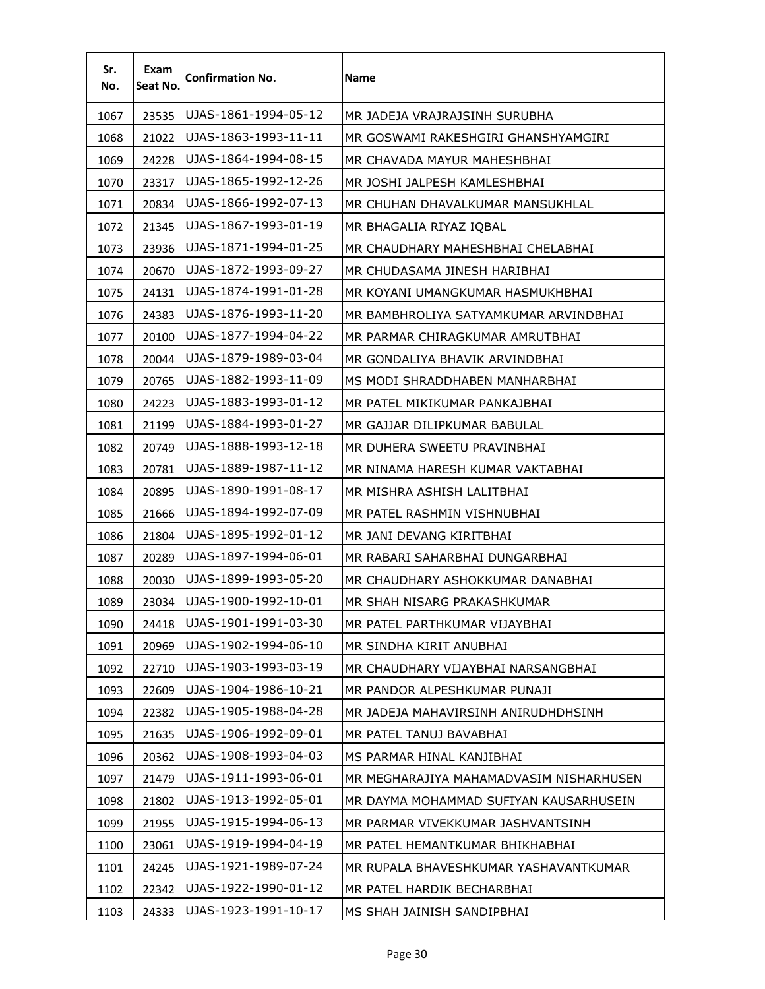| Sr.<br>No. | Exam<br>Seat No. | <b>Confirmation No.</b> | <b>Name</b>                             |
|------------|------------------|-------------------------|-----------------------------------------|
| 1067       | 23535            | UJAS-1861-1994-05-12    | MR JADEJA VRAJRAJSINH SURUBHA           |
| 1068       | 21022            | UJAS-1863-1993-11-11    | MR GOSWAMI RAKESHGIRI GHANSHYAMGIRI     |
| 1069       | 24228            | UJAS-1864-1994-08-15    | MR CHAVADA MAYUR MAHESHBHAI             |
| 1070       | 23317            | UJAS-1865-1992-12-26    | MR JOSHI JALPESH KAMLESHBHAI            |
| 1071       | 20834            | UJAS-1866-1992-07-13    | MR CHUHAN DHAVALKUMAR MANSUKHLAL        |
| 1072       | 21345            | UJAS-1867-1993-01-19    | MR BHAGALIA RIYAZ IQBAL                 |
| 1073       | 23936            | UJAS-1871-1994-01-25    | MR CHAUDHARY MAHESHBHAI CHELABHAI       |
| 1074       | 20670            | UJAS-1872-1993-09-27    | MR CHUDASAMA JINESH HARIBHAI            |
| 1075       | 24131            | UJAS-1874-1991-01-28    | MR KOYANI UMANGKUMAR HASMUKHBHAI        |
| 1076       | 24383            | UJAS-1876-1993-11-20    | MR BAMBHROLIYA SATYAMKUMAR ARVINDBHAI   |
| 1077       | 20100            | UJAS-1877-1994-04-22    | MR PARMAR CHIRAGKUMAR AMRUTBHAI         |
| 1078       | 20044            | UJAS-1879-1989-03-04    | MR GONDALIYA BHAVIK ARVINDBHAI          |
| 1079       | 20765            | UJAS-1882-1993-11-09    | MS MODI SHRADDHABEN MANHARBHAI          |
| 1080       | 24223            | UJAS-1883-1993-01-12    | MR PATEL MIKIKUMAR PANKAJBHAI           |
| 1081       | 21199            | UJAS-1884-1993-01-27    | MR GAJJAR DILIPKUMAR BABULAL            |
| 1082       | 20749            | UJAS-1888-1993-12-18    | MR DUHERA SWEETU PRAVINBHAI             |
| 1083       | 20781            | UJAS-1889-1987-11-12    | MR NINAMA HARESH KUMAR VAKTABHAI        |
| 1084       | 20895            | UJAS-1890-1991-08-17    | MR MISHRA ASHISH LALITBHAI              |
| 1085       | 21666            | UJAS-1894-1992-07-09    | MR PATEL RASHMIN VISHNUBHAI             |
| 1086       | 21804            | UJAS-1895-1992-01-12    | MR JANI DEVANG KIRITBHAI                |
| 1087       | 20289            | UJAS-1897-1994-06-01    | MR RABARI SAHARBHAI DUNGARBHAI          |
| 1088       | 20030            | UJAS-1899-1993-05-20    | MR CHAUDHARY ASHOKKUMAR DANABHAI        |
| 1089       | 23034            | UJAS-1900-1992-10-01    | MR SHAH NISARG PRAKASHKUMAR             |
| 1090       | 24418            | UJAS-1901-1991-03-30    | MR PATEL PARTHKUMAR VIJAYBHAI           |
| 1091       | 20969            | UJAS-1902-1994-06-10    | MR SINDHA KIRIT ANUBHAI                 |
| 1092       | 22710            | UJAS-1903-1993-03-19    | MR CHAUDHARY VIJAYBHAI NARSANGBHAI      |
| 1093       | 22609            | UJAS-1904-1986-10-21    | MR PANDOR ALPESHKUMAR PUNAJI            |
| 1094       | 22382            | UJAS-1905-1988-04-28    | MR JADEJA MAHAVIRSINH ANIRUDHDHSINH     |
| 1095       | 21635            | UJAS-1906-1992-09-01    | MR PATEL TANUJ BAVABHAI                 |
| 1096       | 20362            | UJAS-1908-1993-04-03    | MS PARMAR HINAL KANJIBHAI               |
| 1097       | 21479            | UJAS-1911-1993-06-01    | MR MEGHARAJIYA MAHAMADVASIM NISHARHUSEN |
| 1098       | 21802            | UJAS-1913-1992-05-01    | MR DAYMA MOHAMMAD SUFIYAN KAUSARHUSEIN  |
| 1099       | 21955            | UJAS-1915-1994-06-13    | MR PARMAR VIVEKKUMAR JASHVANTSINH       |
| 1100       | 23061            | UJAS-1919-1994-04-19    | MR PATEL HEMANTKUMAR BHIKHABHAI         |
| 1101       | 24245            | UJAS-1921-1989-07-24    | MR RUPALA BHAVESHKUMAR YASHAVANTKUMAR   |
| 1102       | 22342            | UJAS-1922-1990-01-12    | MR PATEL HARDIK BECHARBHAI              |
| 1103       | 24333            | UJAS-1923-1991-10-17    | MS SHAH JAINISH SANDIPBHAI              |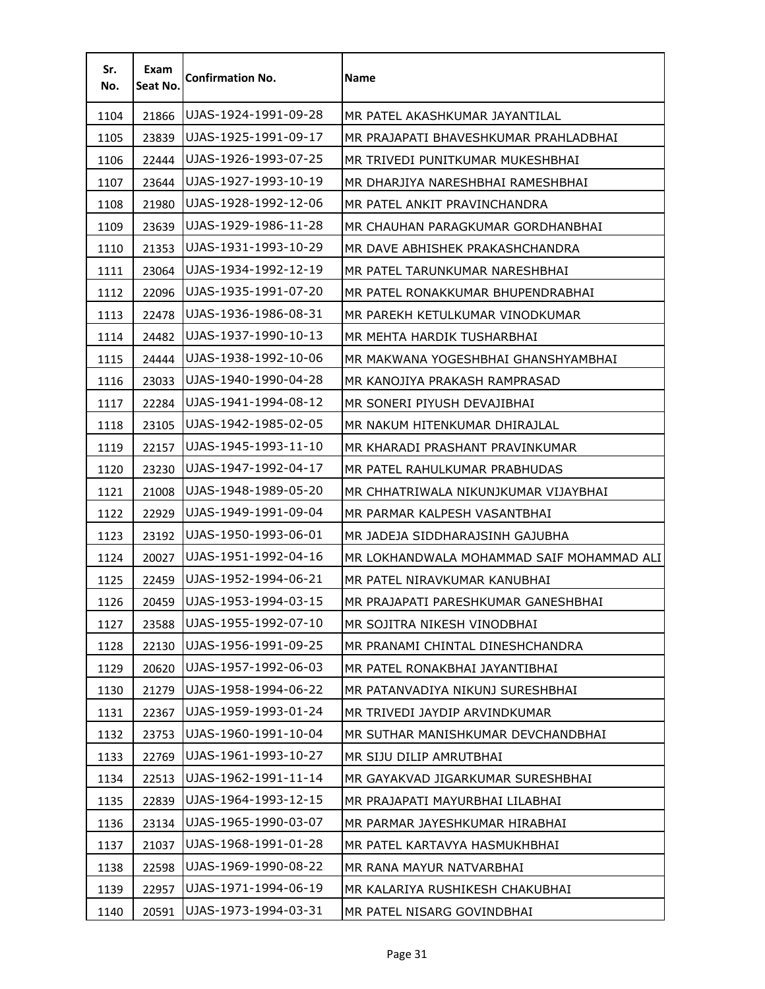| Sr.<br>No. | Exam<br>Seat No. | <b>Confirmation No.</b> | Name                                      |
|------------|------------------|-------------------------|-------------------------------------------|
| 1104       | 21866            | UJAS-1924-1991-09-28    | MR PATEL AKASHKUMAR JAYANTILAL            |
| 1105       | 23839            | UJAS-1925-1991-09-17    | MR PRAJAPATI BHAVESHKUMAR PRAHLADBHAI     |
| 1106       | 22444            | UJAS-1926-1993-07-25    | MR TRIVEDI PUNITKUMAR MUKESHBHAI          |
| 1107       | 23644            | UJAS-1927-1993-10-19    | MR DHARJIYA NARESHBHAI RAMESHBHAI         |
| 1108       | 21980            | UJAS-1928-1992-12-06    | MR PATEL ANKIT PRAVINCHANDRA              |
| 1109       | 23639            | UJAS-1929-1986-11-28    | MR CHAUHAN PARAGKUMAR GORDHANBHAI         |
| 1110       | 21353            | UJAS-1931-1993-10-29    | MR DAVE ABHISHEK PRAKASHCHANDRA           |
| 1111       | 23064            | UJAS-1934-1992-12-19    | MR PATEL TARUNKUMAR NARESHBHAI            |
| 1112       | 22096            | UJAS-1935-1991-07-20    | MR PATEL RONAKKUMAR BHUPENDRABHAI         |
| 1113       | 22478            | UJAS-1936-1986-08-31    | MR PAREKH KETULKUMAR VINODKUMAR           |
| 1114       | 24482            | UJAS-1937-1990-10-13    | MR MEHTA HARDIK TUSHARBHAI                |
| 1115       | 24444            | UJAS-1938-1992-10-06    | MR MAKWANA YOGESHBHAI GHANSHYAMBHAI       |
| 1116       | 23033            | UJAS-1940-1990-04-28    | MR KANOJIYA PRAKASH RAMPRASAD             |
| 1117       | 22284            | UJAS-1941-1994-08-12    | MR SONERI PIYUSH DEVAJIBHAI               |
| 1118       | 23105            | UJAS-1942-1985-02-05    | MR NAKUM HITENKUMAR DHIRAJLAL             |
| 1119       | 22157            | UJAS-1945-1993-11-10    | MR KHARADI PRASHANT PRAVINKUMAR           |
| 1120       | 23230            | UJAS-1947-1992-04-17    | MR PATEL RAHULKUMAR PRABHUDAS             |
| 1121       | 21008            | UJAS-1948-1989-05-20    | MR CHHATRIWALA NIKUNJKUMAR VIJAYBHAI      |
| 1122       | 22929            | UJAS-1949-1991-09-04    | MR PARMAR KALPESH VASANTBHAI              |
| 1123       | 23192            | UJAS-1950-1993-06-01    | MR JADEJA SIDDHARAJSINH GAJUBHA           |
| 1124       | 20027            | UJAS-1951-1992-04-16    | MR LOKHANDWALA MOHAMMAD SAIF MOHAMMAD ALI |
| 1125       | 22459            | UJAS-1952-1994-06-21    | MR PATEL NIRAVKUMAR KANUBHAI              |
| 1126       | 20459            | UJAS-1953-1994-03-15    | MR PRAJAPATI PARESHKUMAR GANESHBHAI       |
| 1127       | 23588            | UJAS-1955-1992-07-10    | MR SOJITRA NIKESH VINODBHAI               |
| 1128       | 22130            | UJAS-1956-1991-09-25    | MR PRANAMI CHINTAL DINESHCHANDRA          |
| 1129       | 20620            | UJAS-1957-1992-06-03    | MR PATEL RONAKBHAI JAYANTIBHAI            |
| 1130       | 21279            | UJAS-1958-1994-06-22    | MR PATANVADIYA NIKUNJ SURESHBHAI          |
| 1131       | 22367            | UJAS-1959-1993-01-24    | MR TRIVEDI JAYDIP ARVINDKUMAR             |
| 1132       | 23753            | UJAS-1960-1991-10-04    | MR SUTHAR MANISHKUMAR DEVCHANDBHAI        |
| 1133       | 22769            | UJAS-1961-1993-10-27    | MR SIJU DILIP AMRUTBHAI                   |
| 1134       | 22513            | UJAS-1962-1991-11-14    | MR GAYAKVAD JIGARKUMAR SURESHBHAI         |
| 1135       | 22839            | UJAS-1964-1993-12-15    | MR PRAJAPATI MAYURBHAI LILABHAI           |
| 1136       | 23134            | UJAS-1965-1990-03-07    | MR PARMAR JAYESHKUMAR HIRABHAI            |
| 1137       | 21037            | UJAS-1968-1991-01-28    | MR PATEL KARTAVYA HASMUKHBHAI             |
| 1138       | 22598            | UJAS-1969-1990-08-22    | MR RANA MAYUR NATVARBHAI                  |
| 1139       | 22957            | UJAS-1971-1994-06-19    | MR KALARIYA RUSHIKESH CHAKUBHAI           |
| 1140       | 20591            | UJAS-1973-1994-03-31    | MR PATEL NISARG GOVINDBHAI                |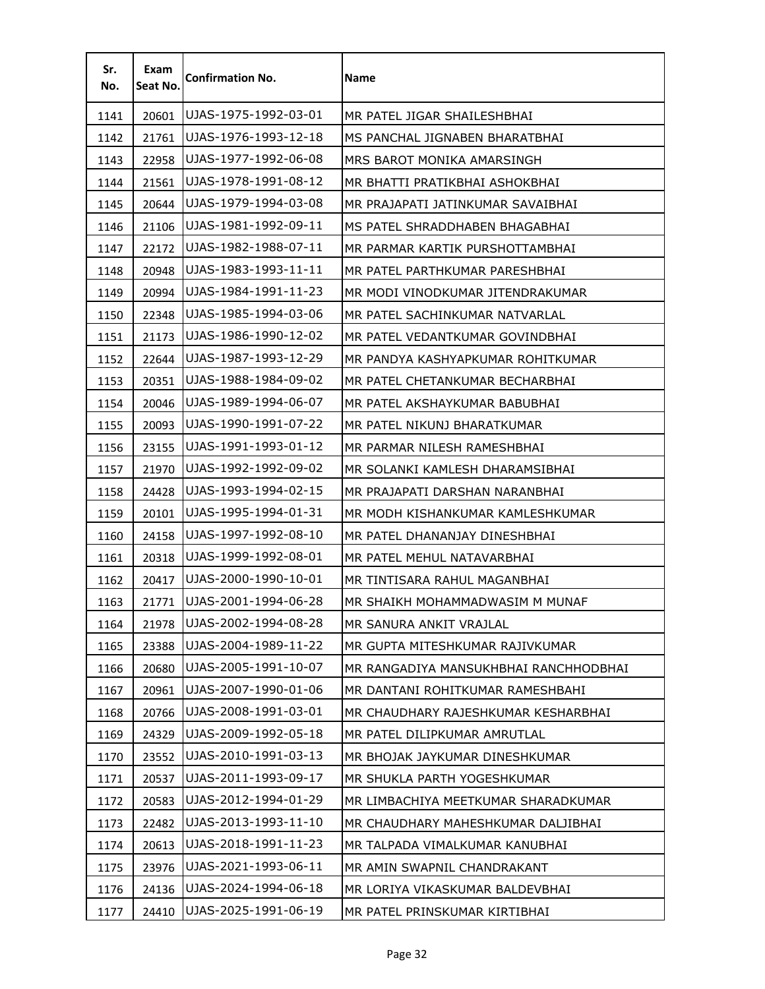| Sr.<br>No. | Exam<br>Seat No. | <b>Confirmation No.</b> | Name                                  |
|------------|------------------|-------------------------|---------------------------------------|
| 1141       | 20601            | UJAS-1975-1992-03-01    | MR PATEL JIGAR SHAILESHBHAI           |
| 1142       | 21761            | UJAS-1976-1993-12-18    | MS PANCHAL JIGNABEN BHARATBHAI        |
| 1143       | 22958            | UJAS-1977-1992-06-08    | MRS BAROT MONIKA AMARSINGH            |
| 1144       | 21561            | UJAS-1978-1991-08-12    | MR BHATTI PRATIKBHAI ASHOKBHAI        |
| 1145       | 20644            | UJAS-1979-1994-03-08    | MR PRAJAPATI JATINKUMAR SAVAIBHAI     |
| 1146       | 21106            | UJAS-1981-1992-09-11    | MS PATEL SHRADDHABEN BHAGABHAI        |
| 1147       | 22172            | UJAS-1982-1988-07-11    | MR PARMAR KARTIK PURSHOTTAMBHAI       |
| 1148       | 20948            | UJAS-1983-1993-11-11    | MR PATEL PARTHKUMAR PARESHBHAI        |
| 1149       | 20994            | UJAS-1984-1991-11-23    | MR MODI VINODKUMAR JITENDRAKUMAR      |
| 1150       | 22348            | UJAS-1985-1994-03-06    | MR PATEL SACHINKUMAR NATVARLAL        |
| 1151       | 21173            | UJAS-1986-1990-12-02    | MR PATEL VEDANTKUMAR GOVINDBHAI       |
| 1152       | 22644            | UJAS-1987-1993-12-29    | MR PANDYA KASHYAPKUMAR ROHITKUMAR     |
| 1153       | 20351            | UJAS-1988-1984-09-02    | MR PATEL CHETANKUMAR BECHARBHAI       |
| 1154       | 20046            | UJAS-1989-1994-06-07    | MR PATEL AKSHAYKUMAR BABUBHAI         |
| 1155       | 20093            | UJAS-1990-1991-07-22    | MR PATEL NIKUNJ BHARATKUMAR           |
| 1156       | 23155            | UJAS-1991-1993-01-12    | MR PARMAR NILESH RAMESHBHAI           |
| 1157       | 21970            | UJAS-1992-1992-09-02    | MR SOLANKI KAMLESH DHARAMSIBHAI       |
| 1158       | 24428            | UJAS-1993-1994-02-15    | MR PRAJAPATI DARSHAN NARANBHAI        |
| 1159       | 20101            | UJAS-1995-1994-01-31    | MR MODH KISHANKUMAR KAMLESHKUMAR      |
| 1160       | 24158            | UJAS-1997-1992-08-10    | MR PATEL DHANANJAY DINESHBHAI         |
| 1161       | 20318            | UJAS-1999-1992-08-01    | MR PATEL MEHUL NATAVARBHAI            |
| 1162       | 20417            | UJAS-2000-1990-10-01    | MR TINTISARA RAHUL MAGANBHAI          |
| 1163       | 21771            | UJAS-2001-1994-06-28    | MR SHAIKH MOHAMMADWASIM M MUNAF       |
| 1164       | 21978            | UJAS-2002-1994-08-28    | MR SANURA ANKIT VRAJLAL               |
| 1165       | 23388            | UJAS-2004-1989-11-22    | MR GUPTA MITESHKUMAR RAJIVKUMAR       |
| 1166       | 20680            | UJAS-2005-1991-10-07    | MR RANGADIYA MANSUKHBHAI RANCHHODBHAI |
| 1167       | 20961            | UJAS-2007-1990-01-06    | MR DANTANI ROHITKUMAR RAMESHBAHI      |
| 1168       | 20766            | UJAS-2008-1991-03-01    | MR CHAUDHARY RAJESHKUMAR KESHARBHAI   |
| 1169       | 24329            | UJAS-2009-1992-05-18    | MR PATEL DILIPKUMAR AMRUTLAL          |
| 1170       | 23552            | UJAS-2010-1991-03-13    | MR BHOJAK JAYKUMAR DINESHKUMAR        |
| 1171       | 20537            | UJAS-2011-1993-09-17    | MR SHUKLA PARTH YOGESHKUMAR           |
| 1172       | 20583            | UJAS-2012-1994-01-29    | MR LIMBACHIYA MEETKUMAR SHARADKUMAR   |
| 1173       | 22482            | UJAS-2013-1993-11-10    | MR CHAUDHARY MAHESHKUMAR DALJIBHAI    |
| 1174       | 20613            | UJAS-2018-1991-11-23    | MR TALPADA VIMALKUMAR KANUBHAI        |
| 1175       | 23976            | UJAS-2021-1993-06-11    | MR AMIN SWAPNIL CHANDRAKANT           |
| 1176       | 24136            | UJAS-2024-1994-06-18    | MR LORIYA VIKASKUMAR BALDEVBHAI       |
| 1177       | 24410            | UJAS-2025-1991-06-19    | MR PATEL PRINSKUMAR KIRTIBHAI         |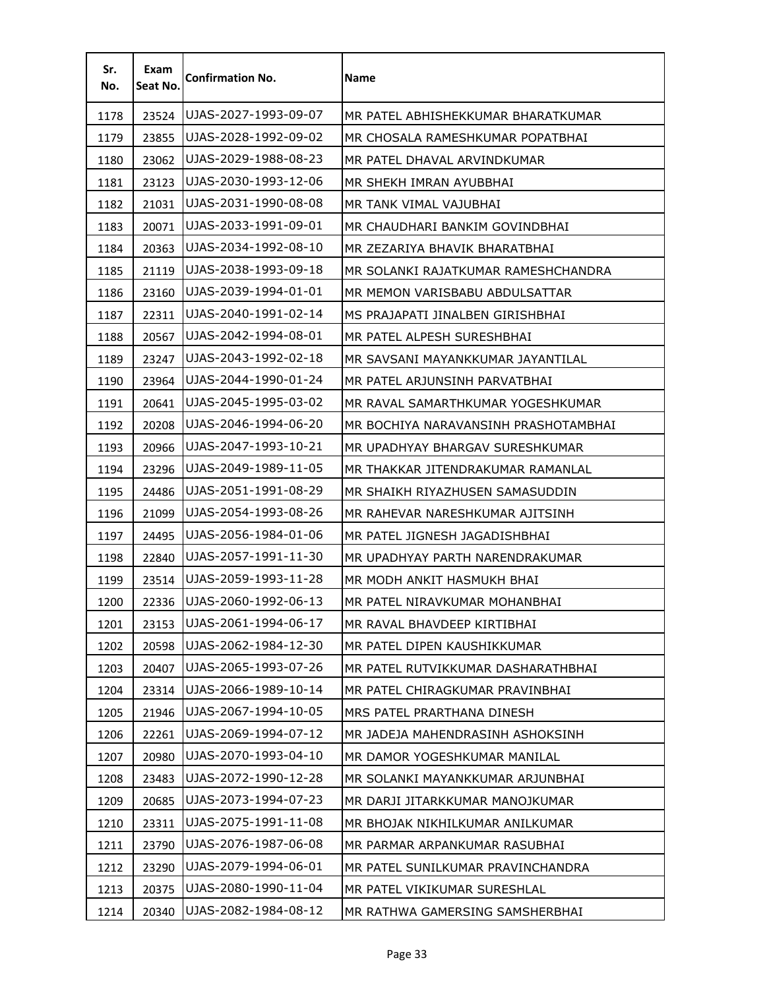| Sr.<br>No. | Exam<br>Seat No. | <b>Confirmation No.</b> | Name                                 |
|------------|------------------|-------------------------|--------------------------------------|
| 1178       | 23524            | UJAS-2027-1993-09-07    | MR PATEL ABHISHEKKUMAR BHARATKUMAR   |
| 1179       | 23855            | UJAS-2028-1992-09-02    | MR CHOSALA RAMESHKUMAR POPATBHAI     |
| 1180       | 23062            | UJAS-2029-1988-08-23    | MR PATEL DHAVAL ARVINDKUMAR          |
| 1181       | 23123            | UJAS-2030-1993-12-06    | MR SHEKH IMRAN AYUBBHAI              |
| 1182       | 21031            | UJAS-2031-1990-08-08    | MR TANK VIMAL VAJUBHAI               |
| 1183       | 20071            | UJAS-2033-1991-09-01    | MR CHAUDHARI BANKIM GOVINDBHAI       |
| 1184       | 20363            | UJAS-2034-1992-08-10    | MR ZEZARIYA BHAVIK BHARATBHAI        |
| 1185       | 21119            | UJAS-2038-1993-09-18    | MR SOLANKI RAJATKUMAR RAMESHCHANDRA  |
| 1186       | 23160            | UJAS-2039-1994-01-01    | MR MEMON VARISBABU ABDULSATTAR       |
| 1187       | 22311            | UJAS-2040-1991-02-14    | MS PRAJAPATI JINALBEN GIRISHBHAI     |
| 1188       | 20567            | UJAS-2042-1994-08-01    | MR PATEL ALPESH SURESHBHAI           |
| 1189       | 23247            | UJAS-2043-1992-02-18    | MR SAVSANI MAYANKKUMAR JAYANTILAL    |
| 1190       | 23964            | UJAS-2044-1990-01-24    | MR PATEL ARJUNSINH PARVATBHAI        |
| 1191       | 20641            | UJAS-2045-1995-03-02    | MR RAVAL SAMARTHKUMAR YOGESHKUMAR    |
| 1192       | 20208            | UJAS-2046-1994-06-20    | MR BOCHIYA NARAVANSINH PRASHOTAMBHAI |
| 1193       | 20966            | UJAS-2047-1993-10-21    | MR UPADHYAY BHARGAV SURESHKUMAR      |
| 1194       | 23296            | UJAS-2049-1989-11-05    | MR THAKKAR JITENDRAKUMAR RAMANLAL    |
| 1195       | 24486            | UJAS-2051-1991-08-29    | MR SHAIKH RIYAZHUSEN SAMASUDDIN      |
| 1196       | 21099            | UJAS-2054-1993-08-26    | MR RAHEVAR NARESHKUMAR AJITSINH      |
| 1197       | 24495            | UJAS-2056-1984-01-06    | MR PATEL JIGNESH JAGADISHBHAI        |
| 1198       | 22840            | UJAS-2057-1991-11-30    | MR UPADHYAY PARTH NARENDRAKUMAR      |
| 1199       | 23514            | UJAS-2059-1993-11-28    | MR MODH ANKIT HASMUKH BHAI           |
| 1200       | 22336            | UJAS-2060-1992-06-13    | MR PATEL NIRAVKUMAR MOHANBHAI        |
| 1201       | 23153            | UJAS-2061-1994-06-17    | MR RAVAL BHAVDEEP KIRTIBHAI          |
| 1202       | 20598            | UJAS-2062-1984-12-30    | MR PATEL DIPEN KAUSHIKKUMAR          |
| 1203       | 20407            | UJAS-2065-1993-07-26    | MR PATEL RUTVIKKUMAR DASHARATHBHAI   |
| 1204       | 23314            | UJAS-2066-1989-10-14    | MR PATEL CHIRAGKUMAR PRAVINBHAI      |
| 1205       | 21946            | UJAS-2067-1994-10-05    | MRS PATEL PRARTHANA DINESH           |
| 1206       | 22261            | UJAS-2069-1994-07-12    | MR JADEJA MAHENDRASINH ASHOKSINH     |
| 1207       | 20980            | UJAS-2070-1993-04-10    | MR DAMOR YOGESHKUMAR MANILAL         |
| 1208       | 23483            | UJAS-2072-1990-12-28    | MR SOLANKI MAYANKKUMAR ARJUNBHAI     |
| 1209       | 20685            | UJAS-2073-1994-07-23    | MR DARJI JITARKKUMAR MANOJKUMAR      |
| 1210       | 23311            | UJAS-2075-1991-11-08    | MR BHOJAK NIKHILKUMAR ANILKUMAR      |
| 1211       | 23790            | UJAS-2076-1987-06-08    | MR PARMAR ARPANKUMAR RASUBHAI        |
| 1212       | 23290            | UJAS-2079-1994-06-01    | MR PATEL SUNILKUMAR PRAVINCHANDRA    |
| 1213       | 20375            | UJAS-2080-1990-11-04    | MR PATEL VIKIKUMAR SURESHLAL         |
| 1214       | 20340            | UJAS-2082-1984-08-12    | MR RATHWA GAMERSING SAMSHERBHAI      |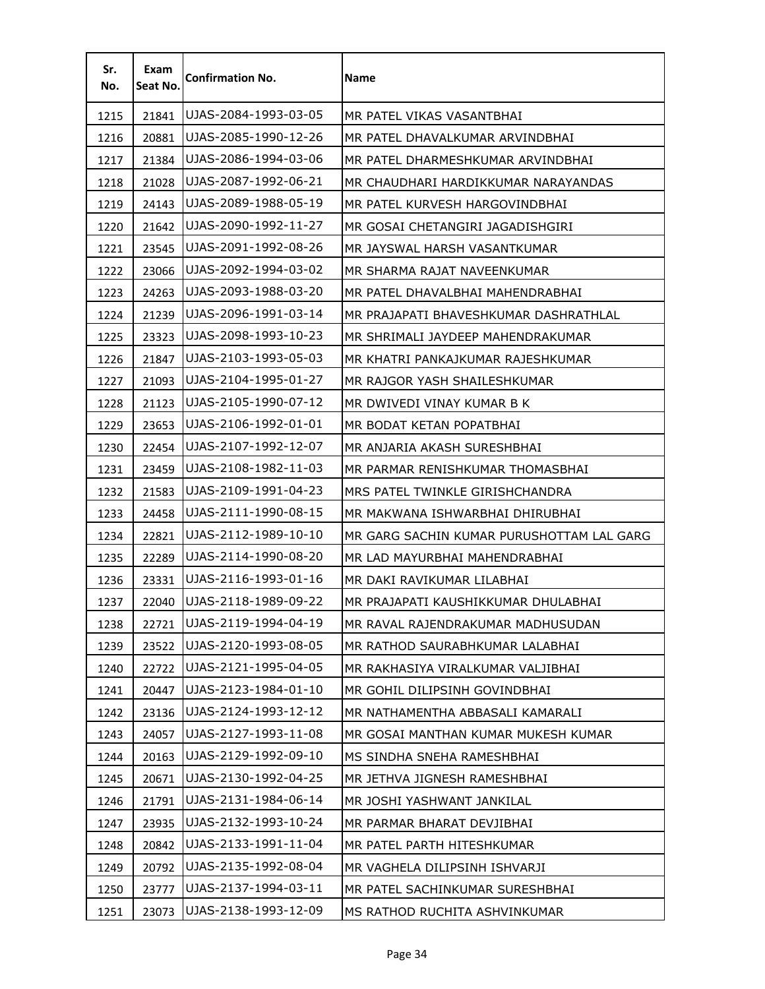| Sr.<br>No. | Exam<br>Seat No. | <b>Confirmation No.</b> | Name                                      |
|------------|------------------|-------------------------|-------------------------------------------|
| 1215       | 21841            | UJAS-2084-1993-03-05    | MR PATEL VIKAS VASANTBHAI                 |
| 1216       | 20881            | UJAS-2085-1990-12-26    | MR PATEL DHAVALKUMAR ARVINDBHAI           |
| 1217       | 21384            | UJAS-2086-1994-03-06    | MR PATEL DHARMESHKUMAR ARVINDBHAI         |
| 1218       | 21028            | UJAS-2087-1992-06-21    | MR CHAUDHARI HARDIKKUMAR NARAYANDAS       |
| 1219       | 24143            | UJAS-2089-1988-05-19    | MR PATEL KURVESH HARGOVINDBHAI            |
| 1220       | 21642            | UJAS-2090-1992-11-27    | MR GOSAI CHETANGIRI JAGADISHGIRI          |
| 1221       | 23545            | UJAS-2091-1992-08-26    | MR JAYSWAL HARSH VASANTKUMAR              |
| 1222       | 23066            | UJAS-2092-1994-03-02    | MR SHARMA RAJAT NAVEENKUMAR               |
| 1223       | 24263            | UJAS-2093-1988-03-20    | MR PATEL DHAVALBHAI MAHENDRABHAI          |
| 1224       | 21239            | UJAS-2096-1991-03-14    | MR PRAJAPATI BHAVESHKUMAR DASHRATHLAL     |
| 1225       | 23323            | UJAS-2098-1993-10-23    | MR SHRIMALI JAYDEEP MAHENDRAKUMAR         |
| 1226       | 21847            | UJAS-2103-1993-05-03    | MR KHATRI PANKAJKUMAR RAJESHKUMAR         |
| 1227       | 21093            | UJAS-2104-1995-01-27    | MR RAJGOR YASH SHAILESHKUMAR              |
| 1228       | 21123            | UJAS-2105-1990-07-12    | MR DWIVEDI VINAY KUMAR B K                |
| 1229       | 23653            | UJAS-2106-1992-01-01    | MR BODAT KETAN POPATBHAI                  |
| 1230       | 22454            | UJAS-2107-1992-12-07    | MR ANJARIA AKASH SURESHBHAI               |
| 1231       | 23459            | UJAS-2108-1982-11-03    | MR PARMAR RENISHKUMAR THOMASBHAI          |
| 1232       | 21583            | UJAS-2109-1991-04-23    | MRS PATEL TWINKLE GIRISHCHANDRA           |
| 1233       | 24458            | UJAS-2111-1990-08-15    | MR MAKWANA ISHWARBHAI DHIRUBHAI           |
| 1234       | 22821            | UJAS-2112-1989-10-10    | MR GARG SACHIN KUMAR PURUSHOTTAM LAL GARG |
| 1235       | 22289            | UJAS-2114-1990-08-20    | MR LAD MAYURBHAI MAHENDRABHAI             |
| 1236       | 23331            | UJAS-2116-1993-01-16    | MR DAKI RAVIKUMAR LILABHAI                |
| 1237       | 22040            | UJAS-2118-1989-09-22    | MR PRAJAPATI KAUSHIKKUMAR DHULABHAI       |
| 1238       | 22721            | UJAS-2119-1994-04-19    | MR RAVAL RAJENDRAKUMAR MADHUSUDAN         |
| 1239       | 23522            | UJAS-2120-1993-08-05    | MR RATHOD SAURABHKUMAR LALABHAI           |
| 1240       | 22722            | UJAS-2121-1995-04-05    | MR RAKHASIYA VIRALKUMAR VALJIBHAI         |
| 1241       | 20447            | UJAS-2123-1984-01-10    | MR GOHIL DILIPSINH GOVINDBHAI             |
| 1242       | 23136            | UJAS-2124-1993-12-12    | MR NATHAMENTHA ABBASALI KAMARALI          |
| 1243       | 24057            | UJAS-2127-1993-11-08    | MR GOSAI MANTHAN KUMAR MUKESH KUMAR       |
| 1244       | 20163            | UJAS-2129-1992-09-10    | MS SINDHA SNEHA RAMESHBHAI                |
| 1245       | 20671            | UJAS-2130-1992-04-25    | MR JETHVA JIGNESH RAMESHBHAI              |
| 1246       | 21791            | UJAS-2131-1984-06-14    | MR JOSHI YASHWANT JANKILAL                |
| 1247       | 23935            | UJAS-2132-1993-10-24    | MR PARMAR BHARAT DEVJIBHAI                |
| 1248       | 20842            | UJAS-2133-1991-11-04    | MR PATEL PARTH HITESHKUMAR                |
| 1249       | 20792            | UJAS-2135-1992-08-04    | MR VAGHELA DILIPSINH ISHVARJI             |
| 1250       | 23777            | UJAS-2137-1994-03-11    | MR PATEL SACHINKUMAR SURESHBHAI           |
| 1251       | 23073            | UJAS-2138-1993-12-09    | MS RATHOD RUCHITA ASHVINKUMAR             |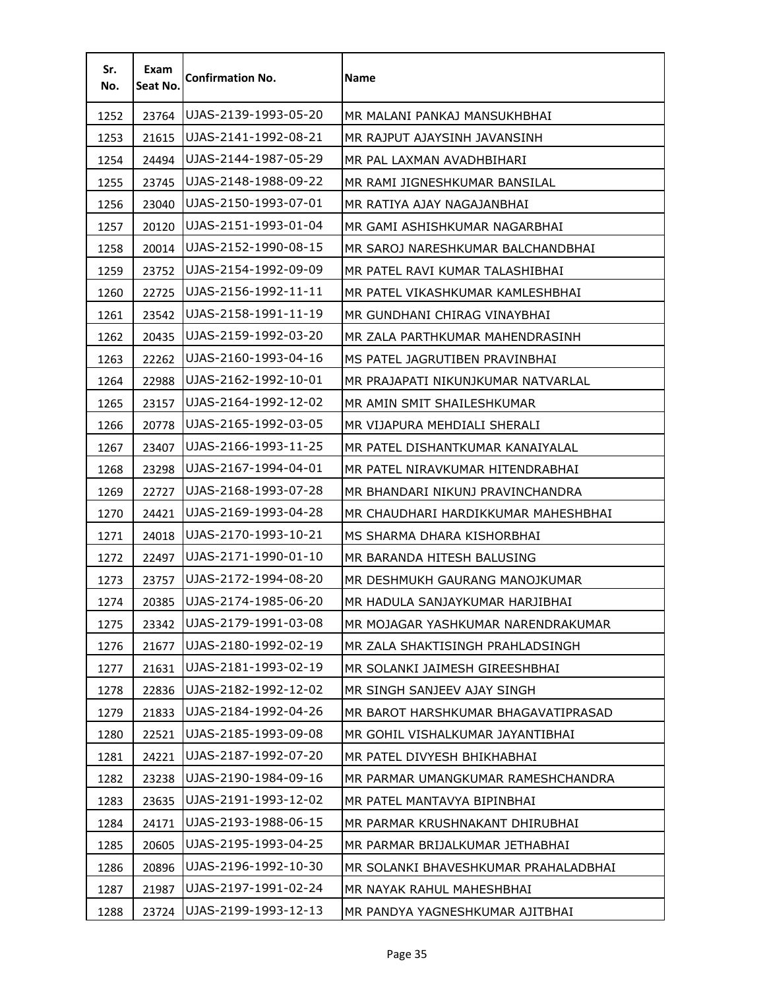| Sr.<br>No. | Exam<br>Seat No. | <b>Confirmation No.</b> | Name                                 |
|------------|------------------|-------------------------|--------------------------------------|
| 1252       | 23764            | UJAS-2139-1993-05-20    | MR MALANI PANKAJ MANSUKHBHAI         |
| 1253       | 21615            | UJAS-2141-1992-08-21    | MR RAJPUT AJAYSINH JAVANSINH         |
| 1254       | 24494            | UJAS-2144-1987-05-29    | MR PAL LAXMAN AVADHBIHARI            |
| 1255       | 23745            | UJAS-2148-1988-09-22    | MR RAMI JIGNESHKUMAR BANSILAL        |
| 1256       | 23040            | UJAS-2150-1993-07-01    | MR RATIYA AJAY NAGAJANBHAI           |
| 1257       | 20120            | UJAS-2151-1993-01-04    | MR GAMI ASHISHKUMAR NAGARBHAI        |
| 1258       | 20014            | UJAS-2152-1990-08-15    | MR SAROJ NARESHKUMAR BALCHANDBHAI    |
| 1259       | 23752            | UJAS-2154-1992-09-09    | MR PATEL RAVI KUMAR TALASHIBHAI      |
| 1260       | 22725            | UJAS-2156-1992-11-11    | MR PATEL VIKASHKUMAR KAMLESHBHAI     |
| 1261       | 23542            | UJAS-2158-1991-11-19    | MR GUNDHANI CHIRAG VINAYBHAI         |
| 1262       | 20435            | UJAS-2159-1992-03-20    | MR ZALA PARTHKUMAR MAHENDRASINH      |
| 1263       | 22262            | UJAS-2160-1993-04-16    | MS PATEL JAGRUTIBEN PRAVINBHAI       |
| 1264       | 22988            | UJAS-2162-1992-10-01    | MR PRAJAPATI NIKUNJKUMAR NATVARLAL   |
| 1265       | 23157            | UJAS-2164-1992-12-02    | MR AMIN SMIT SHAILESHKUMAR           |
| 1266       | 20778            | UJAS-2165-1992-03-05    | MR VIJAPURA MEHDIALI SHERALI         |
| 1267       | 23407            | UJAS-2166-1993-11-25    | MR PATEL DISHANTKUMAR KANAIYALAL     |
| 1268       | 23298            | UJAS-2167-1994-04-01    | MR PATEL NIRAVKUMAR HITENDRABHAI     |
| 1269       | 22727            | UJAS-2168-1993-07-28    | MR BHANDARI NIKUNJ PRAVINCHANDRA     |
| 1270       | 24421            | UJAS-2169-1993-04-28    | MR CHAUDHARI HARDIKKUMAR MAHESHBHAI  |
| 1271       | 24018            | UJAS-2170-1993-10-21    | MS SHARMA DHARA KISHORBHAI           |
| 1272       | 22497            | UJAS-2171-1990-01-10    | MR BARANDA HITESH BALUSING           |
| 1273       | 23757            | UJAS-2172-1994-08-20    | MR DESHMUKH GAURANG MANOJKUMAR       |
| 1274       | 20385            | UJAS-2174-1985-06-20    | MR HADULA SANJAYKUMAR HARJIBHAI      |
| 1275       | 23342            | UJAS-2179-1991-03-08    | MR MOJAGAR YASHKUMAR NARENDRAKUMAR   |
| 1276       | 21677            | UJAS-2180-1992-02-19    | MR ZALA SHAKTISINGH PRAHLADSINGH     |
| 1277       | 21631            | UJAS-2181-1993-02-19    | MR SOLANKI JAIMESH GIREESHBHAI       |
| 1278       | 22836            | UJAS-2182-1992-12-02    | MR SINGH SANJEEV AJAY SINGH          |
| 1279       | 21833            | UJAS-2184-1992-04-26    | MR BAROT HARSHKUMAR BHAGAVATIPRASAD  |
| 1280       | 22521            | UJAS-2185-1993-09-08    | MR GOHIL VISHALKUMAR JAYANTIBHAI     |
| 1281       | 24221            | UJAS-2187-1992-07-20    | MR PATEL DIVYESH BHIKHABHAI          |
| 1282       | 23238            | UJAS-2190-1984-09-16    | MR PARMAR UMANGKUMAR RAMESHCHANDRA   |
| 1283       | 23635            | UJAS-2191-1993-12-02    | MR PATEL MANTAVYA BIPINBHAI          |
| 1284       | 24171            | UJAS-2193-1988-06-15    | MR PARMAR KRUSHNAKANT DHIRUBHAI      |
| 1285       | 20605            | UJAS-2195-1993-04-25    | MR PARMAR BRIJALKUMAR JETHABHAI      |
| 1286       | 20896            | UJAS-2196-1992-10-30    | MR SOLANKI BHAVESHKUMAR PRAHALADBHAI |
| 1287       | 21987            | UJAS-2197-1991-02-24    | MR NAYAK RAHUL MAHESHBHAI            |
| 1288       | 23724            | UJAS-2199-1993-12-13    | MR PANDYA YAGNESHKUMAR AJITBHAI      |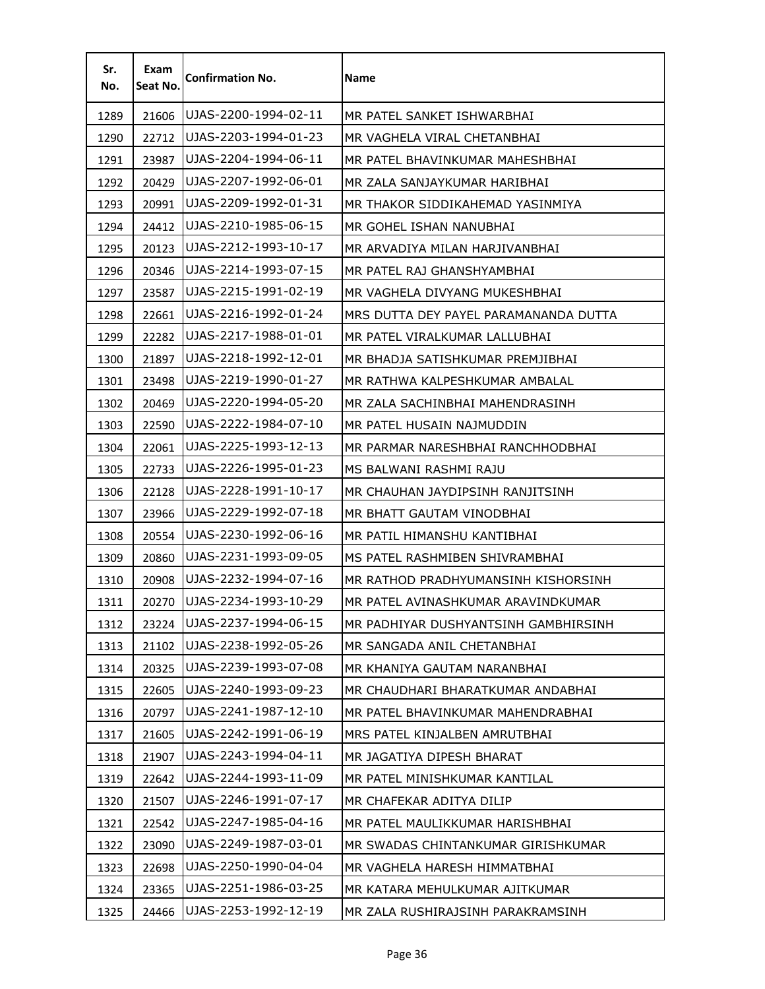| Sr.<br>No. | Exam<br>Seat No. | <b>Confirmation No.</b> | <b>Name</b>                           |
|------------|------------------|-------------------------|---------------------------------------|
| 1289       | 21606            | UJAS-2200-1994-02-11    | MR PATEL SANKET ISHWARBHAI            |
| 1290       | 22712            | UJAS-2203-1994-01-23    | MR VAGHELA VIRAL CHETANBHAI           |
| 1291       | 23987            | UJAS-2204-1994-06-11    | MR PATEL BHAVINKUMAR MAHESHBHAI       |
| 1292       | 20429            | UJAS-2207-1992-06-01    | MR ZALA SANJAYKUMAR HARIBHAI          |
| 1293       | 20991            | UJAS-2209-1992-01-31    | MR THAKOR SIDDIKAHEMAD YASINMIYA      |
| 1294       | 24412            | UJAS-2210-1985-06-15    | MR GOHEL ISHAN NANUBHAI               |
| 1295       | 20123            | UJAS-2212-1993-10-17    | MR ARVADIYA MILAN HARJIVANBHAI        |
| 1296       | 20346            | UJAS-2214-1993-07-15    | MR PATEL RAJ GHANSHYAMBHAI            |
| 1297       | 23587            | UJAS-2215-1991-02-19    | MR VAGHELA DIVYANG MUKESHBHAI         |
| 1298       | 22661            | UJAS-2216-1992-01-24    | MRS DUTTA DEY PAYEL PARAMANANDA DUTTA |
| 1299       | 22282            | UJAS-2217-1988-01-01    | MR PATEL VIRALKUMAR LALLUBHAI         |
| 1300       | 21897            | UJAS-2218-1992-12-01    | MR BHADJA SATISHKUMAR PREMJIBHAI      |
| 1301       | 23498            | UJAS-2219-1990-01-27    | MR RATHWA KALPESHKUMAR AMBALAL        |
| 1302       | 20469            | UJAS-2220-1994-05-20    | MR ZALA SACHINBHAI MAHENDRASINH       |
| 1303       | 22590            | UJAS-2222-1984-07-10    | MR PATEL HUSAIN NAJMUDDIN             |
| 1304       | 22061            | UJAS-2225-1993-12-13    | MR PARMAR NARESHBHAI RANCHHODBHAI     |
| 1305       | 22733            | UJAS-2226-1995-01-23    | MS BALWANI RASHMI RAJU                |
| 1306       | 22128            | UJAS-2228-1991-10-17    | MR CHAUHAN JAYDIPSINH RANJITSINH      |
| 1307       | 23966            | UJAS-2229-1992-07-18    | MR BHATT GAUTAM VINODBHAI             |
| 1308       | 20554            | UJAS-2230-1992-06-16    | MR PATIL HIMANSHU KANTIBHAI           |
| 1309       | 20860            | UJAS-2231-1993-09-05    | MS PATEL RASHMIBEN SHIVRAMBHAI        |
| 1310       | 20908            | UJAS-2232-1994-07-16    | MR RATHOD PRADHYUMANSINH KISHORSINH   |
| 1311       | 20270            | UJAS-2234-1993-10-29    | MR PATEL AVINASHKUMAR ARAVINDKUMAR    |
| 1312       | 23224            | UJAS-2237-1994-06-15    | MR PADHIYAR DUSHYANTSINH GAMBHIRSINH  |
| 1313       | 21102            | UJAS-2238-1992-05-26    | MR SANGADA ANIL CHETANBHAI            |
| 1314       | 20325            | UJAS-2239-1993-07-08    | MR KHANIYA GAUTAM NARANBHAI           |
| 1315       | 22605            | UJAS-2240-1993-09-23    | MR CHAUDHARI BHARATKUMAR ANDABHAI     |
| 1316       | 20797            | UJAS-2241-1987-12-10    | MR PATEL BHAVINKUMAR MAHENDRABHAI     |
| 1317       | 21605            | UJAS-2242-1991-06-19    | MRS PATEL KINJALBEN AMRUTBHAI         |
| 1318       | 21907            | UJAS-2243-1994-04-11    | MR JAGATIYA DIPESH BHARAT             |
| 1319       | 22642            | UJAS-2244-1993-11-09    | MR PATEL MINISHKUMAR KANTILAL         |
| 1320       | 21507            | UJAS-2246-1991-07-17    | MR CHAFEKAR ADITYA DILIP              |
| 1321       | 22542            | UJAS-2247-1985-04-16    | MR PATEL MAULIKKUMAR HARISHBHAI       |
| 1322       | 23090            | UJAS-2249-1987-03-01    | MR SWADAS CHINTANKUMAR GIRISHKUMAR    |
| 1323       | 22698            | UJAS-2250-1990-04-04    | MR VAGHELA HARESH HIMMATBHAI          |
| 1324       | 23365            | UJAS-2251-1986-03-25    | MR KATARA MEHULKUMAR AJITKUMAR        |
| 1325       | 24466            | UJAS-2253-1992-12-19    | MR ZALA RUSHIRAJSINH PARAKRAMSINH     |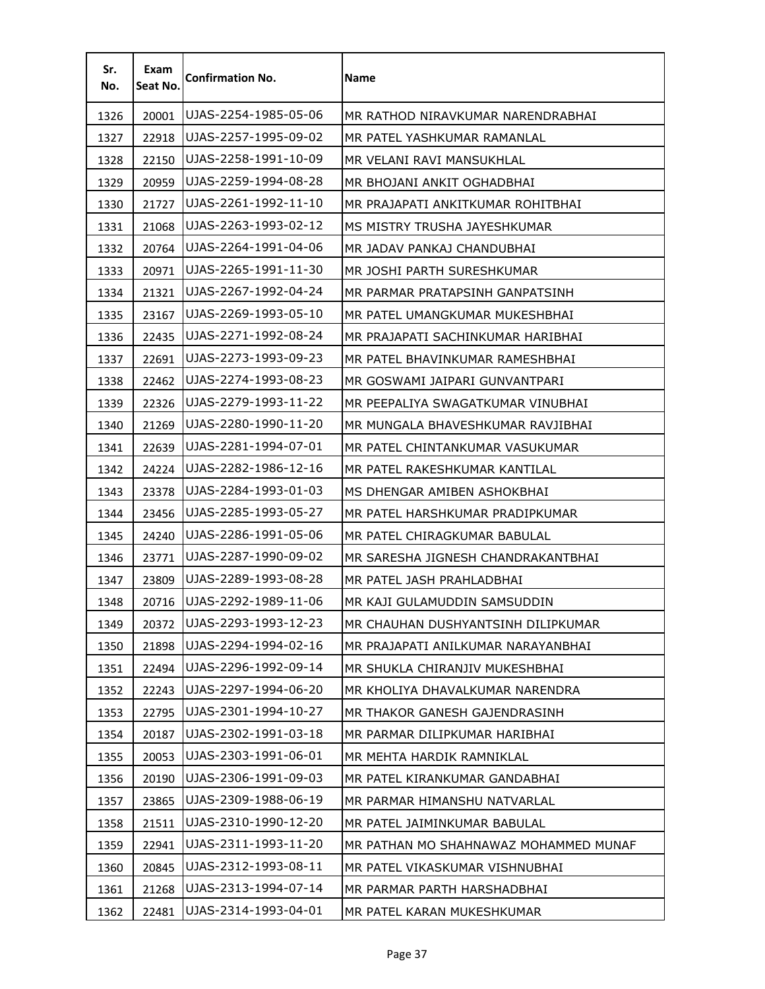| Sr.<br>No. | Exam<br>Seat No. | <b>Confirmation No.</b> | <b>Name</b>                           |
|------------|------------------|-------------------------|---------------------------------------|
| 1326       | 20001            | UJAS-2254-1985-05-06    | MR RATHOD NIRAVKUMAR NARENDRABHAI     |
| 1327       | 22918            | UJAS-2257-1995-09-02    | MR PATEL YASHKUMAR RAMANLAL           |
| 1328       | 22150            | UJAS-2258-1991-10-09    | MR VELANI RAVI MANSUKHLAL             |
| 1329       | 20959            | UJAS-2259-1994-08-28    | MR BHOJANI ANKIT OGHADBHAI            |
| 1330       | 21727            | UJAS-2261-1992-11-10    | MR PRAJAPATI ANKITKUMAR ROHITBHAI     |
| 1331       | 21068            | UJAS-2263-1993-02-12    | MS MISTRY TRUSHA JAYESHKUMAR          |
| 1332       | 20764            | UJAS-2264-1991-04-06    | MR JADAV PANKAJ CHANDUBHAI            |
| 1333       | 20971            | UJAS-2265-1991-11-30    | MR JOSHI PARTH SURESHKUMAR            |
| 1334       | 21321            | UJAS-2267-1992-04-24    | MR PARMAR PRATAPSINH GANPATSINH       |
| 1335       | 23167            | UJAS-2269-1993-05-10    | MR PATEL UMANGKUMAR MUKESHBHAI        |
| 1336       | 22435            | UJAS-2271-1992-08-24    | MR PRAJAPATI SACHINKUMAR HARIBHAI     |
| 1337       | 22691            | UJAS-2273-1993-09-23    | MR PATEL BHAVINKUMAR RAMESHBHAI       |
| 1338       | 22462            | UJAS-2274-1993-08-23    | MR GOSWAMI JAIPARI GUNVANTPARI        |
| 1339       | 22326            | UJAS-2279-1993-11-22    | MR PEEPALIYA SWAGATKUMAR VINUBHAI     |
| 1340       | 21269            | UJAS-2280-1990-11-20    | MR MUNGALA BHAVESHKUMAR RAVJIBHAI     |
| 1341       | 22639            | UJAS-2281-1994-07-01    | MR PATEL CHINTANKUMAR VASUKUMAR       |
| 1342       | 24224            | UJAS-2282-1986-12-16    | MR PATEL RAKESHKUMAR KANTILAL         |
| 1343       | 23378            | UJAS-2284-1993-01-03    | MS DHENGAR AMIBEN ASHOKBHAI           |
| 1344       | 23456            | UJAS-2285-1993-05-27    | MR PATEL HARSHKUMAR PRADIPKUMAR       |
| 1345       | 24240            | UJAS-2286-1991-05-06    | MR PATEL CHIRAGKUMAR BABULAL          |
| 1346       | 23771            | UJAS-2287-1990-09-02    | MR SARESHA JIGNESH CHANDRAKANTBHAI    |
| 1347       | 23809            | UJAS-2289-1993-08-28    | MR PATEL JASH PRAHLADBHAI             |
| 1348       | 20716            | UJAS-2292-1989-11-06    | MR KAJI GULAMUDDIN SAMSUDDIN          |
| 1349       | 20372            | UJAS-2293-1993-12-23    | MR CHAUHAN DUSHYANTSINH DILIPKUMAR    |
| 1350       | 21898            | UJAS-2294-1994-02-16    | MR PRAJAPATI ANILKUMAR NARAYANBHAI    |
| 1351       | 22494            | UJAS-2296-1992-09-14    | MR SHUKLA CHIRANJIV MUKESHBHAI        |
| 1352       | 22243            | UJAS-2297-1994-06-20    | MR KHOLIYA DHAVALKUMAR NARENDRA       |
| 1353       | 22795            | UJAS-2301-1994-10-27    | MR THAKOR GANESH GAJENDRASINH         |
| 1354       | 20187            | UJAS-2302-1991-03-18    | MR PARMAR DILIPKUMAR HARIBHAI         |
| 1355       | 20053            | UJAS-2303-1991-06-01    | MR MEHTA HARDIK RAMNIKLAL             |
| 1356       | 20190            | UJAS-2306-1991-09-03    | MR PATEL KIRANKUMAR GANDABHAI         |
| 1357       | 23865            | UJAS-2309-1988-06-19    | MR PARMAR HIMANSHU NATVARLAL          |
| 1358       | 21511            | UJAS-2310-1990-12-20    | MR PATEL JAIMINKUMAR BABULAL          |
| 1359       | 22941            | UJAS-2311-1993-11-20    | MR PATHAN MO SHAHNAWAZ MOHAMMED MUNAF |
| 1360       | 20845            | UJAS-2312-1993-08-11    | MR PATEL VIKASKUMAR VISHNUBHAI        |
| 1361       | 21268            | UJAS-2313-1994-07-14    | MR PARMAR PARTH HARSHADBHAI           |
| 1362       | 22481            | UJAS-2314-1993-04-01    | MR PATEL KARAN MUKESHKUMAR            |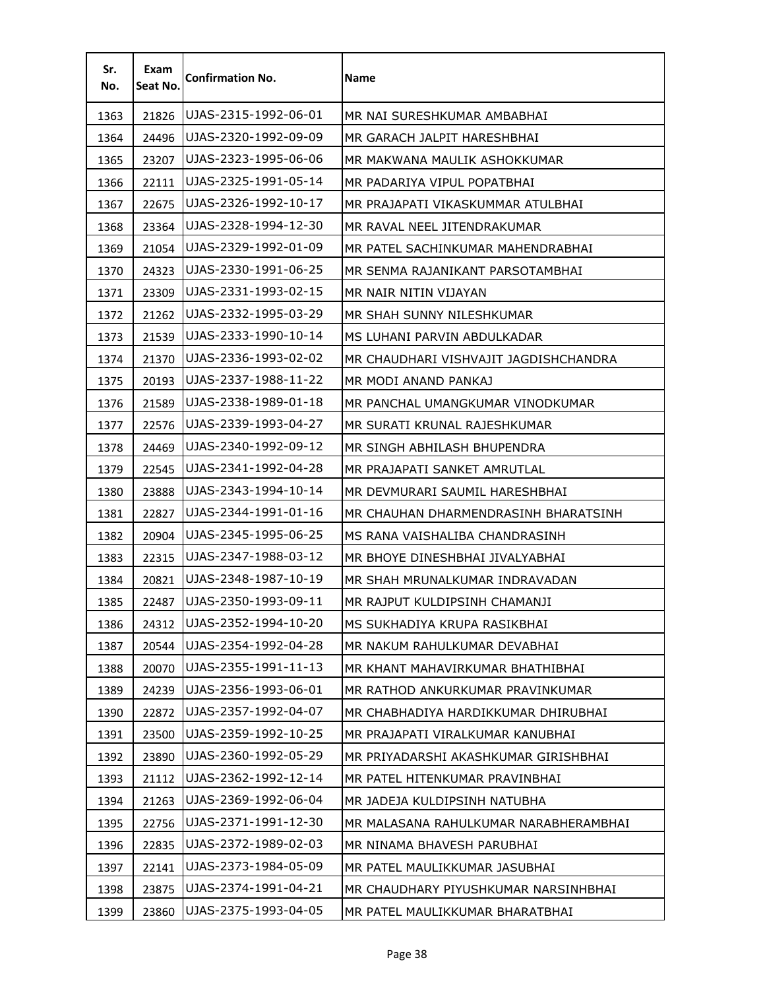| Sr.<br>No. | Exam<br>Seat No. | <b>Confirmation No.</b> | <b>Name</b>                           |
|------------|------------------|-------------------------|---------------------------------------|
| 1363       | 21826            | UJAS-2315-1992-06-01    | MR NAI SURESHKUMAR AMBABHAI           |
| 1364       | 24496            | UJAS-2320-1992-09-09    | MR GARACH JALPIT HARESHBHAI           |
| 1365       | 23207            | UJAS-2323-1995-06-06    | MR MAKWANA MAULIK ASHOKKUMAR          |
| 1366       | 22111            | UJAS-2325-1991-05-14    | MR PADARIYA VIPUL POPATBHAI           |
| 1367       | 22675            | UJAS-2326-1992-10-17    | MR PRAJAPATI VIKASKUMMAR ATULBHAI     |
| 1368       | 23364            | UJAS-2328-1994-12-30    | MR RAVAL NEEL JITENDRAKUMAR           |
| 1369       | 21054            | UJAS-2329-1992-01-09    | MR PATEL SACHINKUMAR MAHENDRABHAI     |
| 1370       | 24323            | UJAS-2330-1991-06-25    | MR SENMA RAJANIKANT PARSOTAMBHAI      |
| 1371       | 23309            | UJAS-2331-1993-02-15    | MR NAIR NITIN VIJAYAN                 |
| 1372       | 21262            | UJAS-2332-1995-03-29    | MR SHAH SUNNY NILESHKUMAR             |
| 1373       | 21539            | UJAS-2333-1990-10-14    | MS LUHANI PARVIN ABDULKADAR           |
| 1374       | 21370            | UJAS-2336-1993-02-02    | MR CHAUDHARI VISHVAJIT JAGDISHCHANDRA |
| 1375       | 20193            | UJAS-2337-1988-11-22    | MR MODI ANAND PANKAJ                  |
| 1376       | 21589            | UJAS-2338-1989-01-18    | MR PANCHAL UMANGKUMAR VINODKUMAR      |
| 1377       | 22576            | UJAS-2339-1993-04-27    | MR SURATI KRUNAL RAJESHKUMAR          |
| 1378       | 24469            | UJAS-2340-1992-09-12    | MR SINGH ABHILASH BHUPENDRA           |
| 1379       | 22545            | UJAS-2341-1992-04-28    | MR PRAJAPATI SANKET AMRUTLAL          |
| 1380       | 23888            | UJAS-2343-1994-10-14    | MR DEVMURARI SAUMIL HARESHBHAI        |
| 1381       | 22827            | UJAS-2344-1991-01-16    | MR CHAUHAN DHARMENDRASINH BHARATSINH  |
| 1382       | 20904            | UJAS-2345-1995-06-25    | MS RANA VAISHALIBA CHANDRASINH        |
| 1383       | 22315            | UJAS-2347-1988-03-12    | MR BHOYE DINESHBHAI JIVALYABHAI       |
| 1384       | 20821            | UJAS-2348-1987-10-19    | MR SHAH MRUNALKUMAR INDRAVADAN        |
| 1385       | 22487            | UJAS-2350-1993-09-11    | MR RAJPUT KULDIPSINH CHAMANJI         |
| 1386       | 24312            | UJAS-2352-1994-10-20    | MS SUKHADIYA KRUPA RASIKBHAI          |
| 1387       | 20544            | UJAS-2354-1992-04-28    | MR NAKUM RAHULKUMAR DEVABHAI          |
| 1388       | 20070            | UJAS-2355-1991-11-13    | MR KHANT MAHAVIRKUMAR BHATHIBHAI      |
| 1389       | 24239            | UJAS-2356-1993-06-01    | MR RATHOD ANKURKUMAR PRAVINKUMAR      |
| 1390       | 22872            | UJAS-2357-1992-04-07    | MR CHABHADIYA HARDIKKUMAR DHIRUBHAI   |
| 1391       | 23500            | UJAS-2359-1992-10-25    | MR PRAJAPATI VIRALKUMAR KANUBHAI      |
| 1392       | 23890            | UJAS-2360-1992-05-29    | MR PRIYADARSHI AKASHKUMAR GIRISHBHAI  |
| 1393       | 21112            | UJAS-2362-1992-12-14    | MR PATEL HITENKUMAR PRAVINBHAI        |
| 1394       | 21263            | UJAS-2369-1992-06-04    | MR JADEJA KULDIPSINH NATUBHA          |
| 1395       | 22756            | UJAS-2371-1991-12-30    | MR MALASANA RAHULKUMAR NARABHERAMBHAI |
| 1396       | 22835            | UJAS-2372-1989-02-03    | MR NINAMA BHAVESH PARUBHAI            |
| 1397       | 22141            | UJAS-2373-1984-05-09    | MR PATEL MAULIKKUMAR JASUBHAI         |
| 1398       | 23875            | UJAS-2374-1991-04-21    | MR CHAUDHARY PIYUSHKUMAR NARSINHBHAI  |
| 1399       | 23860            | UJAS-2375-1993-04-05    | MR PATEL MAULIKKUMAR BHARATBHAI       |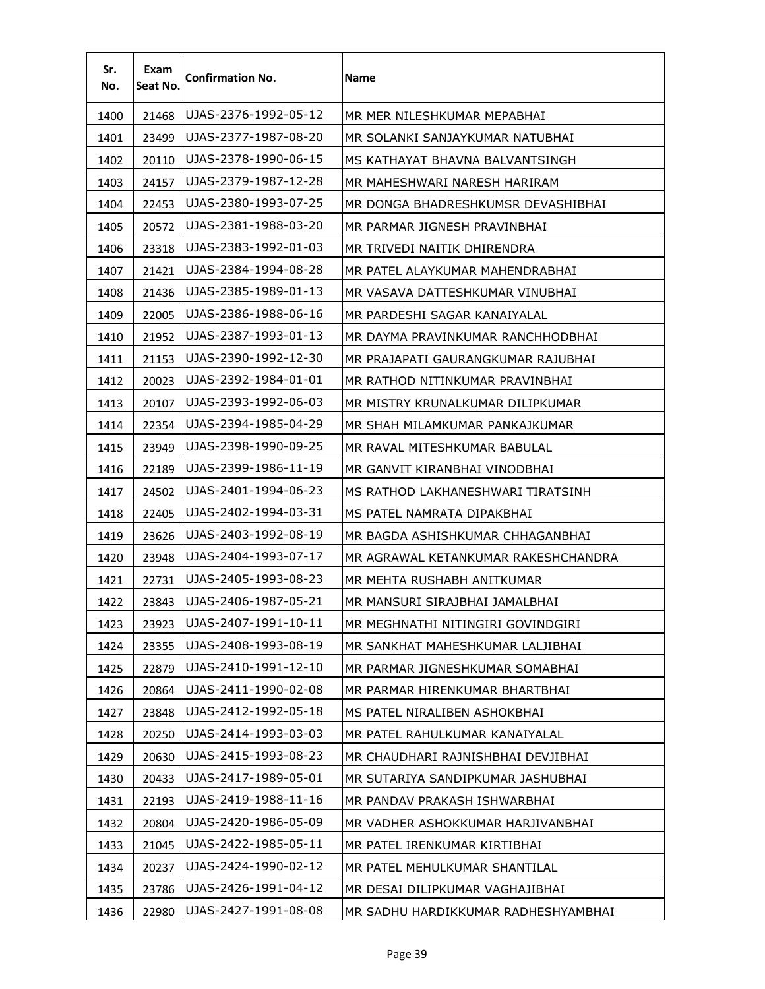| Sr.<br>No. | Exam<br>Seat No. | <b>Confirmation No.</b> | Name                                |
|------------|------------------|-------------------------|-------------------------------------|
| 1400       | 21468            | UJAS-2376-1992-05-12    | MR MER NILESHKUMAR MEPABHAI         |
| 1401       | 23499            | UJAS-2377-1987-08-20    | MR SOLANKI SANJAYKUMAR NATUBHAI     |
| 1402       | 20110            | UJAS-2378-1990-06-15    | MS KATHAYAT BHAVNA BALVANTSINGH     |
| 1403       | 24157            | UJAS-2379-1987-12-28    | MR MAHESHWARI NARESH HARIRAM        |
| 1404       | 22453            | UJAS-2380-1993-07-25    | MR DONGA BHADRESHKUMSR DEVASHIBHAI  |
| 1405       | 20572            | UJAS-2381-1988-03-20    | MR PARMAR JIGNESH PRAVINBHAI        |
| 1406       | 23318            | UJAS-2383-1992-01-03    | MR TRIVEDI NAITIK DHIRENDRA         |
| 1407       | 21421            | UJAS-2384-1994-08-28    | MR PATEL ALAYKUMAR MAHENDRABHAI     |
| 1408       | 21436            | UJAS-2385-1989-01-13    | MR VASAVA DATTESHKUMAR VINUBHAI     |
| 1409       | 22005            | UJAS-2386-1988-06-16    | MR PARDESHI SAGAR KANAIYALAL        |
| 1410       | 21952            | UJAS-2387-1993-01-13    | MR DAYMA PRAVINKUMAR RANCHHODBHAI   |
| 1411       | 21153            | UJAS-2390-1992-12-30    | MR PRAJAPATI GAURANGKUMAR RAJUBHAI  |
| 1412       | 20023            | UJAS-2392-1984-01-01    | MR RATHOD NITINKUMAR PRAVINBHAI     |
| 1413       | 20107            | UJAS-2393-1992-06-03    | MR MISTRY KRUNALKUMAR DILIPKUMAR    |
| 1414       | 22354            | UJAS-2394-1985-04-29    | MR SHAH MILAMKUMAR PANKAJKUMAR      |
| 1415       | 23949            | UJAS-2398-1990-09-25    | MR RAVAL MITESHKUMAR BABULAL        |
| 1416       | 22189            | UJAS-2399-1986-11-19    | MR GANVIT KIRANBHAI VINODBHAI       |
| 1417       | 24502            | UJAS-2401-1994-06-23    | MS RATHOD LAKHANESHWARI TIRATSINH   |
| 1418       | 22405            | UJAS-2402-1994-03-31    | MS PATEL NAMRATA DIPAKBHAI          |
| 1419       | 23626            | UJAS-2403-1992-08-19    | MR BAGDA ASHISHKUMAR CHHAGANBHAI    |
| 1420       | 23948            | UJAS-2404-1993-07-17    | MR AGRAWAL KETANKUMAR RAKESHCHANDRA |
| 1421       | 22731            | UJAS-2405-1993-08-23    | MR MEHTA RUSHABH ANITKUMAR          |
| 1422       | 23843            | UJAS-2406-1987-05-21    | MR MANSURI SIRAJBHAI JAMALBHAI      |
| 1423       | 23923            | UJAS-2407-1991-10-11    | MR MEGHNATHI NITINGIRI GOVINDGIRI   |
| 1424       | 23355            | UJAS-2408-1993-08-19    | MR SANKHAT MAHESHKUMAR LALJIBHAI    |
| 1425       | 22879            | UJAS-2410-1991-12-10    | MR PARMAR JIGNESHKUMAR SOMABHAI     |
| 1426       | 20864            | UJAS-2411-1990-02-08    | MR PARMAR HIRENKUMAR BHARTBHAI      |
| 1427       | 23848            | UJAS-2412-1992-05-18    | MS PATEL NIRALIBEN ASHOKBHAI        |
| 1428       | 20250            | UJAS-2414-1993-03-03    | MR PATEL RAHULKUMAR KANAIYALAL      |
| 1429       | 20630            | UJAS-2415-1993-08-23    | MR CHAUDHARI RAJNISHBHAI DEVJIBHAI  |
| 1430       | 20433            | UJAS-2417-1989-05-01    | MR SUTARIYA SANDIPKUMAR JASHUBHAI   |
| 1431       | 22193            | UJAS-2419-1988-11-16    | MR PANDAV PRAKASH ISHWARBHAI        |
| 1432       | 20804            | UJAS-2420-1986-05-09    | MR VADHER ASHOKKUMAR HARJIVANBHAI   |
| 1433       | 21045            | UJAS-2422-1985-05-11    | MR PATEL IRENKUMAR KIRTIBHAI        |
| 1434       | 20237            | UJAS-2424-1990-02-12    | MR PATEL MEHULKUMAR SHANTILAL       |
| 1435       | 23786            | UJAS-2426-1991-04-12    | MR DESAI DILIPKUMAR VAGHAJIBHAI     |
| 1436       | 22980            | UJAS-2427-1991-08-08    | MR SADHU HARDIKKUMAR RADHESHYAMBHAI |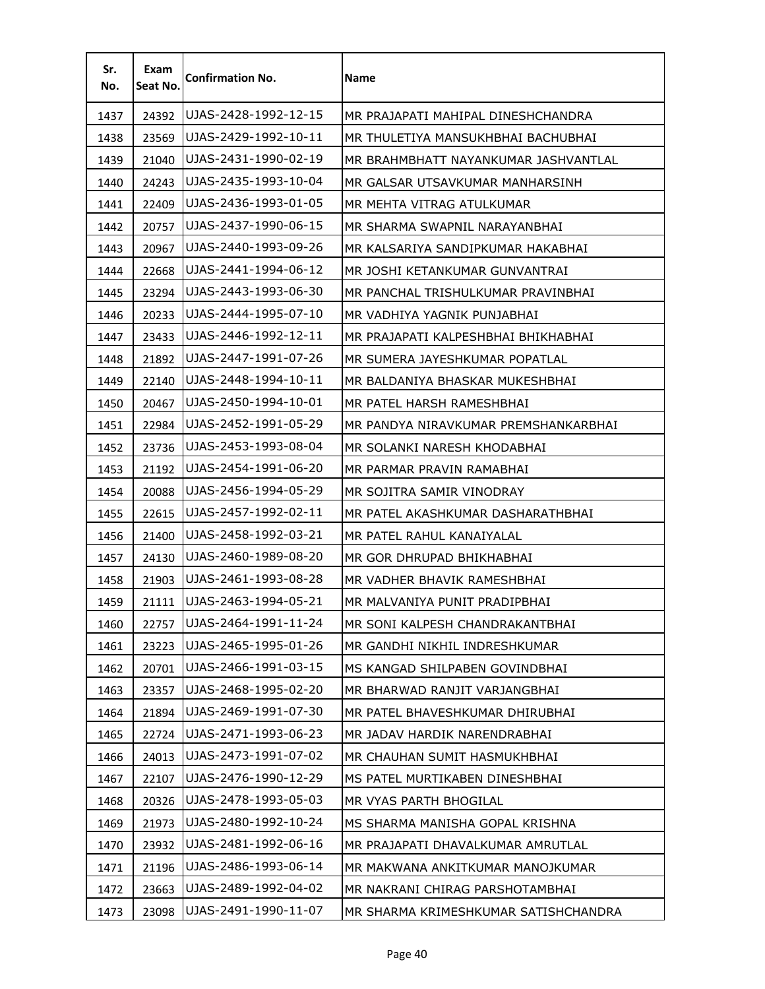| Sr.<br>No. | Exam<br>Seat No. | <b>Confirmation No.</b> | Name                                 |
|------------|------------------|-------------------------|--------------------------------------|
| 1437       | 24392            | UJAS-2428-1992-12-15    | MR PRAJAPATI MAHIPAL DINESHCHANDRA   |
| 1438       | 23569            | UJAS-2429-1992-10-11    | MR THULETIYA MANSUKHBHAI BACHUBHAI   |
| 1439       | 21040            | UJAS-2431-1990-02-19    | MR BRAHMBHATT NAYANKUMAR JASHVANTLAL |
| 1440       | 24243            | UJAS-2435-1993-10-04    | MR GALSAR UTSAVKUMAR MANHARSINH      |
| 1441       | 22409            | UJAS-2436-1993-01-05    | MR MEHTA VITRAG ATULKUMAR            |
| 1442       | 20757            | UJAS-2437-1990-06-15    | MR SHARMA SWAPNIL NARAYANBHAI        |
| 1443       | 20967            | UJAS-2440-1993-09-26    | MR KALSARIYA SANDIPKUMAR HAKABHAI    |
| 1444       | 22668            | UJAS-2441-1994-06-12    | MR JOSHI KETANKUMAR GUNVANTRAI       |
| 1445       | 23294            | UJAS-2443-1993-06-30    | MR PANCHAL TRISHULKUMAR PRAVINBHAI   |
| 1446       | 20233            | UJAS-2444-1995-07-10    | MR VADHIYA YAGNIK PUNJABHAI          |
| 1447       | 23433            | UJAS-2446-1992-12-11    | MR PRAJAPATI KALPESHBHAI BHIKHABHAI  |
| 1448       | 21892            | UJAS-2447-1991-07-26    | MR SUMERA JAYESHKUMAR POPATLAL       |
| 1449       | 22140            | UJAS-2448-1994-10-11    | MR BALDANIYA BHASKAR MUKESHBHAI      |
| 1450       | 20467            | UJAS-2450-1994-10-01    | MR PATEL HARSH RAMESHBHAI            |
| 1451       | 22984            | UJAS-2452-1991-05-29    | MR PANDYA NIRAVKUMAR PREMSHANKARBHAI |
| 1452       | 23736            | UJAS-2453-1993-08-04    | MR SOLANKI NARESH KHODABHAI          |
| 1453       | 21192            | UJAS-2454-1991-06-20    | MR PARMAR PRAVIN RAMABHAI            |
| 1454       | 20088            | UJAS-2456-1994-05-29    | MR SOJITRA SAMIR VINODRAY            |
| 1455       | 22615            | UJAS-2457-1992-02-11    | MR PATEL AKASHKUMAR DASHARATHBHAI    |
| 1456       | 21400            | UJAS-2458-1992-03-21    | MR PATEL RAHUL KANAIYALAL            |
| 1457       | 24130            | UJAS-2460-1989-08-20    | MR GOR DHRUPAD BHIKHABHAI            |
| 1458       | 21903            | UJAS-2461-1993-08-28    | MR VADHER BHAVIK RAMESHBHAI          |
| 1459       | 21111            | UJAS-2463-1994-05-21    | MR MALVANIYA PUNIT PRADIPBHAI        |
| 1460       | 22757            | UJAS-2464-1991-11-24    | MR SONI KALPESH CHANDRAKANTBHAI      |
| 1461       | 23223            | UJAS-2465-1995-01-26    | MR GANDHI NIKHIL INDRESHKUMAR        |
| 1462       | 20701            | UJAS-2466-1991-03-15    | MS KANGAD SHILPABEN GOVINDBHAI       |
| 1463       | 23357            | UJAS-2468-1995-02-20    | MR BHARWAD RANJIT VARJANGBHAI        |
| 1464       | 21894            | UJAS-2469-1991-07-30    | MR PATEL BHAVESHKUMAR DHIRUBHAI      |
| 1465       | 22724            | UJAS-2471-1993-06-23    | MR JADAV HARDIK NARENDRABHAI         |
| 1466       | 24013            | UJAS-2473-1991-07-02    | MR CHAUHAN SUMIT HASMUKHBHAI         |
| 1467       | 22107            | UJAS-2476-1990-12-29    | MS PATEL MURTIKABEN DINESHBHAI       |
| 1468       | 20326            | UJAS-2478-1993-05-03    | MR VYAS PARTH BHOGILAL               |
| 1469       | 21973            | UJAS-2480-1992-10-24    | MS SHARMA MANISHA GOPAL KRISHNA      |
| 1470       | 23932            | UJAS-2481-1992-06-16    | MR PRAJAPATI DHAVALKUMAR AMRUTLAL    |
| 1471       | 21196            | UJAS-2486-1993-06-14    | MR MAKWANA ANKITKUMAR MANOJKUMAR     |
| 1472       | 23663            | UJAS-2489-1992-04-02    | MR NAKRANI CHIRAG PARSHOTAMBHAI      |
| 1473       | 23098            | UJAS-2491-1990-11-07    | MR SHARMA KRIMESHKUMAR SATISHCHANDRA |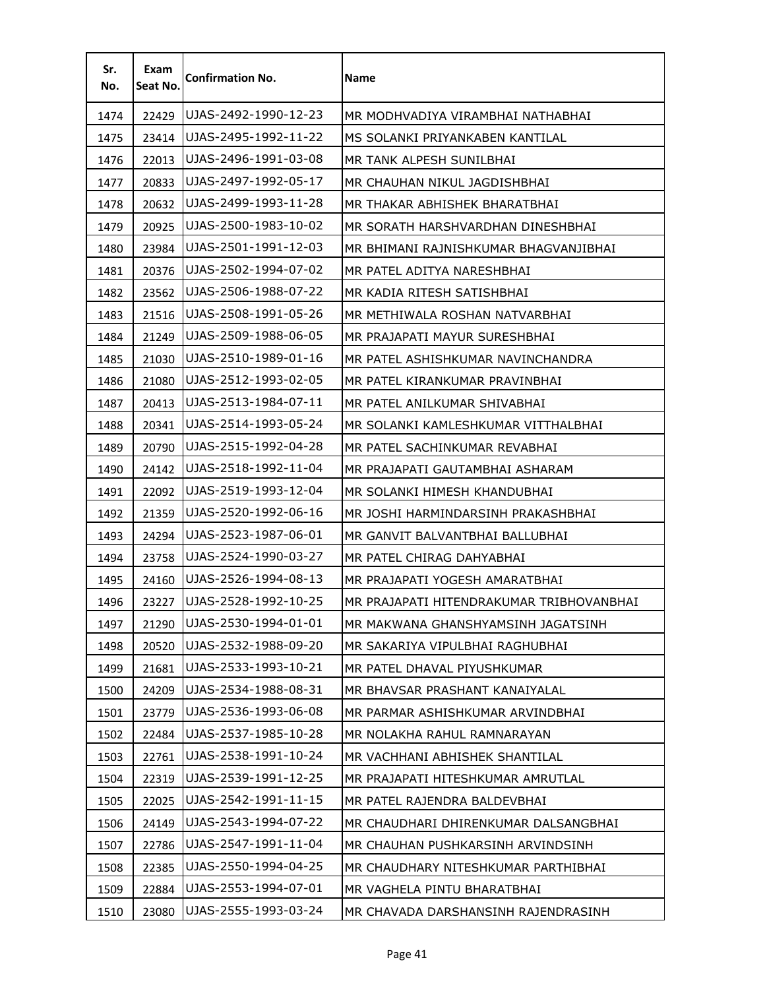| Sr.<br>No. | Exam<br>Seat No. | <b>Confirmation No.</b> | Name                                     |
|------------|------------------|-------------------------|------------------------------------------|
| 1474       | 22429            | UJAS-2492-1990-12-23    | MR MODHVADIYA VIRAMBHAI NATHABHAI        |
| 1475       | 23414            | UJAS-2495-1992-11-22    | MS SOLANKI PRIYANKABEN KANTILAL          |
| 1476       | 22013            | UJAS-2496-1991-03-08    | MR TANK ALPESH SUNILBHAI                 |
| 1477       | 20833            | UJAS-2497-1992-05-17    | MR CHAUHAN NIKUL JAGDISHBHAI             |
| 1478       | 20632            | UJAS-2499-1993-11-28    | MR THAKAR ABHISHEK BHARATBHAI            |
| 1479       | 20925            | UJAS-2500-1983-10-02    | MR SORATH HARSHVARDHAN DINESHBHAI        |
| 1480       | 23984            | UJAS-2501-1991-12-03    | MR BHIMANI RAJNISHKUMAR BHAGVANJIBHAI    |
| 1481       | 20376            | UJAS-2502-1994-07-02    | MR PATEL ADITYA NARESHBHAI               |
| 1482       | 23562            | UJAS-2506-1988-07-22    | MR KADIA RITESH SATISHBHAI               |
| 1483       | 21516            | UJAS-2508-1991-05-26    | MR METHIWALA ROSHAN NATVARBHAI           |
| 1484       | 21249            | UJAS-2509-1988-06-05    | MR PRAJAPATI MAYUR SURESHBHAI            |
| 1485       | 21030            | UJAS-2510-1989-01-16    | MR PATEL ASHISHKUMAR NAVINCHANDRA        |
| 1486       | 21080            | UJAS-2512-1993-02-05    | MR PATEL KIRANKUMAR PRAVINBHAI           |
| 1487       | 20413            | UJAS-2513-1984-07-11    | MR PATEL ANILKUMAR SHIVABHAI             |
| 1488       | 20341            | UJAS-2514-1993-05-24    | MR SOLANKI KAMLESHKUMAR VITTHALBHAI      |
| 1489       | 20790            | UJAS-2515-1992-04-28    | MR PATEL SACHINKUMAR REVABHAI            |
| 1490       | 24142            | UJAS-2518-1992-11-04    | MR PRAJAPATI GAUTAMBHAI ASHARAM          |
| 1491       | 22092            | UJAS-2519-1993-12-04    | MR SOLANKI HIMESH KHANDUBHAI             |
| 1492       | 21359            | UJAS-2520-1992-06-16    | MR JOSHI HARMINDARSINH PRAKASHBHAI       |
| 1493       | 24294            | UJAS-2523-1987-06-01    | MR GANVIT BALVANTBHAI BALLUBHAI          |
| 1494       | 23758            | UJAS-2524-1990-03-27    | MR PATEL CHIRAG DAHYABHAI                |
| 1495       | 24160            | UJAS-2526-1994-08-13    | MR PRAJAPATI YOGESH AMARATBHAI           |
| 1496       | 23227            | UJAS-2528-1992-10-25    | MR PRAJAPATI HITENDRAKUMAR TRIBHOVANBHAI |
| 1497       | 21290            | UJAS-2530-1994-01-01    | MR MAKWANA GHANSHYAMSINH JAGATSINH       |
| 1498       | 20520            | UJAS-2532-1988-09-20    | MR SAKARIYA VIPULBHAI RAGHUBHAI          |
| 1499       | 21681            | UJAS-2533-1993-10-21    | MR PATEL DHAVAL PIYUSHKUMAR              |
| 1500       | 24209            | UJAS-2534-1988-08-31    | MR BHAVSAR PRASHANT KANAIYALAL           |
| 1501       | 23779            | UJAS-2536-1993-06-08    | MR PARMAR ASHISHKUMAR ARVINDBHAI         |
| 1502       | 22484            | UJAS-2537-1985-10-28    | MR NOLAKHA RAHUL RAMNARAYAN              |
| 1503       | 22761            | UJAS-2538-1991-10-24    | MR VACHHANI ABHISHEK SHANTILAL           |
| 1504       | 22319            | UJAS-2539-1991-12-25    | MR PRAJAPATI HITESHKUMAR AMRUTLAL        |
| 1505       | 22025            | UJAS-2542-1991-11-15    | MR PATEL RAJENDRA BALDEVBHAI             |
| 1506       | 24149            | UJAS-2543-1994-07-22    | MR CHAUDHARI DHIRENKUMAR DALSANGBHAI     |
| 1507       | 22786            | UJAS-2547-1991-11-04    | MR CHAUHAN PUSHKARSINH ARVINDSINH        |
| 1508       | 22385            | UJAS-2550-1994-04-25    | MR CHAUDHARY NITESHKUMAR PARTHIBHAI      |
| 1509       | 22884            | UJAS-2553-1994-07-01    | MR VAGHELA PINTU BHARATBHAI              |
| 1510       | 23080            | UJAS-2555-1993-03-24    | MR CHAVADA DARSHANSINH RAJENDRASINH      |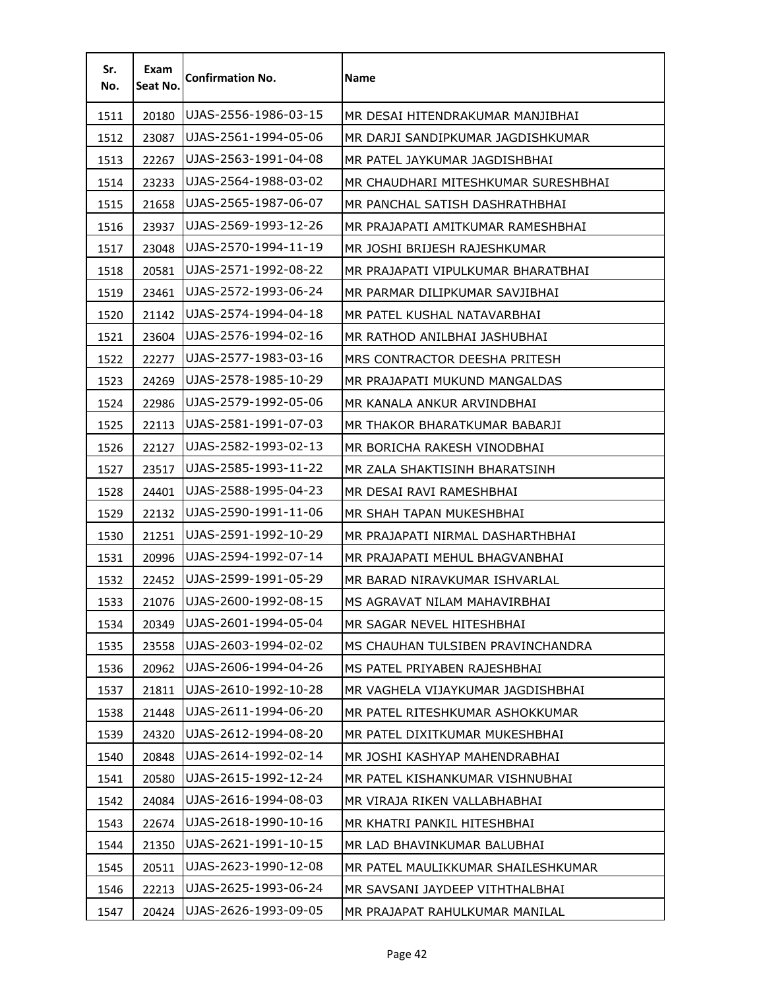| Sr.<br>No. | Exam<br>Seat No. | <b>Confirmation No.</b> | Name                                |
|------------|------------------|-------------------------|-------------------------------------|
| 1511       | 20180            | UJAS-2556-1986-03-15    | MR DESAI HITENDRAKUMAR MANJIBHAI    |
| 1512       | 23087            | UJAS-2561-1994-05-06    | MR DARJI SANDIPKUMAR JAGDISHKUMAR   |
| 1513       | 22267            | UJAS-2563-1991-04-08    | MR PATEL JAYKUMAR JAGDISHBHAI       |
| 1514       | 23233            | UJAS-2564-1988-03-02    | MR CHAUDHARI MITESHKUMAR SURESHBHAI |
| 1515       | 21658            | UJAS-2565-1987-06-07    | MR PANCHAL SATISH DASHRATHBHAI      |
| 1516       | 23937            | UJAS-2569-1993-12-26    | MR PRAJAPATI AMITKUMAR RAMESHBHAI   |
| 1517       | 23048            | UJAS-2570-1994-11-19    | MR JOSHI BRIJESH RAJESHKUMAR        |
| 1518       | 20581            | UJAS-2571-1992-08-22    | MR PRAJAPATI VIPULKUMAR BHARATBHAI  |
| 1519       | 23461            | UJAS-2572-1993-06-24    | MR PARMAR DILIPKUMAR SAVJIBHAI      |
| 1520       | 21142            | UJAS-2574-1994-04-18    | MR PATEL KUSHAL NATAVARBHAI         |
| 1521       | 23604            | UJAS-2576-1994-02-16    | MR RATHOD ANILBHAI JASHUBHAI        |
| 1522       | 22277            | UJAS-2577-1983-03-16    | MRS CONTRACTOR DEESHA PRITESH       |
| 1523       | 24269            | UJAS-2578-1985-10-29    | MR PRAJAPATI MUKUND MANGALDAS       |
| 1524       | 22986            | UJAS-2579-1992-05-06    | MR KANALA ANKUR ARVINDBHAI          |
| 1525       | 22113            | UJAS-2581-1991-07-03    | MR THAKOR BHARATKUMAR BABARJI       |
| 1526       | 22127            | UJAS-2582-1993-02-13    | MR BORICHA RAKESH VINODBHAI         |
| 1527       | 23517            | UJAS-2585-1993-11-22    | MR ZALA SHAKTISINH BHARATSINH       |
| 1528       | 24401            | UJAS-2588-1995-04-23    | MR DESAI RAVI RAMESHBHAI            |
| 1529       | 22132            | UJAS-2590-1991-11-06    | MR SHAH TAPAN MUKESHBHAI            |
| 1530       | 21251            | UJAS-2591-1992-10-29    | MR PRAJAPATI NIRMAL DASHARTHBHAI    |
| 1531       | 20996            | UJAS-2594-1992-07-14    | MR PRAJAPATI MEHUL BHAGVANBHAI      |
| 1532       | 22452            | UJAS-2599-1991-05-29    | MR BARAD NIRAVKUMAR ISHVARLAL       |
| 1533       | 21076            | UJAS-2600-1992-08-15    | MS AGRAVAT NILAM MAHAVIRBHAI        |
| 1534       | 20349            | UJAS-2601-1994-05-04    | MR SAGAR NEVEL HITESHBHAI           |
| 1535       | 23558            | UJAS-2603-1994-02-02    | MS CHAUHAN TULSIBEN PRAVINCHANDRA   |
| 1536       | 20962            | UJAS-2606-1994-04-26    | MS PATEL PRIYABEN RAJESHBHAI        |
| 1537       | 21811            | UJAS-2610-1992-10-28    | MR VAGHELA VIJAYKUMAR JAGDISHBHAI   |
| 1538       | 21448            | UJAS-2611-1994-06-20    | MR PATEL RITESHKUMAR ASHOKKUMAR     |
| 1539       | 24320            | UJAS-2612-1994-08-20    | MR PATEL DIXITKUMAR MUKESHBHAI      |
| 1540       | 20848            | UJAS-2614-1992-02-14    | MR JOSHI KASHYAP MAHENDRABHAI       |
| 1541       | 20580            | UJAS-2615-1992-12-24    | MR PATEL KISHANKUMAR VISHNUBHAI     |
| 1542       | 24084            | UJAS-2616-1994-08-03    | MR VIRAJA RIKEN VALLABHABHAI        |
| 1543       | 22674            | UJAS-2618-1990-10-16    | MR KHATRI PANKIL HITESHBHAI         |
| 1544       | 21350            | UJAS-2621-1991-10-15    | MR LAD BHAVINKUMAR BALUBHAI         |
| 1545       | 20511            | UJAS-2623-1990-12-08    | MR PATEL MAULIKKUMAR SHAILESHKUMAR  |
| 1546       | 22213            | UJAS-2625-1993-06-24    | MR SAVSANI JAYDEEP VITHTHALBHAI     |
| 1547       | 20424            | UJAS-2626-1993-09-05    | MR PRAJAPAT RAHULKUMAR MANILAL      |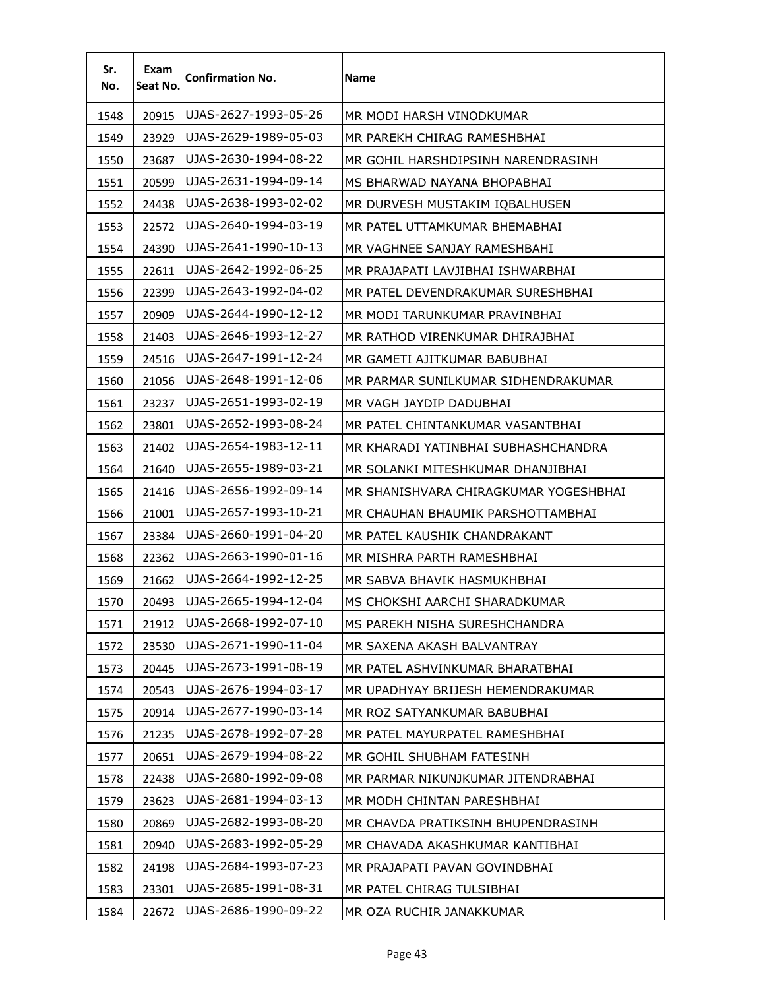| Sr.<br>No. | Exam<br>Seat No. | <b>Confirmation No.</b> | <b>Name</b>                           |
|------------|------------------|-------------------------|---------------------------------------|
| 1548       | 20915            | UJAS-2627-1993-05-26    | MR MODI HARSH VINODKUMAR              |
| 1549       | 23929            | UJAS-2629-1989-05-03    | MR PAREKH CHIRAG RAMESHBHAI           |
| 1550       | 23687            | UJAS-2630-1994-08-22    | MR GOHIL HARSHDIPSINH NARENDRASINH    |
| 1551       | 20599            | UJAS-2631-1994-09-14    | MS BHARWAD NAYANA BHOPABHAI           |
| 1552       | 24438            | UJAS-2638-1993-02-02    | MR DURVESH MUSTAKIM IQBALHUSEN        |
| 1553       | 22572            | UJAS-2640-1994-03-19    | MR PATEL UTTAMKUMAR BHEMABHAI         |
| 1554       | 24390            | UJAS-2641-1990-10-13    | MR VAGHNEE SANJAY RAMESHBAHI          |
| 1555       | 22611            | UJAS-2642-1992-06-25    | MR PRAJAPATI LAVJIBHAI ISHWARBHAI     |
| 1556       | 22399            | UJAS-2643-1992-04-02    | MR PATEL DEVENDRAKUMAR SURESHBHAI     |
| 1557       | 20909            | UJAS-2644-1990-12-12    | MR MODI TARUNKUMAR PRAVINBHAI         |
| 1558       | 21403            | UJAS-2646-1993-12-27    | MR RATHOD VIRENKUMAR DHIRAJBHAI       |
| 1559       | 24516            | UJAS-2647-1991-12-24    | MR GAMETI AJITKUMAR BABUBHAI          |
| 1560       | 21056            | UJAS-2648-1991-12-06    | MR PARMAR SUNILKUMAR SIDHENDRAKUMAR   |
| 1561       | 23237            | UJAS-2651-1993-02-19    | MR VAGH JAYDIP DADUBHAI               |
| 1562       | 23801            | UJAS-2652-1993-08-24    | MR PATEL CHINTANKUMAR VASANTBHAI      |
| 1563       | 21402            | UJAS-2654-1983-12-11    | MR KHARADI YATINBHAI SUBHASHCHANDRA   |
| 1564       | 21640            | UJAS-2655-1989-03-21    | MR SOLANKI MITESHKUMAR DHANJIBHAI     |
| 1565       | 21416            | UJAS-2656-1992-09-14    | MR SHANISHVARA CHIRAGKUMAR YOGESHBHAI |
| 1566       | 21001            | UJAS-2657-1993-10-21    | MR CHAUHAN BHAUMIK PARSHOTTAMBHAI     |
| 1567       | 23384            | UJAS-2660-1991-04-20    | MR PATEL KAUSHIK CHANDRAKANT          |
| 1568       | 22362            | UJAS-2663-1990-01-16    | MR MISHRA PARTH RAMESHBHAI            |
| 1569       | 21662            | UJAS-2664-1992-12-25    | MR SABVA BHAVIK HASMUKHBHAI           |
| 1570       | 20493            | UJAS-2665-1994-12-04    | MS CHOKSHI AARCHI SHARADKUMAR         |
| 1571       | 21912            | UJAS-2668-1992-07-10    | MS PAREKH NISHA SURESHCHANDRA         |
| 1572       | 23530            | UJAS-2671-1990-11-04    | MR SAXENA AKASH BALVANTRAY            |
| 1573       | 20445            | UJAS-2673-1991-08-19    | MR PATEL ASHVINKUMAR BHARATBHAI       |
| 1574       | 20543            | UJAS-2676-1994-03-17    | MR UPADHYAY BRIJESH HEMENDRAKUMAR     |
| 1575       | 20914            | UJAS-2677-1990-03-14    | MR ROZ SATYANKUMAR BABUBHAI           |
| 1576       | 21235            | UJAS-2678-1992-07-28    | MR PATEL MAYURPATEL RAMESHBHAI        |
| 1577       | 20651            | UJAS-2679-1994-08-22    | MR GOHIL SHUBHAM FATESINH             |
| 1578       | 22438            | UJAS-2680-1992-09-08    | MR PARMAR NIKUNJKUMAR JITENDRABHAI    |
| 1579       | 23623            | UJAS-2681-1994-03-13    | MR MODH CHINTAN PARESHBHAI            |
| 1580       | 20869            | UJAS-2682-1993-08-20    | MR CHAVDA PRATIKSINH BHUPENDRASINH    |
| 1581       | 20940            | UJAS-2683-1992-05-29    | MR CHAVADA AKASHKUMAR KANTIBHAI       |
| 1582       | 24198            | UJAS-2684-1993-07-23    | MR PRAJAPATI PAVAN GOVINDBHAI         |
| 1583       | 23301            | UJAS-2685-1991-08-31    | MR PATEL CHIRAG TULSIBHAI             |
| 1584       | 22672            | UJAS-2686-1990-09-22    | MR OZA RUCHIR JANAKKUMAR              |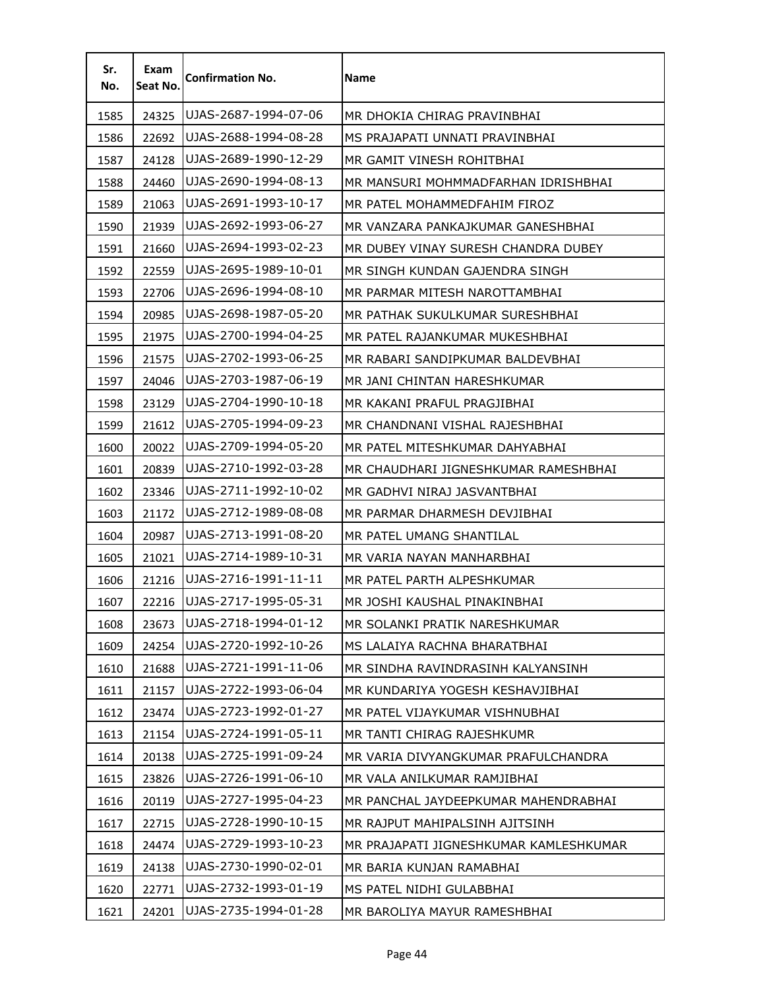| Sr.<br>No. | Exam<br>Seat No. | <b>Confirmation No.</b> | Name                                   |
|------------|------------------|-------------------------|----------------------------------------|
| 1585       | 24325            | UJAS-2687-1994-07-06    | MR DHOKIA CHIRAG PRAVINBHAI            |
| 1586       | 22692            | UJAS-2688-1994-08-28    | MS PRAJAPATI UNNATI PRAVINBHAI         |
| 1587       | 24128            | UJAS-2689-1990-12-29    | MR GAMIT VINESH ROHITBHAI              |
| 1588       | 24460            | UJAS-2690-1994-08-13    | MR MANSURI MOHMMADFARHAN IDRISHBHAI    |
| 1589       | 21063            | UJAS-2691-1993-10-17    | MR PATEL MOHAMMEDFAHIM FIROZ           |
| 1590       | 21939            | UJAS-2692-1993-06-27    | MR VANZARA PANKAJKUMAR GANESHBHAI      |
| 1591       | 21660            | UJAS-2694-1993-02-23    | MR DUBEY VINAY SURESH CHANDRA DUBEY    |
| 1592       | 22559            | UJAS-2695-1989-10-01    | MR SINGH KUNDAN GAJENDRA SINGH         |
| 1593       | 22706            | UJAS-2696-1994-08-10    | MR PARMAR MITESH NAROTTAMBHAI          |
| 1594       | 20985            | UJAS-2698-1987-05-20    | MR PATHAK SUKULKUMAR SURESHBHAI        |
| 1595       | 21975            | UJAS-2700-1994-04-25    | MR PATEL RAJANKUMAR MUKESHBHAI         |
| 1596       | 21575            | UJAS-2702-1993-06-25    | MR RABARI SANDIPKUMAR BALDEVBHAI       |
| 1597       | 24046            | UJAS-2703-1987-06-19    | MR JANI CHINTAN HARESHKUMAR            |
| 1598       | 23129            | UJAS-2704-1990-10-18    | MR KAKANI PRAFUL PRAGJIBHAI            |
| 1599       | 21612            | UJAS-2705-1994-09-23    | MR CHANDNANI VISHAL RAJESHBHAI         |
| 1600       | 20022            | UJAS-2709-1994-05-20    | MR PATEL MITESHKUMAR DAHYABHAI         |
| 1601       | 20839            | UJAS-2710-1992-03-28    | MR CHAUDHARI JIGNESHKUMAR RAMESHBHAI   |
| 1602       | 23346            | UJAS-2711-1992-10-02    | MR GADHVI NIRAJ JASVANTBHAI            |
| 1603       | 21172            | UJAS-2712-1989-08-08    | MR PARMAR DHARMESH DEVJIBHAI           |
| 1604       | 20987            | UJAS-2713-1991-08-20    | MR PATEL UMANG SHANTILAL               |
| 1605       | 21021            | UJAS-2714-1989-10-31    | MR VARIA NAYAN MANHARBHAI              |
| 1606       | 21216            | UJAS-2716-1991-11-11    | MR PATEL PARTH ALPESHKUMAR             |
| 1607       | 22216            | UJAS-2717-1995-05-31    | MR JOSHI KAUSHAL PINAKINBHAI           |
| 1608       | 23673            | UJAS-2718-1994-01-12    | MR SOLANKI PRATIK NARESHKUMAR          |
| 1609       | 24254            | UJAS-2720-1992-10-26    | MS LALAIYA RACHNA BHARATBHAI           |
| 1610       | 21688            | UJAS-2721-1991-11-06    | MR SINDHA RAVINDRASINH KALYANSINH      |
| 1611       | 21157            | UJAS-2722-1993-06-04    | MR KUNDARIYA YOGESH KESHAVJIBHAI       |
| 1612       | 23474            | UJAS-2723-1992-01-27    | MR PATEL VIJAYKUMAR VISHNUBHAI         |
| 1613       | 21154            | UJAS-2724-1991-05-11    | MR TANTI CHIRAG RAJESHKUMR             |
| 1614       | 20138            | UJAS-2725-1991-09-24    | MR VARIA DIVYANGKUMAR PRAFULCHANDRA    |
| 1615       | 23826            | UJAS-2726-1991-06-10    | MR VALA ANILKUMAR RAMJIBHAI            |
| 1616       | 20119            | UJAS-2727-1995-04-23    | MR PANCHAL JAYDEEPKUMAR MAHENDRABHAI   |
| 1617       | 22715            | UJAS-2728-1990-10-15    | MR RAJPUT MAHIPALSINH AJITSINH         |
| 1618       | 24474            | UJAS-2729-1993-10-23    | MR PRAJAPATI JIGNESHKUMAR KAMLESHKUMAR |
| 1619       | 24138            | UJAS-2730-1990-02-01    | MR BARIA KUNJAN RAMABHAI               |
| 1620       | 22771            | UJAS-2732-1993-01-19    | MS PATEL NIDHI GULABBHAI               |
| 1621       | 24201            | UJAS-2735-1994-01-28    | MR BAROLIYA MAYUR RAMESHBHAI           |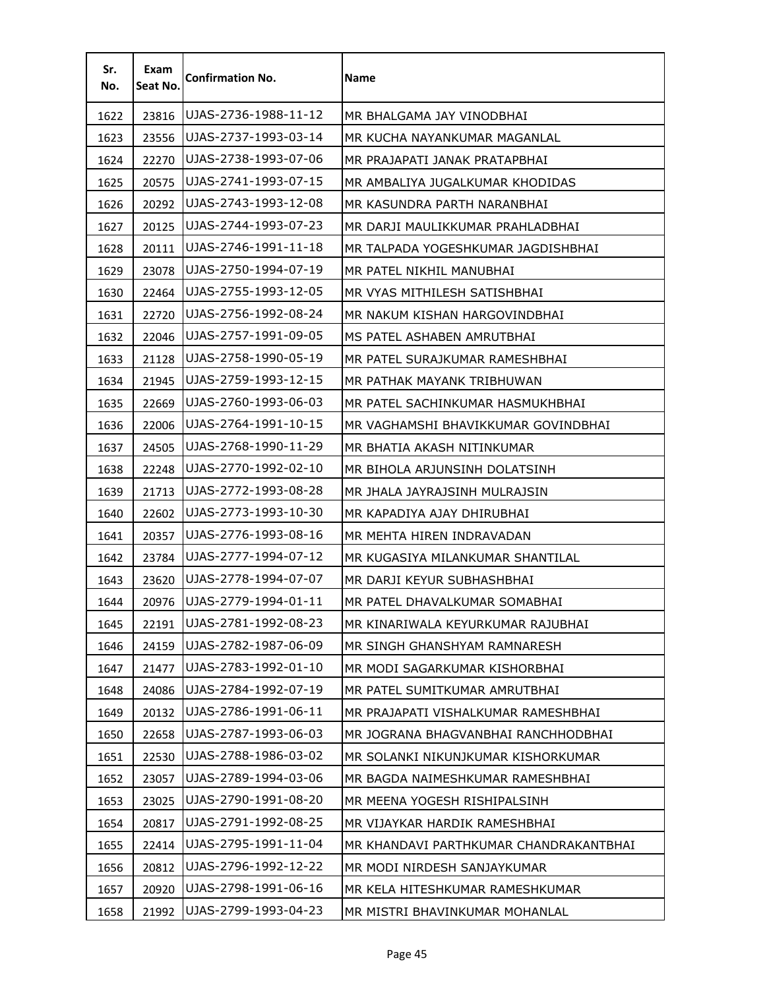| Sr.<br>No. | Exam<br>Seat No. | <b>Confirmation No.</b> | <b>Name</b>                            |
|------------|------------------|-------------------------|----------------------------------------|
| 1622       | 23816            | UJAS-2736-1988-11-12    | MR BHALGAMA JAY VINODBHAI              |
| 1623       | 23556            | UJAS-2737-1993-03-14    | MR KUCHA NAYANKUMAR MAGANLAL           |
| 1624       | 22270            | UJAS-2738-1993-07-06    | MR PRAJAPATI JANAK PRATAPBHAI          |
| 1625       | 20575            | UJAS-2741-1993-07-15    | MR AMBALIYA JUGALKUMAR KHODIDAS        |
| 1626       | 20292            | UJAS-2743-1993-12-08    | MR KASUNDRA PARTH NARANBHAI            |
| 1627       | 20125            | UJAS-2744-1993-07-23    | MR DARJI MAULIKKUMAR PRAHLADBHAI       |
| 1628       | 20111            | UJAS-2746-1991-11-18    | MR TALPADA YOGESHKUMAR JAGDISHBHAI     |
| 1629       | 23078            | UJAS-2750-1994-07-19    | MR PATEL NIKHIL MANUBHAI               |
| 1630       | 22464            | UJAS-2755-1993-12-05    | MR VYAS MITHILESH SATISHBHAI           |
| 1631       | 22720            | UJAS-2756-1992-08-24    | MR NAKUM KISHAN HARGOVINDBHAI          |
| 1632       | 22046            | UJAS-2757-1991-09-05    | MS PATEL ASHABEN AMRUTBHAI             |
| 1633       | 21128            | UJAS-2758-1990-05-19    | MR PATEL SURAJKUMAR RAMESHBHAI         |
| 1634       | 21945            | UJAS-2759-1993-12-15    | MR PATHAK MAYANK TRIBHUWAN             |
| 1635       | 22669            | UJAS-2760-1993-06-03    | MR PATEL SACHINKUMAR HASMUKHBHAI       |
| 1636       | 22006            | UJAS-2764-1991-10-15    | MR VAGHAMSHI BHAVIKKUMAR GOVINDBHAI    |
| 1637       | 24505            | UJAS-2768-1990-11-29    | MR BHATIA AKASH NITINKUMAR             |
| 1638       | 22248            | UJAS-2770-1992-02-10    | MR BIHOLA ARJUNSINH DOLATSINH          |
| 1639       | 21713            | UJAS-2772-1993-08-28    | MR JHALA JAYRAJSINH MULRAJSIN          |
| 1640       | 22602            | UJAS-2773-1993-10-30    | MR KAPADIYA AJAY DHIRUBHAI             |
| 1641       | 20357            | UJAS-2776-1993-08-16    | MR MEHTA HIREN INDRAVADAN              |
| 1642       | 23784            | UJAS-2777-1994-07-12    | MR KUGASIYA MILANKUMAR SHANTILAL       |
| 1643       | 23620            | UJAS-2778-1994-07-07    | MR DARJI KEYUR SUBHASHBHAI             |
| 1644       | 20976            | UJAS-2779-1994-01-11    | MR PATEL DHAVALKUMAR SOMABHAI          |
| 1645       | 22191            | UJAS-2781-1992-08-23    | MR KINARIWALA KEYURKUMAR RAJUBHAI      |
| 1646       | 24159            | UJAS-2782-1987-06-09    | MR SINGH GHANSHYAM RAMNARESH           |
| 1647       | 21477            | UJAS-2783-1992-01-10    | MR MODI SAGARKUMAR KISHORBHAI          |
| 1648       | 24086            | UJAS-2784-1992-07-19    | MR PATEL SUMITKUMAR AMRUTBHAI          |
| 1649       | 20132            | UJAS-2786-1991-06-11    | MR PRAJAPATI VISHALKUMAR RAMESHBHAI    |
| 1650       | 22658            | UJAS-2787-1993-06-03    | MR JOGRANA BHAGVANBHAI RANCHHODBHAI    |
| 1651       | 22530            | UJAS-2788-1986-03-02    | MR SOLANKI NIKUNJKUMAR KISHORKUMAR     |
| 1652       | 23057            | UJAS-2789-1994-03-06    | MR BAGDA NAIMESHKUMAR RAMESHBHAI       |
| 1653       | 23025            | UJAS-2790-1991-08-20    | MR MEENA YOGESH RISHIPALSINH           |
| 1654       | 20817            | UJAS-2791-1992-08-25    | MR VIJAYKAR HARDIK RAMESHBHAI          |
| 1655       | 22414            | UJAS-2795-1991-11-04    | MR KHANDAVI PARTHKUMAR CHANDRAKANTBHAI |
| 1656       | 20812            | UJAS-2796-1992-12-22    | MR MODI NIRDESH SANJAYKUMAR            |
| 1657       | 20920            | UJAS-2798-1991-06-16    | MR KELA HITESHKUMAR RAMESHKUMAR        |
| 1658       | 21992            | UJAS-2799-1993-04-23    | MR MISTRI BHAVINKUMAR MOHANLAL         |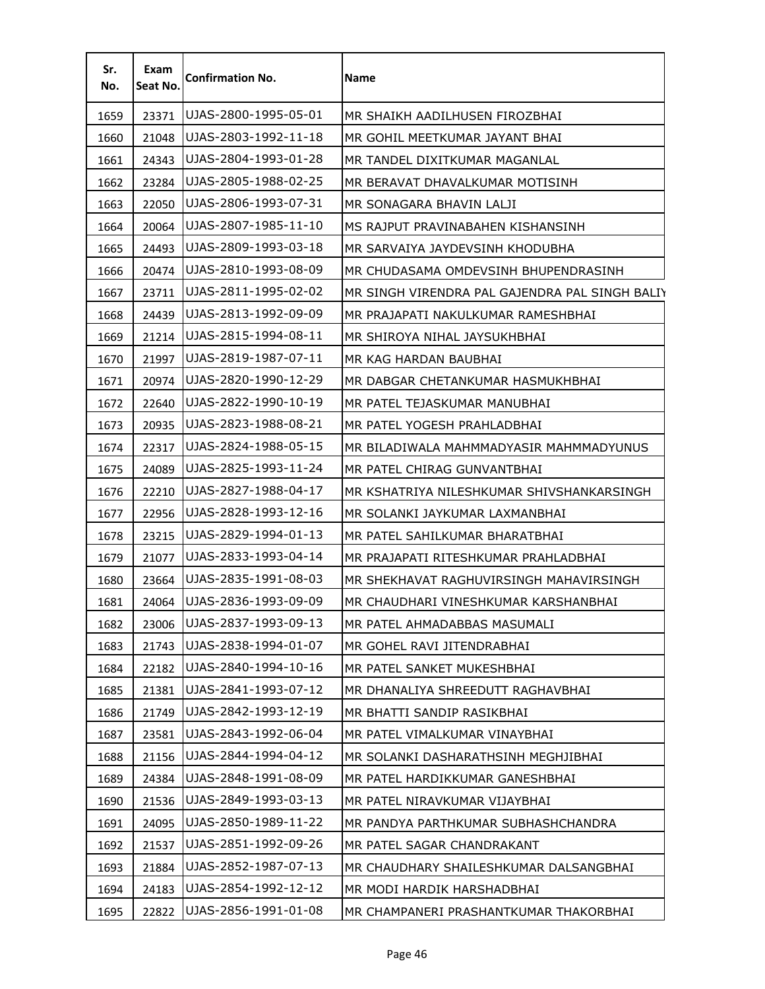| Sr.<br>No. | Exam<br>Seat No. | <b>Confirmation No.</b> | Name                                           |
|------------|------------------|-------------------------|------------------------------------------------|
| 1659       | 23371            | UJAS-2800-1995-05-01    | MR SHAIKH AADILHUSEN FIROZBHAI                 |
| 1660       | 21048            | IUJAS-2803-1992-11-18   | MR GOHIL MEETKUMAR JAYANT BHAI                 |
| 1661       | 24343            | UJAS-2804-1993-01-28    | MR TANDEL DIXITKUMAR MAGANLAL                  |
| 1662       | 23284            | UJAS-2805-1988-02-25    | MR BERAVAT DHAVALKUMAR MOTISINH                |
| 1663       | 22050            | UJAS-2806-1993-07-31    | MR SONAGARA BHAVIN LALJI                       |
| 1664       | 20064            | UJAS-2807-1985-11-10    | MS RAJPUT PRAVINABAHEN KISHANSINH.             |
| 1665       | 24493            | UJAS-2809-1993-03-18    | MR SARVAIYA JAYDEVSINH KHODUBHA                |
| 1666       | 20474            | UJAS-2810-1993-08-09    | MR CHUDASAMA OMDEVSINH BHUPENDRASINH           |
| 1667       | 23711            | UJAS-2811-1995-02-02    | MR SINGH VIRENDRA PAL GAJENDRA PAL SINGH BALIY |
| 1668       | 24439            | UJAS-2813-1992-09-09    | MR PRAJAPATI NAKULKUMAR RAMESHBHAI             |
| 1669       | 21214            | UJAS-2815-1994-08-11    | MR SHIROYA NIHAL JAYSUKHBHAI                   |
| 1670       | 21997            | UJAS-2819-1987-07-11    | MR KAG HARDAN BAUBHAI                          |
| 1671       | 20974            | UJAS-2820-1990-12-29    | MR DABGAR CHETANKUMAR HASMUKHBHAI              |
| 1672       | 22640            | UJAS-2822-1990-10-19    | MR PATEL TEJASKUMAR MANUBHAI                   |
| 1673       | 20935            | UJAS-2823-1988-08-21    | MR PATEL YOGESH PRAHLADBHAI                    |
| 1674       | 22317            | UJAS-2824-1988-05-15    | MR BILADIWALA MAHMMADYASIR MAHMMADYUNUS        |
| 1675       | 24089            | UJAS-2825-1993-11-24    | MR PATEL CHIRAG GUNVANTBHAI                    |
| 1676       | 22210            | UJAS-2827-1988-04-17    | MR KSHATRIYA NILESHKUMAR SHIVSHANKARSINGH      |
| 1677       | 22956            | UJAS-2828-1993-12-16    | MR SOLANKI JAYKUMAR LAXMANBHAI                 |
| 1678       | 23215            | UJAS-2829-1994-01-13    | MR PATEL SAHILKUMAR BHARATBHAI                 |
| 1679       | 21077            | UJAS-2833-1993-04-14    | MR PRAJAPATI RITESHKUMAR PRAHLADBHAI           |
| 1680       | 23664            | UJAS-2835-1991-08-03    | MR SHEKHAVAT RAGHUVIRSINGH MAHAVIRSINGH        |
| 1681       | 24064            | IUJAS-2836-1993-09-09   | MR CHAUDHARI VINESHKUMAR KARSHANBHAI           |
| 1682       | 23006            | UJAS-2837-1993-09-13    | MR PATEL AHMADABBAS MASUMALI                   |
| 1683       | 21743            | UJAS-2838-1994-01-07    | MR GOHEL RAVI JITENDRABHAI                     |
| 1684       | 22182            | UJAS-2840-1994-10-16    | MR PATEL SANKET MUKESHBHAI                     |
| 1685       | 21381            | UJAS-2841-1993-07-12    | MR DHANALIYA SHREEDUTT RAGHAVBHAI              |
| 1686       | 21749            | UJAS-2842-1993-12-19    | MR BHATTI SANDIP RASIKBHAI                     |
| 1687       | 23581            | UJAS-2843-1992-06-04    | MR PATEL VIMALKUMAR VINAYBHAI                  |
| 1688       | 21156            | UJAS-2844-1994-04-12    | MR SOLANKI DASHARATHSINH MEGHJIBHAI            |
| 1689       | 24384            | UJAS-2848-1991-08-09    | MR PATEL HARDIKKUMAR GANESHBHAI                |
| 1690       | 21536            | UJAS-2849-1993-03-13    | MR PATEL NIRAVKUMAR VIJAYBHAI                  |
| 1691       | 24095            | UJAS-2850-1989-11-22    | MR PANDYA PARTHKUMAR SUBHASHCHANDRA            |
| 1692       | 21537            | UJAS-2851-1992-09-26    | MR PATEL SAGAR CHANDRAKANT                     |
| 1693       | 21884            | UJAS-2852-1987-07-13    | MR CHAUDHARY SHAILESHKUMAR DALSANGBHAI         |
| 1694       | 24183            | UJAS-2854-1992-12-12    | MR MODI HARDIK HARSHADBHAI                     |
| 1695       | 22822            | UJAS-2856-1991-01-08    | MR CHAMPANERI PRASHANTKUMAR THAKORBHAI         |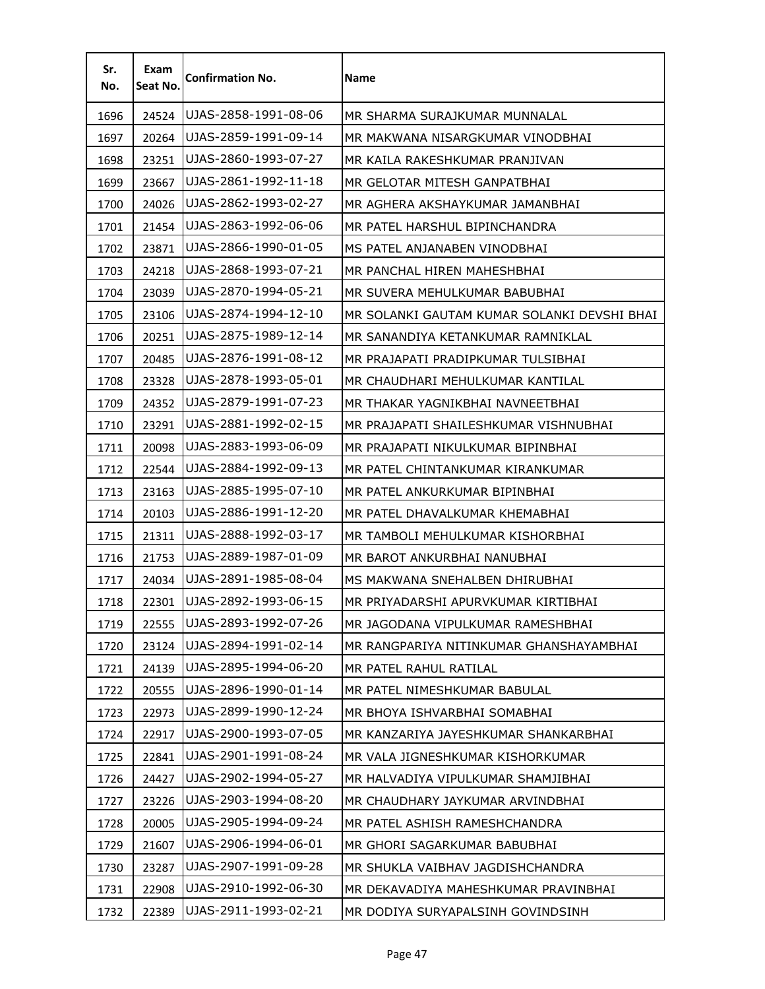| Sr.<br>No. | Exam<br>Seat No. | <b>Confirmation No.</b> | Name                                        |
|------------|------------------|-------------------------|---------------------------------------------|
| 1696       | 24524            | UJAS-2858-1991-08-06    | MR SHARMA SURAJKUMAR MUNNALAL               |
| 1697       | 20264            | UJAS-2859-1991-09-14    | MR MAKWANA NISARGKUMAR VINODBHAI            |
| 1698       | 23251            | UJAS-2860-1993-07-27    | MR KAILA RAKESHKUMAR PRANJIVAN              |
| 1699       | 23667            | UJAS-2861-1992-11-18    | MR GELOTAR MITESH GANPATBHAI                |
| 1700       | 24026            | UJAS-2862-1993-02-27    | MR AGHERA AKSHAYKUMAR JAMANBHAI             |
| 1701       | 21454            | UJAS-2863-1992-06-06    | MR PATEL HARSHUL BIPINCHANDRA               |
| 1702       | 23871            | UJAS-2866-1990-01-05    | MS PATEL ANJANABEN VINODBHAI                |
| 1703       | 24218            | UJAS-2868-1993-07-21    | MR PANCHAL HIREN MAHESHBHAI                 |
| 1704       | 23039            | UJAS-2870-1994-05-21    | MR SUVERA MEHULKUMAR BABUBHAI               |
| 1705       | 23106            | UJAS-2874-1994-12-10    | MR SOLANKI GAUTAM KUMAR SOLANKI DEVSHI BHAI |
| 1706       | 20251            | UJAS-2875-1989-12-14    | MR SANANDIYA KETANKUMAR RAMNIKLAL           |
| 1707       | 20485            | UJAS-2876-1991-08-12    | MR PRAJAPATI PRADIPKUMAR TULSIBHAI          |
| 1708       | 23328            | UJAS-2878-1993-05-01    | MR CHAUDHARI MEHULKUMAR KANTILAL            |
| 1709       | 24352            | UJAS-2879-1991-07-23    | MR THAKAR YAGNIKBHAI NAVNEETBHAI            |
| 1710       | 23291            | UJAS-2881-1992-02-15    | MR PRAJAPATI SHAILESHKUMAR VISHNUBHAI       |
| 1711       | 20098            | UJAS-2883-1993-06-09    | MR PRAJAPATI NIKULKUMAR BIPINBHAI           |
| 1712       | 22544            | UJAS-2884-1992-09-13    | MR PATEL CHINTANKUMAR KIRANKUMAR            |
| 1713       | 23163            | UJAS-2885-1995-07-10    | MR PATEL ANKURKUMAR BIPINBHAI               |
| 1714       | 20103            | UJAS-2886-1991-12-20    | MR PATEL DHAVALKUMAR KHEMABHAI              |
| 1715       | 21311            | UJAS-2888-1992-03-17    | MR TAMBOLI MEHULKUMAR KISHORBHAI            |
| 1716       | 21753            | UJAS-2889-1987-01-09    | MR BAROT ANKURBHAI NANUBHAI                 |
| 1717       | 24034            | UJAS-2891-1985-08-04    | MS MAKWANA SNEHALBEN DHIRUBHAI              |
| 1718       | 22301            | UJAS-2892-1993-06-15    | MR PRIYADARSHI APURVKUMAR KIRTIBHAI         |
| 1719       | 22555            | UJAS-2893-1992-07-26    | MR JAGODANA VIPULKUMAR RAMESHBHAI           |
| 1720       | 23124            | UJAS-2894-1991-02-14    | MR RANGPARIYA NITINKUMAR GHANSHAYAMBHAI     |
| 1721       | 24139            | UJAS-2895-1994-06-20    | MR PATEL RAHUL RATILAL                      |
| 1722       | 20555            | UJAS-2896-1990-01-14    | MR PATEL NIMESHKUMAR BABULAL                |
| 1723       | 22973            | UJAS-2899-1990-12-24    | MR BHOYA ISHVARBHAI SOMABHAI                |
| 1724       | 22917            | UJAS-2900-1993-07-05    | MR KANZARIYA JAYESHKUMAR SHANKARBHAI        |
| 1725       | 22841            | UJAS-2901-1991-08-24    | MR VALA JIGNESHKUMAR KISHORKUMAR            |
| 1726       | 24427            | UJAS-2902-1994-05-27    | MR HALVADIYA VIPULKUMAR SHAMJIBHAI          |
| 1727       | 23226            | UJAS-2903-1994-08-20    | MR CHAUDHARY JAYKUMAR ARVINDBHAI            |
| 1728       | 20005            | UJAS-2905-1994-09-24    | MR PATEL ASHISH RAMESHCHANDRA               |
| 1729       | 21607            | UJAS-2906-1994-06-01    | MR GHORI SAGARKUMAR BABUBHAI                |
| 1730       | 23287            | UJAS-2907-1991-09-28    | MR SHUKLA VAIBHAV JAGDISHCHANDRA            |
| 1731       | 22908            | UJAS-2910-1992-06-30    | MR DEKAVADIYA MAHESHKUMAR PRAVINBHAI        |
| 1732       | 22389            | UJAS-2911-1993-02-21    | MR DODIYA SURYAPALSINH GOVINDSINH           |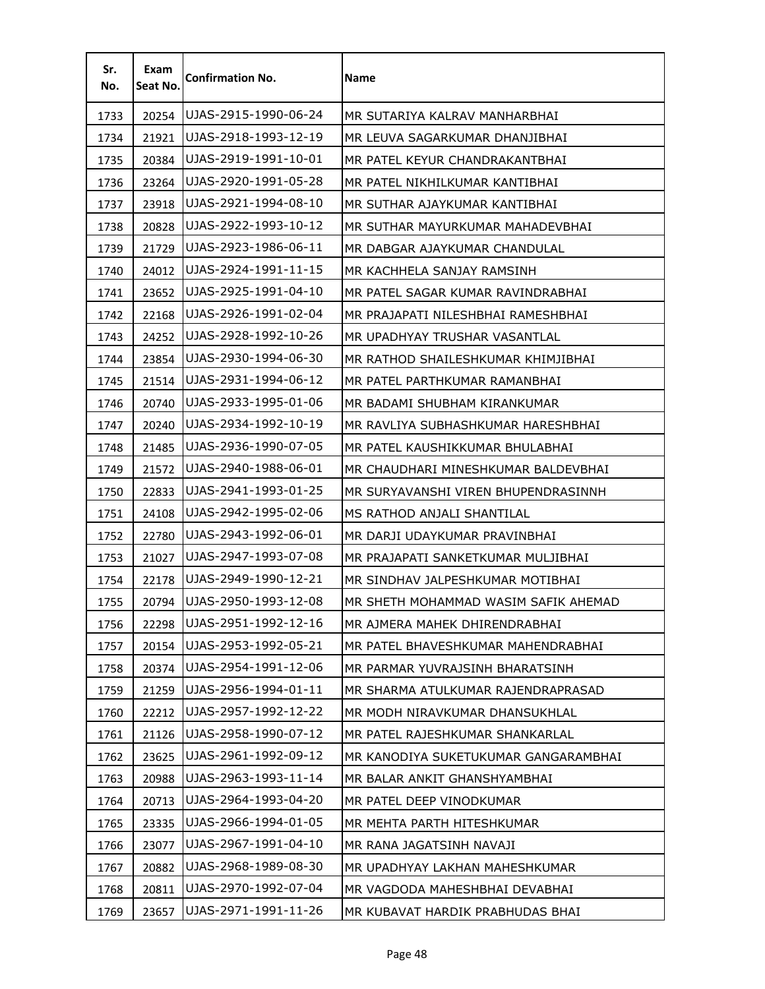| Sr.<br>No. | Exam<br>Seat No. | <b>Confirmation No.</b> | Name                                 |
|------------|------------------|-------------------------|--------------------------------------|
| 1733       | 20254            | UJAS-2915-1990-06-24    | MR SUTARIYA KALRAV MANHARBHAI        |
| 1734       | 21921            | UJAS-2918-1993-12-19    | MR LEUVA SAGARKUMAR DHANJIBHAI       |
| 1735       | 20384            | UJAS-2919-1991-10-01    | MR PATEL KEYUR CHANDRAKANTBHAI       |
| 1736       | 23264            | UJAS-2920-1991-05-28    | MR PATEL NIKHILKUMAR KANTIBHAI       |
| 1737       | 23918            | UJAS-2921-1994-08-10    | MR SUTHAR AJAYKUMAR KANTIBHAI        |
| 1738       | 20828            | UJAS-2922-1993-10-12    | MR SUTHAR MAYURKUMAR MAHADEVBHAI     |
| 1739       | 21729            | UJAS-2923-1986-06-11    | MR DABGAR AJAYKUMAR CHANDULAL        |
| 1740       | 24012            | UJAS-2924-1991-11-15    | MR KACHHELA SANJAY RAMSINH           |
| 1741       | 23652            | UJAS-2925-1991-04-10    | MR PATEL SAGAR KUMAR RAVINDRABHAI    |
| 1742       | 22168            | UJAS-2926-1991-02-04    | MR PRAJAPATI NILESHBHAI RAMESHBHAI   |
| 1743       | 24252            | UJAS-2928-1992-10-26    | MR UPADHYAY TRUSHAR VASANTLAL        |
| 1744       | 23854            | UJAS-2930-1994-06-30    | MR RATHOD SHAILESHKUMAR KHIMJIBHAI   |
| 1745       | 21514            | UJAS-2931-1994-06-12    | MR PATEL PARTHKUMAR RAMANBHAI        |
| 1746       | 20740            | UJAS-2933-1995-01-06    | MR BADAMI SHUBHAM KIRANKUMAR         |
| 1747       | 20240            | UJAS-2934-1992-10-19    | MR RAVLIYA SUBHASHKUMAR HARESHBHAI   |
| 1748       | 21485            | UJAS-2936-1990-07-05    | MR PATEL KAUSHIKKUMAR BHULABHAI      |
| 1749       | 21572            | UJAS-2940-1988-06-01    | MR CHAUDHARI MINESHKUMAR BALDEVBHAI  |
| 1750       | 22833            | UJAS-2941-1993-01-25    | MR SURYAVANSHI VIREN BHUPENDRASINNH  |
| 1751       | 24108            | UJAS-2942-1995-02-06    | MS RATHOD ANJALI SHANTILAL           |
| 1752       | 22780            | UJAS-2943-1992-06-01    | MR DARJI UDAYKUMAR PRAVINBHAI        |
| 1753       | 21027            | UJAS-2947-1993-07-08    | MR PRAJAPATI SANKETKUMAR MULJIBHAI   |
| 1754       | 22178            | UJAS-2949-1990-12-21    | MR SINDHAV JALPESHKUMAR MOTIBHAI     |
| 1755       | 20794            | UJAS-2950-1993-12-08    | MR SHETH MOHAMMAD WASIM SAFIK AHEMAD |
| 1756       | 22298            | UJAS-2951-1992-12-16    | MR AJMERA MAHEK DHIRENDRABHAI        |
| 1757       | 20154            | UJAS-2953-1992-05-21    | MR PATEL BHAVESHKUMAR MAHENDRABHAI   |
| 1758       | 20374            | UJAS-2954-1991-12-06    | MR PARMAR YUVRAJSINH BHARATSINH      |
| 1759       | 21259            | UJAS-2956-1994-01-11    | MR SHARMA ATULKUMAR RAJENDRAPRASAD   |
| 1760       | 22212            | UJAS-2957-1992-12-22    | MR MODH NIRAVKUMAR DHANSUKHLAL       |
| 1761       | 21126            | UJAS-2958-1990-07-12    | MR PATEL RAJESHKUMAR SHANKARLAL      |
| 1762       | 23625            | UJAS-2961-1992-09-12    | MR KANODIYA SUKETUKUMAR GANGARAMBHAI |
| 1763       | 20988            | UJAS-2963-1993-11-14    | MR BALAR ANKIT GHANSHYAMBHAI         |
| 1764       | 20713            | UJAS-2964-1993-04-20    | MR PATEL DEEP VINODKUMAR             |
| 1765       | 23335            | UJAS-2966-1994-01-05    | MR MEHTA PARTH HITESHKUMAR           |
| 1766       | 23077            | UJAS-2967-1991-04-10    | MR RANA JAGATSINH NAVAJI             |
| 1767       | 20882            | UJAS-2968-1989-08-30    | MR UPADHYAY LAKHAN MAHESHKUMAR       |
| 1768       | 20811            | UJAS-2970-1992-07-04    | MR VAGDODA MAHESHBHAI DEVABHAI       |
| 1769       | 23657            | UJAS-2971-1991-11-26    | MR KUBAVAT HARDIK PRABHUDAS BHAI     |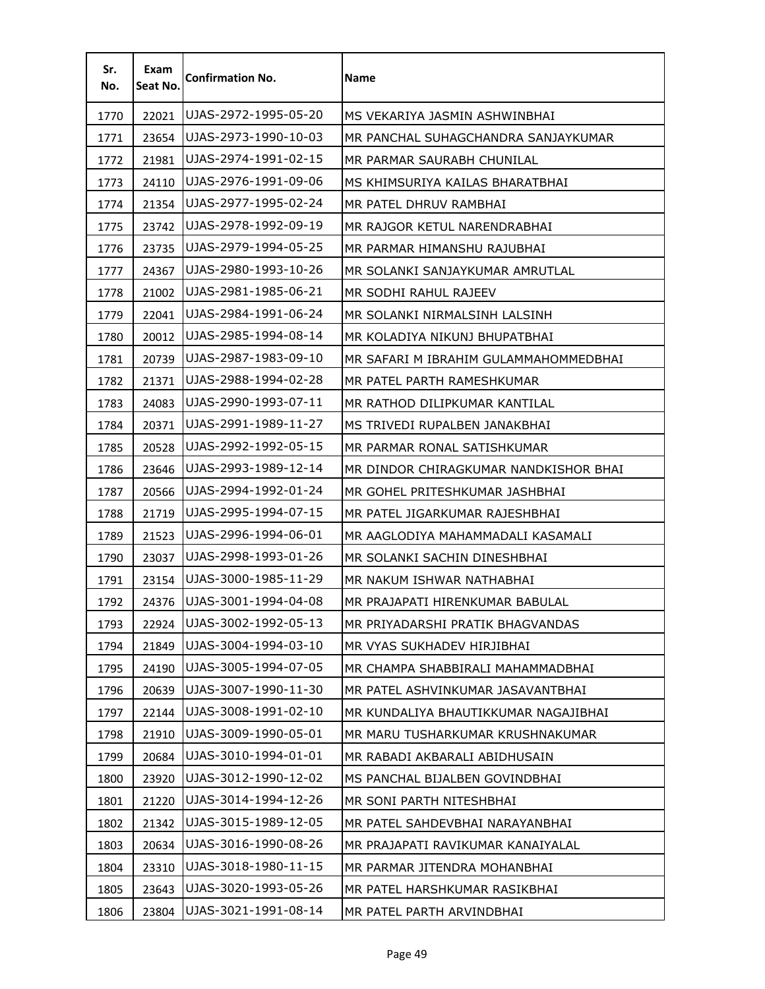| Sr.<br>No. | Exam<br>Seat No. | <b>Confirmation No.</b> | Name                                  |
|------------|------------------|-------------------------|---------------------------------------|
| 1770       | 22021            | UJAS-2972-1995-05-20    | MS VEKARIYA JASMIN ASHWINBHAI         |
| 1771       | 23654            | UJAS-2973-1990-10-03    | MR PANCHAL SUHAGCHANDRA SANJAYKUMAR   |
| 1772       | 21981            | UJAS-2974-1991-02-15    | MR PARMAR SAURABH CHUNILAL            |
| 1773       | 24110            | UJAS-2976-1991-09-06    | MS KHIMSURIYA KAILAS BHARATBHAI       |
| 1774       | 21354            | UJAS-2977-1995-02-24    | MR PATEL DHRUV RAMBHAI                |
| 1775       | 23742            | UJAS-2978-1992-09-19    | MR RAJGOR KETUL NARENDRABHAI          |
| 1776       | 23735            | UJAS-2979-1994-05-25    | MR PARMAR HIMANSHU RAJUBHAI           |
| 1777       | 24367            | UJAS-2980-1993-10-26    | MR SOLANKI SANJAYKUMAR AMRUTLAL       |
| 1778       | 21002            | UJAS-2981-1985-06-21    | MR SODHI RAHUL RAJEEV                 |
| 1779       | 22041            | UJAS-2984-1991-06-24    | MR SOLANKI NIRMALSINH LALSINH         |
| 1780       | 20012            | UJAS-2985-1994-08-14    | MR KOLADIYA NIKUNJ BHUPATBHAI         |
| 1781       | 20739            | UJAS-2987-1983-09-10    | MR SAFARI M IBRAHIM GULAMMAHOMMEDBHAI |
| 1782       | 21371            | UJAS-2988-1994-02-28    | MR PATEL PARTH RAMESHKUMAR            |
| 1783       | 24083            | UJAS-2990-1993-07-11    | MR RATHOD DILIPKUMAR KANTILAL         |
| 1784       | 20371            | UJAS-2991-1989-11-27    | MS TRIVEDI RUPALBEN JANAKBHAI         |
| 1785       | 20528            | UJAS-2992-1992-05-15    | MR PARMAR RONAL SATISHKUMAR           |
| 1786       | 23646            | UJAS-2993-1989-12-14    | MR DINDOR CHIRAGKUMAR NANDKISHOR BHAI |
| 1787       | 20566            | UJAS-2994-1992-01-24    | MR GOHEL PRITESHKUMAR JASHBHAI        |
| 1788       | 21719            | UJAS-2995-1994-07-15    | MR PATEL JIGARKUMAR RAJESHBHAI        |
| 1789       | 21523            | UJAS-2996-1994-06-01    | MR AAGLODIYA MAHAMMADALI KASAMALI     |
| 1790       | 23037            | UJAS-2998-1993-01-26    | MR SOLANKI SACHIN DINESHBHAI          |
| 1791       | 23154            | UJAS-3000-1985-11-29    | MR NAKUM ISHWAR NATHABHAI             |
| 1792       | 24376            | UJAS-3001-1994-04-08    | MR PRAJAPATI HIRENKUMAR BABULAL       |
| 1793       | 22924            | UJAS-3002-1992-05-13    | MR PRIYADARSHI PRATIK BHAGVANDAS      |
| 1794       | 21849            | UJAS-3004-1994-03-10    | MR VYAS SUKHADEV HIRJIBHAI            |
| 1795       | 24190            | UJAS-3005-1994-07-05    | MR CHAMPA SHABBIRALI MAHAMMADBHAI     |
| 1796       | 20639            | UJAS-3007-1990-11-30    | MR PATEL ASHVINKUMAR JASAVANTBHAI     |
| 1797       | 22144            | UJAS-3008-1991-02-10    | MR KUNDALIYA BHAUTIKKUMAR NAGAJIBHAI  |
| 1798       | 21910            | UJAS-3009-1990-05-01    | MR MARU TUSHARKUMAR KRUSHNAKUMAR      |
| 1799       | 20684            | UJAS-3010-1994-01-01    | MR RABADI AKBARALI ABIDHUSAIN         |
| 1800       | 23920            | UJAS-3012-1990-12-02    | MS PANCHAL BIJALBEN GOVINDBHAI        |
| 1801       | 21220            | UJAS-3014-1994-12-26    | MR SONI PARTH NITESHBHAI              |
| 1802       | 21342            | UJAS-3015-1989-12-05    | MR PATEL SAHDEVBHAI NARAYANBHAI       |
| 1803       | 20634            | UJAS-3016-1990-08-26    | MR PRAJAPATI RAVIKUMAR KANAIYALAL     |
| 1804       | 23310            | UJAS-3018-1980-11-15    | MR PARMAR JITENDRA MOHANBHAI          |
| 1805       | 23643            | UJAS-3020-1993-05-26    | MR PATEL HARSHKUMAR RASIKBHAI         |
| 1806       | 23804            | UJAS-3021-1991-08-14    | MR PATEL PARTH ARVINDBHAI             |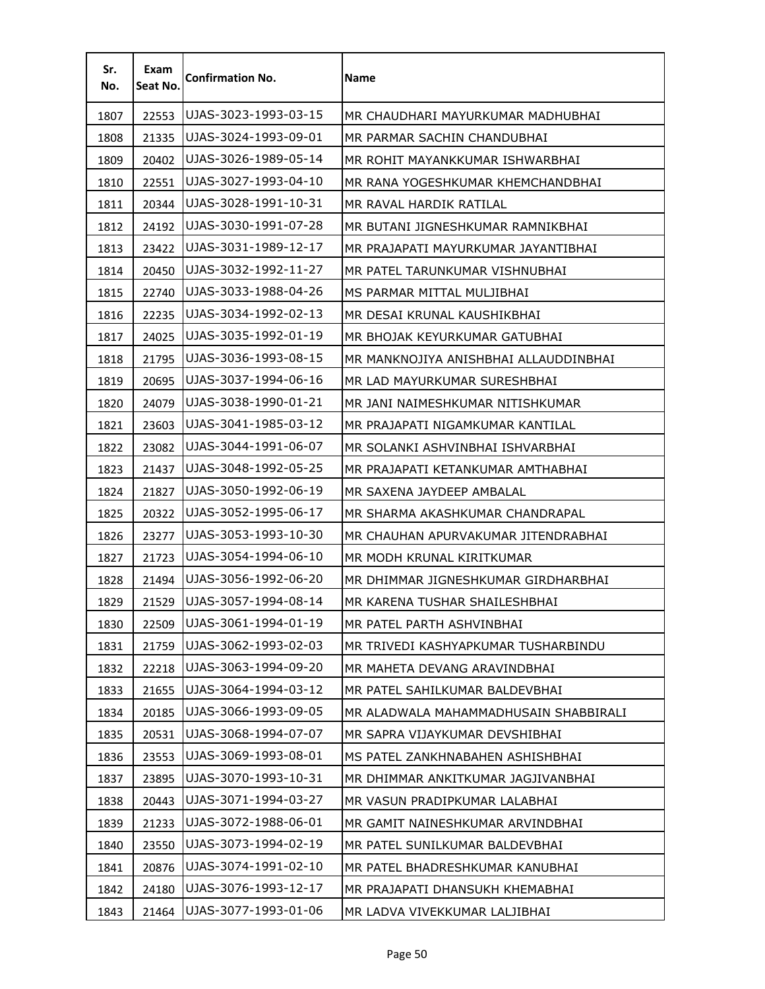| Sr.<br>No. | Exam<br>Seat No. | <b>Confirmation No.</b> | <b>Name</b>                           |
|------------|------------------|-------------------------|---------------------------------------|
| 1807       | 22553            | UJAS-3023-1993-03-15    | MR CHAUDHARI MAYURKUMAR MADHUBHAI     |
| 1808       | 21335            | UJAS-3024-1993-09-01    | MR PARMAR SACHIN CHANDUBHAI           |
| 1809       | 20402            | UJAS-3026-1989-05-14    | MR ROHIT MAYANKKUMAR ISHWARBHAI       |
| 1810       | 22551            | UJAS-3027-1993-04-10    | MR RANA YOGESHKUMAR KHEMCHANDBHAI     |
| 1811       | 20344            | UJAS-3028-1991-10-31    | MR RAVAL HARDIK RATILAL               |
| 1812       | 24192            | UJAS-3030-1991-07-28    | MR BUTANI JIGNESHKUMAR RAMNIKBHAI     |
| 1813       | 23422            | UJAS-3031-1989-12-17    | MR PRAJAPATI MAYURKUMAR JAYANTIBHAI   |
| 1814       | 20450            | UJAS-3032-1992-11-27    | MR PATEL TARUNKUMAR VISHNUBHAI        |
| 1815       | 22740            | UJAS-3033-1988-04-26    | MS PARMAR MITTAL MULJIBHAI            |
| 1816       | 22235            | UJAS-3034-1992-02-13    | MR DESAI KRUNAL KAUSHIKBHAI           |
| 1817       | 24025            | UJAS-3035-1992-01-19    | MR BHOJAK KEYURKUMAR GATUBHAI         |
| 1818       | 21795            | UJAS-3036-1993-08-15    | MR MANKNOJIYA ANISHBHAI ALLAUDDINBHAI |
| 1819       | 20695            | UJAS-3037-1994-06-16    | MR LAD MAYURKUMAR SURESHBHAI          |
| 1820       | 24079            | UJAS-3038-1990-01-21    | MR JANI NAIMESHKUMAR NITISHKUMAR      |
| 1821       | 23603            | UJAS-3041-1985-03-12    | MR PRAJAPATI NIGAMKUMAR KANTILAL      |
| 1822       | 23082            | UJAS-3044-1991-06-07    | MR SOLANKI ASHVINBHAI ISHVARBHAI      |
| 1823       | 21437            | UJAS-3048-1992-05-25    | MR PRAJAPATI KETANKUMAR AMTHABHAI     |
| 1824       | 21827            | UJAS-3050-1992-06-19    | MR SAXENA JAYDEEP AMBALAL             |
| 1825       | 20322            | UJAS-3052-1995-06-17    | MR SHARMA AKASHKUMAR CHANDRAPAL       |
| 1826       | 23277            | UJAS-3053-1993-10-30    | MR CHAUHAN APURVAKUMAR JITENDRABHAI   |
| 1827       | 21723            | UJAS-3054-1994-06-10    | MR MODH KRUNAL KIRITKUMAR             |
| 1828       | 21494            | UJAS-3056-1992-06-20    | MR DHIMMAR JIGNESHKUMAR GIRDHARBHAI   |
| 1829       | 21529            | UJAS-3057-1994-08-14    | MR KARENA TUSHAR SHAILESHBHAI         |
| 1830       | 22509            | UJAS-3061-1994-01-19    | MR PATEL PARTH ASHVINBHAI             |
| 1831       | 21759            | UJAS-3062-1993-02-03    | MR TRIVEDI KASHYAPKUMAR TUSHARBINDU   |
| 1832       | 22218            | UJAS-3063-1994-09-20    | MR MAHETA DEVANG ARAVINDBHAI          |
| 1833       | 21655            | UJAS-3064-1994-03-12    | MR PATEL SAHILKUMAR BALDEVBHAI        |
| 1834       | 20185            | UJAS-3066-1993-09-05    | MR ALADWALA MAHAMMADHUSAIN SHABBIRALI |
| 1835       | 20531            | UJAS-3068-1994-07-07    | MR SAPRA VIJAYKUMAR DEVSHIBHAI        |
| 1836       | 23553            | UJAS-3069-1993-08-01    | MS PATEL ZANKHNABAHEN ASHISHBHAI      |
| 1837       | 23895            | UJAS-3070-1993-10-31    | MR DHIMMAR ANKITKUMAR JAGJIVANBHAI    |
| 1838       | 20443            | UJAS-3071-1994-03-27    | MR VASUN PRADIPKUMAR LALABHAI         |
| 1839       | 21233            | UJAS-3072-1988-06-01    | MR GAMIT NAINESHKUMAR ARVINDBHAI      |
| 1840       | 23550            | UJAS-3073-1994-02-19    | MR PATEL SUNILKUMAR BALDEVBHAI        |
| 1841       | 20876            | UJAS-3074-1991-02-10    | MR PATEL BHADRESHKUMAR KANUBHAI       |
| 1842       | 24180            | UJAS-3076-1993-12-17    | MR PRAJAPATI DHANSUKH KHEMABHAI       |
| 1843       | 21464            | UJAS-3077-1993-01-06    | MR LADVA VIVEKKUMAR LALJIBHAI         |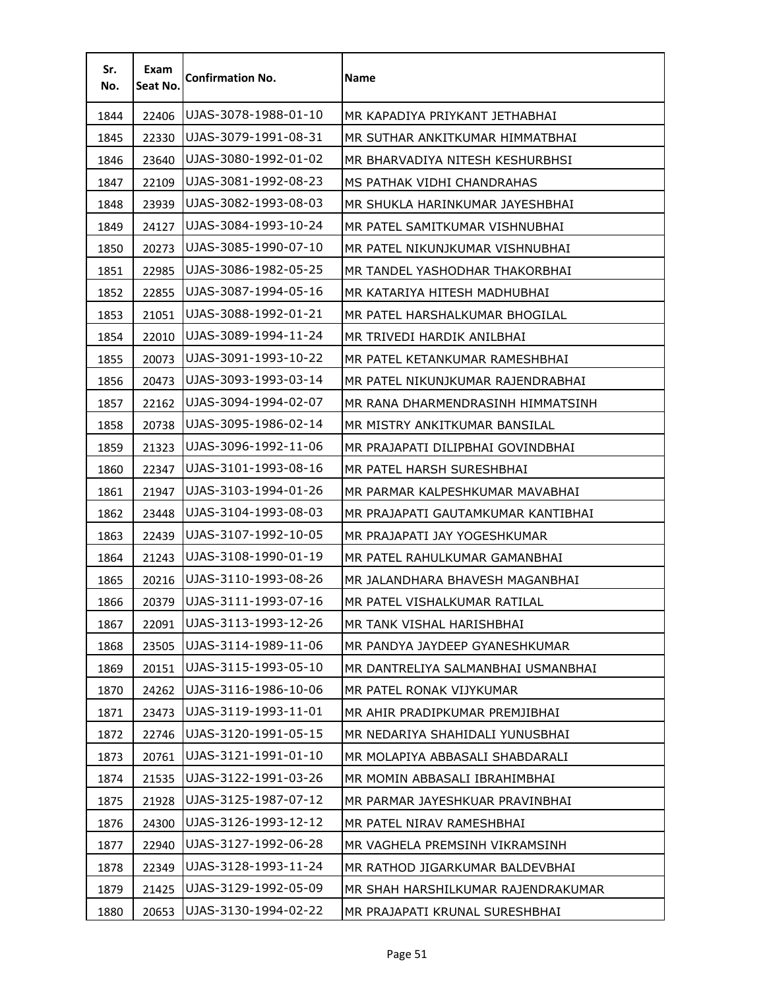| Sr.<br>No. | Exam<br>Seat No. | <b>Confirmation No.</b> | <b>Name</b>                        |
|------------|------------------|-------------------------|------------------------------------|
| 1844       | 22406            | UJAS-3078-1988-01-10    | MR KAPADIYA PRIYKANT JETHABHAI     |
| 1845       | 22330            | UJAS-3079-1991-08-31    | MR SUTHAR ANKITKUMAR HIMMATBHAI    |
| 1846       | 23640            | UJAS-3080-1992-01-02    | MR BHARVADIYA NITESH KESHURBHSI    |
| 1847       | 22109            | UJAS-3081-1992-08-23    | MS PATHAK VIDHI CHANDRAHAS         |
| 1848       | 23939            | UJAS-3082-1993-08-03    | MR SHUKLA HARINKUMAR JAYESHBHAI    |
| 1849       | 24127            | UJAS-3084-1993-10-24    | MR PATEL SAMITKUMAR VISHNUBHAI     |
| 1850       | 20273            | UJAS-3085-1990-07-10    | MR PATEL NIKUNJKUMAR VISHNUBHAI    |
| 1851       | 22985            | UJAS-3086-1982-05-25    | MR TANDEL YASHODHAR THAKORBHAI     |
| 1852       | 22855            | UJAS-3087-1994-05-16    | MR KATARIYA HITESH MADHUBHAI       |
| 1853       | 21051            | UJAS-3088-1992-01-21    | MR PATEL HARSHALKUMAR BHOGILAL     |
| 1854       | 22010            | UJAS-3089-1994-11-24    | MR TRIVEDI HARDIK ANILBHAI         |
| 1855       | 20073            | UJAS-3091-1993-10-22    | MR PATEL KETANKUMAR RAMESHBHAI     |
| 1856       | 20473            | UJAS-3093-1993-03-14    | MR PATEL NIKUNJKUMAR RAJENDRABHAI  |
| 1857       | 22162            | UJAS-3094-1994-02-07    | MR RANA DHARMENDRASINH HIMMATSINH  |
| 1858       | 20738            | UJAS-3095-1986-02-14    | MR MISTRY ANKITKUMAR BANSILAL      |
| 1859       | 21323            | UJAS-3096-1992-11-06    | MR PRAJAPATI DILIPBHAI GOVINDBHAI  |
| 1860       | 22347            | UJAS-3101-1993-08-16    | MR PATEL HARSH SURESHBHAI          |
| 1861       | 21947            | UJAS-3103-1994-01-26    | MR PARMAR KALPESHKUMAR MAVABHAI    |
| 1862       | 23448            | UJAS-3104-1993-08-03    | MR PRAJAPATI GAUTAMKUMAR KANTIBHAI |
| 1863       | 22439            | UJAS-3107-1992-10-05    | MR PRAJAPATI JAY YOGESHKUMAR       |
| 1864       | 21243            | UJAS-3108-1990-01-19    | MR PATEL RAHULKUMAR GAMANBHAI      |
| 1865       | 20216            | UJAS-3110-1993-08-26    | MR JALANDHARA BHAVESH MAGANBHAI    |
| 1866       | 20379            | UJAS-3111-1993-07-16    | MR PATEL VISHALKUMAR RATILAL       |
| 1867       | 22091            | UJAS-3113-1993-12-26    | MR TANK VISHAL HARISHBHAI          |
| 1868       | 23505            | UJAS-3114-1989-11-06    | MR PANDYA JAYDEEP GYANESHKUMAR     |
| 1869       | 20151            | UJAS-3115-1993-05-10    | MR DANTRELIYA SALMANBHAI USMANBHAI |
| 1870       | 24262            | UJAS-3116-1986-10-06    | MR PATEL RONAK VIJYKUMAR           |
| 1871       | 23473            | UJAS-3119-1993-11-01    | MR AHIR PRADIPKUMAR PREMJIBHAI     |
| 1872       | 22746            | UJAS-3120-1991-05-15    | MR NEDARIYA SHAHIDALI YUNUSBHAI    |
| 1873       | 20761            | UJAS-3121-1991-01-10    | MR MOLAPIYA ABBASALI SHABDARALI    |
| 1874       | 21535            | UJAS-3122-1991-03-26    | MR MOMIN ABBASALI IBRAHIMBHAI      |
| 1875       | 21928            | UJAS-3125-1987-07-12    | MR PARMAR JAYESHKUAR PRAVINBHAI    |
| 1876       | 24300            | UJAS-3126-1993-12-12    | MR PATEL NIRAV RAMESHBHAI          |
| 1877       | 22940            | UJAS-3127-1992-06-28    | MR VAGHELA PREMSINH VIKRAMSINH     |
| 1878       | 22349            | UJAS-3128-1993-11-24    | MR RATHOD JIGARKUMAR BALDEVBHAI    |
| 1879       | 21425            | UJAS-3129-1992-05-09    | MR SHAH HARSHILKUMAR RAJENDRAKUMAR |
| 1880       | 20653            | UJAS-3130-1994-02-22    | MR PRAJAPATI KRUNAL SURESHBHAI     |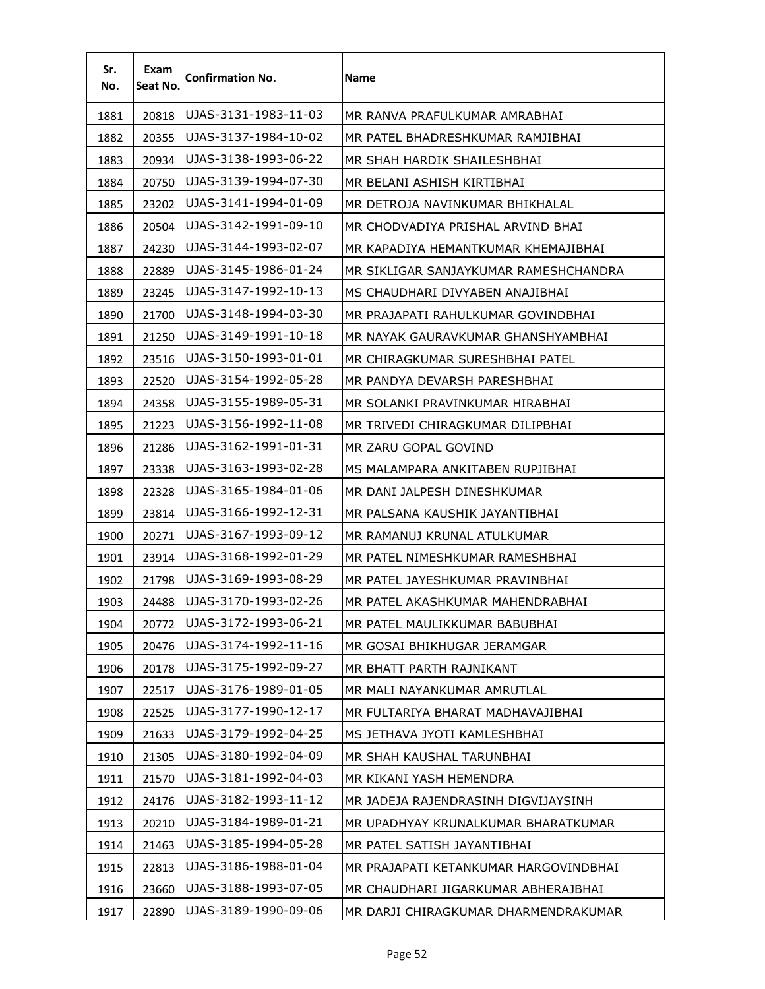| Sr.<br>No. | Exam<br>Seat No. | <b>Confirmation No.</b> | Name                                  |
|------------|------------------|-------------------------|---------------------------------------|
| 1881       | 20818            | UJAS-3131-1983-11-03    | MR RANVA PRAFULKUMAR AMRABHAI         |
| 1882       | 20355            | UJAS-3137-1984-10-02    | MR PATEL BHADRESHKUMAR RAMJIBHAI      |
| 1883       | 20934            | UJAS-3138-1993-06-22    | MR SHAH HARDIK SHAILESHBHAI           |
| 1884       | 20750            | UJAS-3139-1994-07-30    | MR BELANI ASHISH KIRTIBHAI            |
| 1885       | 23202            | UJAS-3141-1994-01-09    | MR DETROJA NAVINKUMAR BHIKHALAL       |
| 1886       | 20504            | UJAS-3142-1991-09-10    | MR CHODVADIYA PRISHAL ARVIND BHAI     |
| 1887       | 24230            | UJAS-3144-1993-02-07    | MR KAPADIYA HEMANTKUMAR KHEMAJIBHAI   |
| 1888       | 22889            | UJAS-3145-1986-01-24    | MR SIKLIGAR SANJAYKUMAR RAMESHCHANDRA |
| 1889       | 23245            | UJAS-3147-1992-10-13    | MS CHAUDHARI DIVYABEN ANAJIBHAI       |
| 1890       | 21700            | UJAS-3148-1994-03-30    | MR PRAJAPATI RAHULKUMAR GOVINDBHAI    |
| 1891       | 21250            | UJAS-3149-1991-10-18    | MR NAYAK GAURAVKUMAR GHANSHYAMBHAI    |
| 1892       | 23516            | UJAS-3150-1993-01-01    | MR CHIRAGKUMAR SURESHBHAI PATEL       |
| 1893       | 22520            | UJAS-3154-1992-05-28    | MR PANDYA DEVARSH PARESHBHAI          |
| 1894       | 24358            | UJAS-3155-1989-05-31    | MR SOLANKI PRAVINKUMAR HIRABHAI       |
| 1895       | 21223            | UJAS-3156-1992-11-08    | MR TRIVEDI CHIRAGKUMAR DILIPBHAI      |
| 1896       | 21286            | UJAS-3162-1991-01-31    | MR ZARU GOPAL GOVIND                  |
| 1897       | 23338            | UJAS-3163-1993-02-28    | MS MALAMPARA ANKITABEN RUPJIBHAI      |
| 1898       | 22328            | UJAS-3165-1984-01-06    | MR DANI JALPESH DINESHKUMAR           |
| 1899       | 23814            | UJAS-3166-1992-12-31    | MR PALSANA KAUSHIK JAYANTIBHAI        |
| 1900       | 20271            | UJAS-3167-1993-09-12    | MR RAMANUJ KRUNAL ATULKUMAR           |
| 1901       | 23914            | UJAS-3168-1992-01-29    | MR PATEL NIMESHKUMAR RAMESHBHAI       |
| 1902       | 21798            | UJAS-3169-1993-08-29    | MR PATEL JAYESHKUMAR PRAVINBHAI       |
| 1903       | 24488            | UJAS-3170-1993-02-26    | MR PATEL AKASHKUMAR MAHENDRABHAI      |
| 1904       | 20772            | UJAS-3172-1993-06-21    | MR PATEL MAULIKKUMAR BABUBHAI         |
| 1905       | 20476            | UJAS-3174-1992-11-16    | MR GOSAI BHIKHUGAR JERAMGAR           |
| 1906       | 20178            | UJAS-3175-1992-09-27    | MR BHATT PARTH RAJNIKANT              |
| 1907       | 22517            | UJAS-3176-1989-01-05    | MR MALI NAYANKUMAR AMRUTLAL           |
| 1908       | 22525            | UJAS-3177-1990-12-17    | MR FULTARIYA BHARAT MADHAVAJIBHAI     |
| 1909       | 21633            | UJAS-3179-1992-04-25    | MS JETHAVA JYOTI KAMLESHBHAI          |
| 1910       | 21305            | UJAS-3180-1992-04-09    | MR SHAH KAUSHAL TARUNBHAI             |
| 1911       | 21570            | UJAS-3181-1992-04-03    | MR KIKANI YASH HEMENDRA               |
| 1912       | 24176            | UJAS-3182-1993-11-12    | MR JADEJA RAJENDRASINH DIGVIJAYSINH   |
| 1913       | 20210            | UJAS-3184-1989-01-21    | MR UPADHYAY KRUNALKUMAR BHARATKUMAR   |
| 1914       | 21463            | UJAS-3185-1994-05-28    | MR PATEL SATISH JAYANTIBHAI           |
| 1915       | 22813            | UJAS-3186-1988-01-04    | MR PRAJAPATI KETANKUMAR HARGOVINDBHAI |
| 1916       | 23660            | UJAS-3188-1993-07-05    | MR CHAUDHARI JIGARKUMAR ABHERAJBHAI   |
| 1917       | 22890            | UJAS-3189-1990-09-06    | MR DARJI CHIRAGKUMAR DHARMENDRAKUMAR  |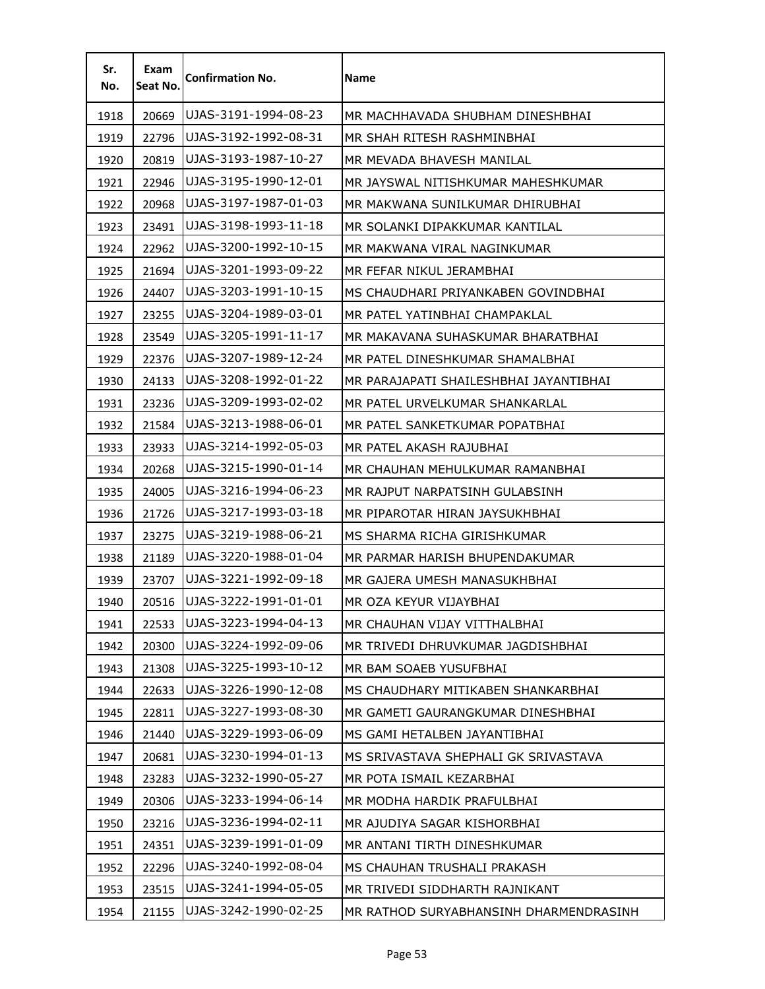| Sr.<br>No. | Exam<br>Seat No. | <b>Confirmation No.</b> | <b>Name</b>                            |
|------------|------------------|-------------------------|----------------------------------------|
| 1918       | 20669            | UJAS-3191-1994-08-23    | MR MACHHAVADA SHUBHAM DINESHBHAI       |
| 1919       | 22796            | UJAS-3192-1992-08-31    | MR SHAH RITESH RASHMINBHAI             |
| 1920       | 20819            | UJAS-3193-1987-10-27    | MR MEVADA BHAVESH MANILAL              |
| 1921       | 22946            | UJAS-3195-1990-12-01    | MR JAYSWAL NITISHKUMAR MAHESHKUMAR     |
| 1922       | 20968            | UJAS-3197-1987-01-03    | MR MAKWANA SUNILKUMAR DHIRUBHAI        |
| 1923       | 23491            | UJAS-3198-1993-11-18    | MR SOLANKI DIPAKKUMAR KANTILAL         |
| 1924       | 22962            | UJAS-3200-1992-10-15    | MR MAKWANA VIRAL NAGINKUMAR            |
| 1925       | 21694            | UJAS-3201-1993-09-22    | MR FEFAR NIKUL JERAMBHAI               |
| 1926       | 24407            | UJAS-3203-1991-10-15    | MS CHAUDHARI PRIYANKABEN GOVINDBHAI    |
| 1927       | 23255            | UJAS-3204-1989-03-01    | MR PATEL YATINBHAI CHAMPAKLAL          |
| 1928       | 23549            | UJAS-3205-1991-11-17    | MR MAKAVANA SUHASKUMAR BHARATBHAI      |
| 1929       | 22376            | UJAS-3207-1989-12-24    | MR PATEL DINESHKUMAR SHAMALBHAI        |
| 1930       | 24133            | UJAS-3208-1992-01-22    | MR PARAJAPATI SHAILESHBHAI JAYANTIBHAI |
| 1931       | 23236            | UJAS-3209-1993-02-02    | MR PATEL URVELKUMAR SHANKARLAL         |
| 1932       | 21584            | UJAS-3213-1988-06-01    | MR PATEL SANKETKUMAR POPATBHAI         |
| 1933       | 23933            | UJAS-3214-1992-05-03    | MR PATEL AKASH RAJUBHAI                |
| 1934       | 20268            | UJAS-3215-1990-01-14    | MR CHAUHAN MEHULKUMAR RAMANBHAI        |
| 1935       | 24005            | UJAS-3216-1994-06-23    | MR RAJPUT NARPATSINH GULABSINH         |
| 1936       | 21726            | UJAS-3217-1993-03-18    | MR PIPAROTAR HIRAN JAYSUKHBHAI         |
| 1937       | 23275            | UJAS-3219-1988-06-21    | MS SHARMA RICHA GIRISHKUMAR            |
| 1938       | 21189            | UJAS-3220-1988-01-04    | MR PARMAR HARISH BHUPENDAKUMAR         |
| 1939       | 23707            | UJAS-3221-1992-09-18    | MR GAJERA UMESH MANASUKHBHAI           |
| 1940       | 20516            | UJAS-3222-1991-01-01    | MR OZA KEYUR VIJAYBHAI                 |
| 1941       | 22533            | UJAS-3223-1994-04-13    | MR CHAUHAN VIJAY VITTHALBHAI           |
| 1942       | 20300            | UJAS-3224-1992-09-06    | MR TRIVEDI DHRUVKUMAR JAGDISHBHAI      |
| 1943       | 21308            | UJAS-3225-1993-10-12    | MR BAM SOAEB YUSUFBHAI                 |
| 1944       | 22633            | UJAS-3226-1990-12-08    | MS CHAUDHARY MITIKABEN SHANKARBHAI     |
| 1945       | 22811            | UJAS-3227-1993-08-30    | MR GAMETI GAURANGKUMAR DINESHBHAI      |
| 1946       | 21440            | UJAS-3229-1993-06-09    | MS GAMI HETALBEN JAYANTIBHAI           |
| 1947       | 20681            | UJAS-3230-1994-01-13    | MS SRIVASTAVA SHEPHALI GK SRIVASTAVA   |
| 1948       | 23283            | UJAS-3232-1990-05-27    | MR POTA ISMAIL KEZARBHAI               |
| 1949       | 20306            | UJAS-3233-1994-06-14    | MR MODHA HARDIK PRAFULBHAI             |
| 1950       | 23216            | UJAS-3236-1994-02-11    | MR AJUDIYA SAGAR KISHORBHAI            |
| 1951       | 24351            | UJAS-3239-1991-01-09    | MR ANTANI TIRTH DINESHKUMAR            |
| 1952       | 22296            | UJAS-3240-1992-08-04    | MS CHAUHAN TRUSHALI PRAKASH            |
| 1953       | 23515            | UJAS-3241-1994-05-05    | MR TRIVEDI SIDDHARTH RAJNIKANT         |
| 1954       | 21155            | UJAS-3242-1990-02-25    | MR RATHOD SURYABHANSINH DHARMENDRASINH |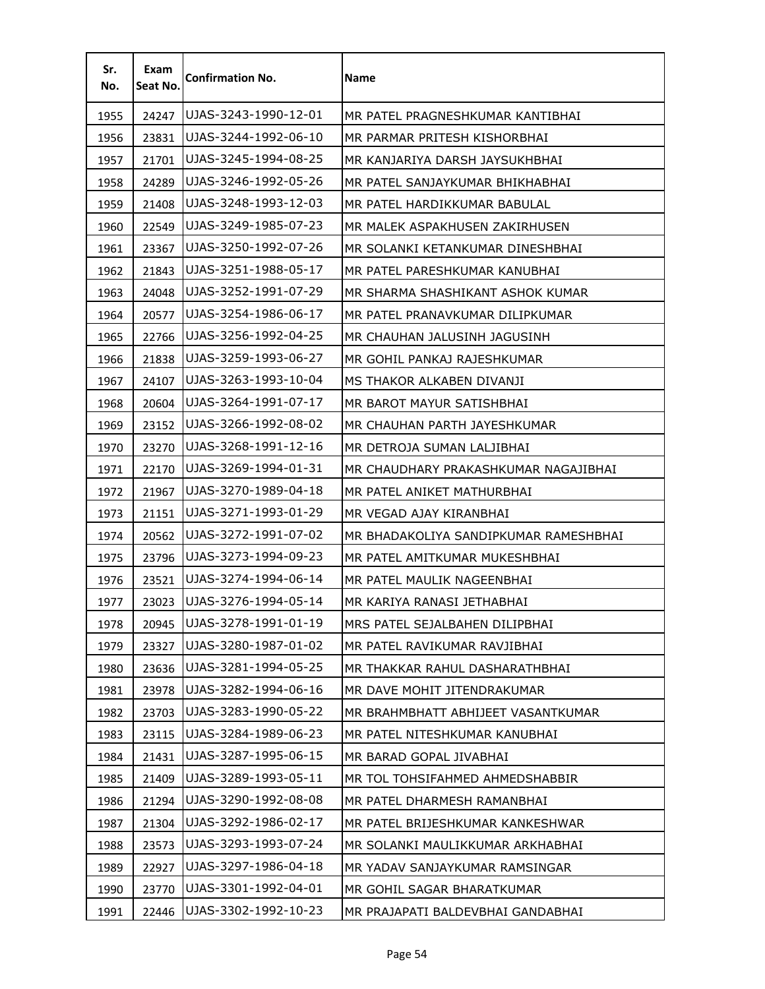| Sr.<br>No. | Exam<br>Seat No. | <b>Confirmation No.</b> | <b>Name</b>                           |
|------------|------------------|-------------------------|---------------------------------------|
| 1955       | 24247            | UJAS-3243-1990-12-01    | MR PATEL PRAGNESHKUMAR KANTIBHAI      |
| 1956       | 23831            | UJAS-3244-1992-06-10    | MR PARMAR PRITESH KISHORBHAI          |
| 1957       | 21701            | UJAS-3245-1994-08-25    | MR KANJARIYA DARSH JAYSUKHBHAI        |
| 1958       | 24289            | UJAS-3246-1992-05-26    | MR PATEL SANJAYKUMAR BHIKHABHAI       |
| 1959       | 21408            | UJAS-3248-1993-12-03    | MR PATEL HARDIKKUMAR BABULAL          |
| 1960       | 22549            | UJAS-3249-1985-07-23    | MR MALEK ASPAKHUSEN ZAKIRHUSEN        |
| 1961       | 23367            | UJAS-3250-1992-07-26    | MR SOLANKI KETANKUMAR DINESHBHAI      |
| 1962       | 21843            | UJAS-3251-1988-05-17    | MR PATEL PARESHKUMAR KANUBHAI         |
| 1963       | 24048            | UJAS-3252-1991-07-29    | MR SHARMA SHASHIKANT ASHOK KUMAR      |
| 1964       | 20577            | UJAS-3254-1986-06-17    | MR PATEL PRANAVKUMAR DILIPKUMAR       |
| 1965       | 22766            | UJAS-3256-1992-04-25    | MR CHAUHAN JALUSINH JAGUSINH          |
| 1966       | 21838            | UJAS-3259-1993-06-27    | MR GOHIL PANKAJ RAJESHKUMAR           |
| 1967       | 24107            | UJAS-3263-1993-10-04    | MS THAKOR ALKABEN DIVANJI             |
| 1968       | 20604            | UJAS-3264-1991-07-17    | MR BAROT MAYUR SATISHBHAI             |
| 1969       | 23152            | UJAS-3266-1992-08-02    | MR CHAUHAN PARTH JAYESHKUMAR          |
| 1970       | 23270            | UJAS-3268-1991-12-16    | MR DETROJA SUMAN LALJIBHAI            |
| 1971       | 22170            | UJAS-3269-1994-01-31    | MR CHAUDHARY PRAKASHKUMAR NAGAJIBHAI  |
| 1972       | 21967            | UJAS-3270-1989-04-18    | MR PATEL ANIKET MATHURBHAI            |
| 1973       | 21151            | UJAS-3271-1993-01-29    | MR VEGAD AJAY KIRANBHAI               |
| 1974       | 20562            | UJAS-3272-1991-07-02    | MR BHADAKOLIYA SANDIPKUMAR RAMESHBHAI |
| 1975       | 23796            | UJAS-3273-1994-09-23    | MR PATEL AMITKUMAR MUKESHBHAI         |
| 1976       | 23521            | UJAS-3274-1994-06-14    | MR PATEL MAULIK NAGEENBHAI            |
| 1977       | 23023            | UJAS-3276-1994-05-14    | MR KARIYA RANASI JETHABHAI            |
| 1978       | 20945            | UJAS-3278-1991-01-19    | MRS PATEL SEJALBAHEN DILIPBHAI        |
| 1979       | 23327            | UJAS-3280-1987-01-02    | MR PATEL RAVIKUMAR RAVJIBHAI          |
| 1980       | 23636            | UJAS-3281-1994-05-25    | MR THAKKAR RAHUL DASHARATHBHAI        |
| 1981       | 23978            | UJAS-3282-1994-06-16    | MR DAVE MOHIT JITENDRAKUMAR           |
| 1982       | 23703            | UJAS-3283-1990-05-22    | MR BRAHMBHATT ABHIJEET VASANTKUMAR    |
| 1983       | 23115            | UJAS-3284-1989-06-23    | MR PATEL NITESHKUMAR KANUBHAI         |
| 1984       | 21431            | UJAS-3287-1995-06-15    | MR BARAD GOPAL JIVABHAI               |
| 1985       | 21409            | UJAS-3289-1993-05-11    | MR TOL TOHSIFAHMED AHMEDSHABBIR       |
| 1986       | 21294            | UJAS-3290-1992-08-08    | MR PATEL DHARMESH RAMANBHAI           |
| 1987       | 21304            | UJAS-3292-1986-02-17    | MR PATEL BRIJESHKUMAR KANKESHWAR      |
| 1988       | 23573            | UJAS-3293-1993-07-24    | MR SOLANKI MAULIKKUMAR ARKHABHAI      |
| 1989       | 22927            | UJAS-3297-1986-04-18    | MR YADAV SANJAYKUMAR RAMSINGAR        |
| 1990       | 23770            | UJAS-3301-1992-04-01    | MR GOHIL SAGAR BHARATKUMAR            |
| 1991       | 22446            | UJAS-3302-1992-10-23    | MR PRAJAPATI BALDEVBHAI GANDABHAI     |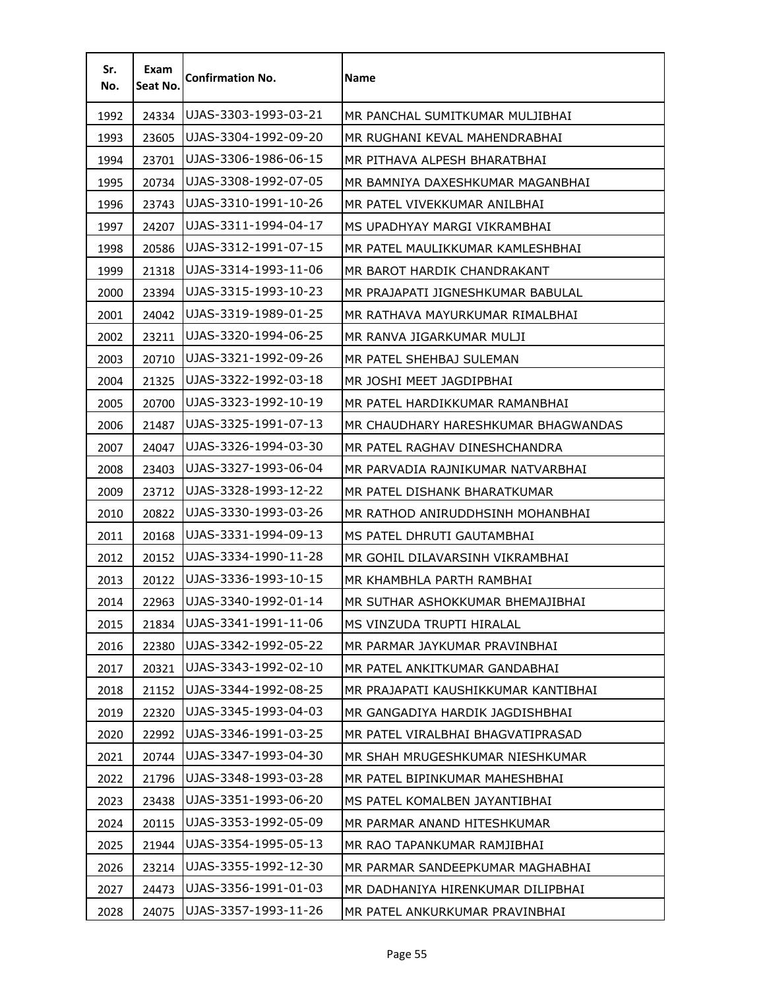| Sr.<br>No. | Exam<br>Seat No. | <b>Confirmation No.</b> | <b>Name</b>                         |
|------------|------------------|-------------------------|-------------------------------------|
| 1992       | 24334            | UJAS-3303-1993-03-21    | MR PANCHAL SUMITKUMAR MULJIBHAI     |
| 1993       | 23605            | UJAS-3304-1992-09-20    | MR RUGHANI KEVAL MAHENDRABHAI       |
| 1994       | 23701            | UJAS-3306-1986-06-15    | MR PITHAVA ALPESH BHARATBHAI        |
| 1995       | 20734            | UJAS-3308-1992-07-05    | MR BAMNIYA DAXESHKUMAR MAGANBHAI    |
| 1996       | 23743            | UJAS-3310-1991-10-26    | MR PATEL VIVEKKUMAR ANILBHAI        |
| 1997       | 24207            | UJAS-3311-1994-04-17    | MS UPADHYAY MARGI VIKRAMBHAI        |
| 1998       | 20586            | UJAS-3312-1991-07-15    | MR PATEL MAULIKKUMAR KAMLESHBHAI    |
| 1999       | 21318            | UJAS-3314-1993-11-06    | MR BAROT HARDIK CHANDRAKANT         |
| 2000       | 23394            | UJAS-3315-1993-10-23    | MR PRAJAPATI JIGNESHKUMAR BABULAL   |
| 2001       | 24042            | UJAS-3319-1989-01-25    | MR RATHAVA MAYURKUMAR RIMALBHAI     |
| 2002       | 23211            | UJAS-3320-1994-06-25    | MR RANVA JIGARKUMAR MULJI           |
| 2003       | 20710            | UJAS-3321-1992-09-26    | MR PATEL SHEHBAJ SULEMAN            |
| 2004       | 21325            | UJAS-3322-1992-03-18    | MR JOSHI MEET JAGDIPBHAI            |
| 2005       | 20700            | UJAS-3323-1992-10-19    | MR PATEL HARDIKKUMAR RAMANBHAI      |
| 2006       | 21487            | UJAS-3325-1991-07-13    | MR CHAUDHARY HARESHKUMAR BHAGWANDAS |
| 2007       | 24047            | UJAS-3326-1994-03-30    | MR PATEL RAGHAV DINESHCHANDRA       |
| 2008       | 23403            | UJAS-3327-1993-06-04    | MR PARVADIA RAJNIKUMAR NATVARBHAI   |
| 2009       | 23712            | UJAS-3328-1993-12-22    | MR PATEL DISHANK BHARATKUMAR        |
| 2010       | 20822            | UJAS-3330-1993-03-26    | MR RATHOD ANIRUDDHSINH MOHANBHAI    |
| 2011       | 20168            | UJAS-3331-1994-09-13    | MS PATEL DHRUTI GAUTAMBHAI          |
| 2012       | 20152            | UJAS-3334-1990-11-28    | MR GOHIL DILAVARSINH VIKRAMBHAI     |
| 2013       | 20122            | UJAS-3336-1993-10-15    | MR KHAMBHLA PARTH RAMBHAI           |
| 2014       | 22963            | UJAS-3340-1992-01-14    | MR SUTHAR ASHOKKUMAR BHEMAJIBHAI    |
| 2015       | 21834            | UJAS-3341-1991-11-06    | MS VINZUDA TRUPTI HIRALAL           |
| 2016       | 22380            | UJAS-3342-1992-05-22    | MR PARMAR JAYKUMAR PRAVINBHAI       |
| 2017       | 20321            | UJAS-3343-1992-02-10    | MR PATEL ANKITKUMAR GANDABHAI       |
| 2018       | 21152            | UJAS-3344-1992-08-25    | MR PRAJAPATI KAUSHIKKUMAR KANTIBHAI |
| 2019       | 22320            | UJAS-3345-1993-04-03    | MR GANGADIYA HARDIK JAGDISHBHAI     |
| 2020       | 22992            | UJAS-3346-1991-03-25    | MR PATEL VIRALBHAI BHAGVATIPRASAD   |
| 2021       | 20744            | UJAS-3347-1993-04-30    | MR SHAH MRUGESHKUMAR NIESHKUMAR     |
| 2022       | 21796            | UJAS-3348-1993-03-28    | MR PATEL BIPINKUMAR MAHESHBHAI      |
| 2023       | 23438            | UJAS-3351-1993-06-20    | MS PATEL KOMALBEN JAYANTIBHAI       |
| 2024       | 20115            | UJAS-3353-1992-05-09    | MR PARMAR ANAND HITESHKUMAR         |
| 2025       | 21944            | UJAS-3354-1995-05-13    | MR RAO TAPANKUMAR RAMJIBHAI         |
| 2026       | 23214            | UJAS-3355-1992-12-30    | MR PARMAR SANDEEPKUMAR MAGHABHAI    |
| 2027       | 24473            | UJAS-3356-1991-01-03    | MR DADHANIYA HIRENKUMAR DILIPBHAI   |
| 2028       | 24075            | UJAS-3357-1993-11-26    | MR PATEL ANKURKUMAR PRAVINBHAI      |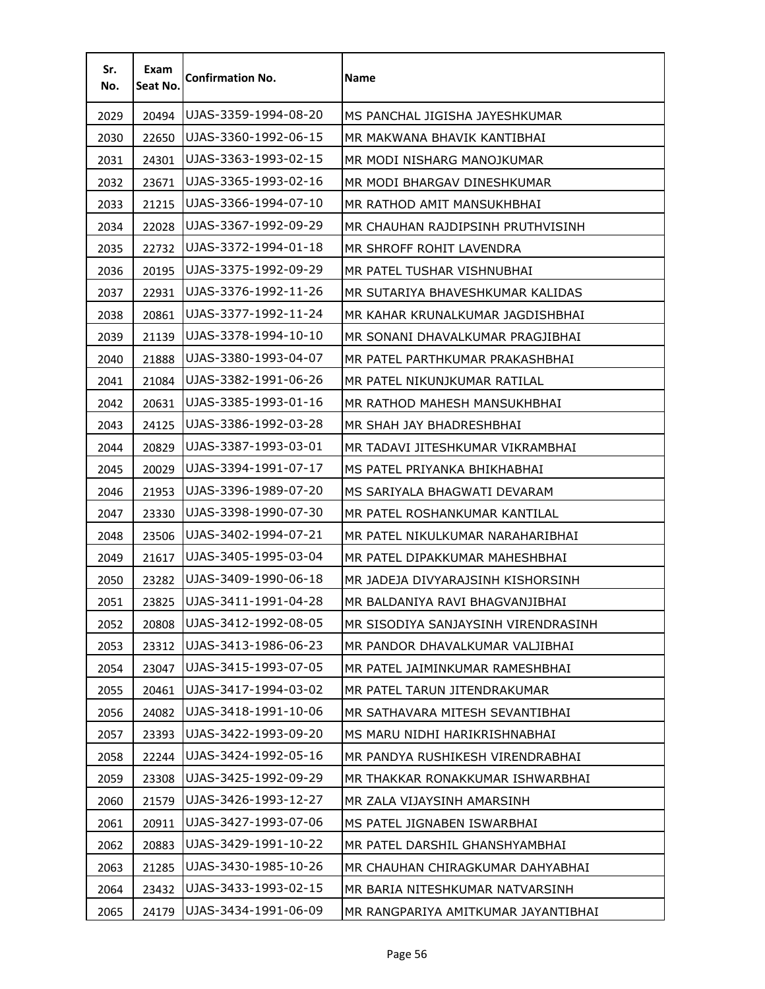| Sr.<br>No. | Exam<br>Seat No. | <b>Confirmation No.</b> | <b>Name</b>                         |
|------------|------------------|-------------------------|-------------------------------------|
| 2029       | 20494            | UJAS-3359-1994-08-20    | MS PANCHAL JIGISHA JAYESHKUMAR      |
| 2030       | 22650            | UJAS-3360-1992-06-15    | MR MAKWANA BHAVIK KANTIBHAI         |
| 2031       | 24301            | UJAS-3363-1993-02-15    | MR MODI NISHARG MANOJKUMAR          |
| 2032       | 23671            | UJAS-3365-1993-02-16    | MR MODI BHARGAV DINESHKUMAR         |
| 2033       | 21215            | UJAS-3366-1994-07-10    | MR RATHOD AMIT MANSUKHBHAI          |
| 2034       | 22028            | UJAS-3367-1992-09-29    | MR CHAUHAN RAJDIPSINH PRUTHVISINH   |
| 2035       | 22732            | UJAS-3372-1994-01-18    | MR SHROFF ROHIT LAVENDRA            |
| 2036       | 20195            | UJAS-3375-1992-09-29    | MR PATEL TUSHAR VISHNUBHAI          |
| 2037       | 22931            | UJAS-3376-1992-11-26    | MR SUTARIYA BHAVESHKUMAR KALIDAS    |
| 2038       | 20861            | UJAS-3377-1992-11-24    | MR KAHAR KRUNALKUMAR JAGDISHBHAI    |
| 2039       | 21139            | UJAS-3378-1994-10-10    | MR SONANI DHAVALKUMAR PRAGJIBHAI    |
| 2040       | 21888            | UJAS-3380-1993-04-07    | MR PATEL PARTHKUMAR PRAKASHBHAI     |
| 2041       | 21084            | UJAS-3382-1991-06-26    | MR PATEL NIKUNJKUMAR RATILAL        |
| 2042       | 20631            | UJAS-3385-1993-01-16    | MR RATHOD MAHESH MANSUKHBHAI        |
| 2043       | 24125            | UJAS-3386-1992-03-28    | MR SHAH JAY BHADRESHBHAI            |
| 2044       | 20829            | UJAS-3387-1993-03-01    | MR TADAVI JITESHKUMAR VIKRAMBHAI    |
| 2045       | 20029            | UJAS-3394-1991-07-17    | MS PATEL PRIYANKA BHIKHABHAI        |
| 2046       | 21953            | UJAS-3396-1989-07-20    | MS SARIYALA BHAGWATI DEVARAM        |
| 2047       | 23330            | UJAS-3398-1990-07-30    | MR PATEL ROSHANKUMAR KANTILAL       |
| 2048       | 23506            | UJAS-3402-1994-07-21    | MR PATEL NIKULKUMAR NARAHARIBHAI    |
| 2049       | 21617            | UJAS-3405-1995-03-04    | MR PATEL DIPAKKUMAR MAHESHBHAI      |
| 2050       | 23282            | UJAS-3409-1990-06-18    | MR JADEJA DIVYARAJSINH KISHORSINH   |
| 2051       | 23825            | UJAS-3411-1991-04-28    | MR BALDANIYA RAVI BHAGVANJIBHAI     |
| 2052       | 20808            | UJAS-3412-1992-08-05    | MR SISODIYA SANJAYSINH VIRENDRASINH |
| 2053       | 23312            | UJAS-3413-1986-06-23    | MR PANDOR DHAVALKUMAR VALJIBHAI     |
| 2054       | 23047            | UJAS-3415-1993-07-05    | MR PATEL JAIMINKUMAR RAMESHBHAI     |
| 2055       | 20461            | UJAS-3417-1994-03-02    | MR PATEL TARUN JITENDRAKUMAR        |
| 2056       | 24082            | UJAS-3418-1991-10-06    | MR SATHAVARA MITESH SEVANTIBHAI     |
| 2057       | 23393            | UJAS-3422-1993-09-20    | MS MARU NIDHI HARIKRISHNABHAI       |
| 2058       | 22244            | UJAS-3424-1992-05-16    | MR PANDYA RUSHIKESH VIRENDRABHAI    |
| 2059       | 23308            | UJAS-3425-1992-09-29    | MR THAKKAR RONAKKUMAR ISHWARBHAI    |
| 2060       | 21579            | UJAS-3426-1993-12-27    | MR ZALA VIJAYSINH AMARSINH          |
| 2061       | 20911            | UJAS-3427-1993-07-06    | MS PATEL JIGNABEN ISWARBHAI         |
| 2062       | 20883            | UJAS-3429-1991-10-22    | MR PATEL DARSHIL GHANSHYAMBHAI      |
| 2063       | 21285            | UJAS-3430-1985-10-26    | MR CHAUHAN CHIRAGKUMAR DAHYABHAI    |
| 2064       | 23432            | UJAS-3433-1993-02-15    | MR BARIA NITESHKUMAR NATVARSINH     |
| 2065       | 24179            | UJAS-3434-1991-06-09    | MR RANGPARIYA AMITKUMAR JAYANTIBHAI |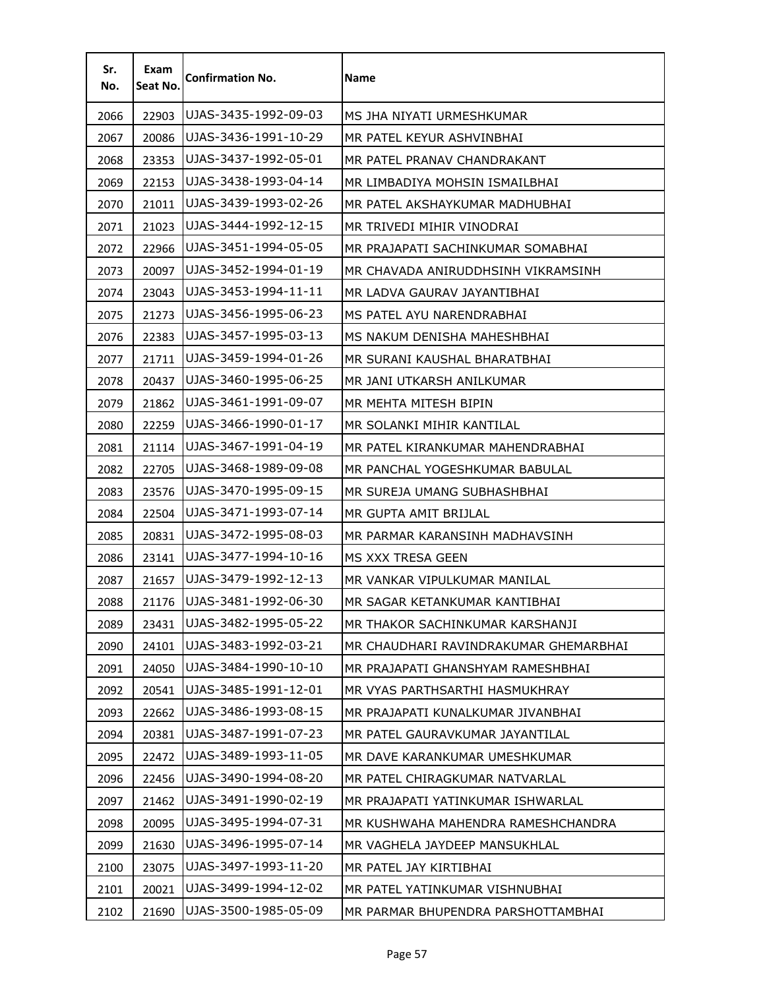| Sr.<br>No. | Exam<br>Seat No. | <b>Confirmation No.</b> | <b>Name</b>                           |
|------------|------------------|-------------------------|---------------------------------------|
| 2066       | 22903            | UJAS-3435-1992-09-03    | MS JHA NIYATI URMESHKUMAR             |
| 2067       | 20086            | UJAS-3436-1991-10-29    | MR PATEL KEYUR ASHVINBHAI             |
| 2068       | 23353            | UJAS-3437-1992-05-01    | MR PATEL PRANAV CHANDRAKANT           |
| 2069       | 22153            | UJAS-3438-1993-04-14    | MR LIMBADIYA MOHSIN ISMAILBHAI        |
| 2070       | 21011            | UJAS-3439-1993-02-26    | MR PATEL AKSHAYKUMAR MADHUBHAI        |
| 2071       | 21023            | UJAS-3444-1992-12-15    | MR TRIVEDI MIHIR VINODRAI             |
| 2072       | 22966            | UJAS-3451-1994-05-05    | MR PRAJAPATI SACHINKUMAR SOMABHAI     |
| 2073       | 20097            | UJAS-3452-1994-01-19    | MR CHAVADA ANIRUDDHSINH VIKRAMSINH.   |
| 2074       | 23043            | UJAS-3453-1994-11-11    | MR LADVA GAURAV JAYANTIBHAI           |
| 2075       | 21273            | UJAS-3456-1995-06-23    | MS PATEL AYU NARENDRABHAI             |
| 2076       | 22383            | UJAS-3457-1995-03-13    | MS NAKUM DENISHA MAHESHBHAI           |
| 2077       | 21711            | UJAS-3459-1994-01-26    | MR SURANI KAUSHAL BHARATBHAI          |
| 2078       | 20437            | UJAS-3460-1995-06-25    | MR JANI UTKARSH ANILKUMAR             |
| 2079       | 21862            | UJAS-3461-1991-09-07    | MR MEHTA MITESH BIPIN                 |
| 2080       | 22259            | UJAS-3466-1990-01-17    | MR SOLANKI MIHIR KANTILAL             |
| 2081       | 21114            | UJAS-3467-1991-04-19    | MR PATEL KIRANKUMAR MAHENDRABHAI      |
| 2082       | 22705            | UJAS-3468-1989-09-08    | MR PANCHAL YOGESHKUMAR BABULAL        |
| 2083       | 23576            | UJAS-3470-1995-09-15    | MR SUREJA UMANG SUBHASHBHAI           |
| 2084       | 22504            | UJAS-3471-1993-07-14    | MR GUPTA AMIT BRIJLAL                 |
| 2085       | 20831            | UJAS-3472-1995-08-03    | MR PARMAR KARANSINH MADHAVSINH        |
| 2086       | 23141            | UJAS-3477-1994-10-16    | MS XXX TRESA GEEN                     |
| 2087       | 21657            | UJAS-3479-1992-12-13    | MR VANKAR VIPULKUMAR MANILAL          |
| 2088       | 21176            | UJAS-3481-1992-06-30    | MR SAGAR KETANKUMAR KANTIBHAI         |
| 2089       | 23431            | UJAS-3482-1995-05-22    | MR THAKOR SACHINKUMAR KARSHANJI       |
| 2090       | 24101            | UJAS-3483-1992-03-21    | MR CHAUDHARI RAVINDRAKUMAR GHEMARBHAI |
| 2091       | 24050            | UJAS-3484-1990-10-10    | MR PRAJAPATI GHANSHYAM RAMESHBHAI     |
| 2092       | 20541            | UJAS-3485-1991-12-01    | MR VYAS PARTHSARTHI HASMUKHRAY        |
| 2093       | 22662            | UJAS-3486-1993-08-15    | MR PRAJAPATI KUNALKUMAR JIVANBHAI     |
| 2094       | 20381            | UJAS-3487-1991-07-23    | MR PATEL GAURAVKUMAR JAYANTILAL       |
| 2095       | 22472            | UJAS-3489-1993-11-05    | MR DAVE KARANKUMAR UMESHKUMAR         |
| 2096       | 22456            | UJAS-3490-1994-08-20    | MR PATEL CHIRAGKUMAR NATVARLAL        |
| 2097       | 21462            | UJAS-3491-1990-02-19    | MR PRAJAPATI YATINKUMAR ISHWARLAL     |
| 2098       | 20095            | UJAS-3495-1994-07-31    | MR KUSHWAHA MAHENDRA RAMESHCHANDRA    |
| 2099       | 21630            | UJAS-3496-1995-07-14    | MR VAGHELA JAYDEEP MANSUKHLAL         |
| 2100       | 23075            | UJAS-3497-1993-11-20    | MR PATEL JAY KIRTIBHAI                |
| 2101       | 20021            | UJAS-3499-1994-12-02    | MR PATEL YATINKUMAR VISHNUBHAI        |
| 2102       | 21690            | UJAS-3500-1985-05-09    | MR PARMAR BHUPENDRA PARSHOTTAMBHAI    |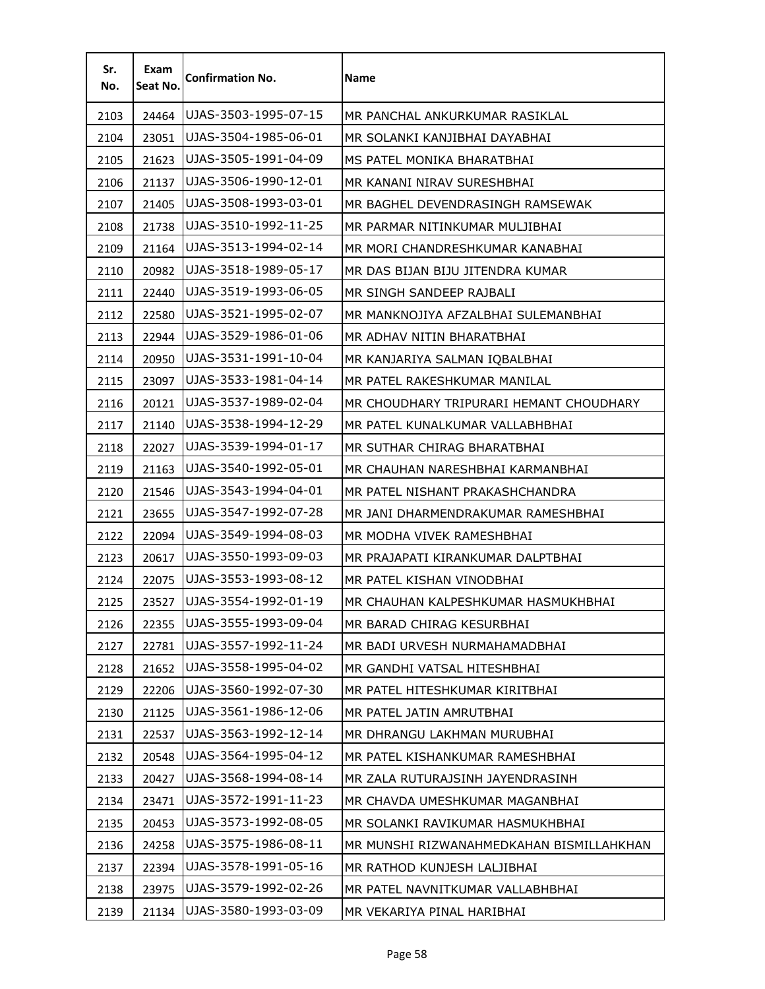| Sr.<br>No. | Exam<br>Seat No. | <b>Confirmation No.</b> | <b>Name</b>                              |
|------------|------------------|-------------------------|------------------------------------------|
| 2103       | 24464            | UJAS-3503-1995-07-15    | MR PANCHAL ANKURKUMAR RASIKLAL           |
| 2104       | 23051            | UJAS-3504-1985-06-01    | MR SOLANKI KANJIBHAI DAYABHAI            |
| 2105       | 21623            | UJAS-3505-1991-04-09    | MS PATEL MONIKA BHARATBHAI               |
| 2106       | 21137            | UJAS-3506-1990-12-01    | MR KANANI NIRAV SURESHBHAI               |
| 2107       | 21405            | UJAS-3508-1993-03-01    | MR BAGHEL DEVENDRASINGH RAMSEWAK         |
| 2108       | 21738            | UJAS-3510-1992-11-25    | MR PARMAR NITINKUMAR MULJIBHAI           |
| 2109       | 21164            | UJAS-3513-1994-02-14    | MR MORI CHANDRESHKUMAR KANABHAI          |
| 2110       | 20982            | UJAS-3518-1989-05-17    | MR DAS BIJAN BIJU JITENDRA KUMAR         |
| 2111       | 22440            | UJAS-3519-1993-06-05    | MR SINGH SANDEEP RAJBALI                 |
| 2112       | 22580            | UJAS-3521-1995-02-07    | MR MANKNOJIYA AFZALBHAI SULEMANBHAI      |
| 2113       | 22944            | UJAS-3529-1986-01-06    | MR ADHAV NITIN BHARATBHAI                |
| 2114       | 20950            | UJAS-3531-1991-10-04    | MR KANJARIYA SALMAN IQBALBHAI            |
| 2115       | 23097            | UJAS-3533-1981-04-14    | MR PATEL RAKESHKUMAR MANILAL             |
| 2116       | 20121            | UJAS-3537-1989-02-04    | MR CHOUDHARY TRIPURARI HEMANT CHOUDHARY  |
| 2117       | 21140            | UJAS-3538-1994-12-29    | MR PATEL KUNALKUMAR VALLABHBHAI          |
| 2118       | 22027            | UJAS-3539-1994-01-17    | MR SUTHAR CHIRAG BHARATBHAI              |
| 2119       | 21163            | UJAS-3540-1992-05-01    | MR CHAUHAN NARESHBHAI KARMANBHAI         |
| 2120       | 21546            | UJAS-3543-1994-04-01    | MR PATEL NISHANT PRAKASHCHANDRA          |
| 2121       | 23655            | UJAS-3547-1992-07-28    | MR JANI DHARMENDRAKUMAR RAMESHBHAI       |
| 2122       | 22094            | UJAS-3549-1994-08-03    | MR MODHA VIVEK RAMESHBHAI                |
| 2123       | 20617            | UJAS-3550-1993-09-03    | MR PRAJAPATI KIRANKUMAR DALPTBHAI        |
| 2124       | 22075            | UJAS-3553-1993-08-12    | MR PATEL KISHAN VINODBHAI                |
| 2125       | 23527            | UJAS-3554-1992-01-19    | MR CHAUHAN KALPESHKUMAR HASMUKHBHAI      |
| 2126       | 22355            | UJAS-3555-1993-09-04    | MR BARAD CHIRAG KESURBHAI                |
| 2127       | 22781            | UJAS-3557-1992-11-24    | MR BADI URVESH NURMAHAMADBHAI            |
| 2128       | 21652            | UJAS-3558-1995-04-02    | MR GANDHI VATSAL HITESHBHAI              |
| 2129       | 22206            | UJAS-3560-1992-07-30    | MR PATEL HITESHKUMAR KIRITBHAI           |
| 2130       | 21125            | UJAS-3561-1986-12-06    | MR PATEL JATIN AMRUTBHAI                 |
| 2131       | 22537            | UJAS-3563-1992-12-14    | MR DHRANGU LAKHMAN MURUBHAI              |
| 2132       | 20548            | UJAS-3564-1995-04-12    | MR PATEL KISHANKUMAR RAMESHBHAI          |
| 2133       | 20427            | UJAS-3568-1994-08-14    | MR ZALA RUTURAJSINH JAYENDRASINH         |
| 2134       | 23471            | UJAS-3572-1991-11-23    | MR CHAVDA UMESHKUMAR MAGANBHAI           |
| 2135       | 20453            | UJAS-3573-1992-08-05    | MR SOLANKI RAVIKUMAR HASMUKHBHAI         |
| 2136       | 24258            | UJAS-3575-1986-08-11    | MR MUNSHI RIZWANAHMEDKAHAN BISMILLAHKHAN |
| 2137       | 22394            | UJAS-3578-1991-05-16    | MR RATHOD KUNJESH LALJIBHAI              |
| 2138       | 23975            | UJAS-3579-1992-02-26    | MR PATEL NAVNITKUMAR VALLABHBHAI         |
| 2139       | 21134            | UJAS-3580-1993-03-09    | MR VEKARIYA PINAL HARIBHAI               |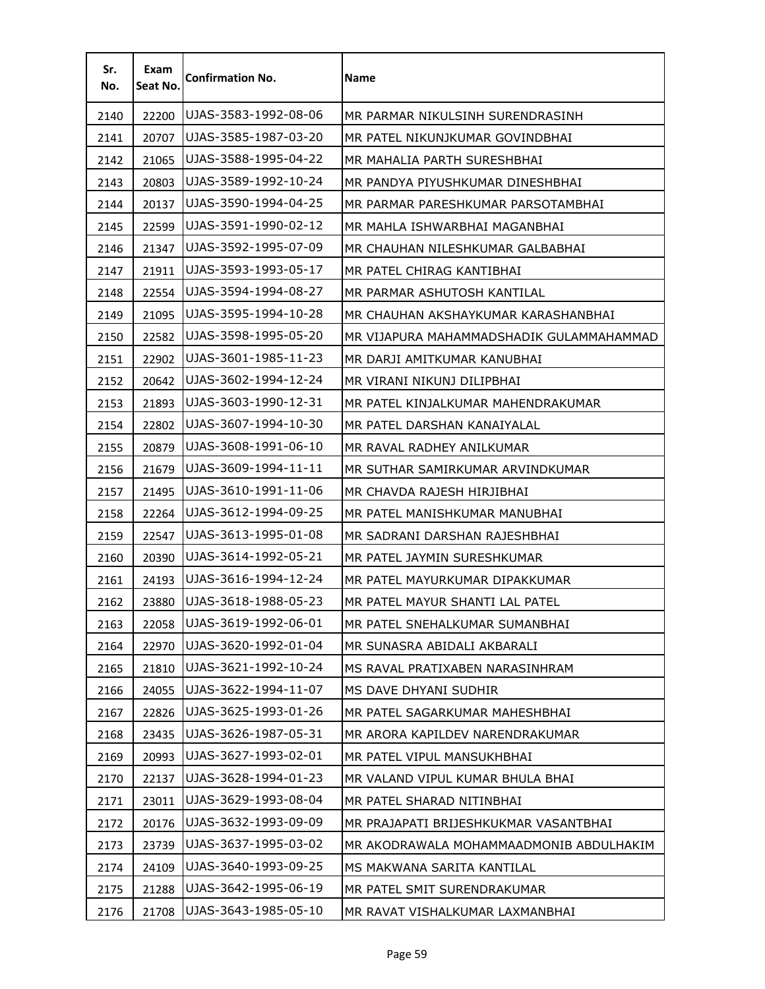| Sr.<br>No. | Exam<br>Seat No. | <b>Confirmation No.</b> | <b>Name</b>                              |
|------------|------------------|-------------------------|------------------------------------------|
| 2140       | 22200            | UJAS-3583-1992-08-06    | MR PARMAR NIKULSINH SURENDRASINH         |
| 2141       | 20707            | UJAS-3585-1987-03-20    | MR PATEL NIKUNJKUMAR GOVINDBHAI          |
| 2142       | 21065            | UJAS-3588-1995-04-22    | MR MAHALIA PARTH SURESHBHAI              |
| 2143       | 20803            | UJAS-3589-1992-10-24    | MR PANDYA PIYUSHKUMAR DINESHBHAI         |
| 2144       | 20137            | UJAS-3590-1994-04-25    | MR PARMAR PARESHKUMAR PARSOTAMBHAI       |
| 2145       | 22599            | UJAS-3591-1990-02-12    | MR MAHLA ISHWARBHAI MAGANBHAI            |
| 2146       | 21347            | UJAS-3592-1995-07-09    | MR CHAUHAN NILESHKUMAR GALBABHAI         |
| 2147       | 21911            | UJAS-3593-1993-05-17    | MR PATEL CHIRAG KANTIBHAI                |
| 2148       | 22554            | UJAS-3594-1994-08-27    | MR PARMAR ASHUTOSH KANTILAL              |
| 2149       | 21095            | UJAS-3595-1994-10-28    | MR CHAUHAN AKSHAYKUMAR KARASHANBHAI      |
| 2150       | 22582            | UJAS-3598-1995-05-20    | MR VIJAPURA MAHAMMADSHADIK GULAMMAHAMMAD |
| 2151       | 22902            | UJAS-3601-1985-11-23    | MR DARJI AMITKUMAR KANUBHAI              |
| 2152       | 20642            | UJAS-3602-1994-12-24    | MR VIRANI NIKUNJ DILIPBHAI               |
| 2153       | 21893            | UJAS-3603-1990-12-31    | MR PATEL KINJALKUMAR MAHENDRAKUMAR       |
| 2154       | 22802            | UJAS-3607-1994-10-30    | MR PATEL DARSHAN KANAIYALAL              |
| 2155       | 20879            | UJAS-3608-1991-06-10    | MR RAVAL RADHEY ANILKUMAR                |
| 2156       | 21679            | UJAS-3609-1994-11-11    | MR SUTHAR SAMIRKUMAR ARVINDKUMAR         |
| 2157       | 21495            | UJAS-3610-1991-11-06    | MR CHAVDA RAJESH HIRJIBHAI               |
| 2158       | 22264            | UJAS-3612-1994-09-25    | MR PATEL MANISHKUMAR MANUBHAI            |
| 2159       | 22547            | UJAS-3613-1995-01-08    | MR SADRANI DARSHAN RAJESHBHAI            |
| 2160       | 20390            | UJAS-3614-1992-05-21    | MR PATEL JAYMIN SURESHKUMAR              |
| 2161       | 24193            | UJAS-3616-1994-12-24    | MR PATEL MAYURKUMAR DIPAKKUMAR           |
| 2162       | 23880            | UJAS-3618-1988-05-23    | MR PATEL MAYUR SHANTI LAL PATEL          |
| 2163       | 22058            | UJAS-3619-1992-06-01    | MR PATEL SNEHALKUMAR SUMANBHAI           |
| 2164       | 22970            | UJAS-3620-1992-01-04    | MR SUNASRA ABIDALI AKBARALI              |
| 2165       | 21810            | UJAS-3621-1992-10-24    | MS RAVAL PRATIXABEN NARASINHRAM          |
| 2166       | 24055            | UJAS-3622-1994-11-07    | MS DAVE DHYANI SUDHIR                    |
| 2167       | 22826            | UJAS-3625-1993-01-26    | MR PATEL SAGARKUMAR MAHESHBHAI           |
| 2168       | 23435            | UJAS-3626-1987-05-31    | MR ARORA KAPILDEV NARENDRAKUMAR          |
| 2169       | 20993            | UJAS-3627-1993-02-01    | MR PATEL VIPUL MANSUKHBHAI               |
| 2170       | 22137            | UJAS-3628-1994-01-23    | MR VALAND VIPUL KUMAR BHULA BHAI         |
| 2171       | 23011            | UJAS-3629-1993-08-04    | MR PATEL SHARAD NITINBHAI                |
| 2172       | 20176            | UJAS-3632-1993-09-09    | MR PRAJAPATI BRIJESHKUKMAR VASANTBHAI    |
| 2173       | 23739            | UJAS-3637-1995-03-02    | MR AKODRAWALA MOHAMMAADMONIB ABDULHAKIM  |
| 2174       | 24109            | UJAS-3640-1993-09-25    | MS MAKWANA SARITA KANTILAL               |
| 2175       | 21288            | UJAS-3642-1995-06-19    | MR PATEL SMIT SURENDRAKUMAR              |
| 2176       | 21708            | UJAS-3643-1985-05-10    | MR RAVAT VISHALKUMAR LAXMANBHAI          |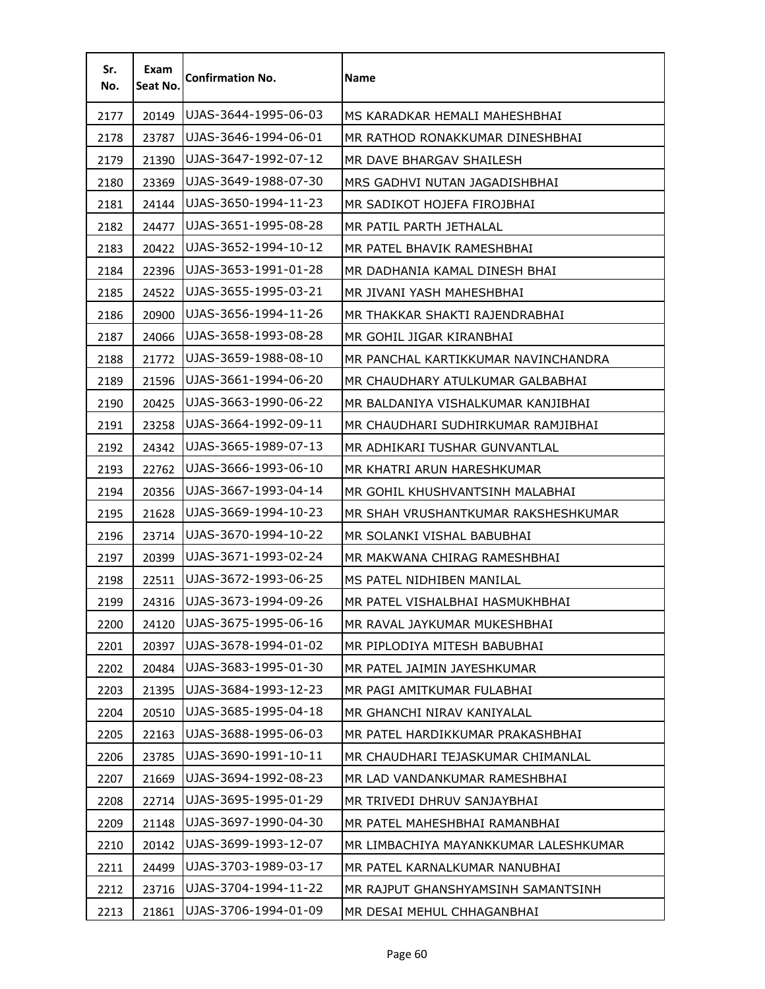| Sr.<br>No. | Exam<br>Seat No. | <b>Confirmation No.</b> | Name                                  |
|------------|------------------|-------------------------|---------------------------------------|
| 2177       | 20149            | UJAS-3644-1995-06-03    | MS KARADKAR HEMALI MAHESHBHAI         |
| 2178       | 23787            | UJAS-3646-1994-06-01    | MR RATHOD RONAKKUMAR DINESHBHAI       |
| 2179       | 21390            | UJAS-3647-1992-07-12    | MR DAVE BHARGAV SHAILESH              |
| 2180       | 23369            | UJAS-3649-1988-07-30    | MRS GADHVI NUTAN JAGADISHBHAI         |
| 2181       | 24144            | UJAS-3650-1994-11-23    | MR SADIKOT HOJEFA FIROJBHAI           |
| 2182       | 24477            | UJAS-3651-1995-08-28    | MR PATIL PARTH JETHALAL               |
| 2183       | 20422            | UJAS-3652-1994-10-12    | MR PATEL BHAVIK RAMESHBHAI            |
| 2184       | 22396            | UJAS-3653-1991-01-28    | MR DADHANIA KAMAL DINESH BHAI         |
| 2185       | 24522            | UJAS-3655-1995-03-21    | MR JIVANI YASH MAHESHBHAI             |
| 2186       | 20900            | UJAS-3656-1994-11-26    | MR THAKKAR SHAKTI RAJENDRABHAI        |
| 2187       | 24066            | UJAS-3658-1993-08-28    | MR GOHIL JIGAR KIRANBHAI              |
| 2188       | 21772            | UJAS-3659-1988-08-10    | MR PANCHAL KARTIKKUMAR NAVINCHANDRA   |
| 2189       | 21596            | UJAS-3661-1994-06-20    | MR CHAUDHARY ATULKUMAR GALBABHAI      |
| 2190       | 20425            | UJAS-3663-1990-06-22    | MR BALDANIYA VISHALKUMAR KANJIBHAI    |
| 2191       | 23258            | UJAS-3664-1992-09-11    | MR CHAUDHARI SUDHIRKUMAR RAMJIBHAI    |
| 2192       | 24342            | UJAS-3665-1989-07-13    | MR ADHIKARI TUSHAR GUNVANTLAL         |
| 2193       | 22762            | UJAS-3666-1993-06-10    | MR KHATRI ARUN HARESHKUMAR            |
| 2194       | 20356            | UJAS-3667-1993-04-14    | MR GOHIL KHUSHVANTSINH MALABHAI       |
| 2195       | 21628            | UJAS-3669-1994-10-23    | MR SHAH VRUSHANTKUMAR RAKSHESHKUMAR   |
| 2196       | 23714            | UJAS-3670-1994-10-22    | MR SOLANKI VISHAL BABUBHAI            |
| 2197       | 20399            | UJAS-3671-1993-02-24    | MR MAKWANA CHIRAG RAMESHBHAI          |
| 2198       | 22511            | UJAS-3672-1993-06-25    | MS PATEL NIDHIBEN MANILAL             |
| 2199       | 24316            | UJAS-3673-1994-09-26    | MR PATEL VISHALBHAI HASMUKHBHAI       |
| 2200       | 24120            | UJAS-3675-1995-06-16    | MR RAVAL JAYKUMAR MUKESHBHAI          |
| 2201       | 20397            | UJAS-3678-1994-01-02    | MR PIPLODIYA MITESH BABUBHAI          |
| 2202       | 20484            | UJAS-3683-1995-01-30    | MR PATEL JAIMIN JAYESHKUMAR           |
| 2203       | 21395            | UJAS-3684-1993-12-23    | MR PAGI AMITKUMAR FULABHAI            |
| 2204       | 20510            | UJAS-3685-1995-04-18    | MR GHANCHI NIRAV KANIYALAL            |
| 2205       | 22163            | UJAS-3688-1995-06-03    | MR PATEL HARDIKKUMAR PRAKASHBHAI      |
| 2206       | 23785            | UJAS-3690-1991-10-11    | MR CHAUDHARI TEJASKUMAR CHIMANLAL     |
| 2207       | 21669            | UJAS-3694-1992-08-23    | MR LAD VANDANKUMAR RAMESHBHAI         |
| 2208       | 22714            | UJAS-3695-1995-01-29    | MR TRIVEDI DHRUV SANJAYBHAI           |
| 2209       | 21148            | UJAS-3697-1990-04-30    | MR PATEL MAHESHBHAI RAMANBHAI         |
| 2210       | 20142            | UJAS-3699-1993-12-07    | MR LIMBACHIYA MAYANKKUMAR LALESHKUMAR |
| 2211       | 24499            | UJAS-3703-1989-03-17    | MR PATEL KARNALKUMAR NANUBHAI         |
| 2212       | 23716            | UJAS-3704-1994-11-22    | MR RAJPUT GHANSHYAMSINH SAMANTSINH    |
| 2213       | 21861            | UJAS-3706-1994-01-09    | MR DESAI MEHUL CHHAGANBHAI            |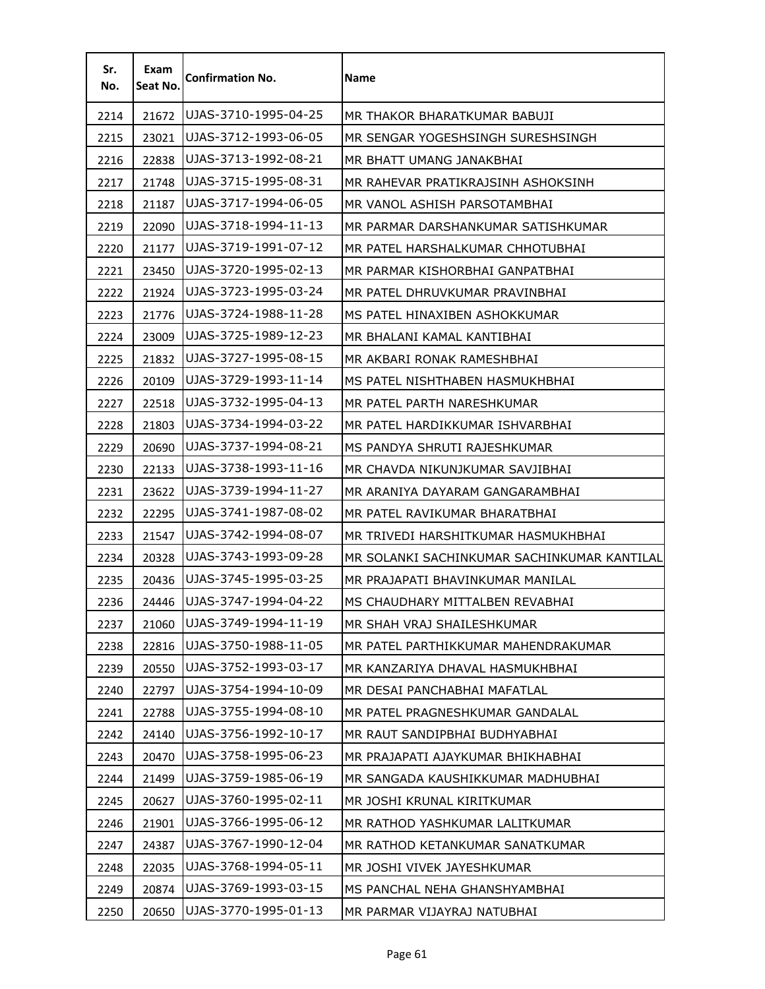| Sr.<br>No. | Exam<br>Seat No. | <b>Confirmation No.</b> | Name                                        |
|------------|------------------|-------------------------|---------------------------------------------|
| 2214       | 21672            | UJAS-3710-1995-04-25    | MR THAKOR BHARATKUMAR BABUJI                |
| 2215       | 23021            | UJAS-3712-1993-06-05    | MR SENGAR YOGESHSINGH SURESHSINGH           |
| 2216       | 22838            | UJAS-3713-1992-08-21    | MR BHATT UMANG JANAKBHAI                    |
| 2217       | 21748            | UJAS-3715-1995-08-31    | MR RAHEVAR PRATIKRAJSINH ASHOKSINH          |
| 2218       | 21187            | UJAS-3717-1994-06-05    | MR VANOL ASHISH PARSOTAMBHAI                |
| 2219       | 22090            | UJAS-3718-1994-11-13    | MR PARMAR DARSHANKUMAR SATISHKUMAR          |
| 2220       | 21177            | UJAS-3719-1991-07-12    | MR PATEL HARSHALKUMAR CHHOTUBHAI            |
| 2221       | 23450            | UJAS-3720-1995-02-13    | MR PARMAR KISHORBHAI GANPATBHAI             |
| 2222       | 21924            | UJAS-3723-1995-03-24    | MR PATEL DHRUVKUMAR PRAVINBHAI              |
| 2223       | 21776            | UJAS-3724-1988-11-28    | MS PATEL HINAXIBEN ASHOKKUMAR               |
| 2224       | 23009            | UJAS-3725-1989-12-23    | MR BHALANI KAMAL KANTIBHAI                  |
| 2225       | 21832            | UJAS-3727-1995-08-15    | MR AKBARI RONAK RAMESHBHAI                  |
| 2226       | 20109            | UJAS-3729-1993-11-14    | MS PATEL NISHTHABEN HASMUKHBHAI             |
| 2227       | 22518            | UJAS-3732-1995-04-13    | MR PATEL PARTH NARESHKUMAR                  |
| 2228       | 21803            | UJAS-3734-1994-03-22    | MR PATEL HARDIKKUMAR ISHVARBHAI             |
| 2229       | 20690            | UJAS-3737-1994-08-21    | MS PANDYA SHRUTI RAJESHKUMAR                |
| 2230       | 22133            | UJAS-3738-1993-11-16    | MR CHAVDA NIKUNJKUMAR SAVJIBHAI             |
| 2231       | 23622            | UJAS-3739-1994-11-27    | MR ARANIYA DAYARAM GANGARAMBHAI             |
| 2232       | 22295            | UJAS-3741-1987-08-02    | MR PATEL RAVIKUMAR BHARATBHAI               |
| 2233       | 21547            | UJAS-3742-1994-08-07    | MR TRIVEDI HARSHITKUMAR HASMUKHBHAI         |
| 2234       | 20328            | UJAS-3743-1993-09-28    | MR SOLANKI SACHINKUMAR SACHINKUMAR KANTILAL |
| 2235       | 20436            | UJAS-3745-1995-03-25    | MR PRAJAPATI BHAVINKUMAR MANILAL            |
| 2236       | 24446            | UJAS-3747-1994-04-22    | MS CHAUDHARY MITTALBEN REVABHAI             |
| 2237       | 21060            | UJAS-3749-1994-11-19    | MR SHAH VRAJ SHAILESHKUMAR                  |
| 2238       | 22816            | UJAS-3750-1988-11-05    | MR PATEL PARTHIKKUMAR MAHENDRAKUMAR         |
| 2239       | 20550            | UJAS-3752-1993-03-17    | MR KANZARIYA DHAVAL HASMUKHBHAI             |
| 2240       | 22797            | UJAS-3754-1994-10-09    | MR DESAI PANCHABHAI MAFATLAL                |
| 2241       | 22788            | UJAS-3755-1994-08-10    | MR PATEL PRAGNESHKUMAR GANDALAL             |
| 2242       | 24140            | UJAS-3756-1992-10-17    | MR RAUT SANDIPBHAI BUDHYABHAI               |
| 2243       | 20470            | UJAS-3758-1995-06-23    | MR PRAJAPATI AJAYKUMAR BHIKHABHAI           |
| 2244       | 21499            | UJAS-3759-1985-06-19    | MR SANGADA KAUSHIKKUMAR MADHUBHAI           |
| 2245       | 20627            | UJAS-3760-1995-02-11    | MR JOSHI KRUNAL KIRITKUMAR                  |
| 2246       | 21901            | UJAS-3766-1995-06-12    | MR RATHOD YASHKUMAR LALITKUMAR              |
| 2247       | 24387            | UJAS-3767-1990-12-04    | MR RATHOD KETANKUMAR SANATKUMAR             |
| 2248       | 22035            | UJAS-3768-1994-05-11    | MR JOSHI VIVEK JAYESHKUMAR                  |
| 2249       | 20874            | UJAS-3769-1993-03-15    | MS PANCHAL NEHA GHANSHYAMBHAI               |
| 2250       | 20650            | UJAS-3770-1995-01-13    | MR PARMAR VIJAYRAJ NATUBHAI                 |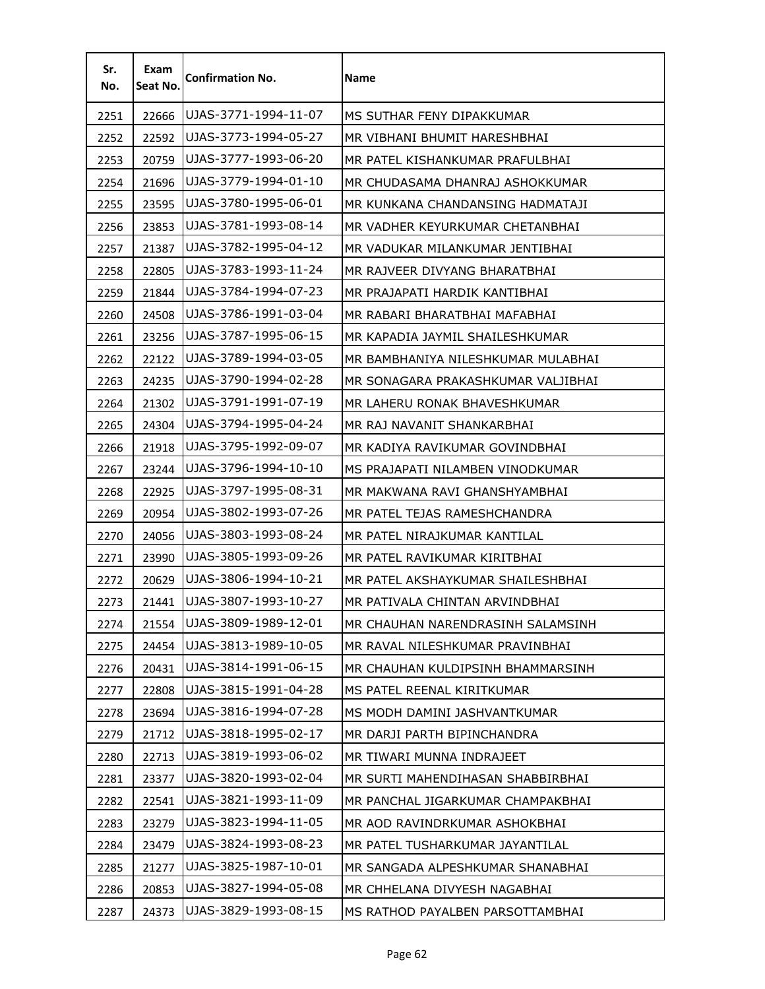| Sr.<br>No. | Exam<br>Seat No. | <b>Confirmation No.</b> | <b>Name</b>                        |
|------------|------------------|-------------------------|------------------------------------|
| 2251       | 22666            | UJAS-3771-1994-11-07    | MS SUTHAR FENY DIPAKKUMAR          |
| 2252       | 22592            | UJAS-3773-1994-05-27    | MR VIBHANI BHUMIT HARESHBHAI       |
| 2253       | 20759            | UJAS-3777-1993-06-20    | MR PATEL KISHANKUMAR PRAFULBHAI    |
| 2254       | 21696            | UJAS-3779-1994-01-10    | MR CHUDASAMA DHANRAJ ASHOKKUMAR    |
| 2255       | 23595            | UJAS-3780-1995-06-01    | MR KUNKANA CHANDANSING HADMATAJI   |
| 2256       | 23853            | UJAS-3781-1993-08-14    | MR VADHER KEYURKUMAR CHETANBHAI    |
| 2257       | 21387            | UJAS-3782-1995-04-12    | MR VADUKAR MILANKUMAR JENTIBHAI    |
| 2258       | 22805            | UJAS-3783-1993-11-24    | MR RAJVEER DIVYANG BHARATBHAI      |
| 2259       | 21844            | UJAS-3784-1994-07-23    | MR PRAJAPATI HARDIK KANTIBHAI      |
| 2260       | 24508            | UJAS-3786-1991-03-04    | MR RABARI BHARATBHAI MAFABHAI      |
| 2261       | 23256            | UJAS-3787-1995-06-15    | MR KAPADIA JAYMIL SHAILESHKUMAR    |
| 2262       | 22122            | UJAS-3789-1994-03-05    | MR BAMBHANIYA NILESHKUMAR MULABHAI |
| 2263       | 24235            | UJAS-3790-1994-02-28    | MR SONAGARA PRAKASHKUMAR VALJIBHAI |
| 2264       | 21302            | UJAS-3791-1991-07-19    | MR LAHERU RONAK BHAVESHKUMAR       |
| 2265       | 24304            | UJAS-3794-1995-04-24    | MR RAJ NAVANIT SHANKARBHAI         |
| 2266       | 21918            | UJAS-3795-1992-09-07    | MR KADIYA RAVIKUMAR GOVINDBHAI     |
| 2267       | 23244            | UJAS-3796-1994-10-10    | MS PRAJAPATI NILAMBEN VINODKUMAR   |
| 2268       | 22925            | UJAS-3797-1995-08-31    | MR MAKWANA RAVI GHANSHYAMBHAI      |
| 2269       | 20954            | UJAS-3802-1993-07-26    | MR PATEL TEJAS RAMESHCHANDRA       |
| 2270       | 24056            | UJAS-3803-1993-08-24    | MR PATEL NIRAJKUMAR KANTILAL       |
| 2271       | 23990            | UJAS-3805-1993-09-26    | MR PATEL RAVIKUMAR KIRITBHAI       |
| 2272       | 20629            | UJAS-3806-1994-10-21    | MR PATEL AKSHAYKUMAR SHAILESHBHAI  |
| 2273       | 21441            | UJAS-3807-1993-10-27    | MR PATIVALA CHINTAN ARVINDBHAI     |
| 2274       | 21554            | UJAS-3809-1989-12-01    | MR CHAUHAN NARENDRASINH SALAMSINH  |
| 2275       | 24454            | UJAS-3813-1989-10-05    | MR RAVAL NILESHKUMAR PRAVINBHAI    |
| 2276       | 20431            | UJAS-3814-1991-06-15    | MR CHAUHAN KULDIPSINH BHAMMARSINH  |
| 2277       | 22808            | UJAS-3815-1991-04-28    | MS PATEL REENAL KIRITKUMAR         |
| 2278       | 23694            | UJAS-3816-1994-07-28    | MS MODH DAMINI JASHVANTKUMAR       |
| 2279       | 21712            | UJAS-3818-1995-02-17    | MR DARJI PARTH BIPINCHANDRA        |
| 2280       | 22713            | UJAS-3819-1993-06-02    | MR TIWARI MUNNA INDRAJEET          |
| 2281       | 23377            | UJAS-3820-1993-02-04    | MR SURTI MAHENDIHASAN SHABBIRBHAI  |
| 2282       | 22541            | UJAS-3821-1993-11-09    | MR PANCHAL JIGARKUMAR CHAMPAKBHAI  |
| 2283       | 23279            | UJAS-3823-1994-11-05    | MR AOD RAVINDRKUMAR ASHOKBHAI      |
| 2284       | 23479            | UJAS-3824-1993-08-23    | MR PATEL TUSHARKUMAR JAYANTILAL    |
| 2285       | 21277            | UJAS-3825-1987-10-01    | MR SANGADA ALPESHKUMAR SHANABHAI   |
| 2286       | 20853            | UJAS-3827-1994-05-08    | MR CHHELANA DIVYESH NAGABHAI       |
| 2287       | 24373            | UJAS-3829-1993-08-15    | MS RATHOD PAYALBEN PARSOTTAMBHAI   |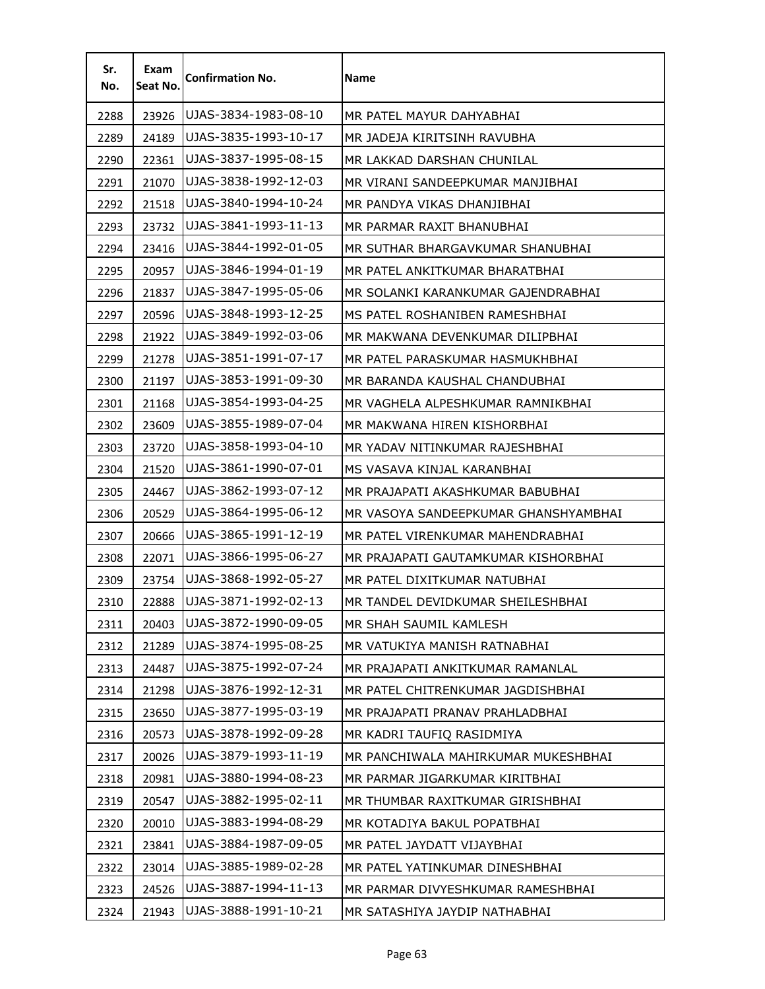| Sr.<br>No. | Exam<br>Seat No. | <b>Confirmation No.</b> | <b>Name</b>                          |
|------------|------------------|-------------------------|--------------------------------------|
| 2288       | 23926            | UJAS-3834-1983-08-10    | MR PATEL MAYUR DAHYABHAI             |
| 2289       | 24189            | UJAS-3835-1993-10-17    | MR JADEJA KIRITSINH RAVUBHA          |
| 2290       | 22361            | UJAS-3837-1995-08-15    | MR LAKKAD DARSHAN CHUNILAL           |
| 2291       | 21070            | UJAS-3838-1992-12-03    | MR VIRANI SANDEEPKUMAR MANJIBHAI     |
| 2292       | 21518            | UJAS-3840-1994-10-24    | MR PANDYA VIKAS DHANJIBHAI           |
| 2293       | 23732            | UJAS-3841-1993-11-13    | MR PARMAR RAXIT BHANUBHAI            |
| 2294       | 23416            | UJAS-3844-1992-01-05    | MR SUTHAR BHARGAVKUMAR SHANUBHAI     |
| 2295       | 20957            | UJAS-3846-1994-01-19    | MR PATEL ANKITKUMAR BHARATBHAI       |
| 2296       | 21837            | UJAS-3847-1995-05-06    | MR SOLANKI KARANKUMAR GAJENDRABHAI   |
| 2297       | 20596            | UJAS-3848-1993-12-25    | MS PATEL ROSHANIBEN RAMESHBHAI       |
| 2298       | 21922            | UJAS-3849-1992-03-06    | MR MAKWANA DEVENKUMAR DILIPBHAI      |
| 2299       | 21278            | UJAS-3851-1991-07-17    | MR PATEL PARASKUMAR HASMUKHBHAI      |
| 2300       | 21197            | UJAS-3853-1991-09-30    | MR BARANDA KAUSHAL CHANDUBHAI        |
| 2301       | 21168            | UJAS-3854-1993-04-25    | MR VAGHELA ALPESHKUMAR RAMNIKBHAI    |
| 2302       | 23609            | UJAS-3855-1989-07-04    | MR MAKWANA HIREN KISHORBHAI          |
| 2303       | 23720            | UJAS-3858-1993-04-10    | MR YADAV NITINKUMAR RAJESHBHAI       |
| 2304       | 21520            | UJAS-3861-1990-07-01    | MS VASAVA KINJAL KARANBHAI           |
| 2305       | 24467            | UJAS-3862-1993-07-12    | MR PRAJAPATI AKASHKUMAR BABUBHAI     |
| 2306       | 20529            | UJAS-3864-1995-06-12    | MR VASOYA SANDEEPKUMAR GHANSHYAMBHAI |
| 2307       | 20666            | UJAS-3865-1991-12-19    | MR PATEL VIRENKUMAR MAHENDRABHAI     |
| 2308       | 22071            | UJAS-3866-1995-06-27    | MR PRAJAPATI GAUTAMKUMAR KISHORBHAI  |
| 2309       | 23754            | UJAS-3868-1992-05-27    | MR PATEL DIXITKUMAR NATUBHAI         |
| 2310       | 22888            | UJAS-3871-1992-02-13    | MR TANDEL DEVIDKUMAR SHEILESHBHAI    |
| 2311       | 20403            | UJAS-3872-1990-09-05    | MR SHAH SAUMIL KAMLESH               |
| 2312       | 21289            | UJAS-3874-1995-08-25    | MR VATUKIYA MANISH RATNABHAI         |
| 2313       | 24487            | UJAS-3875-1992-07-24    | MR PRAJAPATI ANKITKUMAR RAMANLAL     |
| 2314       | 21298            | UJAS-3876-1992-12-31    | MR PATEL CHITRENKUMAR JAGDISHBHAI    |
| 2315       | 23650            | UJAS-3877-1995-03-19    | MR PRAJAPATI PRANAV PRAHLADBHAI      |
| 2316       | 20573            | UJAS-3878-1992-09-28    | MR KADRI TAUFIQ RASIDMIYA            |
| 2317       | 20026            | UJAS-3879-1993-11-19    | MR PANCHIWALA MAHIRKUMAR MUKESHBHAI  |
| 2318       | 20981            | UJAS-3880-1994-08-23    | MR PARMAR JIGARKUMAR KIRITBHAI       |
| 2319       | 20547            | UJAS-3882-1995-02-11    | MR THUMBAR RAXITKUMAR GIRISHBHAI     |
| 2320       | 20010            | UJAS-3883-1994-08-29    | MR KOTADIYA BAKUL POPATBHAI          |
| 2321       | 23841            | UJAS-3884-1987-09-05    | MR PATEL JAYDATT VIJAYBHAI           |
| 2322       | 23014            | UJAS-3885-1989-02-28    | MR PATEL YATINKUMAR DINESHBHAI       |
| 2323       | 24526            | UJAS-3887-1994-11-13    | MR PARMAR DIVYESHKUMAR RAMESHBHAI    |
| 2324       | 21943            | UJAS-3888-1991-10-21    | MR SATASHIYA JAYDIP NATHABHAI        |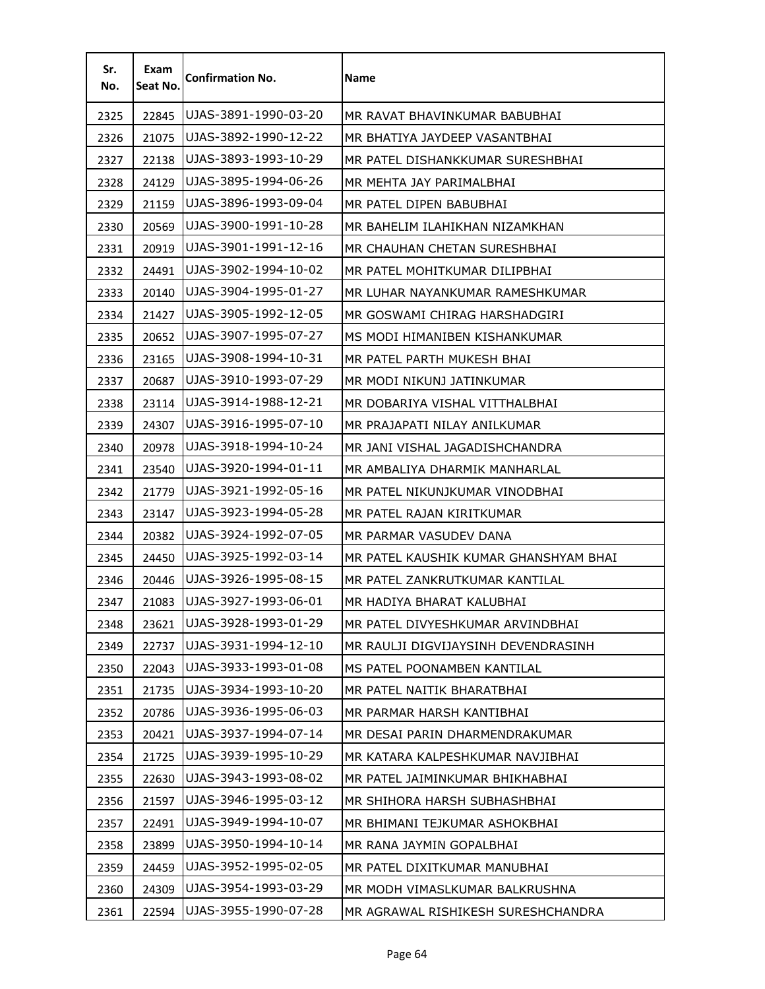| Sr.<br>No. | Exam<br>Seat No. | <b>Confirmation No.</b> | <b>Name</b>                           |
|------------|------------------|-------------------------|---------------------------------------|
| 2325       | 22845            | UJAS-3891-1990-03-20    | MR RAVAT BHAVINKUMAR BABUBHAI         |
| 2326       | 21075            | UJAS-3892-1990-12-22    | MR BHATIYA JAYDEEP VASANTBHAI         |
| 2327       | 22138            | UJAS-3893-1993-10-29    | MR PATEL DISHANKKUMAR SURESHBHAI      |
| 2328       | 24129            | UJAS-3895-1994-06-26    | MR MEHTA JAY PARIMALBHAI              |
| 2329       | 21159            | UJAS-3896-1993-09-04    | MR PATEL DIPEN BABUBHAI               |
| 2330       | 20569            | UJAS-3900-1991-10-28    | MR BAHELIM ILAHIKHAN NIZAMKHAN        |
| 2331       | 20919            | UJAS-3901-1991-12-16    | MR CHAUHAN CHETAN SURESHBHAI          |
| 2332       | 24491            | UJAS-3902-1994-10-02    | MR PATEL MOHITKUMAR DILIPBHAI         |
| 2333       | 20140            | UJAS-3904-1995-01-27    | MR LUHAR NAYANKUMAR RAMESHKUMAR       |
| 2334       | 21427            | UJAS-3905-1992-12-05    | MR GOSWAMI CHIRAG HARSHADGIRI         |
| 2335       | 20652            | UJAS-3907-1995-07-27    | MS MODI HIMANIBEN KISHANKUMAR         |
| 2336       | 23165            | UJAS-3908-1994-10-31    | MR PATEL PARTH MUKESH BHAI            |
| 2337       | 20687            | UJAS-3910-1993-07-29    | MR MODI NIKUNJ JATINKUMAR             |
| 2338       | 23114            | UJAS-3914-1988-12-21    | MR DOBARIYA VISHAL VITTHALBHAI        |
| 2339       | 24307            | UJAS-3916-1995-07-10    | MR PRAJAPATI NILAY ANILKUMAR          |
| 2340       | 20978            | UJAS-3918-1994-10-24    | MR JANI VISHAL JAGADISHCHANDRA        |
| 2341       | 23540            | UJAS-3920-1994-01-11    | MR AMBALIYA DHARMIK MANHARLAL         |
| 2342       | 21779            | UJAS-3921-1992-05-16    | MR PATEL NIKUNJKUMAR VINODBHAI        |
| 2343       | 23147            | UJAS-3923-1994-05-28    | MR PATEL RAJAN KIRITKUMAR             |
| 2344       | 20382            | UJAS-3924-1992-07-05    | MR PARMAR VASUDEV DANA                |
| 2345       | 24450            | UJAS-3925-1992-03-14    | MR PATEL KAUSHIK KUMAR GHANSHYAM BHAI |
| 2346       | 20446            | UJAS-3926-1995-08-15    | MR PATEL ZANKRUTKUMAR KANTILAL        |
| 2347       | 21083            | UJAS-3927-1993-06-01    | MR HADIYA BHARAT KALUBHAI             |
| 2348       | 23621            | UJAS-3928-1993-01-29    | MR PATEL DIVYESHKUMAR ARVINDBHAI      |
| 2349       | 22737            | UJAS-3931-1994-12-10    | MR RAULJI DIGVIJAYSINH DEVENDRASINH   |
| 2350       | 22043            | UJAS-3933-1993-01-08    | MS PATEL POONAMBEN KANTILAL           |
| 2351       | 21735            | UJAS-3934-1993-10-20    | MR PATEL NAITIK BHARATBHAI            |
| 2352       | 20786            | UJAS-3936-1995-06-03    | MR PARMAR HARSH KANTIBHAI             |
| 2353       | 20421            | UJAS-3937-1994-07-14    | MR DESAI PARIN DHARMENDRAKUMAR        |
| 2354       | 21725            | UJAS-3939-1995-10-29    | MR KATARA KALPESHKUMAR NAVJIBHAI      |
| 2355       | 22630            | UJAS-3943-1993-08-02    | MR PATEL JAIMINKUMAR BHIKHABHAI       |
| 2356       | 21597            | UJAS-3946-1995-03-12    | MR SHIHORA HARSH SUBHASHBHAI          |
| 2357       | 22491            | UJAS-3949-1994-10-07    | MR BHIMANI TEJKUMAR ASHOKBHAI         |
| 2358       | 23899            | UJAS-3950-1994-10-14    | MR RANA JAYMIN GOPALBHAI              |
| 2359       | 24459            | UJAS-3952-1995-02-05    | MR PATEL DIXITKUMAR MANUBHAI          |
| 2360       | 24309            | UJAS-3954-1993-03-29    | MR MODH VIMASLKUMAR BALKRUSHNA        |
| 2361       | 22594            | UJAS-3955-1990-07-28    | MR AGRAWAL RISHIKESH SURESHCHANDRA    |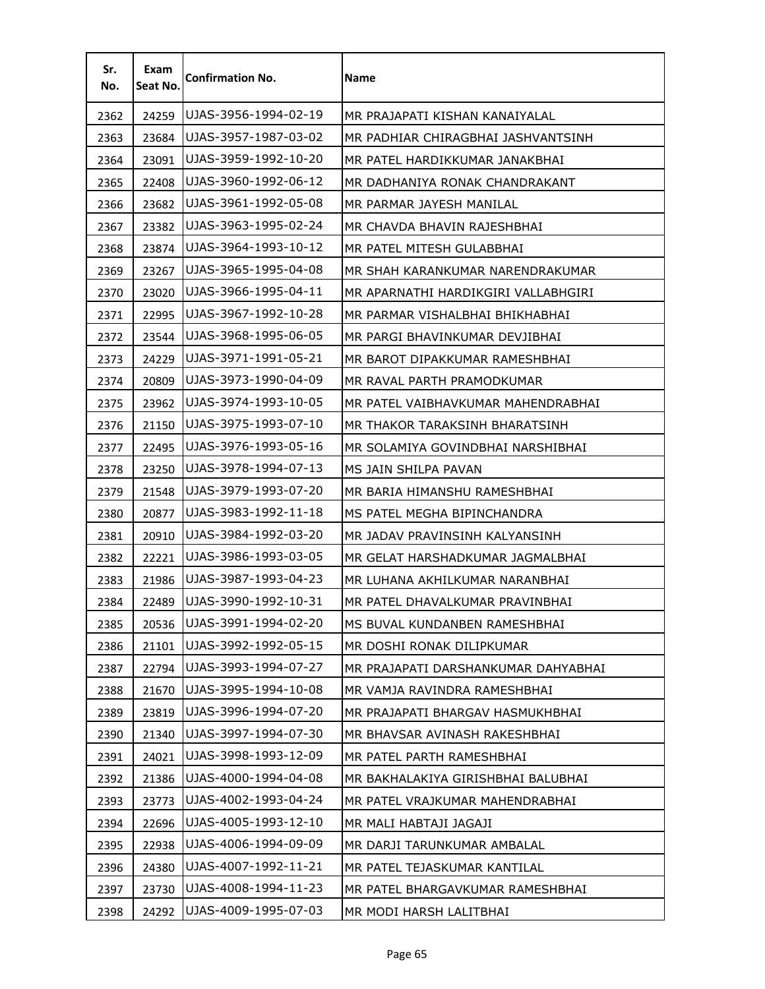| Sr.<br>No. | Exam<br>Seat No. | <b>Confirmation No.</b> | <b>Name</b>                         |
|------------|------------------|-------------------------|-------------------------------------|
| 2362       | 24259            | UJAS-3956-1994-02-19    | MR PRAJAPATI KISHAN KANAIYALAL      |
| 2363       | 23684            | UJAS-3957-1987-03-02    | MR PADHIAR CHIRAGBHAI JASHVANTSINH  |
| 2364       | 23091            | UJAS-3959-1992-10-20    | MR PATEL HARDIKKUMAR JANAKBHAI      |
| 2365       | 22408            | UJAS-3960-1992-06-12    | MR DADHANIYA RONAK CHANDRAKANT      |
| 2366       | 23682            | UJAS-3961-1992-05-08    | MR PARMAR JAYESH MANILAL            |
| 2367       | 23382            | UJAS-3963-1995-02-24    | MR CHAVDA BHAVIN RAJESHBHAI         |
| 2368       | 23874            | UJAS-3964-1993-10-12    | MR PATEL MITESH GULABBHAI           |
| 2369       | 23267            | UJAS-3965-1995-04-08    | MR SHAH KARANKUMAR NARENDRAKUMAR    |
| 2370       | 23020            | UJAS-3966-1995-04-11    | MR APARNATHI HARDIKGIRI VALLABHGIRI |
| 2371       | 22995            | UJAS-3967-1992-10-28    | MR PARMAR VISHALBHAI BHIKHABHAI     |
| 2372       | 23544            | UJAS-3968-1995-06-05    | MR PARGI BHAVINKUMAR DEVJIBHAI      |
| 2373       | 24229            | UJAS-3971-1991-05-21    | MR BAROT DIPAKKUMAR RAMESHBHAI      |
| 2374       | 20809            | UJAS-3973-1990-04-09    | MR RAVAL PARTH PRAMODKUMAR          |
| 2375       | 23962            | UJAS-3974-1993-10-05    | MR PATEL VAIBHAVKUMAR MAHENDRABHAI  |
| 2376       | 21150            | UJAS-3975-1993-07-10    | MR THAKOR TARAKSINH BHARATSINH      |
| 2377       | 22495            | UJAS-3976-1993-05-16    | MR SOLAMIYA GOVINDBHAI NARSHIBHAI   |
| 2378       | 23250            | UJAS-3978-1994-07-13    | MS JAIN SHILPA PAVAN                |
| 2379       | 21548            | UJAS-3979-1993-07-20    | MR BARIA HIMANSHU RAMESHBHAI        |
| 2380       | 20877            | UJAS-3983-1992-11-18    | MS PATEL MEGHA BIPINCHANDRA         |
| 2381       | 20910            | UJAS-3984-1992-03-20    | MR JADAV PRAVINSINH KALYANSINH      |
| 2382       | 22221            | UJAS-3986-1993-03-05    | MR GELAT HARSHADKUMAR JAGMALBHAI    |
| 2383       | 21986            | UJAS-3987-1993-04-23    | MR LUHANA AKHILKUMAR NARANBHAI      |
| 2384       | 22489            | UJAS-3990-1992-10-31    | MR PATEL DHAVALKUMAR PRAVINBHAI     |
| 2385       | 20536            | UJAS-3991-1994-02-20    | MS BUVAL KUNDANBEN RAMESHBHAI       |
| 2386       | 21101            | UJAS-3992-1992-05-15    | MR DOSHI RONAK DILIPKUMAR           |
| 2387       | 22794            | UJAS-3993-1994-07-27    | MR PRAJAPATI DARSHANKUMAR DAHYABHAI |
| 2388       | 21670            | UJAS-3995-1994-10-08    | MR VAMJA RAVINDRA RAMESHBHAI        |
| 2389       | 23819            | UJAS-3996-1994-07-20    | MR PRAJAPATI BHARGAV HASMUKHBHAI    |
| 2390       | 21340            | UJAS-3997-1994-07-30    | MR BHAVSAR AVINASH RAKESHBHAI       |
| 2391       | 24021            | UJAS-3998-1993-12-09    | MR PATEL PARTH RAMESHBHAI           |
| 2392       | 21386            | UJAS-4000-1994-04-08    | MR BAKHALAKIYA GIRISHBHAI BALUBHAI  |
| 2393       | 23773            | UJAS-4002-1993-04-24    | MR PATEL VRAJKUMAR MAHENDRABHAI     |
| 2394       | 22696            | UJAS-4005-1993-12-10    | MR MALI HABTAJI JAGAJI              |
| 2395       | 22938            | UJAS-4006-1994-09-09    | MR DARJI TARUNKUMAR AMBALAL         |
| 2396       | 24380            | UJAS-4007-1992-11-21    | MR PATEL TEJASKUMAR KANTILAL        |
| 2397       | 23730            | UJAS-4008-1994-11-23    | MR PATEL BHARGAVKUMAR RAMESHBHAI    |
| 2398       | 24292            | UJAS-4009-1995-07-03    | MR MODI HARSH LALITBHAI             |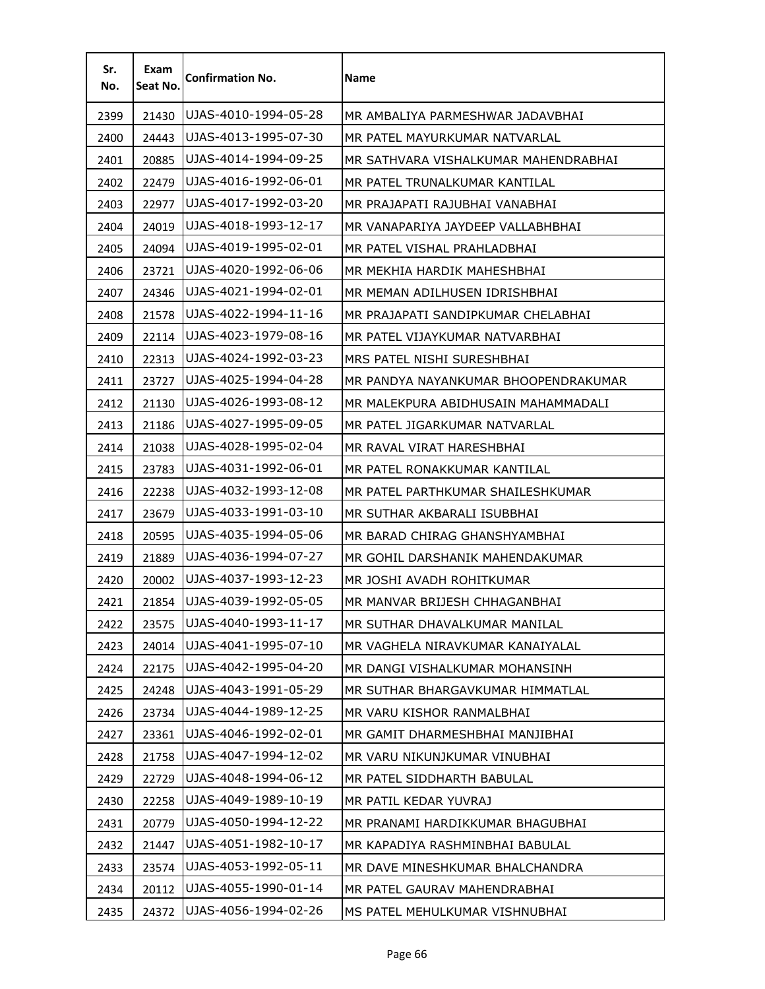| Sr.<br>No. | Exam<br>Seat No. | <b>Confirmation No.</b> | Name                                 |
|------------|------------------|-------------------------|--------------------------------------|
| 2399       | 21430            | UJAS-4010-1994-05-28    | MR AMBALIYA PARMESHWAR JADAVBHAI     |
| 2400       | 24443            | UJAS-4013-1995-07-30    | MR PATEL MAYURKUMAR NATVARLAL        |
| 2401       | 20885            | UJAS-4014-1994-09-25    | MR SATHVARA VISHALKUMAR MAHENDRABHAI |
| 2402       | 22479            | UJAS-4016-1992-06-01    | MR PATEL TRUNALKUMAR KANTILAL        |
| 2403       | 22977            | UJAS-4017-1992-03-20    | MR PRAJAPATI RAJUBHAI VANABHAI       |
| 2404       | 24019            | UJAS-4018-1993-12-17    | MR VANAPARIYA JAYDEEP VALLABHBHAI    |
| 2405       | 24094            | UJAS-4019-1995-02-01    | MR PATEL VISHAL PRAHLADBHAI          |
| 2406       | 23721            | UJAS-4020-1992-06-06    | MR MEKHIA HARDIK MAHESHBHAI          |
| 2407       | 24346            | UJAS-4021-1994-02-01    | MR MEMAN ADILHUSEN IDRISHBHAI        |
| 2408       | 21578            | UJAS-4022-1994-11-16    | MR PRAJAPATI SANDIPKUMAR CHELABHAI   |
| 2409       | 22114            | UJAS-4023-1979-08-16    | MR PATEL VIJAYKUMAR NATVARBHAI       |
| 2410       | 22313            | UJAS-4024-1992-03-23    | MRS PATEL NISHI SURESHBHAI           |
| 2411       | 23727            | UJAS-4025-1994-04-28    | MR PANDYA NAYANKUMAR BHOOPENDRAKUMAR |
| 2412       | 21130            | UJAS-4026-1993-08-12    | MR MALEKPURA ABIDHUSAIN MAHAMMADALI  |
| 2413       | 21186            | UJAS-4027-1995-09-05    | MR PATEL JIGARKUMAR NATVARLAL        |
| 2414       | 21038            | UJAS-4028-1995-02-04    | MR RAVAL VIRAT HARESHBHAI            |
| 2415       | 23783            | UJAS-4031-1992-06-01    | MR PATEL RONAKKUMAR KANTILAL         |
| 2416       | 22238            | UJAS-4032-1993-12-08    | MR PATEL PARTHKUMAR SHAILESHKUMAR    |
| 2417       | 23679            | UJAS-4033-1991-03-10    | MR SUTHAR AKBARALI ISUBBHAI          |
| 2418       | 20595            | UJAS-4035-1994-05-06    | MR BARAD CHIRAG GHANSHYAMBHAI        |
| 2419       | 21889            | UJAS-4036-1994-07-27    | MR GOHIL DARSHANIK MAHENDAKUMAR      |
| 2420       | 20002            | UJAS-4037-1993-12-23    | MR JOSHI AVADH ROHITKUMAR            |
| 2421       | 21854            | UJAS-4039-1992-05-05    | MR MANVAR BRIJESH CHHAGANBHAI        |
| 2422       | 23575            | UJAS-4040-1993-11-17    | MR SUTHAR DHAVALKUMAR MANILAL        |
| 2423       | 24014            | UJAS-4041-1995-07-10    | MR VAGHELA NIRAVKUMAR KANAIYALAL     |
| 2424       | 22175            | UJAS-4042-1995-04-20    | MR DANGI VISHALKUMAR MOHANSINH       |
| 2425       | 24248            | UJAS-4043-1991-05-29    | MR SUTHAR BHARGAVKUMAR HIMMATLAL     |
| 2426       | 23734            | UJAS-4044-1989-12-25    | MR VARU KISHOR RANMALBHAI            |
| 2427       | 23361            | UJAS-4046-1992-02-01    | MR GAMIT DHARMESHBHAI MANJIBHAI      |
| 2428       | 21758            | UJAS-4047-1994-12-02    | MR VARU NIKUNJKUMAR VINUBHAI         |
| 2429       | 22729            | UJAS-4048-1994-06-12    | MR PATEL SIDDHARTH BABULAL           |
| 2430       | 22258            | UJAS-4049-1989-10-19    | MR PATIL KEDAR YUVRAJ                |
| 2431       | 20779            | UJAS-4050-1994-12-22    | MR PRANAMI HARDIKKUMAR BHAGUBHAI     |
| 2432       | 21447            | UJAS-4051-1982-10-17    | MR KAPADIYA RASHMINBHAI BABULAL      |
| 2433       | 23574            | UJAS-4053-1992-05-11    | MR DAVE MINESHKUMAR BHALCHANDRA      |
| 2434       | 20112            | UJAS-4055-1990-01-14    | MR PATEL GAURAV MAHENDRABHAI         |
| 2435       | 24372            | UJAS-4056-1994-02-26    | MS PATEL MEHULKUMAR VISHNUBHAI       |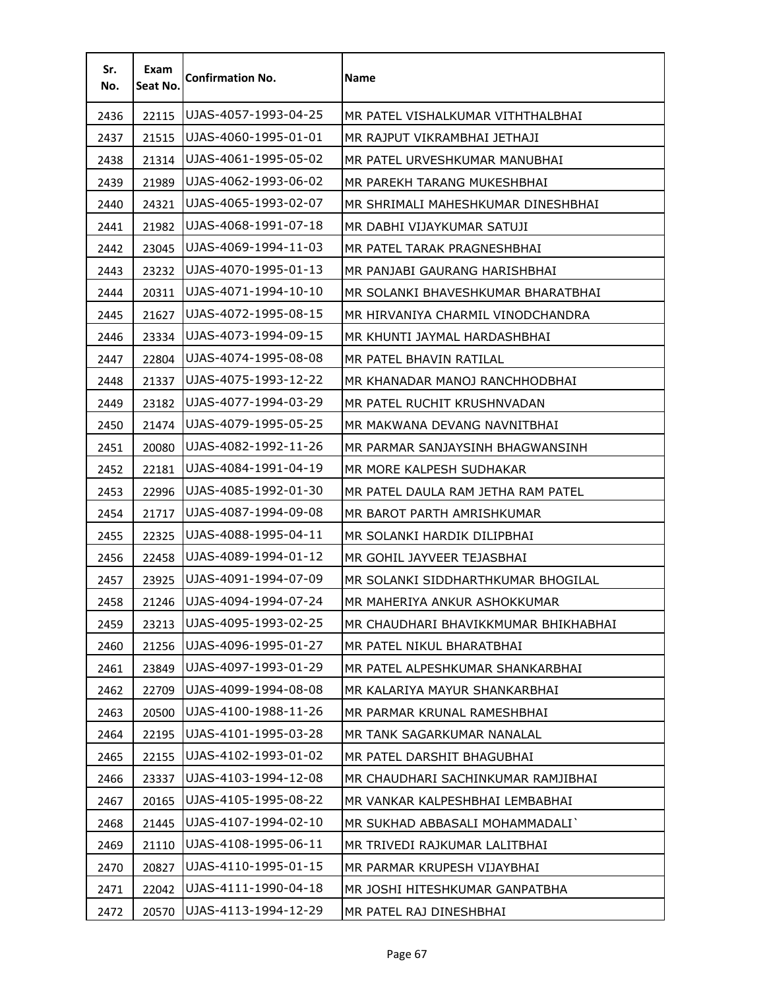| Sr.<br>No. | Exam<br>Seat No. | <b>Confirmation No.</b> | <b>Name</b>                          |
|------------|------------------|-------------------------|--------------------------------------|
| 2436       | 22115            | UJAS-4057-1993-04-25    | MR PATEL VISHALKUMAR VITHTHALBHAI    |
| 2437       | 21515            | UJAS-4060-1995-01-01    | MR RAJPUT VIKRAMBHAI JETHAJI         |
| 2438       | 21314            | UJAS-4061-1995-05-02    | MR PATEL URVESHKUMAR MANUBHAI        |
| 2439       | 21989            | UJAS-4062-1993-06-02    | MR PAREKH TARANG MUKESHBHAI          |
| 2440       | 24321            | UJAS-4065-1993-02-07    | MR SHRIMALI MAHESHKUMAR DINESHBHAI   |
| 2441       | 21982            | UJAS-4068-1991-07-18    | MR DABHI VIJAYKUMAR SATUJI           |
| 2442       | 23045            | UJAS-4069-1994-11-03    | MR PATEL TARAK PRAGNESHBHAI          |
| 2443       | 23232            | UJAS-4070-1995-01-13    | MR PANJABI GAURANG HARISHBHAI        |
| 2444       | 20311            | UJAS-4071-1994-10-10    | MR SOLANKI BHAVESHKUMAR BHARATBHAI   |
| 2445       | 21627            | UJAS-4072-1995-08-15    | MR HIRVANIYA CHARMIL VINODCHANDRA    |
| 2446       | 23334            | UJAS-4073-1994-09-15    | MR KHUNTI JAYMAL HARDASHBHAI         |
| 2447       | 22804            | UJAS-4074-1995-08-08    | MR PATEL BHAVIN RATILAL              |
| 2448       | 21337            | UJAS-4075-1993-12-22    | MR KHANADAR MANOJ RANCHHODBHAI       |
| 2449       | 23182            | UJAS-4077-1994-03-29    | MR PATEL RUCHIT KRUSHNVADAN          |
| 2450       | 21474            | UJAS-4079-1995-05-25    | MR MAKWANA DEVANG NAVNITBHAI         |
| 2451       | 20080            | UJAS-4082-1992-11-26    | MR PARMAR SANJAYSINH BHAGWANSINH     |
| 2452       | 22181            | UJAS-4084-1991-04-19    | MR MORE KALPESH SUDHAKAR             |
| 2453       | 22996            | UJAS-4085-1992-01-30    | MR PATEL DAULA RAM JETHA RAM PATEL   |
| 2454       | 21717            | UJAS-4087-1994-09-08    | MR BAROT PARTH AMRISHKUMAR           |
| 2455       | 22325            | UJAS-4088-1995-04-11    | MR SOLANKI HARDIK DILIPBHAI          |
| 2456       | 22458            | UJAS-4089-1994-01-12    | MR GOHIL JAYVEER TEJASBHAI           |
| 2457       | 23925            | UJAS-4091-1994-07-09    | MR SOLANKI SIDDHARTHKUMAR BHOGILAL   |
| 2458       | 21246            | UJAS-4094-1994-07-24    | MR MAHERIYA ANKUR ASHOKKUMAR         |
| 2459       | 23213            | UJAS-4095-1993-02-25    | MR CHAUDHARI BHAVIKKMUMAR BHIKHABHAI |
| 2460       | 21256            | UJAS-4096-1995-01-27    | MR PATEL NIKUL BHARATBHAI            |
| 2461       | 23849            | UJAS-4097-1993-01-29    | MR PATEL ALPESHKUMAR SHANKARBHAI     |
| 2462       | 22709            | UJAS-4099-1994-08-08    | MR KALARIYA MAYUR SHANKARBHAI        |
| 2463       | 20500            | UJAS-4100-1988-11-26    | MR PARMAR KRUNAL RAMESHBHAI          |
| 2464       | 22195            | UJAS-4101-1995-03-28    | MR TANK SAGARKUMAR NANALAL           |
| 2465       | 22155            | UJAS-4102-1993-01-02    | MR PATEL DARSHIT BHAGUBHAI           |
| 2466       | 23337            | UJAS-4103-1994-12-08    | MR CHAUDHARI SACHINKUMAR RAMJIBHAI   |
| 2467       | 20165            | UJAS-4105-1995-08-22    | MR VANKAR KALPESHBHAI LEMBABHAI      |
| 2468       | 21445            | UJAS-4107-1994-02-10    | MR SUKHAD ABBASALI MOHAMMADALI       |
| 2469       | 21110            | UJAS-4108-1995-06-11    | MR TRIVEDI RAJKUMAR LALITBHAI        |
| 2470       | 20827            | UJAS-4110-1995-01-15    | MR PARMAR KRUPESH VIJAYBHAI          |
| 2471       | 22042            | UJAS-4111-1990-04-18    | MR JOSHI HITESHKUMAR GANPATBHA       |
| 2472       | 20570            | UJAS-4113-1994-12-29    | MR PATEL RAJ DINESHBHAI              |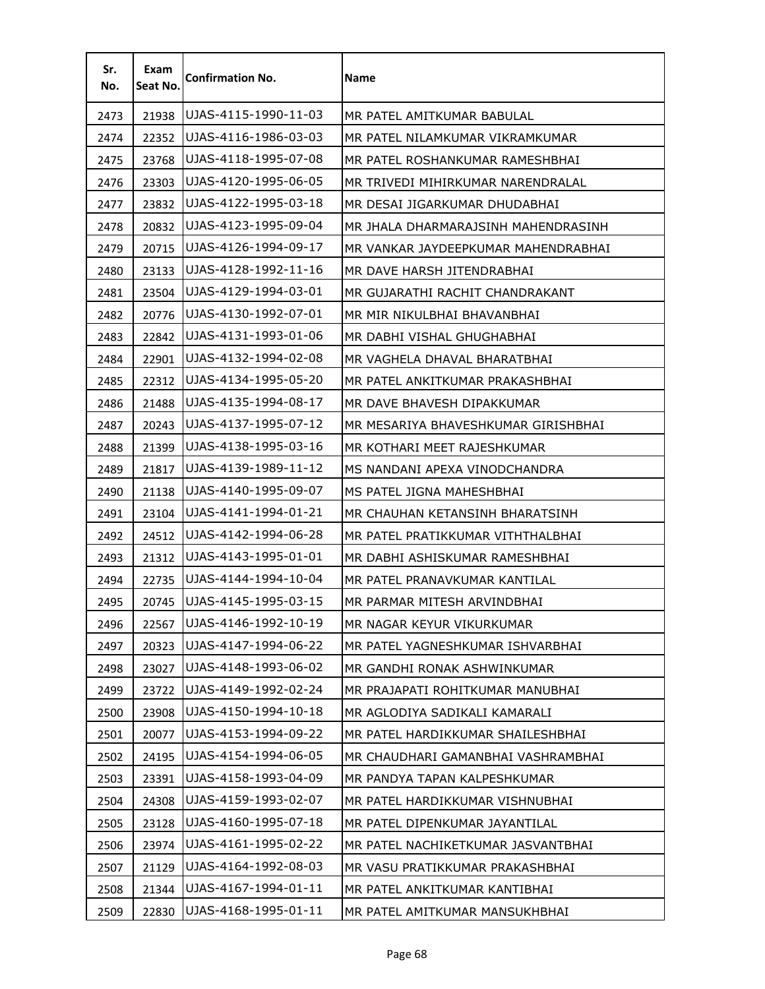| Sr.<br>No. | Exam<br>Seat No. | <b>Confirmation No.</b> | <b>Name</b>                         |
|------------|------------------|-------------------------|-------------------------------------|
| 2473       | 21938            | UJAS-4115-1990-11-03    | MR PATEL AMITKUMAR BABULAL          |
| 2474       | 22352            | UJAS-4116-1986-03-03    | MR PATEL NILAMKUMAR VIKRAMKUMAR     |
| 2475       | 23768            | UJAS-4118-1995-07-08    | MR PATEL ROSHANKUMAR RAMESHBHAI     |
| 2476       | 23303            | UJAS-4120-1995-06-05    | MR TRIVEDI MIHIRKUMAR NARENDRALAL   |
| 2477       | 23832            | UJAS-4122-1995-03-18    | MR DESAI JIGARKUMAR DHUDABHAI       |
| 2478       | 20832            | UJAS-4123-1995-09-04    | MR JHALA DHARMARAJSINH MAHENDRASINH |
| 2479       | 20715            | UJAS-4126-1994-09-17    | MR VANKAR JAYDEEPKUMAR MAHENDRABHAI |
| 2480       | 23133            | UJAS-4128-1992-11-16    | MR DAVE HARSH JITENDRABHAI          |
| 2481       | 23504            | UJAS-4129-1994-03-01    | MR GUJARATHI RACHIT CHANDRAKANT     |
| 2482       | 20776            | UJAS-4130-1992-07-01    | MR MIR NIKULBHAI BHAVANBHAI         |
| 2483       | 22842            | UJAS-4131-1993-01-06    | MR DABHI VISHAL GHUGHABHAI          |
| 2484       | 22901            | UJAS-4132-1994-02-08    | MR VAGHELA DHAVAL BHARATBHAI        |
| 2485       | 22312            | UJAS-4134-1995-05-20    | MR PATEL ANKITKUMAR PRAKASHBHAI     |
| 2486       | 21488            | UJAS-4135-1994-08-17    | MR DAVE BHAVESH DIPAKKUMAR          |
| 2487       | 20243            | UJAS-4137-1995-07-12    | MR MESARIYA BHAVESHKUMAR GIRISHBHAI |
| 2488       | 21399            | UJAS-4138-1995-03-16    | MR KOTHARI MEET RAJESHKUMAR         |
| 2489       | 21817            | UJAS-4139-1989-11-12    | MS NANDANI APEXA VINODCHANDRA       |
| 2490       | 21138            | UJAS-4140-1995-09-07    | MS PATEL JIGNA MAHESHBHAI           |
| 2491       | 23104            | UJAS-4141-1994-01-21    | MR CHAUHAN KETANSINH BHARATSINH     |
| 2492       | 24512            | UJAS-4142-1994-06-28    | MR PATEL PRATIKKUMAR VITHTHALBHAI   |
| 2493       | 21312            | UJAS-4143-1995-01-01    | MR DABHI ASHISKUMAR RAMESHBHAI      |
| 2494       | 22735            | UJAS-4144-1994-10-04    | MR PATEL PRANAVKUMAR KANTILAL       |
| 2495       | 20745            | UJAS-4145-1995-03-15    | MR PARMAR MITESH ARVINDBHAI         |
| 2496       | 22567            | UJAS-4146-1992-10-19    | MR NAGAR KEYUR VIKURKUMAR           |
| 2497       | 20323            | UJAS-4147-1994-06-22    | MR PATEL YAGNESHKUMAR ISHVARBHAI    |
| 2498       | 23027            | UJAS-4148-1993-06-02    | MR GANDHI RONAK ASHWINKUMAR         |
| 2499       | 23722            | UJAS-4149-1992-02-24    | MR PRAJAPATI ROHITKUMAR MANUBHAI    |
| 2500       | 23908            | UJAS-4150-1994-10-18    | MR AGLODIYA SADIKALI KAMARALI       |
| 2501       | 20077            | UJAS-4153-1994-09-22    | MR PATEL HARDIKKUMAR SHAILESHBHAI   |
| 2502       | 24195            | UJAS-4154-1994-06-05    | MR CHAUDHARI GAMANBHAI VASHRAMBHAI  |
| 2503       | 23391            | UJAS-4158-1993-04-09    | MR PANDYA TAPAN KALPESHKUMAR        |
| 2504       | 24308            | UJAS-4159-1993-02-07    | MR PATEL HARDIKKUMAR VISHNUBHAI     |
| 2505       | 23128            | UJAS-4160-1995-07-18    | MR PATEL DIPENKUMAR JAYANTILAL      |
| 2506       | 23974            | UJAS-4161-1995-02-22    | MR PATEL NACHIKETKUMAR JASVANTBHAI  |
| 2507       | 21129            | UJAS-4164-1992-08-03    | MR VASU PRATIKKUMAR PRAKASHBHAI     |
| 2508       | 21344            | UJAS-4167-1994-01-11    | MR PATEL ANKITKUMAR KANTIBHAI       |
| 2509       | 22830            | UJAS-4168-1995-01-11    | MR PATEL AMITKUMAR MANSUKHBHAI      |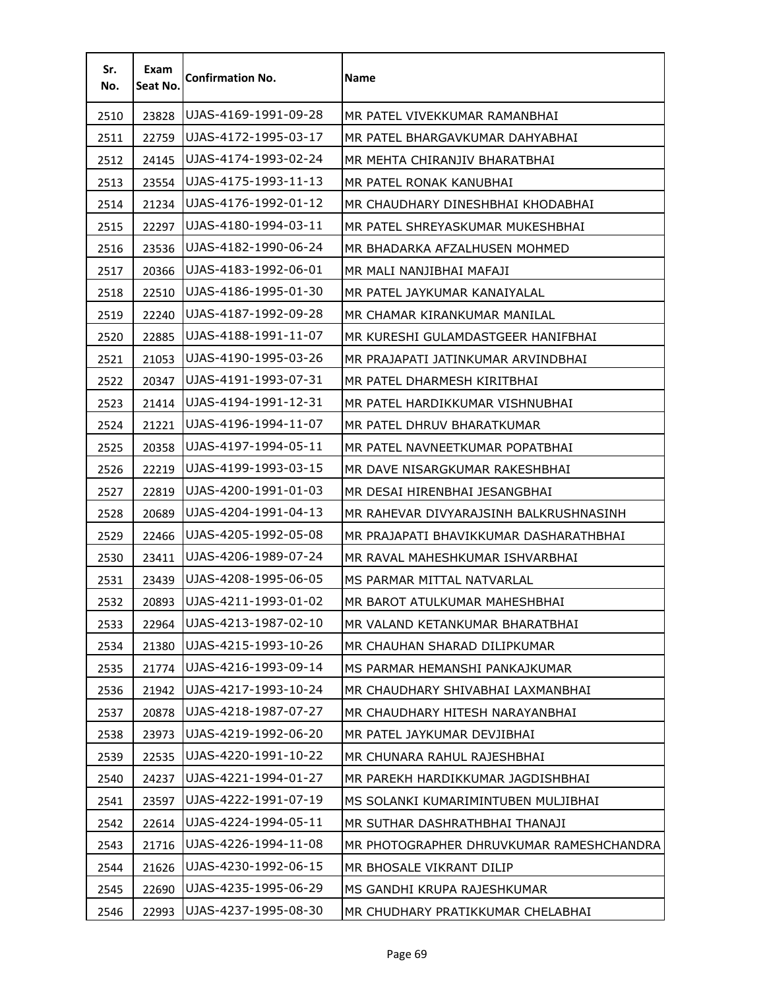| Sr.<br>No. | Exam<br>Seat No. | <b>Confirmation No.</b> | Name                                     |
|------------|------------------|-------------------------|------------------------------------------|
| 2510       | 23828            | UJAS-4169-1991-09-28    | MR PATFI VIVFKKUMAR RAMANBHAI            |
| 2511       | 22759            | UJAS-4172-1995-03-17    | MR PATEL BHARGAVKUMAR DAHYABHAI          |
| 2512       | 24145            | UJAS-4174-1993-02-24    | MR MEHTA CHIRANJIV BHARATBHAI            |
| 2513       | 23554            | UJAS-4175-1993-11-13    | MR PATEL RONAK KANUBHAI                  |
| 2514       | 21234            | UJAS-4176-1992-01-12    | MR CHAUDHARY DINESHBHAI KHODABHAI        |
| 2515       | 22297            | UJAS-4180-1994-03-11    | MR PATEL SHREYASKUMAR MUKESHBHAI         |
| 2516       | 23536            | UJAS-4182-1990-06-24    | MR BHADARKA AFZALHUSEN MOHMED            |
| 2517       | 20366            | UJAS-4183-1992-06-01    | MR MALI NANJIBHAI MAFAJI                 |
| 2518       | 22510            | UJAS-4186-1995-01-30    | MR PATEL JAYKUMAR KANAIYALAL             |
| 2519       | 22240            | UJAS-4187-1992-09-28    | MR CHAMAR KIRANKUMAR MANILAL             |
| 2520       | 22885            | UJAS-4188-1991-11-07    | MR KURESHI GULAMDASTGEER HANIFBHAI       |
| 2521       | 21053            | UJAS-4190-1995-03-26    | MR PRAJAPATI JATINKUMAR ARVINDBHAI       |
| 2522       | 20347            | UJAS-4191-1993-07-31    | MR PATEL DHARMESH KIRITBHAI              |
| 2523       | 21414            | UJAS-4194-1991-12-31    | MR PATEL HARDIKKUMAR VISHNUBHAI          |
| 2524       | 21221            | UJAS-4196-1994-11-07    | MR PATEL DHRUV BHARATKUMAR               |
| 2525       | 20358            | UJAS-4197-1994-05-11    | MR PATEL NAVNEETKUMAR POPATBHAI          |
| 2526       | 22219            | UJAS-4199-1993-03-15    | MR DAVE NISARGKUMAR RAKESHBHAI           |
| 2527       | 22819            | UJAS-4200-1991-01-03    | MR DESAI HIRENBHAI JESANGBHAI            |
| 2528       | 20689            | UJAS-4204-1991-04-13    | MR RAHEVAR DIVYARAJSINH BALKRUSHNASINH   |
| 2529       | 22466            | UJAS-4205-1992-05-08    | MR PRAJAPATI BHAVIKKUMAR DASHARATHBHAI   |
| 2530       | 23411            | UJAS-4206-1989-07-24    | MR RAVAL MAHESHKUMAR ISHVARBHAI          |
| 2531       | 23439            | UJAS-4208-1995-06-05    | MS PARMAR MITTAL NATVARLAL               |
| 2532       | 20893            | UJAS-4211-1993-01-02    | MR BAROT ATULKUMAR MAHESHBHAI            |
| 2533       | 22964            | UJAS-4213-1987-02-10    | MR VALAND KETANKUMAR BHARATBHAI          |
| 2534       | 21380            | UJAS-4215-1993-10-26    | MR CHAUHAN SHARAD DILIPKUMAR             |
| 2535       | 21774            | UJAS-4216-1993-09-14    | MS PARMAR HEMANSHI PANKAJKUMAR           |
| 2536       | 21942            | UJAS-4217-1993-10-24    | MR CHAUDHARY SHIVABHAI LAXMANBHAI        |
| 2537       | 20878            | UJAS-4218-1987-07-27    | MR CHAUDHARY HITESH NARAYANBHAI          |
| 2538       | 23973            | UJAS-4219-1992-06-20    | MR PATEL JAYKUMAR DEVJIBHAI              |
| 2539       | 22535            | UJAS-4220-1991-10-22    | MR CHUNARA RAHUL RAJESHBHAI              |
| 2540       | 24237            | UJAS-4221-1994-01-27    | MR PAREKH HARDIKKUMAR JAGDISHBHAI        |
| 2541       | 23597            | UJAS-4222-1991-07-19    | MS SOLANKI KUMARIMINTUBEN MULJIBHAI      |
| 2542       | 22614            | UJAS-4224-1994-05-11    | MR SUTHAR DASHRATHBHAI THANAJI           |
| 2543       | 21716            | UJAS-4226-1994-11-08    | MR PHOTOGRAPHER DHRUVKUMAR RAMESHCHANDRA |
| 2544       | 21626            | UJAS-4230-1992-06-15    | MR BHOSALE VIKRANT DILIP                 |
| 2545       | 22690            | UJAS-4235-1995-06-29    | MS GANDHI KRUPA RAJESHKUMAR              |
| 2546       | 22993            | UJAS-4237-1995-08-30    | MR CHUDHARY PRATIKKUMAR CHELABHAI        |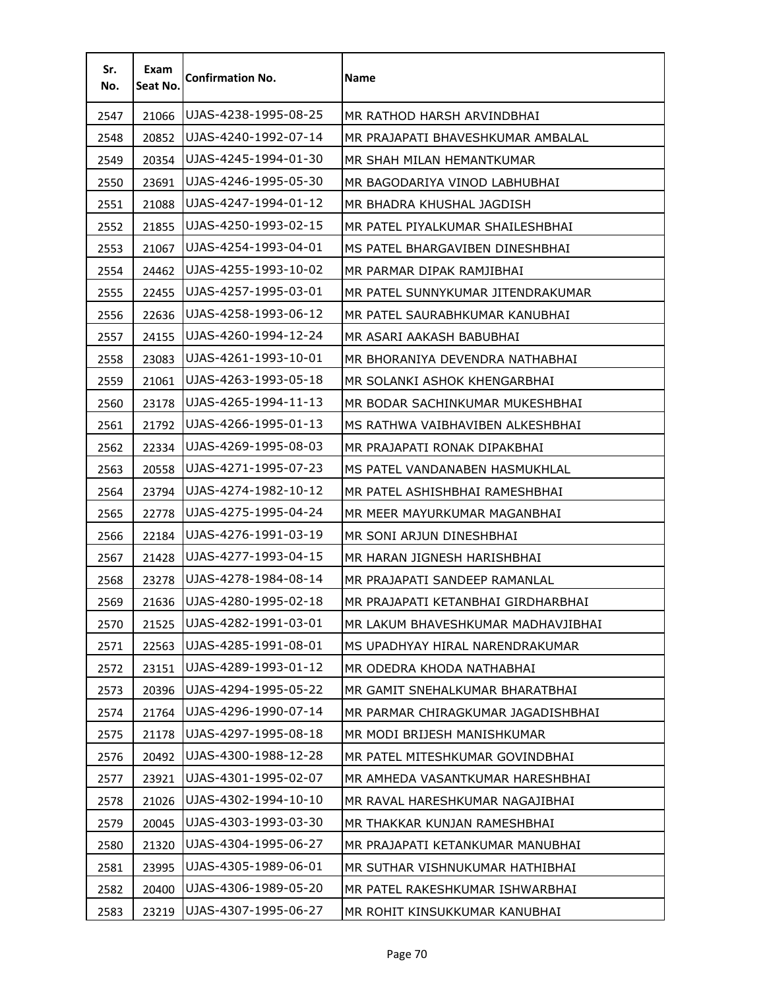| Sr.<br>No. | Exam<br>Seat No. | <b>Confirmation No.</b> | <b>Name</b>                        |
|------------|------------------|-------------------------|------------------------------------|
| 2547       | 21066            | UJAS-4238-1995-08-25    | MR RATHOD HARSH ARVINDBHAI         |
| 2548       | 20852            | UJAS-4240-1992-07-14    | MR PRAJAPATI BHAVESHKUMAR AMBALAL  |
| 2549       | 20354            | UJAS-4245-1994-01-30    | MR SHAH MILAN HEMANTKUMAR          |
| 2550       | 23691            | UJAS-4246-1995-05-30    | MR BAGODARIYA VINOD LABHUBHAI      |
| 2551       | 21088            | UJAS-4247-1994-01-12    | MR BHADRA KHUSHAL JAGDISH          |
| 2552       | 21855            | UJAS-4250-1993-02-15    | MR PATEL PIYALKUMAR SHAILESHBHAI   |
| 2553       | 21067            | UJAS-4254-1993-04-01    | MS PATEL BHARGAVIBEN DINESHBHAI    |
| 2554       | 24462            | UJAS-4255-1993-10-02    | MR PARMAR DIPAK RAMJIBHAI          |
| 2555       | 22455            | UJAS-4257-1995-03-01    | MR PATEL SUNNYKUMAR JITENDRAKUMAR  |
| 2556       | 22636            | UJAS-4258-1993-06-12    | MR PATEL SAURABHKUMAR KANUBHAI     |
| 2557       | 24155            | UJAS-4260-1994-12-24    | MR ASARI AAKASH BABUBHAI           |
| 2558       | 23083            | UJAS-4261-1993-10-01    | MR BHORANIYA DEVENDRA NATHABHAI    |
| 2559       | 21061            | UJAS-4263-1993-05-18    | MR SOLANKI ASHOK KHENGARBHAI       |
| 2560       | 23178            | UJAS-4265-1994-11-13    | MR BODAR SACHINKUMAR MUKESHBHAI    |
| 2561       | 21792            | UJAS-4266-1995-01-13    | MS RATHWA VAIBHAVIBEN ALKESHBHAI   |
| 2562       | 22334            | UJAS-4269-1995-08-03    | MR PRAJAPATI RONAK DIPAKBHAI       |
| 2563       | 20558            | UJAS-4271-1995-07-23    | MS PATEL VANDANABEN HASMUKHLAL     |
| 2564       | 23794            | UJAS-4274-1982-10-12    | MR PATEL ASHISHBHAI RAMESHBHAI     |
| 2565       | 22778            | UJAS-4275-1995-04-24    | MR MEER MAYURKUMAR MAGANBHAI       |
| 2566       | 22184            | UJAS-4276-1991-03-19    | MR SONI ARJUN DINESHBHAI           |
| 2567       | 21428            | UJAS-4277-1993-04-15    | MR HARAN JIGNESH HARISHBHAI        |
| 2568       | 23278            | UJAS-4278-1984-08-14    | MR PRAJAPATI SANDEEP RAMANLAL      |
| 2569       | 21636            | UJAS-4280-1995-02-18    | MR PRAJAPATI KETANBHAI GIRDHARBHAI |
| 2570       | 21525            | UJAS-4282-1991-03-01    | MR LAKUM BHAVESHKUMAR MADHAVJIBHAI |
| 2571       | 22563            | UJAS-4285-1991-08-01    | MS UPADHYAY HIRAL NARENDRAKUMAR    |
| 2572       | 23151            | UJAS-4289-1993-01-12    | MR ODEDRA KHODA NATHABHAI          |
| 2573       | 20396            | UJAS-4294-1995-05-22    | MR GAMIT SNEHALKUMAR BHARATBHAI    |
| 2574       | 21764            | UJAS-4296-1990-07-14    | MR PARMAR CHIRAGKUMAR JAGADISHBHAI |
| 2575       | 21178            | UJAS-4297-1995-08-18    | MR MODI BRIJESH MANISHKUMAR        |
| 2576       | 20492            | UJAS-4300-1988-12-28    | MR PATEL MITESHKUMAR GOVINDBHAI    |
| 2577       | 23921            | UJAS-4301-1995-02-07    | MR AMHEDA VASANTKUMAR HARESHBHAI   |
| 2578       | 21026            | UJAS-4302-1994-10-10    | MR RAVAL HARESHKUMAR NAGAJIBHAI    |
| 2579       | 20045            | UJAS-4303-1993-03-30    | MR THAKKAR KUNJAN RAMESHBHAI       |
| 2580       | 21320            | UJAS-4304-1995-06-27    | MR PRAJAPATI KETANKUMAR MANUBHAI   |
| 2581       | 23995            | UJAS-4305-1989-06-01    | MR SUTHAR VISHNUKUMAR HATHIBHAI    |
| 2582       | 20400            | UJAS-4306-1989-05-20    | MR PATEL RAKESHKUMAR ISHWARBHAI    |
| 2583       | 23219            | UJAS-4307-1995-06-27    | MR ROHIT KINSUKKUMAR KANUBHAI      |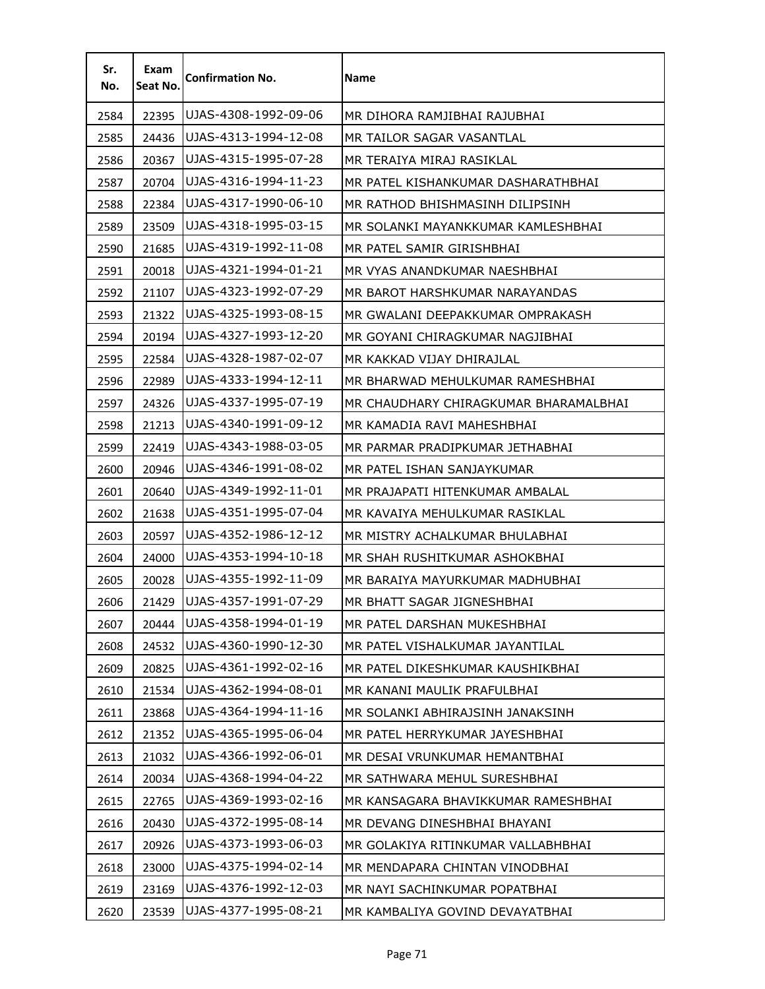| Sr.<br>No. | Exam<br>Seat No. | <b>Confirmation No.</b> | <b>Name</b>                           |
|------------|------------------|-------------------------|---------------------------------------|
| 2584       | 22395            | UJAS-4308-1992-09-06    | MR DIHORA RAMJIBHAI RAJUBHAI          |
| 2585       | 24436            | UJAS-4313-1994-12-08    | MR TAILOR SAGAR VASANTLAL             |
| 2586       | 20367            | UJAS-4315-1995-07-28    | MR TERAIYA MIRAJ RASIKLAL             |
| 2587       | 20704            | UJAS-4316-1994-11-23    | MR PATEL KISHANKUMAR DASHARATHBHAI    |
| 2588       | 22384            | UJAS-4317-1990-06-10    | MR RATHOD BHISHMASINH DILIPSINH       |
| 2589       | 23509            | UJAS-4318-1995-03-15    | MR SOLANKI MAYANKKUMAR KAMLESHBHAI    |
| 2590       | 21685            | UJAS-4319-1992-11-08    | MR PATEL SAMIR GIRISHBHAI             |
| 2591       | 20018            | UJAS-4321-1994-01-21    | MR VYAS ANANDKUMAR NAESHBHAI          |
| 2592       | 21107            | UJAS-4323-1992-07-29    | MR BAROT HARSHKUMAR NARAYANDAS        |
| 2593       | 21322            | UJAS-4325-1993-08-15    | MR GWALANI DEEPAKKUMAR OMPRAKASH      |
| 2594       | 20194            | UJAS-4327-1993-12-20    | MR GOYANI CHIRAGKUMAR NAGJIBHAI       |
| 2595       | 22584            | UJAS-4328-1987-02-07    | MR KAKKAD VIJAY DHIRAJLAL             |
| 2596       | 22989            | UJAS-4333-1994-12-11    | MR BHARWAD MEHULKUMAR RAMESHBHAI      |
| 2597       | 24326            | UJAS-4337-1995-07-19    | MR CHAUDHARY CHIRAGKUMAR BHARAMALBHAI |
| 2598       | 21213            | UJAS-4340-1991-09-12    | MR KAMADIA RAVI MAHESHBHAI            |
| 2599       | 22419            | UJAS-4343-1988-03-05    | MR PARMAR PRADIPKUMAR JETHABHAI       |
| 2600       | 20946            | UJAS-4346-1991-08-02    | MR PATEL ISHAN SANJAYKUMAR            |
| 2601       | 20640            | UJAS-4349-1992-11-01    | MR PRAJAPATI HITENKUMAR AMBALAL       |
| 2602       | 21638            | UJAS-4351-1995-07-04    | MR KAVAIYA MEHULKUMAR RASIKLAL        |
| 2603       | 20597            | UJAS-4352-1986-12-12    | MR MISTRY ACHALKUMAR BHULABHAI        |
| 2604       | 24000            | UJAS-4353-1994-10-18    | MR SHAH RUSHITKUMAR ASHOKBHAI         |
| 2605       | 20028            | UJAS-4355-1992-11-09    | MR BARAIYA MAYURKUMAR MADHUBHAI       |
| 2606       | 21429            | UJAS-4357-1991-07-29    | MR BHATT SAGAR JIGNESHBHAI            |
| 2607       | 20444            | UJAS-4358-1994-01-19    | MR PATEL DARSHAN MUKESHBHAI           |
| 2608       | 24532            | UJAS-4360-1990-12-30    | MR PATEL VISHALKUMAR JAYANTILAL       |
| 2609       | 20825            | UJAS-4361-1992-02-16    | MR PATEL DIKESHKUMAR KAUSHIKBHAI      |
| 2610       | 21534            | UJAS-4362-1994-08-01    | MR KANANI MAULIK PRAFULBHAI           |
| 2611       | 23868            | UJAS-4364-1994-11-16    | MR SOLANKI ABHIRAJSINH JANAKSINH      |
| 2612       | 21352            | UJAS-4365-1995-06-04    | MR PATEL HERRYKUMAR JAYESHBHAI        |
| 2613       | 21032            | UJAS-4366-1992-06-01    | MR DESAI VRUNKUMAR HEMANTBHAI         |
| 2614       | 20034            | UJAS-4368-1994-04-22    | MR SATHWARA MEHUL SURESHBHAI          |
| 2615       | 22765            | UJAS-4369-1993-02-16    | MR KANSAGARA BHAVIKKUMAR RAMESHBHAI   |
| 2616       | 20430            | UJAS-4372-1995-08-14    | MR DEVANG DINESHBHAI BHAYANI          |
| 2617       | 20926            | UJAS-4373-1993-06-03    | MR GOLAKIYA RITINKUMAR VALLABHBHAI    |
| 2618       | 23000            | UJAS-4375-1994-02-14    | MR MENDAPARA CHINTAN VINODBHAI        |
| 2619       | 23169            | UJAS-4376-1992-12-03    | MR NAYI SACHINKUMAR POPATBHAI         |
| 2620       | 23539            | UJAS-4377-1995-08-21    | MR KAMBALIYA GOVIND DEVAYATBHAI       |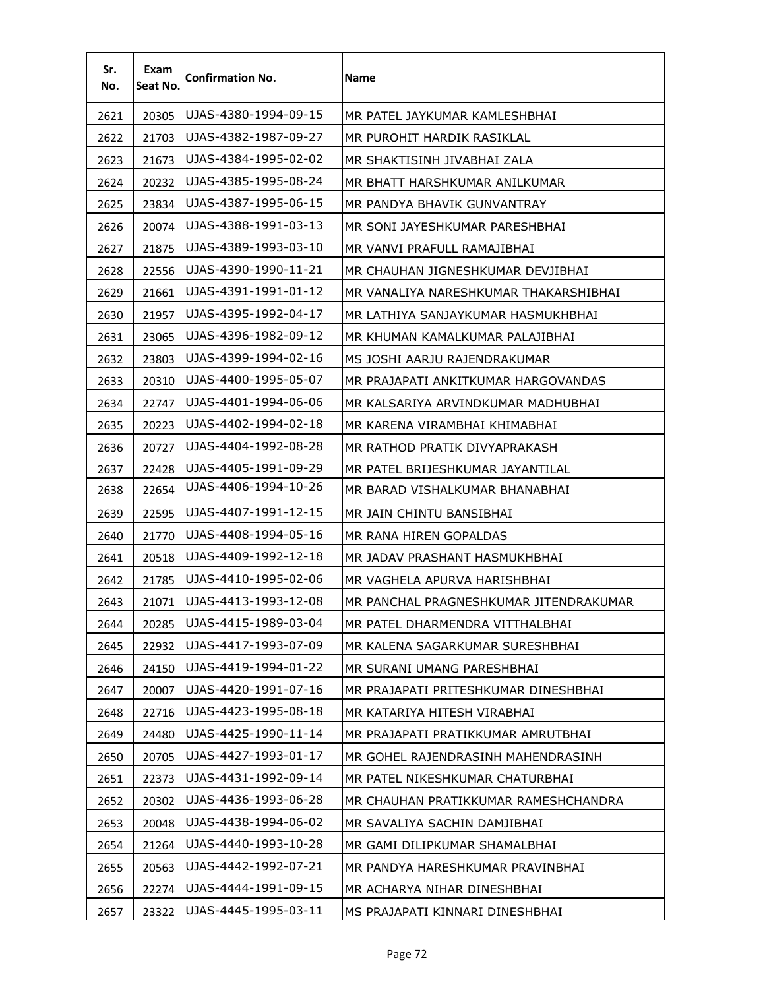| Sr.<br>No. | Exam<br>Seat No. | <b>Confirmation No.</b> | Name                                   |
|------------|------------------|-------------------------|----------------------------------------|
| 2621       | 20305            | UJAS-4380-1994-09-15    | MR PATEL JAYKUMAR KAMLESHBHAI          |
| 2622       | 21703            | UJAS-4382-1987-09-27    | MR PUROHIT HARDIK RASIKLAL             |
| 2623       | 21673            | UJAS-4384-1995-02-02    | MR SHAKTISINH JIVABHAI ZALA            |
| 2624       | 20232            | UJAS-4385-1995-08-24    | MR BHATT HARSHKUMAR ANILKUMAR          |
| 2625       | 23834            | UJAS-4387-1995-06-15    | MR PANDYA BHAVIK GUNVANTRAY            |
| 2626       | 20074            | UJAS-4388-1991-03-13    | MR SONI JAYESHKUMAR PARESHBHAI         |
| 2627       | 21875            | UJAS-4389-1993-03-10    | MR VANVI PRAFULL RAMAJIBHAI            |
| 2628       | 22556            | UJAS-4390-1990-11-21    | MR CHAUHAN JIGNESHKUMAR DEVJIBHAI      |
| 2629       | 21661            | UJAS-4391-1991-01-12    | MR VANALIYA NARESHKUMAR THAKARSHIBHAI  |
| 2630       | 21957            | UJAS-4395-1992-04-17    | MR LATHIYA SANJAYKUMAR HASMUKHBHAI     |
| 2631       | 23065            | UJAS-4396-1982-09-12    | MR KHUMAN KAMALKUMAR PALAJIBHAI        |
| 2632       | 23803            | UJAS-4399-1994-02-16    | MS JOSHI AARJU RAJENDRAKUMAR           |
| 2633       | 20310            | UJAS-4400-1995-05-07    | MR PRAJAPATI ANKITKUMAR HARGOVANDAS    |
| 2634       | 22747            | UJAS-4401-1994-06-06    | MR KALSARIYA ARVINDKUMAR MADHUBHAI     |
| 2635       | 20223            | UJAS-4402-1994-02-18    | MR KARENA VIRAMBHAI KHIMABHAI          |
| 2636       | 20727            | UJAS-4404-1992-08-28    | MR RATHOD PRATIK DIVYAPRAKASH.         |
| 2637       | 22428            | UJAS-4405-1991-09-29    | MR PATEL BRIJESHKUMAR JAYANTILAL       |
| 2638       | 22654            | UJAS-4406-1994-10-26    | MR BARAD VISHALKUMAR BHANABHAI         |
| 2639       | 22595            | UJAS-4407-1991-12-15    | MR JAIN CHINTU BANSIBHAI               |
| 2640       | 21770            | UJAS-4408-1994-05-16    | MR RANA HIREN GOPALDAS                 |
| 2641       | 20518            | UJAS-4409-1992-12-18    | MR JADAV PRASHANT HASMUKHBHAI          |
| 2642       | 21785            | UJAS-4410-1995-02-06    | MR VAGHELA APURVA HARISHBHAI           |
| 2643       | 21071            | UJAS-4413-1993-12-08    | MR PANCHAL PRAGNESHKUMAR JITENDRAKUMAR |
| 2644       | 20285            | UJAS-4415-1989-03-04    | MR PATEL DHARMENDRA VITTHALBHAI        |
| 2645       | 22932            | UJAS-4417-1993-07-09    | MR KALENA SAGARKUMAR SURESHBHAI        |
| 2646       | 24150            | UJAS-4419-1994-01-22    | MR SURANI UMANG PARESHBHAI             |
| 2647       | 20007            | UJAS-4420-1991-07-16    | MR PRAJAPATI PRITESHKUMAR DINESHBHAI   |
| 2648       | 22716            | UJAS-4423-1995-08-18    | MR KATARIYA HITESH VIRABHAI            |
| 2649       | 24480            | UJAS-4425-1990-11-14    | MR PRAJAPATI PRATIKKUMAR AMRUTBHAI     |
| 2650       | 20705            | UJAS-4427-1993-01-17    | MR GOHEL RAJENDRASINH MAHENDRASINH     |
| 2651       | 22373            | UJAS-4431-1992-09-14    | MR PATEL NIKESHKUMAR CHATURBHAI        |
| 2652       | 20302            | UJAS-4436-1993-06-28    | MR CHAUHAN PRATIKKUMAR RAMESHCHANDRA   |
| 2653       | 20048            | UJAS-4438-1994-06-02    | MR SAVALIYA SACHIN DAMJIBHAI           |
| 2654       | 21264            | UJAS-4440-1993-10-28    | MR GAMI DILIPKUMAR SHAMALBHAI          |
| 2655       | 20563            | UJAS-4442-1992-07-21    | MR PANDYA HARESHKUMAR PRAVINBHAI       |
| 2656       | 22274            | UJAS-4444-1991-09-15    | MR ACHARYA NIHAR DINESHBHAI            |
| 2657       | 23322            | UJAS-4445-1995-03-11    | MS PRAJAPATI KINNARI DINESHBHAI        |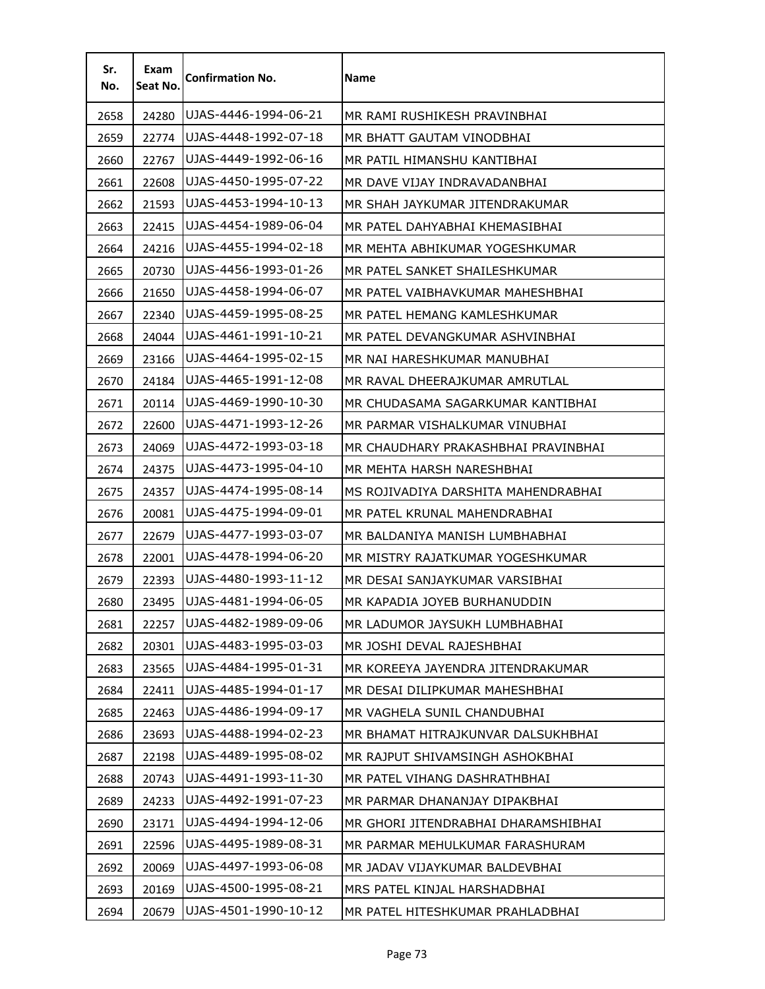| Sr.<br>No. | Exam<br>Seat No. | <b>Confirmation No.</b> | Name                                |
|------------|------------------|-------------------------|-------------------------------------|
| 2658       | 24280            | UJAS-4446-1994-06-21    | MR RAMI RUSHIKESH PRAVINBHAI        |
| 2659       | 22774            | UJAS-4448-1992-07-18    | MR BHATT GAUTAM VINODBHAI           |
| 2660       | 22767            | UJAS-4449-1992-06-16    | MR PATIL HIMANSHU KANTIBHAI         |
| 2661       | 22608            | UJAS-4450-1995-07-22    | MR DAVE VIJAY INDRAVADANBHAI        |
| 2662       | 21593            | UJAS-4453-1994-10-13    | MR SHAH JAYKUMAR JITENDRAKUMAR      |
| 2663       | 22415            | UJAS-4454-1989-06-04    | MR PATEL DAHYABHAI KHEMASIBHAI      |
| 2664       | 24216            | UJAS-4455-1994-02-18    | MR MEHTA ABHIKUMAR YOGESHKUMAR      |
| 2665       | 20730            | UJAS-4456-1993-01-26    | MR PATEL SANKET SHAILESHKUMAR       |
| 2666       | 21650            | UJAS-4458-1994-06-07    | MR PATEL VAIBHAVKUMAR MAHESHBHAI    |
| 2667       | 22340            | UJAS-4459-1995-08-25    | MR PATEL HEMANG KAMLESHKUMAR        |
| 2668       | 24044            | UJAS-4461-1991-10-21    | MR PATEL DEVANGKUMAR ASHVINBHAI     |
| 2669       | 23166            | UJAS-4464-1995-02-15    | MR NAI HARESHKUMAR MANUBHAI         |
| 2670       | 24184            | UJAS-4465-1991-12-08    | MR RAVAL DHEERAJKUMAR AMRUTLAL      |
| 2671       | 20114            | UJAS-4469-1990-10-30    | MR CHUDASAMA SAGARKUMAR KANTIBHAI   |
| 2672       | 22600            | UJAS-4471-1993-12-26    | MR PARMAR VISHALKUMAR VINUBHAI      |
| 2673       | 24069            | UJAS-4472-1993-03-18    | MR CHAUDHARY PRAKASHBHAI PRAVINBHAI |
| 2674       | 24375            | UJAS-4473-1995-04-10    | MR MEHTA HARSH NARESHBHAI           |
| 2675       | 24357            | UJAS-4474-1995-08-14    | MS ROJIVADIYA DARSHITA MAHENDRABHAI |
| 2676       | 20081            | UJAS-4475-1994-09-01    | MR PATEL KRUNAL MAHENDRABHAI        |
| 2677       | 22679            | UJAS-4477-1993-03-07    | MR BALDANIYA MANISH LUMBHABHAI      |
| 2678       | 22001            | UJAS-4478-1994-06-20    | MR MISTRY RAJATKUMAR YOGESHKUMAR    |
| 2679       | 22393            | UJAS-4480-1993-11-12    | MR DESAI SANJAYKUMAR VARSIBHAI      |
| 2680       | 23495            | UJAS-4481-1994-06-05    | MR KAPADIA JOYEB BURHANUDDIN        |
| 2681       | 22257            | UJAS-4482-1989-09-06    | MR LADUMOR JAYSUKH LUMBHABHAI       |
| 2682       | 20301            | UJAS-4483-1995-03-03    | MR JOSHI DEVAL RAJESHBHAI           |
| 2683       | 23565            | UJAS-4484-1995-01-31    | MR KOREEYA JAYENDRA JITENDRAKUMAR   |
| 2684       | 22411            | UJAS-4485-1994-01-17    | MR DESAI DILIPKUMAR MAHESHBHAI      |
| 2685       | 22463            | UJAS-4486-1994-09-17    | MR VAGHELA SUNIL CHANDUBHAI         |
| 2686       | 23693            | UJAS-4488-1994-02-23    | MR BHAMAT HITRAJKUNVAR DALSUKHBHAI  |
| 2687       | 22198            | UJAS-4489-1995-08-02    | MR RAJPUT SHIVAMSINGH ASHOKBHAI     |
| 2688       | 20743            | UJAS-4491-1993-11-30    | MR PATEL VIHANG DASHRATHBHAI        |
| 2689       | 24233            | UJAS-4492-1991-07-23    | MR PARMAR DHANANJAY DIPAKBHAI       |
| 2690       | 23171            | UJAS-4494-1994-12-06    | MR GHORI JITENDRABHAI DHARAMSHIBHAI |
| 2691       | 22596            | UJAS-4495-1989-08-31    | MR PARMAR MEHULKUMAR FARASHURAM     |
| 2692       | 20069            | UJAS-4497-1993-06-08    | MR JADAV VIJAYKUMAR BALDEVBHAI      |
| 2693       | 20169            | UJAS-4500-1995-08-21    | MRS PATEL KINJAL HARSHADBHAI        |
| 2694       | 20679            | UJAS-4501-1990-10-12    | MR PATEL HITESHKUMAR PRAHLADBHAI    |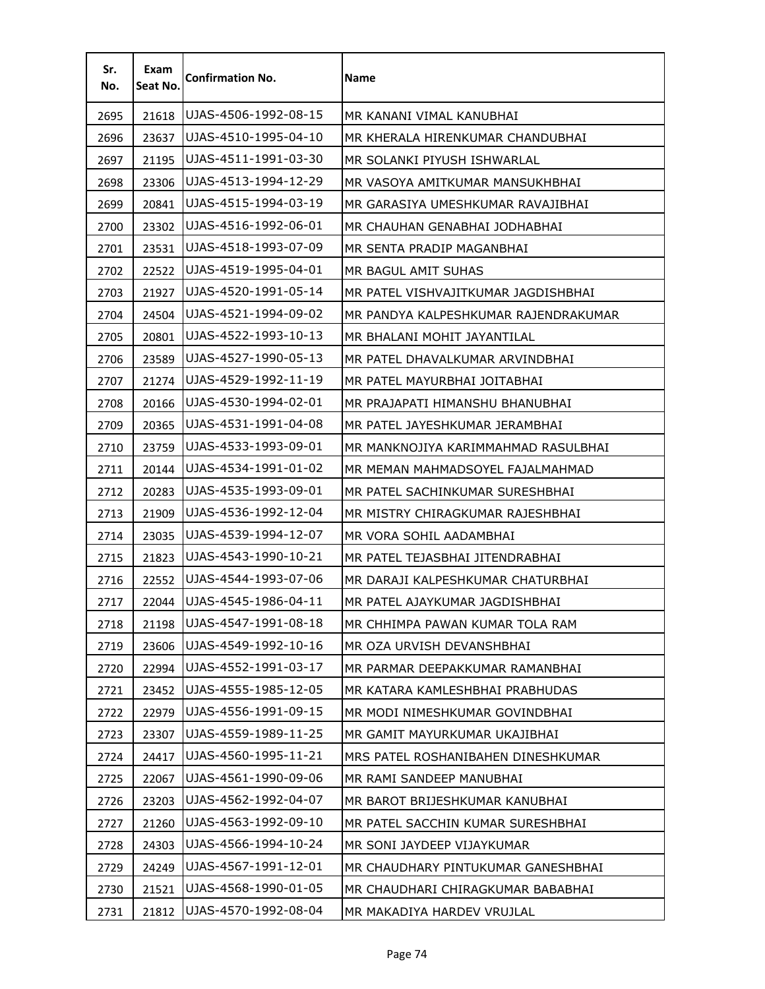| Sr.<br>No. | Exam<br>Seat No. | <b>Confirmation No.</b> | <b>Name</b>                          |
|------------|------------------|-------------------------|--------------------------------------|
| 2695       | 21618            | UJAS-4506-1992-08-15    | MR KANANI VIMAL KANUBHAI             |
| 2696       | 23637            | UJAS-4510-1995-04-10    | MR KHERALA HIRENKUMAR CHANDUBHAI     |
| 2697       | 21195            | UJAS-4511-1991-03-30    | MR SOLANKI PIYUSH ISHWARLAL          |
| 2698       | 23306            | UJAS-4513-1994-12-29    | MR VASOYA AMITKUMAR MANSUKHBHAI      |
| 2699       | 20841            | UJAS-4515-1994-03-19    | MR GARASIYA UMESHKUMAR RAVAJIBHAI    |
| 2700       | 23302            | UJAS-4516-1992-06-01    | MR CHAUHAN GENABHAI JODHABHAI        |
| 2701       | 23531            | UJAS-4518-1993-07-09    | MR SENTA PRADIP MAGANBHAI            |
| 2702       | 22522            | UJAS-4519-1995-04-01    | MR BAGUL AMIT SUHAS                  |
| 2703       | 21927            | UJAS-4520-1991-05-14    | MR PATEL VISHVAJITKUMAR JAGDISHBHAI  |
| 2704       | 24504            | UJAS-4521-1994-09-02    | MR PANDYA KALPESHKUMAR RAJENDRAKUMAR |
| 2705       | 20801            | UJAS-4522-1993-10-13    | MR BHALANI MOHIT JAYANTILAL          |
| 2706       | 23589            | UJAS-4527-1990-05-13    | MR PATEL DHAVALKUMAR ARVINDBHAI      |
| 2707       | 21274            | UJAS-4529-1992-11-19    | MR PATEL MAYURBHAI JOITABHAI         |
| 2708       | 20166            | UJAS-4530-1994-02-01    | MR PRAJAPATI HIMANSHU BHANUBHAI      |
| 2709       | 20365            | UJAS-4531-1991-04-08    | MR PATEL JAYESHKUMAR JERAMBHAI       |
| 2710       | 23759            | UJAS-4533-1993-09-01    | MR MANKNOJIYA KARIMMAHMAD RASULBHAI  |
| 2711       | 20144            | UJAS-4534-1991-01-02    | MR MEMAN MAHMADSOYEL FAJALMAHMAD     |
| 2712       | 20283            | UJAS-4535-1993-09-01    | MR PATEL SACHINKUMAR SURESHBHAI      |
| 2713       | 21909            | UJAS-4536-1992-12-04    | MR MISTRY CHIRAGKUMAR RAJESHBHAI     |
| 2714       | 23035            | UJAS-4539-1994-12-07    | MR VORA SOHIL AADAMBHAI              |
| 2715       | 21823            | UJAS-4543-1990-10-21    | MR PATEL TEJASBHAI JITENDRABHAI      |
| 2716       | 22552            | UJAS-4544-1993-07-06    | MR DARAJI KALPESHKUMAR CHATURBHAI    |
| 2717       | 22044            | UJAS-4545-1986-04-11    | MR PATEL AJAYKUMAR JAGDISHBHAI       |
| 2718       | 21198            | UJAS-4547-1991-08-18    | MR CHHIMPA PAWAN KUMAR TOLA RAM      |
| 2719       | 23606            | UJAS-4549-1992-10-16    | MR OZA URVISH DEVANSHBHAI            |
| 2720       | 22994            | UJAS-4552-1991-03-17    | MR PARMAR DEEPAKKUMAR RAMANBHAI      |
| 2721       | 23452            | UJAS-4555-1985-12-05    | MR KATARA KAMLESHBHAI PRABHUDAS      |
| 2722       | 22979            | UJAS-4556-1991-09-15    | MR MODI NIMESHKUMAR GOVINDBHAI       |
| 2723       | 23307            | UJAS-4559-1989-11-25    | MR GAMIT MAYURKUMAR UKAJIBHAI        |
| 2724       | 24417            | UJAS-4560-1995-11-21    | MRS PATEL ROSHANIBAHEN DINESHKUMAR   |
| 2725       | 22067            | UJAS-4561-1990-09-06    | MR RAMI SANDEEP MANUBHAI             |
| 2726       | 23203            | UJAS-4562-1992-04-07    | MR BAROT BRIJESHKUMAR KANUBHAI       |
| 2727       | 21260            | UJAS-4563-1992-09-10    | MR PATEL SACCHIN KUMAR SURESHBHAI    |
| 2728       | 24303            | UJAS-4566-1994-10-24    | MR SONI JAYDEEP VIJAYKUMAR           |
| 2729       | 24249            | UJAS-4567-1991-12-01    | MR CHAUDHARY PINTUKUMAR GANESHBHAI   |
| 2730       | 21521            | UJAS-4568-1990-01-05    | MR CHAUDHARI CHIRAGKUMAR BABABHAI    |
| 2731       | 21812            | UJAS-4570-1992-08-04    | MR MAKADIYA HARDEV VRUJLAL           |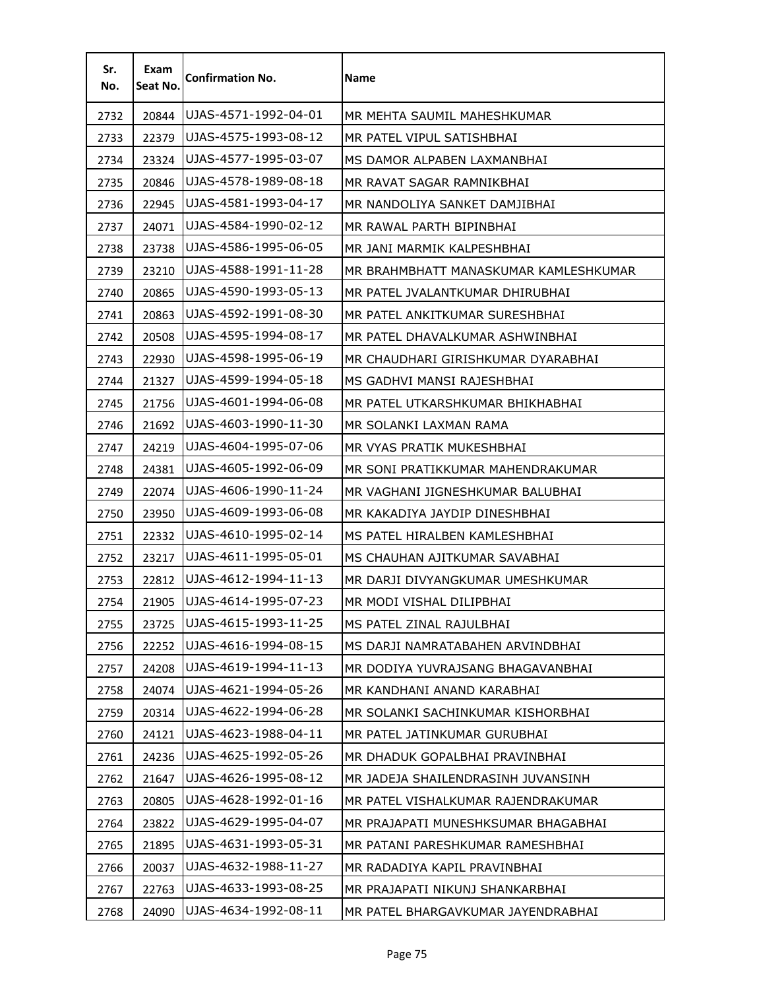| Sr.<br>No. | Exam<br>Seat No. | <b>Confirmation No.</b> | <b>Name</b>                           |
|------------|------------------|-------------------------|---------------------------------------|
| 2732       | 20844            | UJAS-4571-1992-04-01    | MR MEHTA SAUMIL MAHESHKUMAR           |
| 2733       | 22379            | UJAS-4575-1993-08-12    | MR PATEL VIPUL SATISHBHAI             |
| 2734       | 23324            | UJAS-4577-1995-03-07    | MS DAMOR ALPABEN LAXMANBHAI           |
| 2735       | 20846            | UJAS-4578-1989-08-18    | MR RAVAT SAGAR RAMNIKBHAI             |
| 2736       | 22945            | UJAS-4581-1993-04-17    | MR NANDOLIYA SANKET DAMJIBHAI         |
| 2737       | 24071            | UJAS-4584-1990-02-12    | MR RAWAL PARTH BIPINBHAI              |
| 2738       | 23738            | UJAS-4586-1995-06-05    | MR JANI MARMIK KALPESHBHAI            |
| 2739       | 23210            | UJAS-4588-1991-11-28    | MR BRAHMBHATT MANASKUMAR KAMLESHKUMAR |
| 2740       | 20865            | UJAS-4590-1993-05-13    | MR PATEL JVALANTKUMAR DHIRUBHAI       |
| 2741       | 20863            | UJAS-4592-1991-08-30    | MR PATEL ANKITKUMAR SURESHBHAI        |
| 2742       | 20508            | UJAS-4595-1994-08-17    | MR PATEL DHAVALKUMAR ASHWINBHAI       |
| 2743       | 22930            | UJAS-4598-1995-06-19    | MR CHAUDHARI GIRISHKUMAR DYARABHAI    |
| 2744       | 21327            | UJAS-4599-1994-05-18    | MS GADHVI MANSI RAJESHBHAI            |
| 2745       | 21756            | UJAS-4601-1994-06-08    | MR PATEL UTKARSHKUMAR BHIKHABHAI      |
| 2746       | 21692            | UJAS-4603-1990-11-30    | MR SOLANKI LAXMAN RAMA                |
| 2747       | 24219            | UJAS-4604-1995-07-06    | MR VYAS PRATIK MUKESHBHAI             |
| 2748       | 24381            | UJAS-4605-1992-06-09    | MR SONI PRATIKKUMAR MAHENDRAKUMAR     |
| 2749       | 22074            | UJAS-4606-1990-11-24    | MR VAGHANI JIGNESHKUMAR BALUBHAI      |
| 2750       | 23950            | UJAS-4609-1993-06-08    | MR KAKADIYA JAYDIP DINESHBHAI         |
| 2751       | 22332            | UJAS-4610-1995-02-14    | MS PATEL HIRALBEN KAMLESHBHAI         |
| 2752       | 23217            | UJAS-4611-1995-05-01    | MS CHAUHAN AJITKUMAR SAVABHAI         |
| 2753       | 22812            | UJAS-4612-1994-11-13    | MR DARJI DIVYANGKUMAR UMESHKUMAR      |
| 2754       | 21905            | UJAS-4614-1995-07-23    | MR MODI VISHAL DILIPBHAI              |
| 2755       | 23725            | UJAS-4615-1993-11-25    | MS PATEL ZINAL RAJULBHAI              |
| 2756       | 22252            | UJAS-4616-1994-08-15    | MS DARJI NAMRATABAHEN ARVINDBHAI      |
| 2757       | 24208            | UJAS-4619-1994-11-13    | MR DODIYA YUVRAJSANG BHAGAVANBHAI     |
| 2758       | 24074            | UJAS-4621-1994-05-26    | MR KANDHANI ANAND KARABHAI            |
| 2759       | 20314            | UJAS-4622-1994-06-28    | MR SOLANKI SACHINKUMAR KISHORBHAI     |
| 2760       | 24121            | UJAS-4623-1988-04-11    | MR PATEL JATINKUMAR GURUBHAI          |
| 2761       | 24236            | UJAS-4625-1992-05-26    | MR DHADUK GOPALBHAI PRAVINBHAI        |
| 2762       | 21647            | UJAS-4626-1995-08-12    | MR JADEJA SHAILENDRASINH JUVANSINH    |
| 2763       | 20805            | UJAS-4628-1992-01-16    | MR PATEL VISHALKUMAR RAJENDRAKUMAR    |
| 2764       | 23822            | UJAS-4629-1995-04-07    | MR PRAJAPATI MUNESHKSUMAR BHAGABHAI   |
| 2765       | 21895            | UJAS-4631-1993-05-31    | MR PATANI PARESHKUMAR RAMESHBHAI      |
| 2766       | 20037            | UJAS-4632-1988-11-27    | MR RADADIYA KAPIL PRAVINBHAI          |
| 2767       | 22763            | UJAS-4633-1993-08-25    | MR PRAJAPATI NIKUNJ SHANKARBHAI       |
| 2768       | 24090            | UJAS-4634-1992-08-11    | MR PATEL BHARGAVKUMAR JAYENDRABHAI    |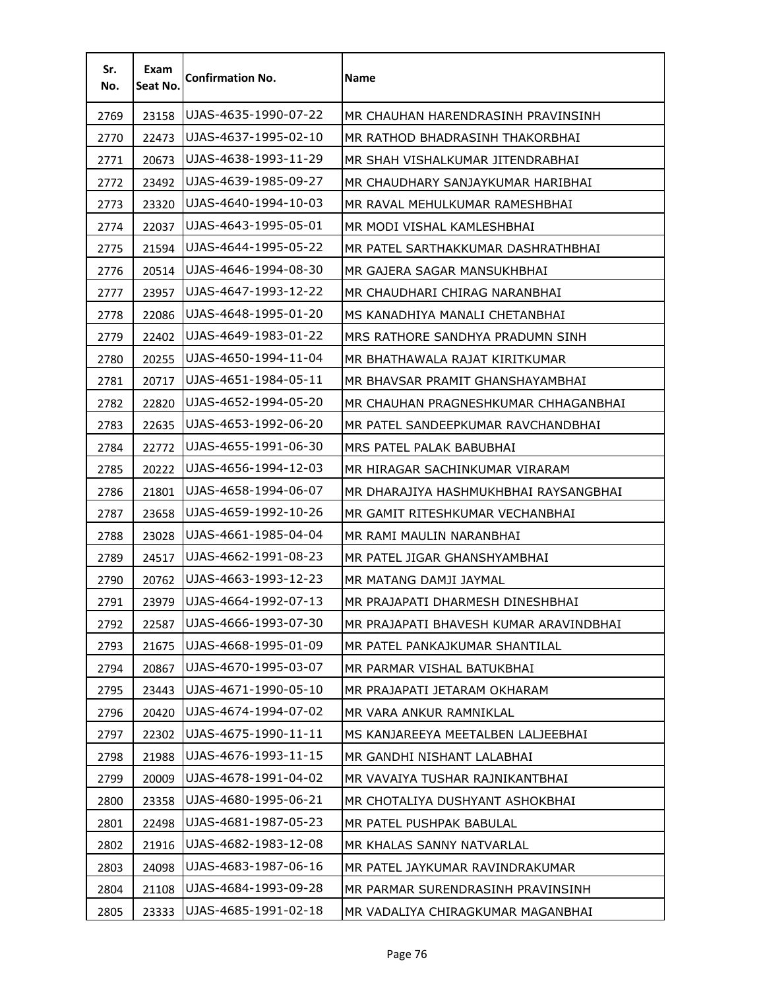| Sr.<br>No. | Exam<br>Seat No. | <b>Confirmation No.</b> | Name                                   |
|------------|------------------|-------------------------|----------------------------------------|
| 2769       | 23158            | UJAS-4635-1990-07-22    | MR CHAUHAN HARENDRASINH PRAVINSINH     |
| 2770       | 22473            | UJAS-4637-1995-02-10    | MR RATHOD BHADRASINH THAKORBHAI        |
| 2771       | 20673            | UJAS-4638-1993-11-29    | MR SHAH VISHALKUMAR JITENDRABHAI       |
| 2772       | 23492            | UJAS-4639-1985-09-27    | MR CHAUDHARY SANJAYKUMAR HARIBHAI      |
| 2773       | 23320            | UJAS-4640-1994-10-03    | MR RAVAL MEHULKUMAR RAMESHBHAI         |
| 2774       | 22037            | UJAS-4643-1995-05-01    | MR MODI VISHAL KAMLESHBHAI             |
| 2775       | 21594            | UJAS-4644-1995-05-22    | MR PATEL SARTHAKKUMAR DASHRATHBHAI     |
| 2776       | 20514            | UJAS-4646-1994-08-30    | MR GAJERA SAGAR MANSUKHBHAI            |
| 2777       | 23957            | UJAS-4647-1993-12-22    | MR CHAUDHARI CHIRAG NARANBHAI          |
| 2778       | 22086            | UJAS-4648-1995-01-20    | MS KANADHIYA MANALI CHETANBHAI         |
| 2779       | 22402            | UJAS-4649-1983-01-22    | MRS RATHORE SANDHYA PRADUMN SINH       |
| 2780       | 20255            | UJAS-4650-1994-11-04    | MR BHATHAWALA RAJAT KIRITKUMAR         |
| 2781       | 20717            | UJAS-4651-1984-05-11    | MR BHAVSAR PRAMIT GHANSHAYAMBHAI       |
| 2782       | 22820            | UJAS-4652-1994-05-20    | MR CHAUHAN PRAGNESHKUMAR CHHAGANBHAI   |
| 2783       | 22635            | UJAS-4653-1992-06-20    | MR PATEL SANDEEPKUMAR RAVCHANDBHAI     |
| 2784       | 22772            | UJAS-4655-1991-06-30    | MRS PATEL PALAK BABUBHAI               |
| 2785       | 20222            | UJAS-4656-1994-12-03    | MR HIRAGAR SACHINKUMAR VIRARAM         |
| 2786       | 21801            | UJAS-4658-1994-06-07    | MR DHARAJIYA HASHMUKHBHAI RAYSANGBHAI  |
| 2787       | 23658            | UJAS-4659-1992-10-26    | MR GAMIT RITESHKUMAR VECHANBHAI        |
| 2788       | 23028            | UJAS-4661-1985-04-04    | MR RAMI MAULIN NARANBHAI               |
| 2789       | 24517            | UJAS-4662-1991-08-23    | MR PATEL JIGAR GHANSHYAMBHAI           |
| 2790       | 20762            | UJAS-4663-1993-12-23    | MR MATANG DAMJI JAYMAL                 |
| 2791       | 23979            | UJAS-4664-1992-07-13    | MR PRAJAPATI DHARMESH DINESHBHAI       |
| 2792       | 22587            | UJAS-4666-1993-07-30    | MR PRAJAPATI BHAVESH KUMAR ARAVINDBHAI |
| 2793       | 21675            | UJAS-4668-1995-01-09    | MR PATEL PANKAJKUMAR SHANTILAL         |
| 2794       | 20867            | UJAS-4670-1995-03-07    | MR PARMAR VISHAL BATUKBHAI             |
| 2795       | 23443            | UJAS-4671-1990-05-10    | MR PRAJAPATI JETARAM OKHARAM           |
| 2796       | 20420            | UJAS-4674-1994-07-02    | MR VARA ANKUR RAMNIKLAL                |
| 2797       | 22302            | UJAS-4675-1990-11-11    | MS KANJAREEYA MEETALBEN LALJEEBHAI     |
| 2798       | 21988            | UJAS-4676-1993-11-15    | MR GANDHI NISHANT LALABHAI             |
| 2799       | 20009            | UJAS-4678-1991-04-02    | MR VAVAIYA TUSHAR RAJNIKANTBHAI        |
| 2800       | 23358            | UJAS-4680-1995-06-21    | MR CHOTALIYA DUSHYANT ASHOKBHAI        |
| 2801       | 22498            | UJAS-4681-1987-05-23    | MR PATEL PUSHPAK BABULAL               |
| 2802       | 21916            | UJAS-4682-1983-12-08    | MR KHALAS SANNY NATVARLAL              |
| 2803       | 24098            | UJAS-4683-1987-06-16    | MR PATEL JAYKUMAR RAVINDRAKUMAR        |
| 2804       | 21108            | UJAS-4684-1993-09-28    | MR PARMAR SURENDRASINH PRAVINSINH      |
| 2805       | 23333            | UJAS-4685-1991-02-18    | MR VADALIYA CHIRAGKUMAR MAGANBHAI      |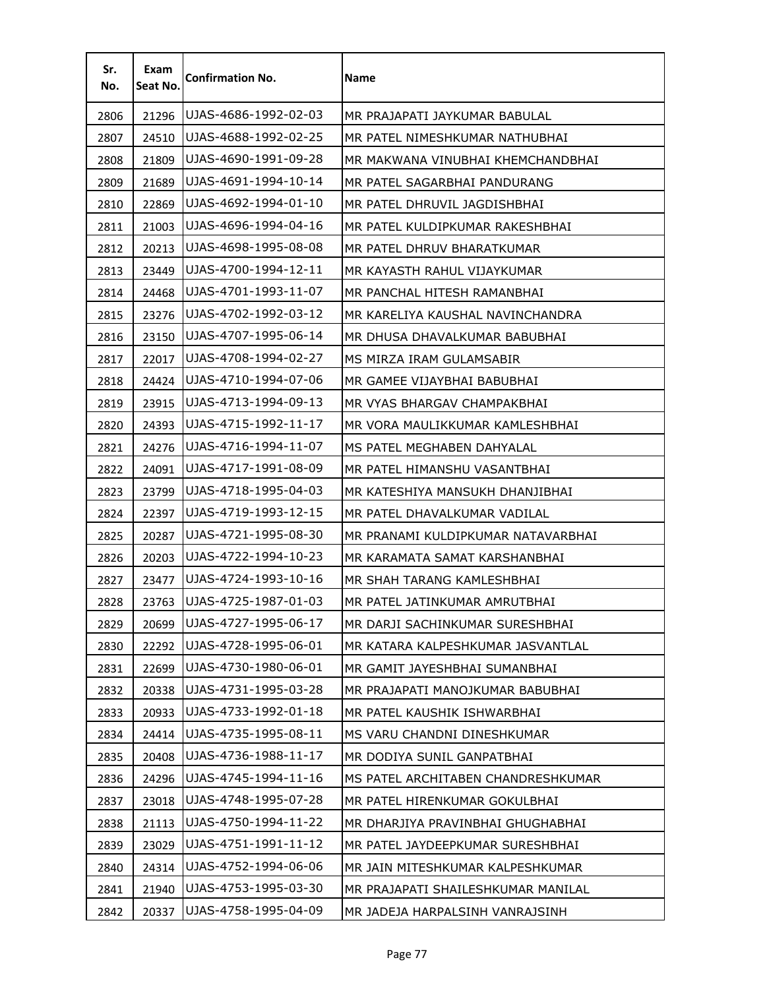| Sr.<br>No. | Exam<br>Seat No. | <b>Confirmation No.</b> | <b>Name</b>                        |
|------------|------------------|-------------------------|------------------------------------|
| 2806       | 21296            | UJAS-4686-1992-02-03    | MR PRAJAPATI JAYKUMAR BABULAL      |
| 2807       | 24510            | UJAS-4688-1992-02-25    | MR PATEL NIMESHKUMAR NATHUBHAI     |
| 2808       | 21809            | UJAS-4690-1991-09-28    | MR MAKWANA VINUBHAI KHEMCHANDBHAI  |
| 2809       | 21689            | UJAS-4691-1994-10-14    | MR PATEL SAGARBHAI PANDURANG       |
| 2810       | 22869            | UJAS-4692-1994-01-10    | MR PATEL DHRUVIL JAGDISHBHAI       |
| 2811       | 21003            | UJAS-4696-1994-04-16    | MR PATEL KULDIPKUMAR RAKESHBHAI    |
| 2812       | 20213            | UJAS-4698-1995-08-08    | MR PATEL DHRUV BHARATKUMAR         |
| 2813       | 23449            | UJAS-4700-1994-12-11    | MR KAYASTH RAHUL VIJAYKUMAR        |
| 2814       | 24468            | UJAS-4701-1993-11-07    | MR PANCHAL HITESH RAMANBHAI        |
| 2815       | 23276            | UJAS-4702-1992-03-12    | MR KARELIYA KAUSHAL NAVINCHANDRA   |
| 2816       | 23150            | UJAS-4707-1995-06-14    | MR DHUSA DHAVALKUMAR BABUBHAI      |
| 2817       | 22017            | UJAS-4708-1994-02-27    | MS MIRZA IRAM GULAMSABIR           |
| 2818       | 24424            | UJAS-4710-1994-07-06    | MR GAMEE VIJAYBHAI BABUBHAI        |
| 2819       | 23915            | UJAS-4713-1994-09-13    | MR VYAS BHARGAV CHAMPAKBHAI        |
| 2820       | 24393            | UJAS-4715-1992-11-17    | MR VORA MAULIKKUMAR KAMLESHBHAI    |
| 2821       | 24276            | UJAS-4716-1994-11-07    | MS PATEL MEGHABEN DAHYALAL         |
| 2822       | 24091            | UJAS-4717-1991-08-09    | MR PATEL HIMANSHU VASANTBHAI       |
| 2823       | 23799            | UJAS-4718-1995-04-03    | MR KATESHIYA MANSUKH DHANJIBHAI    |
| 2824       | 22397            | UJAS-4719-1993-12-15    | MR PATEL DHAVALKUMAR VADILAL       |
| 2825       | 20287            | UJAS-4721-1995-08-30    | MR PRANAMI KULDIPKUMAR NATAVARBHAI |
| 2826       | 20203            | UJAS-4722-1994-10-23    | MR KARAMATA SAMAT KARSHANBHAI      |
| 2827       | 23477            | UJAS-4724-1993-10-16    | MR SHAH TARANG KAMLESHBHAI         |
| 2828       | 23763            | UJAS-4725-1987-01-03    | MR PATEL JATINKUMAR AMRUTBHAI      |
| 2829       | 20699            | UJAS-4727-1995-06-17    | MR DARJI SACHINKUMAR SURESHBHAI    |
| 2830       | 22292            | UJAS-4728-1995-06-01    | MR KATARA KALPESHKUMAR JASVANTLAL  |
| 2831       | 22699            | UJAS-4730-1980-06-01    | MR GAMIT JAYESHBHAI SUMANBHAI      |
| 2832       | 20338            | UJAS-4731-1995-03-28    | MR PRAJAPATI MANOJKUMAR BABUBHAI   |
| 2833       | 20933            | UJAS-4733-1992-01-18    | MR PATEL KAUSHIK ISHWARBHAI        |
| 2834       | 24414            | UJAS-4735-1995-08-11    | MS VARU CHANDNI DINESHKUMAR        |
| 2835       | 20408            | UJAS-4736-1988-11-17    | MR DODIYA SUNIL GANPATBHAI         |
| 2836       | 24296            | UJAS-4745-1994-11-16    | MS PATEL ARCHITABEN CHANDRESHKUMAR |
| 2837       | 23018            | UJAS-4748-1995-07-28    | MR PATEL HIRENKUMAR GOKULBHAI      |
| 2838       | 21113            | UJAS-4750-1994-11-22    | MR DHARJIYA PRAVINBHAI GHUGHABHAI  |
| 2839       | 23029            | UJAS-4751-1991-11-12    | MR PATEL JAYDEEPKUMAR SURESHBHAI   |
| 2840       | 24314            | UJAS-4752-1994-06-06    | MR JAIN MITESHKUMAR KALPESHKUMAR   |
| 2841       | 21940            | UJAS-4753-1995-03-30    | MR PRAJAPATI SHAILESHKUMAR MANILAL |
| 2842       | 20337            | UJAS-4758-1995-04-09    | MR JADEJA HARPALSINH VANRAJSINH    |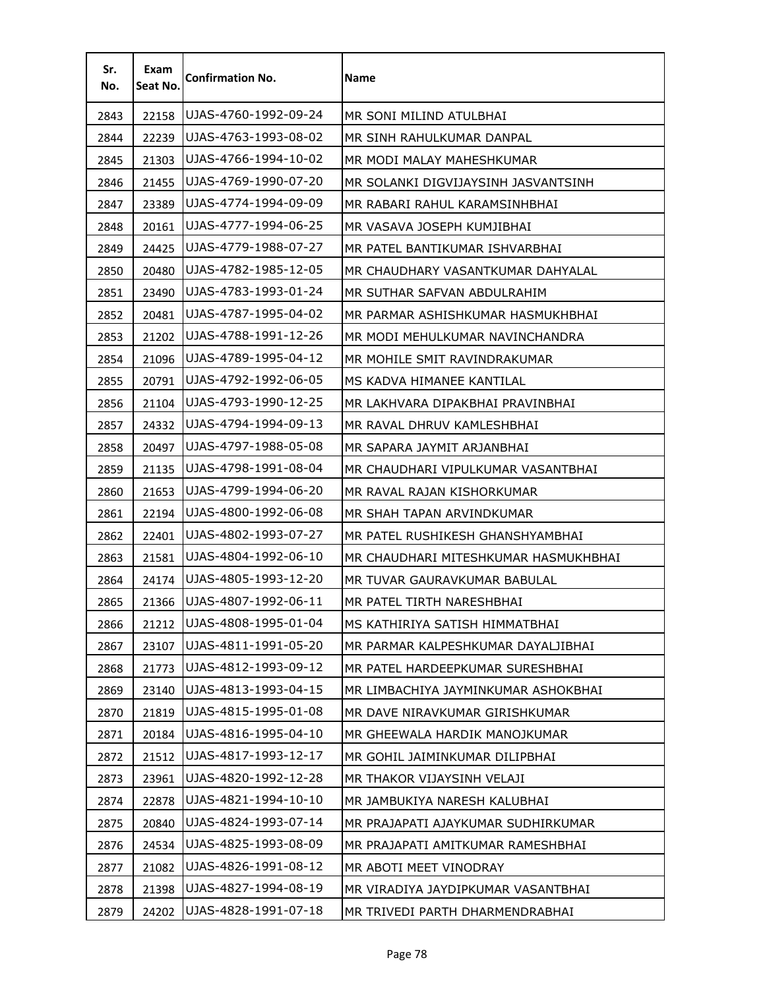| Sr.<br>No. | Exam<br>Seat No. | <b>Confirmation No.</b> | Name                                 |
|------------|------------------|-------------------------|--------------------------------------|
| 2843       | 22158            | UJAS-4760-1992-09-24    | MR SONI MILIND ATULBHAI              |
| 2844       | 22239            | UJAS-4763-1993-08-02    | MR SINH RAHULKUMAR DANPAL            |
| 2845       | 21303            | UJAS-4766-1994-10-02    | MR MODI MALAY MAHESHKUMAR            |
| 2846       | 21455            | UJAS-4769-1990-07-20    | MR SOLANKI DIGVIJAYSINH JASVANTSINH  |
| 2847       | 23389            | UJAS-4774-1994-09-09    | MR RABARI RAHUL KARAMSINHBHAI        |
| 2848       | 20161            | UJAS-4777-1994-06-25    | MR VASAVA JOSEPH KUMJIBHAI           |
| 2849       | 24425            | UJAS-4779-1988-07-27    | MR PATEL BANTIKUMAR ISHVARBHAI       |
| 2850       | 20480            | UJAS-4782-1985-12-05    | MR CHAUDHARY VASANTKUMAR DAHYALAL    |
| 2851       | 23490            | UJAS-4783-1993-01-24    | MR SUTHAR SAFVAN ABDULRAHIM          |
| 2852       | 20481            | UJAS-4787-1995-04-02    | MR PARMAR ASHISHKUMAR HASMUKHBHAI    |
| 2853       | 21202            | UJAS-4788-1991-12-26    | MR MODI MEHULKUMAR NAVINCHANDRA      |
| 2854       | 21096            | UJAS-4789-1995-04-12    | MR MOHILE SMIT RAVINDRAKUMAR         |
| 2855       | 20791            | UJAS-4792-1992-06-05    | MS KADVA HIMANEE KANTILAL            |
| 2856       | 21104            | UJAS-4793-1990-12-25    | MR LAKHVARA DIPAKBHAI PRAVINBHAI     |
| 2857       | 24332            | UJAS-4794-1994-09-13    | MR RAVAL DHRUV KAMLESHBHAI           |
| 2858       | 20497            | UJAS-4797-1988-05-08    | MR SAPARA JAYMIT ARJANBHAI           |
| 2859       | 21135            | UJAS-4798-1991-08-04    | MR CHAUDHARI VIPULKUMAR VASANTBHAI   |
| 2860       | 21653            | UJAS-4799-1994-06-20    | MR RAVAL RAJAN KISHORKUMAR           |
| 2861       | 22194            | UJAS-4800-1992-06-08    | MR SHAH TAPAN ARVINDKUMAR            |
| 2862       | 22401            | UJAS-4802-1993-07-27    | MR PATEL RUSHIKESH GHANSHYAMBHAI     |
| 2863       | 21581            | UJAS-4804-1992-06-10    | MR CHAUDHARI MITESHKUMAR HASMUKHBHAI |
| 2864       | 24174            | UJAS-4805-1993-12-20    | MR TUVAR GAURAVKUMAR BABULAL         |
| 2865       | 21366            | UJAS-4807-1992-06-11    | MR PATEL TIRTH NARESHBHAI            |
| 2866       | 21212            | UJAS-4808-1995-01-04    | MS KATHIRIYA SATISH HIMMATBHAI       |
| 2867       | 23107            | UJAS-4811-1991-05-20    | MR PARMAR KALPESHKUMAR DAYALJIBHAI   |
| 2868       | 21773            | UJAS-4812-1993-09-12    | MR PATEL HARDEEPKUMAR SURESHBHAI     |
| 2869       | 23140            | UJAS-4813-1993-04-15    | MR LIMBACHIYA JAYMINKUMAR ASHOKBHAI  |
| 2870       | 21819            | UJAS-4815-1995-01-08    | MR DAVE NIRAVKUMAR GIRISHKUMAR       |
| 2871       | 20184            | UJAS-4816-1995-04-10    | MR GHEEWALA HARDIK MANOJKUMAR        |
| 2872       | 21512            | UJAS-4817-1993-12-17    | MR GOHIL JAIMINKUMAR DILIPBHAI       |
| 2873       | 23961            | UJAS-4820-1992-12-28    | MR THAKOR VIJAYSINH VELAJI           |
| 2874       | 22878            | UJAS-4821-1994-10-10    | MR JAMBUKIYA NARESH KALUBHAI         |
| 2875       | 20840            | UJAS-4824-1993-07-14    | MR PRAJAPATI AJAYKUMAR SUDHIRKUMAR   |
| 2876       | 24534            | UJAS-4825-1993-08-09    | MR PRAJAPATI AMITKUMAR RAMESHBHAI    |
| 2877       | 21082            | UJAS-4826-1991-08-12    | MR ABOTI MEET VINODRAY               |
| 2878       | 21398            | UJAS-4827-1994-08-19    | MR VIRADIYA JAYDIPKUMAR VASANTBHAI   |
| 2879       | 24202            | UJAS-4828-1991-07-18    | MR TRIVEDI PARTH DHARMENDRABHAI      |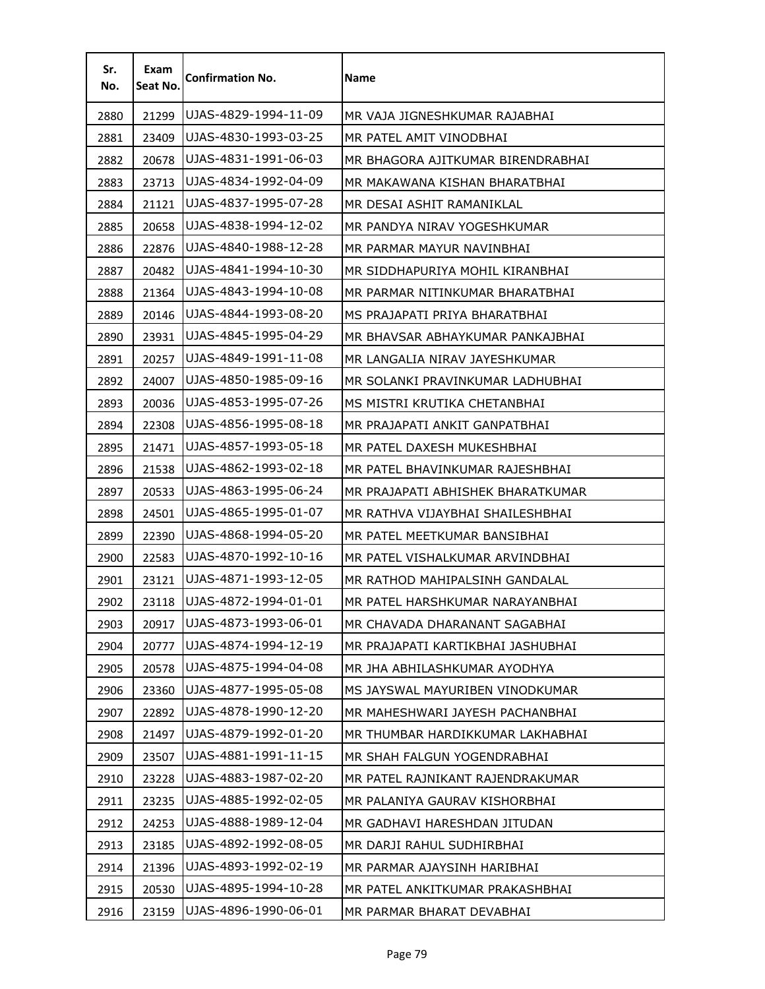| Sr.<br>No. | Exam<br>Seat No. | <b>Confirmation No.</b> | Name                              |
|------------|------------------|-------------------------|-----------------------------------|
| 2880       | 21299            | UJAS-4829-1994-11-09    | MR VAJA JIGNESHKUMAR RAJABHAI     |
| 2881       | 23409            | UJAS-4830-1993-03-25    | MR PATEL AMIT VINODBHAI           |
| 2882       | 20678            | UJAS-4831-1991-06-03    | MR BHAGORA AJITKUMAR BIRENDRABHAI |
| 2883       | 23713            | UJAS-4834-1992-04-09    | MR MAKAWANA KISHAN BHARATBHAI     |
| 2884       | 21121            | UJAS-4837-1995-07-28    | MR DESAI ASHIT RAMANIKLAL         |
| 2885       | 20658            | UJAS-4838-1994-12-02    | MR PANDYA NIRAV YOGESHKUMAR       |
| 2886       | 22876            | UJAS-4840-1988-12-28    | MR PARMAR MAYUR NAVINBHAI         |
| 2887       | 20482            | UJAS-4841-1994-10-30    | MR SIDDHAPURIYA MOHIL KIRANBHAI   |
| 2888       | 21364            | UJAS-4843-1994-10-08    | MR PARMAR NITINKUMAR BHARATBHAI   |
| 2889       | 20146            | UJAS-4844-1993-08-20    | MS PRAJAPATI PRIYA BHARATBHAI     |
| 2890       | 23931            | UJAS-4845-1995-04-29    | MR BHAVSAR ABHAYKUMAR PANKAJBHAI  |
| 2891       | 20257            | UJAS-4849-1991-11-08    | MR LANGALIA NIRAV JAYESHKUMAR     |
| 2892       | 24007            | UJAS-4850-1985-09-16    | MR SOLANKI PRAVINKUMAR LADHUBHAI  |
| 2893       | 20036            | UJAS-4853-1995-07-26    | MS MISTRI KRUTIKA CHETANBHAI      |
| 2894       | 22308            | UJAS-4856-1995-08-18    | MR PRAJAPATI ANKIT GANPATBHAI     |
| 2895       | 21471            | UJAS-4857-1993-05-18    | MR PATEL DAXESH MUKESHBHAI        |
| 2896       | 21538            | UJAS-4862-1993-02-18    | MR PATEL BHAVINKUMAR RAJESHBHAI   |
| 2897       | 20533            | UJAS-4863-1995-06-24    | MR PRAJAPATI ABHISHEK BHARATKUMAR |
| 2898       | 24501            | UJAS-4865-1995-01-07    | MR RATHVA VIJAYBHAI SHAILESHBHAI  |
| 2899       | 22390            | UJAS-4868-1994-05-20    | MR PATEL MEETKUMAR BANSIBHAI      |
| 2900       | 22583            | UJAS-4870-1992-10-16    | MR PATEL VISHALKUMAR ARVINDBHAI   |
| 2901       | 23121            | UJAS-4871-1993-12-05    | MR RATHOD MAHIPALSINH GANDALAL    |
| 2902       | 23118            | UJAS-4872-1994-01-01    | MR PATEL HARSHKUMAR NARAYANBHAI   |
| 2903       | 20917            | UJAS-4873-1993-06-01    | MR CHAVADA DHARANANT SAGABHAI     |
| 2904       | 20777            | UJAS-4874-1994-12-19    | MR PRAJAPATI KARTIKBHAI JASHUBHAI |
| 2905       | 20578            | UJAS-4875-1994-04-08    | MR JHA ABHILASHKUMAR AYODHYA      |
| 2906       | 23360            | UJAS-4877-1995-05-08    | MS JAYSWAL MAYURIBEN VINODKUMAR   |
| 2907       | 22892            | UJAS-4878-1990-12-20    | MR MAHESHWARI JAYESH PACHANBHAI   |
| 2908       | 21497            | UJAS-4879-1992-01-20    | MR THUMBAR HARDIKKUMAR LAKHABHAI  |
| 2909       | 23507            | UJAS-4881-1991-11-15    | MR SHAH FALGUN YOGENDRABHAI       |
| 2910       | 23228            | UJAS-4883-1987-02-20    | MR PATEL RAJNIKANT RAJENDRAKUMAR  |
| 2911       | 23235            | UJAS-4885-1992-02-05    | MR PALANIYA GAURAV KISHORBHAI     |
| 2912       | 24253            | UJAS-4888-1989-12-04    | MR GADHAVI HARESHDAN JITUDAN      |
| 2913       | 23185            | UJAS-4892-1992-08-05    | MR DARJI RAHUL SUDHIRBHAI         |
| 2914       | 21396            | UJAS-4893-1992-02-19    | MR PARMAR AJAYSINH HARIBHAI       |
| 2915       | 20530            | UJAS-4895-1994-10-28    | MR PATEL ANKITKUMAR PRAKASHBHAI   |
| 2916       | 23159            | UJAS-4896-1990-06-01    | MR PARMAR BHARAT DEVABHAI         |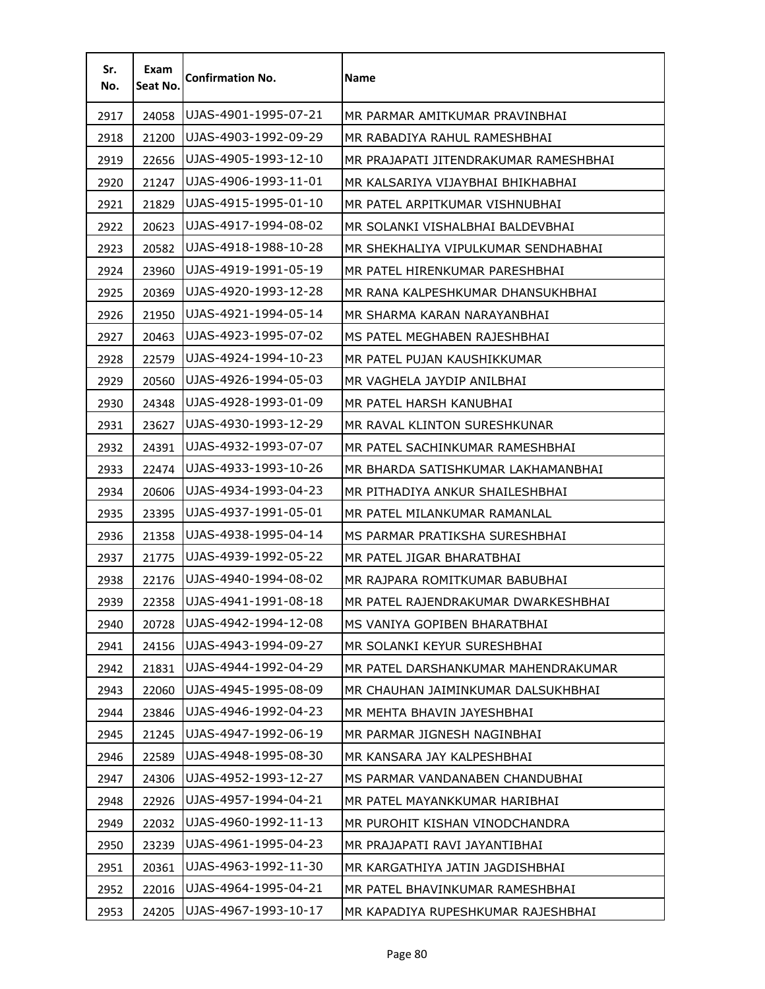| Sr.<br>No. | Exam<br>Seat No. | <b>Confirmation No.</b> | Name                                  |
|------------|------------------|-------------------------|---------------------------------------|
| 2917       | 24058            | UJAS-4901-1995-07-21    | MR PARMAR AMITKUMAR PRAVINBHAI        |
| 2918       | 21200            | UJAS-4903-1992-09-29    | MR RABADIYA RAHUL RAMESHBHAI          |
| 2919       | 22656            | UJAS-4905-1993-12-10    | MR PRAJAPATI JITENDRAKUMAR RAMESHBHAI |
| 2920       | 21247            | UJAS-4906-1993-11-01    | MR KALSARIYA VIJAYBHAI BHIKHABHAI     |
| 2921       | 21829            | UJAS-4915-1995-01-10    | MR PATEL ARPITKUMAR VISHNUBHAI        |
| 2922       | 20623            | UJAS-4917-1994-08-02    | MR SOLANKI VISHALBHAI BALDEVBHAI      |
| 2923       | 20582            | UJAS-4918-1988-10-28    | MR SHEKHALIYA VIPULKUMAR SENDHABHAI   |
| 2924       | 23960            | UJAS-4919-1991-05-19    | MR PATEL HIRENKUMAR PARESHBHAI        |
| 2925       | 20369            | UJAS-4920-1993-12-28    | MR RANA KALPESHKUMAR DHANSUKHBHAI     |
| 2926       | 21950            | UJAS-4921-1994-05-14    | MR SHARMA KARAN NARAYANBHAI           |
| 2927       | 20463            | UJAS-4923-1995-07-02    | MS PATEL MEGHABEN RAJESHBHAI          |
| 2928       | 22579            | UJAS-4924-1994-10-23    | MR PATEL PUJAN KAUSHIKKUMAR           |
| 2929       | 20560            | UJAS-4926-1994-05-03    | MR VAGHELA JAYDIP ANILBHAI            |
| 2930       | 24348            | UJAS-4928-1993-01-09    | MR PATEL HARSH KANUBHAI               |
| 2931       | 23627            | UJAS-4930-1993-12-29    | MR RAVAL KLINTON SURESHKUNAR          |
| 2932       | 24391            | UJAS-4932-1993-07-07    | MR PATEL SACHINKUMAR RAMESHBHAI       |
| 2933       | 22474            | UJAS-4933-1993-10-26    | MR BHARDA SATISHKUMAR LAKHAMANBHAI    |
| 2934       | 20606            | UJAS-4934-1993-04-23    | MR PITHADIYA ANKUR SHAILESHBHAI       |
| 2935       | 23395            | UJAS-4937-1991-05-01    | MR PATEL MILANKUMAR RAMANLAL          |
| 2936       | 21358            | UJAS-4938-1995-04-14    | MS PARMAR PRATIKSHA SURESHBHAI        |
| 2937       | 21775            | UJAS-4939-1992-05-22    | MR PATEL JIGAR BHARATBHAI             |
| 2938       | 22176            | UJAS-4940-1994-08-02    | MR RAJPARA ROMITKUMAR BABUBHAI        |
| 2939       | 22358            | UJAS-4941-1991-08-18    | MR PATEL RAJENDRAKUMAR DWARKESHBHAI   |
| 2940       | 20728            | UJAS-4942-1994-12-08    | MS VANIYA GOPIBEN BHARATBHAI          |
| 2941       | 24156            | UJAS-4943-1994-09-27    | MR SOLANKI KEYUR SURESHBHAI           |
| 2942       | 21831            | UJAS-4944-1992-04-29    | MR PATEL DARSHANKUMAR MAHENDRAKUMAR   |
| 2943       | 22060            | UJAS-4945-1995-08-09    | MR CHAUHAN JAIMINKUMAR DALSUKHBHAI    |
| 2944       | 23846            | UJAS-4946-1992-04-23    | MR MEHTA BHAVIN JAYESHBHAI            |
| 2945       | 21245            | UJAS-4947-1992-06-19    | MR PARMAR JIGNESH NAGINBHAI           |
| 2946       | 22589            | UJAS-4948-1995-08-30    | MR KANSARA JAY KALPESHBHAI            |
| 2947       | 24306            | UJAS-4952-1993-12-27    | MS PARMAR VANDANABEN CHANDUBHAI       |
| 2948       | 22926            | UJAS-4957-1994-04-21    | MR PATEL MAYANKKUMAR HARIBHAI         |
| 2949       | 22032            | UJAS-4960-1992-11-13    | MR PUROHIT KISHAN VINODCHANDRA        |
| 2950       | 23239            | UJAS-4961-1995-04-23    | MR PRAJAPATI RAVI JAYANTIBHAI         |
| 2951       | 20361            | UJAS-4963-1992-11-30    | MR KARGATHIYA JATIN JAGDISHBHAI       |
| 2952       | 22016            | UJAS-4964-1995-04-21    | MR PATEL BHAVINKUMAR RAMESHBHAI       |
| 2953       | 24205            | UJAS-4967-1993-10-17    | MR KAPADIYA RUPESHKUMAR RAJESHBHAI    |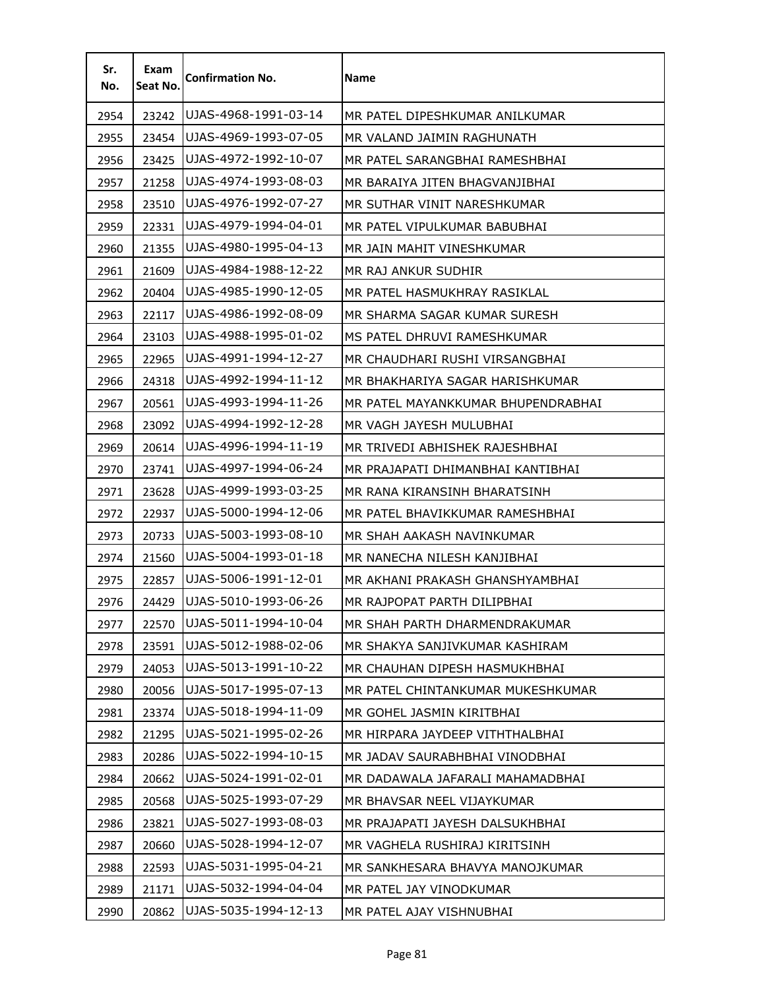| Sr.<br>No. | Exam<br>Seat No. | <b>Confirmation No.</b> | <b>Name</b>                        |
|------------|------------------|-------------------------|------------------------------------|
| 2954       | 23242            | UJAS-4968-1991-03-14    | MR PATEL DIPESHKUMAR ANILKUMAR     |
| 2955       | 23454            | UJAS-4969-1993-07-05    | MR VALAND JAIMIN RAGHUNATH         |
| 2956       | 23425            | UJAS-4972-1992-10-07    | MR PATEL SARANGBHAI RAMESHBHAI     |
| 2957       | 21258            | UJAS-4974-1993-08-03    | MR BARAIYA JITEN BHAGVANJIBHAI     |
| 2958       | 23510            | UJAS-4976-1992-07-27    | MR SUTHAR VINIT NARESHKUMAR        |
| 2959       | 22331            | UJAS-4979-1994-04-01    | MR PATEL VIPULKUMAR BABUBHAI       |
| 2960       | 21355            | UJAS-4980-1995-04-13    | MR JAIN MAHIT VINESHKUMAR          |
| 2961       | 21609            | UJAS-4984-1988-12-22    | MR RAJ ANKUR SUDHIR                |
| 2962       | 20404            | UJAS-4985-1990-12-05    | MR PATEL HASMUKHRAY RASIKLAL       |
| 2963       | 22117            | UJAS-4986-1992-08-09    | MR SHARMA SAGAR KUMAR SURESH       |
| 2964       | 23103            | UJAS-4988-1995-01-02    | MS PATEL DHRUVI RAMESHKUMAR        |
| 2965       | 22965            | UJAS-4991-1994-12-27    | MR CHAUDHARI RUSHI VIRSANGBHAI     |
| 2966       | 24318            | UJAS-4992-1994-11-12    | MR BHAKHARIYA SAGAR HARISHKUMAR    |
| 2967       | 20561            | UJAS-4993-1994-11-26    | MR PATEL MAYANKKUMAR BHUPENDRABHAI |
| 2968       | 23092            | UJAS-4994-1992-12-28    | MR VAGH JAYESH MULUBHAI            |
| 2969       | 20614            | UJAS-4996-1994-11-19    | MR TRIVEDI ABHISHEK RAJESHBHAI     |
| 2970       | 23741            | UJAS-4997-1994-06-24    | MR PRAJAPATI DHIMANBHAI KANTIBHAI  |
| 2971       | 23628            | UJAS-4999-1993-03-25    | MR RANA KIRANSINH BHARATSINH       |
| 2972       | 22937            | UJAS-5000-1994-12-06    | MR PATEL BHAVIKKUMAR RAMESHBHAI    |
| 2973       | 20733            | UJAS-5003-1993-08-10    | MR SHAH AAKASH NAVINKUMAR          |
| 2974       | 21560            | UJAS-5004-1993-01-18    | MR NANECHA NILESH KANJIBHAI        |
| 2975       | 22857            | UJAS-5006-1991-12-01    | MR AKHANI PRAKASH GHANSHYAMBHAI    |
| 2976       | 24429            | UJAS-5010-1993-06-26    | MR RAJPOPAT PARTH DILIPBHAI        |
| 2977       | 22570            | UJAS-5011-1994-10-04    | MR SHAH PARTH DHARMENDRAKUMAR      |
| 2978       | 23591            | UJAS-5012-1988-02-06    | MR SHAKYA SANJIVKUMAR KASHIRAM     |
| 2979       | 24053            | UJAS-5013-1991-10-22    | MR CHAUHAN DIPESH HASMUKHBHAI      |
| 2980       | 20056            | UJAS-5017-1995-07-13    | MR PATEL CHINTANKUMAR MUKESHKUMAR  |
| 2981       | 23374            | UJAS-5018-1994-11-09    | MR GOHEL JASMIN KIRITBHAI          |
| 2982       | 21295            | UJAS-5021-1995-02-26    | MR HIRPARA JAYDEEP VITHTHALBHAI    |
| 2983       | 20286            | UJAS-5022-1994-10-15    | MR JADAV SAURABHBHAI VINODBHAI     |
| 2984       | 20662            | UJAS-5024-1991-02-01    | MR DADAWALA JAFARALI MAHAMADBHAI   |
| 2985       | 20568            | UJAS-5025-1993-07-29    | MR BHAVSAR NEEL VIJAYKUMAR         |
| 2986       | 23821            | UJAS-5027-1993-08-03    | MR PRAJAPATI JAYESH DALSUKHBHAI    |
| 2987       | 20660            | UJAS-5028-1994-12-07    | MR VAGHELA RUSHIRAJ KIRITSINH      |
| 2988       | 22593            | UJAS-5031-1995-04-21    | MR SANKHESARA BHAVYA MANOJKUMAR    |
| 2989       | 21171            | UJAS-5032-1994-04-04    | MR PATEL JAY VINODKUMAR            |
| 2990       | 20862            | UJAS-5035-1994-12-13    | MR PATEL AJAY VISHNUBHAI           |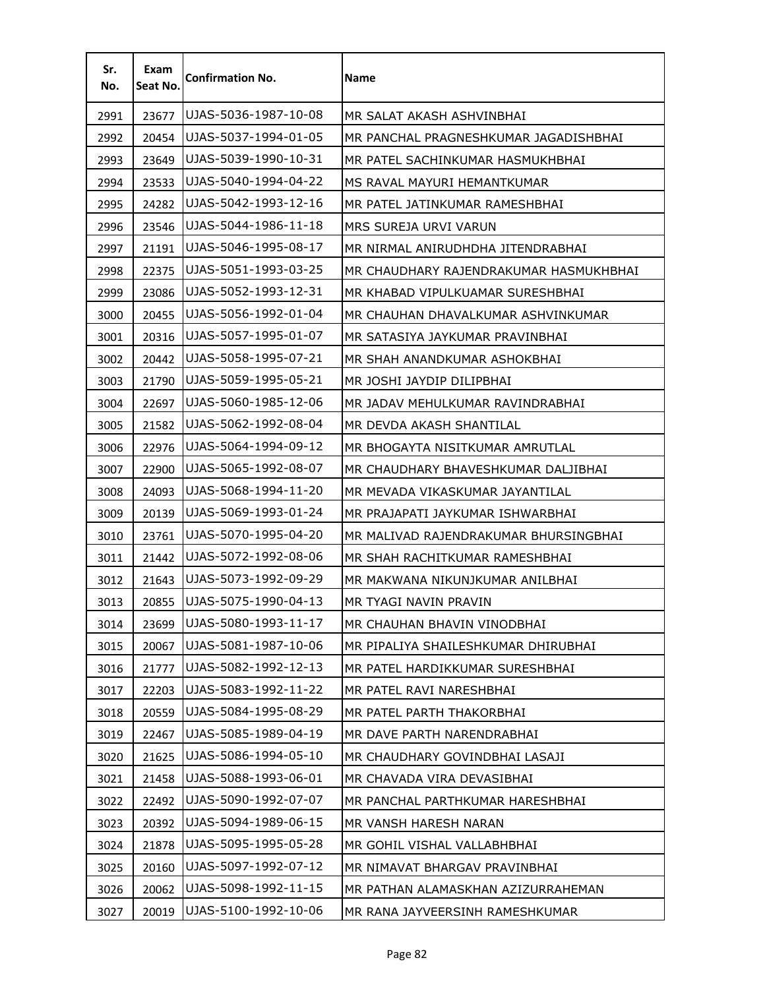| Sr.<br>No. | Exam<br>Seat No. | <b>Confirmation No.</b> | Name                                   |
|------------|------------------|-------------------------|----------------------------------------|
| 2991       | 23677            | UJAS-5036-1987-10-08    | MR SALAT AKASH ASHVINBHAI              |
| 2992       | 20454            | UJAS-5037-1994-01-05    | MR PANCHAL PRAGNESHKUMAR JAGADISHBHAI  |
| 2993       | 23649            | UJAS-5039-1990-10-31    | MR PATEL SACHINKUMAR HASMUKHBHAI       |
| 2994       | 23533            | UJAS-5040-1994-04-22    | MS RAVAL MAYURI HEMANTKUMAR            |
| 2995       | 24282            | UJAS-5042-1993-12-16    | MR PATEL JATINKUMAR RAMESHBHAI         |
| 2996       | 23546            | UJAS-5044-1986-11-18    | MRS SUREJA URVI VARUN                  |
| 2997       | 21191            | UJAS-5046-1995-08-17    | MR NIRMAL ANIRUDHDHA JITENDRABHAI      |
| 2998       | 22375            | UJAS-5051-1993-03-25    | MR CHAUDHARY RAJENDRAKUMAR HASMUKHBHAI |
| 2999       | 23086            | UJAS-5052-1993-12-31    | MR KHABAD VIPULKUAMAR SURESHBHAI       |
| 3000       | 20455            | UJAS-5056-1992-01-04    | MR CHAUHAN DHAVALKUMAR ASHVINKUMAR     |
| 3001       | 20316            | UJAS-5057-1995-01-07    | MR SATASIYA JAYKUMAR PRAVINBHAI        |
| 3002       | 20442            | UJAS-5058-1995-07-21    | MR SHAH ANANDKUMAR ASHOKBHAI           |
| 3003       | 21790            | UJAS-5059-1995-05-21    | MR JOSHI JAYDIP DILIPBHAI              |
| 3004       | 22697            | UJAS-5060-1985-12-06    | MR JADAV MEHULKUMAR RAVINDRABHAI       |
| 3005       | 21582            | UJAS-5062-1992-08-04    | MR DEVDA AKASH SHANTILAL               |
| 3006       | 22976            | UJAS-5064-1994-09-12    | MR BHOGAYTA NISITKUMAR AMRUTLAL        |
| 3007       | 22900            | UJAS-5065-1992-08-07    | MR CHAUDHARY BHAVESHKUMAR DALJIBHAI    |
| 3008       | 24093            | UJAS-5068-1994-11-20    | MR MEVADA VIKASKUMAR JAYANTILAL        |
| 3009       | 20139            | UJAS-5069-1993-01-24    | MR PRAJAPATI JAYKUMAR ISHWARBHAI       |
| 3010       | 23761            | UJAS-5070-1995-04-20    | MR MALIVAD RAJENDRAKUMAR BHURSINGBHAI  |
| 3011       | 21442            | UJAS-5072-1992-08-06    | MR SHAH RACHITKUMAR RAMESHBHAI         |
| 3012       | 21643            | UJAS-5073-1992-09-29    | MR MAKWANA NIKUNJKUMAR ANILBHAI        |
| 3013       | 20855            | UJAS-5075-1990-04-13    | MR TYAGI NAVIN PRAVIN                  |
| 3014       | 23699            | UJAS-5080-1993-11-17    | MR CHAUHAN BHAVIN VINODBHAI            |
| 3015       | 20067            | UJAS-5081-1987-10-06    | MR PIPALIYA SHAILESHKUMAR DHIRUBHAI    |
| 3016       | 21777            | UJAS-5082-1992-12-13    | MR PATEL HARDIKKUMAR SURESHBHAI        |
| 3017       | 22203            | UJAS-5083-1992-11-22    | MR PATEL RAVI NARESHBHAI               |
| 3018       | 20559            | UJAS-5084-1995-08-29    | MR PATEL PARTH THAKORBHAI              |
| 3019       | 22467            | UJAS-5085-1989-04-19    | MR DAVE PARTH NARENDRABHAI             |
| 3020       | 21625            | UJAS-5086-1994-05-10    | MR CHAUDHARY GOVINDBHAI LASAJI         |
| 3021       | 21458            | UJAS-5088-1993-06-01    | MR CHAVADA VIRA DEVASIBHAI             |
| 3022       | 22492            | UJAS-5090-1992-07-07    | MR PANCHAL PARTHKUMAR HARESHBHAI       |
| 3023       | 20392            | UJAS-5094-1989-06-15    | MR VANSH HARESH NARAN                  |
| 3024       | 21878            | UJAS-5095-1995-05-28    | MR GOHIL VISHAL VALLABHBHAI            |
| 3025       | 20160            | UJAS-5097-1992-07-12    | MR NIMAVAT BHARGAV PRAVINBHAI          |
| 3026       | 20062            | UJAS-5098-1992-11-15    | MR PATHAN ALAMASKHAN AZIZURRAHEMAN     |
| 3027       | 20019            | UJAS-5100-1992-10-06    | MR RANA JAYVEERSINH RAMESHKUMAR        |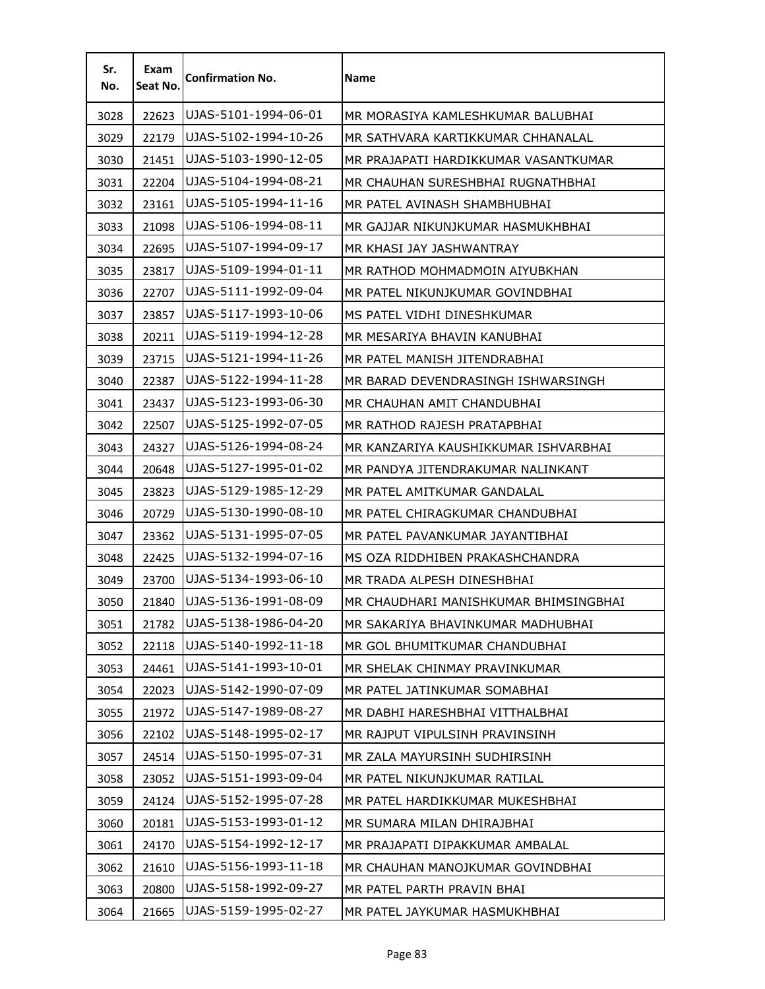| Sr.<br>No. | Exam<br>Seat No. | <b>Confirmation No.</b> | Name                                  |
|------------|------------------|-------------------------|---------------------------------------|
| 3028       | 22623            | UJAS-5101-1994-06-01    | MR MORASIYA KAMLESHKUMAR BALUBHAI     |
| 3029       | 22179            | UJAS-5102-1994-10-26    | MR SATHVARA KARTIKKUMAR CHHANALAL     |
| 3030       | 21451            | UJAS-5103-1990-12-05    | MR PRAJAPATI HARDIKKUMAR VASANTKUMAR  |
| 3031       | 22204            | UJAS-5104-1994-08-21    | MR CHAUHAN SURESHBHAI RUGNATHBHAI     |
| 3032       | 23161            | UJAS-5105-1994-11-16    | MR PATEL AVINASH SHAMBHUBHAI          |
| 3033       | 21098            | UJAS-5106-1994-08-11    | MR GAJJAR NIKUNJKUMAR HASMUKHBHAI     |
| 3034       | 22695            | UJAS-5107-1994-09-17    | MR KHASI JAY JASHWANTRAY              |
| 3035       | 23817            | UJAS-5109-1994-01-11    | MR RATHOD MOHMADMOIN AIYUBKHAN        |
| 3036       | 22707            | UJAS-5111-1992-09-04    | MR PATEL NIKUNJKUMAR GOVINDBHAI       |
| 3037       | 23857            | UJAS-5117-1993-10-06    | MS PATEL VIDHI DINESHKUMAR            |
| 3038       | 20211            | UJAS-5119-1994-12-28    | MR MESARIYA BHAVIN KANUBHAI           |
| 3039       | 23715            | UJAS-5121-1994-11-26    | MR PATEL MANISH JITENDRABHAI          |
| 3040       | 22387            | UJAS-5122-1994-11-28    | MR BARAD DEVENDRASINGH ISHWARSINGH    |
| 3041       | 23437            | UJAS-5123-1993-06-30    | MR CHAUHAN AMIT CHANDUBHAI            |
| 3042       | 22507            | UJAS-5125-1992-07-05    | MR RATHOD RAJESH PRATAPBHAI           |
| 3043       | 24327            | UJAS-5126-1994-08-24    | MR KANZARIYA KAUSHIKKUMAR ISHVARBHAI  |
| 3044       | 20648            | UJAS-5127-1995-01-02    | MR PANDYA JITENDRAKUMAR NALINKANT     |
| 3045       | 23823            | UJAS-5129-1985-12-29    | MR PATEL AMITKUMAR GANDALAL           |
| 3046       | 20729            | UJAS-5130-1990-08-10    | MR PATEL CHIRAGKUMAR CHANDUBHAI       |
| 3047       | 23362            | UJAS-5131-1995-07-05    | MR PATEL PAVANKUMAR JAYANTIBHAI       |
| 3048       | 22425            | UJAS-5132-1994-07-16    | MS OZA RIDDHIBEN PRAKASHCHANDRA       |
| 3049       | 23700            | UJAS-5134-1993-06-10    | MR TRADA ALPESH DINESHBHAI            |
| 3050       | 21840            | UJAS-5136-1991-08-09    | MR CHAUDHARI MANISHKUMAR BHIMSINGBHAI |
| 3051       | 21782            | UJAS-5138-1986-04-20    | MR SAKARIYA BHAVINKUMAR MADHUBHAI     |
| 3052       | 22118            | UJAS-5140-1992-11-18    | MR GOL BHUMITKUMAR CHANDUBHAI         |
| 3053       | 24461            | UJAS-5141-1993-10-01    | MR SHELAK CHINMAY PRAVINKUMAR         |
| 3054       | 22023            | UJAS-5142-1990-07-09    | MR PATEL JATINKUMAR SOMABHAI          |
| 3055       | 21972            | UJAS-5147-1989-08-27    | MR DABHI HARESHBHAI VITTHALBHAI       |
| 3056       | 22102            | UJAS-5148-1995-02-17    | MR RAJPUT VIPULSINH PRAVINSINH        |
| 3057       | 24514            | UJAS-5150-1995-07-31    | MR ZALA MAYURSINH SUDHIRSINH          |
| 3058       | 23052            | UJAS-5151-1993-09-04    | MR PATEL NIKUNJKUMAR RATILAL          |
| 3059       | 24124            | UJAS-5152-1995-07-28    | MR PATEL HARDIKKUMAR MUKESHBHAI       |
| 3060       | 20181            | UJAS-5153-1993-01-12    | MR SUMARA MILAN DHIRAJBHAI            |
| 3061       | 24170            | UJAS-5154-1992-12-17    | MR PRAJAPATI DIPAKKUMAR AMBALAL       |
| 3062       | 21610            | UJAS-5156-1993-11-18    | MR CHAUHAN MANOJKUMAR GOVINDBHAI      |
| 3063       | 20800            | UJAS-5158-1992-09-27    | MR PATEL PARTH PRAVIN BHAI            |
| 3064       | 21665            | UJAS-5159-1995-02-27    | MR PATEL JAYKUMAR HASMUKHBHAI         |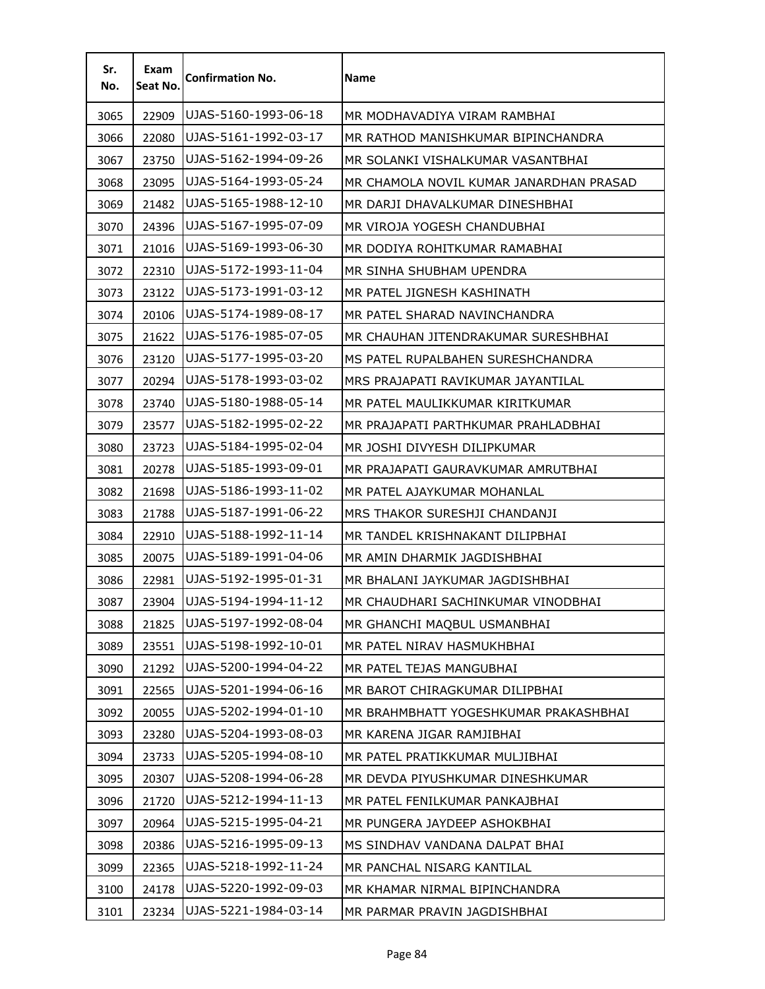| Sr.<br>No. | Exam<br>Seat No. | <b>Confirmation No.</b> | <b>Name</b>                             |
|------------|------------------|-------------------------|-----------------------------------------|
| 3065       | 22909            | UJAS-5160-1993-06-18    | MR MODHAVADIYA VIRAM RAMBHAI            |
| 3066       | 22080            | UJAS-5161-1992-03-17    | MR RATHOD MANISHKUMAR BIPINCHANDRA      |
| 3067       | 23750            | UJAS-5162-1994-09-26    | MR SOLANKI VISHALKUMAR VASANTBHAI       |
| 3068       | 23095            | UJAS-5164-1993-05-24    | MR CHAMOLA NOVIL KUMAR JANARDHAN PRASAD |
| 3069       | 21482            | UJAS-5165-1988-12-10    | MR DARJI DHAVALKUMAR DINESHBHAI         |
| 3070       | 24396            | UJAS-5167-1995-07-09    | MR VIROJA YOGESH CHANDUBHAI             |
| 3071       | 21016            | UJAS-5169-1993-06-30    | MR DODIYA ROHITKUMAR RAMABHAI           |
| 3072       | 22310            | UJAS-5172-1993-11-04    | MR SINHA SHUBHAM UPENDRA                |
| 3073       | 23122            | UJAS-5173-1991-03-12    | MR PATEL JIGNESH KASHINATH              |
| 3074       | 20106            | UJAS-5174-1989-08-17    | MR PATEL SHARAD NAVINCHANDRA            |
| 3075       | 21622            | UJAS-5176-1985-07-05    | MR CHAUHAN JITENDRAKUMAR SURESHBHAI     |
| 3076       | 23120            | UJAS-5177-1995-03-20    | MS PATEL RUPALBAHEN SURESHCHANDRA       |
| 3077       | 20294            | UJAS-5178-1993-03-02    | MRS PRAJAPATI RAVIKUMAR JAYANTILAL      |
| 3078       | 23740            | UJAS-5180-1988-05-14    | MR PATEL MAULIKKUMAR KIRITKUMAR         |
| 3079       | 23577            | UJAS-5182-1995-02-22    | MR PRAJAPATI PARTHKUMAR PRAHLADBHAI     |
| 3080       | 23723            | UJAS-5184-1995-02-04    | MR JOSHI DIVYESH DILIPKUMAR             |
| 3081       | 20278            | UJAS-5185-1993-09-01    | MR PRAJAPATI GAURAVKUMAR AMRUTBHAI      |
| 3082       | 21698            | UJAS-5186-1993-11-02    | MR PATEL AJAYKUMAR MOHANLAL             |
| 3083       | 21788            | UJAS-5187-1991-06-22    | MRS THAKOR SURESHJI CHANDANJI           |
| 3084       | 22910            | UJAS-5188-1992-11-14    | MR TANDEL KRISHNAKANT DILIPBHAI         |
| 3085       | 20075            | UJAS-5189-1991-04-06    | MR AMIN DHARMIK JAGDISHBHAI             |
| 3086       | 22981            | UJAS-5192-1995-01-31    | MR BHALANI JAYKUMAR JAGDISHBHAI         |
| 3087       | 23904            | UJAS-5194-1994-11-12    | MR CHAUDHARI SACHINKUMAR VINODBHAI      |
| 3088       | 21825            | UJAS-5197-1992-08-04    | MR GHANCHI MAQBUL USMANBHAI             |
| 3089       | 23551            | UJAS-5198-1992-10-01    | MR PATEL NIRAV HASMUKHBHAI              |
| 3090       | 21292            | UJAS-5200-1994-04-22    | MR PATEL TEJAS MANGUBHAI                |
| 3091       | 22565            | UJAS-5201-1994-06-16    | MR BAROT CHIRAGKUMAR DILIPBHAI          |
| 3092       | 20055            | UJAS-5202-1994-01-10    | MR BRAHMBHATT YOGESHKUMAR PRAKASHBHAI   |
| 3093       | 23280            | UJAS-5204-1993-08-03    | MR KARENA JIGAR RAMJIBHAI               |
| 3094       | 23733            | UJAS-5205-1994-08-10    | MR PATEL PRATIKKUMAR MULJIBHAI          |
| 3095       | 20307            | UJAS-5208-1994-06-28    | MR DEVDA PIYUSHKUMAR DINESHKUMAR        |
| 3096       | 21720            | UJAS-5212-1994-11-13    | MR PATEL FENILKUMAR PANKAJBHAI          |
| 3097       | 20964            | UJAS-5215-1995-04-21    | MR PUNGERA JAYDEEP ASHOKBHAI            |
| 3098       | 20386            | UJAS-5216-1995-09-13    | MS SINDHAV VANDANA DALPAT BHAI          |
| 3099       | 22365            | UJAS-5218-1992-11-24    | MR PANCHAL NISARG KANTILAL              |
| 3100       | 24178            | UJAS-5220-1992-09-03    | MR KHAMAR NIRMAL BIPINCHANDRA           |
| 3101       | 23234            | UJAS-5221-1984-03-14    | MR PARMAR PRAVIN JAGDISHBHAI            |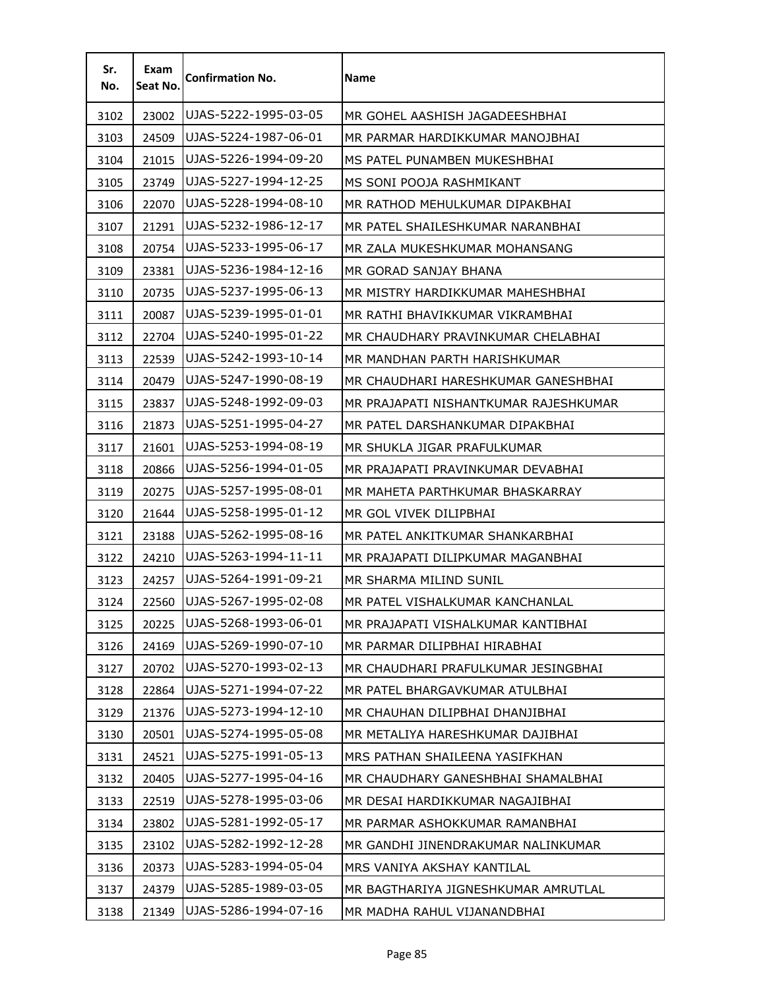| Sr.<br>No. | Exam<br>Seat No. | <b>Confirmation No.</b> | <b>Name</b>                           |
|------------|------------------|-------------------------|---------------------------------------|
| 3102       | 23002            | UJAS-5222-1995-03-05    | MR GOHEL AASHISH JAGADEESHBHAI        |
| 3103       | 24509            | UJAS-5224-1987-06-01    | MR PARMAR HARDIKKUMAR MANOJBHAI       |
| 3104       | 21015            | UJAS-5226-1994-09-20    | MS PATEL PUNAMBEN MUKESHBHAI          |
| 3105       | 23749            | UJAS-5227-1994-12-25    | MS SONI POOJA RASHMIKANT              |
| 3106       | 22070            | UJAS-5228-1994-08-10    | MR RATHOD MEHULKUMAR DIPAKBHAI        |
| 3107       | 21291            | UJAS-5232-1986-12-17    | MR PATEL SHAILESHKUMAR NARANBHAI      |
| 3108       | 20754            | UJAS-5233-1995-06-17    | MR ZALA MUKESHKUMAR MOHANSANG         |
| 3109       | 23381            | UJAS-5236-1984-12-16    | MR GORAD SANJAY BHANA                 |
| 3110       | 20735            | UJAS-5237-1995-06-13    | MR MISTRY HARDIKKUMAR MAHESHBHAI      |
| 3111       | 20087            | UJAS-5239-1995-01-01    | MR RATHI BHAVIKKUMAR VIKRAMBHAI       |
| 3112       | 22704            | UJAS-5240-1995-01-22    | MR CHAUDHARY PRAVINKUMAR CHELABHAI    |
| 3113       | 22539            | UJAS-5242-1993-10-14    | MR MANDHAN PARTH HARISHKUMAR          |
| 3114       | 20479            | UJAS-5247-1990-08-19    | MR CHAUDHARI HARESHKUMAR GANESHBHAI   |
| 3115       | 23837            | UJAS-5248-1992-09-03    | MR PRAJAPATI NISHANTKUMAR RAJESHKUMAR |
| 3116       | 21873            | UJAS-5251-1995-04-27    | MR PATEL DARSHANKUMAR DIPAKBHAI       |
| 3117       | 21601            | UJAS-5253-1994-08-19    | MR SHUKLA JIGAR PRAFULKUMAR           |
| 3118       | 20866            | UJAS-5256-1994-01-05    | MR PRAJAPATI PRAVINKUMAR DEVABHAI     |
| 3119       | 20275            | UJAS-5257-1995-08-01    | MR MAHETA PARTHKUMAR BHASKARRAY       |
| 3120       | 21644            | UJAS-5258-1995-01-12    | MR GOL VIVEK DILIPBHAI                |
| 3121       | 23188            | UJAS-5262-1995-08-16    | MR PATEL ANKITKUMAR SHANKARBHAI       |
| 3122       | 24210            | UJAS-5263-1994-11-11    | MR PRAJAPATI DILIPKUMAR MAGANBHAI     |
| 3123       | 24257            | UJAS-5264-1991-09-21    | MR SHARMA MILIND SUNIL                |
| 3124       | 22560            | UJAS-5267-1995-02-08    | MR PATEL VISHALKUMAR KANCHANLAL       |
| 3125       | 20225            | UJAS-5268-1993-06-01    | MR PRAJAPATI VISHALKUMAR KANTIBHAI    |
| 3126       | 24169            | UJAS-5269-1990-07-10    | MR PARMAR DILIPBHAI HIRABHAI          |
| 3127       | 20702            | UJAS-5270-1993-02-13    | MR CHAUDHARI PRAFULKUMAR JESINGBHAI   |
| 3128       | 22864            | UJAS-5271-1994-07-22    | MR PATEL BHARGAVKUMAR ATULBHAI        |
| 3129       | 21376            | UJAS-5273-1994-12-10    | MR CHAUHAN DILIPBHAI DHANJIBHAI       |
| 3130       | 20501            | UJAS-5274-1995-05-08    | MR METALIYA HARESHKUMAR DAJIBHAI      |
| 3131       | 24521            | UJAS-5275-1991-05-13    | MRS PATHAN SHAILEENA YASIFKHAN        |
| 3132       | 20405            | UJAS-5277-1995-04-16    | MR CHAUDHARY GANESHBHAI SHAMALBHAI    |
| 3133       | 22519            | UJAS-5278-1995-03-06    | MR DESAI HARDIKKUMAR NAGAJIBHAI       |
| 3134       | 23802            | UJAS-5281-1992-05-17    | MR PARMAR ASHOKKUMAR RAMANBHAI        |
| 3135       | 23102            | UJAS-5282-1992-12-28    | MR GANDHI JINENDRAKUMAR NALINKUMAR    |
| 3136       | 20373            | UJAS-5283-1994-05-04    | MRS VANIYA AKSHAY KANTILAL            |
| 3137       | 24379            | UJAS-5285-1989-03-05    | MR BAGTHARIYA JIGNESHKUMAR AMRUTLAL   |
| 3138       | 21349            | UJAS-5286-1994-07-16    | MR MADHA RAHUL VIJANANDBHAI           |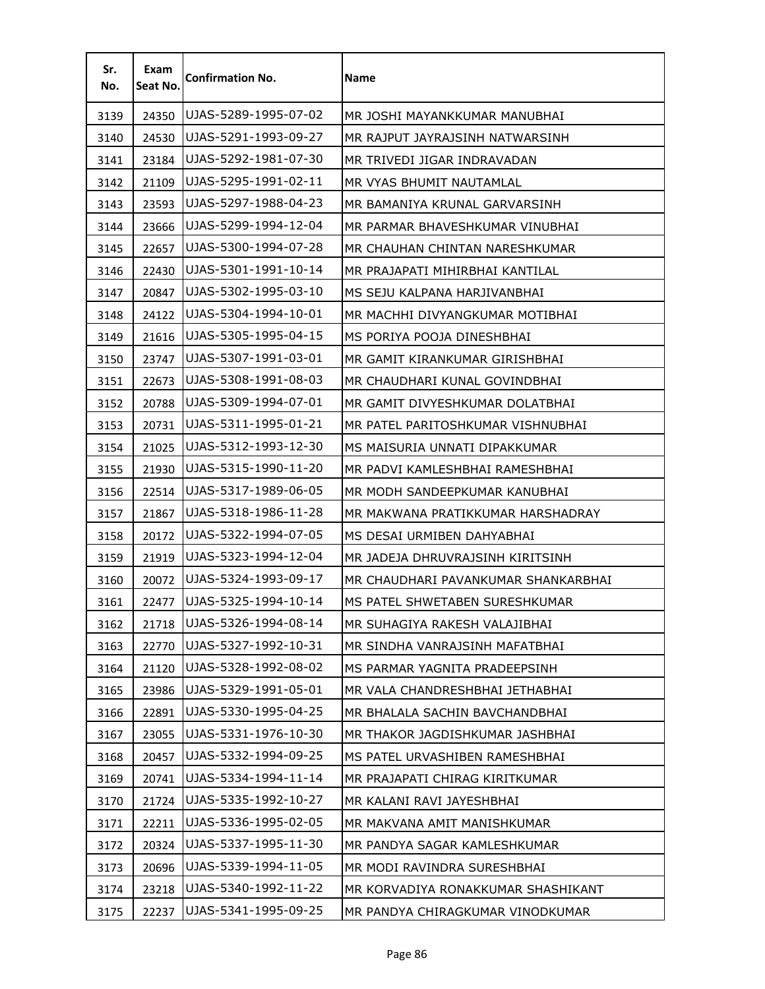| Sr.<br>No. | Exam<br>Seat No. | <b>Confirmation No.</b> | Name                                |
|------------|------------------|-------------------------|-------------------------------------|
| 3139       | 24350            | UJAS-5289-1995-07-02    | MR JOSHI MAYANKKUMAR MANUBHAI       |
| 3140       | 24530            | UJAS-5291-1993-09-27    | MR RAJPUT JAYRAJSINH NATWARSINH     |
| 3141       | 23184            | UJAS-5292-1981-07-30    | MR TRIVEDI JIGAR INDRAVADAN         |
| 3142       | 21109            | UJAS-5295-1991-02-11    | MR VYAS BHUMIT NAUTAMLAL            |
| 3143       | 23593            | UJAS-5297-1988-04-23    | MR BAMANIYA KRUNAL GARVARSINH       |
| 3144       | 23666            | UJAS-5299-1994-12-04    | MR PARMAR BHAVESHKUMAR VINUBHAI     |
| 3145       | 22657            | UJAS-5300-1994-07-28    | MR CHAUHAN CHINTAN NARESHKUMAR      |
| 3146       | 22430            | UJAS-5301-1991-10-14    | MR PRAJAPATI MIHIRBHAI KANTILAL     |
| 3147       | 20847            | UJAS-5302-1995-03-10    | MS SEJU KALPANA HARJIVANBHAI        |
| 3148       | 24122            | UJAS-5304-1994-10-01    | MR MACHHI DIVYANGKUMAR MOTIBHAI     |
| 3149       | 21616            | UJAS-5305-1995-04-15    | MS PORIYA POOJA DINESHBHAI          |
| 3150       | 23747            | UJAS-5307-1991-03-01    | MR GAMIT KIRANKUMAR GIRISHBHAI      |
| 3151       | 22673            | UJAS-5308-1991-08-03    | MR CHAUDHARI KUNAL GOVINDBHAI       |
| 3152       | 20788            | UJAS-5309-1994-07-01    | MR GAMIT DIVYESHKUMAR DOLATBHAI     |
| 3153       | 20731            | UJAS-5311-1995-01-21    | MR PATEL PARITOSHKUMAR VISHNUBHAI   |
| 3154       | 21025            | UJAS-5312-1993-12-30    | MS MAISURIA UNNATI DIPAKKUMAR       |
| 3155       | 21930            | UJAS-5315-1990-11-20    | MR PADVI KAMLESHBHAI RAMESHBHAI     |
| 3156       | 22514            | UJAS-5317-1989-06-05    | MR MODH SANDEEPKUMAR KANUBHAI       |
| 3157       | 21867            | UJAS-5318-1986-11-28    | MR MAKWANA PRATIKKUMAR HARSHADRAY   |
| 3158       | 20172            | UJAS-5322-1994-07-05    | MS DESAI URMIBEN DAHYABHAI          |
| 3159       | 21919            | UJAS-5323-1994-12-04    | MR JADEJA DHRUVRAJSINH KIRITSINH    |
| 3160       | 20072            | UJAS-5324-1993-09-17    | MR CHAUDHARI PAVANKUMAR SHANKARBHAI |
| 3161       | 22477            | UJAS-5325-1994-10-14    | MS PATEL SHWETABEN SURESHKUMAR      |
| 3162       | 21718            | UJAS-5326-1994-08-14    | MR SUHAGIYA RAKESH VALAJIBHAI       |
| 3163       | 22770            | UJAS-5327-1992-10-31    | MR SINDHA VANRAJSINH MAFATBHAI      |
| 3164       | 21120            | UJAS-5328-1992-08-02    | MS PARMAR YAGNITA PRADEEPSINH       |
| 3165       | 23986            | UJAS-5329-1991-05-01    | MR VALA CHANDRESHBHAI JETHABHAI     |
| 3166       | 22891            | UJAS-5330-1995-04-25    | MR BHALALA SACHIN BAVCHANDBHAI      |
| 3167       | 23055            | UJAS-5331-1976-10-30    | MR THAKOR JAGDISHKUMAR JASHBHAI     |
| 3168       | 20457            | UJAS-5332-1994-09-25    | MS PATEL URVASHIBEN RAMESHBHAI      |
| 3169       | 20741            | UJAS-5334-1994-11-14    | MR PRAJAPATI CHIRAG KIRITKUMAR      |
| 3170       | 21724            | UJAS-5335-1992-10-27    | MR KALANI RAVI JAYESHBHAI           |
| 3171       | 22211            | UJAS-5336-1995-02-05    | MR MAKVANA AMIT MANISHKUMAR         |
| 3172       | 20324            | UJAS-5337-1995-11-30    | MR PANDYA SAGAR KAMLESHKUMAR        |
| 3173       | 20696            | UJAS-5339-1994-11-05    | MR MODI RAVINDRA SURESHBHAI         |
| 3174       | 23218            | UJAS-5340-1992-11-22    | MR KORVADIYA RONAKKUMAR SHASHIKANT  |
| 3175       | 22237            | UJAS-5341-1995-09-25    | MR PANDYA CHIRAGKUMAR VINODKUMAR    |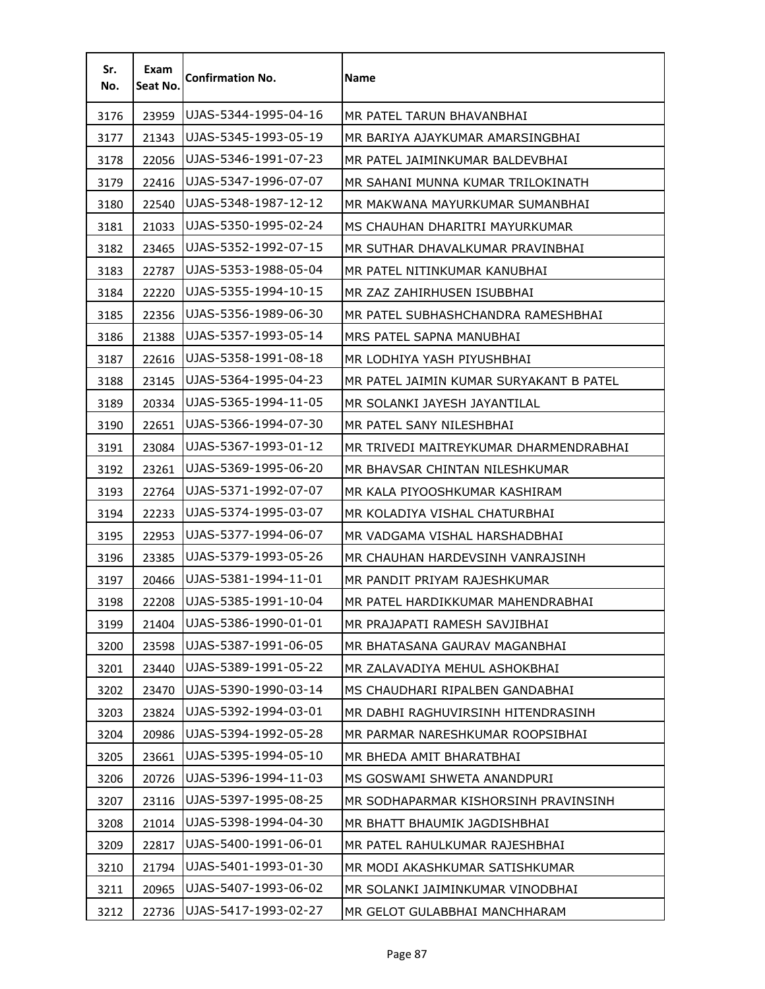| Sr.<br>No. | Exam<br>Seat No. | <b>Confirmation No.</b> | <b>Name</b>                             |
|------------|------------------|-------------------------|-----------------------------------------|
| 3176       | 23959            | UJAS-5344-1995-04-16    | MR PATEL TARUN BHAVANBHAI               |
| 3177       | 21343            | UJAS-5345-1993-05-19    | MR BARIYA AJAYKUMAR AMARSINGBHAI        |
| 3178       | 22056            | UJAS-5346-1991-07-23    | MR PATEL JAIMINKUMAR BALDEVBHAI         |
| 3179       | 22416            | UJAS-5347-1996-07-07    | MR SAHANI MUNNA KUMAR TRILOKINATH       |
| 3180       | 22540            | UJAS-5348-1987-12-12    | MR MAKWANA MAYURKUMAR SUMANBHAI         |
| 3181       | 21033            | UJAS-5350-1995-02-24    | MS CHAUHAN DHARITRI MAYURKUMAR          |
| 3182       | 23465            | UJAS-5352-1992-07-15    | MR SUTHAR DHAVALKUMAR PRAVINBHAI        |
| 3183       | 22787            | UJAS-5353-1988-05-04    | MR PATEL NITINKUMAR KANUBHAI            |
| 3184       | 22220            | UJAS-5355-1994-10-15    | MR ZAZ ZAHIRHUSEN ISUBBHAI              |
| 3185       | 22356            | UJAS-5356-1989-06-30    | MR PATEL SUBHASHCHANDRA RAMESHBHAI      |
| 3186       | 21388            | UJAS-5357-1993-05-14    | MRS PATEL SAPNA MANUBHAI                |
| 3187       | 22616            | UJAS-5358-1991-08-18    | MR LODHIYA YASH PIYUSHBHAI              |
| 3188       | 23145            | UJAS-5364-1995-04-23    | MR PATEL JAIMIN KUMAR SURYAKANT B PATEL |
| 3189       | 20334            | UJAS-5365-1994-11-05    | MR SOLANKI JAYESH JAYANTILAL            |
| 3190       | 22651            | UJAS-5366-1994-07-30    | MR PATEL SANY NILESHBHAI                |
| 3191       | 23084            | UJAS-5367-1993-01-12    | MR TRIVEDI MAITREYKUMAR DHARMENDRABHAI  |
| 3192       | 23261            | UJAS-5369-1995-06-20    | MR BHAVSAR CHINTAN NILESHKUMAR          |
| 3193       | 22764            | UJAS-5371-1992-07-07    | MR KALA PIYOOSHKUMAR KASHIRAM           |
| 3194       | 22233            | UJAS-5374-1995-03-07    | MR KOLADIYA VISHAL CHATURBHAI           |
| 3195       | 22953            | UJAS-5377-1994-06-07    | MR VADGAMA VISHAL HARSHADBHAI           |
| 3196       | 23385            | UJAS-5379-1993-05-26    | MR CHAUHAN HARDEVSINH VANRAJSINH        |
| 3197       | 20466            | UJAS-5381-1994-11-01    | MR PANDIT PRIYAM RAJESHKUMAR            |
| 3198       | 22208            | UJAS-5385-1991-10-04    | MR PATEL HARDIKKUMAR MAHENDRABHAI       |
| 3199       | 21404            | UJAS-5386-1990-01-01    | MR PRAJAPATI RAMESH SAVJIBHAI           |
| 3200       | 23598            | UJAS-5387-1991-06-05    | MR BHATASANA GAURAV MAGANBHAI           |
| 3201       | 23440            | UJAS-5389-1991-05-22    | MR ZALAVADIYA MEHUL ASHOKBHAI           |
| 3202       | 23470            | UJAS-5390-1990-03-14    | MS CHAUDHARI RIPALBEN GANDABHAI         |
| 3203       | 23824            | UJAS-5392-1994-03-01    | MR DABHI RAGHUVIRSINH HITENDRASINH      |
| 3204       | 20986            | UJAS-5394-1992-05-28    | MR PARMAR NARESHKUMAR ROOPSIBHAI        |
| 3205       | 23661            | UJAS-5395-1994-05-10    | MR BHEDA AMIT BHARATBHAI                |
| 3206       | 20726            | UJAS-5396-1994-11-03    | MS GOSWAMI SHWETA ANANDPURI             |
| 3207       | 23116            | UJAS-5397-1995-08-25    | MR SODHAPARMAR KISHORSINH PRAVINSINH    |
| 3208       | 21014            | UJAS-5398-1994-04-30    | MR BHATT BHAUMIK JAGDISHBHAI            |
| 3209       | 22817            | UJAS-5400-1991-06-01    | MR PATEL RAHULKUMAR RAJESHBHAI          |
| 3210       | 21794            | UJAS-5401-1993-01-30    | MR MODI AKASHKUMAR SATISHKUMAR          |
| 3211       | 20965            | UJAS-5407-1993-06-02    | MR SOLANKI JAIMINKUMAR VINODBHAI        |
| 3212       | 22736            | UJAS-5417-1993-02-27    | MR GELOT GULABBHAI MANCHHARAM           |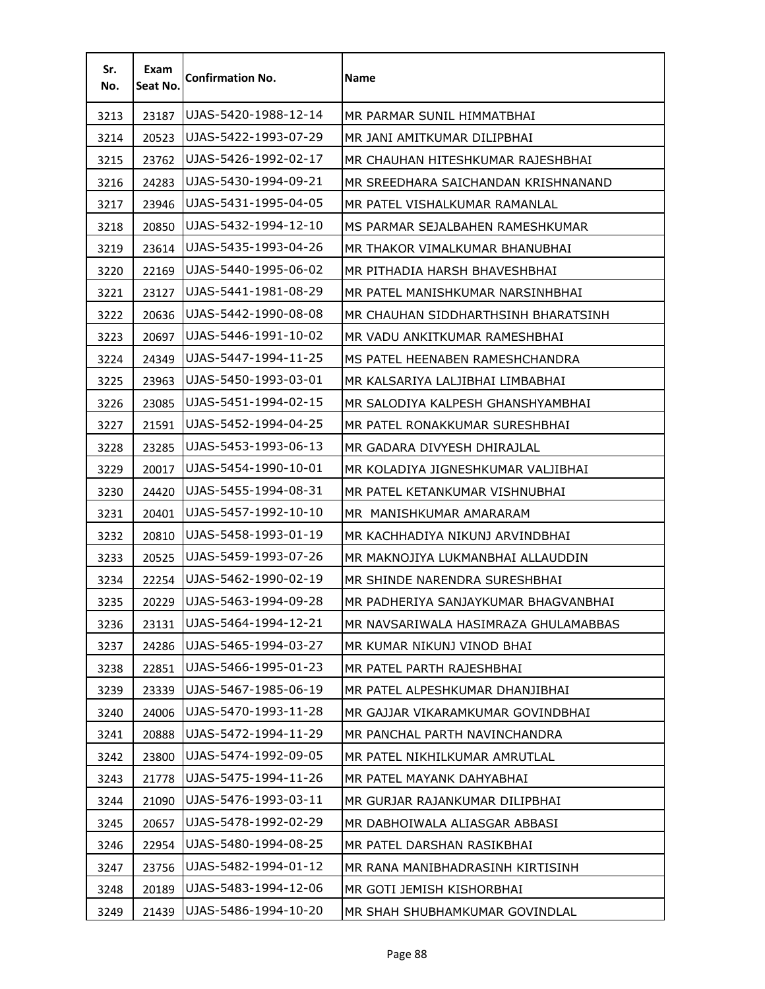| Sr.<br>No. | Exam<br>Seat No. | <b>Confirmation No.</b> | Name                                 |
|------------|------------------|-------------------------|--------------------------------------|
| 3213       | 23187            | UJAS-5420-1988-12-14    | MR PARMAR SUNIL HIMMATBHAI           |
| 3214       | 20523            | UJAS-5422-1993-07-29    | MR JANI AMITKUMAR DILIPBHAI          |
| 3215       | 23762            | UJAS-5426-1992-02-17    | MR CHAUHAN HITESHKUMAR RAJESHBHAI    |
| 3216       | 24283            | UJAS-5430-1994-09-21    | MR SREEDHARA SAICHANDAN KRISHNANAND  |
| 3217       | 23946            | UJAS-5431-1995-04-05    | MR PATEL VISHALKUMAR RAMANLAL        |
| 3218       | 20850            | UJAS-5432-1994-12-10    | MS PARMAR SEJALBAHEN RAMESHKUMAR     |
| 3219       | 23614            | UJAS-5435-1993-04-26    | MR THAKOR VIMALKUMAR BHANUBHAI       |
| 3220       | 22169            | UJAS-5440-1995-06-02    | MR PITHADIA HARSH BHAVESHBHAI        |
| 3221       | 23127            | UJAS-5441-1981-08-29    | MR PATEL MANISHKUMAR NARSINHBHAI     |
| 3222       | 20636            | UJAS-5442-1990-08-08    | MR CHAUHAN SIDDHARTHSINH BHARATSINH  |
| 3223       | 20697            | UJAS-5446-1991-10-02    | MR VADU ANKITKUMAR RAMESHBHAI        |
| 3224       | 24349            | UJAS-5447-1994-11-25    | MS PATEL HEENABEN RAMESHCHANDRA      |
| 3225       | 23963            | UJAS-5450-1993-03-01    | MR KALSARIYA LALJIBHAI LIMBABHAI     |
| 3226       | 23085            | UJAS-5451-1994-02-15    | MR SALODIYA KALPESH GHANSHYAMBHAI    |
| 3227       | 21591            | UJAS-5452-1994-04-25    | MR PATEL RONAKKUMAR SURESHBHAI       |
| 3228       | 23285            | UJAS-5453-1993-06-13    | MR GADARA DIVYESH DHIRAJLAL          |
| 3229       | 20017            | UJAS-5454-1990-10-01    | MR KOLADIYA JIGNESHKUMAR VALJIBHAI   |
| 3230       | 24420            | UJAS-5455-1994-08-31    | MR PATEL KETANKUMAR VISHNUBHAI       |
| 3231       | 20401            | UJAS-5457-1992-10-10    | MR MANISHKUMAR AMARARAM              |
| 3232       | 20810            | UJAS-5458-1993-01-19    | MR KACHHADIYA NIKUNJ ARVINDBHAI      |
| 3233       | 20525            | UJAS-5459-1993-07-26    | MR MAKNOJIYA LUKMANBHAI ALLAUDDIN    |
| 3234       | 22254            | UJAS-5462-1990-02-19    | MR SHINDE NARENDRA SURESHBHAI        |
| 3235       | 20229            | UJAS-5463-1994-09-28    | MR PADHERIYA SANJAYKUMAR BHAGVANBHAI |
| 3236       | 23131            | UJAS-5464-1994-12-21    | MR NAVSARIWALA HASIMRAZA GHULAMABBAS |
| 3237       | 24286            | UJAS-5465-1994-03-27    | MR KUMAR NIKUNJ VINOD BHAI           |
| 3238       | 22851            | UJAS-5466-1995-01-23    | MR PATEL PARTH RAJESHBHAI            |
| 3239       | 23339            | UJAS-5467-1985-06-19    | MR PATEL ALPESHKUMAR DHANJIBHAI      |
| 3240       | 24006            | UJAS-5470-1993-11-28    | MR GAJJAR VIKARAMKUMAR GOVINDBHAI    |
| 3241       | 20888            | UJAS-5472-1994-11-29    | MR PANCHAL PARTH NAVINCHANDRA        |
| 3242       | 23800            | UJAS-5474-1992-09-05    | MR PATEL NIKHILKUMAR AMRUTLAL        |
| 3243       | 21778            | UJAS-5475-1994-11-26    | MR PATEL MAYANK DAHYABHAI            |
| 3244       | 21090            | UJAS-5476-1993-03-11    | MR GURJAR RAJANKUMAR DILIPBHAI       |
| 3245       | 20657            | UJAS-5478-1992-02-29    | MR DABHOIWALA ALIASGAR ABBASI        |
| 3246       | 22954            | UJAS-5480-1994-08-25    | MR PATEL DARSHAN RASIKBHAI           |
| 3247       | 23756            | UJAS-5482-1994-01-12    | MR RANA MANIBHADRASINH KIRTISINH     |
| 3248       | 20189            | UJAS-5483-1994-12-06    | MR GOTI JEMISH KISHORBHAI            |
| 3249       | 21439            | UJAS-5486-1994-10-20    | MR SHAH SHUBHAMKUMAR GOVINDLAL       |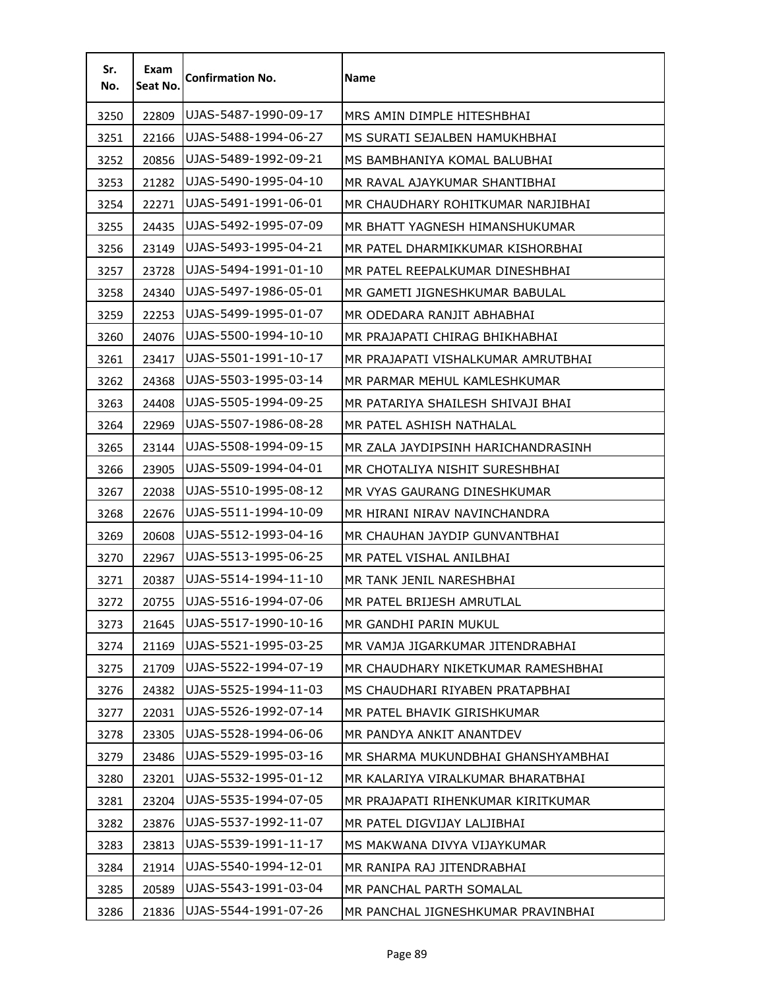| Sr.<br>No. | Exam<br>Seat No. | <b>Confirmation No.</b> | <b>Name</b>                        |
|------------|------------------|-------------------------|------------------------------------|
| 3250       | 22809            | UJAS-5487-1990-09-17    | MRS AMIN DIMPLE HITESHBHAI         |
| 3251       | 22166            | UJAS-5488-1994-06-27    | MS SURATI SEJALBEN HAMUKHBHAI      |
| 3252       | 20856            | UJAS-5489-1992-09-21    | MS BAMBHANIYA KOMAL BALUBHAI       |
| 3253       | 21282            | UJAS-5490-1995-04-10    | MR RAVAL AJAYKUMAR SHANTIBHAI      |
| 3254       | 22271            | UJAS-5491-1991-06-01    | MR CHAUDHARY ROHITKUMAR NARJIBHAI  |
| 3255       | 24435            | UJAS-5492-1995-07-09    | MR BHATT YAGNESH HIMANSHUKUMAR     |
| 3256       | 23149            | UJAS-5493-1995-04-21    | MR PATEL DHARMIKKUMAR KISHORBHAI   |
| 3257       | 23728            | UJAS-5494-1991-01-10    | MR PATEL REEPALKUMAR DINESHBHAI    |
| 3258       | 24340            | UJAS-5497-1986-05-01    | MR GAMETI JIGNESHKUMAR BABULAL     |
| 3259       | 22253            | UJAS-5499-1995-01-07    | MR ODEDARA RANJIT ABHABHAI         |
| 3260       | 24076            | UJAS-5500-1994-10-10    | MR PRAJAPATI CHIRAG BHIKHABHAI     |
| 3261       | 23417            | UJAS-5501-1991-10-17    | MR PRAJAPATI VISHALKUMAR AMRUTBHAI |
| 3262       | 24368            | UJAS-5503-1995-03-14    | MR PARMAR MEHUL KAMLESHKUMAR       |
| 3263       | 24408            | UJAS-5505-1994-09-25    | MR PATARIYA SHAILESH SHIVAJI BHAI  |
| 3264       | 22969            | UJAS-5507-1986-08-28    | MR PATEL ASHISH NATHALAL           |
| 3265       | 23144            | UJAS-5508-1994-09-15    | MR ZALA JAYDIPSINH HARICHANDRASINH |
| 3266       | 23905            | UJAS-5509-1994-04-01    | MR CHOTALIYA NISHIT SURESHBHAI     |
| 3267       | 22038            | UJAS-5510-1995-08-12    | MR VYAS GAURANG DINESHKUMAR        |
| 3268       | 22676            | UJAS-5511-1994-10-09    | MR HIRANI NIRAV NAVINCHANDRA       |
| 3269       | 20608            | UJAS-5512-1993-04-16    | MR CHAUHAN JAYDIP GUNVANTBHAI      |
| 3270       | 22967            | UJAS-5513-1995-06-25    | MR PATEL VISHAL ANILBHAI           |
| 3271       | 20387            | UJAS-5514-1994-11-10    | MR TANK JENIL NARESHBHAI           |
| 3272       | 20755            | UJAS-5516-1994-07-06    | MR PATEL BRIJESH AMRUTLAL          |
| 3273       | 21645            | UJAS-5517-1990-10-16    | MR GANDHI PARIN MUKUL              |
| 3274       | 21169            | UJAS-5521-1995-03-25    | MR VAMJA JIGARKUMAR JITENDRABHAI   |
| 3275       | 21709            | UJAS-5522-1994-07-19    | MR CHAUDHARY NIKETKUMAR RAMESHBHAI |
| 3276       | 24382            | UJAS-5525-1994-11-03    | MS CHAUDHARI RIYABEN PRATAPBHAI    |
| 3277       | 22031            | UJAS-5526-1992-07-14    | MR PATEL BHAVIK GIRISHKUMAR        |
| 3278       | 23305            | UJAS-5528-1994-06-06    | MR PANDYA ANKIT ANANTDEV           |
| 3279       | 23486            | UJAS-5529-1995-03-16    | MR SHARMA MUKUNDBHAI GHANSHYAMBHAI |
| 3280       | 23201            | UJAS-5532-1995-01-12    | MR KALARIYA VIRALKUMAR BHARATBHAI  |
| 3281       | 23204            | UJAS-5535-1994-07-05    | MR PRAJAPATI RIHENKUMAR KIRITKUMAR |
| 3282       | 23876            | UJAS-5537-1992-11-07    | MR PATEL DIGVIJAY LALJIBHAI        |
| 3283       | 23813            | UJAS-5539-1991-11-17    | MS MAKWANA DIVYA VIJAYKUMAR        |
| 3284       | 21914            | UJAS-5540-1994-12-01    | MR RANIPA RAJ JITENDRABHAI         |
| 3285       | 20589            | UJAS-5543-1991-03-04    | MR PANCHAL PARTH SOMALAL           |
| 3286       | 21836            | UJAS-5544-1991-07-26    | MR PANCHAL JIGNESHKUMAR PRAVINBHAI |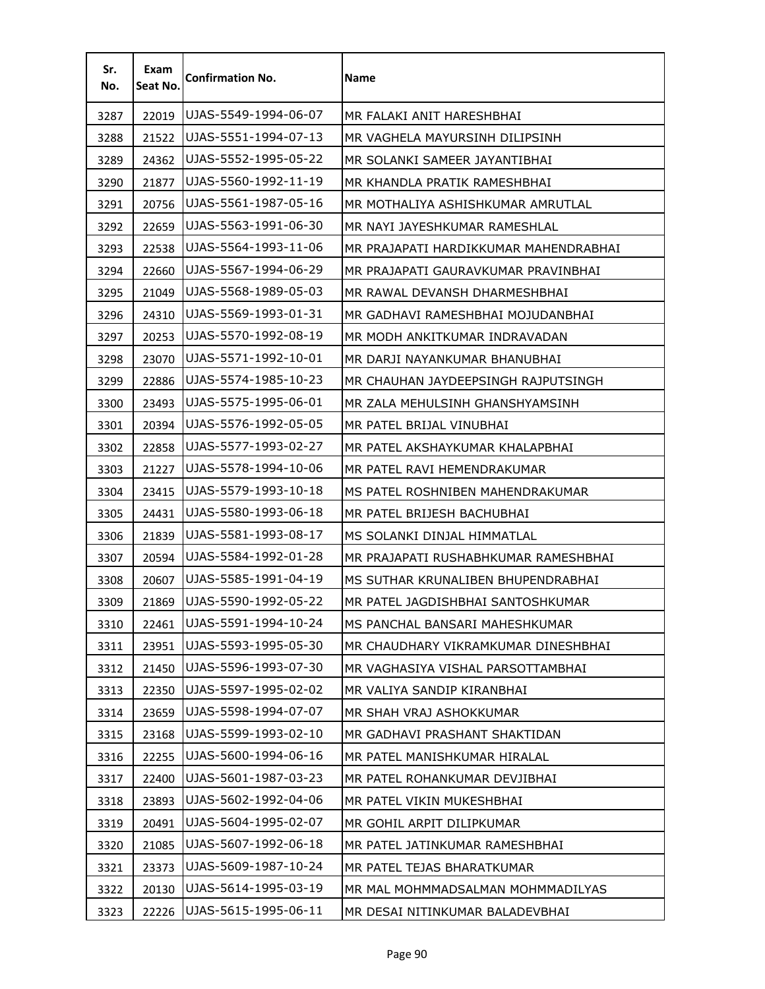| Sr.<br>No. | Exam<br>Seat No. | <b>Confirmation No.</b> | Name                                  |
|------------|------------------|-------------------------|---------------------------------------|
| 3287       | 22019            | UJAS-5549-1994-06-07    | MR FALAKI ANIT HARESHBHAI             |
| 3288       | 21522            | UJAS-5551-1994-07-13    | MR VAGHELA MAYURSINH DILIPSINH        |
| 3289       | 24362            | UJAS-5552-1995-05-22    | MR SOLANKI SAMEER JAYANTIBHAI         |
| 3290       | 21877            | UJAS-5560-1992-11-19    | MR KHANDLA PRATIK RAMESHBHAI          |
| 3291       | 20756            | UJAS-5561-1987-05-16    | MR MOTHALIYA ASHISHKUMAR AMRUTLAL     |
| 3292       | 22659            | UJAS-5563-1991-06-30    | MR NAYI JAYESHKUMAR RAMESHLAL         |
| 3293       | 22538            | UJAS-5564-1993-11-06    | MR PRAJAPATI HARDIKKUMAR MAHENDRABHAI |
| 3294       | 22660            | UJAS-5567-1994-06-29    | MR PRAJAPATI GAURAVKUMAR PRAVINBHAI   |
| 3295       | 21049            | UJAS-5568-1989-05-03    | MR RAWAL DEVANSH DHARMESHBHAI         |
| 3296       | 24310            | UJAS-5569-1993-01-31    | MR GADHAVI RAMESHBHAI MOJUDANBHAI     |
| 3297       | 20253            | UJAS-5570-1992-08-19    | MR MODH ANKITKUMAR INDRAVADAN         |
| 3298       | 23070            | UJAS-5571-1992-10-01    | MR DARJI NAYANKUMAR BHANUBHAI         |
| 3299       | 22886            | UJAS-5574-1985-10-23    | MR CHAUHAN JAYDEEPSINGH RAJPUTSINGH   |
| 3300       | 23493            | UJAS-5575-1995-06-01    | MR ZALA MEHULSINH GHANSHYAMSINH       |
| 3301       | 20394            | UJAS-5576-1992-05-05    | MR PATEL BRIJAL VINUBHAI              |
| 3302       | 22858            | UJAS-5577-1993-02-27    | MR PATEL AKSHAYKUMAR KHALAPBHAI       |
| 3303       | 21227            | UJAS-5578-1994-10-06    | MR PATEL RAVI HEMENDRAKUMAR           |
| 3304       | 23415            | UJAS-5579-1993-10-18    | MS PATEL ROSHNIBEN MAHENDRAKUMAR      |
| 3305       | 24431            | UJAS-5580-1993-06-18    | MR PATEL BRIJESH BACHUBHAI            |
| 3306       | 21839            | UJAS-5581-1993-08-17    | MS SOLANKI DINJAL HIMMATLAL           |
| 3307       | 20594            | UJAS-5584-1992-01-28    | MR PRAJAPATI RUSHABHKUMAR RAMESHBHAI  |
| 3308       | 20607            | UJAS-5585-1991-04-19    | MS SUTHAR KRUNALIBEN BHUPENDRABHAI    |
| 3309       | 21869            | UJAS-5590-1992-05-22    | MR PATEL JAGDISHBHAI SANTOSHKUMAR     |
| 3310       | 22461            | UJAS-5591-1994-10-24    | MS PANCHAL BANSARI MAHESHKUMAR        |
| 3311       | 23951            | UJAS-5593-1995-05-30    | MR CHAUDHARY VIKRAMKUMAR DINESHBHAI   |
| 3312       | 21450            | UJAS-5596-1993-07-30    | MR VAGHASIYA VISHAL PARSOTTAMBHAI     |
| 3313       | 22350            | UJAS-5597-1995-02-02    | MR VALIYA SANDIP KIRANBHAI            |
| 3314       | 23659            | UJAS-5598-1994-07-07    | MR SHAH VRAJ ASHOKKUMAR               |
| 3315       | 23168            | UJAS-5599-1993-02-10    | MR GADHAVI PRASHANT SHAKTIDAN         |
| 3316       | 22255            | UJAS-5600-1994-06-16    | MR PATEL MANISHKUMAR HIRALAL          |
| 3317       | 22400            | UJAS-5601-1987-03-23    | MR PATEL ROHANKUMAR DEVJIBHAI         |
| 3318       | 23893            | UJAS-5602-1992-04-06    | MR PATEL VIKIN MUKESHBHAI             |
| 3319       | 20491            | UJAS-5604-1995-02-07    | MR GOHIL ARPIT DILIPKUMAR             |
| 3320       | 21085            | UJAS-5607-1992-06-18    | MR PATEL JATINKUMAR RAMESHBHAI        |
| 3321       | 23373            | UJAS-5609-1987-10-24    | MR PATEL TEJAS BHARATKUMAR            |
| 3322       | 20130            | UJAS-5614-1995-03-19    | MR MAL MOHMMADSALMAN MOHMMADILYAS     |
| 3323       | 22226            | UJAS-5615-1995-06-11    | MR DESAI NITINKUMAR BALADEVBHAI       |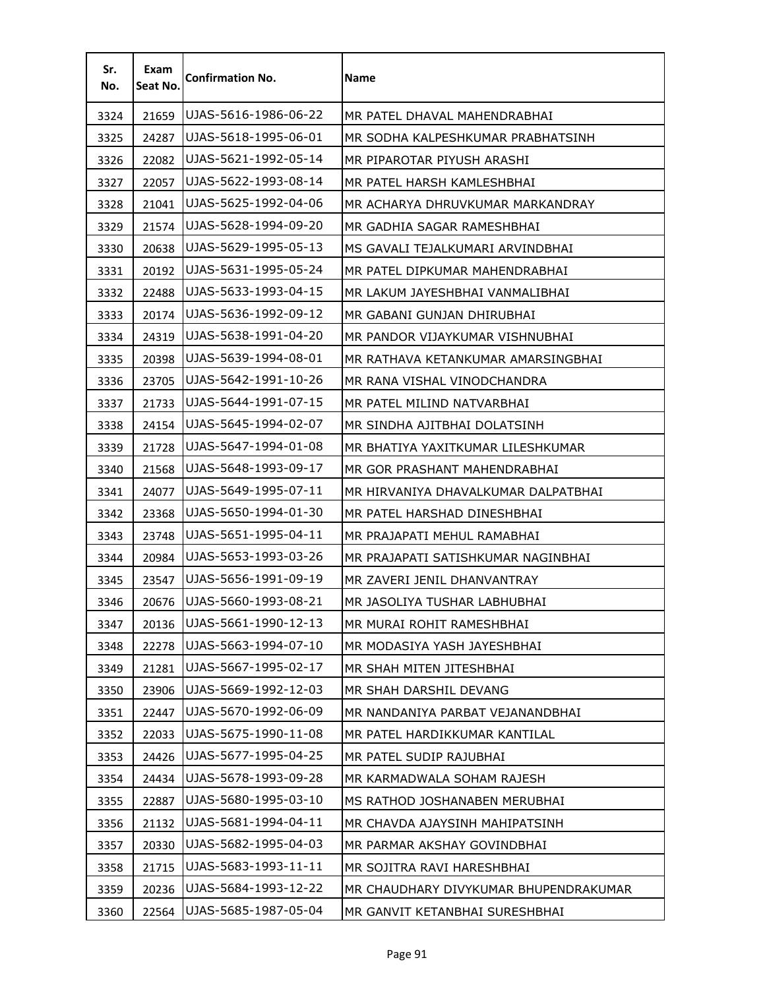| Sr.<br>No. | Exam<br>Seat No. | <b>Confirmation No.</b> | <b>Name</b>                           |
|------------|------------------|-------------------------|---------------------------------------|
| 3324       | 21659            | UJAS-5616-1986-06-22    | MR PATEL DHAVAL MAHENDRABHAI          |
| 3325       | 24287            | UJAS-5618-1995-06-01    | MR SODHA KALPESHKUMAR PRABHATSINH     |
| 3326       | 22082            | UJAS-5621-1992-05-14    | MR PIPAROTAR PIYUSH ARASHI            |
| 3327       | 22057            | UJAS-5622-1993-08-14    | MR PATEL HARSH KAMLESHBHAI            |
| 3328       | 21041            | UJAS-5625-1992-04-06    | MR ACHARYA DHRUVKUMAR MARKANDRAY      |
| 3329       | 21574            | UJAS-5628-1994-09-20    | MR GADHIA SAGAR RAMESHBHAI            |
| 3330       | 20638            | UJAS-5629-1995-05-13    | MS GAVALI TEJALKUMARI ARVINDBHAI      |
| 3331       | 20192            | UJAS-5631-1995-05-24    | MR PATEL DIPKUMAR MAHENDRABHAI        |
| 3332       | 22488            | UJAS-5633-1993-04-15    | MR LAKUM JAYESHBHAI VANMALIBHAI       |
| 3333       | 20174            | UJAS-5636-1992-09-12    | MR GABANI GUNJAN DHIRUBHAI            |
| 3334       | 24319            | UJAS-5638-1991-04-20    | MR PANDOR VIJAYKUMAR VISHNUBHAI       |
| 3335       | 20398            | UJAS-5639-1994-08-01    | MR RATHAVA KETANKUMAR AMARSINGBHAI    |
| 3336       | 23705            | UJAS-5642-1991-10-26    | MR RANA VISHAL VINODCHANDRA           |
| 3337       | 21733            | UJAS-5644-1991-07-15    | MR PATEL MILIND NATVARBHAI            |
| 3338       | 24154            | UJAS-5645-1994-02-07    | MR SINDHA AJITBHAI DOLATSINH          |
| 3339       | 21728            | UJAS-5647-1994-01-08    | MR BHATIYA YAXITKUMAR LILESHKUMAR     |
| 3340       | 21568            | UJAS-5648-1993-09-17    | MR GOR PRASHANT MAHENDRABHAI          |
| 3341       | 24077            | UJAS-5649-1995-07-11    | MR HIRVANIYA DHAVALKUMAR DALPATBHAI   |
| 3342       | 23368            | UJAS-5650-1994-01-30    | MR PATEL HARSHAD DINESHBHAI           |
| 3343       | 23748            | UJAS-5651-1995-04-11    | MR PRAJAPATI MEHUL RAMABHAI           |
| 3344       | 20984            | UJAS-5653-1993-03-26    | MR PRAJAPATI SATISHKUMAR NAGINBHAI    |
| 3345       | 23547            | UJAS-5656-1991-09-19    | MR ZAVERI JENIL DHANVANTRAY           |
| 3346       | 20676            | UJAS-5660-1993-08-21    | MR JASOLIYA TUSHAR LABHUBHAI          |
| 3347       | 20136            | UJAS-5661-1990-12-13    | MR MURAI ROHIT RAMESHBHAI             |
| 3348       | 22278            | UJAS-5663-1994-07-10    | MR MODASIYA YASH JAYESHBHAI           |
| 3349       | 21281            | UJAS-5667-1995-02-17    | MR SHAH MITEN JITESHBHAI              |
| 3350       | 23906            | UJAS-5669-1992-12-03    | MR SHAH DARSHIL DEVANG                |
| 3351       | 22447            | UJAS-5670-1992-06-09    | MR NANDANIYA PARBAT VEJANANDBHAI      |
| 3352       | 22033            | UJAS-5675-1990-11-08    | MR PATEL HARDIKKUMAR KANTILAL         |
| 3353       | 24426            | UJAS-5677-1995-04-25    | MR PATEL SUDIP RAJUBHAI               |
| 3354       | 24434            | UJAS-5678-1993-09-28    | MR KARMADWALA SOHAM RAJESH            |
| 3355       | 22887            | UJAS-5680-1995-03-10    | MS RATHOD JOSHANABEN MERUBHAI         |
| 3356       | 21132            | UJAS-5681-1994-04-11    | MR CHAVDA AJAYSINH MAHIPATSINH        |
| 3357       | 20330            | UJAS-5682-1995-04-03    | MR PARMAR AKSHAY GOVINDBHAI           |
| 3358       | 21715            | UJAS-5683-1993-11-11    | MR SOJITRA RAVI HARESHBHAI            |
| 3359       | 20236            | UJAS-5684-1993-12-22    | MR CHAUDHARY DIVYKUMAR BHUPENDRAKUMAR |
| 3360       | 22564            | UJAS-5685-1987-05-04    | MR GANVIT KETANBHAI SURESHBHAI        |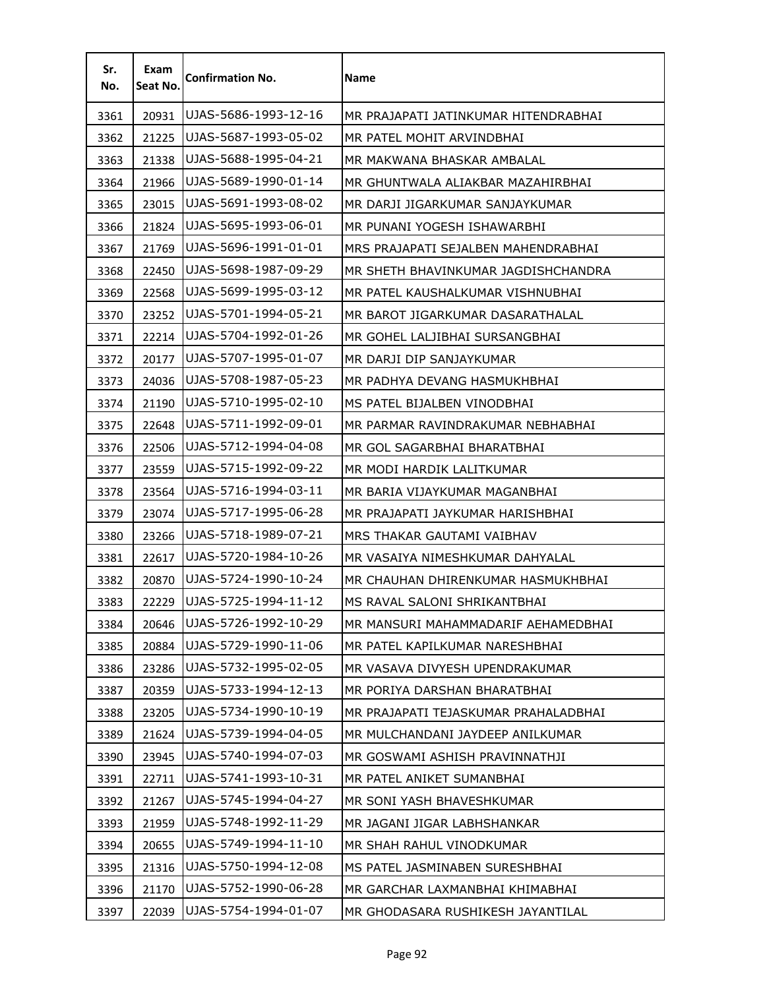| Sr.<br>No. | Exam<br>Seat No. | <b>Confirmation No.</b> | <b>Name</b>                          |
|------------|------------------|-------------------------|--------------------------------------|
| 3361       | 20931            | UJAS-5686-1993-12-16    | MR PRAJAPATI JATINKUMAR HITENDRABHAI |
| 3362       | 21225            | UJAS-5687-1993-05-02    | MR PATEL MOHIT ARVINDBHAI            |
| 3363       | 21338            | UJAS-5688-1995-04-21    | MR MAKWANA BHASKAR AMBALAL           |
| 3364       | 21966            | UJAS-5689-1990-01-14    | MR GHUNTWALA ALIAKBAR MAZAHIRBHAI    |
| 3365       | 23015            | UJAS-5691-1993-08-02    | MR DARJI JIGARKUMAR SANJAYKUMAR      |
| 3366       | 21824            | UJAS-5695-1993-06-01    | MR PUNANI YOGESH ISHAWARBHI          |
| 3367       | 21769            | UJAS-5696-1991-01-01    | MRS PRAJAPATI SEJALBEN MAHENDRABHAI  |
| 3368       | 22450            | UJAS-5698-1987-09-29    | MR SHETH BHAVINKUMAR JAGDISHCHANDRA  |
| 3369       | 22568            | UJAS-5699-1995-03-12    | MR PATEL KAUSHALKUMAR VISHNUBHAI     |
| 3370       | 23252            | UJAS-5701-1994-05-21    | MR BAROT JIGARKUMAR DASARATHALAL     |
| 3371       | 22214            | UJAS-5704-1992-01-26    | MR GOHEL LALJIBHAI SURSANGBHAI       |
| 3372       | 20177            | UJAS-5707-1995-01-07    | MR DARJI DIP SANJAYKUMAR             |
| 3373       | 24036            | UJAS-5708-1987-05-23    | MR PADHYA DEVANG HASMUKHBHAI         |
| 3374       | 21190            | UJAS-5710-1995-02-10    | MS PATEL BIJALBEN VINODBHAI          |
| 3375       | 22648            | UJAS-5711-1992-09-01    | MR PARMAR RAVINDRAKUMAR NEBHABHAI    |
| 3376       | 22506            | UJAS-5712-1994-04-08    | MR GOL SAGARBHAI BHARATBHAI          |
| 3377       | 23559            | UJAS-5715-1992-09-22    | MR MODI HARDIK LALITKUMAR            |
| 3378       | 23564            | UJAS-5716-1994-03-11    | MR BARIA VIJAYKUMAR MAGANBHAI        |
| 3379       | 23074            | UJAS-5717-1995-06-28    | MR PRAJAPATI JAYKUMAR HARISHBHAI     |
| 3380       | 23266            | UJAS-5718-1989-07-21    | MRS THAKAR GAUTAMI VAIBHAV           |
| 3381       | 22617            | UJAS-5720-1984-10-26    | MR VASAIYA NIMESHKUMAR DAHYALAL      |
| 3382       | 20870            | UJAS-5724-1990-10-24    | MR CHAUHAN DHIRENKUMAR HASMUKHBHAI   |
| 3383       | 22229            | UJAS-5725-1994-11-12    | MS RAVAL SALONI SHRIKANTBHAI         |
| 3384       | 20646            | UJAS-5726-1992-10-29    | MR MANSURI MAHAMMADARIF AEHAMEDBHAI  |
| 3385       | 20884            | UJAS-5729-1990-11-06    | MR PATEL KAPILKUMAR NARESHBHAI       |
| 3386       | 23286            | UJAS-5732-1995-02-05    | MR VASAVA DIVYESH UPENDRAKUMAR       |
| 3387       | 20359            | UJAS-5733-1994-12-13    | MR PORIYA DARSHAN BHARATBHAI         |
| 3388       | 23205            | UJAS-5734-1990-10-19    | MR PRAJAPATI TEJASKUMAR PRAHALADBHAI |
| 3389       | 21624            | UJAS-5739-1994-04-05    | MR MULCHANDANI JAYDEEP ANILKUMAR     |
| 3390       | 23945            | UJAS-5740-1994-07-03    | MR GOSWAMI ASHISH PRAVINNATHJI       |
| 3391       | 22711            | UJAS-5741-1993-10-31    | MR PATEL ANIKET SUMANBHAI            |
| 3392       | 21267            | UJAS-5745-1994-04-27    | MR SONI YASH BHAVESHKUMAR            |
| 3393       | 21959            | UJAS-5748-1992-11-29    | MR JAGANI JIGAR LABHSHANKAR          |
| 3394       | 20655            | UJAS-5749-1994-11-10    | MR SHAH RAHUL VINODKUMAR             |
| 3395       | 21316            | UJAS-5750-1994-12-08    | MS PATEL JASMINABEN SURESHBHAI       |
| 3396       | 21170            | UJAS-5752-1990-06-28    | MR GARCHAR LAXMANBHAI KHIMABHAI      |
| 3397       | 22039            | UJAS-5754-1994-01-07    | MR GHODASARA RUSHIKESH JAYANTILAL    |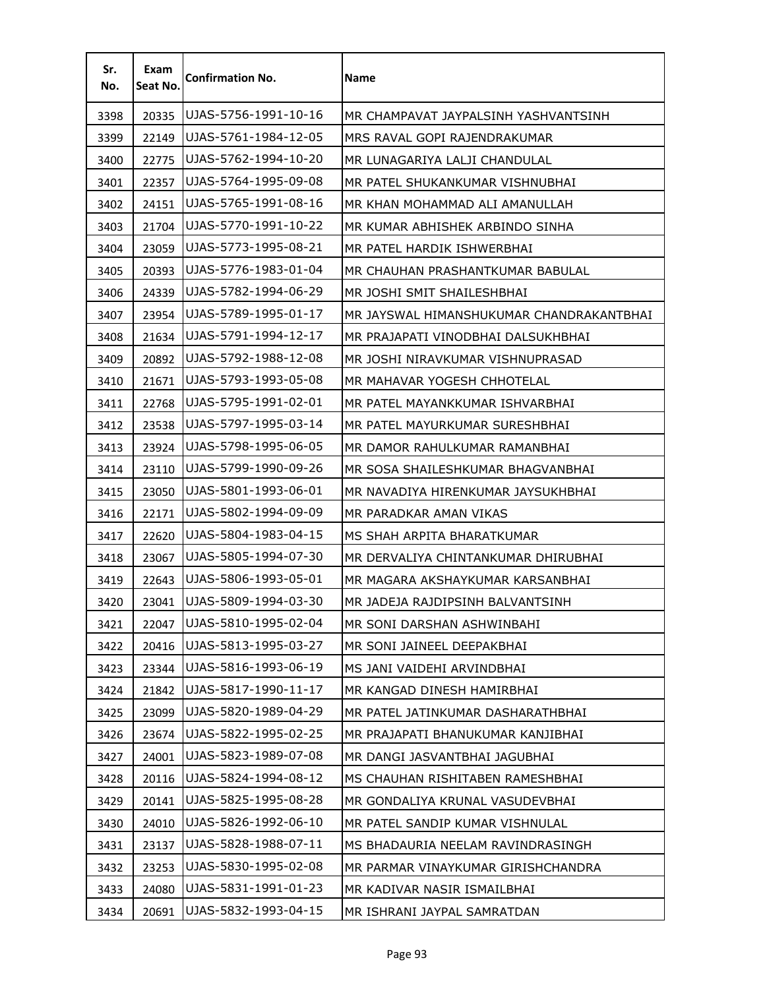| Sr.<br>No. | Exam<br>Seat No. | <b>Confirmation No.</b> | <b>Name</b>                              |
|------------|------------------|-------------------------|------------------------------------------|
| 3398       | 20335            | UJAS-5756-1991-10-16    | MR CHAMPAVAT JAYPALSINH YASHVANTSINH     |
| 3399       | 22149            | UJAS-5761-1984-12-05    | MRS RAVAL GOPI RAJENDRAKUMAR             |
| 3400       | 22775            | UJAS-5762-1994-10-20    | MR LUNAGARIYA LALJI CHANDULAL            |
| 3401       | 22357            | UJAS-5764-1995-09-08    | MR PATEL SHUKANKUMAR VISHNUBHAI          |
| 3402       | 24151            | UJAS-5765-1991-08-16    | MR KHAN MOHAMMAD ALI AMANULLAH           |
| 3403       | 21704            | UJAS-5770-1991-10-22    | MR KUMAR ABHISHEK ARBINDO SINHA          |
| 3404       | 23059            | UJAS-5773-1995-08-21    | MR PATEL HARDIK ISHWERBHAI               |
| 3405       | 20393            | UJAS-5776-1983-01-04    | MR CHAUHAN PRASHANTKUMAR BABULAL         |
| 3406       | 24339            | UJAS-5782-1994-06-29    | MR JOSHI SMIT SHAILESHBHAI               |
| 3407       | 23954            | UJAS-5789-1995-01-17    | MR JAYSWAL HIMANSHUKUMAR CHANDRAKANTBHAI |
| 3408       | 21634            | UJAS-5791-1994-12-17    | MR PRAJAPATI VINODBHAI DALSUKHBHAI       |
| 3409       | 20892            | UJAS-5792-1988-12-08    | MR JOSHI NIRAVKUMAR VISHNUPRASAD         |
| 3410       | 21671            | UJAS-5793-1993-05-08    | MR MAHAVAR YOGESH CHHOTELAL              |
| 3411       | 22768            | UJAS-5795-1991-02-01    | MR PATEL MAYANKKUMAR ISHVARBHAI          |
| 3412       | 23538            | UJAS-5797-1995-03-14    | MR PATEL MAYURKUMAR SURESHBHAI           |
| 3413       | 23924            | UJAS-5798-1995-06-05    | MR DAMOR RAHULKUMAR RAMANBHAI            |
| 3414       | 23110            | UJAS-5799-1990-09-26    | MR SOSA SHAILESHKUMAR BHAGVANBHAI        |
| 3415       | 23050            | UJAS-5801-1993-06-01    | MR NAVADIYA HIRENKUMAR JAYSUKHBHAI       |
| 3416       | 22171            | UJAS-5802-1994-09-09    | MR PARADKAR AMAN VIKAS                   |
| 3417       | 22620            | UJAS-5804-1983-04-15    | MS SHAH ARPITA BHARATKUMAR               |
| 3418       | 23067            | UJAS-5805-1994-07-30    | MR DERVALIYA CHINTANKUMAR DHIRUBHAI      |
| 3419       | 22643            | UJAS-5806-1993-05-01    | MR MAGARA AKSHAYKUMAR KARSANBHAI         |
| 3420       | 23041            | UJAS-5809-1994-03-30    | MR JADEJA RAJDIPSINH BALVANTSINH         |
| 3421       | 22047            | UJAS-5810-1995-02-04    | MR SONI DARSHAN ASHWINBAHI               |
| 3422       | 20416            | UJAS-5813-1995-03-27    | MR SONI JAINEEL DEEPAKBHAI               |
| 3423       | 23344            | UJAS-5816-1993-06-19    | MS JANI VAIDEHI ARVINDBHAI               |
| 3424       | 21842            | UJAS-5817-1990-11-17    | MR KANGAD DINESH HAMIRBHAI               |
| 3425       | 23099            | UJAS-5820-1989-04-29    | MR PATEL JATINKUMAR DASHARATHBHAI        |
| 3426       | 23674            | UJAS-5822-1995-02-25    | MR PRAJAPATI BHANUKUMAR KANJIBHAI        |
| 3427       | 24001            | UJAS-5823-1989-07-08    | MR DANGI JASVANTBHAI JAGUBHAI            |
| 3428       | 20116            | UJAS-5824-1994-08-12    | MS CHAUHAN RISHITABEN RAMESHBHAI         |
| 3429       | 20141            | UJAS-5825-1995-08-28    | MR GONDALIYA KRUNAL VASUDEVBHAI          |
| 3430       | 24010            | UJAS-5826-1992-06-10    | MR PATEL SANDIP KUMAR VISHNULAL          |
| 3431       | 23137            | UJAS-5828-1988-07-11    | MS BHADAURIA NEELAM RAVINDRASINGH        |
| 3432       | 23253            | UJAS-5830-1995-02-08    | MR PARMAR VINAYKUMAR GIRISHCHANDRA       |
| 3433       | 24080            | UJAS-5831-1991-01-23    | MR KADIVAR NASIR ISMAILBHAI              |
| 3434       | 20691            | UJAS-5832-1993-04-15    | MR ISHRANI JAYPAL SAMRATDAN              |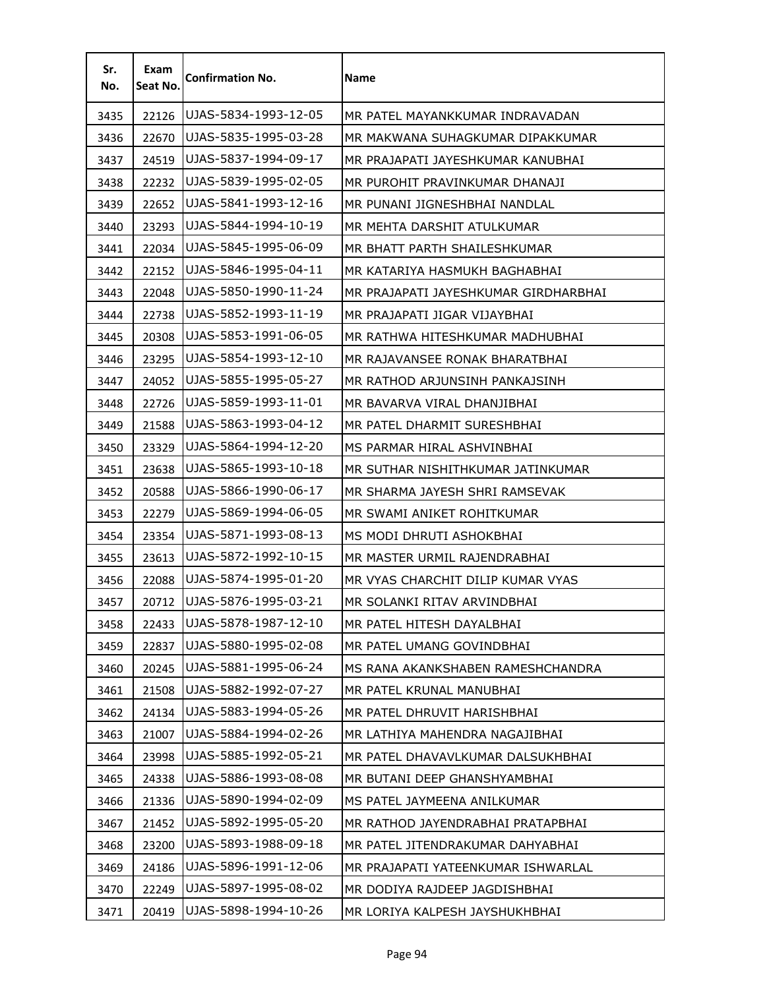| Sr.<br>No. | Exam<br>Seat No. | <b>Confirmation No.</b> | Name                                 |
|------------|------------------|-------------------------|--------------------------------------|
| 3435       | 22126            | UJAS-5834-1993-12-05    | MR PATEL MAYANKKUMAR INDRAVADAN      |
| 3436       | 22670            | UJAS-5835-1995-03-28    | MR MAKWANA SUHAGKUMAR DIPAKKUMAR     |
| 3437       | 24519            | UJAS-5837-1994-09-17    | MR PRAJAPATI JAYESHKUMAR KANUBHAI    |
| 3438       | 22232            | UJAS-5839-1995-02-05    | MR PUROHIT PRAVINKUMAR DHANAJI       |
| 3439       | 22652            | UJAS-5841-1993-12-16    | MR PUNANI JIGNESHBHAI NANDLAL        |
| 3440       | 23293            | UJAS-5844-1994-10-19    | MR MEHTA DARSHIT ATULKUMAR           |
| 3441       | 22034            | UJAS-5845-1995-06-09    | MR BHATT PARTH SHAILESHKUMAR         |
| 3442       | 22152            | UJAS-5846-1995-04-11    | MR KATARIYA HASMUKH BAGHABHAI        |
| 3443       | 22048            | UJAS-5850-1990-11-24    | MR PRAJAPATI JAYESHKUMAR GIRDHARBHAI |
| 3444       | 22738            | UJAS-5852-1993-11-19    | MR PRAJAPATI JIGAR VIJAYBHAI         |
| 3445       | 20308            | UJAS-5853-1991-06-05    | MR RATHWA HITESHKUMAR MADHUBHAI      |
| 3446       | 23295            | UJAS-5854-1993-12-10    | MR RAJAVANSEE RONAK BHARATBHAI       |
| 3447       | 24052            | UJAS-5855-1995-05-27    | MR RATHOD ARJUNSINH PANKAJSINH       |
| 3448       | 22726            | UJAS-5859-1993-11-01    | MR BAVARVA VIRAL DHANJIBHAI          |
| 3449       | 21588            | UJAS-5863-1993-04-12    | MR PATEL DHARMIT SURESHBHAI          |
| 3450       | 23329            | UJAS-5864-1994-12-20    | MS PARMAR HIRAL ASHVINBHAI           |
| 3451       | 23638            | UJAS-5865-1993-10-18    | MR SUTHAR NISHITHKUMAR JATINKUMAR    |
| 3452       | 20588            | UJAS-5866-1990-06-17    | MR SHARMA JAYESH SHRI RAMSEVAK       |
| 3453       | 22279            | UJAS-5869-1994-06-05    | MR SWAMI ANIKET ROHITKUMAR           |
| 3454       | 23354            | UJAS-5871-1993-08-13    | MS MODI DHRUTI ASHOKBHAI             |
| 3455       | 23613            | UJAS-5872-1992-10-15    | MR MASTER URMIL RAJENDRABHAI         |
| 3456       | 22088            | UJAS-5874-1995-01-20    | MR VYAS CHARCHIT DILIP KUMAR VYAS    |
| 3457       | 20712            | UJAS-5876-1995-03-21    | MR SOLANKI RITAV ARVINDBHAI          |
| 3458       | 22433            | UJAS-5878-1987-12-10    | MR PATEL HITESH DAYALBHAI            |
| 3459       | 22837            | UJAS-5880-1995-02-08    | MR PATEL UMANG GOVINDBHAI            |
| 3460       | 20245            | UJAS-5881-1995-06-24    | MS RANA AKANKSHABEN RAMESHCHANDRA    |
| 3461       | 21508            | UJAS-5882-1992-07-27    | MR PATEL KRUNAL MANUBHAI             |
| 3462       | 24134            | UJAS-5883-1994-05-26    | MR PATEL DHRUVIT HARISHBHAI          |
| 3463       | 21007            | UJAS-5884-1994-02-26    | MR LATHIYA MAHENDRA NAGAJIBHAI       |
| 3464       | 23998            | UJAS-5885-1992-05-21    | MR PATEL DHAVAVLKUMAR DALSUKHBHAI    |
| 3465       | 24338            | UJAS-5886-1993-08-08    | MR BUTANI DEEP GHANSHYAMBHAI         |
| 3466       | 21336            | UJAS-5890-1994-02-09    | MS PATEL JAYMEENA ANILKUMAR          |
| 3467       | 21452            | UJAS-5892-1995-05-20    | MR RATHOD JAYENDRABHAI PRATAPBHAI    |
| 3468       | 23200            | UJAS-5893-1988-09-18    | MR PATEL JITENDRAKUMAR DAHYABHAI     |
| 3469       | 24186            | UJAS-5896-1991-12-06    | MR PRAJAPATI YATEENKUMAR ISHWARLAL   |
| 3470       | 22249            | UJAS-5897-1995-08-02    | MR DODIYA RAJDEEP JAGDISHBHAI        |
| 3471       | 20419            | UJAS-5898-1994-10-26    | MR LORIYA KALPESH JAYSHUKHBHAI       |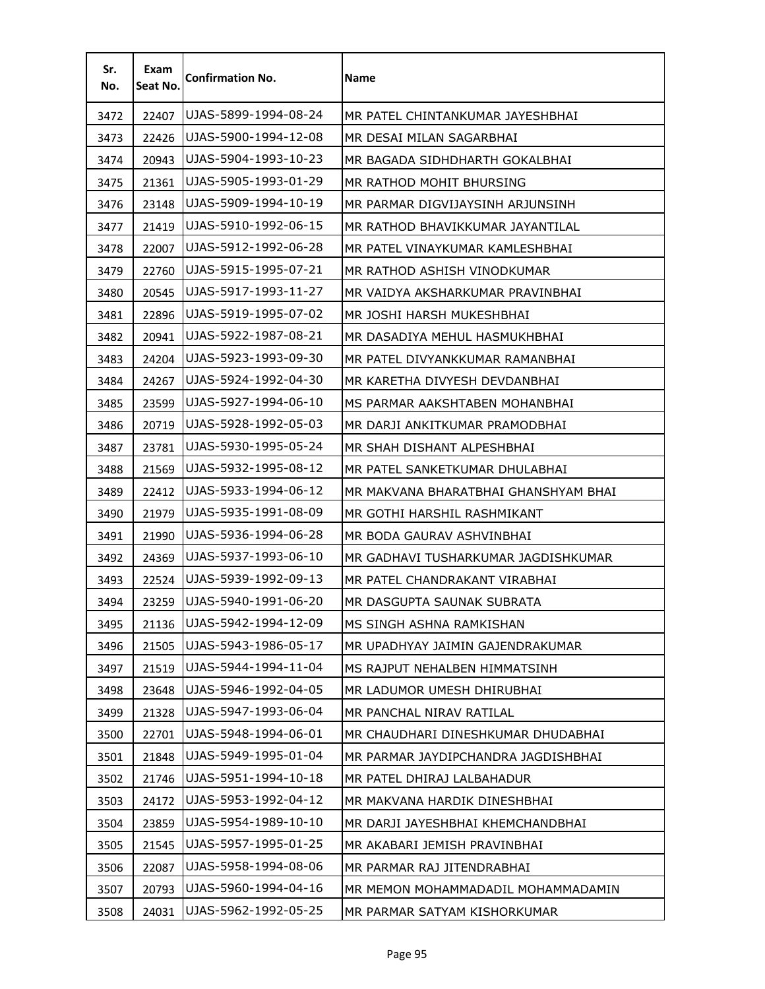| Sr.<br>No. | Exam<br>Seat No. | <b>Confirmation No.</b> | Name                                 |
|------------|------------------|-------------------------|--------------------------------------|
| 3472       | 22407            | UJAS-5899-1994-08-24    | MR PATEL CHINTANKUMAR JAYESHBHAI     |
| 3473       | 22426            | UJAS-5900-1994-12-08    | MR DESAI MILAN SAGARBHAI             |
| 3474       | 20943            | UJAS-5904-1993-10-23    | MR BAGADA SIDHDHARTH GOKALBHAI       |
| 3475       | 21361            | UJAS-5905-1993-01-29    | MR RATHOD MOHIT BHURSING             |
| 3476       | 23148            | UJAS-5909-1994-10-19    | MR PARMAR DIGVIJAYSINH ARJUNSINH     |
| 3477       | 21419            | UJAS-5910-1992-06-15    | MR RATHOD BHAVIKKUMAR JAYANTILAL     |
| 3478       | 22007            | UJAS-5912-1992-06-28    | MR PATEL VINAYKUMAR KAMLESHBHAI      |
| 3479       | 22760            | UJAS-5915-1995-07-21    | MR RATHOD ASHISH VINODKUMAR          |
| 3480       | 20545            | UJAS-5917-1993-11-27    | MR VAIDYA AKSHARKUMAR PRAVINBHAI     |
| 3481       | 22896            | UJAS-5919-1995-07-02    | MR JOSHI HARSH MUKESHBHAI            |
| 3482       | 20941            | UJAS-5922-1987-08-21    | MR DASADIYA MEHUL HASMUKHBHAI        |
| 3483       | 24204            | UJAS-5923-1993-09-30    | MR PATEL DIVYANKKUMAR RAMANBHAI      |
| 3484       | 24267            | UJAS-5924-1992-04-30    | MR KARETHA DIVYESH DEVDANBHAI        |
| 3485       | 23599            | UJAS-5927-1994-06-10    | MS PARMAR AAKSHTABEN MOHANBHAI       |
| 3486       | 20719            | UJAS-5928-1992-05-03    | MR DARJI ANKITKUMAR PRAMODBHAI       |
| 3487       | 23781            | UJAS-5930-1995-05-24    | MR SHAH DISHANT ALPESHBHAI           |
| 3488       | 21569            | UJAS-5932-1995-08-12    | MR PATEL SANKETKUMAR DHULABHAI       |
| 3489       | 22412            | UJAS-5933-1994-06-12    | MR MAKVANA BHARATBHAI GHANSHYAM BHAI |
| 3490       | 21979            | UJAS-5935-1991-08-09    | MR GOTHI HARSHIL RASHMIKANT          |
| 3491       | 21990            | UJAS-5936-1994-06-28    | MR BODA GAURAV ASHVINBHAI            |
| 3492       | 24369            | UJAS-5937-1993-06-10    | MR GADHAVI TUSHARKUMAR JAGDISHKUMAR  |
| 3493       | 22524            | UJAS-5939-1992-09-13    | MR PATEL CHANDRAKANT VIRABHAI        |
| 3494       | 23259            | UJAS-5940-1991-06-20    | MR DASGUPTA SAUNAK SUBRATA           |
| 3495       | 21136            | UJAS-5942-1994-12-09    | MS SINGH ASHNA RAMKISHAN             |
| 3496       | 21505            | UJAS-5943-1986-05-17    | MR UPADHYAY JAIMIN GAJENDRAKUMAR     |
| 3497       | 21519            | UJAS-5944-1994-11-04    | MS RAJPUT NEHALBEN HIMMATSINH        |
| 3498       | 23648            | UJAS-5946-1992-04-05    | MR LADUMOR UMESH DHIRUBHAI           |
| 3499       | 21328            | UJAS-5947-1993-06-04    | MR PANCHAL NIRAV RATILAL             |
| 3500       | 22701            | UJAS-5948-1994-06-01    | MR CHAUDHARI DINESHKUMAR DHUDABHAI   |
| 3501       | 21848            | UJAS-5949-1995-01-04    | MR PARMAR JAYDIPCHANDRA JAGDISHBHAI  |
| 3502       | 21746            | UJAS-5951-1994-10-18    | MR PATEL DHIRAJ LALBAHADUR           |
| 3503       | 24172            | UJAS-5953-1992-04-12    | MR MAKVANA HARDIK DINESHBHAI         |
| 3504       | 23859            | UJAS-5954-1989-10-10    | MR DARJI JAYESHBHAI KHEMCHANDBHAI    |
| 3505       | 21545            | UJAS-5957-1995-01-25    | MR AKABARI JEMISH PRAVINBHAI         |
| 3506       | 22087            | UJAS-5958-1994-08-06    | MR PARMAR RAJ JITENDRABHAI           |
| 3507       | 20793            | UJAS-5960-1994-04-16    | MR MEMON MOHAMMADADIL MOHAMMADAMIN   |
| 3508       | 24031            | UJAS-5962-1992-05-25    | MR PARMAR SATYAM KISHORKUMAR         |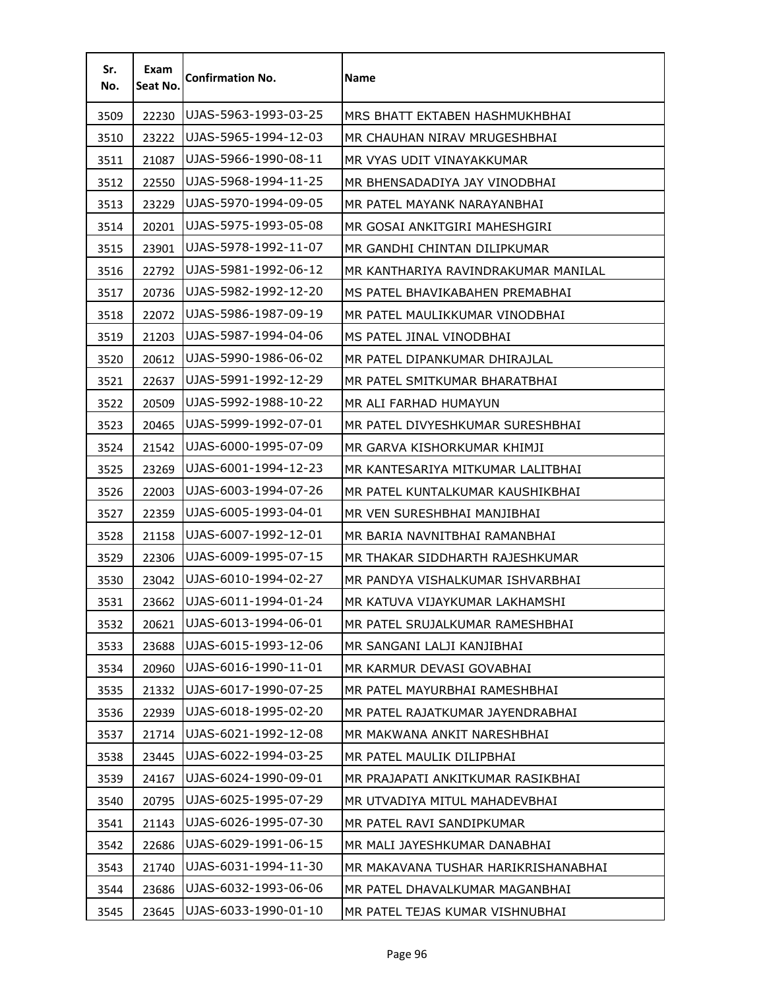| Sr.<br>No. | Exam<br>Seat No. | <b>Confirmation No.</b> | <b>Name</b>                         |
|------------|------------------|-------------------------|-------------------------------------|
| 3509       | 22230            | UJAS-5963-1993-03-25    | MRS BHATT EKTABEN HASHMUKHBHAI      |
| 3510       | 23222            | UJAS-5965-1994-12-03    | MR CHAUHAN NIRAV MRUGESHBHAI        |
| 3511       | 21087            | UJAS-5966-1990-08-11    | MR VYAS UDIT VINAYAKKUMAR           |
| 3512       | 22550            | UJAS-5968-1994-11-25    | MR BHENSADADIYA JAY VINODBHAI       |
| 3513       | 23229            | UJAS-5970-1994-09-05    | MR PATEL MAYANK NARAYANBHAI         |
| 3514       | 20201            | UJAS-5975-1993-05-08    | MR GOSAI ANKITGIRI MAHESHGIRI       |
| 3515       | 23901            | UJAS-5978-1992-11-07    | MR GANDHI CHINTAN DILIPKUMAR        |
| 3516       | 22792            | UJAS-5981-1992-06-12    | MR KANTHARIYA RAVINDRAKUMAR MANILAL |
| 3517       | 20736            | UJAS-5982-1992-12-20    | MS PATEL BHAVIKABAHEN PREMABHAI     |
| 3518       | 22072            | UJAS-5986-1987-09-19    | MR PATEL MAULIKKUMAR VINODBHAI      |
| 3519       | 21203            | UJAS-5987-1994-04-06    | MS PATEL JINAL VINODBHAI            |
| 3520       | 20612            | UJAS-5990-1986-06-02    | MR PATEL DIPANKUMAR DHIRAJLAL       |
| 3521       | 22637            | UJAS-5991-1992-12-29    | MR PATEL SMITKUMAR BHARATBHAI       |
| 3522       | 20509            | UJAS-5992-1988-10-22    | MR ALI FARHAD HUMAYUN               |
| 3523       | 20465            | UJAS-5999-1992-07-01    | MR PATEL DIVYESHKUMAR SURESHBHAI    |
| 3524       | 21542            | UJAS-6000-1995-07-09    | MR GARVA KISHORKUMAR KHIMJI         |
| 3525       | 23269            | UJAS-6001-1994-12-23    | MR KANTESARIYA MITKUMAR LALITBHAI   |
| 3526       | 22003            | UJAS-6003-1994-07-26    | MR PATEL KUNTALKUMAR KAUSHIKBHAI    |
| 3527       | 22359            | UJAS-6005-1993-04-01    | MR VEN SURESHBHAI MANJIBHAI         |
| 3528       | 21158            | UJAS-6007-1992-12-01    | MR BARIA NAVNITBHAI RAMANBHAI       |
| 3529       | 22306            | UJAS-6009-1995-07-15    | MR THAKAR SIDDHARTH RAJESHKUMAR     |
| 3530       | 23042            | UJAS-6010-1994-02-27    | MR PANDYA VISHALKUMAR ISHVARBHAI    |
| 3531       | 23662            | UJAS-6011-1994-01-24    | MR KATUVA VIJAYKUMAR LAKHAMSHI      |
| 3532       | 20621            | UJAS-6013-1994-06-01    | MR PATEL SRUJALKUMAR RAMESHBHAI     |
| 3533       | 23688            | UJAS-6015-1993-12-06    | MR SANGANI LALJI KANJIBHAI          |
| 3534       | 20960            | UJAS-6016-1990-11-01    | MR KARMUR DEVASI GOVABHAI           |
| 3535       | 21332            | UJAS-6017-1990-07-25    | MR PATEL MAYURBHAI RAMESHBHAI       |
| 3536       | 22939            | UJAS-6018-1995-02-20    | MR PATEL RAJATKUMAR JAYENDRABHAI    |
| 3537       | 21714            | UJAS-6021-1992-12-08    | MR MAKWANA ANKIT NARESHBHAI         |
| 3538       | 23445            | UJAS-6022-1994-03-25    | MR PATEL MAULIK DILIPBHAI           |
| 3539       | 24167            | UJAS-6024-1990-09-01    | MR PRAJAPATI ANKITKUMAR RASIKBHAI   |
| 3540       | 20795            | UJAS-6025-1995-07-29    | MR UTVADIYA MITUL MAHADEVBHAI       |
| 3541       | 21143            | UJAS-6026-1995-07-30    | MR PATEL RAVI SANDIPKUMAR           |
| 3542       | 22686            | UJAS-6029-1991-06-15    | MR MALI JAYESHKUMAR DANABHAI        |
| 3543       | 21740            | UJAS-6031-1994-11-30    | MR MAKAVANA TUSHAR HARIKRISHANABHAI |
| 3544       | 23686            | UJAS-6032-1993-06-06    | MR PATEL DHAVALKUMAR MAGANBHAI      |
| 3545       | 23645            | UJAS-6033-1990-01-10    | MR PATEL TEJAS KUMAR VISHNUBHAI     |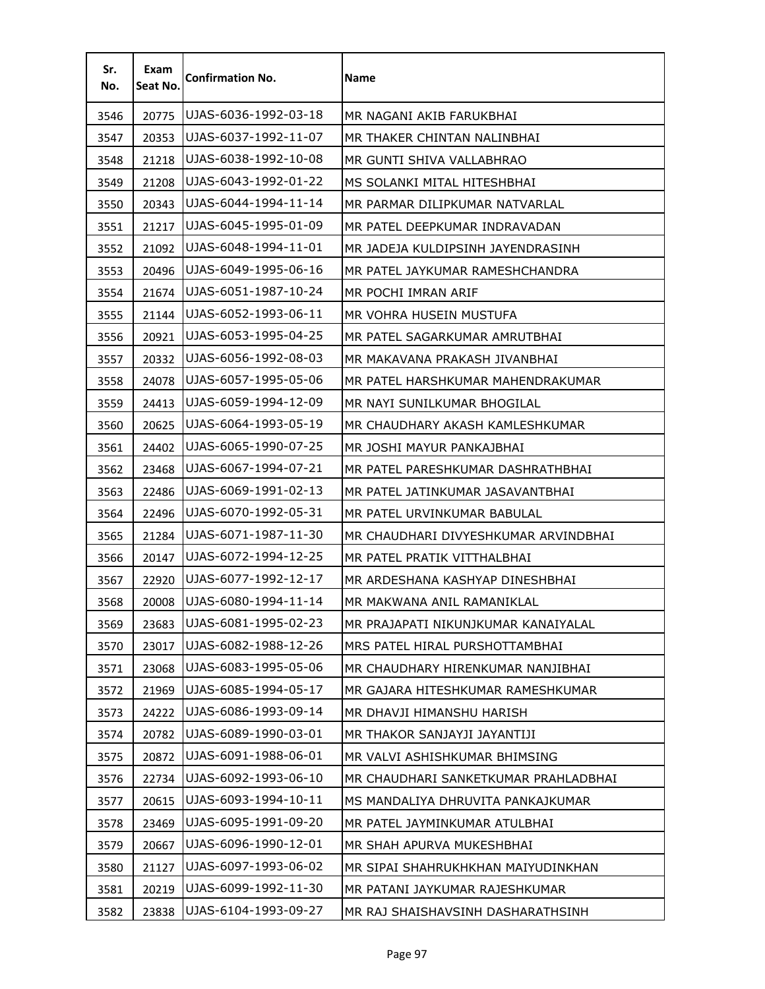| Sr.<br>No. | Exam<br>Seat No. | <b>Confirmation No.</b> | <b>Name</b>                          |
|------------|------------------|-------------------------|--------------------------------------|
| 3546       | 20775            | UJAS-6036-1992-03-18    | MR NAGANI AKIB FARUKBHAI             |
| 3547       | 20353            | UJAS-6037-1992-11-07    | MR THAKER CHINTAN NALINBHAI          |
| 3548       | 21218            | UJAS-6038-1992-10-08    | MR GUNTI SHIVA VALLABHRAO            |
| 3549       | 21208            | UJAS-6043-1992-01-22    | MS SOLANKI MITAL HITESHBHAI          |
| 3550       | 20343            | UJAS-6044-1994-11-14    | MR PARMAR DILIPKUMAR NATVARLAL       |
| 3551       | 21217            | UJAS-6045-1995-01-09    | MR PATEL DEEPKUMAR INDRAVADAN        |
| 3552       | 21092            | UJAS-6048-1994-11-01    | MR JADEJA KULDIPSINH JAYENDRASINH    |
| 3553       | 20496            | UJAS-6049-1995-06-16    | MR PATEL JAYKUMAR RAMESHCHANDRA      |
| 3554       | 21674            | UJAS-6051-1987-10-24    | MR POCHI IMRAN ARIF                  |
| 3555       | 21144            | UJAS-6052-1993-06-11    | MR VOHRA HUSEIN MUSTUFA              |
| 3556       | 20921            | UJAS-6053-1995-04-25    | MR PATEL SAGARKUMAR AMRUTBHAI        |
| 3557       | 20332            | UJAS-6056-1992-08-03    | MR MAKAVANA PRAKASH JIVANBHAI        |
| 3558       | 24078            | UJAS-6057-1995-05-06    | MR PATEL HARSHKUMAR MAHENDRAKUMAR    |
| 3559       | 24413            | UJAS-6059-1994-12-09    | MR NAYI SUNILKUMAR BHOGILAL          |
| 3560       | 20625            | UJAS-6064-1993-05-19    | MR CHAUDHARY AKASH KAMLESHKUMAR      |
| 3561       | 24402            | UJAS-6065-1990-07-25    | MR JOSHI MAYUR PANKAJBHAI            |
| 3562       | 23468            | UJAS-6067-1994-07-21    | MR PATEL PARESHKUMAR DASHRATHBHAI    |
| 3563       | 22486            | UJAS-6069-1991-02-13    | MR PATEL JATINKUMAR JASAVANTBHAI     |
| 3564       | 22496            | UJAS-6070-1992-05-31    | MR PATEL URVINKUMAR BABULAL          |
| 3565       | 21284            | UJAS-6071-1987-11-30    | MR CHAUDHARI DIVYESHKUMAR ARVINDBHAI |
| 3566       | 20147            | UJAS-6072-1994-12-25    | MR PATEL PRATIK VITTHALBHAI          |
| 3567       | 22920            | UJAS-6077-1992-12-17    | MR ARDESHANA KASHYAP DINESHBHAI      |
| 3568       | 20008            | UJAS-6080-1994-11-14    | MR MAKWANA ANIL RAMANIKLAL           |
| 3569       | 23683            | UJAS-6081-1995-02-23    | MR PRAJAPATI NIKUNJKUMAR KANAIYALAL  |
| 3570       | 23017            | UJAS-6082-1988-12-26    | MRS PATEL HIRAL PURSHOTTAMBHAI       |
| 3571       | 23068            | UJAS-6083-1995-05-06    | MR CHAUDHARY HIRENKUMAR NANJIBHAI    |
| 3572       | 21969            | UJAS-6085-1994-05-17    | MR GAJARA HITESHKUMAR RAMESHKUMAR    |
| 3573       | 24222            | UJAS-6086-1993-09-14    | MR DHAVJI HIMANSHU HARISH            |
| 3574       | 20782            | UJAS-6089-1990-03-01    | MR THAKOR SANJAYJI JAYANTIJI         |
| 3575       | 20872            | UJAS-6091-1988-06-01    | MR VALVI ASHISHKUMAR BHIMSING        |
| 3576       | 22734            | UJAS-6092-1993-06-10    | MR CHAUDHARI SANKETKUMAR PRAHLADBHAI |
| 3577       | 20615            | UJAS-6093-1994-10-11    | MS MANDALIYA DHRUVITA PANKAJKUMAR    |
| 3578       | 23469            | UJAS-6095-1991-09-20    | MR PATEL JAYMINKUMAR ATULBHAI        |
| 3579       | 20667            | UJAS-6096-1990-12-01    | MR SHAH APURVA MUKESHBHAI            |
| 3580       | 21127            | UJAS-6097-1993-06-02    | MR SIPAI SHAHRUKHKHAN MAIYUDINKHAN   |
| 3581       | 20219            | UJAS-6099-1992-11-30    | MR PATANI JAYKUMAR RAJESHKUMAR       |
| 3582       | 23838            | UJAS-6104-1993-09-27    | MR RAJ SHAISHAVSINH DASHARATHSINH    |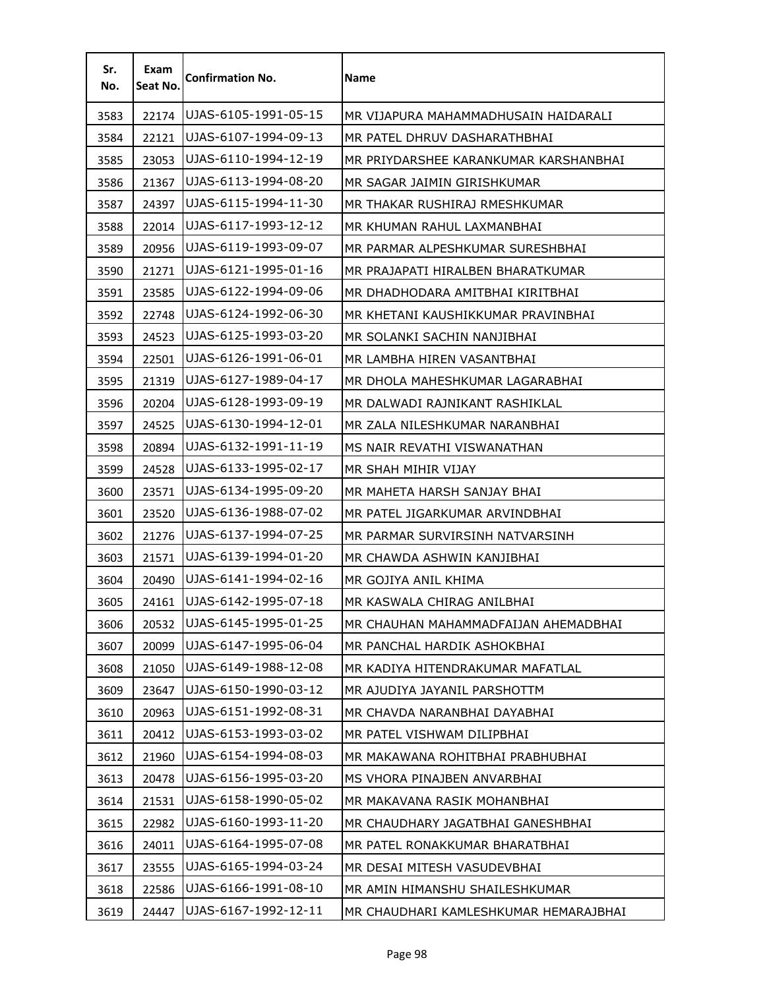| Sr.<br>No. | Exam<br>Seat No. | <b>Confirmation No.</b> | Name                                  |
|------------|------------------|-------------------------|---------------------------------------|
| 3583       | 22174            | UJAS-6105-1991-05-15    | MR VIJAPURA MAHAMMADHUSAIN HAIDARALI  |
| 3584       | 22121            | UJAS-6107-1994-09-13    | MR PATEL DHRUV DASHARATHBHAI          |
| 3585       | 23053            | UJAS-6110-1994-12-19    | MR PRIYDARSHEE KARANKUMAR KARSHANBHAI |
| 3586       | 21367            | UJAS-6113-1994-08-20    | MR SAGAR JAIMIN GIRISHKUMAR           |
| 3587       | 24397            | UJAS-6115-1994-11-30    | MR THAKAR RUSHIRAJ RMESHKUMAR         |
| 3588       | 22014            | UJAS-6117-1993-12-12    | MR KHUMAN RAHUL LAXMANBHAI            |
| 3589       | 20956            | UJAS-6119-1993-09-07    | MR PARMAR ALPESHKUMAR SURESHBHAI      |
| 3590       | 21271            | UJAS-6121-1995-01-16    | MR PRAJAPATI HIRALBEN BHARATKUMAR     |
| 3591       | 23585            | UJAS-6122-1994-09-06    | MR DHADHODARA AMITBHAI KIRITBHAI      |
| 3592       | 22748            | UJAS-6124-1992-06-30    | MR KHETANI KAUSHIKKUMAR PRAVINBHAI    |
| 3593       | 24523            | UJAS-6125-1993-03-20    | MR SOLANKI SACHIN NANJIBHAI           |
| 3594       | 22501            | UJAS-6126-1991-06-01    | MR LAMBHA HIREN VASANTBHAI            |
| 3595       | 21319            | UJAS-6127-1989-04-17    | MR DHOLA MAHESHKUMAR LAGARABHAI       |
| 3596       | 20204            | UJAS-6128-1993-09-19    | MR DALWADI RAJNIKANT RASHIKLAL        |
| 3597       | 24525            | UJAS-6130-1994-12-01    | MR ZALA NILESHKUMAR NARANBHAI         |
| 3598       | 20894            | UJAS-6132-1991-11-19    | MS NAIR REVATHI VISWANATHAN           |
| 3599       | 24528            | UJAS-6133-1995-02-17    | MR SHAH MIHIR VIJAY                   |
| 3600       | 23571            | UJAS-6134-1995-09-20    | MR MAHETA HARSH SANJAY BHAI           |
| 3601       | 23520            | UJAS-6136-1988-07-02    | MR PATEL JIGARKUMAR ARVINDBHAI        |
| 3602       | 21276            | UJAS-6137-1994-07-25    | MR PARMAR SURVIRSINH NATVARSINH       |
| 3603       | 21571            | UJAS-6139-1994-01-20    | MR CHAWDA ASHWIN KANJIBHAI            |
| 3604       | 20490            | UJAS-6141-1994-02-16    | MR GOJIYA ANIL KHIMA                  |
| 3605       | 24161            | UJAS-6142-1995-07-18    | MR KASWALA CHIRAG ANILBHAI            |
| 3606       | 20532            | UJAS-6145-1995-01-25    | MR CHAUHAN MAHAMMADFAIJAN AHEMADBHAI  |
| 3607       | 20099            | UJAS-6147-1995-06-04    | MR PANCHAL HARDIK ASHOKBHAI           |
| 3608       | 21050            | UJAS-6149-1988-12-08    | MR KADIYA HITENDRAKUMAR MAFATLAL      |
| 3609       | 23647            | UJAS-6150-1990-03-12    | MR AJUDIYA JAYANIL PARSHOTTM          |
| 3610       | 20963            | UJAS-6151-1992-08-31    | MR CHAVDA NARANBHAI DAYABHAI          |
| 3611       | 20412            | UJAS-6153-1993-03-02    | MR PATEL VISHWAM DILIPBHAI            |
| 3612       | 21960            | UJAS-6154-1994-08-03    | MR MAKAWANA ROHITBHAI PRABHUBHAI      |
| 3613       | 20478            | UJAS-6156-1995-03-20    | MS VHORA PINAJBEN ANVARBHAI           |
| 3614       | 21531            | UJAS-6158-1990-05-02    | MR MAKAVANA RASIK MOHANBHAI           |
| 3615       | 22982            | UJAS-6160-1993-11-20    | MR CHAUDHARY JAGATBHAI GANESHBHAI     |
| 3616       | 24011            | UJAS-6164-1995-07-08    | MR PATEL RONAKKUMAR BHARATBHAI        |
| 3617       | 23555            | UJAS-6165-1994-03-24    | MR DESAI MITESH VASUDEVBHAI           |
| 3618       | 22586            | UJAS-6166-1991-08-10    | MR AMIN HIMANSHU SHAILESHKUMAR        |
| 3619       | 24447            | UJAS-6167-1992-12-11    | MR CHAUDHARI KAMLESHKUMAR HEMARAJBHAI |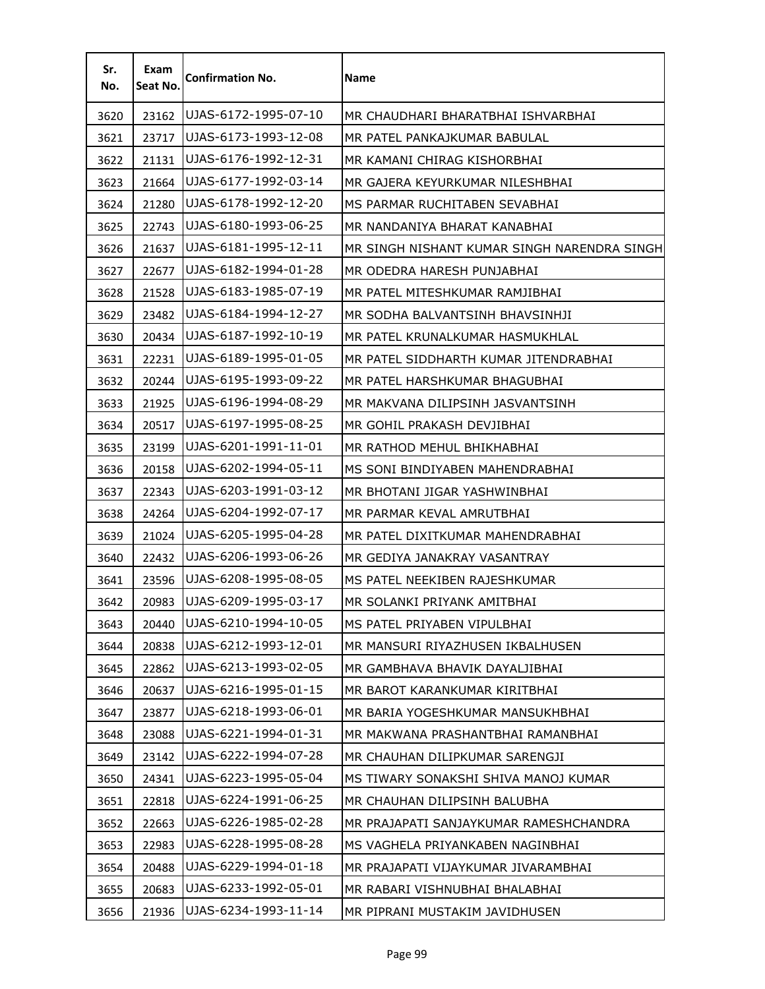| Sr.<br>No. | Exam<br>Seat No. | <b>Confirmation No.</b> | <b>Name</b>                                 |
|------------|------------------|-------------------------|---------------------------------------------|
| 3620       | 23162            | UJAS-6172-1995-07-10    | MR CHAUDHARI BHARATBHAI ISHVARBHAI          |
| 3621       | 23717            | UJAS-6173-1993-12-08    | MR PATEL PANKAJKUMAR BABULAL                |
| 3622       | 21131            | UJAS-6176-1992-12-31    | MR KAMANI CHIRAG KISHORBHAI                 |
| 3623       | 21664            | UJAS-6177-1992-03-14    | MR GAJERA KEYURKUMAR NILESHBHAI             |
| 3624       | 21280            | UJAS-6178-1992-12-20    | MS PARMAR RUCHITABEN SEVABHAI               |
| 3625       | 22743            | UJAS-6180-1993-06-25    | MR NANDANIYA BHARAT KANABHAI                |
| 3626       | 21637            | UJAS-6181-1995-12-11    | MR SINGH NISHANT KUMAR SINGH NARENDRA SINGH |
| 3627       | 22677            | UJAS-6182-1994-01-28    | MR ODEDRA HARESH PUNJABHAI                  |
| 3628       | 21528            | UJAS-6183-1985-07-19    | MR PATEL MITESHKUMAR RAMJIBHAI              |
| 3629       | 23482            | UJAS-6184-1994-12-27    | MR SODHA BALVANTSINH BHAVSINHJI             |
| 3630       | 20434            | UJAS-6187-1992-10-19    | MR PATEL KRUNALKUMAR HASMUKHLAL             |
| 3631       | 22231            | UJAS-6189-1995-01-05    | MR PATEL SIDDHARTH KUMAR JITENDRABHAI       |
| 3632       | 20244            | UJAS-6195-1993-09-22    | MR PATEL HARSHKUMAR BHAGUBHAI               |
| 3633       | 21925            | UJAS-6196-1994-08-29    | MR MAKVANA DILIPSINH JASVANTSINH            |
| 3634       | 20517            | UJAS-6197-1995-08-25    | MR GOHIL PRAKASH DEVJIBHAI                  |
| 3635       | 23199            | UJAS-6201-1991-11-01    | MR RATHOD MEHUL BHIKHABHAI                  |
| 3636       | 20158            | UJAS-6202-1994-05-11    | MS SONI BINDIYABEN MAHENDRABHAI             |
| 3637       | 22343            | UJAS-6203-1991-03-12    | MR BHOTANI JIGAR YASHWINBHAI                |
| 3638       | 24264            | UJAS-6204-1992-07-17    | MR PARMAR KEVAL AMRUTBHAI                   |
| 3639       | 21024            | UJAS-6205-1995-04-28    | MR PATEL DIXITKUMAR MAHENDRABHAI            |
| 3640       | 22432            | UJAS-6206-1993-06-26    | MR GEDIYA JANAKRAY VASANTRAY                |
| 3641       | 23596            | UJAS-6208-1995-08-05    | MS PATEL NEEKIBEN RAJESHKUMAR               |
| 3642       | 20983            | UJAS-6209-1995-03-17    | MR SOLANKI PRIYANK AMITBHAI                 |
| 3643       | 20440            | UJAS-6210-1994-10-05    | MS PATEL PRIYABEN VIPULBHAI                 |
| 3644       | 20838            | UJAS-6212-1993-12-01    | MR MANSURI RIYAZHUSEN IKBALHUSEN            |
| 3645       | 22862            | UJAS-6213-1993-02-05    | MR GAMBHAVA BHAVIK DAYALJIBHAI              |
| 3646       | 20637            | UJAS-6216-1995-01-15    | MR BAROT KARANKUMAR KIRITBHAI               |
| 3647       | 23877            | UJAS-6218-1993-06-01    | MR BARIA YOGESHKUMAR MANSUKHBHAI            |
| 3648       | 23088            | UJAS-6221-1994-01-31    | MR MAKWANA PRASHANTBHAI RAMANBHAI           |
| 3649       | 23142            | UJAS-6222-1994-07-28    | MR CHAUHAN DILIPKUMAR SARENGJI              |
| 3650       | 24341            | UJAS-6223-1995-05-04    | MS TIWARY SONAKSHI SHIVA MANOJ KUMAR        |
| 3651       | 22818            | UJAS-6224-1991-06-25    | MR CHAUHAN DILIPSINH BALUBHA                |
| 3652       | 22663            | UJAS-6226-1985-02-28    | MR PRAJAPATI SANJAYKUMAR RAMESHCHANDRA      |
| 3653       | 22983            | UJAS-6228-1995-08-28    | MS VAGHELA PRIYANKABEN NAGINBHAI            |
| 3654       | 20488            | UJAS-6229-1994-01-18    | MR PRAJAPATI VIJAYKUMAR JIVARAMBHAI         |
| 3655       | 20683            | UJAS-6233-1992-05-01    | MR RABARI VISHNUBHAI BHALABHAI              |
| 3656       | 21936            | UJAS-6234-1993-11-14    | MR PIPRANI MUSTAKIM JAVIDHUSEN              |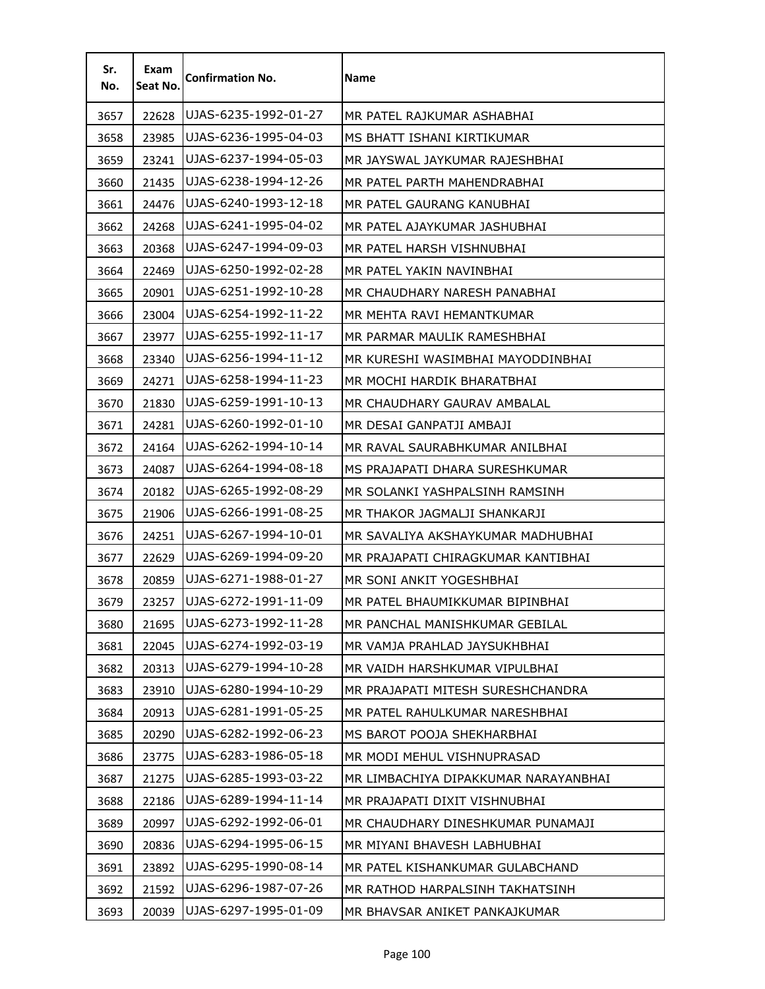| Sr.<br>No. | Exam<br>Seat No. | <b>Confirmation No.</b> | Name                                 |
|------------|------------------|-------------------------|--------------------------------------|
| 3657       | 22628            | UJAS-6235-1992-01-27    | MR PATEL RAJKUMAR ASHABHAI           |
| 3658       | 23985            | UJAS-6236-1995-04-03    | MS BHATT ISHANI KIRTIKUMAR           |
| 3659       | 23241            | UJAS-6237-1994-05-03    | MR JAYSWAL JAYKUMAR RAJESHBHAI       |
| 3660       | 21435            | UJAS-6238-1994-12-26    | MR PATEL PARTH MAHENDRABHAI          |
| 3661       | 24476            | UJAS-6240-1993-12-18    | MR PATEL GAURANG KANUBHAI            |
| 3662       | 24268            | UJAS-6241-1995-04-02    | MR PATEL AJAYKUMAR JASHUBHAI         |
| 3663       | 20368            | UJAS-6247-1994-09-03    | MR PATEL HARSH VISHNUBHAI            |
| 3664       | 22469            | UJAS-6250-1992-02-28    | MR PATEL YAKIN NAVINBHAI             |
| 3665       | 20901            | UJAS-6251-1992-10-28    | MR CHAUDHARY NARESH PANABHAI         |
| 3666       | 23004            | UJAS-6254-1992-11-22    | MR MEHTA RAVI HEMANTKUMAR            |
| 3667       | 23977            | UJAS-6255-1992-11-17    | MR PARMAR MAULIK RAMESHBHAI          |
| 3668       | 23340            | UJAS-6256-1994-11-12    | MR KURESHI WASIMBHAI MAYODDINBHAI    |
| 3669       | 24271            | UJAS-6258-1994-11-23    | MR MOCHI HARDIK BHARATBHAI           |
| 3670       | 21830            | UJAS-6259-1991-10-13    | MR CHAUDHARY GAURAV AMBALAL          |
| 3671       | 24281            | UJAS-6260-1992-01-10    | MR DESAI GANPATJI AMBAJI             |
| 3672       | 24164            | UJAS-6262-1994-10-14    | MR RAVAL SAURABHKUMAR ANILBHAI       |
| 3673       | 24087            | UJAS-6264-1994-08-18    | MS PRAJAPATI DHARA SURESHKUMAR       |
| 3674       | 20182            | UJAS-6265-1992-08-29    | MR SOLANKI YASHPALSINH RAMSINH       |
| 3675       | 21906            | UJAS-6266-1991-08-25    | MR THAKOR JAGMALJI SHANKARJI         |
| 3676       | 24251            | UJAS-6267-1994-10-01    | MR SAVALIYA AKSHAYKUMAR MADHUBHAI    |
| 3677       | 22629            | UJAS-6269-1994-09-20    | MR PRAJAPATI CHIRAGKUMAR KANTIBHAI   |
| 3678       | 20859            | UJAS-6271-1988-01-27    | MR SONI ANKIT YOGESHBHAI             |
| 3679       | 23257            | UJAS-6272-1991-11-09    | MR PATEL BHAUMIKKUMAR BIPINBHAI      |
| 3680       | 21695            | UJAS-6273-1992-11-28    | MR PANCHAL MANISHKUMAR GEBILAL       |
| 3681       | 22045            | UJAS-6274-1992-03-19    | MR VAMJA PRAHLAD JAYSUKHBHAI         |
| 3682       | 20313            | UJAS-6279-1994-10-28    | MR VAIDH HARSHKUMAR VIPULBHAI        |
| 3683       | 23910            | UJAS-6280-1994-10-29    | MR PRAJAPATI MITESH SURESHCHANDRA    |
| 3684       | 20913            | UJAS-6281-1991-05-25    | MR PATEL RAHULKUMAR NARESHBHAI       |
| 3685       | 20290            | UJAS-6282-1992-06-23    | MS BAROT POOJA SHEKHARBHAI           |
| 3686       | 23775            | UJAS-6283-1986-05-18    | MR MODI MEHUL VISHNUPRASAD           |
| 3687       | 21275            | UJAS-6285-1993-03-22    | MR LIMBACHIYA DIPAKKUMAR NARAYANBHAI |
| 3688       | 22186            | UJAS-6289-1994-11-14    | MR PRAJAPATI DIXIT VISHNUBHAI        |
| 3689       | 20997            | UJAS-6292-1992-06-01    | MR CHAUDHARY DINESHKUMAR PUNAMAJI    |
| 3690       | 20836            | UJAS-6294-1995-06-15    | MR MIYANI BHAVESH LABHUBHAI          |
| 3691       | 23892            | UJAS-6295-1990-08-14    | MR PATEL KISHANKUMAR GULABCHAND      |
| 3692       | 21592            | UJAS-6296-1987-07-26    | MR RATHOD HARPALSINH TAKHATSINH      |
| 3693       | 20039            | UJAS-6297-1995-01-09    | MR BHAVSAR ANIKET PANKAJKUMAR        |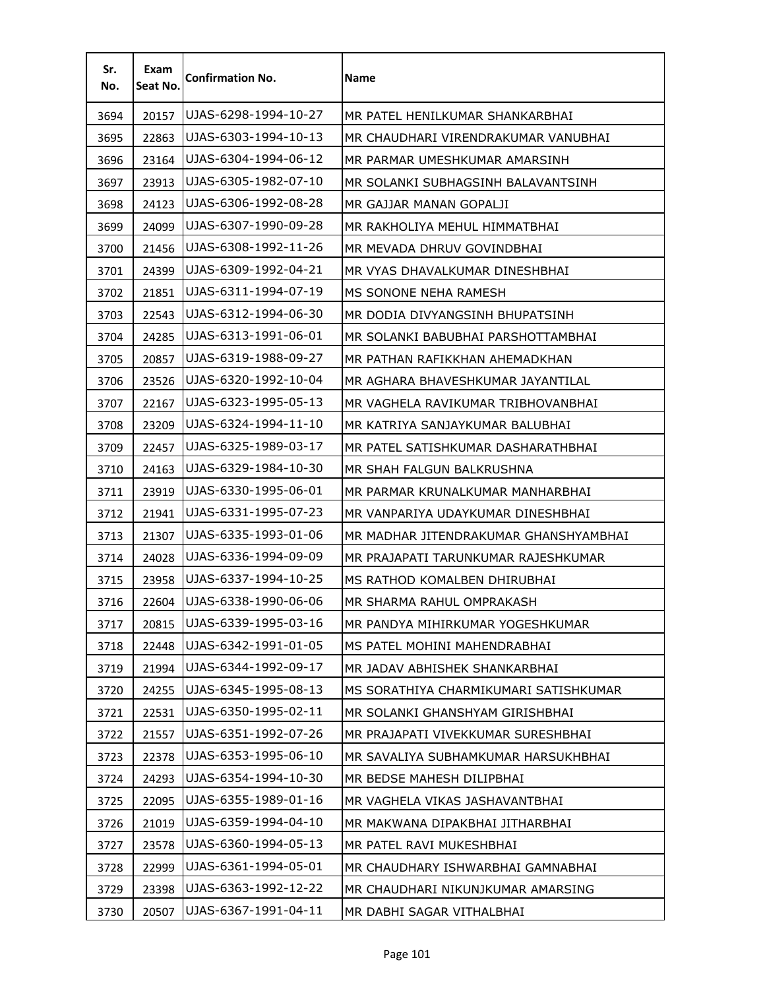| Sr.<br>No. | Exam<br>Seat No. | <b>Confirmation No.</b> | <b>Name</b>                           |
|------------|------------------|-------------------------|---------------------------------------|
| 3694       | 20157            | UJAS-6298-1994-10-27    | MR PATEL HENILKUMAR SHANKARBHAI       |
| 3695       | 22863            | UJAS-6303-1994-10-13    | MR CHAUDHARI VIRENDRAKUMAR VANUBHAI   |
| 3696       | 23164            | UJAS-6304-1994-06-12    | MR PARMAR UMESHKUMAR AMARSINH         |
| 3697       | 23913            | UJAS-6305-1982-07-10    | MR SOLANKI SUBHAGSINH BALAVANTSINH    |
| 3698       | 24123            | UJAS-6306-1992-08-28    | MR GAJJAR MANAN GOPALJI               |
| 3699       | 24099            | UJAS-6307-1990-09-28    | MR RAKHOLIYA MEHUL HIMMATBHAI         |
| 3700       | 21456            | UJAS-6308-1992-11-26    | MR MEVADA DHRUV GOVINDBHAI            |
| 3701       | 24399            | UJAS-6309-1992-04-21    | MR VYAS DHAVALKUMAR DINESHBHAI        |
| 3702       | 21851            | UJAS-6311-1994-07-19    | MS SONONE NEHA RAMESH                 |
| 3703       | 22543            | UJAS-6312-1994-06-30    | MR DODIA DIVYANGSINH BHUPATSINH       |
| 3704       | 24285            | UJAS-6313-1991-06-01    | MR SOLANKI BABUBHAI PARSHOTTAMBHAI    |
| 3705       | 20857            | UJAS-6319-1988-09-27    | MR PATHAN RAFIKKHAN AHEMADKHAN        |
| 3706       | 23526            | UJAS-6320-1992-10-04    | MR AGHARA BHAVESHKUMAR JAYANTILAL     |
| 3707       | 22167            | UJAS-6323-1995-05-13    | MR VAGHELA RAVIKUMAR TRIBHOVANBHAI    |
| 3708       | 23209            | UJAS-6324-1994-11-10    | MR KATRIYA SANJAYKUMAR BALUBHAI       |
| 3709       | 22457            | UJAS-6325-1989-03-17    | MR PATEL SATISHKUMAR DASHARATHBHAI    |
| 3710       | 24163            | UJAS-6329-1984-10-30    | MR SHAH FALGUN BALKRUSHNA             |
| 3711       | 23919            | UJAS-6330-1995-06-01    | MR PARMAR KRUNALKUMAR MANHARBHAI      |
| 3712       | 21941            | UJAS-6331-1995-07-23    | MR VANPARIYA UDAYKUMAR DINESHBHAI     |
| 3713       | 21307            | UJAS-6335-1993-01-06    | MR MADHAR JITENDRAKUMAR GHANSHYAMBHAI |
| 3714       | 24028            | UJAS-6336-1994-09-09    | MR PRAJAPATI TARUNKUMAR RAJESHKUMAR   |
| 3715       | 23958            | UJAS-6337-1994-10-25    | MS RATHOD KOMALBEN DHIRUBHAI          |
| 3716       | 22604            | UJAS-6338-1990-06-06    | MR SHARMA RAHUL OMPRAKASH             |
| 3717       | 20815            | UJAS-6339-1995-03-16    | MR PANDYA MIHIRKUMAR YOGESHKUMAR      |
| 3718       | 22448            | UJAS-6342-1991-01-05    | MS PATEL MOHINI MAHENDRABHAI          |
| 3719       | 21994            | UJAS-6344-1992-09-17    | MR JADAV ABHISHEK SHANKARBHAI         |
| 3720       | 24255            | UJAS-6345-1995-08-13    | MS SORATHIYA CHARMIKUMARI SATISHKUMAR |
| 3721       | 22531            | UJAS-6350-1995-02-11    | MR SOLANKI GHANSHYAM GIRISHBHAI       |
| 3722       | 21557            | UJAS-6351-1992-07-26    | MR PRAJAPATI VIVEKKUMAR SURESHBHAI    |
| 3723       | 22378            | UJAS-6353-1995-06-10    | MR SAVALIYA SUBHAMKUMAR HARSUKHBHAI   |
| 3724       | 24293            | UJAS-6354-1994-10-30    | MR BEDSE MAHESH DILIPBHAI             |
| 3725       | 22095            | UJAS-6355-1989-01-16    | MR VAGHELA VIKAS JASHAVANTBHAI        |
| 3726       | 21019            | UJAS-6359-1994-04-10    | MR MAKWANA DIPAKBHAI JITHARBHAI       |
| 3727       | 23578            | UJAS-6360-1994-05-13    | MR PATEL RAVI MUKESHBHAI              |
| 3728       | 22999            | UJAS-6361-1994-05-01    | MR CHAUDHARY ISHWARBHAI GAMNABHAI     |
| 3729       | 23398            | UJAS-6363-1992-12-22    | MR CHAUDHARI NIKUNJKUMAR AMARSING     |
| 3730       | 20507            | UJAS-6367-1991-04-11    | MR DABHI SAGAR VITHALBHAI             |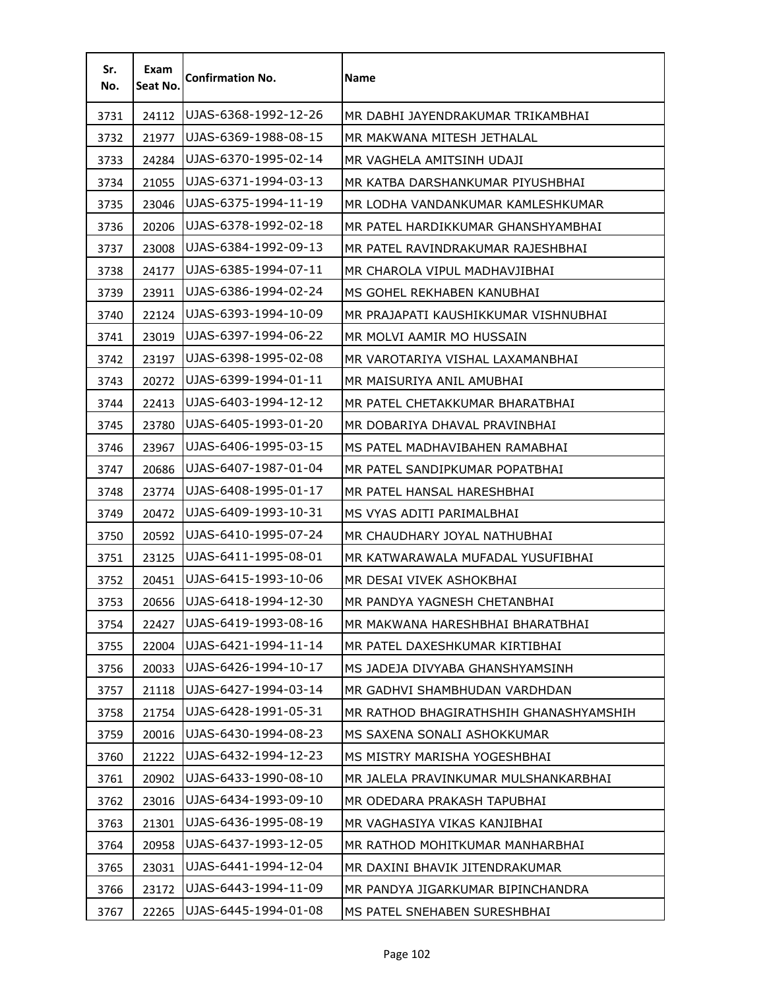| Sr.<br>No. | Exam<br>Seat No. | <b>Confirmation No.</b> | Name                                   |
|------------|------------------|-------------------------|----------------------------------------|
| 3731       | 24112            | UJAS-6368-1992-12-26    | MR DABHI JAYENDRAKUMAR TRIKAMBHAI      |
| 3732       | 21977            | UJAS-6369-1988-08-15    | MR MAKWANA MITESH JETHALAL             |
| 3733       | 24284            | UJAS-6370-1995-02-14    | MR VAGHELA AMITSINH UDAJI              |
| 3734       | 21055            | UJAS-6371-1994-03-13    | MR KATBA DARSHANKUMAR PIYUSHBHAI       |
| 3735       | 23046            | UJAS-6375-1994-11-19    | MR LODHA VANDANKUMAR KAMLESHKUMAR      |
| 3736       | 20206            | UJAS-6378-1992-02-18    | MR PATEL HARDIKKUMAR GHANSHYAMBHAI     |
| 3737       | 23008            | UJAS-6384-1992-09-13    | MR PATEL RAVINDRAKUMAR RAJESHBHAI      |
| 3738       | 24177            | UJAS-6385-1994-07-11    | MR CHAROLA VIPUL MADHAVJIBHAI          |
| 3739       | 23911            | UJAS-6386-1994-02-24    | MS GOHEL REKHABEN KANUBHAI             |
| 3740       | 22124            | UJAS-6393-1994-10-09    | MR PRAJAPATI KAUSHIKKUMAR VISHNUBHAI   |
| 3741       | 23019            | UJAS-6397-1994-06-22    | MR MOLVI AAMIR MO HUSSAIN              |
| 3742       | 23197            | UJAS-6398-1995-02-08    | MR VAROTARIYA VISHAL LAXAMANBHAI       |
| 3743       | 20272            | UJAS-6399-1994-01-11    | MR MAISURIYA ANIL AMUBHAI              |
| 3744       | 22413            | UJAS-6403-1994-12-12    | MR PATEL CHETAKKUMAR BHARATBHAI        |
| 3745       | 23780            | UJAS-6405-1993-01-20    | MR DOBARIYA DHAVAL PRAVINBHAI          |
| 3746       | 23967            | UJAS-6406-1995-03-15    | MS PATEL MADHAVIBAHEN RAMABHAI         |
| 3747       | 20686            | UJAS-6407-1987-01-04    | MR PATEL SANDIPKUMAR POPATBHAI         |
| 3748       | 23774            | UJAS-6408-1995-01-17    | MR PATEL HANSAL HARESHBHAI             |
| 3749       | 20472            | UJAS-6409-1993-10-31    | MS VYAS ADITI PARIMALBHAI              |
| 3750       | 20592            | UJAS-6410-1995-07-24    | MR CHAUDHARY JOYAL NATHUBHAI           |
| 3751       | 23125            | UJAS-6411-1995-08-01    | MR KATWARAWALA MUFADAL YUSUFIBHAI      |
| 3752       | 20451            | UJAS-6415-1993-10-06    | MR DESAI VIVEK ASHOKBHAI               |
| 3753       | 20656            | UJAS-6418-1994-12-30    | MR PANDYA YAGNESH CHETANBHAI           |
| 3754       | 22427            | UJAS-6419-1993-08-16    | MR MAKWANA HARESHBHAI BHARATBHAI       |
| 3755       | 22004            | UJAS-6421-1994-11-14    | MR PATEL DAXESHKUMAR KIRTIBHAI         |
| 3756       | 20033            | UJAS-6426-1994-10-17    | MS JADEJA DIVYABA GHANSHYAMSINH        |
| 3757       | 21118            | UJAS-6427-1994-03-14    | MR GADHVI SHAMBHUDAN VARDHDAN          |
| 3758       | 21754            | UJAS-6428-1991-05-31    | MR RATHOD BHAGIRATHSHIH GHANASHYAMSHIH |
| 3759       | 20016            | UJAS-6430-1994-08-23    | MS SAXENA SONALI ASHOKKUMAR            |
| 3760       | 21222            | UJAS-6432-1994-12-23    | MS MISTRY MARISHA YOGESHBHAI           |
| 3761       | 20902            | UJAS-6433-1990-08-10    | MR JALELA PRAVINKUMAR MULSHANKARBHAI   |
| 3762       | 23016            | UJAS-6434-1993-09-10    | MR ODEDARA PRAKASH TAPUBHAI            |
| 3763       | 21301            | UJAS-6436-1995-08-19    | MR VAGHASIYA VIKAS KANJIBHAI           |
| 3764       | 20958            | UJAS-6437-1993-12-05    | MR RATHOD MOHITKUMAR MANHARBHAI        |
| 3765       | 23031            | UJAS-6441-1994-12-04    | MR DAXINI BHAVIK JITENDRAKUMAR         |
| 3766       | 23172            | UJAS-6443-1994-11-09    | MR PANDYA JIGARKUMAR BIPINCHANDRA      |
| 3767       | 22265            | UJAS-6445-1994-01-08    | MS PATEL SNEHABEN SURESHBHAI           |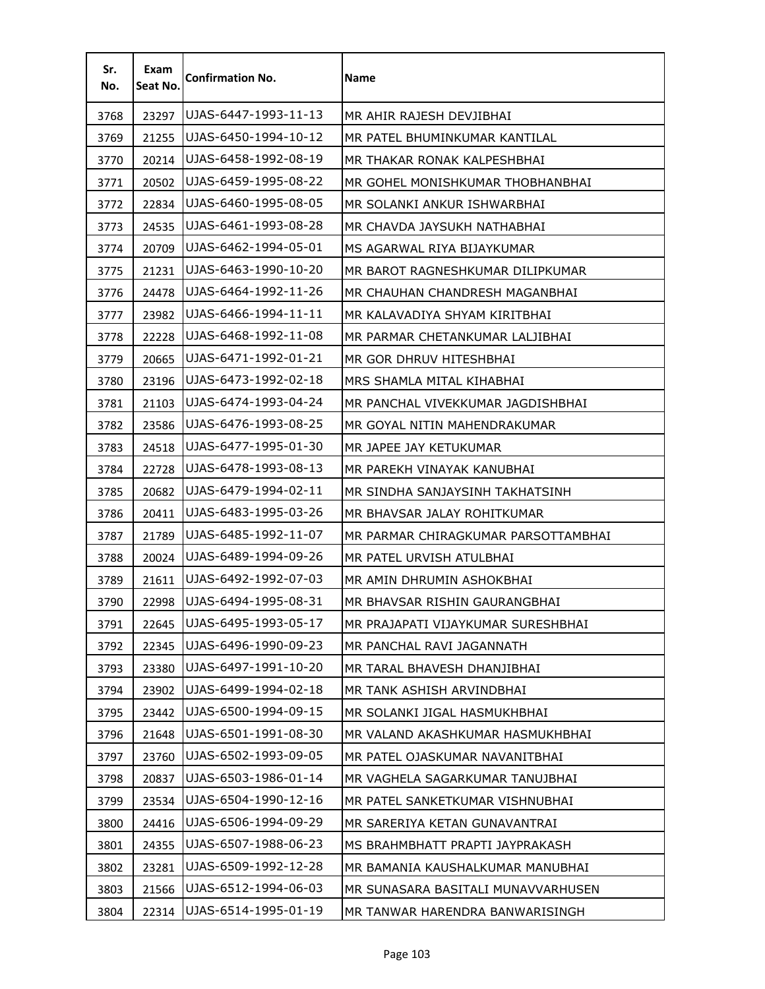| Sr.<br>No. | Exam<br>Seat No. | <b>Confirmation No.</b> | <b>Name</b>                         |
|------------|------------------|-------------------------|-------------------------------------|
| 3768       | 23297            | UJAS-6447-1993-11-13    | MR AHIR RAJESH DEVJIBHAI            |
| 3769       | 21255            | UJAS-6450-1994-10-12    | MR PATEL BHUMINKUMAR KANTILAL       |
| 3770       | 20214            | UJAS-6458-1992-08-19    | MR THAKAR RONAK KALPESHBHAI         |
| 3771       | 20502            | UJAS-6459-1995-08-22    | MR GOHEL MONISHKUMAR THOBHANBHAI    |
| 3772       | 22834            | UJAS-6460-1995-08-05    | MR SOLANKI ANKUR ISHWARBHAI         |
| 3773       | 24535            | UJAS-6461-1993-08-28    | MR CHAVDA JAYSUKH NATHABHAI         |
| 3774       | 20709            | UJAS-6462-1994-05-01    | MS AGARWAL RIYA BIJAYKUMAR          |
| 3775       | 21231            | UJAS-6463-1990-10-20    | MR BAROT RAGNESHKUMAR DILIPKUMAR    |
| 3776       | 24478            | UJAS-6464-1992-11-26    | MR CHAUHAN CHANDRESH MAGANBHAI      |
| 3777       | 23982            | UJAS-6466-1994-11-11    | MR KALAVADIYA SHYAM KIRITBHAI       |
| 3778       | 22228            | UJAS-6468-1992-11-08    | MR PARMAR CHETANKUMAR LALJIBHAI     |
| 3779       | 20665            | UJAS-6471-1992-01-21    | MR GOR DHRUV HITESHBHAI             |
| 3780       | 23196            | UJAS-6473-1992-02-18    | MRS SHAMLA MITAL KIHABHAI           |
| 3781       | 21103            | UJAS-6474-1993-04-24    | MR PANCHAL VIVEKKUMAR JAGDISHBHAI   |
| 3782       | 23586            | UJAS-6476-1993-08-25    | MR GOYAL NITIN MAHENDRAKUMAR        |
| 3783       | 24518            | UJAS-6477-1995-01-30    | MR JAPEE JAY KETUKUMAR              |
| 3784       | 22728            | UJAS-6478-1993-08-13    | MR PAREKH VINAYAK KANUBHAI          |
| 3785       | 20682            | UJAS-6479-1994-02-11    | MR SINDHA SANJAYSINH TAKHATSINH     |
| 3786       | 20411            | UJAS-6483-1995-03-26    | MR BHAVSAR JALAY ROHITKUMAR         |
| 3787       | 21789            | UJAS-6485-1992-11-07    | MR PARMAR CHIRAGKUMAR PARSOTTAMBHAI |
| 3788       | 20024            | UJAS-6489-1994-09-26    | MR PATEL URVISH ATULBHAI            |
| 3789       | 21611            | UJAS-6492-1992-07-03    | MR AMIN DHRUMIN ASHOKBHAI           |
| 3790       | 22998            | UJAS-6494-1995-08-31    | MR BHAVSAR RISHIN GAURANGBHAI       |
| 3791       | 22645            | UJAS-6495-1993-05-17    | MR PRAJAPATI VIJAYKUMAR SURESHBHAI  |
| 3792       | 22345            | UJAS-6496-1990-09-23    | MR PANCHAL RAVI JAGANNATH           |
| 3793       | 23380            | UJAS-6497-1991-10-20    | MR TARAL BHAVESH DHANJIBHAI         |
| 3794       | 23902            | UJAS-6499-1994-02-18    | MR TANK ASHISH ARVINDBHAI           |
| 3795       | 23442            | UJAS-6500-1994-09-15    | MR SOLANKI JIGAL HASMUKHBHAI        |
| 3796       | 21648            | UJAS-6501-1991-08-30    | MR VALAND AKASHKUMAR HASMUKHBHAI    |
| 3797       | 23760            | UJAS-6502-1993-09-05    | MR PATEL OJASKUMAR NAVANITBHAI      |
| 3798       | 20837            | UJAS-6503-1986-01-14    | MR VAGHELA SAGARKUMAR TANUJBHAI     |
| 3799       | 23534            | UJAS-6504-1990-12-16    | MR PATEL SANKETKUMAR VISHNUBHAI     |
| 3800       | 24416            | UJAS-6506-1994-09-29    | MR SARERIYA KETAN GUNAVANTRAI       |
| 3801       | 24355            | UJAS-6507-1988-06-23    | MS BRAHMBHATT PRAPTI JAYPRAKASH     |
| 3802       | 23281            | UJAS-6509-1992-12-28    | MR BAMANIA KAUSHALKUMAR MANUBHAI    |
| 3803       | 21566            | UJAS-6512-1994-06-03    | MR SUNASARA BASITALI MUNAVVARHUSEN  |
| 3804       | 22314            | UJAS-6514-1995-01-19    | MR TANWAR HARENDRA BANWARISINGH     |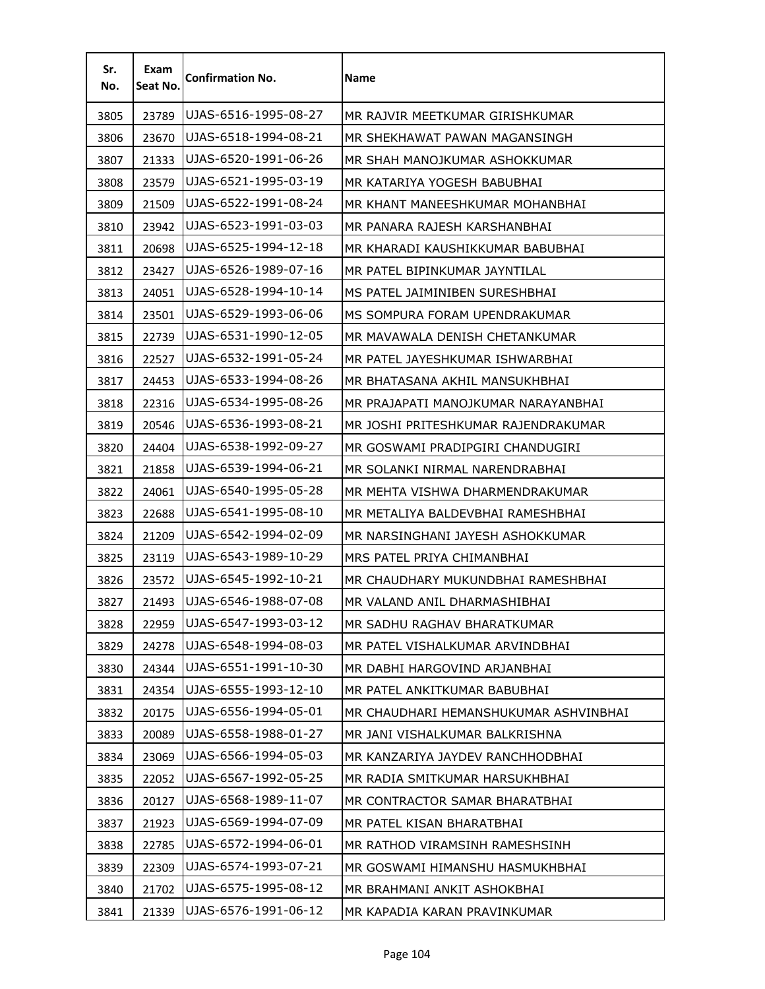| Sr.<br>No. | Exam<br>Seat No. | <b>Confirmation No.</b> | <b>Name</b>                           |
|------------|------------------|-------------------------|---------------------------------------|
| 3805       | 23789            | UJAS-6516-1995-08-27    | MR RAJVIR MEETKUMAR GIRISHKUMAR       |
| 3806       | 23670            | UJAS-6518-1994-08-21    | MR SHEKHAWAT PAWAN MAGANSINGH         |
| 3807       | 21333            | UJAS-6520-1991-06-26    | MR SHAH MANOJKUMAR ASHOKKUMAR         |
| 3808       | 23579            | UJAS-6521-1995-03-19    | MR KATARIYA YOGESH BABUBHAI           |
| 3809       | 21509            | UJAS-6522-1991-08-24    | MR KHANT MANEESHKUMAR MOHANBHAI       |
| 3810       | 23942            | UJAS-6523-1991-03-03    | MR PANARA RAJESH KARSHANBHAI          |
| 3811       | 20698            | UJAS-6525-1994-12-18    | MR KHARADI KAUSHIKKUMAR BABUBHAI      |
| 3812       | 23427            | UJAS-6526-1989-07-16    | MR PATEL BIPINKUMAR JAYNTILAL         |
| 3813       | 24051            | UJAS-6528-1994-10-14    | MS PATEL JAIMINIBEN SURESHBHAI        |
| 3814       | 23501            | UJAS-6529-1993-06-06    | MS SOMPURA FORAM UPENDRAKUMAR         |
| 3815       | 22739            | UJAS-6531-1990-12-05    | MR MAVAWALA DENISH CHETANKUMAR        |
| 3816       | 22527            | UJAS-6532-1991-05-24    | MR PATEL JAYESHKUMAR ISHWARBHAI       |
| 3817       | 24453            | UJAS-6533-1994-08-26    | MR BHATASANA AKHIL MANSUKHBHAI        |
| 3818       | 22316            | UJAS-6534-1995-08-26    | MR PRAJAPATI MANOJKUMAR NARAYANBHAI   |
| 3819       | 20546            | UJAS-6536-1993-08-21    | MR JOSHI PRITESHKUMAR RAJENDRAKUMAR   |
| 3820       | 24404            | UJAS-6538-1992-09-27    | MR GOSWAMI PRADIPGIRI CHANDUGIRI      |
| 3821       | 21858            | UJAS-6539-1994-06-21    | MR SOLANKI NIRMAL NARENDRABHAI        |
| 3822       | 24061            | UJAS-6540-1995-05-28    | MR MEHTA VISHWA DHARMENDRAKUMAR       |
| 3823       | 22688            | UJAS-6541-1995-08-10    | MR METALIYA BALDEVBHAI RAMESHBHAI     |
| 3824       | 21209            | UJAS-6542-1994-02-09    | MR NARSINGHANI JAYESH ASHOKKUMAR      |
| 3825       | 23119            | UJAS-6543-1989-10-29    | MRS PATEL PRIYA CHIMANBHAI            |
| 3826       | 23572            | UJAS-6545-1992-10-21    | MR CHAUDHARY MUKUNDBHAI RAMESHBHAI    |
| 3827       | 21493            | UJAS-6546-1988-07-08    | MR VALAND ANIL DHARMASHIBHAI          |
| 3828       | 22959            | UJAS-6547-1993-03-12    | MR SADHU RAGHAV BHARATKUMAR           |
| 3829       | 24278            | UJAS-6548-1994-08-03    | MR PATEL VISHALKUMAR ARVINDBHAI       |
| 3830       | 24344            | UJAS-6551-1991-10-30    | MR DABHI HARGOVIND ARJANBHAI          |
| 3831       | 24354            | UJAS-6555-1993-12-10    | MR PATEL ANKITKUMAR BABUBHAI          |
| 3832       | 20175            | UJAS-6556-1994-05-01    | MR CHAUDHARI HEMANSHUKUMAR ASHVINBHAI |
| 3833       | 20089            | UJAS-6558-1988-01-27    | MR JANI VISHALKUMAR BALKRISHNA        |
| 3834       | 23069            | UJAS-6566-1994-05-03    | MR KANZARIYA JAYDEV RANCHHODBHAI      |
| 3835       | 22052            | UJAS-6567-1992-05-25    | MR RADIA SMITKUMAR HARSUKHBHAI        |
| 3836       | 20127            | UJAS-6568-1989-11-07    | MR CONTRACTOR SAMAR BHARATBHAI        |
| 3837       | 21923            | UJAS-6569-1994-07-09    | MR PATEL KISAN BHARATBHAI             |
| 3838       | 22785            | UJAS-6572-1994-06-01    | MR RATHOD VIRAMSINH RAMESHSINH        |
| 3839       | 22309            | UJAS-6574-1993-07-21    | MR GOSWAMI HIMANSHU HASMUKHBHAI       |
| 3840       | 21702            | UJAS-6575-1995-08-12    | MR BRAHMANI ANKIT ASHOKBHAI           |
| 3841       | 21339            | UJAS-6576-1991-06-12    | MR KAPADIA KARAN PRAVINKUMAR          |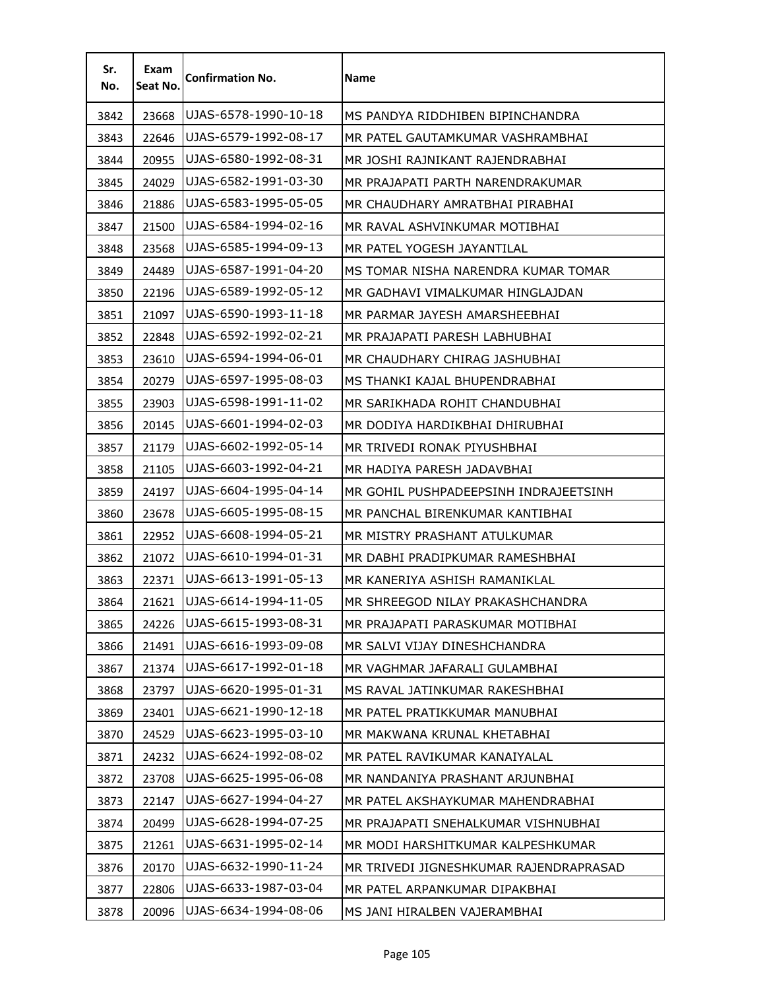| Sr.<br>No. | Exam<br>Seat No. | <b>Confirmation No.</b> | <b>Name</b>                            |
|------------|------------------|-------------------------|----------------------------------------|
| 3842       | 23668            | UJAS-6578-1990-10-18    | MS PANDYA RIDDHIBEN BIPINCHANDRA       |
| 3843       | 22646            | UJAS-6579-1992-08-17    | MR PATEL GAUTAMKUMAR VASHRAMBHAI       |
| 3844       | 20955            | UJAS-6580-1992-08-31    | MR JOSHI RAJNIKANT RAJENDRABHAI        |
| 3845       | 24029            | UJAS-6582-1991-03-30    | MR PRAJAPATI PARTH NARENDRAKUMAR       |
| 3846       | 21886            | UJAS-6583-1995-05-05    | MR CHAUDHARY AMRATBHAI PIRABHAI        |
| 3847       | 21500            | UJAS-6584-1994-02-16    | MR RAVAL ASHVINKUMAR MOTIBHAI          |
| 3848       | 23568            | UJAS-6585-1994-09-13    | MR PATEL YOGESH JAYANTILAL             |
| 3849       | 24489            | UJAS-6587-1991-04-20    | MS TOMAR NISHA NARENDRA KUMAR TOMAR    |
| 3850       | 22196            | UJAS-6589-1992-05-12    | MR GADHAVI VIMALKUMAR HINGLAJDAN       |
| 3851       | 21097            | UJAS-6590-1993-11-18    | MR PARMAR JAYESH AMARSHEEBHAI          |
| 3852       | 22848            | UJAS-6592-1992-02-21    | MR PRAJAPATI PARESH LABHUBHAI          |
| 3853       | 23610            | UJAS-6594-1994-06-01    | MR CHAUDHARY CHIRAG JASHUBHAI          |
| 3854       | 20279            | UJAS-6597-1995-08-03    | MS THANKI KAJAL BHUPENDRABHAI          |
| 3855       | 23903            | UJAS-6598-1991-11-02    | MR SARIKHADA ROHIT CHANDUBHAI          |
| 3856       | 20145            | UJAS-6601-1994-02-03    | MR DODIYA HARDIKBHAI DHIRUBHAI         |
| 3857       | 21179            | UJAS-6602-1992-05-14    | MR TRIVEDI RONAK PIYUSHBHAI            |
| 3858       | 21105            | UJAS-6603-1992-04-21    | MR HADIYA PARESH JADAVBHAI             |
| 3859       | 24197            | UJAS-6604-1995-04-14    | MR GOHIL PUSHPADEEPSINH INDRAJEETSINH  |
| 3860       | 23678            | UJAS-6605-1995-08-15    | MR PANCHAL BIRENKUMAR KANTIBHAI        |
| 3861       | 22952            | UJAS-6608-1994-05-21    | MR MISTRY PRASHANT ATULKUMAR           |
| 3862       | 21072            | UJAS-6610-1994-01-31    | MR DABHI PRADIPKUMAR RAMESHBHAI        |
| 3863       | 22371            | UJAS-6613-1991-05-13    | MR KANERIYA ASHISH RAMANIKLAL          |
| 3864       | 21621            | UJAS-6614-1994-11-05    | MR SHREEGOD NILAY PRAKASHCHANDRA       |
| 3865       | 24226            | UJAS-6615-1993-08-31    | MR PRAJAPATI PARASKUMAR MOTIBHAI       |
| 3866       | 21491            | UJAS-6616-1993-09-08    | MR SALVI VIJAY DINESHCHANDRA           |
| 3867       | 21374            | UJAS-6617-1992-01-18    | MR VAGHMAR JAFARALI GULAMBHAI          |
| 3868       | 23797            | UJAS-6620-1995-01-31    | MS RAVAL JATINKUMAR RAKESHBHAI         |
| 3869       | 23401            | UJAS-6621-1990-12-18    | MR PATEL PRATIKKUMAR MANUBHAI          |
| 3870       | 24529            | UJAS-6623-1995-03-10    | MR MAKWANA KRUNAL KHETABHAI            |
| 3871       | 24232            | UJAS-6624-1992-08-02    | MR PATEL RAVIKUMAR KANAIYALAL          |
| 3872       | 23708            | UJAS-6625-1995-06-08    | MR NANDANIYA PRASHANT ARJUNBHAI        |
| 3873       | 22147            | UJAS-6627-1994-04-27    | MR PATEL AKSHAYKUMAR MAHENDRABHAI      |
| 3874       | 20499            | UJAS-6628-1994-07-25    | MR PRAJAPATI SNEHALKUMAR VISHNUBHAI    |
| 3875       | 21261            | UJAS-6631-1995-02-14    | MR MODI HARSHITKUMAR KALPESHKUMAR      |
| 3876       | 20170            | UJAS-6632-1990-11-24    | MR TRIVEDI JIGNESHKUMAR RAJENDRAPRASAD |
| 3877       | 22806            | UJAS-6633-1987-03-04    | MR PATEL ARPANKUMAR DIPAKBHAI          |
| 3878       | 20096            | UJAS-6634-1994-08-06    | MS JANI HIRALBEN VAJERAMBHAI           |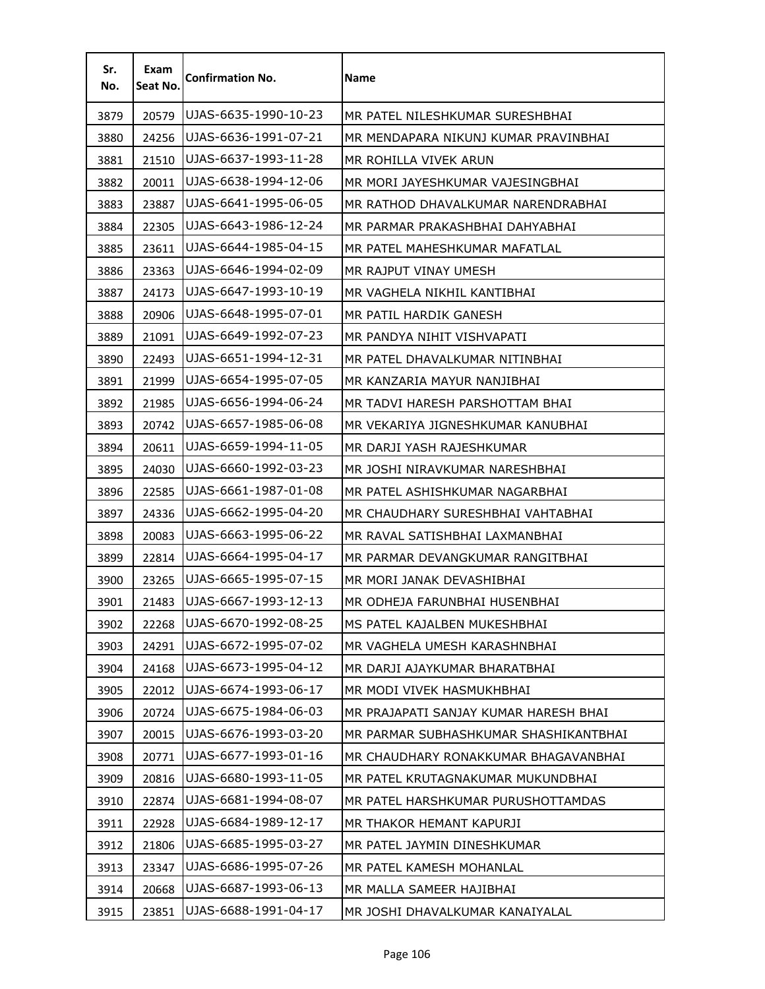| Sr.<br>No. | Exam<br>Seat No. | <b>Confirmation No.</b> | <b>Name</b>                           |
|------------|------------------|-------------------------|---------------------------------------|
| 3879       | 20579            | UJAS-6635-1990-10-23    | MR PATEL NILESHKUMAR SURESHBHAI       |
| 3880       | 24256            | UJAS-6636-1991-07-21    | MR MENDAPARA NIKUNJ KUMAR PRAVINBHAI  |
| 3881       | 21510            | UJAS-6637-1993-11-28    | MR ROHILLA VIVEK ARUN                 |
| 3882       | 20011            | UJAS-6638-1994-12-06    | MR MORI JAYESHKUMAR VAJESINGBHAI      |
| 3883       | 23887            | UJAS-6641-1995-06-05    | MR RATHOD DHAVALKUMAR NARENDRABHAI    |
| 3884       | 22305            | UJAS-6643-1986-12-24    | MR PARMAR PRAKASHBHAI DAHYABHAI       |
| 3885       | 23611            | UJAS-6644-1985-04-15    | MR PATEL MAHESHKUMAR MAFATLAL         |
| 3886       | 23363            | UJAS-6646-1994-02-09    | MR RAJPUT VINAY UMESH                 |
| 3887       | 24173            | UJAS-6647-1993-10-19    | MR VAGHELA NIKHIL KANTIBHAI           |
| 3888       | 20906            | UJAS-6648-1995-07-01    | MR PATIL HARDIK GANESH                |
| 3889       | 21091            | UJAS-6649-1992-07-23    | MR PANDYA NIHIT VISHVAPATI            |
| 3890       | 22493            | UJAS-6651-1994-12-31    | MR PATEL DHAVALKUMAR NITINBHAI        |
| 3891       | 21999            | UJAS-6654-1995-07-05    | MR KANZARIA MAYUR NANJIBHAI           |
| 3892       | 21985            | UJAS-6656-1994-06-24    | MR TADVI HARESH PARSHOTTAM BHAI       |
| 3893       | 20742            | UJAS-6657-1985-06-08    | MR VEKARIYA JIGNESHKUMAR KANUBHAI     |
| 3894       | 20611            | UJAS-6659-1994-11-05    | MR DARJI YASH RAJESHKUMAR             |
| 3895       | 24030            | UJAS-6660-1992-03-23    | MR JOSHI NIRAVKUMAR NARESHBHAI        |
| 3896       | 22585            | UJAS-6661-1987-01-08    | MR PATEL ASHISHKUMAR NAGARBHAI        |
| 3897       | 24336            | UJAS-6662-1995-04-20    | MR CHAUDHARY SURESHBHAI VAHTABHAI     |
| 3898       | 20083            | UJAS-6663-1995-06-22    | MR RAVAL SATISHBHAI LAXMANBHAI        |
| 3899       | 22814            | UJAS-6664-1995-04-17    | MR PARMAR DEVANGKUMAR RANGITBHAI      |
| 3900       | 23265            | UJAS-6665-1995-07-15    | MR MORI JANAK DEVASHIBHAI             |
| 3901       | 21483            | UJAS-6667-1993-12-13    | MR ODHEJA FARUNBHAI HUSENBHAI         |
| 3902       | 22268            | UJAS-6670-1992-08-25    | MS PATEL KAJALBEN MUKESHBHAI          |
| 3903       | 24291            | UJAS-6672-1995-07-02    | MR VAGHELA UMESH KARASHNBHAI          |
| 3904       | 24168            | UJAS-6673-1995-04-12    | MR DARJI AJAYKUMAR BHARATBHAI         |
| 3905       | 22012            | UJAS-6674-1993-06-17    | MR MODI VIVEK HASMUKHBHAI             |
| 3906       | 20724            | UJAS-6675-1984-06-03    | MR PRAJAPATI SANJAY KUMAR HARESH BHAI |
| 3907       | 20015            | UJAS-6676-1993-03-20    | MR PARMAR SUBHASHKUMAR SHASHIKANTBHAI |
| 3908       | 20771            | UJAS-6677-1993-01-16    | MR CHAUDHARY RONAKKUMAR BHAGAVANBHAI  |
| 3909       | 20816            | UJAS-6680-1993-11-05    | MR PATEL KRUTAGNAKUMAR MUKUNDBHAI     |
| 3910       | 22874            | UJAS-6681-1994-08-07    | MR PATEL HARSHKUMAR PURUSHOTTAMDAS    |
| 3911       | 22928            | UJAS-6684-1989-12-17    | MR THAKOR HEMANT KAPURJI              |
| 3912       | 21806            | UJAS-6685-1995-03-27    | MR PATEL JAYMIN DINESHKUMAR           |
| 3913       | 23347            | UJAS-6686-1995-07-26    | MR PATEL KAMESH MOHANLAL              |
| 3914       | 20668            | UJAS-6687-1993-06-13    | MR MALLA SAMEER HAJIBHAI              |
| 3915       | 23851            | UJAS-6688-1991-04-17    | MR JOSHI DHAVALKUMAR KANAIYALAL       |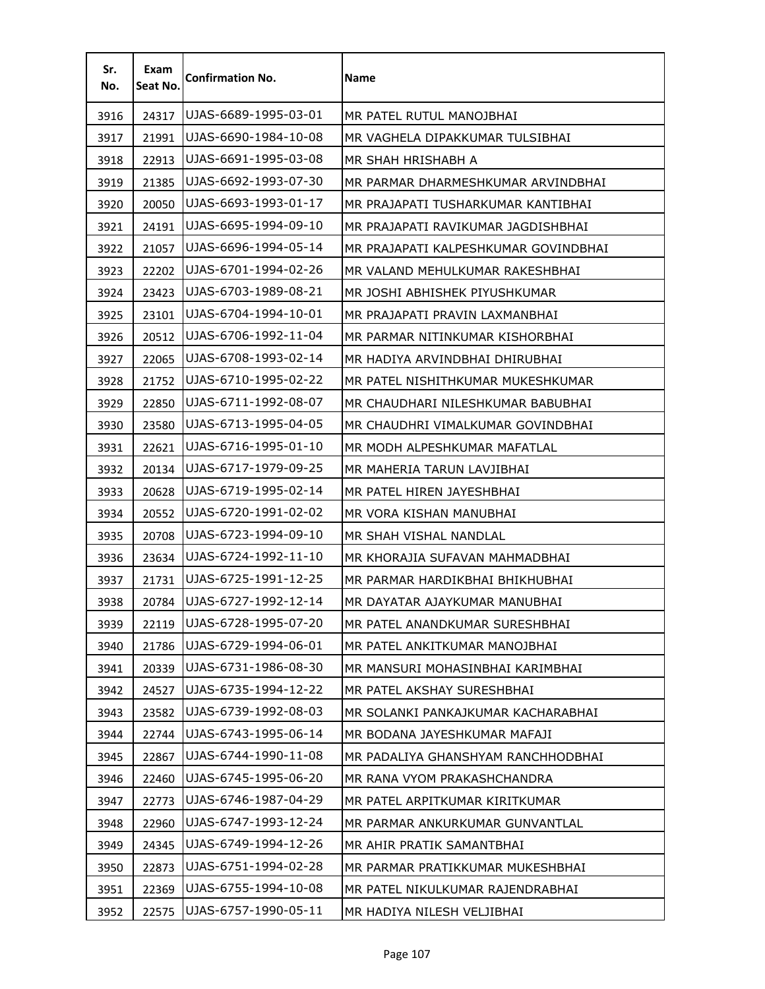| Sr.<br>No. | Exam<br>Seat No. | <b>Confirmation No.</b> | <b>Name</b>                          |
|------------|------------------|-------------------------|--------------------------------------|
| 3916       | 24317            | UJAS-6689-1995-03-01    | MR PATEL RUTUL MANOJBHAI             |
| 3917       | 21991            | UJAS-6690-1984-10-08    | MR VAGHELA DIPAKKUMAR TULSIBHAI      |
| 3918       | 22913            | UJAS-6691-1995-03-08    | MR SHAH HRISHABH A                   |
| 3919       | 21385            | UJAS-6692-1993-07-30    | MR PARMAR DHARMESHKUMAR ARVINDBHAI   |
| 3920       | 20050            | UJAS-6693-1993-01-17    | MR PRAJAPATI TUSHARKUMAR KANTIBHAI   |
| 3921       | 24191            | UJAS-6695-1994-09-10    | MR PRAJAPATI RAVIKUMAR JAGDISHBHAI   |
| 3922       | 21057            | UJAS-6696-1994-05-14    | MR PRAJAPATI KALPESHKUMAR GOVINDBHAI |
| 3923       | 22202            | UJAS-6701-1994-02-26    | MR VALAND MEHULKUMAR RAKESHBHAI      |
| 3924       | 23423            | UJAS-6703-1989-08-21    | MR JOSHI ABHISHEK PIYUSHKUMAR        |
| 3925       | 23101            | UJAS-6704-1994-10-01    | MR PRAJAPATI PRAVIN LAXMANBHAI       |
| 3926       | 20512            | UJAS-6706-1992-11-04    | MR PARMAR NITINKUMAR KISHORBHAI      |
| 3927       | 22065            | UJAS-6708-1993-02-14    | MR HADIYA ARVINDBHAI DHIRUBHAI       |
| 3928       | 21752            | UJAS-6710-1995-02-22    | MR PATEL NISHITHKUMAR MUKESHKUMAR    |
| 3929       | 22850            | UJAS-6711-1992-08-07    | MR CHAUDHARI NILESHKUMAR BABUBHAI    |
| 3930       | 23580            | UJAS-6713-1995-04-05    | MR CHAUDHRI VIMALKUMAR GOVINDBHAI    |
| 3931       | 22621            | UJAS-6716-1995-01-10    | MR MODH ALPESHKUMAR MAFATLAL         |
| 3932       | 20134            | UJAS-6717-1979-09-25    | MR MAHERIA TARUN LAVJIBHAI           |
| 3933       | 20628            | UJAS-6719-1995-02-14    | MR PATEL HIREN JAYESHBHAI            |
| 3934       | 20552            | UJAS-6720-1991-02-02    | MR VORA KISHAN MANUBHAI              |
| 3935       | 20708            | UJAS-6723-1994-09-10    | MR SHAH VISHAL NANDLAL               |
| 3936       | 23634            | UJAS-6724-1992-11-10    | MR KHORAJIA SUFAVAN MAHMADBHAI       |
| 3937       | 21731            | UJAS-6725-1991-12-25    | MR PARMAR HARDIKBHAI BHIKHUBHAI      |
| 3938       | 20784            | UJAS-6727-1992-12-14    | MR DAYATAR AJAYKUMAR MANUBHAI        |
| 3939       | 22119            | UJAS-6728-1995-07-20    | MR PATEL ANANDKUMAR SURESHBHAI       |
| 3940       | 21786            | UJAS-6729-1994-06-01    | MR PATEL ANKITKUMAR MANOJBHAI        |
| 3941       | 20339            | UJAS-6731-1986-08-30    | MR MANSURI MOHASINBHAI KARIMBHAI     |
| 3942       | 24527            | UJAS-6735-1994-12-22    | MR PATEL AKSHAY SURESHBHAI           |
| 3943       | 23582            | UJAS-6739-1992-08-03    | MR SOLANKI PANKAJKUMAR KACHARABHAI   |
| 3944       | 22744            | UJAS-6743-1995-06-14    | MR BODANA JAYESHKUMAR MAFAJI         |
| 3945       | 22867            | UJAS-6744-1990-11-08    | MR PADALIYA GHANSHYAM RANCHHODBHAI   |
| 3946       | 22460            | UJAS-6745-1995-06-20    | MR RANA VYOM PRAKASHCHANDRA          |
| 3947       | 22773            | UJAS-6746-1987-04-29    | MR PATEL ARPITKUMAR KIRITKUMAR       |
| 3948       | 22960            | UJAS-6747-1993-12-24    | MR PARMAR ANKURKUMAR GUNVANTLAL      |
| 3949       | 24345            | UJAS-6749-1994-12-26    | MR AHIR PRATIK SAMANTBHAI            |
| 3950       | 22873            | UJAS-6751-1994-02-28    | MR PARMAR PRATIKKUMAR MUKESHBHAI     |
| 3951       | 22369            | UJAS-6755-1994-10-08    | MR PATEL NIKULKUMAR RAJENDRABHAI     |
| 3952       | 22575            | UJAS-6757-1990-05-11    | MR HADIYA NILESH VELJIBHAI           |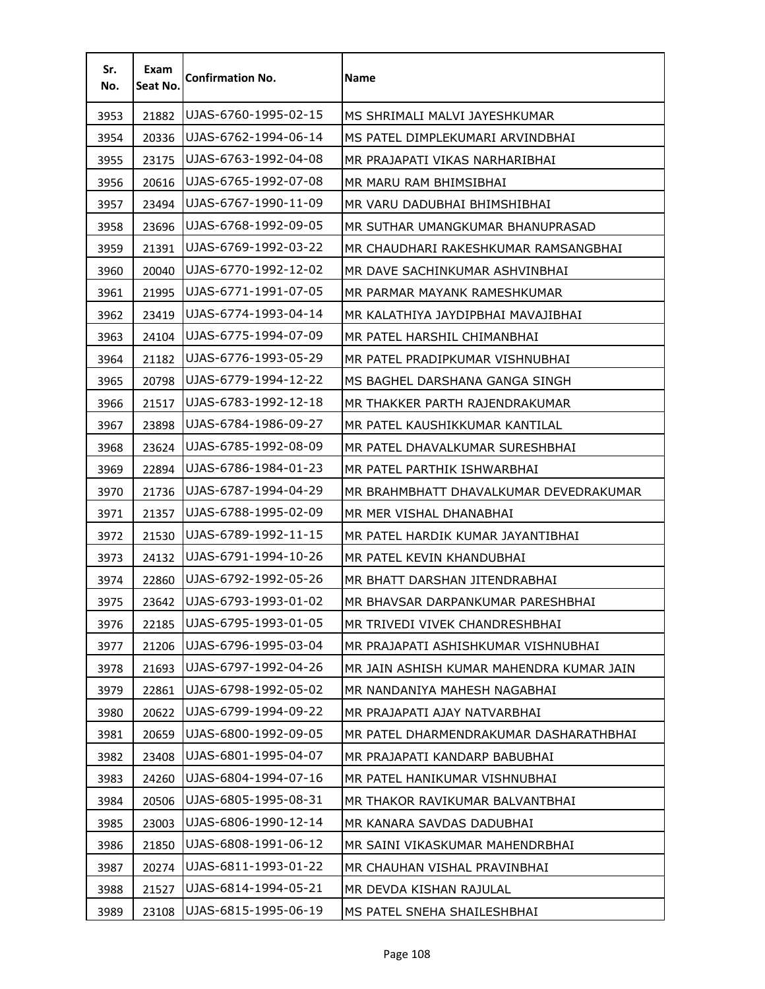| Sr.<br>No. | Exam<br>Seat No. | <b>Confirmation No.</b> | Name                                     |
|------------|------------------|-------------------------|------------------------------------------|
| 3953       | 21882            | UJAS-6760-1995-02-15    | MS SHRIMALI MALVI JAYESHKUMAR            |
| 3954       | 20336            | UJAS-6762-1994-06-14    | MS PATEL DIMPLEKUMARI ARVINDBHAI         |
| 3955       | 23175            | UJAS-6763-1992-04-08    | MR PRAJAPATI VIKAS NARHARIBHAI           |
| 3956       | 20616            | UJAS-6765-1992-07-08    | MR MARU RAM BHIMSIBHAI                   |
| 3957       | 23494            | UJAS-6767-1990-11-09    | MR VARU DADUBHAI BHIMSHIBHAI             |
| 3958       | 23696            | UJAS-6768-1992-09-05    | MR SUTHAR UMANGKUMAR BHANUPRASAD         |
| 3959       | 21391            | UJAS-6769-1992-03-22    | MR CHAUDHARI RAKESHKUMAR RAMSANGBHAI     |
| 3960       | 20040            | UJAS-6770-1992-12-02    | MR DAVE SACHINKUMAR ASHVINBHAI           |
| 3961       | 21995            | UJAS-6771-1991-07-05    | MR PARMAR MAYANK RAMESHKUMAR             |
| 3962       | 23419            | UJAS-6774-1993-04-14    | MR KALATHIYA JAYDIPBHAI MAVAJIBHAI       |
| 3963       | 24104            | UJAS-6775-1994-07-09    | MR PATEL HARSHIL CHIMANBHAI              |
| 3964       | 21182            | UJAS-6776-1993-05-29    | MR PATEL PRADIPKUMAR VISHNUBHAI          |
| 3965       | 20798            | UJAS-6779-1994-12-22    | MS BAGHEL DARSHANA GANGA SINGH           |
| 3966       | 21517            | UJAS-6783-1992-12-18    | MR THAKKER PARTH RAJENDRAKUMAR           |
| 3967       | 23898            | UJAS-6784-1986-09-27    | MR PATEL KAUSHIKKUMAR KANTILAL           |
| 3968       | 23624            | UJAS-6785-1992-08-09    | MR PATEL DHAVALKUMAR SURESHBHAI          |
| 3969       | 22894            | UJAS-6786-1984-01-23    | MR PATEL PARTHIK ISHWARBHAI              |
| 3970       | 21736            | UJAS-6787-1994-04-29    | MR BRAHMBHATT DHAVALKUMAR DEVEDRAKUMAR   |
| 3971       | 21357            | UJAS-6788-1995-02-09    | MR MER VISHAL DHANABHAI                  |
| 3972       | 21530            | UJAS-6789-1992-11-15    | MR PATEL HARDIK KUMAR JAYANTIBHAI        |
| 3973       | 24132            | UJAS-6791-1994-10-26    | MR PATEL KEVIN KHANDUBHAI                |
| 3974       | 22860            | UJAS-6792-1992-05-26    | MR BHATT DARSHAN JITENDRABHAI            |
| 3975       | 23642            | UJAS-6793-1993-01-02    | MR BHAVSAR DARPANKUMAR PARESHBHAI        |
| 3976       | 22185            | UJAS-6795-1993-01-05    | MR TRIVEDI VIVEK CHANDRESHBHAI           |
| 3977       | 21206            | UJAS-6796-1995-03-04    | MR PRAJAPATI ASHISHKUMAR VISHNUBHAI      |
| 3978       | 21693            | UJAS-6797-1992-04-26    | MR JAIN ASHISH KUMAR MAHENDRA KUMAR JAIN |
| 3979       | 22861            | UJAS-6798-1992-05-02    | MR NANDANIYA MAHESH NAGABHAI             |
| 3980       | 20622            | UJAS-6799-1994-09-22    | MR PRAJAPATI AJAY NATVARBHAI             |
| 3981       | 20659            | UJAS-6800-1992-09-05    | MR PATEL DHARMENDRAKUMAR DASHARATHBHAI   |
| 3982       | 23408            | UJAS-6801-1995-04-07    | MR PRAJAPATI KANDARP BABUBHAI            |
| 3983       | 24260            | UJAS-6804-1994-07-16    | MR PATEL HANIKUMAR VISHNUBHAI            |
| 3984       | 20506            | UJAS-6805-1995-08-31    | MR THAKOR RAVIKUMAR BALVANTBHAI          |
| 3985       | 23003            | UJAS-6806-1990-12-14    | MR KANARA SAVDAS DADUBHAI                |
| 3986       | 21850            | UJAS-6808-1991-06-12    | MR SAINI VIKASKUMAR MAHENDRBHAI          |
| 3987       | 20274            | UJAS-6811-1993-01-22    | MR CHAUHAN VISHAL PRAVINBHAI             |
| 3988       | 21527            | UJAS-6814-1994-05-21    | MR DEVDA KISHAN RAJULAL                  |
| 3989       | 23108            | UJAS-6815-1995-06-19    | MS PATEL SNEHA SHAILESHBHAI              |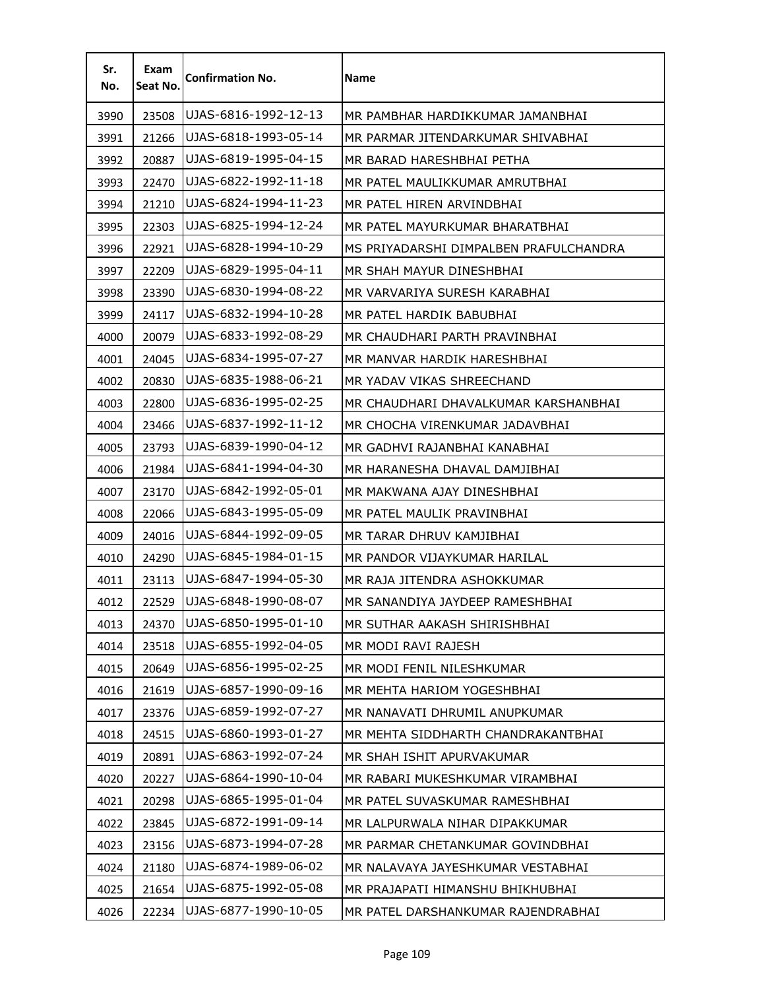| Sr.<br>No. | Exam<br>Seat No. | <b>Confirmation No.</b> | <b>Name</b>                            |
|------------|------------------|-------------------------|----------------------------------------|
| 3990       | 23508            | UJAS-6816-1992-12-13    | MR PAMBHAR HARDIKKUMAR JAMANBHAI       |
| 3991       | 21266            | UJAS-6818-1993-05-14    | MR PARMAR JITENDARKUMAR SHIVABHAI      |
| 3992       | 20887            | UJAS-6819-1995-04-15    | MR BARAD HARESHBHAI PETHA              |
| 3993       | 22470            | UJAS-6822-1992-11-18    | MR PATEL MAULIKKUMAR AMRUTBHAI         |
| 3994       | 21210            | UJAS-6824-1994-11-23    | MR PATEL HIREN ARVINDBHAI              |
| 3995       | 22303            | UJAS-6825-1994-12-24    | MR PATEL MAYURKUMAR BHARATBHAI         |
| 3996       | 22921            | UJAS-6828-1994-10-29    | MS PRIYADARSHI DIMPALBEN PRAFULCHANDRA |
| 3997       | 22209            | UJAS-6829-1995-04-11    | MR SHAH MAYUR DINESHBHAI               |
| 3998       | 23390            | UJAS-6830-1994-08-22    | MR VARVARIYA SURESH KARABHAI           |
| 3999       | 24117            | UJAS-6832-1994-10-28    | MR PATEL HARDIK BABUBHAI               |
| 4000       | 20079            | UJAS-6833-1992-08-29    | MR CHAUDHARI PARTH PRAVINBHAI          |
| 4001       | 24045            | UJAS-6834-1995-07-27    | MR MANVAR HARDIK HARESHBHAI            |
| 4002       | 20830            | UJAS-6835-1988-06-21    | MR YADAV VIKAS SHREECHAND              |
| 4003       | 22800            | UJAS-6836-1995-02-25    | MR CHAUDHARI DHAVALKUMAR KARSHANBHAI   |
| 4004       | 23466            | UJAS-6837-1992-11-12    | MR CHOCHA VIRENKUMAR JADAVBHAI         |
| 4005       | 23793            | UJAS-6839-1990-04-12    | MR GADHVI RAJANBHAI KANABHAI           |
| 4006       | 21984            | UJAS-6841-1994-04-30    | MR HARANESHA DHAVAL DAMJIBHAI          |
| 4007       | 23170            | UJAS-6842-1992-05-01    | MR MAKWANA AJAY DINESHBHAI             |
| 4008       | 22066            | UJAS-6843-1995-05-09    | MR PATEL MAULIK PRAVINBHAI             |
| 4009       | 24016            | UJAS-6844-1992-09-05    | MR TARAR DHRUV KAMJIBHAI               |
| 4010       | 24290            | UJAS-6845-1984-01-15    | MR PANDOR VIJAYKUMAR HARILAL           |
| 4011       | 23113            | UJAS-6847-1994-05-30    | MR RAJA JITENDRA ASHOKKUMAR            |
| 4012       | 22529            | UJAS-6848-1990-08-07    | MR SANANDIYA JAYDEEP RAMESHBHAI        |
| 4013       | 24370            | UJAS-6850-1995-01-10    | MR SUTHAR AAKASH SHIRISHBHAI           |
| 4014       | 23518            | UJAS-6855-1992-04-05    | MR MODI RAVI RAJESH                    |
| 4015       | 20649            | UJAS-6856-1995-02-25    | MR MODI FENIL NILESHKUMAR              |
| 4016       | 21619            | UJAS-6857-1990-09-16    | MR MEHTA HARIOM YOGESHBHAI             |
| 4017       | 23376            | UJAS-6859-1992-07-27    | MR NANAVATI DHRUMIL ANUPKUMAR          |
| 4018       | 24515            | UJAS-6860-1993-01-27    | MR MEHTA SIDDHARTH CHANDRAKANTBHAI     |
| 4019       | 20891            | UJAS-6863-1992-07-24    | MR SHAH ISHIT APURVAKUMAR              |
| 4020       | 20227            | UJAS-6864-1990-10-04    | MR RABARI MUKESHKUMAR VIRAMBHAI        |
| 4021       | 20298            | UJAS-6865-1995-01-04    | MR PATEL SUVASKUMAR RAMESHBHAI         |
| 4022       | 23845            | UJAS-6872-1991-09-14    | MR LALPURWALA NIHAR DIPAKKUMAR         |
| 4023       | 23156            | UJAS-6873-1994-07-28    | MR PARMAR CHETANKUMAR GOVINDBHAI       |
| 4024       | 21180            | UJAS-6874-1989-06-02    | MR NALAVAYA JAYESHKUMAR VESTABHAI      |
| 4025       | 21654            | UJAS-6875-1992-05-08    | MR PRAJAPATI HIMANSHU BHIKHUBHAI       |
| 4026       | 22234            | UJAS-6877-1990-10-05    | MR PATEL DARSHANKUMAR RAJENDRABHAI     |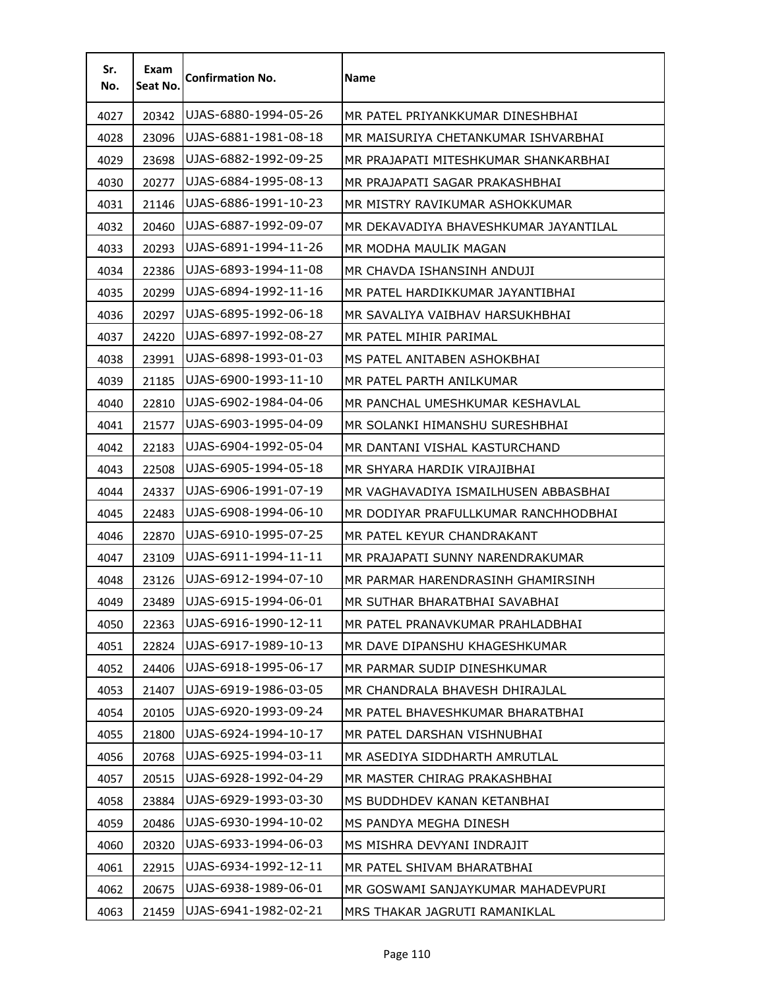| Sr.<br>No. | Exam<br>Seat No. | <b>Confirmation No.</b> | <b>Name</b>                           |
|------------|------------------|-------------------------|---------------------------------------|
| 4027       | 20342            | UJAS-6880-1994-05-26    | MR PATEL PRIYANKKUMAR DINESHBHAI      |
| 4028       | 23096            | UJAS-6881-1981-08-18    | MR MAISURIYA CHETANKUMAR ISHVARBHAI   |
| 4029       | 23698            | UJAS-6882-1992-09-25    | MR PRAJAPATI MITESHKUMAR SHANKARBHAI  |
| 4030       | 20277            | UJAS-6884-1995-08-13    | MR PRAJAPATI SAGAR PRAKASHBHAI        |
| 4031       | 21146            | UJAS-6886-1991-10-23    | MR MISTRY RAVIKUMAR ASHOKKUMAR        |
| 4032       | 20460            | UJAS-6887-1992-09-07    | MR DEKAVADIYA BHAVESHKUMAR JAYANTILAL |
| 4033       | 20293            | UJAS-6891-1994-11-26    | MR MODHA MAULIK MAGAN                 |
| 4034       | 22386            | UJAS-6893-1994-11-08    | MR CHAVDA ISHANSINH ANDUJI            |
| 4035       | 20299            | UJAS-6894-1992-11-16    | MR PATEL HARDIKKUMAR JAYANTIBHAI      |
| 4036       | 20297            | UJAS-6895-1992-06-18    | MR SAVALIYA VAIBHAV HARSUKHBHAI       |
| 4037       | 24220            | UJAS-6897-1992-08-27    | MR PATEL MIHIR PARIMAL                |
| 4038       | 23991            | UJAS-6898-1993-01-03    | MS PATEL ANITABEN ASHOKBHAI           |
| 4039       | 21185            | UJAS-6900-1993-11-10    | MR PATEL PARTH ANILKUMAR              |
| 4040       | 22810            | UJAS-6902-1984-04-06    | MR PANCHAL UMESHKUMAR KESHAVLAL       |
| 4041       | 21577            | UJAS-6903-1995-04-09    | MR SOLANKI HIMANSHU SURESHBHAI        |
| 4042       | 22183            | UJAS-6904-1992-05-04    | MR DANTANI VISHAL KASTURCHAND         |
| 4043       | 22508            | UJAS-6905-1994-05-18    | MR SHYARA HARDIK VIRAJIBHAI           |
| 4044       | 24337            | UJAS-6906-1991-07-19    | MR VAGHAVADIYA ISMAILHUSEN ABBASBHAI  |
| 4045       | 22483            | UJAS-6908-1994-06-10    | MR DODIYAR PRAFULLKUMAR RANCHHODBHAI  |
| 4046       | 22870            | UJAS-6910-1995-07-25    | MR PATEL KEYUR CHANDRAKANT            |
| 4047       | 23109            | UJAS-6911-1994-11-11    | MR PRAJAPATI SUNNY NARENDRAKUMAR      |
| 4048       | 23126            | UJAS-6912-1994-07-10    | MR PARMAR HARENDRASINH GHAMIRSINH     |
| 4049       | 23489            | UJAS-6915-1994-06-01    | MR SUTHAR BHARATBHAI SAVABHAI         |
| 4050       | 22363            | UJAS-6916-1990-12-11    | MR PATEL PRANAVKUMAR PRAHLADBHAI      |
| 4051       | 22824            | UJAS-6917-1989-10-13    | MR DAVE DIPANSHU KHAGESHKUMAR         |
| 4052       | 24406            | UJAS-6918-1995-06-17    | MR PARMAR SUDIP DINESHKUMAR           |
| 4053       | 21407            | UJAS-6919-1986-03-05    | MR CHANDRALA BHAVESH DHIRAJLAL        |
| 4054       | 20105            | UJAS-6920-1993-09-24    | MR PATEL BHAVESHKUMAR BHARATBHAI      |
| 4055       | 21800            | UJAS-6924-1994-10-17    | MR PATEL DARSHAN VISHNUBHAI           |
| 4056       | 20768            | UJAS-6925-1994-03-11    | MR ASEDIYA SIDDHARTH AMRUTLAL         |
| 4057       | 20515            | UJAS-6928-1992-04-29    | MR MASTER CHIRAG PRAKASHBHAI          |
| 4058       | 23884            | UJAS-6929-1993-03-30    | MS BUDDHDEV KANAN KETANBHAI           |
| 4059       | 20486            | UJAS-6930-1994-10-02    | MS PANDYA MEGHA DINESH                |
| 4060       | 20320            | UJAS-6933-1994-06-03    | MS MISHRA DEVYANI INDRAJIT            |
| 4061       | 22915            | UJAS-6934-1992-12-11    | MR PATEL SHIVAM BHARATBHAI            |
| 4062       | 20675            | UJAS-6938-1989-06-01    | MR GOSWAMI SANJAYKUMAR MAHADEVPURI    |
| 4063       | 21459            | UJAS-6941-1982-02-21    | MRS THAKAR JAGRUTI RAMANIKLAL         |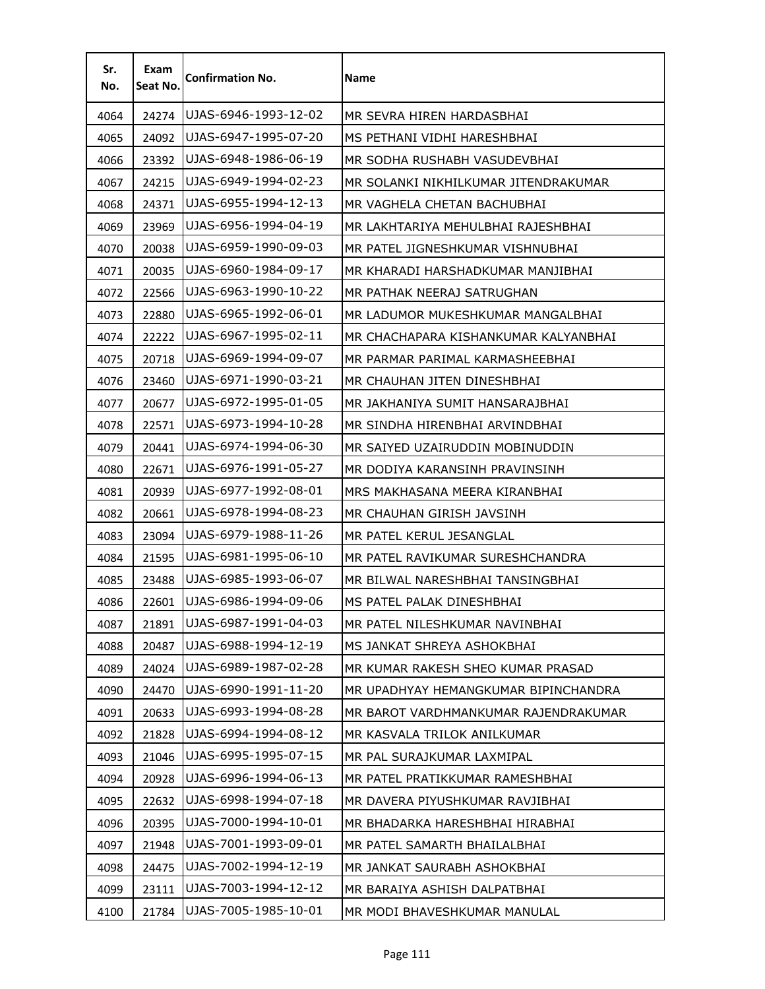| Sr.<br>No. | Exam<br>Seat No. | <b>Confirmation No.</b> | <b>Name</b>                          |
|------------|------------------|-------------------------|--------------------------------------|
| 4064       | 24274            | UJAS-6946-1993-12-02    | MR SEVRA HIREN HARDASBHAI            |
| 4065       | 24092            | UJAS-6947-1995-07-20    | MS PETHANI VIDHI HARESHBHAI          |
| 4066       | 23392            | UJAS-6948-1986-06-19    | MR SODHA RUSHABH VASUDEVBHAI         |
| 4067       | 24215            | UJAS-6949-1994-02-23    | MR SOLANKI NIKHILKUMAR JITENDRAKUMAR |
| 4068       | 24371            | UJAS-6955-1994-12-13    | MR VAGHELA CHETAN BACHUBHAI          |
| 4069       | 23969            | UJAS-6956-1994-04-19    | MR LAKHTARIYA MEHULBHAI RAJESHBHAI   |
| 4070       | 20038            | UJAS-6959-1990-09-03    | MR PATEL JIGNESHKUMAR VISHNUBHAI     |
| 4071       | 20035            | UJAS-6960-1984-09-17    | MR KHARADI HARSHADKUMAR MANJIBHAI    |
| 4072       | 22566            | UJAS-6963-1990-10-22    | MR PATHAK NEERAJ SATRUGHAN           |
| 4073       | 22880            | UJAS-6965-1992-06-01    | MR LADUMOR MUKESHKUMAR MANGALBHAI    |
| 4074       | 22222            | UJAS-6967-1995-02-11    | MR CHACHAPARA KISHANKUMAR KALYANBHAI |
| 4075       | 20718            | UJAS-6969-1994-09-07    | MR PARMAR PARIMAL KARMASHEEBHAI      |
| 4076       | 23460            | UJAS-6971-1990-03-21    | MR CHAUHAN JITEN DINESHBHAI          |
| 4077       | 20677            | UJAS-6972-1995-01-05    | MR JAKHANIYA SUMIT HANSARAJBHAI      |
| 4078       | 22571            | UJAS-6973-1994-10-28    | MR SINDHA HIRENBHAI ARVINDBHAI       |
| 4079       | 20441            | UJAS-6974-1994-06-30    | MR SAIYED UZAIRUDDIN MOBINUDDIN      |
| 4080       | 22671            | UJAS-6976-1991-05-27    | MR DODIYA KARANSINH PRAVINSINH       |
| 4081       | 20939            | UJAS-6977-1992-08-01    | MRS MAKHASANA MEERA KIRANBHAI        |
| 4082       | 20661            | UJAS-6978-1994-08-23    | MR CHAUHAN GIRISH JAVSINH            |
| 4083       | 23094            | UJAS-6979-1988-11-26    | MR PATEL KERUL JESANGLAL             |
| 4084       | 21595            | UJAS-6981-1995-06-10    | MR PATEL RAVIKUMAR SURESHCHANDRA     |
| 4085       | 23488            | UJAS-6985-1993-06-07    | MR BILWAL NARESHBHAI TANSINGBHAI     |
| 4086       | 22601            | UJAS-6986-1994-09-06    | MS PATEL PALAK DINESHBHAI            |
| 4087       | 21891            | UJAS-6987-1991-04-03    | MR PATEL NILESHKUMAR NAVINBHAI       |
| 4088       | 20487            | UJAS-6988-1994-12-19    | MS JANKAT SHREYA ASHOKBHAI           |
| 4089       | 24024            | UJAS-6989-1987-02-28    | MR KUMAR RAKESH SHEO KUMAR PRASAD    |
| 4090       | 24470            | UJAS-6990-1991-11-20    | MR UPADHYAY HEMANGKUMAR BIPINCHANDRA |
| 4091       | 20633            | UJAS-6993-1994-08-28    | MR BAROT VARDHMANKUMAR RAJENDRAKUMAR |
| 4092       | 21828            | UJAS-6994-1994-08-12    | MR KASVALA TRILOK ANILKUMAR          |
| 4093       | 21046            | UJAS-6995-1995-07-15    | MR PAL SURAJKUMAR LAXMIPAL           |
| 4094       | 20928            | UJAS-6996-1994-06-13    | MR PATEL PRATIKKUMAR RAMESHBHAI      |
| 4095       | 22632            | UJAS-6998-1994-07-18    | MR DAVERA PIYUSHKUMAR RAVJIBHAI      |
| 4096       | 20395            | UJAS-7000-1994-10-01    | MR BHADARKA HARESHBHAI HIRABHAI      |
| 4097       | 21948            | UJAS-7001-1993-09-01    | MR PATEL SAMARTH BHAILALBHAI         |
| 4098       | 24475            | UJAS-7002-1994-12-19    | MR JANKAT SAURABH ASHOKBHAI          |
| 4099       | 23111            | UJAS-7003-1994-12-12    | MR BARAIYA ASHISH DALPATBHAI         |
| 4100       | 21784            | UJAS-7005-1985-10-01    | MR MODI BHAVESHKUMAR MANULAL         |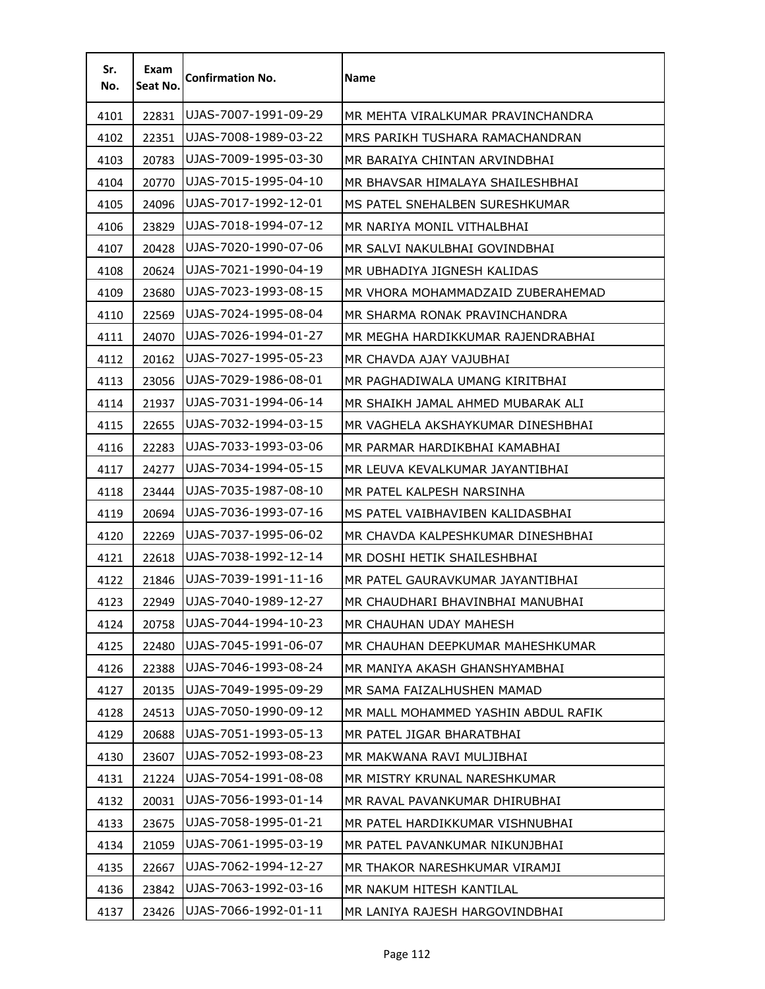| Sr.<br>No. | Exam<br>Seat No. | <b>Confirmation No.</b> | Name                                |
|------------|------------------|-------------------------|-------------------------------------|
| 4101       | 22831            | UJAS-7007-1991-09-29    | MR MEHTA VIRALKUMAR PRAVINCHANDRA   |
| 4102       | 22351            | UJAS-7008-1989-03-22    | MRS PARIKH TUSHARA RAMACHANDRAN     |
| 4103       | 20783            | UJAS-7009-1995-03-30    | MR BARAIYA CHINTAN ARVINDBHAI       |
| 4104       | 20770            | UJAS-7015-1995-04-10    | MR BHAVSAR HIMALAYA SHAILESHBHAI    |
| 4105       | 24096            | UJAS-7017-1992-12-01    | MS PATEL SNEHALBEN SURESHKUMAR      |
| 4106       | 23829            | UJAS-7018-1994-07-12    | MR NARIYA MONIL VITHALBHAI          |
| 4107       | 20428            | UJAS-7020-1990-07-06    | MR SALVI NAKULBHAI GOVINDBHAI       |
| 4108       | 20624            | UJAS-7021-1990-04-19    | MR UBHADIYA JIGNESH KALIDAS         |
| 4109       | 23680            | UJAS-7023-1993-08-15    | MR VHORA MOHAMMADZAID ZUBERAHEMAD   |
| 4110       | 22569            | UJAS-7024-1995-08-04    | MR SHARMA RONAK PRAVINCHANDRA       |
| 4111       | 24070            | UJAS-7026-1994-01-27    | MR MEGHA HARDIKKUMAR RAJENDRABHAI   |
| 4112       | 20162            | UJAS-7027-1995-05-23    | MR CHAVDA AJAY VAJUBHAI             |
| 4113       | 23056            | UJAS-7029-1986-08-01    | MR PAGHADIWALA UMANG KIRITBHAI      |
| 4114       | 21937            | UJAS-7031-1994-06-14    | MR SHAIKH JAMAL AHMED MUBARAK ALI   |
| 4115       | 22655            | UJAS-7032-1994-03-15    | MR VAGHELA AKSHAYKUMAR DINESHBHAI   |
| 4116       | 22283            | UJAS-7033-1993-03-06    | MR PARMAR HARDIKBHAI KAMABHAI       |
| 4117       | 24277            | UJAS-7034-1994-05-15    | MR LEUVA KEVALKUMAR JAYANTIBHAI     |
| 4118       | 23444            | UJAS-7035-1987-08-10    | MR PATEL KALPESH NARSINHA           |
| 4119       | 20694            | UJAS-7036-1993-07-16    | MS PATEL VAIBHAVIBEN KALIDASBHAI    |
| 4120       | 22269            | UJAS-7037-1995-06-02    | MR CHAVDA KALPESHKUMAR DINESHBHAI   |
| 4121       | 22618            | UJAS-7038-1992-12-14    | MR DOSHI HETIK SHAILESHBHAI         |
| 4122       | 21846            | UJAS-7039-1991-11-16    | MR PATEL GAURAVKUMAR JAYANTIBHAI    |
| 4123       | 22949            | UJAS-7040-1989-12-27    | MR CHAUDHARI BHAVINBHAI MANUBHAI    |
| 4124       | 20758            | UJAS-7044-1994-10-23    | MR CHAUHAN UDAY MAHESH              |
| 4125       | 22480            | UJAS-7045-1991-06-07    | MR CHAUHAN DEEPKUMAR MAHESHKUMAR    |
| 4126       | 22388            | UJAS-7046-1993-08-24    | MR MANIYA AKASH GHANSHYAMBHAI       |
| 4127       | 20135            | UJAS-7049-1995-09-29    | MR SAMA FAIZALHUSHEN MAMAD          |
| 4128       | 24513            | UJAS-7050-1990-09-12    | MR MALL MOHAMMED YASHIN ABDUL RAFIK |
| 4129       | 20688            | UJAS-7051-1993-05-13    | MR PATEL JIGAR BHARATBHAI           |
| 4130       | 23607            | UJAS-7052-1993-08-23    | MR MAKWANA RAVI MULJIBHAI           |
| 4131       | 21224            | UJAS-7054-1991-08-08    | MR MISTRY KRUNAL NARESHKUMAR        |
| 4132       | 20031            | UJAS-7056-1993-01-14    | MR RAVAL PAVANKUMAR DHIRUBHAI       |
| 4133       | 23675            | UJAS-7058-1995-01-21    | MR PATEL HARDIKKUMAR VISHNUBHAI     |
| 4134       | 21059            | UJAS-7061-1995-03-19    | MR PATEL PAVANKUMAR NIKUNJBHAI      |
| 4135       | 22667            | UJAS-7062-1994-12-27    | MR THAKOR NARESHKUMAR VIRAMJI       |
| 4136       | 23842            | UJAS-7063-1992-03-16    | MR NAKUM HITESH KANTILAL            |
| 4137       | 23426            | UJAS-7066-1992-01-11    | MR LANIYA RAJESH HARGOVINDBHAI      |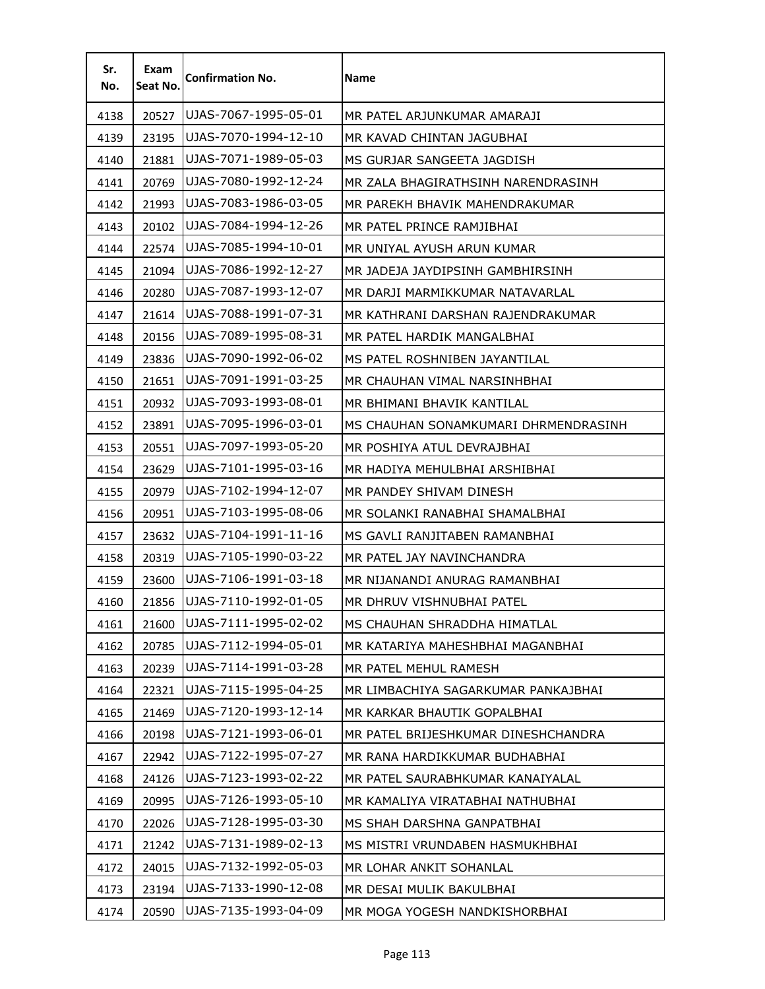| Sr.<br>No. | Exam<br>Seat No. | <b>Confirmation No.</b> | Name                                 |
|------------|------------------|-------------------------|--------------------------------------|
| 4138       | 20527            | UJAS-7067-1995-05-01    | MR PATEL ARJUNKUMAR AMARAJI          |
| 4139       | 23195            | UJAS-7070-1994-12-10    | MR KAVAD CHINTAN JAGUBHAI            |
| 4140       | 21881            | UJAS-7071-1989-05-03    | MS GURJAR SANGEETA JAGDISH           |
| 4141       | 20769            | UJAS-7080-1992-12-24    | MR ZALA BHAGIRATHSINH NARENDRASINH   |
| 4142       | 21993            | UJAS-7083-1986-03-05    | MR PAREKH BHAVIK MAHENDRAKUMAR       |
| 4143       | 20102            | UJAS-7084-1994-12-26    | MR PATEL PRINCE RAMJIBHAI            |
| 4144       | 22574            | UJAS-7085-1994-10-01    | MR UNIYAL AYUSH ARUN KUMAR           |
| 4145       | 21094            | UJAS-7086-1992-12-27    | MR JADEJA JAYDIPSINH GAMBHIRSINH     |
| 4146       | 20280            | UJAS-7087-1993-12-07    | MR DARJI MARMIKKUMAR NATAVARLAL      |
| 4147       | 21614            | UJAS-7088-1991-07-31    | MR KATHRANI DARSHAN RAJENDRAKUMAR    |
| 4148       | 20156            | UJAS-7089-1995-08-31    | MR PATEL HARDIK MANGALBHAI           |
| 4149       | 23836            | UJAS-7090-1992-06-02    | MS PATEL ROSHNIBEN JAYANTILAL        |
| 4150       | 21651            | UJAS-7091-1991-03-25    | MR CHAUHAN VIMAL NARSINHBHAI         |
| 4151       | 20932            | UJAS-7093-1993-08-01    | MR BHIMANI BHAVIK KANTILAL           |
| 4152       | 23891            | UJAS-7095-1996-03-01    | MS CHAUHAN SONAMKUMARI DHRMENDRASINH |
| 4153       | 20551            | UJAS-7097-1993-05-20    | MR POSHIYA ATUL DEVRAJBHAI           |
| 4154       | 23629            | UJAS-7101-1995-03-16    | MR HADIYA MEHULBHAI ARSHIBHAI        |
| 4155       | 20979            | UJAS-7102-1994-12-07    | MR PANDEY SHIVAM DINESH              |
| 4156       | 20951            | UJAS-7103-1995-08-06    | MR SOLANKI RANABHAI SHAMALBHAI       |
| 4157       | 23632            | UJAS-7104-1991-11-16    | MS GAVLI RANJITABEN RAMANBHAI        |
| 4158       | 20319            | UJAS-7105-1990-03-22    | MR PATEL JAY NAVINCHANDRA            |
| 4159       | 23600            | UJAS-7106-1991-03-18    | MR NIJANANDI ANURAG RAMANBHAI        |
| 4160       | 21856            | UJAS-7110-1992-01-05    | MR DHRUV VISHNUBHAI PATEL            |
| 4161       | 21600            | UJAS-7111-1995-02-02    | MS CHAUHAN SHRADDHA HIMATLAL         |
| 4162       | 20785            | UJAS-7112-1994-05-01    | MR KATARIYA MAHESHBHAI MAGANBHAI     |
| 4163       | 20239            | UJAS-7114-1991-03-28    | MR PATEL MEHUL RAMESH                |
| 4164       | 22321            | UJAS-7115-1995-04-25    | MR LIMBACHIYA SAGARKUMAR PANKAJBHAI  |
| 4165       | 21469            | UJAS-7120-1993-12-14    | MR KARKAR BHAUTIK GOPALBHAI          |
| 4166       | 20198            | UJAS-7121-1993-06-01    | MR PATEL BRIJESHKUMAR DINESHCHANDRA  |
| 4167       | 22942            | UJAS-7122-1995-07-27    | MR RANA HARDIKKUMAR BUDHABHAI        |
| 4168       | 24126            | UJAS-7123-1993-02-22    | MR PATEL SAURABHKUMAR KANAIYALAL     |
| 4169       | 20995            | UJAS-7126-1993-05-10    | MR KAMALIYA VIRATABHAI NATHUBHAI     |
| 4170       | 22026            | UJAS-7128-1995-03-30    | MS SHAH DARSHNA GANPATBHAI           |
| 4171       | 21242            | UJAS-7131-1989-02-13    | MS MISTRI VRUNDABEN HASMUKHBHAI      |
| 4172       | 24015            | UJAS-7132-1992-05-03    | MR LOHAR ANKIT SOHANLAL              |
| 4173       | 23194            | UJAS-7133-1990-12-08    | MR DESAI MULIK BAKULBHAI             |
| 4174       | 20590            | UJAS-7135-1993-04-09    | MR MOGA YOGESH NANDKISHORBHAI        |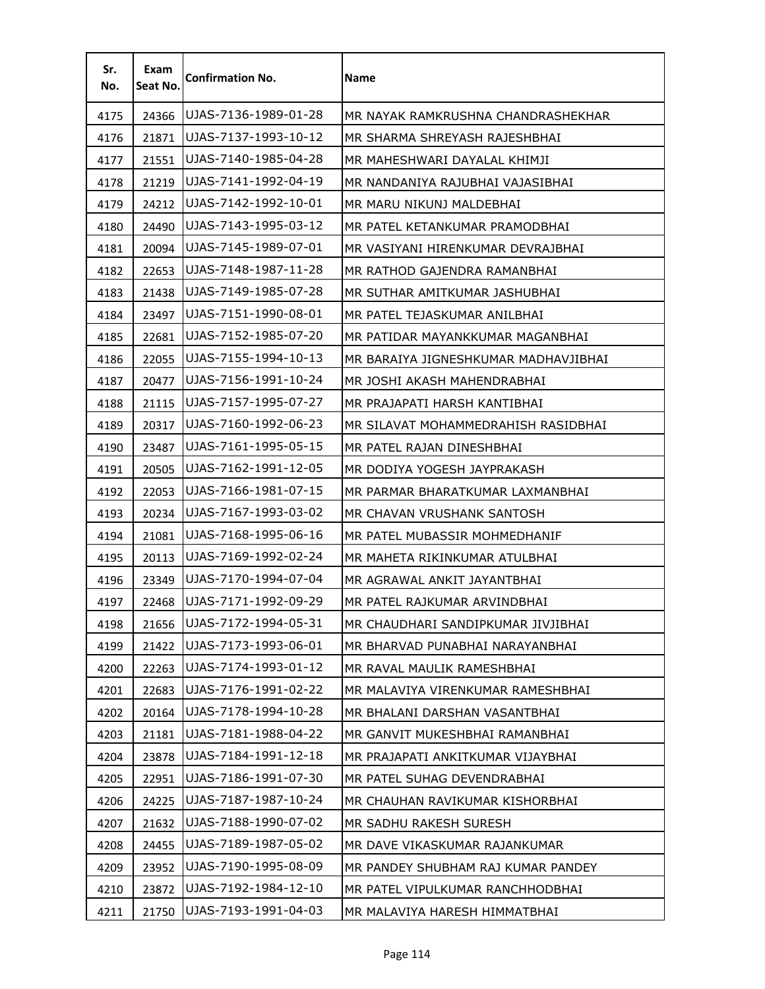| Sr.<br>No. | Exam<br>Seat No. | <b>Confirmation No.</b> | <b>Name</b>                          |
|------------|------------------|-------------------------|--------------------------------------|
| 4175       | 24366            | UJAS-7136-1989-01-28    | MR NAYAK RAMKRUSHNA CHANDRASHEKHAR   |
| 4176       | 21871            | UJAS-7137-1993-10-12    | MR SHARMA SHREYASH RAJESHBHAI        |
| 4177       | 21551            | UJAS-7140-1985-04-28    | MR MAHESHWARI DAYALAL KHIMJI         |
| 4178       | 21219            | UJAS-7141-1992-04-19    | MR NANDANIYA RAJUBHAI VAJASIBHAI     |
| 4179       | 24212            | UJAS-7142-1992-10-01    | MR MARU NIKUNJ MALDEBHAI             |
| 4180       | 24490            | UJAS-7143-1995-03-12    | MR PATEL KETANKUMAR PRAMODBHAI       |
| 4181       | 20094            | UJAS-7145-1989-07-01    | MR VASIYANI HIRENKUMAR DEVRAJBHAI    |
| 4182       | 22653            | UJAS-7148-1987-11-28    | MR RATHOD GAJENDRA RAMANBHAI         |
| 4183       | 21438            | UJAS-7149-1985-07-28    | MR SUTHAR AMITKUMAR JASHUBHAI        |
| 4184       | 23497            | UJAS-7151-1990-08-01    | MR PATEL TEJASKUMAR ANILBHAI         |
| 4185       | 22681            | UJAS-7152-1985-07-20    | MR PATIDAR MAYANKKUMAR MAGANBHAI     |
| 4186       | 22055            | UJAS-7155-1994-10-13    | MR BARAIYA JIGNESHKUMAR MADHAVJIBHAI |
| 4187       | 20477            | UJAS-7156-1991-10-24    | MR JOSHI AKASH MAHENDRABHAI          |
| 4188       | 21115            | UJAS-7157-1995-07-27    | MR PRAJAPATI HARSH KANTIBHAI         |
| 4189       | 20317            | UJAS-7160-1992-06-23    | MR SILAVAT MOHAMMEDRAHISH RASIDBHAI  |
| 4190       | 23487            | UJAS-7161-1995-05-15    | MR PATEL RAJAN DINESHBHAI            |
| 4191       | 20505            | UJAS-7162-1991-12-05    | MR DODIYA YOGESH JAYPRAKASH          |
| 4192       | 22053            | UJAS-7166-1981-07-15    | MR PARMAR BHARATKUMAR LAXMANBHAI     |
| 4193       | 20234            | UJAS-7167-1993-03-02    | MR CHAVAN VRUSHANK SANTOSH           |
| 4194       | 21081            | UJAS-7168-1995-06-16    | MR PATEL MUBASSIR MOHMEDHANIF        |
| 4195       | 20113            | UJAS-7169-1992-02-24    | MR MAHETA RIKINKUMAR ATULBHAI        |
| 4196       | 23349            | UJAS-7170-1994-07-04    | MR AGRAWAL ANKIT JAYANTBHAI          |
| 4197       | 22468            | UJAS-7171-1992-09-29    | MR PATEL RAJKUMAR ARVINDBHAI         |
| 4198       | 21656            | UJAS-7172-1994-05-31    | MR CHAUDHARI SANDIPKUMAR JIVJIBHAI   |
| 4199       | 21422            | UJAS-7173-1993-06-01    | MR BHARVAD PUNABHAI NARAYANBHAI      |
| 4200       | 22263            | UJAS-7174-1993-01-12    | MR RAVAL MAULIK RAMESHBHAI           |
| 4201       | 22683            | UJAS-7176-1991-02-22    | MR MALAVIYA VIRENKUMAR RAMESHBHAI    |
| 4202       | 20164            | UJAS-7178-1994-10-28    | MR BHALANI DARSHAN VASANTBHAI        |
| 4203       | 21181            | UJAS-7181-1988-04-22    | MR GANVIT MUKESHBHAI RAMANBHAI       |
| 4204       | 23878            | UJAS-7184-1991-12-18    | MR PRAJAPATI ANKITKUMAR VIJAYBHAI    |
| 4205       | 22951            | UJAS-7186-1991-07-30    | MR PATEL SUHAG DEVENDRABHAI          |
| 4206       | 24225            | UJAS-7187-1987-10-24    | MR CHAUHAN RAVIKUMAR KISHORBHAI      |
| 4207       | 21632            | UJAS-7188-1990-07-02    | MR SADHU RAKESH SURESH               |
| 4208       | 24455            | UJAS-7189-1987-05-02    | MR DAVE VIKASKUMAR RAJANKUMAR        |
| 4209       | 23952            | UJAS-7190-1995-08-09    | MR PANDEY SHUBHAM RAJ KUMAR PANDEY   |
| 4210       | 23872            | UJAS-7192-1984-12-10    | MR PATEL VIPULKUMAR RANCHHODBHAI     |
| 4211       | 21750            | UJAS-7193-1991-04-03    | MR MALAVIYA HARESH HIMMATBHAI        |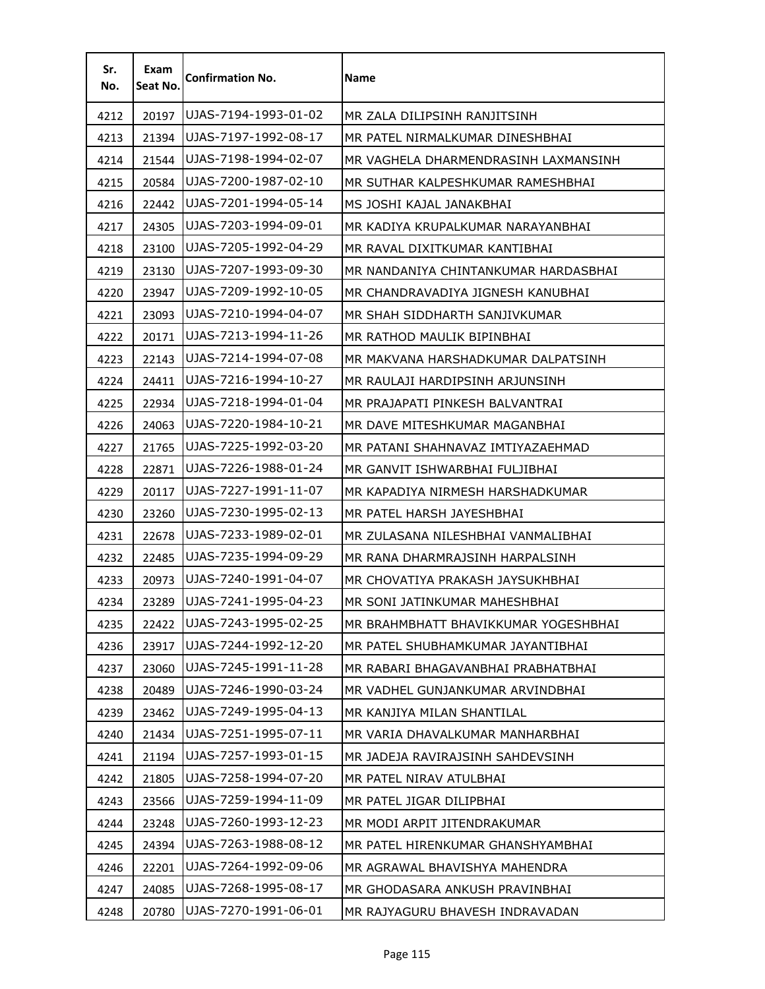| Sr.<br>No. | Exam<br>Seat No. | <b>Confirmation No.</b> | Name                                 |
|------------|------------------|-------------------------|--------------------------------------|
| 4212       | 20197            | UJAS-7194-1993-01-02    | MR ZALA DILIPSINH RANJITSINH         |
| 4213       | 21394            | UJAS-7197-1992-08-17    | MR PATEL NIRMALKUMAR DINESHBHAI      |
| 4214       | 21544            | UJAS-7198-1994-02-07    | MR VAGHELA DHARMENDRASINH LAXMANSINH |
| 4215       | 20584            | UJAS-7200-1987-02-10    | MR SUTHAR KALPESHKUMAR RAMESHBHAI    |
| 4216       | 22442            | UJAS-7201-1994-05-14    | MS JOSHI KAJAL JANAKBHAI             |
| 4217       | 24305            | UJAS-7203-1994-09-01    | MR KADIYA KRUPALKUMAR NARAYANBHAI    |
| 4218       | 23100            | UJAS-7205-1992-04-29    | MR RAVAL DIXITKUMAR KANTIBHAI        |
| 4219       | 23130            | UJAS-7207-1993-09-30    | MR NANDANIYA CHINTANKUMAR HARDASBHAI |
| 4220       | 23947            | UJAS-7209-1992-10-05    | MR CHANDRAVADIYA JIGNESH KANUBHAI    |
| 4221       | 23093            | UJAS-7210-1994-04-07    | MR SHAH SIDDHARTH SANJIVKUMAR        |
| 4222       | 20171            | UJAS-7213-1994-11-26    | MR RATHOD MAULIK BIPINBHAI           |
| 4223       | 22143            | UJAS-7214-1994-07-08    | MR MAKVANA HARSHADKUMAR DALPATSINH   |
| 4224       | 24411            | UJAS-7216-1994-10-27    | MR RAULAJI HARDIPSINH ARJUNSINH      |
| 4225       | 22934            | UJAS-7218-1994-01-04    | MR PRAJAPATI PINKESH BALVANTRAI      |
| 4226       | 24063            | UJAS-7220-1984-10-21    | MR DAVE MITESHKUMAR MAGANBHAI        |
| 4227       | 21765            | UJAS-7225-1992-03-20    | MR PATANI SHAHNAVAZ IMTIYAZAEHMAD    |
| 4228       | 22871            | UJAS-7226-1988-01-24    | MR GANVIT ISHWARBHAI FULJIBHAI       |
| 4229       | 20117            | UJAS-7227-1991-11-07    | MR KAPADIYA NIRMESH HARSHADKUMAR     |
| 4230       | 23260            | UJAS-7230-1995-02-13    | MR PATEL HARSH JAYESHBHAI            |
| 4231       | 22678            | UJAS-7233-1989-02-01    | MR ZULASANA NILESHBHAI VANMALIBHAI   |
| 4232       | 22485            | UJAS-7235-1994-09-29    | MR RANA DHARMRAJSINH HARPALSINH      |
| 4233       | 20973            | UJAS-7240-1991-04-07    | MR CHOVATIYA PRAKASH JAYSUKHBHAI     |
| 4234       | 23289            | UJAS-7241-1995-04-23    | MR SONI JATINKUMAR MAHESHBHAI        |
| 4235       | 22422            | UJAS-7243-1995-02-25    | MR BRAHMBHATT BHAVIKKUMAR YOGESHBHAI |
| 4236       | 23917            | UJAS-7244-1992-12-20    | MR PATEL SHUBHAMKUMAR JAYANTIBHAI    |
| 4237       | 23060            | UJAS-7245-1991-11-28    | MR RABARI BHAGAVANBHAI PRABHATBHAI   |
| 4238       | 20489            | UJAS-7246-1990-03-24    | MR VADHEL GUNJANKUMAR ARVINDBHAI     |
| 4239       | 23462            | UJAS-7249-1995-04-13    | MR KANJIYA MILAN SHANTILAL           |
| 4240       | 21434            | UJAS-7251-1995-07-11    | MR VARIA DHAVALKUMAR MANHARBHAI      |
| 4241       | 21194            | UJAS-7257-1993-01-15    | MR JADEJA RAVIRAJSINH SAHDEVSINH     |
| 4242       | 21805            | UJAS-7258-1994-07-20    | MR PATEL NIRAV ATULBHAI              |
| 4243       | 23566            | UJAS-7259-1994-11-09    | MR PATEL JIGAR DILIPBHAI             |
| 4244       | 23248            | UJAS-7260-1993-12-23    | MR MODI ARPIT JITENDRAKUMAR          |
| 4245       | 24394            | UJAS-7263-1988-08-12    | MR PATEL HIRENKUMAR GHANSHYAMBHAI    |
| 4246       | 22201            | UJAS-7264-1992-09-06    | MR AGRAWAL BHAVISHYA MAHENDRA        |
| 4247       | 24085            | UJAS-7268-1995-08-17    | MR GHODASARA ANKUSH PRAVINBHAI       |
| 4248       | 20780            | UJAS-7270-1991-06-01    | MR RAJYAGURU BHAVESH INDRAVADAN      |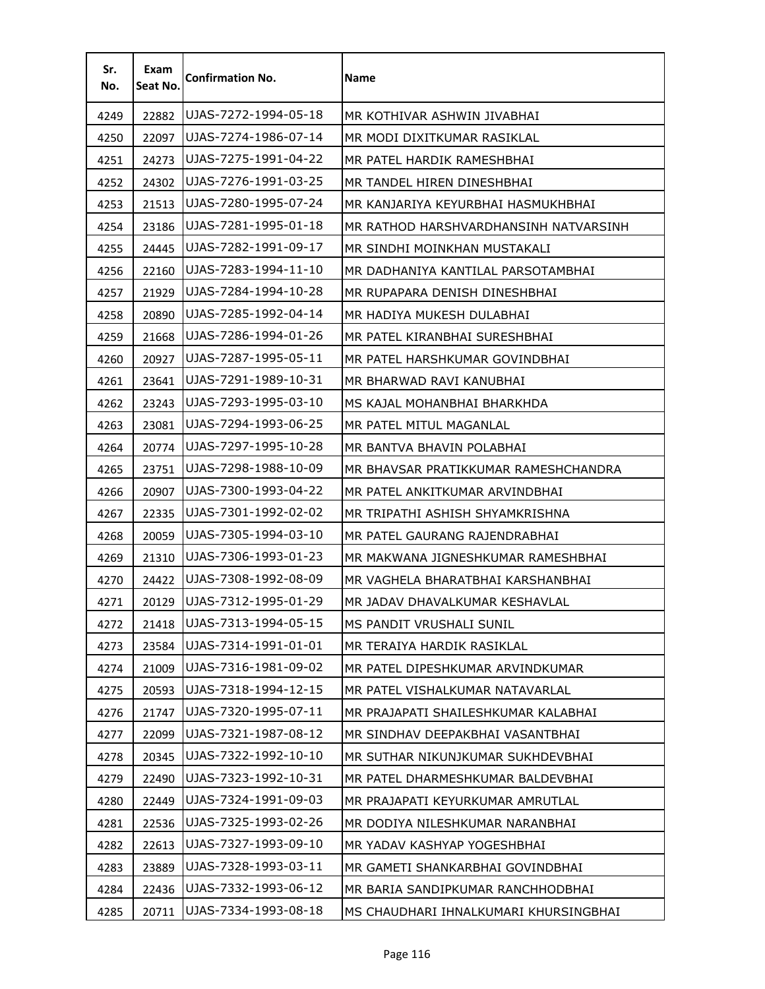| Sr.<br>No. | Exam<br>Seat No. | <b>Confirmation No.</b> | Name                                  |
|------------|------------------|-------------------------|---------------------------------------|
| 4249       | 22882            | UJAS-7272-1994-05-18    | MR KOTHIVAR ASHWIN JIVABHAI           |
| 4250       | 22097            | UJAS-7274-1986-07-14    | MR MODI DIXITKUMAR RASIKLAL           |
| 4251       | 24273            | UJAS-7275-1991-04-22    | MR PATEL HARDIK RAMESHBHAI            |
| 4252       | 24302            | UJAS-7276-1991-03-25    | MR TANDEL HIREN DINESHBHAI            |
| 4253       | 21513            | UJAS-7280-1995-07-24    | MR KANJARIYA KEYURBHAI HASMUKHBHAI    |
| 4254       | 23186            | UJAS-7281-1995-01-18    | MR RATHOD HARSHVARDHANSINH NATVARSINH |
| 4255       | 24445            | UJAS-7282-1991-09-17    | MR SINDHI MOINKHAN MUSTAKALI          |
| 4256       | 22160            | UJAS-7283-1994-11-10    | MR DADHANIYA KANTILAL PARSOTAMBHAI    |
| 4257       | 21929            | UJAS-7284-1994-10-28    | MR RUPAPARA DENISH DINESHBHAI         |
| 4258       | 20890            | UJAS-7285-1992-04-14    | MR HADIYA MUKESH DULABHAI             |
| 4259       | 21668            | UJAS-7286-1994-01-26    | MR PATEL KIRANBHAI SURESHBHAI         |
| 4260       | 20927            | UJAS-7287-1995-05-11    | MR PATEL HARSHKUMAR GOVINDBHAI        |
| 4261       | 23641            | UJAS-7291-1989-10-31    | MR BHARWAD RAVI KANUBHAI              |
| 4262       | 23243            | UJAS-7293-1995-03-10    | MS KAJAL MOHANBHAI BHARKHDA           |
| 4263       | 23081            | UJAS-7294-1993-06-25    | MR PATEL MITUL MAGANLAL               |
| 4264       | 20774            | UJAS-7297-1995-10-28    | MR BANTVA BHAVIN POLABHAI             |
| 4265       | 23751            | UJAS-7298-1988-10-09    | MR BHAVSAR PRATIKKUMAR RAMESHCHANDRA  |
| 4266       | 20907            | UJAS-7300-1993-04-22    | MR PATEL ANKITKUMAR ARVINDBHAI        |
| 4267       | 22335            | UJAS-7301-1992-02-02    | MR TRIPATHI ASHISH SHYAMKRISHNA       |
| 4268       | 20059            | UJAS-7305-1994-03-10    | MR PATEL GAURANG RAJENDRABHAI         |
| 4269       | 21310            | UJAS-7306-1993-01-23    | MR MAKWANA JIGNESHKUMAR RAMESHBHAI    |
| 4270       | 24422            | UJAS-7308-1992-08-09    | MR VAGHELA BHARATBHAI KARSHANBHAI     |
| 4271       | 20129            | UJAS-7312-1995-01-29    | MR JADAV DHAVALKUMAR KESHAVLAL        |
| 4272       | 21418            | UJAS-7313-1994-05-15    | MS PANDIT VRUSHALI SUNIL              |
| 4273       | 23584            | UJAS-7314-1991-01-01    | MR TERAIYA HARDIK RASIKLAL            |
| 4274       | 21009            | UJAS-7316-1981-09-02    | MR PATEL DIPESHKUMAR ARVINDKUMAR      |
| 4275       | 20593            | UJAS-7318-1994-12-15    | MR PATEL VISHALKUMAR NATAVARLAL       |
| 4276       | 21747            | UJAS-7320-1995-07-11    | MR PRAJAPATI SHAILESHKUMAR KALABHAI   |
| 4277       | 22099            | UJAS-7321-1987-08-12    | MR SINDHAV DEEPAKBHAI VASANTBHAI      |
| 4278       | 20345            | UJAS-7322-1992-10-10    | MR SUTHAR NIKUNJKUMAR SUKHDEVBHAI     |
| 4279       | 22490            | UJAS-7323-1992-10-31    | MR PATEL DHARMESHKUMAR BALDEVBHAI     |
| 4280       | 22449            | UJAS-7324-1991-09-03    | MR PRAJAPATI KEYURKUMAR AMRUTLAL      |
| 4281       | 22536            | UJAS-7325-1993-02-26    | MR DODIYA NILESHKUMAR NARANBHAI       |
| 4282       | 22613            | UJAS-7327-1993-09-10    | MR YADAV KASHYAP YOGESHBHAI           |
| 4283       | 23889            | UJAS-7328-1993-03-11    | MR GAMETI SHANKARBHAI GOVINDBHAI      |
| 4284       | 22436            | UJAS-7332-1993-06-12    | MR BARIA SANDIPKUMAR RANCHHODBHAI     |
| 4285       | 20711            | UJAS-7334-1993-08-18    | MS CHAUDHARI IHNALKUMARI KHURSINGBHAI |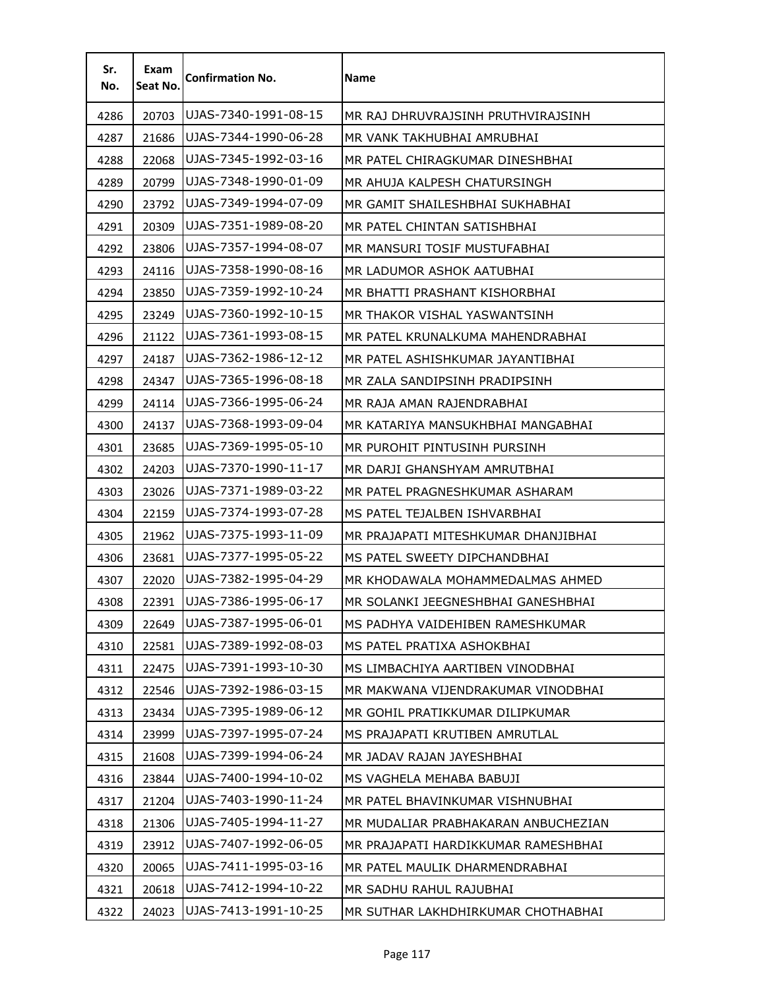| Sr.<br>No. | Exam<br>Seat No. | <b>Confirmation No.</b> | Name                                |
|------------|------------------|-------------------------|-------------------------------------|
| 4286       | 20703            | UJAS-7340-1991-08-15    | MR RAJ DHRUVRAJSINH PRUTHVIRAJSINH  |
| 4287       | 21686            | UJAS-7344-1990-06-28    | MR VANK TAKHUBHAI AMRUBHAI          |
| 4288       | 22068            | UJAS-7345-1992-03-16    | MR PATEL CHIRAGKUMAR DINESHBHAI     |
| 4289       | 20799            | UJAS-7348-1990-01-09    | MR AHUJA KALPESH CHATURSINGH        |
| 4290       | 23792            | UJAS-7349-1994-07-09    | MR GAMIT SHAILESHBHAI SUKHABHAI     |
| 4291       | 20309            | UJAS-7351-1989-08-20    | MR PATEL CHINTAN SATISHBHAI         |
| 4292       | 23806            | UJAS-7357-1994-08-07    | MR MANSURI TOSIF MUSTUFABHAI        |
| 4293       | 24116            | UJAS-7358-1990-08-16    | MR LADUMOR ASHOK AATUBHAI           |
| 4294       | 23850            | UJAS-7359-1992-10-24    | MR BHATTI PRASHANT KISHORBHAI       |
| 4295       | 23249            | UJAS-7360-1992-10-15    | MR THAKOR VISHAL YASWANTSINH        |
| 4296       | 21122            | UJAS-7361-1993-08-15    | MR PATEL KRUNALKUMA MAHENDRABHAI    |
| 4297       | 24187            | UJAS-7362-1986-12-12    | MR PATEL ASHISHKUMAR JAYANTIBHAI    |
| 4298       | 24347            | UJAS-7365-1996-08-18    | MR ZALA SANDIPSINH PRADIPSINH       |
| 4299       | 24114            | UJAS-7366-1995-06-24    | MR RAJA AMAN RAJENDRABHAI           |
| 4300       | 24137            | UJAS-7368-1993-09-04    | MR KATARIYA MANSUKHBHAI MANGABHAI   |
| 4301       | 23685            | UJAS-7369-1995-05-10    | MR PUROHIT PINTUSINH PURSINH        |
| 4302       | 24203            | UJAS-7370-1990-11-17    | MR DARJI GHANSHYAM AMRUTBHAI        |
| 4303       | 23026            | UJAS-7371-1989-03-22    | MR PATEL PRAGNESHKUMAR ASHARAM      |
| 4304       | 22159            | UJAS-7374-1993-07-28    | MS PATEL TEJALBEN ISHVARBHAI        |
| 4305       | 21962            | UJAS-7375-1993-11-09    | MR PRAJAPATI MITESHKUMAR DHANJIBHAI |
| 4306       | 23681            | UJAS-7377-1995-05-22    | MS PATEL SWEETY DIPCHANDBHAI        |
| 4307       | 22020            | UJAS-7382-1995-04-29    | MR KHODAWALA MOHAMMEDALMAS AHMED    |
| 4308       | 22391            | UJAS-7386-1995-06-17    | MR SOLANKI JEEGNESHBHAI GANESHBHAI  |
| 4309       | 22649            | UJAS-7387-1995-06-01    | MS PADHYA VAIDEHIBEN RAMESHKUMAR    |
| 4310       | 22581            | UJAS-7389-1992-08-03    | MS PATEL PRATIXA ASHOKBHAI          |
| 4311       | 22475            | UJAS-7391-1993-10-30    | MS LIMBACHIYA AARTIBEN VINODBHAI    |
| 4312       | 22546            | UJAS-7392-1986-03-15    | MR MAKWANA VIJENDRAKUMAR VINODBHAI  |
| 4313       | 23434            | UJAS-7395-1989-06-12    | MR GOHIL PRATIKKUMAR DILIPKUMAR     |
| 4314       | 23999            | UJAS-7397-1995-07-24    | MS PRAJAPATI KRUTIBEN AMRUTLAL      |
| 4315       | 21608            | UJAS-7399-1994-06-24    | MR JADAV RAJAN JAYESHBHAI           |
| 4316       | 23844            | UJAS-7400-1994-10-02    | MS VAGHELA MEHABA BABUJI            |
| 4317       | 21204            | UJAS-7403-1990-11-24    | MR PATEL BHAVINKUMAR VISHNUBHAI     |
| 4318       | 21306            | UJAS-7405-1994-11-27    | MR MUDALIAR PRABHAKARAN ANBUCHEZIAN |
| 4319       | 23912            | UJAS-7407-1992-06-05    | MR PRAJAPATI HARDIKKUMAR RAMESHBHAI |
| 4320       | 20065            | UJAS-7411-1995-03-16    | MR PATEL MAULIK DHARMENDRABHAI      |
| 4321       | 20618            | UJAS-7412-1994-10-22    | MR SADHU RAHUL RAJUBHAI             |
| 4322       | 24023            | UJAS-7413-1991-10-25    | MR SUTHAR LAKHDHIRKUMAR CHOTHABHAI  |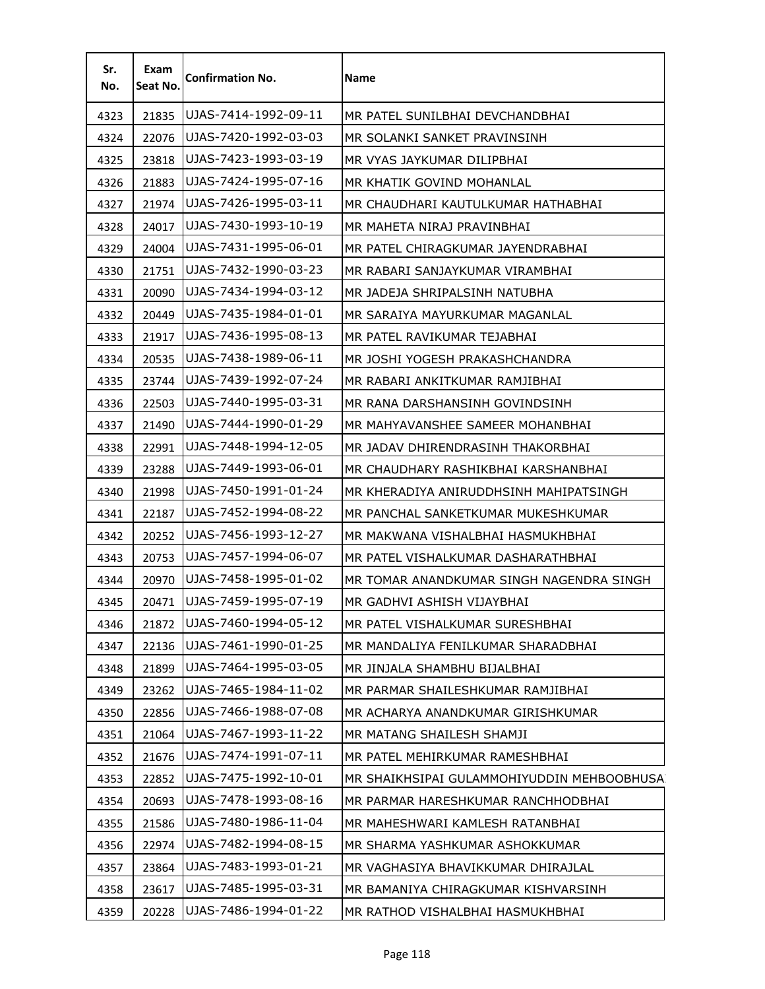| Sr.<br>No. | Exam<br>Seat No. | <b>Confirmation No.</b> | Name                                       |
|------------|------------------|-------------------------|--------------------------------------------|
| 4323       | 21835            | UJAS-7414-1992-09-11    | MR PATEL SUNILBHAI DEVCHANDBHAI            |
| 4324       | 22076            | UJAS-7420-1992-03-03    | MR SOLANKI SANKET PRAVINSINH               |
| 4325       | 23818            | UJAS-7423-1993-03-19    | MR VYAS JAYKUMAR DILIPBHAI                 |
| 4326       | 21883            | UJAS-7424-1995-07-16    | MR KHATIK GOVIND MOHANLAL                  |
| 4327       | 21974            | UJAS-7426-1995-03-11    | MR CHAUDHARI KAUTULKUMAR HATHABHAI         |
| 4328       | 24017            | UJAS-7430-1993-10-19    | MR MAHETA NIRAJ PRAVINBHAI                 |
| 4329       | 24004            | UJAS-7431-1995-06-01    | MR PATEL CHIRAGKUMAR JAYENDRABHAI          |
| 4330       | 21751            | IUJAS-7432-1990-03-23   | MR RABARI SANJAYKUMAR VIRAMBHAI            |
| 4331       | 20090            | UJAS-7434-1994-03-12    | MR JADEJA SHRIPALSINH NATUBHA              |
| 4332       | 20449            | UJAS-7435-1984-01-01    | MR SARAIYA MAYURKUMAR MAGANLAL             |
| 4333       | 21917            | UJAS-7436-1995-08-13    | MR PATEL RAVIKUMAR TEJABHAI                |
| 4334       | 20535            | UJAS-7438-1989-06-11    | MR JOSHI YOGESH PRAKASHCHANDRA             |
| 4335       | 23744            | UJAS-7439-1992-07-24    | MR RABARI ANKITKUMAR RAMJIBHAI             |
| 4336       | 22503            | lUJAS-7440-1995-03-31   | MR RANA DARSHANSINH GOVINDSINH             |
| 4337       | 21490            | UJAS-7444-1990-01-29    | MR MAHYAVANSHEE SAMEER MOHANBHAI           |
| 4338       | 22991            | UJAS-7448-1994-12-05    | MR JADAV DHIRENDRASINH THAKORBHAI          |
| 4339       | 23288            | UJAS-7449-1993-06-01    | MR CHAUDHARY RASHIKBHAI KARSHANBHAI        |
| 4340       | 21998            | UJAS-7450-1991-01-24    | MR KHERADIYA ANIRUDDHSINH MAHIPATSINGH     |
| 4341       | 22187            | IUJAS-7452-1994-08-22   | MR PANCHAL SANKETKUMAR MUKESHKUMAR         |
| 4342       | 20252            | lUJAS-7456-1993-12-27   | MR MAKWANA VISHALBHAI HASMUKHBHAI          |
| 4343       | 20753            | UJAS-7457-1994-06-07    | MR PATEL VISHALKUMAR DASHARATHBHAI         |
| 4344       | 20970            | UJAS-7458-1995-01-02    | MR TOMAR ANANDKUMAR SINGH NAGENDRA SINGH   |
| 4345       | 20471            | UJAS-7459-1995-07-19    | MR GADHVI ASHISH VIJAYBHAI                 |
| 4346       | 21872            | UJAS-7460-1994-05-12    | MR PATEL VISHALKUMAR SURESHBHAI            |
| 4347       | 22136            | UJAS-7461-1990-01-25    | MR MANDALIYA FENILKUMAR SHARADBHAI         |
| 4348       | 21899            | UJAS-7464-1995-03-05    | MR JINJALA SHAMBHU BIJALBHAI               |
| 4349       | 23262            | UJAS-7465-1984-11-02    | MR PARMAR SHAILESHKUMAR RAMJIBHAI          |
| 4350       | 22856            | UJAS-7466-1988-07-08    | MR ACHARYA ANANDKUMAR GIRISHKUMAR          |
| 4351       | 21064            | UJAS-7467-1993-11-22    | MR MATANG SHAILESH SHAMJI                  |
| 4352       | 21676            | UJAS-7474-1991-07-11    | MR PATEL MEHIRKUMAR RAMESHBHAI             |
| 4353       | 22852            | UJAS-7475-1992-10-01    | MR SHAIKHSIPAI GULAMMOHIYUDDIN MEHBOOBHUSA |
| 4354       | 20693            | UJAS-7478-1993-08-16    | MR PARMAR HARESHKUMAR RANCHHODBHAI         |
| 4355       | 21586            | UJAS-7480-1986-11-04    | MR MAHESHWARI KAMLESH RATANBHAI            |
| 4356       | 22974            | UJAS-7482-1994-08-15    | MR SHARMA YASHKUMAR ASHOKKUMAR             |
| 4357       | 23864            | UJAS-7483-1993-01-21    | MR VAGHASIYA BHAVIKKUMAR DHIRAJLAL         |
| 4358       | 23617            | UJAS-7485-1995-03-31    | MR BAMANIYA CHIRAGKUMAR KISHVARSINH        |
| 4359       | 20228            | UJAS-7486-1994-01-22    | MR RATHOD VISHALBHAI HASMUKHBHAI           |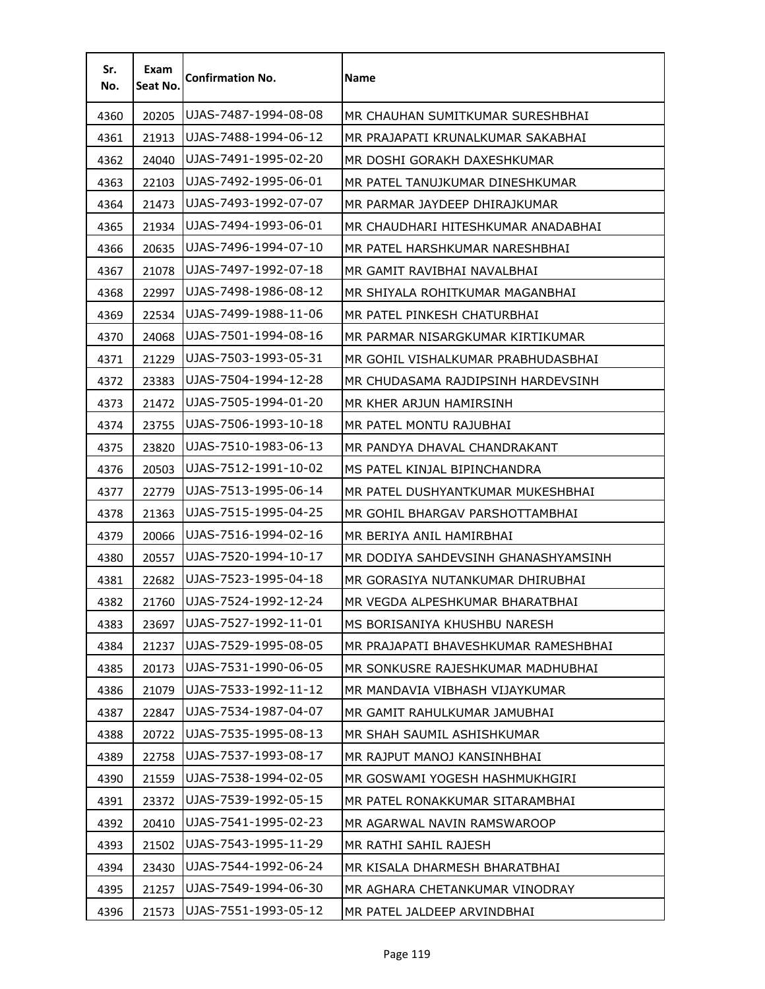| Sr.<br>No. | Exam<br>Seat No. | <b>Confirmation No.</b> | Name                                 |
|------------|------------------|-------------------------|--------------------------------------|
| 4360       | 20205            | UJAS-7487-1994-08-08    | MR CHAUHAN SUMITKUMAR SURESHBHAI     |
| 4361       | 21913            | UJAS-7488-1994-06-12    | MR PRAJAPATI KRUNALKUMAR SAKABHAI    |
| 4362       | 24040            | UJAS-7491-1995-02-20    | MR DOSHI GORAKH DAXESHKUMAR          |
| 4363       | 22103            | UJAS-7492-1995-06-01    | MR PATEL TANUJKUMAR DINESHKUMAR      |
| 4364       | 21473            | UJAS-7493-1992-07-07    | MR PARMAR JAYDEEP DHIRAJKUMAR        |
| 4365       | 21934            | UJAS-7494-1993-06-01    | MR CHAUDHARI HITESHKUMAR ANADABHAI   |
| 4366       | 20635            | UJAS-7496-1994-07-10    | MR PATEL HARSHKUMAR NARESHBHAI       |
| 4367       | 21078            | UJAS-7497-1992-07-18    | MR GAMIT RAVIBHAI NAVALBHAI          |
| 4368       | 22997            | UJAS-7498-1986-08-12    | MR SHIYALA ROHITKUMAR MAGANBHAI      |
| 4369       | 22534            | UJAS-7499-1988-11-06    | MR PATEL PINKESH CHATURBHAI          |
| 4370       | 24068            | UJAS-7501-1994-08-16    | MR PARMAR NISARGKUMAR KIRTIKUMAR     |
| 4371       | 21229            | UJAS-7503-1993-05-31    | MR GOHIL VISHALKUMAR PRABHUDASBHAI   |
| 4372       | 23383            | UJAS-7504-1994-12-28    | MR CHUDASAMA RAJDIPSINH HARDEVSINH   |
| 4373       | 21472            | UJAS-7505-1994-01-20    | MR KHER ARJUN HAMIRSINH              |
| 4374       | 23755            | UJAS-7506-1993-10-18    | MR PATEL MONTU RAJUBHAI              |
| 4375       | 23820            | UJAS-7510-1983-06-13    | MR PANDYA DHAVAL CHANDRAKANT         |
| 4376       | 20503            | UJAS-7512-1991-10-02    | MS PATEL KINJAL BIPINCHANDRA         |
| 4377       | 22779            | UJAS-7513-1995-06-14    | MR PATEL DUSHYANTKUMAR MUKESHBHAI    |
| 4378       | 21363            | UJAS-7515-1995-04-25    | MR GOHIL BHARGAV PARSHOTTAMBHAI      |
| 4379       | 20066            | UJAS-7516-1994-02-16    | MR BERIYA ANIL HAMIRBHAI             |
| 4380       | 20557            | UJAS-7520-1994-10-17    | MR DODIYA SAHDEVSINH GHANASHYAMSINH  |
| 4381       | 22682            | UJAS-7523-1995-04-18    | MR GORASIYA NUTANKUMAR DHIRUBHAI     |
| 4382       | 21760            | UJAS-7524-1992-12-24    | MR VEGDA ALPESHKUMAR BHARATBHAI      |
| 4383       | 23697            | UJAS-7527-1992-11-01    | MS BORISANIYA KHUSHBU NARESH         |
| 4384       | 21237            | UJAS-7529-1995-08-05    | MR PRAJAPATI BHAVESHKUMAR RAMESHBHAI |
| 4385       | 20173            | UJAS-7531-1990-06-05    | MR SONKUSRE RAJESHKUMAR MADHUBHAI    |
| 4386       | 21079            | UJAS-7533-1992-11-12    | MR MANDAVIA VIBHASH VIJAYKUMAR       |
| 4387       | 22847            | UJAS-7534-1987-04-07    | MR GAMIT RAHULKUMAR JAMUBHAI         |
| 4388       | 20722            | UJAS-7535-1995-08-13    | MR SHAH SAUMIL ASHISHKUMAR           |
| 4389       | 22758            | UJAS-7537-1993-08-17    | MR RAJPUT MANOJ KANSINHBHAI          |
| 4390       | 21559            | UJAS-7538-1994-02-05    | MR GOSWAMI YOGESH HASHMUKHGIRI       |
| 4391       | 23372            | UJAS-7539-1992-05-15    | MR PATEL RONAKKUMAR SITARAMBHAI      |
| 4392       | 20410            | UJAS-7541-1995-02-23    | MR AGARWAL NAVIN RAMSWAROOP          |
| 4393       | 21502            | UJAS-7543-1995-11-29    | MR RATHI SAHIL RAJESH                |
| 4394       | 23430            | UJAS-7544-1992-06-24    | MR KISALA DHARMESH BHARATBHAI        |
| 4395       | 21257            | UJAS-7549-1994-06-30    | MR AGHARA CHETANKUMAR VINODRAY       |
| 4396       | 21573            | UJAS-7551-1993-05-12    | MR PATEL JALDEEP ARVINDBHAI          |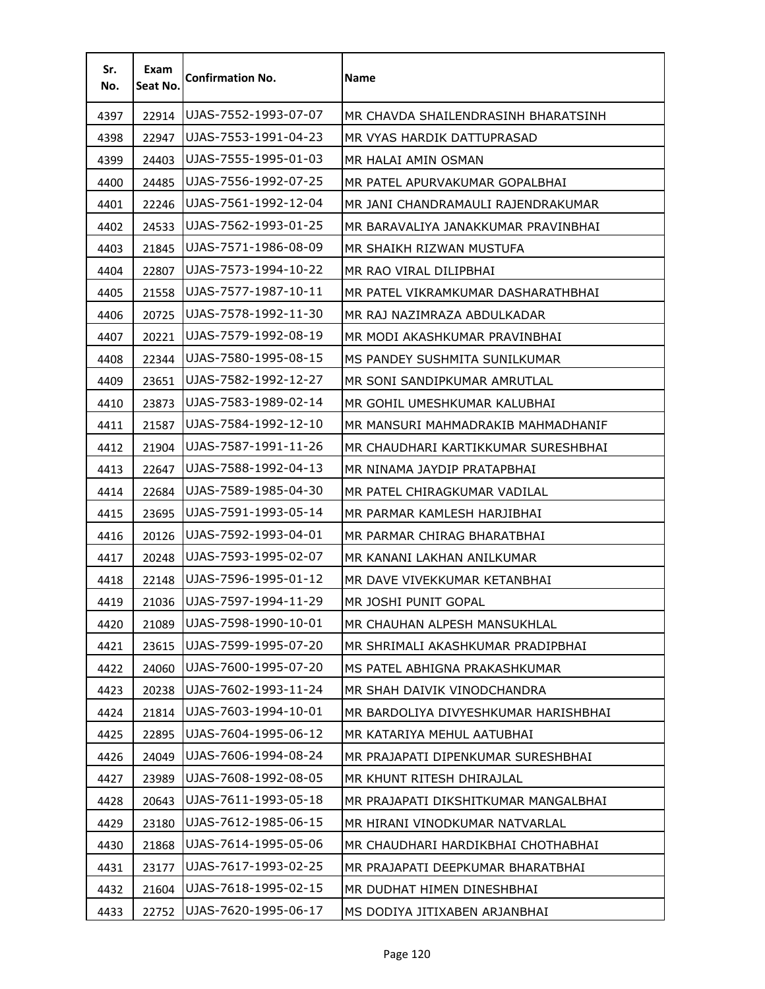| Sr.<br>No. | Exam<br>Seat No. | <b>Confirmation No.</b> | <b>Name</b>                          |
|------------|------------------|-------------------------|--------------------------------------|
| 4397       | 22914            | UJAS-7552-1993-07-07    | MR CHAVDA SHAILENDRASINH BHARATSINH  |
| 4398       | 22947            | UJAS-7553-1991-04-23    | MR VYAS HARDIK DATTUPRASAD           |
| 4399       | 24403            | UJAS-7555-1995-01-03    | MR HALAI AMIN OSMAN                  |
| 4400       | 24485            | UJAS-7556-1992-07-25    | MR PATEL APURVAKUMAR GOPALBHAI       |
| 4401       | 22246            | UJAS-7561-1992-12-04    | MR JANI CHANDRAMAULI RAJENDRAKUMAR   |
| 4402       | 24533            | UJAS-7562-1993-01-25    | MR BARAVALIYA JANAKKUMAR PRAVINBHAI  |
| 4403       | 21845            | UJAS-7571-1986-08-09    | MR SHAIKH RIZWAN MUSTUFA             |
| 4404       | 22807            | UJAS-7573-1994-10-22    | MR RAO VIRAL DILIPBHAI               |
| 4405       | 21558            | UJAS-7577-1987-10-11    | MR PATEL VIKRAMKUMAR DASHARATHBHAI   |
| 4406       | 20725            | UJAS-7578-1992-11-30    | MR RAJ NAZIMRAZA ABDULKADAR          |
| 4407       | 20221            | UJAS-7579-1992-08-19    | MR MODI AKASHKUMAR PRAVINBHAI        |
| 4408       | 22344            | UJAS-7580-1995-08-15    | MS PANDEY SUSHMITA SUNILKUMAR        |
| 4409       | 23651            | UJAS-7582-1992-12-27    | MR SONI SANDIPKUMAR AMRUTLAL         |
| 4410       | 23873            | UJAS-7583-1989-02-14    | MR GOHIL UMESHKUMAR KALUBHAI         |
| 4411       | 21587            | UJAS-7584-1992-12-10    | MR MANSURI MAHMADRAKIB MAHMADHANIF   |
| 4412       | 21904            | UJAS-7587-1991-11-26    | MR CHAUDHARI KARTIKKUMAR SURESHBHAI  |
| 4413       | 22647            | UJAS-7588-1992-04-13    | MR NINAMA JAYDIP PRATAPBHAI          |
| 4414       | 22684            | UJAS-7589-1985-04-30    | MR PATEL CHIRAGKUMAR VADILAL         |
| 4415       | 23695            | UJAS-7591-1993-05-14    | MR PARMAR KAMLESH HARJIBHAI          |
| 4416       | 20126            | UJAS-7592-1993-04-01    | MR PARMAR CHIRAG BHARATBHAI          |
| 4417       | 20248            | UJAS-7593-1995-02-07    | MR KANANI LAKHAN ANILKUMAR           |
| 4418       | 22148            | UJAS-7596-1995-01-12    | MR DAVE VIVEKKUMAR KETANBHAI         |
| 4419       | 21036            | UJAS-7597-1994-11-29    | MR JOSHI PUNIT GOPAL                 |
| 4420       | 21089            | UJAS-7598-1990-10-01    | MR CHAUHAN ALPESH MANSUKHLAL         |
| 4421       | 23615            | UJAS-7599-1995-07-20    | MR SHRIMALI AKASHKUMAR PRADIPBHAI    |
| 4422       | 24060            | UJAS-7600-1995-07-20    | MS PATEL ABHIGNA PRAKASHKUMAR        |
| 4423       | 20238            | UJAS-7602-1993-11-24    | MR SHAH DAIVIK VINODCHANDRA          |
| 4424       | 21814            | UJAS-7603-1994-10-01    | MR BARDOLIYA DIVYESHKUMAR HARISHBHAI |
| 4425       | 22895            | UJAS-7604-1995-06-12    | MR KATARIYA MEHUL AATUBHAI           |
| 4426       | 24049            | UJAS-7606-1994-08-24    | MR PRAJAPATI DIPENKUMAR SURESHBHAI   |
| 4427       | 23989            | UJAS-7608-1992-08-05    | MR KHUNT RITESH DHIRAJLAL            |
| 4428       | 20643            | UJAS-7611-1993-05-18    | MR PRAJAPATI DIKSHITKUMAR MANGALBHAI |
| 4429       | 23180            | UJAS-7612-1985-06-15    | MR HIRANI VINODKUMAR NATVARLAL       |
| 4430       | 21868            | UJAS-7614-1995-05-06    | MR CHAUDHARI HARDIKBHAI CHOTHABHAI   |
| 4431       | 23177            | UJAS-7617-1993-02-25    | MR PRAJAPATI DEEPKUMAR BHARATBHAI    |
| 4432       | 21604            | UJAS-7618-1995-02-15    | MR DUDHAT HIMEN DINESHBHAI           |
| 4433       | 22752            | UJAS-7620-1995-06-17    | MS DODIYA JITIXABEN ARJANBHAI        |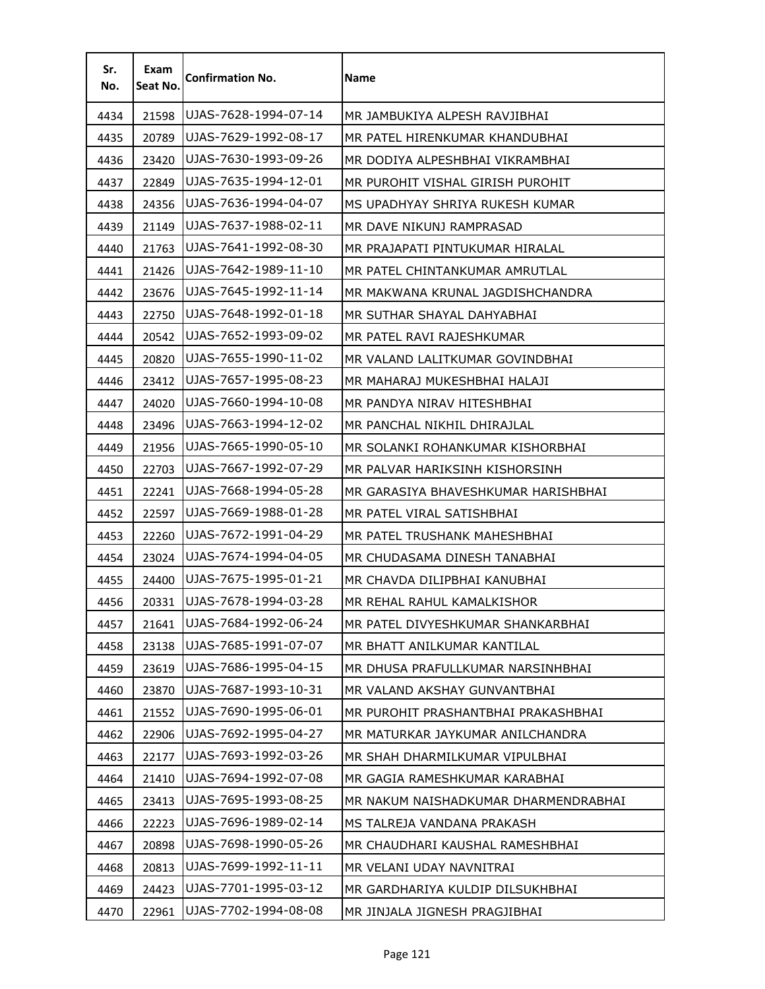| Sr.<br>No. | Exam<br>Seat No. | <b>Confirmation No.</b> | <b>Name</b>                          |
|------------|------------------|-------------------------|--------------------------------------|
| 4434       | 21598            | UJAS-7628-1994-07-14    | MR JAMBUKIYA ALPESH RAVJIBHAI        |
| 4435       | 20789            | UJAS-7629-1992-08-17    | MR PATEL HIRENKUMAR KHANDUBHAI       |
| 4436       | 23420            | UJAS-7630-1993-09-26    | MR DODIYA ALPESHBHAI VIKRAMBHAI      |
| 4437       | 22849            | UJAS-7635-1994-12-01    | MR PUROHIT VISHAL GIRISH PUROHIT     |
| 4438       | 24356            | UJAS-7636-1994-04-07    | MS UPADHYAY SHRIYA RUKESH KUMAR      |
| 4439       | 21149            | UJAS-7637-1988-02-11    | MR DAVE NIKUNJ RAMPRASAD             |
| 4440       | 21763            | UJAS-7641-1992-08-30    | MR PRAJAPATI PINTUKUMAR HIRALAL      |
| 4441       | 21426            | UJAS-7642-1989-11-10    | MR PATEL CHINTANKUMAR AMRUTLAL       |
| 4442       | 23676            | UJAS-7645-1992-11-14    | MR MAKWANA KRUNAL JAGDISHCHANDRA     |
| 4443       | 22750            | UJAS-7648-1992-01-18    | MR SUTHAR SHAYAL DAHYABHAI           |
| 4444       | 20542            | UJAS-7652-1993-09-02    | MR PATEL RAVI RAJESHKUMAR            |
| 4445       | 20820            | UJAS-7655-1990-11-02    | MR VALAND LALITKUMAR GOVINDBHAI      |
| 4446       | 23412            | UJAS-7657-1995-08-23    | MR MAHARAJ MUKESHBHAI HALAJI         |
| 4447       | 24020            | UJAS-7660-1994-10-08    | MR PANDYA NIRAV HITESHBHAI           |
| 4448       | 23496            | UJAS-7663-1994-12-02    | MR PANCHAL NIKHIL DHIRAJLAL          |
| 4449       | 21956            | UJAS-7665-1990-05-10    | MR SOLANKI ROHANKUMAR KISHORBHAI     |
| 4450       | 22703            | UJAS-7667-1992-07-29    | MR PALVAR HARIKSINH KISHORSINH       |
| 4451       | 22241            | UJAS-7668-1994-05-28    | MR GARASIYA BHAVESHKUMAR HARISHBHAI  |
| 4452       | 22597            | UJAS-7669-1988-01-28    | MR PATEL VIRAL SATISHBHAI            |
| 4453       | 22260            | UJAS-7672-1991-04-29    | MR PATEL TRUSHANK MAHESHBHAI         |
| 4454       | 23024            | UJAS-7674-1994-04-05    | MR CHUDASAMA DINESH TANABHAI         |
| 4455       | 24400            | UJAS-7675-1995-01-21    | MR CHAVDA DILIPBHAI KANUBHAI         |
| 4456       | 20331            | UJAS-7678-1994-03-28    | MR REHAL RAHUL KAMALKISHOR           |
| 4457       | 21641            | UJAS-7684-1992-06-24    | MR PATEL DIVYESHKUMAR SHANKARBHAI    |
| 4458       | 23138            | UJAS-7685-1991-07-07    | MR BHATT ANILKUMAR KANTILAL          |
| 4459       | 23619            | UJAS-7686-1995-04-15    | MR DHUSA PRAFULLKUMAR NARSINHBHAI    |
| 4460       | 23870            | UJAS-7687-1993-10-31    | MR VALAND AKSHAY GUNVANTBHAI         |
| 4461       | 21552            | UJAS-7690-1995-06-01    | MR PUROHIT PRASHANTBHAI PRAKASHBHAI  |
| 4462       | 22906            | UJAS-7692-1995-04-27    | MR MATURKAR JAYKUMAR ANILCHANDRA     |
| 4463       | 22177            | UJAS-7693-1992-03-26    | MR SHAH DHARMILKUMAR VIPULBHAI       |
| 4464       | 21410            | UJAS-7694-1992-07-08    | MR GAGIA RAMESHKUMAR KARABHAI        |
| 4465       | 23413            | UJAS-7695-1993-08-25    | MR NAKUM NAISHADKUMAR DHARMENDRABHAI |
| 4466       | 22223            | UJAS-7696-1989-02-14    | MS TALREJA VANDANA PRAKASH           |
| 4467       | 20898            | UJAS-7698-1990-05-26    | MR CHAUDHARI KAUSHAL RAMESHBHAI      |
| 4468       | 20813            | UJAS-7699-1992-11-11    | MR VELANI UDAY NAVNITRAI             |
| 4469       | 24423            | UJAS-7701-1995-03-12    | MR GARDHARIYA KULDIP DILSUKHBHAI     |
| 4470       | 22961            | UJAS-7702-1994-08-08    | MR JINJALA JIGNESH PRAGJIBHAI        |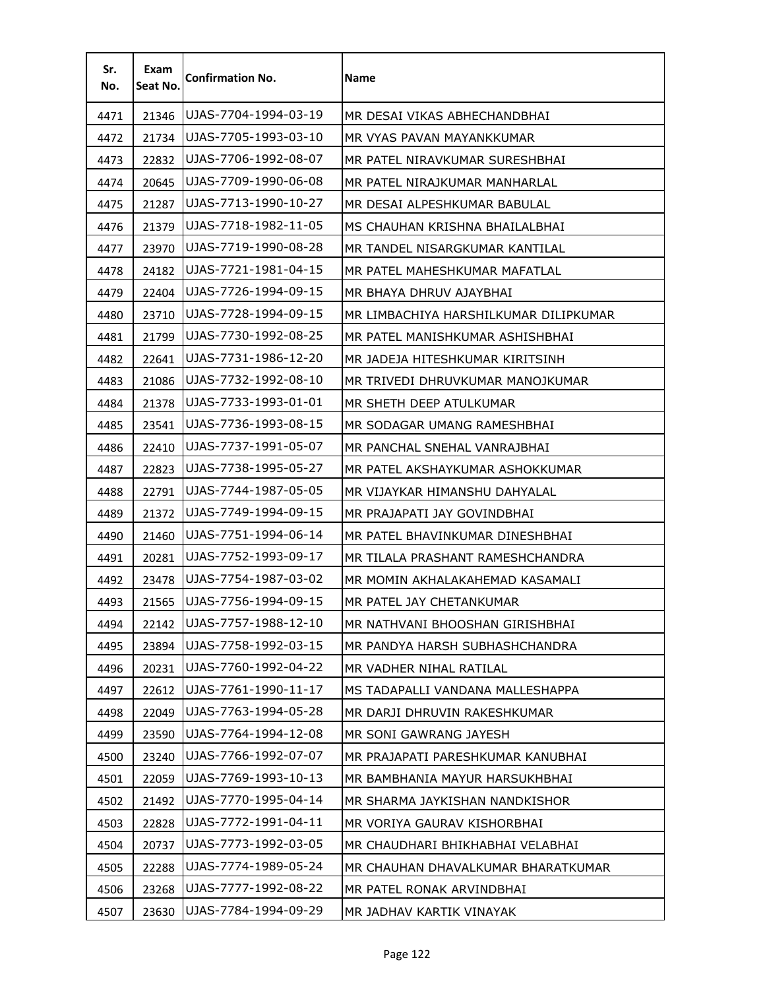| Sr.<br>No. | Exam<br>Seat No. | <b>Confirmation No.</b> | Name                                  |
|------------|------------------|-------------------------|---------------------------------------|
| 4471       | 21346            | UJAS-7704-1994-03-19    | MR DESAI VIKAS ABHECHANDBHAI          |
| 4472       | 21734            | UJAS-7705-1993-03-10    | MR VYAS PAVAN MAYANKKUMAR             |
| 4473       | 22832            | UJAS-7706-1992-08-07    | MR PATEL NIRAVKUMAR SURESHBHAI        |
| 4474       | 20645            | UJAS-7709-1990-06-08    | MR PATEL NIRAJKUMAR MANHARLAL         |
| 4475       | 21287            | UJAS-7713-1990-10-27    | MR DESAI ALPESHKUMAR BABULAL          |
| 4476       | 21379            | UJAS-7718-1982-11-05    | MS CHAUHAN KRISHNA BHAILALBHAI        |
| 4477       | 23970            | UJAS-7719-1990-08-28    | MR TANDEL NISARGKUMAR KANTILAL        |
| 4478       | 24182            | UJAS-7721-1981-04-15    | MR PATEL MAHESHKUMAR MAFATLAL         |
| 4479       | 22404            | UJAS-7726-1994-09-15    | MR BHAYA DHRUV AJAYBHAI               |
| 4480       | 23710            | UJAS-7728-1994-09-15    | MR LIMBACHIYA HARSHILKUMAR DILIPKUMAR |
| 4481       | 21799            | UJAS-7730-1992-08-25    | MR PATEL MANISHKUMAR ASHISHBHAI       |
| 4482       | 22641            | UJAS-7731-1986-12-20    | MR JADEJA HITESHKUMAR KIRITSINH       |
| 4483       | 21086            | UJAS-7732-1992-08-10    | MR TRIVEDI DHRUVKUMAR MANOJKUMAR      |
| 4484       | 21378            | UJAS-7733-1993-01-01    | MR SHETH DEEP ATULKUMAR               |
| 4485       | 23541            | UJAS-7736-1993-08-15    | MR SODAGAR UMANG RAMESHBHAI           |
| 4486       | 22410            | UJAS-7737-1991-05-07    | MR PANCHAL SNEHAL VANRAJBHAI          |
| 4487       | 22823            | UJAS-7738-1995-05-27    | MR PATEL AKSHAYKUMAR ASHOKKUMAR       |
| 4488       | 22791            | UJAS-7744-1987-05-05    | MR VIJAYKAR HIMANSHU DAHYALAL         |
| 4489       | 21372            | UJAS-7749-1994-09-15    | MR PRAJAPATI JAY GOVINDBHAI           |
| 4490       | 21460            | UJAS-7751-1994-06-14    | MR PATEL BHAVINKUMAR DINESHBHAI       |
| 4491       | 20281            | UJAS-7752-1993-09-17    | MR TILALA PRASHANT RAMESHCHANDRA      |
| 4492       | 23478            | UJAS-7754-1987-03-02    | MR MOMIN AKHALAKAHEMAD KASAMALI       |
| 4493       | 21565            | UJAS-7756-1994-09-15    | MR PATEL JAY CHETANKUMAR              |
| 4494       | 22142            | UJAS-7757-1988-12-10    | MR NATHVANI BHOOSHAN GIRISHBHAI       |
| 4495       | 23894            | UJAS-7758-1992-03-15    | MR PANDYA HARSH SUBHASHCHANDRA        |
| 4496       | 20231            | UJAS-7760-1992-04-22    | MR VADHER NIHAL RATILAL               |
| 4497       | 22612            | UJAS-7761-1990-11-17    | MS TADAPALLI VANDANA MALLESHAPPA      |
| 4498       | 22049            | UJAS-7763-1994-05-28    | MR DARJI DHRUVIN RAKESHKUMAR          |
| 4499       | 23590            | UJAS-7764-1994-12-08    | MR SONI GAWRANG JAYESH                |
| 4500       | 23240            | UJAS-7766-1992-07-07    | MR PRAJAPATI PARESHKUMAR KANUBHAI     |
| 4501       | 22059            | UJAS-7769-1993-10-13    | MR BAMBHANIA MAYUR HARSUKHBHAI        |
| 4502       | 21492            | UJAS-7770-1995-04-14    | MR SHARMA JAYKISHAN NANDKISHOR        |
| 4503       | 22828            | UJAS-7772-1991-04-11    | MR VORIYA GAURAV KISHORBHAI           |
| 4504       | 20737            | UJAS-7773-1992-03-05    | MR CHAUDHARI BHIKHABHAI VELABHAI      |
| 4505       | 22288            | UJAS-7774-1989-05-24    | MR CHAUHAN DHAVALKUMAR BHARATKUMAR    |
| 4506       | 23268            | UJAS-7777-1992-08-22    | MR PATEL RONAK ARVINDBHAI             |
| 4507       | 23630            | UJAS-7784-1994-09-29    | MR JADHAV KARTIK VINAYAK              |